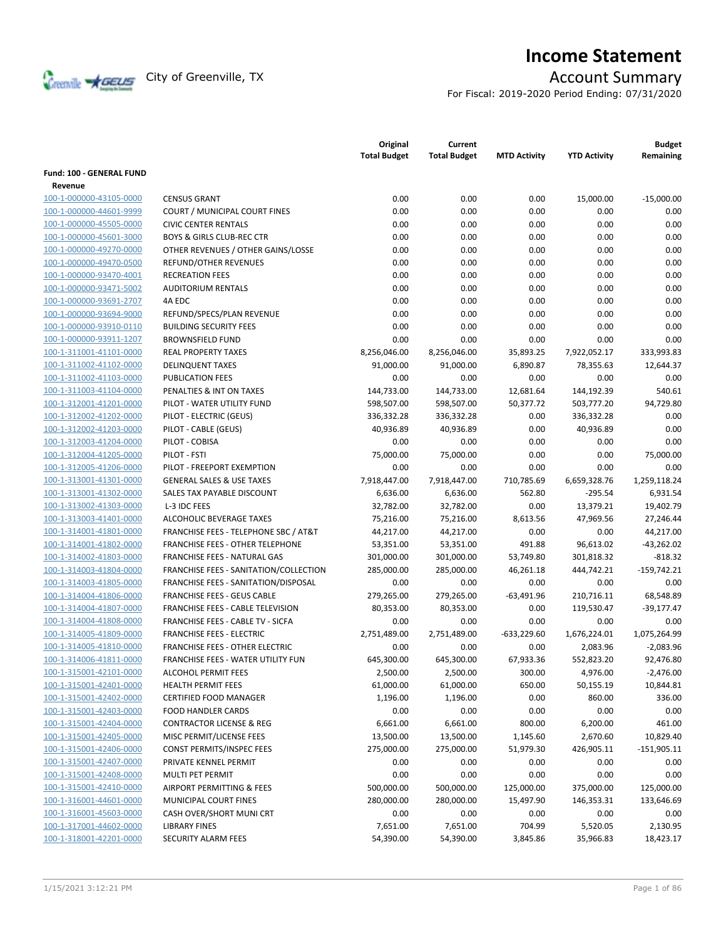

# **Income Statement**

For Fiscal: 2019-2020 Period Ending: 07/31/2020

|                                 |                                           | Original<br><b>Total Budget</b> | Current<br><b>Total Budget</b> | <b>MTD Activity</b> | <b>YTD Activity</b> | <b>Budget</b><br>Remaining |
|---------------------------------|-------------------------------------------|---------------------------------|--------------------------------|---------------------|---------------------|----------------------------|
| <b>Fund: 100 - GENERAL FUND</b> |                                           |                                 |                                |                     |                     |                            |
| Revenue                         |                                           |                                 |                                |                     |                     |                            |
| 100-1-000000-43105-0000         | <b>CENSUS GRANT</b>                       | 0.00                            | 0.00                           | 0.00                | 15,000.00           | $-15,000.00$               |
| 100-1-000000-44601-9999         | COURT / MUNICIPAL COURT FINES             | 0.00                            | 0.00                           | 0.00                | 0.00                | 0.00                       |
| 100-1-000000-45505-0000         | <b>CIVIC CENTER RENTALS</b>               | 0.00                            | 0.00                           | 0.00                | 0.00                | 0.00                       |
| 100-1-000000-45601-3000         | <b>BOYS &amp; GIRLS CLUB-REC CTR</b>      | 0.00                            | 0.00                           | 0.00                | 0.00                | 0.00                       |
| 100-1-000000-49270-0000         | OTHER REVENUES / OTHER GAINS/LOSSE        | 0.00                            | 0.00                           | 0.00                | 0.00                | 0.00                       |
| 100-1-000000-49470-0500         | <b>REFUND/OTHER REVENUES</b>              | 0.00                            | 0.00                           | 0.00                | 0.00                | 0.00                       |
| 100-1-000000-93470-4001         | <b>RECREATION FEES</b>                    | 0.00                            | 0.00                           | 0.00                | 0.00                | 0.00                       |
| 100-1-000000-93471-5002         | <b>AUDITORIUM RENTALS</b>                 | 0.00                            | 0.00                           | 0.00                | 0.00                | 0.00                       |
| 100-1-000000-93691-2707         | 4A EDC                                    | 0.00                            | 0.00                           | 0.00                | 0.00                | 0.00                       |
| 100-1-000000-93694-9000         | REFUND/SPECS/PLAN REVENUE                 | 0.00                            | 0.00                           | 0.00                | 0.00                | 0.00                       |
| 100-1-000000-93910-0110         | <b>BUILDING SECURITY FEES</b>             | 0.00                            | 0.00                           | 0.00                | 0.00                | 0.00                       |
| 100-1-000000-93911-1207         | <b>BROWNSFIELD FUND</b>                   | 0.00                            | 0.00                           | 0.00                | 0.00                | 0.00                       |
| 100-1-311001-41101-0000         | <b>REAL PROPERTY TAXES</b>                | 8,256,046.00                    | 8,256,046.00                   | 35,893.25           | 7,922,052.17        | 333,993.83                 |
| 100-1-311002-41102-0000         | <b>DELINQUENT TAXES</b>                   | 91,000.00                       | 91,000.00                      | 6,890.87            | 78,355.63           | 12,644.37                  |
| 100-1-311002-41103-0000         | <b>PUBLICATION FEES</b>                   | 0.00                            | 0.00                           | 0.00                | 0.00                | 0.00                       |
| 100-1-311003-41104-0000         | PENALTIES & INT ON TAXES                  | 144,733.00                      | 144,733.00                     | 12,681.64           | 144,192.39          | 540.61                     |
| 100-1-312001-41201-0000         | PILOT - WATER UTILITY FUND                | 598,507.00                      | 598,507.00                     | 50,377.72           | 503,777.20          | 94,729.80                  |
| 100-1-312002-41202-0000         | PILOT - ELECTRIC (GEUS)                   | 336,332.28                      | 336,332.28                     | 0.00                | 336,332.28          | 0.00                       |
|                                 | PILOT - CABLE (GEUS)                      |                                 |                                | 0.00                | 40,936.89           | 0.00                       |
| 100-1-312002-41203-0000         |                                           | 40,936.89                       | 40,936.89                      |                     |                     |                            |
| 100-1-312003-41204-0000         | PILOT - COBISA                            | 0.00                            | 0.00                           | 0.00                | 0.00                | 0.00                       |
| 100-1-312004-41205-0000         | PILOT - FSTI                              | 75,000.00                       | 75,000.00                      | 0.00                | 0.00                | 75,000.00                  |
| 100-1-312005-41206-0000         | PILOT - FREEPORT EXEMPTION                | 0.00                            | 0.00                           | 0.00                | 0.00                | 0.00                       |
| 100-1-313001-41301-0000         | <b>GENERAL SALES &amp; USE TAXES</b>      | 7,918,447.00                    | 7,918,447.00                   | 710,785.69          | 6,659,328.76        | 1,259,118.24               |
| 100-1-313001-41302-0000         | SALES TAX PAYABLE DISCOUNT                | 6,636.00                        | 6,636.00                       | 562.80              | $-295.54$           | 6,931.54                   |
| 100-1-313002-41303-0000         | L-3 IDC FEES                              | 32,782.00                       | 32,782.00                      | 0.00                | 13,379.21           | 19,402.79                  |
| 100-1-313003-41401-0000         | ALCOHOLIC BEVERAGE TAXES                  | 75,216.00                       | 75,216.00                      | 8,613.56            | 47,969.56           | 27,246.44                  |
| 100-1-314001-41801-0000         | FRANCHISE FEES - TELEPHONE SBC / AT&T     | 44,217.00                       | 44,217.00                      | 0.00                | 0.00                | 44,217.00                  |
| 100-1-314001-41802-0000         | <b>FRANCHISE FEES - OTHER TELEPHONE</b>   | 53,351.00                       | 53,351.00                      | 491.88              | 96,613.02           | $-43,262.02$               |
| 100-1-314002-41803-0000         | FRANCHISE FEES - NATURAL GAS              | 301,000.00                      | 301,000.00                     | 53,749.80           | 301,818.32          | $-818.32$                  |
| 100-1-314003-41804-0000         | FRANCHISE FEES - SANITATION/COLLECTION    | 285,000.00                      | 285,000.00                     | 46,261.18           | 444,742.21          | $-159,742.21$              |
| 100-1-314003-41805-0000         | FRANCHISE FEES - SANITATION/DISPOSAL      | 0.00                            | 0.00                           | 0.00                | 0.00                | 0.00                       |
| 100-1-314004-41806-0000         | <b>FRANCHISE FEES - GEUS CABLE</b>        | 279,265.00                      | 279,265.00                     | $-63,491.96$        | 210,716.11          | 68,548.89                  |
| 100-1-314004-41807-0000         | FRANCHISE FEES - CABLE TELEVISION         | 80,353.00                       | 80,353.00                      | 0.00                | 119,530.47          | $-39,177.47$               |
| 100-1-314004-41808-0000         | <b>FRANCHISE FEES - CABLE TV - SICFA</b>  | 0.00                            | 0.00                           | 0.00                | 0.00                | 0.00                       |
| 100-1-314005-41809-0000         | <b>FRANCHISE FEES - ELECTRIC</b>          | 2,751,489.00                    | 2,751,489.00                   | $-633,229.60$       | 1,676,224.01        | 1,075,264.99               |
| 100-1-314005-41810-0000         | <b>FRANCHISE FEES - OTHER ELECTRIC</b>    | 0.00                            | 0.00                           | 0.00                | 2,083.96            | $-2,083.96$                |
| 100-1-314006-41811-0000         | <b>FRANCHISE FEES - WATER UTILITY FUN</b> | 645,300.00                      | 645,300.00                     | 67,933.36           | 552,823.20          | 92,476.80                  |
| 100-1-315001-42101-0000         | <b>ALCOHOL PERMIT FEES</b>                | 2,500.00                        | 2,500.00                       | 300.00              | 4,976.00            | $-2,476.00$                |
| 100-1-315001-42401-0000         | <b>HEALTH PERMIT FEES</b>                 | 61,000.00                       | 61,000.00                      | 650.00              | 50,155.19           | 10,844.81                  |
| 100-1-315001-42402-0000         | <b>CERTIFIED FOOD MANAGER</b>             | 1,196.00                        | 1,196.00                       | 0.00                | 860.00              | 336.00                     |
| 100-1-315001-42403-0000         | <b>FOOD HANDLER CARDS</b>                 | 0.00                            | 0.00                           | 0.00                | 0.00                | 0.00                       |
| 100-1-315001-42404-0000         | <b>CONTRACTOR LICENSE &amp; REG</b>       | 6,661.00                        | 6,661.00                       | 800.00              | 6,200.00            | 461.00                     |
| 100-1-315001-42405-0000         | MISC PERMIT/LICENSE FEES                  | 13,500.00                       | 13,500.00                      | 1,145.60            | 2,670.60            | 10,829.40                  |
| 100-1-315001-42406-0000         | CONST PERMITS/INSPEC FEES                 | 275,000.00                      | 275,000.00                     | 51,979.30           | 426,905.11          | $-151,905.11$              |
| 100-1-315001-42407-0000         | PRIVATE KENNEL PERMIT                     | 0.00                            | 0.00                           | 0.00                | 0.00                | 0.00                       |
| 100-1-315001-42408-0000         | MULTI PET PERMIT                          | 0.00                            | 0.00                           | 0.00                | 0.00                | 0.00                       |
| 100-1-315001-42410-0000         | AIRPORT PERMITTING & FEES                 | 500,000.00                      | 500,000.00                     | 125,000.00          | 375,000.00          | 125,000.00                 |
| 100-1-316001-44601-0000         | <b>MUNICIPAL COURT FINES</b>              | 280,000.00                      | 280,000.00                     | 15,497.90           | 146,353.31          | 133,646.69                 |
| 100-1-316001-45603-0000         | CASH OVER/SHORT MUNI CRT                  | 0.00                            | 0.00                           | 0.00                | 0.00                | 0.00                       |
| 100-1-317001-44602-0000         | LIBRARY FINES                             | 7,651.00                        | 7,651.00                       | 704.99              | 5,520.05            | 2,130.95                   |
| 100-1-318001-42201-0000         | SECURITY ALARM FEES                       | 54,390.00                       | 54,390.00                      | 3,845.86            | 35,966.83           | 18,423.17                  |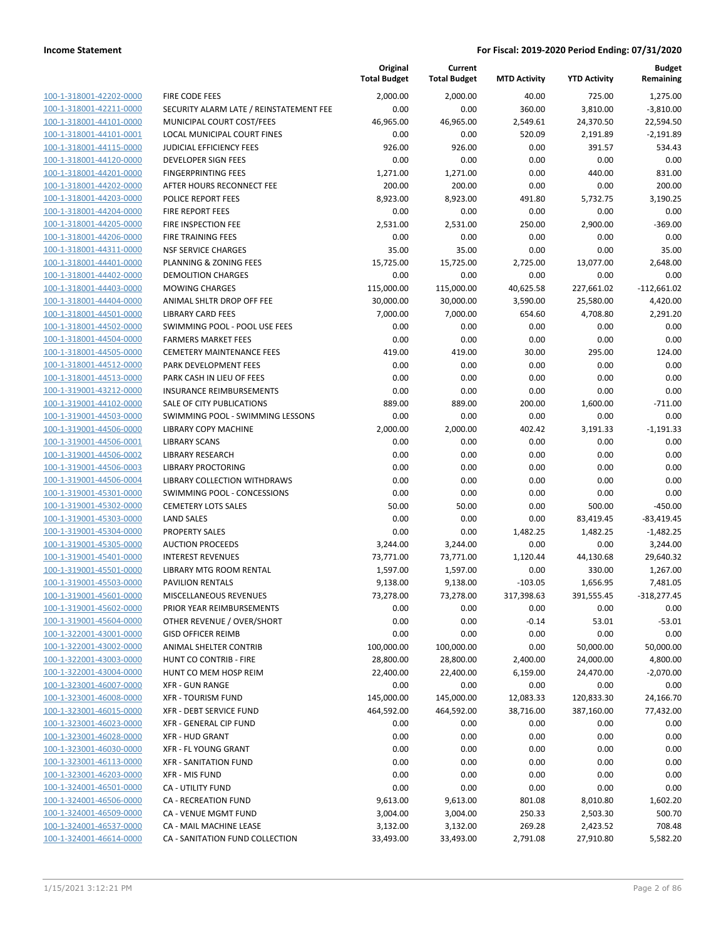|                                                    |                                                       | Original<br><b>Total Budget</b> | Current<br><b>Total Budget</b> | <b>MTD Activity</b> | <b>YTD Activity</b> | <b>Budget</b><br>Remaining |
|----------------------------------------------------|-------------------------------------------------------|---------------------------------|--------------------------------|---------------------|---------------------|----------------------------|
| 100-1-318001-42202-0000                            | <b>FIRE CODE FEES</b>                                 | 2,000.00                        | 2,000.00                       | 40.00               | 725.00              | 1,275.00                   |
| 100-1-318001-42211-0000                            | SECURITY ALARM LATE / REINSTATEMENT FEE               | 0.00                            | 0.00                           | 360.00              | 3,810.00            | $-3,810.00$                |
| 100-1-318001-44101-0000                            | MUNICIPAL COURT COST/FEES                             | 46,965.00                       | 46,965.00                      | 2,549.61            | 24,370.50           | 22,594.50                  |
| 100-1-318001-44101-0001                            | <b>LOCAL MUNICIPAL COURT FINES</b>                    | 0.00                            | 0.00                           | 520.09              | 2,191.89            | $-2,191.89$                |
| 100-1-318001-44115-0000                            | <b>JUDICIAL EFFICIENCY FEES</b>                       | 926.00                          | 926.00                         | 0.00                | 391.57              | 534.43                     |
| 100-1-318001-44120-0000                            | <b>DEVELOPER SIGN FEES</b>                            | 0.00                            | 0.00                           | 0.00                | 0.00                | 0.00                       |
| 100-1-318001-44201-0000                            | <b>FINGERPRINTING FEES</b>                            | 1,271.00                        | 1,271.00                       | 0.00                | 440.00              | 831.00                     |
| 100-1-318001-44202-0000                            | AFTER HOURS RECONNECT FEE                             | 200.00                          | 200.00                         | 0.00                | 0.00                | 200.00                     |
| 100-1-318001-44203-0000                            | <b>POLICE REPORT FEES</b>                             | 8,923.00                        | 8,923.00                       | 491.80              | 5,732.75            | 3,190.25                   |
| 100-1-318001-44204-0000                            | <b>FIRE REPORT FEES</b>                               | 0.00                            | 0.00                           | 0.00                | 0.00                | 0.00                       |
| 100-1-318001-44205-0000                            | FIRE INSPECTION FEE                                   | 2,531.00                        | 2,531.00                       | 250.00              | 2,900.00            | $-369.00$                  |
| 100-1-318001-44206-0000                            | FIRE TRAINING FEES                                    | 0.00                            | 0.00                           | 0.00                | 0.00                | 0.00                       |
| 100-1-318001-44311-0000                            | <b>NSF SERVICE CHARGES</b>                            | 35.00                           | 35.00                          | 0.00                | 0.00                | 35.00                      |
| 100-1-318001-44401-0000                            | PLANNING & ZONING FEES                                | 15,725.00                       | 15,725.00                      | 2,725.00            | 13,077.00           | 2,648.00                   |
| 100-1-318001-44402-0000                            | <b>DEMOLITION CHARGES</b>                             | 0.00                            | 0.00                           | 0.00                | 0.00                | 0.00                       |
| 100-1-318001-44403-0000                            | <b>MOWING CHARGES</b>                                 | 115,000.00                      | 115,000.00                     | 40,625.58           | 227,661.02          | $-112,661.02$              |
| 100-1-318001-44404-0000<br>100-1-318001-44501-0000 | ANIMAL SHLTR DROP OFF FEE<br><b>LIBRARY CARD FEES</b> | 30,000.00                       | 30,000.00                      | 3,590.00<br>654.60  | 25,580.00           | 4,420.00                   |
| 100-1-318001-44502-0000                            | SWIMMING POOL - POOL USE FEES                         | 7,000.00<br>0.00                | 7,000.00<br>0.00               | 0.00                | 4,708.80<br>0.00    | 2,291.20<br>0.00           |
| 100-1-318001-44504-0000                            | <b>FARMERS MARKET FEES</b>                            | 0.00                            | 0.00                           | 0.00                | 0.00                | 0.00                       |
| 100-1-318001-44505-0000                            | <b>CEMETERY MAINTENANCE FEES</b>                      | 419.00                          | 419.00                         | 30.00               | 295.00              | 124.00                     |
| 100-1-318001-44512-0000                            | PARK DEVELOPMENT FEES                                 | 0.00                            | 0.00                           | 0.00                | 0.00                | 0.00                       |
| 100-1-318001-44513-0000                            | PARK CASH IN LIEU OF FEES                             | 0.00                            | 0.00                           | 0.00                | 0.00                | 0.00                       |
| 100-1-319001-43212-0000                            | <b>INSURANCE REIMBURSEMENTS</b>                       | 0.00                            | 0.00                           | 0.00                | 0.00                | 0.00                       |
| 100-1-319001-44102-0000                            | SALE OF CITY PUBLICATIONS                             | 889.00                          | 889.00                         | 200.00              | 1,600.00            | $-711.00$                  |
| 100-1-319001-44503-0000                            | SWIMMING POOL - SWIMMING LESSONS                      | 0.00                            | 0.00                           | 0.00                | 0.00                | 0.00                       |
| 100-1-319001-44506-0000                            | <b>LIBRARY COPY MACHINE</b>                           | 2,000.00                        | 2,000.00                       | 402.42              | 3,191.33            | $-1,191.33$                |
| 100-1-319001-44506-0001                            | <b>LIBRARY SCANS</b>                                  | 0.00                            | 0.00                           | 0.00                | 0.00                | 0.00                       |
| 100-1-319001-44506-0002                            | <b>LIBRARY RESEARCH</b>                               | 0.00                            | 0.00                           | 0.00                | 0.00                | 0.00                       |
| 100-1-319001-44506-0003                            | <b>LIBRARY PROCTORING</b>                             | 0.00                            | 0.00                           | 0.00                | 0.00                | 0.00                       |
| 100-1-319001-44506-0004                            | LIBRARY COLLECTION WITHDRAWS                          | 0.00                            | 0.00                           | 0.00                | 0.00                | 0.00                       |
| 100-1-319001-45301-0000                            | SWIMMING POOL - CONCESSIONS                           | 0.00                            | 0.00                           | 0.00                | 0.00                | 0.00                       |
| 100-1-319001-45302-0000                            | <b>CEMETERY LOTS SALES</b>                            | 50.00                           | 50.00                          | 0.00                | 500.00              | $-450.00$                  |
| 100-1-319001-45303-0000                            | <b>LAND SALES</b>                                     | 0.00                            | 0.00                           | 0.00                | 83,419.45           | $-83,419.45$               |
| 100-1-319001-45304-0000                            | <b>PROPERTY SALES</b>                                 | 0.00                            | 0.00                           | 1,482.25            | 1,482.25            | $-1,482.25$                |
| 100-1-319001-45305-0000                            | <b>AUCTION PROCEEDS</b>                               | 3,244.00                        | 3,244.00                       | 0.00                | 0.00                | 3,244.00                   |
| 100-1-319001-45401-0000                            | <b>INTEREST REVENUES</b>                              | 73,771.00                       | 73,771.00                      | 1,120.44            | 44,130.68           | 29,640.32                  |
| 100-1-319001-45501-0000                            | LIBRARY MTG ROOM RENTAL                               | 1,597.00                        | 1,597.00                       | 0.00                | 330.00              | 1,267.00                   |
| 100-1-319001-45503-0000                            | <b>PAVILION RENTALS</b>                               | 9,138.00                        | 9,138.00                       | $-103.05$           | 1,656.95            | 7,481.05                   |
| 100-1-319001-45601-0000                            | <b>MISCELLANEOUS REVENUES</b>                         | 73,278.00                       | 73,278.00                      | 317,398.63          | 391,555.45          | $-318,277.45$              |
| 100-1-319001-45602-0000                            | PRIOR YEAR REIMBURSEMENTS                             | 0.00                            | 0.00                           | 0.00                | 0.00                | 0.00                       |
| 100-1-319001-45604-0000                            | OTHER REVENUE / OVER/SHORT                            | 0.00                            | 0.00                           | $-0.14$             | 53.01               | $-53.01$                   |
| 100-1-322001-43001-0000                            | <b>GISD OFFICER REIMB</b>                             | 0.00                            | 0.00                           | 0.00                | 0.00                | 0.00                       |
| 100-1-322001-43002-0000                            | ANIMAL SHELTER CONTRIB                                | 100,000.00                      | 100,000.00                     | 0.00                | 50,000.00           | 50,000.00                  |
| 100-1-322001-43003-0000                            | HUNT CO CONTRIB - FIRE                                | 28,800.00                       | 28,800.00                      | 2,400.00            | 24,000.00           | 4,800.00                   |
| 100-1-322001-43004-0000                            | HUNT CO MEM HOSP REIM                                 | 22,400.00                       | 22,400.00                      | 6,159.00            | 24,470.00           | $-2,070.00$                |
| 100-1-323001-46007-0000                            | <b>XFR - GUN RANGE</b>                                | 0.00                            | 0.00                           | 0.00                | 0.00                | 0.00                       |
| 100-1-323001-46008-0000                            | <b>XFR - TOURISM FUND</b>                             | 145,000.00                      | 145,000.00                     | 12,083.33           | 120,833.30          | 24,166.70                  |
| 100-1-323001-46015-0000                            | XFR - DEBT SERVICE FUND                               | 464,592.00                      | 464,592.00                     | 38,716.00           | 387,160.00          | 77,432.00                  |
| 100-1-323001-46023-0000                            | XFR - GENERAL CIP FUND                                | 0.00                            | 0.00                           | 0.00                | 0.00                | 0.00                       |
| 100-1-323001-46028-0000                            | <b>XFR - HUD GRANT</b>                                | 0.00                            | 0.00                           | 0.00                | 0.00                | 0.00                       |
| 100-1-323001-46030-0000                            | XFR - FL YOUNG GRANT                                  | 0.00                            | 0.00                           | 0.00                | 0.00                | 0.00                       |
| 100-1-323001-46113-0000                            | <b>XFR - SANITATION FUND</b>                          | 0.00                            | 0.00                           | 0.00                | 0.00                | 0.00                       |
| 100-1-323001-46203-0000                            | <b>XFR - MIS FUND</b>                                 | 0.00                            | 0.00                           | 0.00                | 0.00                | 0.00                       |
| 100-1-324001-46501-0000                            | CA - UTILITY FUND                                     | 0.00                            | 0.00                           | 0.00                | 0.00                | 0.00                       |
| 100-1-324001-46506-0000                            | CA - RECREATION FUND                                  | 9,613.00                        | 9,613.00                       | 801.08              | 8,010.80            | 1,602.20                   |
| 100-1-324001-46509-0000                            | CA - VENUE MGMT FUND                                  | 3,004.00                        | 3,004.00                       | 250.33              | 2,503.30            | 500.70                     |
| 100-1-324001-46537-0000                            | CA - MAIL MACHINE LEASE                               | 3,132.00                        | 3,132.00                       | 269.28              | 2,423.52            | 708.48                     |
| 100-1-324001-46614-0000                            | CA - SANITATION FUND COLLECTION                       | 33,493.00                       | 33,493.00                      | 2,791.08            | 27,910.80           | 5,582.20                   |
|                                                    |                                                       |                                 |                                |                     |                     |                            |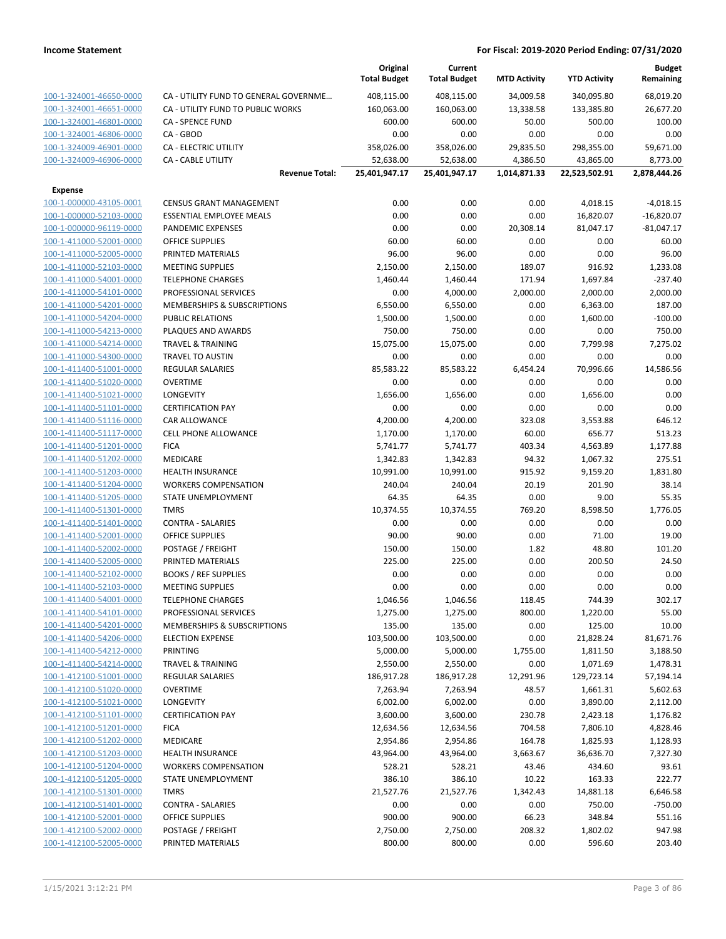|                                                    |                                                  | Original<br><b>Total Budget</b> | Current<br><b>Total Budget</b> | <b>MTD Activity</b> | <b>YTD Activity</b> | <b>Budget</b><br>Remaining |
|----------------------------------------------------|--------------------------------------------------|---------------------------------|--------------------------------|---------------------|---------------------|----------------------------|
| 100-1-324001-46650-0000                            | CA - UTILITY FUND TO GENERAL GOVERNME            | 408,115.00                      | 408,115.00                     | 34,009.58           | 340,095.80          | 68,019.20                  |
| 100-1-324001-46651-0000                            | CA - UTILITY FUND TO PUBLIC WORKS                | 160,063.00                      | 160,063.00                     | 13,338.58           | 133,385.80          | 26,677.20                  |
| 100-1-324001-46801-0000                            | CA - SPENCE FUND                                 | 600.00                          | 600.00                         | 50.00               | 500.00              | 100.00                     |
| 100-1-324001-46806-0000                            | CA - GBOD                                        | 0.00                            | 0.00                           | 0.00                | 0.00                | 0.00                       |
| 100-1-324009-46901-0000                            | <b>CA - ELECTRIC UTILITY</b>                     | 358,026.00                      | 358,026.00                     | 29,835.50           | 298,355.00          | 59,671.00                  |
| 100-1-324009-46906-0000                            | <b>CA - CABLE UTILITY</b>                        | 52,638.00                       | 52,638.00                      | 4,386.50            | 43,865.00           | 8,773.00                   |
|                                                    | <b>Revenue Total:</b>                            | 25,401,947.17                   | 25,401,947.17                  | 1,014,871.33        | 22,523,502.91       | 2,878,444.26               |
| <b>Expense</b>                                     |                                                  |                                 |                                |                     |                     |                            |
| 100-1-000000-43105-0001                            | <b>CENSUS GRANT MANAGEMENT</b>                   | 0.00                            | 0.00                           | 0.00                | 4,018.15            | $-4,018.15$                |
| 100-1-000000-52103-0000                            | <b>ESSENTIAL EMPLOYEE MEALS</b>                  | 0.00                            | 0.00                           | 0.00                | 16,820.07           | $-16,820.07$               |
| 100-1-000000-96119-0000                            | PANDEMIC EXPENSES                                | 0.00                            | 0.00                           | 20,308.14           | 81,047.17           | $-81,047.17$               |
| 100-1-411000-52001-0000                            | <b>OFFICE SUPPLIES</b>                           | 60.00                           | 60.00                          | 0.00                | 0.00                | 60.00                      |
| 100-1-411000-52005-0000                            | PRINTED MATERIALS                                | 96.00                           | 96.00                          | 0.00                | 0.00                | 96.00                      |
| 100-1-411000-52103-0000                            | <b>MEETING SUPPLIES</b>                          | 2,150.00                        | 2,150.00                       | 189.07              | 916.92              | 1,233.08                   |
| 100-1-411000-54001-0000                            | <b>TELEPHONE CHARGES</b>                         | 1,460.44                        | 1,460.44                       | 171.94              | 1,697.84            | $-237.40$                  |
| 100-1-411000-54101-0000                            | PROFESSIONAL SERVICES                            | 0.00                            | 4,000.00                       | 2,000.00            | 2,000.00            | 2,000.00                   |
| 100-1-411000-54201-0000                            | MEMBERSHIPS & SUBSCRIPTIONS                      | 6,550.00                        | 6,550.00                       | 0.00                | 6,363.00            | 187.00                     |
| 100-1-411000-54204-0000                            | <b>PUBLIC RELATIONS</b>                          | 1,500.00                        | 1,500.00                       | 0.00                | 1,600.00            | $-100.00$                  |
| 100-1-411000-54213-0000                            | PLAQUES AND AWARDS                               | 750.00                          | 750.00                         | 0.00                | 0.00                | 750.00                     |
| 100-1-411000-54214-0000                            | <b>TRAVEL &amp; TRAINING</b>                     | 15,075.00                       | 15,075.00                      | 0.00                | 7,799.98            | 7,275.02                   |
| 100-1-411000-54300-0000                            | <b>TRAVEL TO AUSTIN</b>                          | 0.00                            | 0.00                           | 0.00                | 0.00                | 0.00                       |
| 100-1-411400-51001-0000                            | <b>REGULAR SALARIES</b>                          | 85,583.22                       | 85,583.22                      | 6,454.24            | 70,996.66           | 14,586.56                  |
| 100-1-411400-51020-0000                            | <b>OVERTIME</b>                                  | 0.00                            | 0.00                           | 0.00                | 0.00                | 0.00                       |
| 100-1-411400-51021-0000                            | <b>LONGEVITY</b>                                 | 1,656.00                        | 1,656.00                       | 0.00                | 1,656.00            | 0.00                       |
| 100-1-411400-51101-0000                            | <b>CERTIFICATION PAY</b>                         | 0.00                            | 0.00                           | 0.00                | 0.00                | 0.00                       |
| 100-1-411400-51116-0000                            | CAR ALLOWANCE                                    | 4,200.00                        | 4,200.00                       | 323.08              | 3,553.88            | 646.12                     |
| 100-1-411400-51117-0000                            | <b>CELL PHONE ALLOWANCE</b>                      | 1,170.00                        | 1,170.00                       | 60.00               | 656.77              | 513.23                     |
| 100-1-411400-51201-0000                            | <b>FICA</b>                                      | 5,741.77                        | 5,741.77                       | 403.34              | 4,563.89            | 1,177.88                   |
| 100-1-411400-51202-0000                            | MEDICARE                                         | 1,342.83                        | 1,342.83                       | 94.32               | 1,067.32            | 275.51                     |
| 100-1-411400-51203-0000                            | <b>HEALTH INSURANCE</b>                          | 10,991.00                       | 10,991.00                      | 915.92              | 9,159.20            | 1,831.80                   |
| 100-1-411400-51204-0000                            | <b>WORKERS COMPENSATION</b>                      | 240.04                          | 240.04                         | 20.19               | 201.90              | 38.14                      |
| 100-1-411400-51205-0000                            | STATE UNEMPLOYMENT                               | 64.35                           | 64.35                          | 0.00                | 9.00                | 55.35                      |
| 100-1-411400-51301-0000                            | <b>TMRS</b>                                      | 10,374.55                       | 10,374.55                      | 769.20              | 8,598.50            | 1,776.05                   |
| 100-1-411400-51401-0000                            | <b>CONTRA - SALARIES</b>                         | 0.00                            | 0.00                           | 0.00                | 0.00                | 0.00                       |
| 100-1-411400-52001-0000                            | <b>OFFICE SUPPLIES</b>                           | 90.00                           | 90.00                          | 0.00                | 71.00               | 19.00                      |
| 100-1-411400-52002-0000<br>100-1-411400-52005-0000 | POSTAGE / FREIGHT                                | 150.00                          | 150.00                         | 1.82                | 48.80               | 101.20<br>24.50            |
| 100-1-411400-52102-0000                            | PRINTED MATERIALS<br><b>BOOKS / REF SUPPLIES</b> | 225.00<br>0.00                  | 225.00<br>0.00                 | 0.00<br>0.00        | 200.50<br>0.00      | 0.00                       |
| 100-1-411400-52103-0000                            | <b>MEETING SUPPLIES</b>                          | 0.00                            | 0.00                           | 0.00                | 0.00                | 0.00                       |
| 100-1-411400-54001-0000                            | <b>TELEPHONE CHARGES</b>                         | 1,046.56                        | 1,046.56                       | 118.45              | 744.39              | 302.17                     |
| 100-1-411400-54101-0000                            | PROFESSIONAL SERVICES                            | 1,275.00                        | 1,275.00                       | 800.00              | 1,220.00            | 55.00                      |
| 100-1-411400-54201-0000                            | MEMBERSHIPS & SUBSCRIPTIONS                      | 135.00                          | 135.00                         | 0.00                | 125.00              | 10.00                      |
| 100-1-411400-54206-0000                            | <b>ELECTION EXPENSE</b>                          | 103,500.00                      | 103,500.00                     | 0.00                | 21,828.24           | 81,671.76                  |
| 100-1-411400-54212-0000                            | PRINTING                                         | 5,000.00                        | 5,000.00                       | 1,755.00            | 1,811.50            | 3,188.50                   |
| 100-1-411400-54214-0000                            | <b>TRAVEL &amp; TRAINING</b>                     | 2,550.00                        | 2,550.00                       | 0.00                | 1,071.69            | 1,478.31                   |
| 100-1-412100-51001-0000                            | REGULAR SALARIES                                 | 186,917.28                      | 186,917.28                     | 12,291.96           | 129,723.14          | 57,194.14                  |
| 100-1-412100-51020-0000                            | <b>OVERTIME</b>                                  | 7,263.94                        | 7,263.94                       | 48.57               | 1,661.31            | 5,602.63                   |
| 100-1-412100-51021-0000                            | LONGEVITY                                        | 6,002.00                        | 6,002.00                       | 0.00                | 3,890.00            | 2,112.00                   |
| 100-1-412100-51101-0000                            | <b>CERTIFICATION PAY</b>                         | 3,600.00                        | 3,600.00                       | 230.78              | 2,423.18            | 1,176.82                   |
| 100-1-412100-51201-0000                            | <b>FICA</b>                                      | 12,634.56                       | 12,634.56                      | 704.58              | 7,806.10            | 4,828.46                   |
| 100-1-412100-51202-0000                            | MEDICARE                                         | 2,954.86                        | 2,954.86                       | 164.78              | 1,825.93            | 1,128.93                   |
| 100-1-412100-51203-0000                            | <b>HEALTH INSURANCE</b>                          | 43,964.00                       | 43,964.00                      | 3,663.67            | 36,636.70           | 7,327.30                   |
| 100-1-412100-51204-0000                            | <b>WORKERS COMPENSATION</b>                      | 528.21                          | 528.21                         | 43.46               | 434.60              | 93.61                      |
| 100-1-412100-51205-0000                            | STATE UNEMPLOYMENT                               | 386.10                          | 386.10                         | 10.22               | 163.33              | 222.77                     |
| 100-1-412100-51301-0000                            | <b>TMRS</b>                                      | 21,527.76                       | 21,527.76                      | 1,342.43            | 14,881.18           | 6,646.58                   |
| 100-1-412100-51401-0000                            | <b>CONTRA - SALARIES</b>                         | 0.00                            | 0.00                           | 0.00                | 750.00              | $-750.00$                  |
| 100-1-412100-52001-0000                            | OFFICE SUPPLIES                                  | 900.00                          | 900.00                         | 66.23               | 348.84              | 551.16                     |
| 100-1-412100-52002-0000                            | POSTAGE / FREIGHT                                | 2,750.00                        | 2,750.00                       | 208.32              | 1,802.02            | 947.98                     |
| 100-1-412100-52005-0000                            | PRINTED MATERIALS                                | 800.00                          | 800.00                         | 0.00                | 596.60              | 203.40                     |
|                                                    |                                                  |                                 |                                |                     |                     |                            |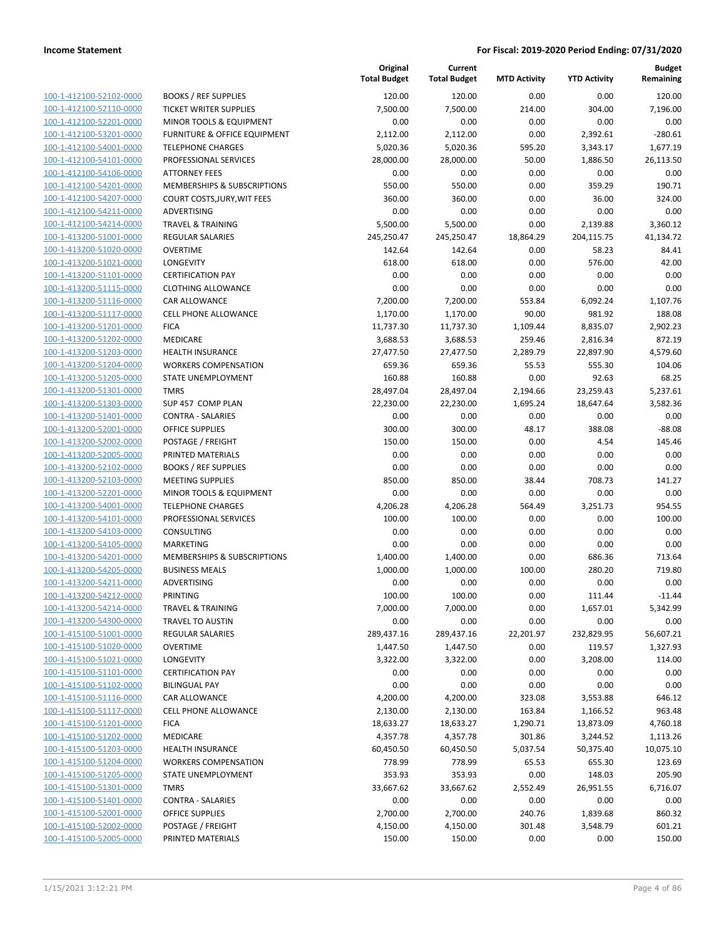|                                                    |                                            | Original<br><b>Total Budget</b> | Current<br><b>Total Budget</b> | <b>MTD Activity</b> | <b>YTD Activity</b>  | <b>Budget</b><br>Remaining |
|----------------------------------------------------|--------------------------------------------|---------------------------------|--------------------------------|---------------------|----------------------|----------------------------|
| 100-1-412100-52102-0000                            | <b>BOOKS / REF SUPPLIES</b>                | 120.00                          | 120.00                         | 0.00                | 0.00                 | 120.00                     |
| 100-1-412100-52110-0000                            | <b>TICKET WRITER SUPPLIES</b>              | 7,500.00                        | 7,500.00                       | 214.00              | 304.00               | 7,196.00                   |
| 100-1-412100-52201-0000                            | MINOR TOOLS & EQUIPMENT                    | 0.00                            | 0.00                           | 0.00                | 0.00                 | 0.00                       |
| 100-1-412100-53201-0000                            | FURNITURE & OFFICE EQUIPMENT               | 2,112.00                        | 2,112.00                       | 0.00                | 2,392.61             | $-280.61$                  |
| 100-1-412100-54001-0000                            | <b>TELEPHONE CHARGES</b>                   | 5,020.36                        | 5,020.36                       | 595.20              | 3,343.17             | 1,677.19                   |
| 100-1-412100-54101-0000                            | PROFESSIONAL SERVICES                      | 28,000.00                       | 28,000.00                      | 50.00               | 1,886.50             | 26,113.50                  |
| 100-1-412100-54106-0000                            | <b>ATTORNEY FEES</b>                       | 0.00                            | 0.00                           | 0.00                | 0.00                 | 0.00                       |
| 100-1-412100-54201-0000                            | MEMBERSHIPS & SUBSCRIPTIONS                | 550.00                          | 550.00                         | 0.00                | 359.29               | 190.71                     |
| 100-1-412100-54207-0000                            | COURT COSTS, JURY, WIT FEES                | 360.00                          | 360.00                         | 0.00                | 36.00                | 324.00                     |
| 100-1-412100-54211-0000                            | ADVERTISING                                | 0.00                            | 0.00                           | 0.00                | 0.00                 | 0.00                       |
| 100-1-412100-54214-0000                            | <b>TRAVEL &amp; TRAINING</b>               | 5,500.00                        | 5,500.00                       | 0.00                | 2,139.88             | 3,360.12                   |
| 100-1-413200-51001-0000                            | REGULAR SALARIES                           | 245,250.47                      | 245,250.47                     | 18,864.29           | 204,115.75           | 41,134.72                  |
| 100-1-413200-51020-0000                            | <b>OVERTIME</b>                            | 142.64                          | 142.64                         | 0.00                | 58.23                | 84.41                      |
| 100-1-413200-51021-0000                            | LONGEVITY                                  | 618.00                          | 618.00                         | 0.00                | 576.00               | 42.00                      |
| 100-1-413200-51101-0000                            | <b>CERTIFICATION PAY</b>                   | 0.00                            | 0.00                           | 0.00                | 0.00                 | 0.00                       |
| 100-1-413200-51115-0000                            | <b>CLOTHING ALLOWANCE</b>                  | 0.00                            | 0.00                           | 0.00                | 0.00                 | 0.00                       |
| 100-1-413200-51116-0000                            | CAR ALLOWANCE                              | 7,200.00                        | 7,200.00                       | 553.84              | 6,092.24             | 1,107.76                   |
| 100-1-413200-51117-0000                            | <b>CELL PHONE ALLOWANCE</b>                | 1,170.00                        | 1,170.00                       | 90.00               | 981.92               | 188.08                     |
| 100-1-413200-51201-0000<br>100-1-413200-51202-0000 | <b>FICA</b><br>MEDICARE                    | 11,737.30<br>3,688.53           | 11,737.30<br>3,688.53          | 1,109.44<br>259.46  | 8,835.07<br>2,816.34 | 2,902.23<br>872.19         |
| 100-1-413200-51203-0000                            | <b>HEALTH INSURANCE</b>                    | 27,477.50                       | 27,477.50                      | 2,289.79            | 22,897.90            | 4,579.60                   |
| 100-1-413200-51204-0000                            | <b>WORKERS COMPENSATION</b>                | 659.36                          | 659.36                         | 55.53               | 555.30               | 104.06                     |
| 100-1-413200-51205-0000                            | STATE UNEMPLOYMENT                         | 160.88                          | 160.88                         | 0.00                | 92.63                | 68.25                      |
| 100-1-413200-51301-0000                            | <b>TMRS</b>                                | 28,497.04                       | 28,497.04                      | 2,194.66            | 23,259.43            | 5,237.61                   |
| 100-1-413200-51303-0000                            | SUP 457 COMP PLAN                          | 22,230.00                       | 22,230.00                      | 1,695.24            | 18,647.64            | 3,582.36                   |
| 100-1-413200-51401-0000                            | <b>CONTRA - SALARIES</b>                   | 0.00                            | 0.00                           | 0.00                | 0.00                 | 0.00                       |
| 100-1-413200-52001-0000                            | OFFICE SUPPLIES                            | 300.00                          | 300.00                         | 48.17               | 388.08               | $-88.08$                   |
| 100-1-413200-52002-0000                            | POSTAGE / FREIGHT                          | 150.00                          | 150.00                         | 0.00                | 4.54                 | 145.46                     |
| 100-1-413200-52005-0000                            | PRINTED MATERIALS                          | 0.00                            | 0.00                           | 0.00                | 0.00                 | 0.00                       |
| 100-1-413200-52102-0000                            | <b>BOOKS / REF SUPPLIES</b>                | 0.00                            | 0.00                           | 0.00                | 0.00                 | 0.00                       |
| 100-1-413200-52103-0000                            | <b>MEETING SUPPLIES</b>                    | 850.00                          | 850.00                         | 38.44               | 708.73               | 141.27                     |
| 100-1-413200-52201-0000                            | MINOR TOOLS & EQUIPMENT                    | 0.00                            | 0.00                           | 0.00                | 0.00                 | 0.00                       |
| 100-1-413200-54001-0000                            | <b>TELEPHONE CHARGES</b>                   | 4,206.28                        | 4,206.28                       | 564.49              | 3,251.73             | 954.55                     |
| 100-1-413200-54101-0000                            | PROFESSIONAL SERVICES                      | 100.00                          | 100.00                         | 0.00                | 0.00                 | 100.00                     |
| 100-1-413200-54103-0000                            | <b>CONSULTING</b>                          | 0.00                            | 0.00                           | 0.00                | 0.00                 | 0.00                       |
| 100-1-413200-54105-0000                            | MARKETING                                  | 0.00                            | 0.00                           | 0.00                | 0.00                 | 0.00                       |
| 100-1-413200-54201-0000                            | MEMBERSHIPS & SUBSCRIPTIONS                | 1,400.00                        | 1,400.00                       | 0.00                | 686.36               | 713.64                     |
| 100-1-413200-54205-0000                            | <b>BUSINESS MEALS</b>                      | 1,000.00                        | 1,000.00                       | 100.00              | 280.20               | 719.80                     |
| 100-1-413200-54211-0000                            | ADVERTISING                                | 0.00                            | 0.00                           | 0.00                | 0.00                 | 0.00                       |
| 100-1-413200-54212-0000                            | <b>PRINTING</b>                            | 100.00                          | 100.00                         | 0.00                | 111.44               | $-11.44$                   |
| 100-1-413200-54214-0000                            | <b>TRAVEL &amp; TRAINING</b>               | 7,000.00                        | 7,000.00                       | 0.00                | 1,657.01             | 5,342.99                   |
| 100-1-413200-54300-0000<br>100-1-415100-51001-0000 | TRAVEL TO AUSTIN                           | 0.00                            | 0.00                           | 0.00<br>22,201.97   | 0.00                 | 0.00                       |
| 100-1-415100-51020-0000                            | <b>REGULAR SALARIES</b><br><b>OVERTIME</b> | 289,437.16<br>1,447.50          | 289,437.16<br>1,447.50         | 0.00                | 232,829.95<br>119.57 | 56,607.21<br>1,327.93      |
| 100-1-415100-51021-0000                            | LONGEVITY                                  | 3,322.00                        | 3,322.00                       | 0.00                | 3,208.00             | 114.00                     |
| 100-1-415100-51101-0000                            | <b>CERTIFICATION PAY</b>                   | 0.00                            | 0.00                           | 0.00                | 0.00                 | 0.00                       |
| 100-1-415100-51102-0000                            | <b>BILINGUAL PAY</b>                       | 0.00                            | 0.00                           | 0.00                | 0.00                 | 0.00                       |
| 100-1-415100-51116-0000                            | CAR ALLOWANCE                              | 4,200.00                        | 4,200.00                       | 323.08              | 3,553.88             | 646.12                     |
| 100-1-415100-51117-0000                            | <b>CELL PHONE ALLOWANCE</b>                | 2,130.00                        | 2,130.00                       | 163.84              | 1,166.52             | 963.48                     |
| 100-1-415100-51201-0000                            | <b>FICA</b>                                | 18,633.27                       | 18,633.27                      | 1,290.71            | 13,873.09            | 4,760.18                   |
| 100-1-415100-51202-0000                            | <b>MEDICARE</b>                            | 4,357.78                        | 4,357.78                       | 301.86              | 3,244.52             | 1,113.26                   |
| 100-1-415100-51203-0000                            | <b>HEALTH INSURANCE</b>                    | 60,450.50                       | 60,450.50                      | 5,037.54            | 50,375.40            | 10,075.10                  |
| 100-1-415100-51204-0000                            | <b>WORKERS COMPENSATION</b>                | 778.99                          | 778.99                         | 65.53               | 655.30               | 123.69                     |
| 100-1-415100-51205-0000                            | STATE UNEMPLOYMENT                         | 353.93                          | 353.93                         | 0.00                | 148.03               | 205.90                     |
| 100-1-415100-51301-0000                            | <b>TMRS</b>                                | 33,667.62                       | 33,667.62                      | 2,552.49            | 26,951.55            | 6,716.07                   |
| 100-1-415100-51401-0000                            | <b>CONTRA - SALARIES</b>                   | 0.00                            | 0.00                           | 0.00                | 0.00                 | 0.00                       |
| 100-1-415100-52001-0000                            | OFFICE SUPPLIES                            | 2,700.00                        | 2,700.00                       | 240.76              | 1,839.68             | 860.32                     |
| 100-1-415100-52002-0000                            | POSTAGE / FREIGHT                          | 4,150.00                        | 4,150.00                       | 301.48              | 3,548.79             | 601.21                     |
| 100-1-415100-52005-0000                            | PRINTED MATERIALS                          | 150.00                          | 150.00                         | 0.00                | 0.00                 | 150.00                     |
|                                                    |                                            |                                 |                                |                     |                      |                            |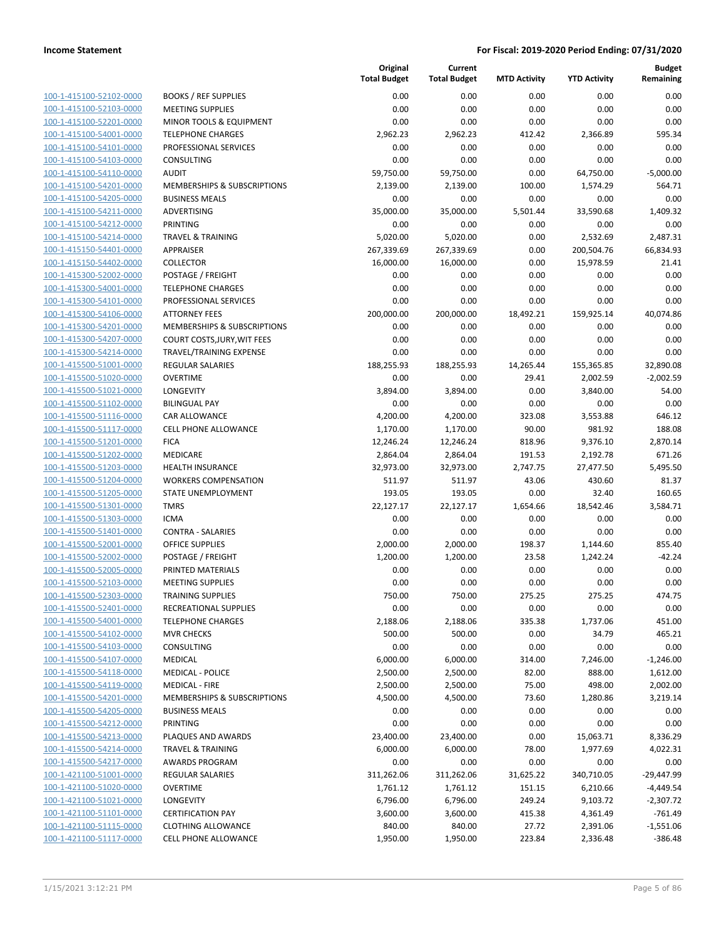|                                                    |                                                            | Original<br><b>Total Budget</b> | Current<br><b>Total Budget</b> | <b>MTD Activity</b> | <b>YTD Activity</b> | <b>Budget</b><br>Remaining |
|----------------------------------------------------|------------------------------------------------------------|---------------------------------|--------------------------------|---------------------|---------------------|----------------------------|
| 100-1-415100-52102-0000                            | <b>BOOKS / REF SUPPLIES</b>                                | 0.00                            | 0.00                           | 0.00                | 0.00                | 0.00                       |
| 100-1-415100-52103-0000                            | <b>MEETING SUPPLIES</b>                                    | 0.00                            | 0.00                           | 0.00                | 0.00                | 0.00                       |
| 100-1-415100-52201-0000                            | MINOR TOOLS & EQUIPMENT                                    | 0.00                            | 0.00                           | 0.00                | 0.00                | 0.00                       |
| 100-1-415100-54001-0000                            | <b>TELEPHONE CHARGES</b>                                   | 2,962.23                        | 2,962.23                       | 412.42              | 2,366.89            | 595.34                     |
| 100-1-415100-54101-0000                            | PROFESSIONAL SERVICES                                      | 0.00                            | 0.00                           | 0.00                | 0.00                | 0.00                       |
| 100-1-415100-54103-0000                            | CONSULTING                                                 | 0.00                            | 0.00                           | 0.00                | 0.00                | 0.00                       |
| 100-1-415100-54110-0000                            | <b>AUDIT</b>                                               | 59,750.00                       | 59,750.00                      | 0.00                | 64,750.00           | $-5,000.00$                |
| 100-1-415100-54201-0000                            | MEMBERSHIPS & SUBSCRIPTIONS                                | 2,139.00                        | 2,139.00                       | 100.00              | 1,574.29            | 564.71                     |
| 100-1-415100-54205-0000                            | <b>BUSINESS MEALS</b>                                      | 0.00                            | 0.00                           | 0.00                | 0.00                | 0.00                       |
| 100-1-415100-54211-0000                            | ADVERTISING                                                | 35,000.00                       | 35,000.00                      | 5,501.44            | 33,590.68           | 1,409.32                   |
| 100-1-415100-54212-0000                            | <b>PRINTING</b>                                            | 0.00                            | 0.00                           | 0.00                | 0.00                | 0.00                       |
| 100-1-415100-54214-0000                            | <b>TRAVEL &amp; TRAINING</b>                               | 5,020.00                        | 5,020.00                       | 0.00                | 2,532.69            | 2,487.31                   |
| 100-1-415150-54401-0000                            | APPRAISER                                                  | 267,339.69                      | 267,339.69                     | 0.00                | 200,504.76          | 66,834.93                  |
| 100-1-415150-54402-0000                            | <b>COLLECTOR</b>                                           | 16,000.00                       | 16,000.00                      | 0.00                | 15,978.59           | 21.41                      |
| 100-1-415300-52002-0000                            | POSTAGE / FREIGHT                                          | 0.00                            | 0.00                           | 0.00                | 0.00                | 0.00                       |
| 100-1-415300-54001-0000                            | <b>TELEPHONE CHARGES</b>                                   | 0.00<br>0.00                    | 0.00<br>0.00                   | 0.00                | 0.00                | 0.00<br>0.00               |
| 100-1-415300-54101-0000                            | PROFESSIONAL SERVICES<br><b>ATTORNEY FEES</b>              |                                 |                                | 0.00                | 0.00<br>159,925.14  |                            |
| 100-1-415300-54106-0000<br>100-1-415300-54201-0000 |                                                            | 200,000.00                      | 200,000.00                     | 18,492.21           |                     | 40,074.86                  |
| 100-1-415300-54207-0000                            | MEMBERSHIPS & SUBSCRIPTIONS<br>COURT COSTS, JURY, WIT FEES | 0.00<br>0.00                    | 0.00<br>0.00                   | 0.00<br>0.00        | 0.00<br>0.00        | 0.00<br>0.00               |
| 100-1-415300-54214-0000                            | TRAVEL/TRAINING EXPENSE                                    | 0.00                            | 0.00                           | 0.00                | 0.00                | 0.00                       |
| 100-1-415500-51001-0000                            | <b>REGULAR SALARIES</b>                                    | 188,255.93                      | 188,255.93                     | 14,265.44           | 155,365.85          | 32,890.08                  |
| 100-1-415500-51020-0000                            | <b>OVERTIME</b>                                            | 0.00                            | 0.00                           | 29.41               | 2,002.59            | $-2,002.59$                |
| 100-1-415500-51021-0000                            | <b>LONGEVITY</b>                                           | 3,894.00                        | 3,894.00                       | 0.00                | 3,840.00            | 54.00                      |
| 100-1-415500-51102-0000                            | <b>BILINGUAL PAY</b>                                       | 0.00                            | 0.00                           | 0.00                | 0.00                | 0.00                       |
| 100-1-415500-51116-0000                            | CAR ALLOWANCE                                              | 4,200.00                        | 4,200.00                       | 323.08              | 3,553.88            | 646.12                     |
| 100-1-415500-51117-0000                            | <b>CELL PHONE ALLOWANCE</b>                                | 1,170.00                        | 1,170.00                       | 90.00               | 981.92              | 188.08                     |
| 100-1-415500-51201-0000                            | <b>FICA</b>                                                | 12,246.24                       | 12,246.24                      | 818.96              | 9,376.10            | 2,870.14                   |
| 100-1-415500-51202-0000                            | MEDICARE                                                   | 2,864.04                        | 2,864.04                       | 191.53              | 2,192.78            | 671.26                     |
| 100-1-415500-51203-0000                            | <b>HEALTH INSURANCE</b>                                    | 32,973.00                       | 32,973.00                      | 2,747.75            | 27,477.50           | 5,495.50                   |
| 100-1-415500-51204-0000                            | <b>WORKERS COMPENSATION</b>                                | 511.97                          | 511.97                         | 43.06               | 430.60              | 81.37                      |
| 100-1-415500-51205-0000                            | <b>STATE UNEMPLOYMENT</b>                                  | 193.05                          | 193.05                         | 0.00                | 32.40               | 160.65                     |
| 100-1-415500-51301-0000                            | <b>TMRS</b>                                                | 22,127.17                       | 22,127.17                      | 1,654.66            | 18,542.46           | 3,584.71                   |
| 100-1-415500-51303-0000                            | <b>ICMA</b>                                                | 0.00                            | 0.00                           | 0.00                | 0.00                | 0.00                       |
| 100-1-415500-51401-0000                            | <b>CONTRA - SALARIES</b>                                   | 0.00                            | 0.00                           | 0.00                | 0.00                | 0.00                       |
| 100-1-415500-52001-0000                            | <b>OFFICE SUPPLIES</b>                                     | 2,000.00                        | 2,000.00                       | 198.37              | 1,144.60            | 855.40                     |
| 100-1-415500-52002-0000                            | POSTAGE / FREIGHT                                          | 1,200.00                        | 1,200.00                       | 23.58               | 1,242.24            | $-42.24$                   |
| 100-1-415500-52005-0000                            | PRINTED MATERIALS                                          | 0.00                            | 0.00                           | 0.00                | 0.00                | 0.00                       |
| 100-1-415500-52103-0000                            | <b>MEETING SUPPLIES</b>                                    | 0.00                            | 0.00                           | 0.00                | 0.00                | 0.00                       |
| 100-1-415500-52303-0000                            | <b>TRAINING SUPPLIES</b>                                   | 750.00                          | 750.00                         | 275.25              | 275.25              | 474.75                     |
| 100-1-415500-52401-0000                            | RECREATIONAL SUPPLIES                                      | 0.00                            | 0.00                           | 0.00                | 0.00                | 0.00                       |
| 100-1-415500-54001-0000                            | <b>TELEPHONE CHARGES</b>                                   | 2,188.06                        | 2,188.06                       | 335.38              | 1,737.06            | 451.00                     |
| 100-1-415500-54102-0000                            | <b>MVR CHECKS</b>                                          | 500.00                          | 500.00                         | 0.00                | 34.79               | 465.21                     |
| 100-1-415500-54103-0000                            | CONSULTING                                                 | 0.00                            | 0.00                           | 0.00                | 0.00                | 0.00                       |
| 100-1-415500-54107-0000                            | <b>MEDICAL</b>                                             | 6,000.00                        | 6,000.00                       | 314.00              | 7,246.00            | $-1,246.00$                |
| 100-1-415500-54118-0000                            | <b>MEDICAL - POLICE</b>                                    | 2,500.00                        | 2,500.00                       | 82.00               | 888.00              | 1,612.00                   |
| 100-1-415500-54119-0000                            | <b>MEDICAL - FIRE</b>                                      | 2,500.00                        | 2,500.00                       | 75.00               | 498.00              | 2,002.00                   |
| 100-1-415500-54201-0000                            | <b>MEMBERSHIPS &amp; SUBSCRIPTIONS</b>                     | 4,500.00                        | 4,500.00                       | 73.60               | 1,280.86            | 3,219.14                   |
| 100-1-415500-54205-0000                            | <b>BUSINESS MEALS</b>                                      | 0.00                            | 0.00                           | 0.00                | 0.00                | 0.00                       |
| 100-1-415500-54212-0000                            | <b>PRINTING</b>                                            | 0.00                            | 0.00                           | 0.00                | 0.00                | 0.00                       |
| 100-1-415500-54213-0000                            | PLAQUES AND AWARDS                                         | 23,400.00                       | 23,400.00                      | 0.00                | 15,063.71           | 8,336.29                   |
| 100-1-415500-54214-0000                            | <b>TRAVEL &amp; TRAINING</b>                               | 6,000.00                        | 6,000.00                       | 78.00               | 1,977.69            | 4,022.31                   |
| 100-1-415500-54217-0000                            | <b>AWARDS PROGRAM</b>                                      | 0.00                            | 0.00                           | 0.00                | 0.00                | 0.00                       |
| 100-1-421100-51001-0000                            | <b>REGULAR SALARIES</b>                                    | 311,262.06                      | 311,262.06                     | 31,625.22           | 340,710.05          | $-29,447.99$               |
| 100-1-421100-51020-0000                            | <b>OVERTIME</b>                                            | 1,761.12                        | 1,761.12                       | 151.15              | 6,210.66            | $-4,449.54$                |
| 100-1-421100-51021-0000                            | LONGEVITY                                                  | 6,796.00                        | 6,796.00                       | 249.24              | 9,103.72            | $-2,307.72$                |
| 100-1-421100-51101-0000<br>100-1-421100-51115-0000 | <b>CERTIFICATION PAY</b>                                   | 3,600.00                        | 3,600.00                       | 415.38              | 4,361.49            | $-761.49$                  |
| 100-1-421100-51117-0000                            | <b>CLOTHING ALLOWANCE</b>                                  | 840.00                          | 840.00                         | 27.72               | 2,391.06            | $-1,551.06$                |
|                                                    | CELL PHONE ALLOWANCE                                       | 1,950.00                        | 1,950.00                       | 223.84              | 2,336.48            | $-386.48$                  |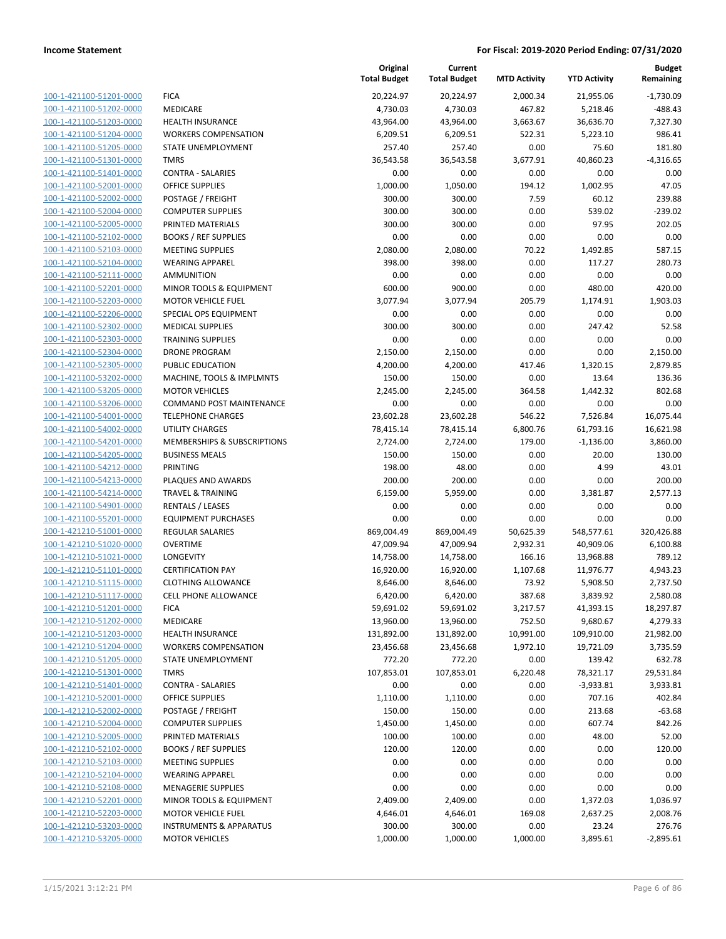| 100-1-421100-51201-0000                            |
|----------------------------------------------------|
| 100-1-421100-51202-0000                            |
| 100-1-421100-51203-0000                            |
| 100-1-421100-51204-0000                            |
| 100-1-421100-51205-0000                            |
| 100-1-421100-51301-0000                            |
| <u>100-1-421100-51401-0000</u>                     |
| <u>100-1-421100-52001-0000</u>                     |
| 100-1-421100-52002-0000                            |
| 100-1-421100-52004-0000                            |
| 100-1-421100-52005-0000                            |
| 100-1-421100-52102-0000                            |
| 100-1-421100-52103-0000                            |
| 100-1-421100-52104-0000                            |
| 100-1-421100-52111-0000                            |
| 100-1-421100-52201-0000                            |
| 100-1-421100-52203-0000                            |
| <u>100-1-421100-52206-0000</u>                     |
| 100-1-421100-52302-0000                            |
| 100-1-421100-52303-0000                            |
| 100-1-421100-52304-0000                            |
| 100-1-421100-52305-0000                            |
| 100-1-421100-53202-0000                            |
| 100-1-421100-53205-0000                            |
| 100-1-421100-53206-0000                            |
| 100-1-421100-54001-0000                            |
| <u>100-1-421100-54002-0000</u>                     |
| <u>100-1-421100-54201-0000</u>                     |
| 100-1-421100-54205-0000                            |
| 100-1-421100-54212-0000                            |
| 100-1-421100-54213-0000                            |
| 100-1-421100-54214-0000                            |
| 100-1-421100-54901-0000                            |
| 100-1-421100-55201-0000<br>100-1-421210-51001-0000 |
|                                                    |
| 100-1-421210-51020-0000<br>100-1-421210-51021-0000 |
| <u>100-1-421210-51101-0000</u>                     |
| 100-1-421210-51115-0000                            |
| 100-1-421210-51117-0000                            |
| 100-1-421210-51201-0000                            |
| <u>100-1-421210-51202-0000</u>                     |
| <u>100-1-421210-51203-0000</u>                     |
| 100-1-421210-51204-0000                            |
| 100-1-421210-51205-0000                            |
| <u>100-1-421210-51301-0000</u>                     |
| <u>100-1-421210-51401-0000</u>                     |
| <u>100-1-421210-52001-0000</u>                     |
| 100-1-421210-52002-0000                            |
| 100-1-421210-52004-0000                            |
| <u>100-1-421210-52005-0000</u>                     |
| <u>100-1-421210-52102-0000</u>                     |
| <u>100-1-421210-52103-0000</u>                     |
| 100-1-421210-52104-0000                            |
| 100-1-421210-52108-0000                            |
| <u>100-1-421210-52201-0000</u>                     |
| <u>100-1-421210-52203-0000</u>                     |
| <u>100-1-421210-53203-0000</u>                     |
| 100-1-421210-53205-0000                            |

|                         |                                        | Original<br><b>Total Budget</b> | Current<br><b>Total Budget</b> | <b>MTD Activity</b> | <b>YTD Activity</b> | <b>Budget</b><br>Remaining |
|-------------------------|----------------------------------------|---------------------------------|--------------------------------|---------------------|---------------------|----------------------------|
| 100-1-421100-51201-0000 | <b>FICA</b>                            | 20,224.97                       | 20,224.97                      | 2,000.34            | 21,955.06           | $-1,730.09$                |
| 100-1-421100-51202-0000 | MEDICARE                               | 4,730.03                        | 4,730.03                       | 467.82              | 5,218.46            | $-488.43$                  |
| 100-1-421100-51203-0000 | <b>HEALTH INSURANCE</b>                | 43,964.00                       | 43,964.00                      | 3,663.67            | 36,636.70           | 7,327.30                   |
| 100-1-421100-51204-0000 | <b>WORKERS COMPENSATION</b>            | 6,209.51                        | 6,209.51                       | 522.31              | 5,223.10            | 986.41                     |
| 100-1-421100-51205-0000 | STATE UNEMPLOYMENT                     | 257.40                          | 257.40                         | 0.00                | 75.60               | 181.80                     |
| 100-1-421100-51301-0000 | <b>TMRS</b>                            | 36,543.58                       | 36,543.58                      | 3,677.91            | 40,860.23           | $-4,316.65$                |
| 100-1-421100-51401-0000 | <b>CONTRA - SALARIES</b>               | 0.00                            | 0.00                           | 0.00                | 0.00                | 0.00                       |
| 100-1-421100-52001-0000 | <b>OFFICE SUPPLIES</b>                 | 1,000.00                        | 1,050.00                       | 194.12              | 1,002.95            | 47.05                      |
| 100-1-421100-52002-0000 | POSTAGE / FREIGHT                      | 300.00                          | 300.00                         | 7.59                | 60.12               | 239.88                     |
| 100-1-421100-52004-0000 | <b>COMPUTER SUPPLIES</b>               | 300.00                          | 300.00                         | 0.00                | 539.02              | $-239.02$                  |
| 100-1-421100-52005-0000 | PRINTED MATERIALS                      | 300.00                          | 300.00                         | 0.00                | 97.95               | 202.05                     |
| 100-1-421100-52102-0000 | <b>BOOKS / REF SUPPLIES</b>            | 0.00                            | 0.00                           | 0.00                | 0.00                | 0.00                       |
| 100-1-421100-52103-0000 | <b>MEETING SUPPLIES</b>                | 2,080.00                        | 2,080.00                       | 70.22               | 1,492.85            | 587.15                     |
| 100-1-421100-52104-0000 | <b>WEARING APPAREL</b>                 | 398.00                          | 398.00                         | 0.00                | 117.27              | 280.73                     |
| 100-1-421100-52111-0000 | <b>AMMUNITION</b>                      | 0.00                            | 0.00                           | 0.00                | 0.00                | 0.00                       |
| 100-1-421100-52201-0000 | MINOR TOOLS & EQUIPMENT                | 600.00                          | 900.00                         | 0.00                | 480.00              | 420.00                     |
| 100-1-421100-52203-0000 | <b>MOTOR VEHICLE FUEL</b>              | 3,077.94                        | 3,077.94                       | 205.79              | 1,174.91            | 1,903.03                   |
| 100-1-421100-52206-0000 | SPECIAL OPS EQUIPMENT                  | 0.00                            | 0.00                           | 0.00                | 0.00                | 0.00                       |
| 100-1-421100-52302-0000 | <b>MEDICAL SUPPLIES</b>                | 300.00                          | 300.00                         | 0.00                | 247.42              | 52.58                      |
| 100-1-421100-52303-0000 | <b>TRAINING SUPPLIES</b>               | 0.00                            | 0.00                           | 0.00                | 0.00                | 0.00                       |
| 100-1-421100-52304-0000 | <b>DRONE PROGRAM</b>                   | 2,150.00                        | 2,150.00                       | 0.00                | 0.00                | 2,150.00                   |
| 100-1-421100-52305-0000 | PUBLIC EDUCATION                       | 4,200.00                        | 4,200.00                       | 417.46              | 1,320.15            | 2,879.85                   |
| 100-1-421100-53202-0000 | MACHINE, TOOLS & IMPLMNTS              | 150.00                          | 150.00                         | 0.00                | 13.64               | 136.36                     |
| 100-1-421100-53205-0000 | <b>MOTOR VEHICLES</b>                  | 2.245.00                        | 2,245.00                       | 364.58              | 1,442.32            | 802.68                     |
| 100-1-421100-53206-0000 | <b>COMMAND POST MAINTENANCE</b>        | 0.00                            | 0.00                           | 0.00                | 0.00                | 0.00                       |
| 100-1-421100-54001-0000 | <b>TELEPHONE CHARGES</b>               | 23,602.28                       | 23,602.28                      | 546.22              | 7,526.84            | 16,075.44                  |
| 100-1-421100-54002-0000 | UTILITY CHARGES                        | 78,415.14                       | 78,415.14                      | 6,800.76            | 61,793.16           | 16,621.98                  |
| 100-1-421100-54201-0000 | <b>MEMBERSHIPS &amp; SUBSCRIPTIONS</b> | 2,724.00                        | 2,724.00                       | 179.00              | $-1,136.00$         | 3,860.00                   |
| 100-1-421100-54205-0000 | <b>BUSINESS MEALS</b>                  | 150.00                          | 150.00                         | 0.00                | 20.00               | 130.00                     |
| 100-1-421100-54212-0000 | <b>PRINTING</b>                        | 198.00                          | 48.00                          | 0.00                | 4.99                | 43.01                      |
| 100-1-421100-54213-0000 | PLAQUES AND AWARDS                     | 200.00                          | 200.00                         | 0.00                | 0.00                | 200.00                     |
| 100-1-421100-54214-0000 | <b>TRAVEL &amp; TRAINING</b>           | 6,159.00                        | 5,959.00                       | 0.00                | 3,381.87            | 2,577.13                   |
| 100-1-421100-54901-0000 | <b>RENTALS / LEASES</b>                | 0.00                            | 0.00                           | 0.00                | 0.00                | 0.00                       |
| 100-1-421100-55201-0000 | <b>EQUIPMENT PURCHASES</b>             | 0.00                            | 0.00                           | 0.00                | 0.00                | 0.00                       |
| 100-1-421210-51001-0000 | REGULAR SALARIES                       | 869,004.49                      | 869,004.49                     | 50,625.39           | 548,577.61          | 320,426.88                 |
| 100-1-421210-51020-0000 | <b>OVERTIME</b>                        | 47,009.94                       | 47,009.94                      | 2,932.31            | 40,909.06           | 6,100.88                   |
| 100-1-421210-51021-0000 | LONGEVITY                              | 14,758.00                       | 14,758.00                      | 166.16              | 13,968.88           | 789.12                     |
| 100-1-421210-51101-0000 | <b>CERTIFICATION PAY</b>               | 16,920.00                       | 16,920.00                      | 1,107.68            | 11,976.77           | 4,943.23                   |
| 100-1-421210-51115-0000 | <b>CLOTHING ALLOWANCE</b>              | 8,646.00                        | 8,646.00                       | 73.92               | 5,908.50            | 2,737.50                   |
| 100-1-421210-51117-0000 | <b>CELL PHONE ALLOWANCE</b>            | 6,420.00                        | 6,420.00                       | 387.68              | 3,839.92            | 2,580.08                   |
| 100-1-421210-51201-0000 | <b>FICA</b>                            | 59,691.02                       | 59,691.02                      | 3,217.57            | 41,393.15           | 18,297.87                  |
| 100-1-421210-51202-0000 | MEDICARE                               | 13,960.00                       | 13,960.00                      | 752.50              | 9,680.67            | 4,279.33                   |
| 100-1-421210-51203-0000 | <b>HEALTH INSURANCE</b>                | 131,892.00                      | 131,892.00                     | 10,991.00           | 109,910.00          | 21,982.00                  |
| 100-1-421210-51204-0000 | <b>WORKERS COMPENSATION</b>            | 23,456.68                       | 23,456.68                      | 1,972.10            | 19,721.09           | 3,735.59                   |
| 100-1-421210-51205-0000 | STATE UNEMPLOYMENT                     | 772.20                          | 772.20                         | 0.00                | 139.42              | 632.78                     |
| 100-1-421210-51301-0000 | <b>TMRS</b>                            | 107,853.01                      | 107,853.01                     | 6,220.48            | 78,321.17           | 29,531.84                  |
| 100-1-421210-51401-0000 | <b>CONTRA - SALARIES</b>               | 0.00                            | 0.00                           | 0.00                | $-3,933.81$         | 3,933.81                   |
| 100-1-421210-52001-0000 | <b>OFFICE SUPPLIES</b>                 | 1,110.00                        | 1,110.00                       | 0.00                | 707.16              | 402.84                     |
| 100-1-421210-52002-0000 | POSTAGE / FREIGHT                      | 150.00                          | 150.00                         | 0.00                | 213.68              | $-63.68$                   |
| 100-1-421210-52004-0000 | <b>COMPUTER SUPPLIES</b>               | 1,450.00                        | 1,450.00                       | 0.00                | 607.74              | 842.26                     |
| 100-1-421210-52005-0000 | PRINTED MATERIALS                      | 100.00                          | 100.00                         | 0.00                | 48.00               | 52.00                      |
| 100-1-421210-52102-0000 | <b>BOOKS / REF SUPPLIES</b>            | 120.00                          | 120.00                         | 0.00                | 0.00                | 120.00                     |
| 100-1-421210-52103-0000 | <b>MEETING SUPPLIES</b>                | 0.00                            | 0.00                           | 0.00                | 0.00                | 0.00                       |
| 100-1-421210-52104-0000 | <b>WEARING APPAREL</b>                 | 0.00                            | 0.00                           | 0.00                | 0.00                | 0.00                       |
| 100-1-421210-52108-0000 | <b>MENAGERIE SUPPLIES</b>              | 0.00                            | 0.00                           | 0.00                | 0.00                | 0.00                       |
| 100-1-421210-52201-0000 | MINOR TOOLS & EQUIPMENT                | 2,409.00                        | 2,409.00                       | 0.00                | 1,372.03            | 1,036.97                   |
| 100-1-421210-52203-0000 | <b>MOTOR VEHICLE FUEL</b>              | 4,646.01                        | 4,646.01                       | 169.08              | 2,637.25            | 2,008.76                   |
| 100-1-421210-53203-0000 | <b>INSTRUMENTS &amp; APPARATUS</b>     | 300.00                          | 300.00                         | 0.00                | 23.24               | 276.76                     |
| 100-1-421210-53205-0000 | <b>MOTOR VEHICLES</b>                  | 1,000.00                        | 1,000.00                       | 1,000.00            | 3,895.61            | $-2,895.61$                |
|                         |                                        |                                 |                                |                     |                     |                            |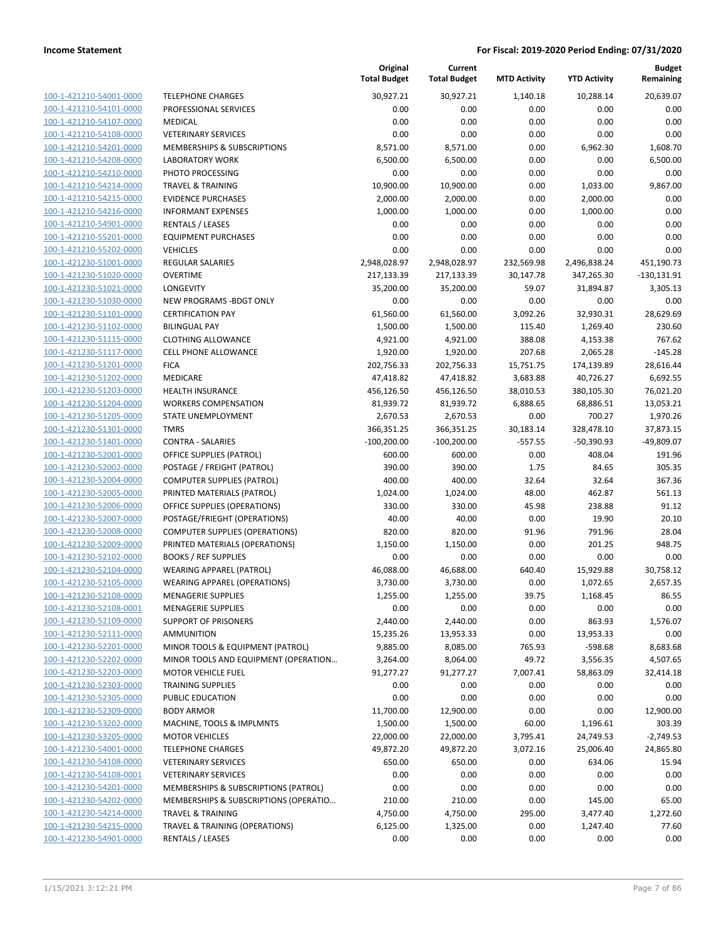| <u>100-1-421210-54001-0000</u> |  |
|--------------------------------|--|
| 100-1-421210-54101-0000        |  |
| 100-1-421210-54107-0000        |  |
| 100-1-421210-54108-0000        |  |
| <u>100-1-421210-54201-0000</u> |  |
| 100-1-421210-54208-0000        |  |
| <u>100-1-421210-54210-0000</u> |  |
| 100-1-421210-54214-0000        |  |
| 100-1-421210-54215-0000        |  |
| <u>100-1-421210-54216-0000</u> |  |
| <u>100-1-421210-54901-0000</u> |  |
| <u>100-1-421210-55201-0000</u> |  |
| 100-1-421210-55202-0000        |  |
| 100-1-421230-51001-0000        |  |
|                                |  |
| <u>100-1-421230-51020-0000</u> |  |
| <u>100-1-421230-51021-0000</u> |  |
| <u>100-1-421230-51030-0000</u> |  |
| 100-1-421230-51101-0000        |  |
| 100-1-421230-51102-0000        |  |
| 100-1-421230-51115-0000        |  |
| 100-1-421230-51117-0000        |  |
| <u>100-1-421230-51201-0000</u> |  |
| 100-1-421230-51202-0000        |  |
| 100-1-421230-51203-0000        |  |
| <u>100-1-421230-51204-0000</u> |  |
| 100-1-421230-51205-0000        |  |
| <u>100-1-421230-51301-0000</u> |  |
| 100-1-421230-51401-0000        |  |
| 100-1-421230-52001-0000        |  |
| <u>100-1-421230-52002-0000</u> |  |
| 100-1-421230-52004-0000        |  |
| <u>100-1-421230-52005-0000</u> |  |
| 100-1-421230-52006-0000        |  |
| 100-1-421230-52007-0000        |  |
| <u>100-1-421230-52008-0000</u> |  |
| 100-1-421230-52009-0000        |  |
| 100-1-421230-52102-0000        |  |
|                                |  |
| 100-1-421230-52104-0000        |  |
| 100-1-421230-52105-0000        |  |
| <u>100-1-421230-52108-0000</u> |  |
| 100-1-421230-52108-0001        |  |
| <u>100-1-421230-52109-0000</u> |  |
| 100-1-421230-52111-0000        |  |
| 100-1-421230-52201-0000        |  |
| 100-1-421230-52202-0000        |  |
| 100-1-421230-52203-0000        |  |
| 100-1-421230-52303-0000        |  |
| 100-1-421230-52305-0000        |  |
| 100-1-421230-52309-0000        |  |
| 100-1-421230-53202-0000        |  |
| 100-1-421230-53205-0000        |  |
| 100-1-421230-54001-0000        |  |
| 100-1-421230-54108-0000        |  |
| 100-1-421230-54108-0001        |  |
| 100-1-421230-54201-0000        |  |
| 100-1-421230-54202-0000        |  |
| 100-1-421230-54214-0000        |  |
| 100-1-421230-54215-0000        |  |
| 100-1-421230-54901-0000        |  |
|                                |  |

|                                                    |                                                                          | Original<br><b>Total Budget</b> | Current<br><b>Total Budget</b> | <b>MTD Activity</b> | <b>YTD Activity</b>   | <b>Budget</b><br>Remaining |
|----------------------------------------------------|--------------------------------------------------------------------------|---------------------------------|--------------------------------|---------------------|-----------------------|----------------------------|
| 100-1-421210-54001-0000                            | <b>TELEPHONE CHARGES</b>                                                 | 30,927.21                       | 30,927.21                      | 1,140.18            | 10,288.14             | 20,639.07                  |
| 100-1-421210-54101-0000                            | PROFESSIONAL SERVICES                                                    | 0.00                            | 0.00                           | 0.00                | 0.00                  | 0.00                       |
| 100-1-421210-54107-0000                            | <b>MEDICAL</b>                                                           | 0.00                            | 0.00                           | 0.00                | 0.00                  | 0.00                       |
| 100-1-421210-54108-0000                            | <b>VETERINARY SERVICES</b>                                               | 0.00                            | 0.00                           | 0.00                | 0.00                  | 0.00                       |
| 100-1-421210-54201-0000                            | MEMBERSHIPS & SUBSCRIPTIONS                                              | 8,571.00                        | 8,571.00                       | 0.00                | 6,962.30              | 1,608.70                   |
| 100-1-421210-54208-0000                            | LABORATORY WORK                                                          | 6,500.00                        | 6,500.00                       | 0.00                | 0.00                  | 6,500.00                   |
| 100-1-421210-54210-0000                            | PHOTO PROCESSING                                                         | 0.00                            | 0.00                           | 0.00                | 0.00                  | 0.00                       |
| 100-1-421210-54214-0000                            | <b>TRAVEL &amp; TRAINING</b>                                             | 10,900.00                       | 10,900.00                      | 0.00                | 1,033.00              | 9,867.00                   |
| 100-1-421210-54215-0000                            | <b>EVIDENCE PURCHASES</b>                                                | 2,000.00                        | 2,000.00                       | 0.00                | 2,000.00              | 0.00                       |
| 100-1-421210-54216-0000                            | <b>INFORMANT EXPENSES</b>                                                | 1,000.00                        | 1,000.00                       | 0.00                | 1,000.00              | 0.00                       |
| 100-1-421210-54901-0000                            | <b>RENTALS / LEASES</b>                                                  | 0.00                            | 0.00                           | 0.00                | 0.00                  | 0.00                       |
| 100-1-421210-55201-0000                            | <b>EQUIPMENT PURCHASES</b>                                               | 0.00                            | 0.00                           | 0.00                | 0.00                  | 0.00                       |
| 100-1-421210-55202-0000                            | <b>VEHICLES</b>                                                          | 0.00                            | 0.00                           | 0.00                | 0.00                  | 0.00                       |
| 100-1-421230-51001-0000                            | <b>REGULAR SALARIES</b>                                                  | 2,948,028.97                    | 2,948,028.97                   | 232,569.98          | 2,496,838.24          | 451,190.73                 |
| 100-1-421230-51020-0000                            | <b>OVERTIME</b>                                                          | 217,133.39                      | 217,133.39                     | 30,147.78           | 347,265.30            | $-130,131.91$              |
| 100-1-421230-51021-0000                            | LONGEVITY                                                                | 35,200.00                       | 35,200.00                      | 59.07               | 31,894.87             | 3,305.13                   |
| 100-1-421230-51030-0000                            | NEW PROGRAMS - BDGT ONLY                                                 | 0.00                            | 0.00                           | 0.00                | 0.00                  | 0.00                       |
| 100-1-421230-51101-0000                            | <b>CERTIFICATION PAY</b>                                                 | 61,560.00                       | 61,560.00                      | 3,092.26            | 32,930.31             | 28,629.69                  |
| 100-1-421230-51102-0000                            | <b>BILINGUAL PAY</b>                                                     | 1,500.00                        | 1,500.00                       | 115.40              | 1,269.40              | 230.60                     |
| 100-1-421230-51115-0000                            | <b>CLOTHING ALLOWANCE</b>                                                | 4,921.00                        | 4,921.00                       | 388.08              | 4,153.38              | 767.62                     |
| 100-1-421230-51117-0000                            | <b>CELL PHONE ALLOWANCE</b>                                              | 1,920.00                        | 1,920.00                       | 207.68              | 2,065.28              | $-145.28$                  |
| 100-1-421230-51201-0000                            | <b>FICA</b>                                                              | 202,756.33                      | 202,756.33                     | 15,751.75           | 174,139.89            | 28,616.44                  |
| 100-1-421230-51202-0000                            | MEDICARE                                                                 | 47,418.82                       | 47,418.82                      | 3,683.88            | 40,726.27             | 6,692.55                   |
| 100-1-421230-51203-0000                            | <b>HEALTH INSURANCE</b><br><b>WORKERS COMPENSATION</b>                   | 456,126.50                      | 456,126.50                     | 38,010.53           | 380,105.30            | 76,021.20                  |
| 100-1-421230-51204-0000<br>100-1-421230-51205-0000 | STATE UNEMPLOYMENT                                                       | 81,939.72<br>2,670.53           | 81,939.72<br>2,670.53          | 6,888.65<br>0.00    | 68,886.51<br>700.27   | 13,053.21<br>1,970.26      |
| 100-1-421230-51301-0000                            | <b>TMRS</b>                                                              | 366,351.25                      | 366,351.25                     | 30,183.14           | 328,478.10            | 37,873.15                  |
| 100-1-421230-51401-0000                            | <b>CONTRA - SALARIES</b>                                                 | $-100,200.00$                   | $-100,200.00$                  | $-557.55$           | $-50,390.93$          | $-49,809.07$               |
| 100-1-421230-52001-0000                            | <b>OFFICE SUPPLIES (PATROL)</b>                                          | 600.00                          | 600.00                         | 0.00                | 408.04                | 191.96                     |
| 100-1-421230-52002-0000                            | POSTAGE / FREIGHT (PATROL)                                               | 390.00                          | 390.00                         | 1.75                | 84.65                 | 305.35                     |
| 100-1-421230-52004-0000                            | <b>COMPUTER SUPPLIES (PATROL)</b>                                        | 400.00                          | 400.00                         | 32.64               | 32.64                 | 367.36                     |
| 100-1-421230-52005-0000                            | PRINTED MATERIALS (PATROL)                                               | 1,024.00                        | 1,024.00                       | 48.00               | 462.87                | 561.13                     |
| 100-1-421230-52006-0000                            | OFFICE SUPPLIES (OPERATIONS)                                             | 330.00                          | 330.00                         | 45.98               | 238.88                | 91.12                      |
| 100-1-421230-52007-0000                            | POSTAGE/FRIEGHT (OPERATIONS)                                             | 40.00                           | 40.00                          | 0.00                | 19.90                 | 20.10                      |
| 100-1-421230-52008-0000                            | <b>COMPUTER SUPPLIES (OPERATIONS)</b>                                    | 820.00                          | 820.00                         | 91.96               | 791.96                | 28.04                      |
| 100-1-421230-52009-0000                            | PRINTED MATERIALS (OPERATIONS)                                           | 1,150.00                        | 1,150.00                       | 0.00                | 201.25                | 948.75                     |
| 100-1-421230-52102-0000                            | <b>BOOKS / REF SUPPLIES</b>                                              | 0.00                            | 0.00                           | 0.00                | 0.00                  | 0.00                       |
| 100-1-421230-52104-0000                            | <b>WEARING APPAREL (PATROL)</b>                                          | 46,088.00                       | 46,688.00                      | 640.40              | 15,929.88             | 30,758.12                  |
| 100-1-421230-52105-0000                            | <b>WEARING APPAREL (OPERATIONS)</b>                                      | 3,730.00                        | 3,730.00                       | 0.00                | 1,072.65              | 2,657.35                   |
| 100-1-421230-52108-0000                            | <b>MENAGERIE SUPPLIES</b>                                                | 1,255.00                        | 1,255.00                       | 39.75               | 1,168.45              | 86.55                      |
| 100-1-421230-52108-0001                            | <b>MENAGERIE SUPPLIES</b>                                                | 0.00                            | 0.00                           | 0.00                | 0.00                  | 0.00                       |
| 100-1-421230-52109-0000                            | <b>SUPPORT OF PRISONERS</b>                                              | 2,440.00                        | 2,440.00                       | 0.00                | 863.93                | 1,576.07                   |
| 100-1-421230-52111-0000                            | <b>AMMUNITION</b>                                                        | 15,235.26                       | 13,953.33                      | 0.00                | 13,953.33             | 0.00<br>8,683.68           |
| 100-1-421230-52201-0000<br>100-1-421230-52202-0000 | MINOR TOOLS & EQUIPMENT (PATROL)<br>MINOR TOOLS AND EQUIPMENT (OPERATION | 9,885.00<br>3,264.00            | 8,085.00<br>8,064.00           | 765.93<br>49.72     | $-598.68$<br>3,556.35 | 4,507.65                   |
| 100-1-421230-52203-0000                            | <b>MOTOR VEHICLE FUEL</b>                                                | 91,277.27                       | 91,277.27                      | 7,007.41            | 58,863.09             | 32,414.18                  |
| 100-1-421230-52303-0000                            | <b>TRAINING SUPPLIES</b>                                                 | 0.00                            | 0.00                           | 0.00                | 0.00                  | 0.00                       |
| 100-1-421230-52305-0000                            | <b>PUBLIC EDUCATION</b>                                                  | 0.00                            | 0.00                           | 0.00                | 0.00                  | 0.00                       |
| 100-1-421230-52309-0000                            | <b>BODY ARMOR</b>                                                        | 11,700.00                       | 12,900.00                      | 0.00                | 0.00                  | 12,900.00                  |
| 100-1-421230-53202-0000                            | MACHINE, TOOLS & IMPLMNTS                                                | 1,500.00                        | 1,500.00                       | 60.00               | 1,196.61              | 303.39                     |
| 100-1-421230-53205-0000                            | <b>MOTOR VEHICLES</b>                                                    | 22,000.00                       | 22,000.00                      | 3,795.41            | 24,749.53             | $-2,749.53$                |
| 100-1-421230-54001-0000                            | <b>TELEPHONE CHARGES</b>                                                 | 49,872.20                       | 49,872.20                      | 3,072.16            | 25,006.40             | 24,865.80                  |
| 100-1-421230-54108-0000                            | <b>VETERINARY SERVICES</b>                                               | 650.00                          | 650.00                         | 0.00                | 634.06                | 15.94                      |
| 100-1-421230-54108-0001                            | <b>VETERINARY SERVICES</b>                                               | 0.00                            | 0.00                           | 0.00                | 0.00                  | 0.00                       |
| 100-1-421230-54201-0000                            | MEMBERSHIPS & SUBSCRIPTIONS (PATROL)                                     | 0.00                            | 0.00                           | 0.00                | 0.00                  | 0.00                       |
| 100-1-421230-54202-0000                            | MEMBERSHIPS & SUBSCRIPTIONS (OPERATIO                                    | 210.00                          | 210.00                         | 0.00                | 145.00                | 65.00                      |
| 100-1-421230-54214-0000                            | <b>TRAVEL &amp; TRAINING</b>                                             | 4,750.00                        | 4,750.00                       | 295.00              | 3,477.40              | 1,272.60                   |
| 100-1-421230-54215-0000                            | TRAVEL & TRAINING (OPERATIONS)                                           | 6,125.00                        | 1,325.00                       | 0.00                | 1,247.40              | 77.60                      |
| 100-1-421230-54901-0000                            | <b>RENTALS / LEASES</b>                                                  | 0.00                            | 0.00                           | 0.00                | 0.00                  | 0.00                       |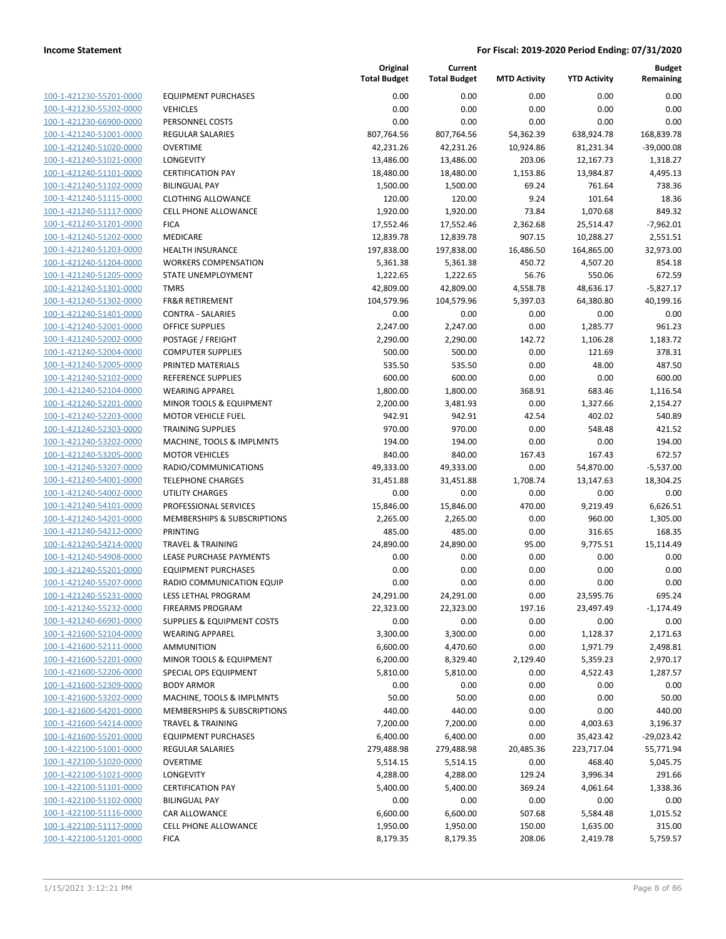| 100-1-421230-55201-0000                            |
|----------------------------------------------------|
| 100-1-421230-55202-0000                            |
| 100-1-421230-66900-0000                            |
| 100-1-421240-51001-0000                            |
| 100-1-421240-51020-0000                            |
| 100-1-421240-51021-0000                            |
| 100-1-421240-51101-0000                            |
| 100-1-421240-51102-0000                            |
| 100-1-421240-51115-0000                            |
| 100-1-421240-51117-0000                            |
|                                                    |
| 100-1-421240-51201-0000                            |
| 100-1-421240-51202-0000                            |
| 100-1-421240-51203-0000                            |
| 100-1-421240-51204-0000                            |
| 100-1-421240-51205-0000                            |
| 100-1-421240-51301-0000                            |
| 100-1-421240-51302-0000                            |
| 100-1-421240-51401-0000                            |
| 100-1-421240-52001-0000                            |
| 100-1-421240-52002-0000                            |
| 100-1-421240-52004-0000                            |
| 100-1-421240-52005-0000                            |
| 100-1-421240-52102-0000                            |
| 100-1-421240-52104-0000                            |
| 100-1-421240-52201-0000                            |
| 100-1-421240-52203-0000                            |
|                                                    |
| 100-1-421240-52303-0000                            |
| 100-1-421240-53202-0000                            |
| 100-1-421240-53205-0000                            |
| 100-1-421240-53207-0000                            |
| 100-1-421240-54001-0000                            |
| 100-1-421240-54002-0000                            |
| 100-1-421240-54101-0000                            |
| 100-1-421240-54201-0000                            |
| 100-1-421240-54212-0000                            |
| 100-1-421240-54214-0000                            |
| 100-1-421240-54908-0000                            |
| 100-1-421240-55201-0000                            |
| 100-1-421240-55207-0000                            |
| 100-1-421240-55231-0000                            |
| 100-1-421240-55232-0000                            |
| <u>100-1-421240-66901-0000</u>                     |
| 100-1-421600-52104-0000                            |
|                                                    |
| 100-1-421600-52111-0000                            |
| 100-1-421600-52201-0000                            |
| 100-1-421600-52206-0000                            |
| 100-1-421600-52309-0000                            |
| 100-1-421600-53202-0000                            |
| 100-1-421600-54201-0000                            |
| 100-1-421600-54214-0000                            |
| 100-1-421600-55201-0000                            |
| 100-1-422100-51001-0000                            |
| 100-1-422100-51020-0000                            |
|                                                    |
| 100-1-422100-51021-0000                            |
|                                                    |
| 100-1-422100-51101-0000                            |
| 100-1-422100-51102-0000                            |
| <u>100-1-422100-51116-0000</u>                     |
| 100-1-422100-51117-0000<br>100-1-422100-51201-0000 |

|                         |                                        | Original<br><b>Total Budget</b> | Current<br><b>Total Budget</b> | <b>MTD Activity</b> | <b>YTD Activity</b> | <b>Budget</b><br>Remaining |
|-------------------------|----------------------------------------|---------------------------------|--------------------------------|---------------------|---------------------|----------------------------|
| 100-1-421230-55201-0000 | <b>EQUIPMENT PURCHASES</b>             | 0.00                            | 0.00                           | 0.00                | 0.00                | 0.00                       |
| 100-1-421230-55202-0000 | <b>VEHICLES</b>                        | 0.00                            | 0.00                           | 0.00                | 0.00                | 0.00                       |
| 100-1-421230-66900-0000 | PERSONNEL COSTS                        | 0.00                            | 0.00                           | 0.00                | 0.00                | 0.00                       |
| 100-1-421240-51001-0000 | <b>REGULAR SALARIES</b>                | 807,764.56                      | 807,764.56                     | 54,362.39           | 638,924.78          | 168,839.78                 |
| 100-1-421240-51020-0000 | <b>OVERTIME</b>                        | 42,231.26                       | 42,231.26                      | 10,924.86           | 81,231.34           | $-39,000.08$               |
| 100-1-421240-51021-0000 | LONGEVITY                              | 13,486.00                       | 13,486.00                      | 203.06              | 12,167.73           | 1,318.27                   |
| 100-1-421240-51101-0000 | <b>CERTIFICATION PAY</b>               | 18,480.00                       | 18,480.00                      | 1,153.86            | 13,984.87           | 4,495.13                   |
| 100-1-421240-51102-0000 | <b>BILINGUAL PAY</b>                   | 1,500.00                        | 1,500.00                       | 69.24               | 761.64              | 738.36                     |
| 100-1-421240-51115-0000 | <b>CLOTHING ALLOWANCE</b>              | 120.00                          | 120.00                         | 9.24                | 101.64              | 18.36                      |
| 100-1-421240-51117-0000 | <b>CELL PHONE ALLOWANCE</b>            | 1,920.00                        | 1,920.00                       | 73.84               | 1,070.68            | 849.32                     |
| 100-1-421240-51201-0000 | <b>FICA</b>                            | 17,552.46                       | 17,552.46                      | 2,362.68            | 25,514.47           | $-7,962.01$                |
| 100-1-421240-51202-0000 | MEDICARE                               | 12,839.78                       | 12,839.78                      | 907.15              | 10,288.27           | 2,551.51                   |
| 100-1-421240-51203-0000 | <b>HEALTH INSURANCE</b>                | 197,838.00                      | 197,838.00                     | 16,486.50           | 164,865.00          | 32,973.00                  |
| 100-1-421240-51204-0000 | <b>WORKERS COMPENSATION</b>            | 5,361.38                        | 5,361.38                       | 450.72              | 4,507.20            | 854.18                     |
| 100-1-421240-51205-0000 | STATE UNEMPLOYMENT                     | 1,222.65                        | 1,222.65                       | 56.76               | 550.06              | 672.59                     |
| 100-1-421240-51301-0000 | <b>TMRS</b>                            | 42,809.00                       | 42,809.00                      | 4,558.78            | 48,636.17           | $-5,827.17$                |
| 100-1-421240-51302-0000 | <b>FR&amp;R RETIREMENT</b>             | 104,579.96                      | 104,579.96                     | 5,397.03            | 64,380.80           | 40,199.16                  |
| 100-1-421240-51401-0000 | <b>CONTRA - SALARIES</b>               | 0.00                            | 0.00                           | 0.00                | 0.00                | 0.00                       |
| 100-1-421240-52001-0000 | <b>OFFICE SUPPLIES</b>                 | 2,247.00                        | 2,247.00                       | 0.00                | 1,285.77            | 961.23                     |
| 100-1-421240-52002-0000 | POSTAGE / FREIGHT                      | 2,290.00                        | 2,290.00                       | 142.72              | 1,106.28            | 1,183.72                   |
| 100-1-421240-52004-0000 | <b>COMPUTER SUPPLIES</b>               | 500.00                          | 500.00                         | 0.00                | 121.69              | 378.31                     |
| 100-1-421240-52005-0000 | PRINTED MATERIALS                      | 535.50                          | 535.50                         | 0.00                | 48.00               | 487.50                     |
| 100-1-421240-52102-0000 | <b>REFERENCE SUPPLIES</b>              | 600.00                          | 600.00                         | 0.00                | 0.00                | 600.00                     |
| 100-1-421240-52104-0000 | <b>WEARING APPAREL</b>                 | 1,800.00                        | 1,800.00                       | 368.91              | 683.46              | 1,116.54                   |
| 100-1-421240-52201-0000 | MINOR TOOLS & EQUIPMENT                | 2,200.00                        | 3,481.93                       | 0.00                | 1,327.66            | 2,154.27                   |
| 100-1-421240-52203-0000 | <b>MOTOR VEHICLE FUEL</b>              | 942.91                          | 942.91                         | 42.54               | 402.02              | 540.89                     |
| 100-1-421240-52303-0000 | <b>TRAINING SUPPLIES</b>               | 970.00                          | 970.00                         | 0.00                | 548.48              | 421.52                     |
| 100-1-421240-53202-0000 | MACHINE, TOOLS & IMPLMNTS              | 194.00                          | 194.00                         | 0.00                | 0.00                | 194.00                     |
| 100-1-421240-53205-0000 | <b>MOTOR VEHICLES</b>                  | 840.00                          | 840.00                         | 167.43              | 167.43              | 672.57                     |
| 100-1-421240-53207-0000 | RADIO/COMMUNICATIONS                   | 49,333.00                       | 49,333.00                      | 0.00                | 54,870.00           | $-5,537.00$                |
| 100-1-421240-54001-0000 | <b>TELEPHONE CHARGES</b>               | 31,451.88                       | 31,451.88                      | 1,708.74            | 13,147.63           | 18,304.25                  |
| 100-1-421240-54002-0000 | <b>UTILITY CHARGES</b>                 | 0.00                            | 0.00                           | 0.00                | 0.00                | 0.00                       |
| 100-1-421240-54101-0000 | PROFESSIONAL SERVICES                  | 15,846.00                       | 15,846.00                      | 470.00              | 9,219.49            | 6,626.51                   |
| 100-1-421240-54201-0000 | MEMBERSHIPS & SUBSCRIPTIONS            | 2,265.00                        | 2,265.00                       | 0.00                | 960.00              | 1,305.00                   |
| 100-1-421240-54212-0000 | <b>PRINTING</b>                        | 485.00                          | 485.00                         | 0.00                | 316.65              | 168.35                     |
| 100-1-421240-54214-0000 | <b>TRAVEL &amp; TRAINING</b>           | 24,890.00                       | 24,890.00                      | 95.00               | 9,775.51            | 15,114.49                  |
| 100-1-421240-54908-0000 | LEASE PURCHASE PAYMENTS                | 0.00                            | 0.00                           | 0.00                | 0.00                | 0.00                       |
| 100-1-421240-55201-0000 | <b>EQUIPMENT PURCHASES</b>             | 0.00                            | 0.00                           | 0.00                | 0.00                | 0.00                       |
| 100-1-421240-55207-0000 | RADIO COMMUNICATION EQUIP              | 0.00                            | 0.00                           | 0.00                | 0.00                | 0.00                       |
| 100-1-421240-55231-0000 | LESS LETHAL PROGRAM                    | 24,291.00                       | 24,291.00                      | 0.00                | 23,595.76           | 695.24                     |
| 100-1-421240-55232-0000 | <b>FIREARMS PROGRAM</b>                | 22,323.00                       | 22,323.00                      | 197.16              | 23,497.49           | $-1,174.49$                |
| 100-1-421240-66901-0000 | <b>SUPPLIES &amp; EQUIPMENT COSTS</b>  | 0.00                            | 0.00                           | 0.00                | 0.00                | 0.00                       |
| 100-1-421600-52104-0000 | <b>WEARING APPAREL</b>                 | 3,300.00                        | 3,300.00                       | 0.00                | 1,128.37            | 2,171.63                   |
| 100-1-421600-52111-0000 | <b>AMMUNITION</b>                      | 6,600.00                        | 4,470.60                       | 0.00                | 1,971.79            | 2,498.81                   |
| 100-1-421600-52201-0000 | MINOR TOOLS & EQUIPMENT                | 6,200.00                        | 8,329.40                       | 2,129.40            | 5,359.23            | 2,970.17                   |
| 100-1-421600-52206-0000 | SPECIAL OPS EQUIPMENT                  | 5,810.00                        | 5,810.00                       | 0.00                | 4,522.43            | 1,287.57                   |
| 100-1-421600-52309-0000 | <b>BODY ARMOR</b>                      | 0.00                            | 0.00                           | 0.00                | 0.00                | 0.00                       |
| 100-1-421600-53202-0000 | MACHINE, TOOLS & IMPLMNTS              | 50.00                           | 50.00                          | 0.00                | 0.00                | 50.00                      |
| 100-1-421600-54201-0000 | <b>MEMBERSHIPS &amp; SUBSCRIPTIONS</b> | 440.00                          | 440.00                         | 0.00                | 0.00                | 440.00                     |
| 100-1-421600-54214-0000 | <b>TRAVEL &amp; TRAINING</b>           | 7,200.00                        | 7,200.00                       | 0.00                | 4,003.63            | 3,196.37                   |
| 100-1-421600-55201-0000 | <b>EQUIPMENT PURCHASES</b>             | 6,400.00                        | 6,400.00                       | 0.00                | 35,423.42           | $-29,023.42$               |
| 100-1-422100-51001-0000 | REGULAR SALARIES                       | 279,488.98                      | 279,488.98                     | 20,485.36           | 223,717.04          | 55,771.94                  |
| 100-1-422100-51020-0000 | <b>OVERTIME</b>                        | 5,514.15                        | 5,514.15                       | 0.00                | 468.40              | 5,045.75                   |
| 100-1-422100-51021-0000 | LONGEVITY                              | 4,288.00                        | 4,288.00                       | 129.24              | 3,996.34            | 291.66                     |
| 100-1-422100-51101-0000 | <b>CERTIFICATION PAY</b>               | 5,400.00                        | 5,400.00                       | 369.24              | 4,061.64            | 1,338.36                   |
| 100-1-422100-51102-0000 | <b>BILINGUAL PAY</b>                   | 0.00                            | 0.00                           | 0.00                | 0.00                | 0.00                       |
| 100-1-422100-51116-0000 | CAR ALLOWANCE                          | 6,600.00                        | 6,600.00                       | 507.68              | 5,584.48            | 1,015.52                   |
| 100-1-422100-51117-0000 | <b>CELL PHONE ALLOWANCE</b>            | 1,950.00                        | 1,950.00                       | 150.00              | 1,635.00            | 315.00                     |
| 100-1-422100-51201-0000 | <b>FICA</b>                            | 8,179.35                        | 8,179.35                       | 208.06              | 2,419.78            | 5,759.57                   |
|                         |                                        |                                 |                                |                     |                     |                            |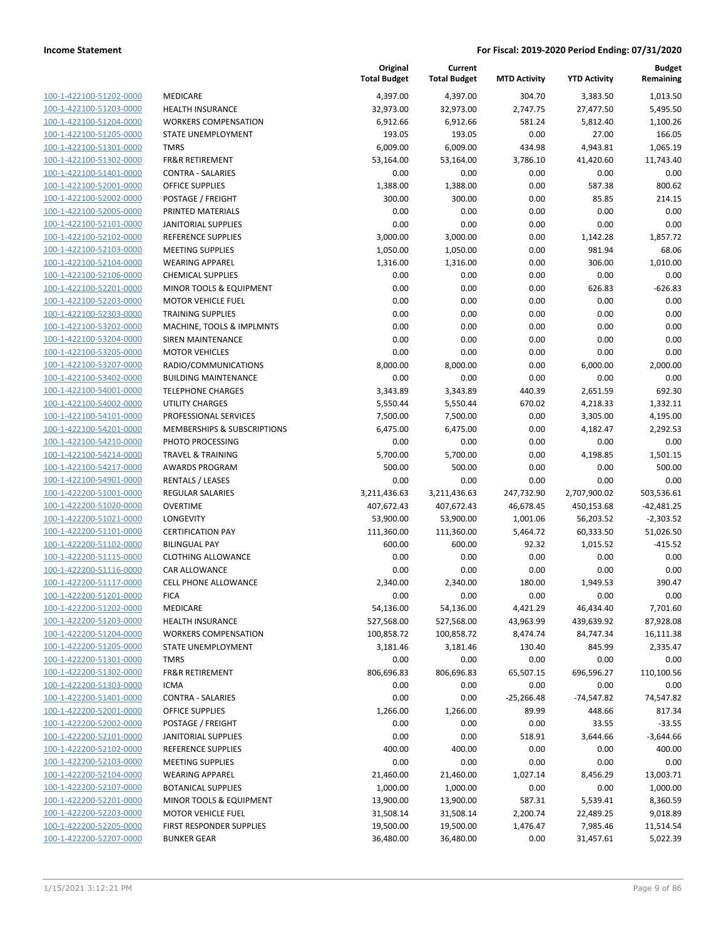|                         |                              | Original<br><b>Total Budget</b> | Current<br><b>Total Budget</b> | <b>MTD Activity</b> | <b>YTD Activity</b> | <b>Budget</b><br>Remaining |
|-------------------------|------------------------------|---------------------------------|--------------------------------|---------------------|---------------------|----------------------------|
| 100-1-422100-51202-0000 | MEDICARE                     | 4,397.00                        | 4,397.00                       | 304.70              | 3,383.50            | 1,013.50                   |
| 100-1-422100-51203-0000 | <b>HEALTH INSURANCE</b>      | 32,973.00                       | 32,973.00                      | 2,747.75            | 27,477.50           | 5,495.50                   |
| 100-1-422100-51204-0000 | <b>WORKERS COMPENSATION</b>  | 6,912.66                        | 6,912.66                       | 581.24              | 5,812.40            | 1,100.26                   |
| 100-1-422100-51205-0000 | STATE UNEMPLOYMENT           | 193.05                          | 193.05                         | 0.00                | 27.00               | 166.05                     |
| 100-1-422100-51301-0000 | <b>TMRS</b>                  | 6,009.00                        | 6,009.00                       | 434.98              | 4,943.81            | 1,065.19                   |
| 100-1-422100-51302-0000 | <b>FR&amp;R RETIREMENT</b>   | 53,164.00                       | 53,164.00                      | 3,786.10            | 41,420.60           | 11,743.40                  |
| 100-1-422100-51401-0000 | <b>CONTRA - SALARIES</b>     | 0.00                            | 0.00                           | 0.00                | 0.00                | 0.00                       |
| 100-1-422100-52001-0000 | <b>OFFICE SUPPLIES</b>       | 1,388.00                        | 1,388.00                       | 0.00                | 587.38              | 800.62                     |
| 100-1-422100-52002-0000 | POSTAGE / FREIGHT            | 300.00                          | 300.00                         | 0.00                | 85.85               | 214.15                     |
| 100-1-422100-52005-0000 | PRINTED MATERIALS            | 0.00                            | 0.00                           | 0.00                | 0.00                | 0.00                       |
| 100-1-422100-52101-0000 | <b>JANITORIAL SUPPLIES</b>   | 0.00                            | 0.00                           | 0.00                | 0.00                | 0.00                       |
| 100-1-422100-52102-0000 | <b>REFERENCE SUPPLIES</b>    | 3,000.00                        | 3,000.00                       | 0.00                | 1,142.28            | 1,857.72                   |
| 100-1-422100-52103-0000 | <b>MEETING SUPPLIES</b>      | 1,050.00                        | 1,050.00                       | 0.00                | 981.94              | 68.06                      |
| 100-1-422100-52104-0000 | <b>WEARING APPAREL</b>       | 1,316.00                        | 1,316.00                       | 0.00                | 306.00              | 1,010.00                   |
| 100-1-422100-52106-0000 | <b>CHEMICAL SUPPLIES</b>     | 0.00                            | 0.00                           | 0.00                | 0.00                | 0.00                       |
| 100-1-422100-52201-0000 | MINOR TOOLS & EQUIPMENT      | 0.00                            | 0.00                           | 0.00                | 626.83              | $-626.83$                  |
| 100-1-422100-52203-0000 | <b>MOTOR VEHICLE FUEL</b>    | 0.00                            | 0.00                           | 0.00                | 0.00                | 0.00                       |
| 100-1-422100-52303-0000 | <b>TRAINING SUPPLIES</b>     | 0.00                            | 0.00                           | 0.00                | 0.00                | 0.00                       |
| 100-1-422100-53202-0000 | MACHINE, TOOLS & IMPLMNTS    | 0.00                            | 0.00                           | 0.00                | 0.00                | 0.00                       |
| 100-1-422100-53204-0000 | <b>SIREN MAINTENANCE</b>     | 0.00                            | 0.00                           | 0.00                | 0.00                | 0.00                       |
| 100-1-422100-53205-0000 | <b>MOTOR VEHICLES</b>        | 0.00                            | 0.00                           | 0.00                | 0.00                | 0.00                       |
| 100-1-422100-53207-0000 | RADIO/COMMUNICATIONS         | 8,000.00                        | 8,000.00                       | 0.00                | 6,000.00            | 2,000.00                   |
| 100-1-422100-53402-0000 | <b>BUILDING MAINTENANCE</b>  | 0.00                            | 0.00                           | 0.00                | 0.00                | 0.00                       |
| 100-1-422100-54001-0000 | <b>TELEPHONE CHARGES</b>     | 3,343.89                        | 3,343.89                       | 440.39              | 2,651.59            | 692.30                     |
| 100-1-422100-54002-0000 | <b>UTILITY CHARGES</b>       | 5,550.44                        | 5,550.44                       | 670.02              | 4,218.33            | 1,332.11                   |
| 100-1-422100-54101-0000 | PROFESSIONAL SERVICES        | 7,500.00                        | 7,500.00                       | 0.00                | 3,305.00            | 4,195.00                   |
| 100-1-422100-54201-0000 | MEMBERSHIPS & SUBSCRIPTIONS  | 6,475.00                        | 6,475.00                       | 0.00                | 4,182.47            | 2,292.53                   |
| 100-1-422100-54210-0000 | PHOTO PROCESSING             | 0.00                            | 0.00                           | 0.00                | 0.00                | 0.00                       |
| 100-1-422100-54214-0000 | <b>TRAVEL &amp; TRAINING</b> | 5,700.00                        | 5,700.00                       | 0.00                | 4,198.85            | 1,501.15                   |
| 100-1-422100-54217-0000 | <b>AWARDS PROGRAM</b>        | 500.00                          | 500.00                         | 0.00                | 0.00                | 500.00                     |
| 100-1-422100-54901-0000 | RENTALS / LEASES             | 0.00                            | 0.00                           | 0.00                | 0.00                | 0.00                       |
| 100-1-422200-51001-0000 | <b>REGULAR SALARIES</b>      | 3,211,436.63                    | 3,211,436.63                   | 247,732.90          | 2,707,900.02        | 503,536.61                 |
| 100-1-422200-51020-0000 | <b>OVERTIME</b>              | 407,672.43                      | 407,672.43                     | 46,678.45           | 450,153.68          | $-42,481.25$               |
| 100-1-422200-51021-0000 | LONGEVITY                    | 53,900.00                       | 53,900.00                      | 1,001.06            | 56,203.52           | $-2,303.52$                |
| 100-1-422200-51101-0000 | <b>CERTIFICATION PAY</b>     | 111,360.00                      | 111,360.00                     | 5,464.72            | 60,333.50           | 51,026.50                  |
| 100-1-422200-51102-0000 | <b>BILINGUAL PAY</b>         | 600.00                          | 600.00                         | 92.32               | 1,015.52            | $-415.52$                  |
| 100-1-422200-51115-0000 | <b>CLOTHING ALLOWANCE</b>    | 0.00                            | 0.00                           | 0.00                | 0.00                | 0.00                       |
| 100-1-422200-51116-0000 | <b>CAR ALLOWANCE</b>         | 0.00                            | 0.00                           | 0.00                | 0.00                | 0.00                       |
| 100-1-422200-51117-0000 | <b>CELL PHONE ALLOWANCE</b>  | 2,340.00                        | 2,340.00                       | 180.00              | 1,949.53            | 390.47                     |
| 100-1-422200-51201-0000 | <b>FICA</b>                  | 0.00                            | 0.00                           | 0.00                | 0.00                | 0.00                       |
| 100-1-422200-51202-0000 | MEDICARE                     | 54,136.00                       | 54,136.00                      | 4,421.29            | 46,434.40           | 7,701.60                   |
| 100-1-422200-51203-0000 | <b>HEALTH INSURANCE</b>      | 527,568.00                      | 527,568.00                     | 43,963.99           | 439,639.92          | 87,928.08                  |
| 100-1-422200-51204-0000 | <b>WORKERS COMPENSATION</b>  | 100,858.72                      | 100,858.72                     | 8,474.74            | 84,747.34           | 16,111.38                  |
| 100-1-422200-51205-0000 | STATE UNEMPLOYMENT           | 3,181.46                        | 3,181.46                       | 130.40              | 845.99              | 2,335.47                   |
| 100-1-422200-51301-0000 | <b>TMRS</b>                  | 0.00                            | 0.00                           | 0.00                | 0.00                | 0.00                       |
| 100-1-422200-51302-0000 | <b>FR&amp;R RETIREMENT</b>   | 806,696.83                      | 806,696.83                     | 65,507.15           | 696,596.27          | 110,100.56                 |
| 100-1-422200-51303-0000 | <b>ICMA</b>                  | 0.00                            | 0.00                           | 0.00                | 0.00                | 0.00                       |
| 100-1-422200-51401-0000 | <b>CONTRA - SALARIES</b>     | 0.00                            | 0.00                           | $-25,266.48$        | -74,547.82          | 74,547.82                  |
| 100-1-422200-52001-0000 | <b>OFFICE SUPPLIES</b>       | 1,266.00                        | 1,266.00                       | 89.99               | 448.66              | 817.34                     |
| 100-1-422200-52002-0000 | POSTAGE / FREIGHT            | 0.00                            | 0.00                           | 0.00                | 33.55               | $-33.55$                   |
| 100-1-422200-52101-0000 | JANITORIAL SUPPLIES          | 0.00                            | 0.00                           | 518.91              | 3,644.66            | $-3,644.66$                |
| 100-1-422200-52102-0000 | REFERENCE SUPPLIES           | 400.00                          | 400.00                         | 0.00                | 0.00                | 400.00                     |
| 100-1-422200-52103-0000 | <b>MEETING SUPPLIES</b>      | 0.00                            | 0.00                           | 0.00                | 0.00                | 0.00                       |
| 100-1-422200-52104-0000 | <b>WEARING APPAREL</b>       | 21,460.00                       | 21,460.00                      | 1,027.14            | 8,456.29            | 13,003.71                  |
| 100-1-422200-52107-0000 | <b>BOTANICAL SUPPLIES</b>    | 1,000.00                        | 1,000.00                       | 0.00                | 0.00                | 1,000.00                   |
| 100-1-422200-52201-0000 | MINOR TOOLS & EQUIPMENT      | 13,900.00                       | 13,900.00                      | 587.31              | 5,539.41            | 8,360.59                   |
| 100-1-422200-52203-0000 | <b>MOTOR VEHICLE FUEL</b>    | 31,508.14                       | 31,508.14                      | 2,200.74            | 22,489.25           | 9,018.89                   |
| 100-1-422200-52205-0000 | FIRST RESPONDER SUPPLIES     | 19,500.00                       | 19,500.00                      | 1,476.47            | 7,985.46            | 11,514.54                  |
| 100-1-422200-52207-0000 | <b>BUNKER GEAR</b>           | 36,480.00                       | 36,480.00                      | 0.00                | 31,457.61           | 5,022.39                   |
|                         |                              |                                 |                                |                     |                     |                            |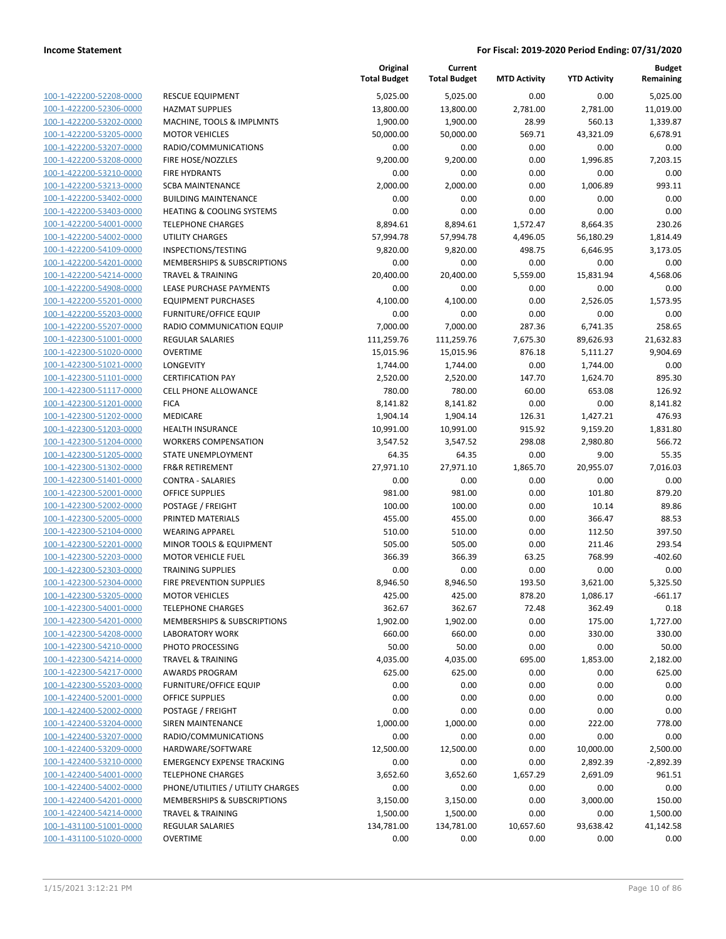**Current**

**Original**

**Budget Remaining**

|                                                    |                                                    | <b>Total Budget</b> | <b>Total Budget</b> | <b>MTD Activity</b> | <b>YTD Activity</b> | Remaining      |
|----------------------------------------------------|----------------------------------------------------|---------------------|---------------------|---------------------|---------------------|----------------|
| 100-1-422200-52208-0000                            | <b>RESCUE EQUIPMENT</b>                            | 5,025.00            | 5,025.00            | 0.00                | 0.00                | 5,025.00       |
| 100-1-422200-52306-0000                            | <b>HAZMAT SUPPLIES</b>                             | 13,800.00           | 13,800.00           | 2,781.00            | 2,781.00            | 11,019.00      |
| 100-1-422200-53202-0000                            | MACHINE, TOOLS & IMPLMNTS                          | 1,900.00            | 1,900.00            | 28.99               | 560.13              | 1,339.87       |
| 100-1-422200-53205-0000                            | <b>MOTOR VEHICLES</b>                              | 50,000.00           | 50,000.00           | 569.71              | 43,321.09           | 6,678.91       |
| 100-1-422200-53207-0000                            | RADIO/COMMUNICATIONS                               | 0.00                | 0.00                | 0.00                | 0.00                | 0.00           |
| 100-1-422200-53208-0000                            | FIRE HOSE/NOZZLES                                  | 9,200.00            | 9,200.00            | 0.00                | 1,996.85            | 7,203.15       |
| 100-1-422200-53210-0000                            | <b>FIRE HYDRANTS</b>                               | 0.00                | 0.00                | 0.00                | 0.00                | 0.00           |
| 100-1-422200-53213-0000                            | <b>SCBA MAINTENANCE</b>                            | 2,000.00            | 2,000.00            | 0.00                | 1,006.89            | 993.11         |
| 100-1-422200-53402-0000                            | <b>BUILDING MAINTENANCE</b>                        | 0.00                | 0.00                | 0.00                | 0.00                | 0.00           |
| 100-1-422200-53403-0000                            | <b>HEATING &amp; COOLING SYSTEMS</b>               | 0.00                | 0.00                | 0.00                | 0.00                | 0.00           |
| 100-1-422200-54001-0000                            | <b>TELEPHONE CHARGES</b>                           | 8,894.61            | 8,894.61            | 1,572.47            | 8,664.35            | 230.26         |
| 100-1-422200-54002-0000                            | <b>UTILITY CHARGES</b>                             | 57,994.78           | 57,994.78           | 4,496.05            | 56,180.29           | 1,814.49       |
| 100-1-422200-54109-0000                            | INSPECTIONS/TESTING                                | 9,820.00            | 9,820.00            | 498.75              | 6,646.95            | 3,173.05       |
| 100-1-422200-54201-0000                            | MEMBERSHIPS & SUBSCRIPTIONS                        | 0.00                | 0.00                | 0.00                | 0.00                | 0.00           |
| 100-1-422200-54214-0000                            | <b>TRAVEL &amp; TRAINING</b>                       | 20,400.00           | 20,400.00           | 5,559.00            | 15,831.94           | 4,568.06       |
| 100-1-422200-54908-0000                            | LEASE PURCHASE PAYMENTS                            | 0.00                | 0.00                | 0.00                | 0.00                | 0.00           |
| 100-1-422200-55201-0000                            | <b>EQUIPMENT PURCHASES</b>                         | 4,100.00            | 4,100.00            | 0.00                | 2,526.05            | 1,573.95       |
| 100-1-422200-55203-0000                            | <b>FURNITURE/OFFICE EQUIP</b>                      | 0.00                | 0.00                | 0.00                | 0.00                | 0.00           |
| 100-1-422200-55207-0000                            | RADIO COMMUNICATION EQUIP                          | 7,000.00            | 7,000.00            | 287.36              | 6,741.35            | 258.65         |
| 100-1-422300-51001-0000                            | <b>REGULAR SALARIES</b>                            | 111,259.76          | 111,259.76          | 7,675.30            | 89,626.93           | 21,632.83      |
| 100-1-422300-51020-0000                            | <b>OVERTIME</b>                                    | 15,015.96           | 15,015.96           | 876.18              | 5,111.27            | 9,904.69       |
| 100-1-422300-51021-0000                            | LONGEVITY                                          | 1,744.00            | 1,744.00            | 0.00                | 1,744.00            | 0.00           |
| 100-1-422300-51101-0000                            | <b>CERTIFICATION PAY</b>                           | 2,520.00            | 2,520.00            | 147.70              | 1,624.70            | 895.30         |
| 100-1-422300-51117-0000                            | <b>CELL PHONE ALLOWANCE</b>                        | 780.00              | 780.00              | 60.00               | 653.08              | 126.92         |
| 100-1-422300-51201-0000                            | <b>FICA</b>                                        | 8,141.82            | 8,141.82            | 0.00                | 0.00                | 8,141.82       |
| 100-1-422300-51202-0000                            | MEDICARE                                           | 1,904.14            | 1,904.14            | 126.31              | 1,427.21            | 476.93         |
| 100-1-422300-51203-0000                            | HEALTH INSURANCE                                   | 10,991.00           | 10,991.00           | 915.92              | 9,159.20            | 1,831.80       |
| 100-1-422300-51204-0000                            | <b>WORKERS COMPENSATION</b>                        | 3,547.52            | 3,547.52            | 298.08              | 2,980.80            | 566.72         |
| 100-1-422300-51205-0000                            | STATE UNEMPLOYMENT                                 | 64.35               | 64.35               | 0.00                | 9.00                | 55.35          |
| 100-1-422300-51302-0000                            | <b>FR&amp;R RETIREMENT</b>                         | 27,971.10           | 27,971.10           | 1,865.70            | 20,955.07           | 7,016.03       |
| 100-1-422300-51401-0000<br>100-1-422300-52001-0000 | <b>CONTRA - SALARIES</b><br><b>OFFICE SUPPLIES</b> | 0.00<br>981.00      | 0.00<br>981.00      | 0.00<br>0.00        | 0.00<br>101.80      | 0.00<br>879.20 |
| 100-1-422300-52002-0000                            | POSTAGE / FREIGHT                                  | 100.00              | 100.00              | 0.00                | 10.14               | 89.86          |
| 100-1-422300-52005-0000                            | PRINTED MATERIALS                                  | 455.00              | 455.00              | 0.00                | 366.47              | 88.53          |
| 100-1-422300-52104-0000                            | <b>WEARING APPAREL</b>                             | 510.00              | 510.00              | 0.00                | 112.50              | 397.50         |
| 100-1-422300-52201-0000                            | MINOR TOOLS & EQUIPMENT                            | 505.00              | 505.00              | 0.00                | 211.46              | 293.54         |
| 100-1-422300-52203-0000                            | <b>MOTOR VEHICLE FUEL</b>                          | 366.39              | 366.39              | 63.25               | 768.99              | $-402.60$      |
| 100-1-422300-52303-0000                            | <b>TRAINING SUPPLIES</b>                           | 0.00                | 0.00                | 0.00                | 0.00                | 0.00           |
| 100-1-422300-52304-0000                            | <b>FIRE PREVENTION SUPPLIES</b>                    | 8,946.50            | 8,946.50            | 193.50              | 3,621.00            | 5,325.50       |
| 100-1-422300-53205-0000                            | <b>MOTOR VEHICLES</b>                              | 425.00              | 425.00              | 878.20              | 1,086.17            | $-661.17$      |
| 100-1-422300-54001-0000                            | <b>TELEPHONE CHARGES</b>                           | 362.67              | 362.67              | 72.48               | 362.49              | 0.18           |
| 100-1-422300-54201-0000                            | MEMBERSHIPS & SUBSCRIPTIONS                        | 1,902.00            | 1,902.00            | 0.00                | 175.00              | 1,727.00       |
| 100-1-422300-54208-0000                            | <b>LABORATORY WORK</b>                             | 660.00              | 660.00              | 0.00                | 330.00              | 330.00         |
| 100-1-422300-54210-0000                            | PHOTO PROCESSING                                   | 50.00               | 50.00               | 0.00                | 0.00                | 50.00          |
| 100-1-422300-54214-0000                            | <b>TRAVEL &amp; TRAINING</b>                       | 4,035.00            | 4,035.00            | 695.00              | 1,853.00            | 2,182.00       |
| 100-1-422300-54217-0000                            | <b>AWARDS PROGRAM</b>                              | 625.00              | 625.00              | 0.00                | 0.00                | 625.00         |
| 100-1-422300-55203-0000                            | <b>FURNITURE/OFFICE EQUIP</b>                      | 0.00                | 0.00                | 0.00                | 0.00                | 0.00           |
| 100-1-422400-52001-0000                            | <b>OFFICE SUPPLIES</b>                             | 0.00                | 0.00                | 0.00                | 0.00                | 0.00           |
| 100-1-422400-52002-0000                            | POSTAGE / FREIGHT                                  | 0.00                | 0.00                | 0.00                | 0.00                | 0.00           |
| 100-1-422400-53204-0000                            | SIREN MAINTENANCE                                  | 1,000.00            | 1,000.00            | 0.00                | 222.00              | 778.00         |
| 100-1-422400-53207-0000                            | RADIO/COMMUNICATIONS                               | 0.00                | 0.00                | 0.00                | 0.00                | 0.00           |
| 100-1-422400-53209-0000                            | HARDWARE/SOFTWARE                                  | 12,500.00           | 12,500.00           | 0.00                | 10,000.00           | 2,500.00       |
| 100-1-422400-53210-0000                            | <b>EMERGENCY EXPENSE TRACKING</b>                  | 0.00                | 0.00                | 0.00                | 2,892.39            | $-2,892.39$    |
| 100-1-422400-54001-0000                            | <b>TELEPHONE CHARGES</b>                           | 3,652.60            | 3,652.60            | 1,657.29            | 2,691.09            | 961.51         |
| 100-1-422400-54002-0000                            | PHONE/UTILITIES / UTILITY CHARGES                  | 0.00                | 0.00                | 0.00                | 0.00                | 0.00           |
| 100-1-422400-54201-0000                            | MEMBERSHIPS & SUBSCRIPTIONS                        | 3,150.00            | 3,150.00            | 0.00                | 3,000.00            | 150.00         |
| 100-1-422400-54214-0000                            | <b>TRAVEL &amp; TRAINING</b>                       | 1,500.00            | 1,500.00            | 0.00                | 0.00                | 1,500.00       |
| 100-1-431100-51001-0000                            | <b>REGULAR SALARIES</b>                            | 134,781.00          | 134,781.00          | 10,657.60           | 93,638.42           | 41,142.58      |
| 100-1-431100-51020-0000                            | <b>OVERTIME</b>                                    | 0.00                | 0.00                | 0.00                | 0.00                | 0.00           |
|                                                    |                                                    |                     |                     |                     |                     |                |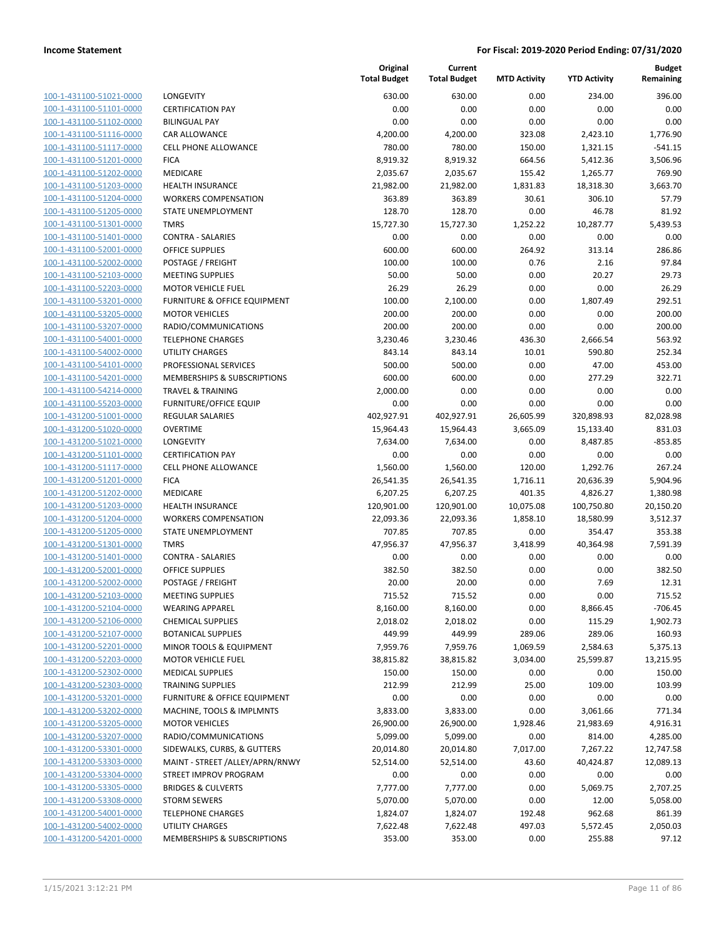| 100-1-431100-51021-0000        |
|--------------------------------|
| 100-1-431100-51101-0000        |
| 100-1-431100-51102-0000        |
| 100-1-431100-51116-0000        |
| 100-1-431100-51117-0000        |
| 100-1-431100-51201-0000        |
| 100-1-431100-51202-0000        |
| 100-1-431100-51203-0000        |
| 100-1-431100-51204-0000        |
| 100-1-431100-51205-0000        |
| 100-1-431100-51301-0000        |
| 100-1-431100-51401-0000        |
| 100-1-431100-52001-0000        |
| 100-1-431100-52002-0000        |
| 100-1-431100-52103-0000        |
| 100-1-431100-52203-0000        |
| 100-1-431100-53201-0000        |
| 100-1-431100-53205-0000        |
| 100-1-431100-53207-0000        |
| 100-1-431100-54001-0000        |
| 100-1-431100-54002-0000        |
| 100-1-431100-54101-0000        |
| 100-1-431100-54201-0000        |
| 100-1-431100-54214-0000        |
| 100-1-431100-55203-0000        |
| 100-1-431200-51001-0000        |
| 100-1-431200-51020-0000        |
| 100-1-431200-51021-0000        |
| 100-1-431200-51101-0000        |
| 100-1-431200-51117-0000        |
| 100-1-431200-51201-0000        |
| 100-1-431200-51202-0000        |
|                                |
| 100-1-431200-51203-0000        |
| 100-1-431200-51204-0000        |
| 100-1-431200-51205-0000        |
| 100-1-431200-51301-0000        |
| 100-1-431200-51401-0000        |
| 100-1-431200-52001-0000        |
| 100-1-431200-52002-0000        |
| 100-1-431200-52103-0000        |
| 100-1-431200-52104-0000        |
| 100-1-431200-52106-0000        |
| 100-1-431200-52107-0000        |
| 100-1-431200-52201-0000        |
| 100-1-431200-52203-0000        |
| <u>100-1-431200-52302-0000</u> |
| 100-1-431200-52303-0000        |
| 100-1-431200-53201-0000        |
| <u>100-1-431200-53202-0000</u> |
| <u>100-1-431200-53205-0000</u> |
| 100-1-431200-53207-0000        |
| 100-1-431200-53301-0000        |
| <u>100-1-431200-53303-0000</u> |
| <u>100-1-431200-53304-0000</u> |
| 100-1-431200-53305-0000        |
| <u>100-1-431200-53308-0000</u> |
| 100-1-431200-54001-0000        |
| <u>100-1-431200-54002-0000</u> |
| <u>100-1-431200-54201-0000</u> |
|                                |

|                                                    |                                                      | Original<br><b>Total Budget</b> | Current<br><b>Total Budget</b> | <b>MTD Activity</b> | <b>YTD Activity</b> | <b>Budget</b><br>Remaining |
|----------------------------------------------------|------------------------------------------------------|---------------------------------|--------------------------------|---------------------|---------------------|----------------------------|
| 100-1-431100-51021-0000                            | <b>LONGEVITY</b>                                     | 630.00                          | 630.00                         | 0.00                | 234.00              | 396.00                     |
| 100-1-431100-51101-0000                            | <b>CERTIFICATION PAY</b>                             | 0.00                            | 0.00                           | 0.00                | 0.00                | 0.00                       |
| 100-1-431100-51102-0000                            | <b>BILINGUAL PAY</b>                                 | 0.00                            | 0.00                           | 0.00                | 0.00                | 0.00                       |
| 100-1-431100-51116-0000                            | CAR ALLOWANCE                                        | 4,200.00                        | 4,200.00                       | 323.08              | 2,423.10            | 1,776.90                   |
| 100-1-431100-51117-0000                            | <b>CELL PHONE ALLOWANCE</b>                          | 780.00                          | 780.00                         | 150.00              | 1,321.15            | $-541.15$                  |
| 100-1-431100-51201-0000                            | <b>FICA</b>                                          | 8,919.32                        | 8,919.32                       | 664.56              | 5,412.36            | 3,506.96                   |
| 100-1-431100-51202-0000                            | MEDICARE                                             | 2,035.67                        | 2,035.67                       | 155.42              | 1,265.77            | 769.90                     |
| 100-1-431100-51203-0000                            | HEALTH INSURANCE                                     | 21,982.00                       | 21,982.00                      | 1,831.83            | 18,318.30           | 3,663.70                   |
| 100-1-431100-51204-0000                            | <b>WORKERS COMPENSATION</b>                          | 363.89                          | 363.89                         | 30.61               | 306.10              | 57.79                      |
| 100-1-431100-51205-0000                            | STATE UNEMPLOYMENT                                   | 128.70                          | 128.70                         | 0.00                | 46.78               | 81.92                      |
| 100-1-431100-51301-0000                            | <b>TMRS</b>                                          | 15,727.30                       | 15,727.30                      | 1,252.22            | 10,287.77           | 5,439.53                   |
| 100-1-431100-51401-0000                            | <b>CONTRA - SALARIES</b>                             | 0.00                            | 0.00                           | 0.00                | 0.00                | 0.00                       |
| 100-1-431100-52001-0000                            | <b>OFFICE SUPPLIES</b>                               | 600.00                          | 600.00                         | 264.92              | 313.14              | 286.86                     |
| 100-1-431100-52002-0000                            | POSTAGE / FREIGHT                                    | 100.00                          | 100.00                         | 0.76                | 2.16                | 97.84                      |
| 100-1-431100-52103-0000                            | <b>MEETING SUPPLIES</b>                              | 50.00                           | 50.00                          | 0.00                | 20.27               | 29.73                      |
| 100-1-431100-52203-0000                            | <b>MOTOR VEHICLE FUEL</b>                            | 26.29                           | 26.29                          | 0.00                | 0.00                | 26.29                      |
| 100-1-431100-53201-0000                            | FURNITURE & OFFICE EQUIPMENT                         | 100.00                          | 2,100.00                       | 0.00                | 1,807.49            | 292.51                     |
| 100-1-431100-53205-0000                            | <b>MOTOR VEHICLES</b>                                | 200.00                          | 200.00                         | 0.00                | 0.00                | 200.00                     |
| 100-1-431100-53207-0000                            | RADIO/COMMUNICATIONS                                 | 200.00                          | 200.00                         | 0.00                | 0.00                | 200.00                     |
| 100-1-431100-54001-0000                            | <b>TELEPHONE CHARGES</b>                             | 3,230.46                        | 3,230.46                       | 436.30              | 2,666.54            | 563.92                     |
| 100-1-431100-54002-0000                            | <b>UTILITY CHARGES</b>                               | 843.14                          | 843.14                         | 10.01               | 590.80              | 252.34                     |
| 100-1-431100-54101-0000                            | PROFESSIONAL SERVICES                                | 500.00                          | 500.00                         | 0.00                | 47.00               | 453.00                     |
| 100-1-431100-54201-0000                            | MEMBERSHIPS & SUBSCRIPTIONS                          | 600.00                          | 600.00                         | 0.00                | 277.29              | 322.71                     |
| 100-1-431100-54214-0000                            | <b>TRAVEL &amp; TRAINING</b>                         | 2,000.00                        | 0.00                           | 0.00                | 0.00                | 0.00                       |
| 100-1-431100-55203-0000                            | <b>FURNITURE/OFFICE EQUIP</b>                        | 0.00                            | 0.00                           | 0.00                | 0.00                | 0.00                       |
| 100-1-431200-51001-0000                            | <b>REGULAR SALARIES</b>                              | 402,927.91                      | 402,927.91                     | 26,605.99           | 320,898.93          | 82,028.98                  |
| 100-1-431200-51020-0000                            | <b>OVERTIME</b>                                      | 15,964.43                       | 15,964.43                      | 3,665.09            | 15,133.40           | 831.03                     |
| 100-1-431200-51021-0000                            | LONGEVITY                                            | 7,634.00                        | 7,634.00                       | 0.00                | 8,487.85            | $-853.85$                  |
| 100-1-431200-51101-0000                            | <b>CERTIFICATION PAY</b>                             | 0.00                            | 0.00                           | 0.00                | 0.00                | 0.00                       |
| 100-1-431200-51117-0000                            | CELL PHONE ALLOWANCE                                 | 1,560.00                        | 1,560.00                       | 120.00              | 1,292.76            | 267.24                     |
| 100-1-431200-51201-0000                            | <b>FICA</b>                                          | 26,541.35                       | 26,541.35                      | 1,716.11            | 20,636.39           | 5,904.96                   |
| 100-1-431200-51202-0000                            | MEDICARE                                             | 6,207.25                        | 6,207.25                       | 401.35              | 4,826.27            | 1,380.98                   |
| 100-1-431200-51203-0000                            | <b>HEALTH INSURANCE</b>                              | 120,901.00                      | 120,901.00                     | 10,075.08           | 100,750.80          | 20,150.20                  |
| 100-1-431200-51204-0000                            | <b>WORKERS COMPENSATION</b>                          | 22,093.36                       | 22,093.36                      | 1,858.10            | 18,580.99           | 3,512.37                   |
| 100-1-431200-51205-0000                            | STATE UNEMPLOYMENT                                   | 707.85                          | 707.85                         | 0.00                | 354.47              | 353.38                     |
| 100-1-431200-51301-0000                            | <b>TMRS</b>                                          | 47,956.37                       | 47,956.37                      | 3,418.99            | 40,364.98           | 7,591.39                   |
| 100-1-431200-51401-0000                            | <b>CONTRA - SALARIES</b>                             | 0.00                            | 0.00                           | 0.00                | 0.00                | 0.00                       |
| 100-1-431200-52001-0000                            | <b>OFFICE SUPPLIES</b>                               | 382.50                          | 382.50                         | 0.00                | 0.00                | 382.50                     |
| 100-1-431200-52002-0000                            | POSTAGE / FREIGHT                                    | 20.00                           | 20.00                          | 0.00                | 7.69                | 12.31                      |
| 100-1-431200-52103-0000                            | <b>MEETING SUPPLIES</b>                              | 715.52                          | 715.52                         | 0.00                | 0.00                | 715.52                     |
| 100-1-431200-52104-0000                            | <b>WEARING APPAREL</b>                               | 8,160.00                        | 8,160.00                       | 0.00                | 8,866.45            | $-706.45$                  |
| 100-1-431200-52106-0000                            | <b>CHEMICAL SUPPLIES</b>                             | 2,018.02                        | 2,018.02                       | 0.00                | 115.29              | 1,902.73                   |
| 100-1-431200-52107-0000<br>100-1-431200-52201-0000 | <b>BOTANICAL SUPPLIES</b><br>MINOR TOOLS & EQUIPMENT | 449.99                          | 449.99                         | 289.06              | 289.06              | 160.93                     |
|                                                    | <b>MOTOR VEHICLE FUEL</b>                            | 7,959.76                        | 7,959.76                       | 1,069.59            | 2,584.63            | 5,375.13                   |
| 100-1-431200-52203-0000<br>100-1-431200-52302-0000 |                                                      | 38,815.82                       | 38,815.82                      | 3,034.00            | 25,599.87           | 13,215.95                  |
| 100-1-431200-52303-0000                            | <b>MEDICAL SUPPLIES</b><br><b>TRAINING SUPPLIES</b>  | 150.00                          | 150.00                         | 0.00                | 0.00                | 150.00<br>103.99           |
| 100-1-431200-53201-0000                            | <b>FURNITURE &amp; OFFICE EQUIPMENT</b>              | 212.99<br>0.00                  | 212.99<br>0.00                 | 25.00<br>0.00       | 109.00<br>0.00      | 0.00                       |
| 100-1-431200-53202-0000                            | MACHINE, TOOLS & IMPLMNTS                            | 3,833.00                        | 3,833.00                       | 0.00                | 3,061.66            | 771.34                     |
| 100-1-431200-53205-0000                            | <b>MOTOR VEHICLES</b>                                | 26,900.00                       | 26,900.00                      | 1,928.46            | 21,983.69           | 4,916.31                   |
| 100-1-431200-53207-0000                            | RADIO/COMMUNICATIONS                                 | 5,099.00                        | 5,099.00                       | 0.00                | 814.00              | 4,285.00                   |
| 100-1-431200-53301-0000                            | SIDEWALKS, CURBS, & GUTTERS                          | 20,014.80                       | 20,014.80                      | 7,017.00            | 7,267.22            | 12,747.58                  |
| 100-1-431200-53303-0000                            | MAINT - STREET /ALLEY/APRN/RNWY                      | 52,514.00                       | 52,514.00                      | 43.60               | 40,424.87           | 12,089.13                  |
| 100-1-431200-53304-0000                            | STREET IMPROV PROGRAM                                | 0.00                            | 0.00                           | 0.00                | 0.00                | 0.00                       |
| 100-1-431200-53305-0000                            | <b>BRIDGES &amp; CULVERTS</b>                        | 7,777.00                        | 7,777.00                       | 0.00                | 5,069.75            | 2,707.25                   |
| 100-1-431200-53308-0000                            | <b>STORM SEWERS</b>                                  | 5,070.00                        | 5,070.00                       | 0.00                | 12.00               | 5,058.00                   |
| 100-1-431200-54001-0000                            | <b>TELEPHONE CHARGES</b>                             | 1,824.07                        | 1,824.07                       | 192.48              | 962.68              | 861.39                     |
| 100-1-431200-54002-0000                            | UTILITY CHARGES                                      | 7,622.48                        | 7,622.48                       | 497.03              | 5,572.45            | 2,050.03                   |
| 100-1-431200-54201-0000                            | MEMBERSHIPS & SUBSCRIPTIONS                          | 353.00                          | 353.00                         | 0.00                | 255.88              | 97.12                      |
|                                                    |                                                      |                                 |                                |                     |                     |                            |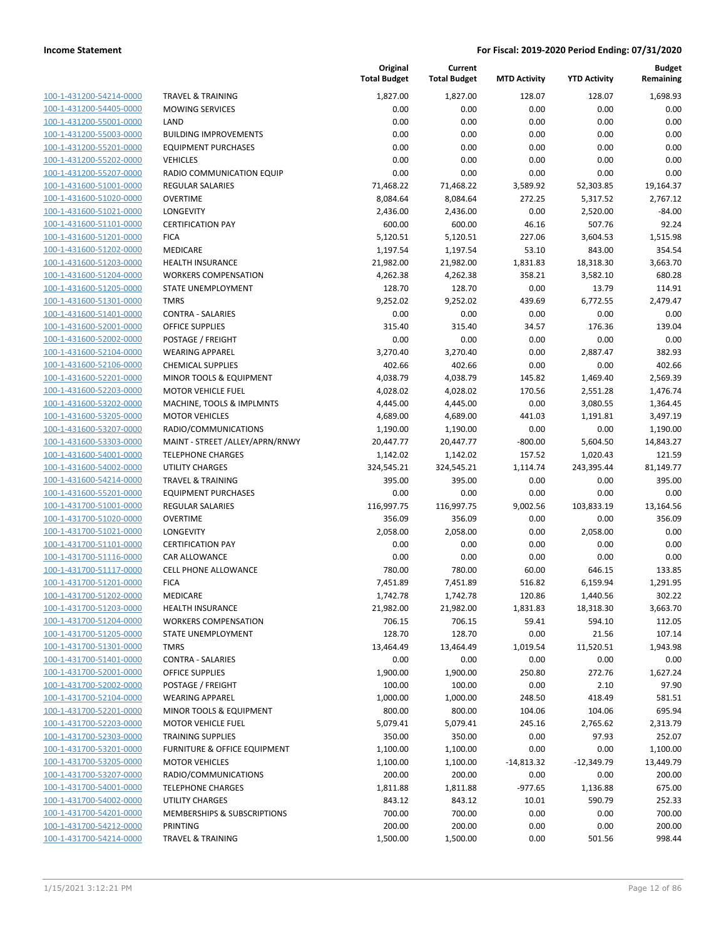| 100-1-431200-54214-0000                                   |
|-----------------------------------------------------------|
| 100-1-431200-54405-0000                                   |
| 100-1-431200-55001-0000                                   |
| 100-1-431200-55003-0000                                   |
| 100-1-431200-55201-0000                                   |
| 100-1-431200-55202-0000                                   |
| 100-1-431200-55207-0000                                   |
| <u>100-1-431600-51001-0000</u>                            |
| 100-1-431600-51020-0000                                   |
| 100-1-431600-51021-0000                                   |
| 100-1-431600-51101-0000                                   |
| 100-1-431600-51201-0000                                   |
| 100-1-431600-51202-0000                                   |
|                                                           |
| 100-1-431600-51203-0000                                   |
| 100-1-431600-51204-0000                                   |
| 100-1-431600-51205-0000                                   |
| 100-1-431600-51301-0000                                   |
| <u>100-1-431600-51401-0000</u>                            |
| 100-1-431600-52001-0000                                   |
| 100-1-431600-52002-0000                                   |
| 100-1-431600-52104-0000                                   |
| 100-1-431600-52106-0000                                   |
| <u>100-1-431600-52201-0000</u>                            |
| 100-1-431600-52203-0000                                   |
| 100-1-431600-53202-0000                                   |
| 100-1-431600-53205-0000                                   |
| 100-1-431600-53207-0000                                   |
| <u>100-1-431600-53303-0000</u>                            |
| 100-1-431600-54001-0000                                   |
| 100-1-431600-54002-0000                                   |
| 100-1-431600-54214-0000                                   |
| 100-1-431600-55201-0000                                   |
| 100-1-431700-51001-0000                                   |
| 100-1-431700-51020-0000                                   |
| 100-1-431700-51021-0000                                   |
|                                                           |
| 100-1-431700-51101-0000                                   |
| 100-1-431700-51116-0000                                   |
| 100-1-431700-51117-0000                                   |
| 100-1-431700-51201-0000                                   |
| 100-1-431700-51202-0000                                   |
| 100-1-431700-51203-0000                                   |
| <u>100-1-431700-51204-0000</u>                            |
| 100-1-431700-51205-0000                                   |
| 100-1-431700-51301-0000                                   |
|                                                           |
| 100-1-431700-51401-0000                                   |
| 100-1-431700-52001-0000                                   |
| 100-1-431700-52002-0000                                   |
| 100-1-431700-52104-0000                                   |
| 100-1-431700-52201-0000                                   |
| 100-1-431700-52203-0000                                   |
| <u>100-1-431700-52303-0000</u>                            |
| <u>100-1-431700-53201-0000</u>                            |
| <u>100-1-431700-53205-0000</u>                            |
| 100-1-431700-53207-0000                                   |
| 100-1-431700-54001-0000                                   |
|                                                           |
| <u>100-1-431700-54002-0000</u>                            |
| <u>100-1-431700-54201-0000</u>                            |
| <u>100-1-431700-54212-0000</u><br>100-1-431700-54214-0000 |

|                         |                                  | Original<br><b>Total Budget</b> | Current<br><b>Total Budget</b> | <b>MTD Activity</b> | <b>YTD Activity</b> | <b>Budget</b><br>Remaining |
|-------------------------|----------------------------------|---------------------------------|--------------------------------|---------------------|---------------------|----------------------------|
| 100-1-431200-54214-0000 | <b>TRAVEL &amp; TRAINING</b>     | 1,827.00                        | 1,827.00                       | 128.07              | 128.07              | 1,698.93                   |
| 100-1-431200-54405-0000 | <b>MOWING SERVICES</b>           | 0.00                            | 0.00                           | 0.00                | 0.00                | 0.00                       |
| 100-1-431200-55001-0000 | LAND                             | 0.00                            | 0.00                           | 0.00                | 0.00                | 0.00                       |
| 100-1-431200-55003-0000 | <b>BUILDING IMPROVEMENTS</b>     | 0.00                            | 0.00                           | 0.00                | 0.00                | 0.00                       |
| 100-1-431200-55201-0000 | <b>EQUIPMENT PURCHASES</b>       | 0.00                            | 0.00                           | 0.00                | 0.00                | 0.00                       |
| 100-1-431200-55202-0000 | <b>VEHICLES</b>                  | 0.00                            | 0.00                           | 0.00                | 0.00                | 0.00                       |
| 100-1-431200-55207-0000 | RADIO COMMUNICATION EQUIP        | 0.00                            | 0.00                           | 0.00                | 0.00                | 0.00                       |
| 100-1-431600-51001-0000 | <b>REGULAR SALARIES</b>          | 71,468.22                       | 71,468.22                      | 3,589.92            | 52,303.85           | 19,164.37                  |
| 100-1-431600-51020-0000 | <b>OVERTIME</b>                  | 8,084.64                        | 8,084.64                       | 272.25              | 5,317.52            | 2,767.12                   |
| 100-1-431600-51021-0000 | LONGEVITY                        | 2,436.00                        | 2,436.00                       | 0.00                | 2,520.00            | $-84.00$                   |
| 100-1-431600-51101-0000 | <b>CERTIFICATION PAY</b>         | 600.00                          | 600.00                         | 46.16               | 507.76              | 92.24                      |
| 100-1-431600-51201-0000 | <b>FICA</b>                      | 5,120.51                        | 5,120.51                       | 227.06              | 3,604.53            | 1,515.98                   |
| 100-1-431600-51202-0000 | MEDICARE                         | 1,197.54                        | 1,197.54                       | 53.10               | 843.00              | 354.54                     |
| 100-1-431600-51203-0000 | <b>HEALTH INSURANCE</b>          | 21,982.00                       | 21,982.00                      | 1,831.83            | 18,318.30           | 3,663.70                   |
| 100-1-431600-51204-0000 | <b>WORKERS COMPENSATION</b>      | 4,262.38                        | 4,262.38                       | 358.21              | 3,582.10            | 680.28                     |
| 100-1-431600-51205-0000 | STATE UNEMPLOYMENT               | 128.70                          | 128.70                         | 0.00                | 13.79               | 114.91                     |
| 100-1-431600-51301-0000 | <b>TMRS</b>                      | 9,252.02                        | 9,252.02                       | 439.69              | 6,772.55            | 2,479.47                   |
| 100-1-431600-51401-0000 | <b>CONTRA - SALARIES</b>         | 0.00                            | 0.00                           | 0.00                | 0.00                | 0.00                       |
| 100-1-431600-52001-0000 | <b>OFFICE SUPPLIES</b>           | 315.40                          | 315.40                         | 34.57               | 176.36              | 139.04                     |
| 100-1-431600-52002-0000 | POSTAGE / FREIGHT                | 0.00                            | 0.00                           | 0.00                | 0.00                | 0.00                       |
| 100-1-431600-52104-0000 | <b>WEARING APPAREL</b>           | 3,270.40                        | 3,270.40                       | 0.00                | 2,887.47            | 382.93                     |
| 100-1-431600-52106-0000 | <b>CHEMICAL SUPPLIES</b>         | 402.66                          | 402.66                         | 0.00                | 0.00                | 402.66                     |
| 100-1-431600-52201-0000 | MINOR TOOLS & EQUIPMENT          | 4,038.79                        | 4,038.79                       | 145.82              | 1,469.40            | 2,569.39                   |
| 100-1-431600-52203-0000 | <b>MOTOR VEHICLE FUEL</b>        | 4,028.02                        | 4,028.02                       | 170.56              | 2,551.28            | 1,476.74                   |
| 100-1-431600-53202-0000 | MACHINE, TOOLS & IMPLMNTS        | 4,445.00                        | 4,445.00                       | 0.00                | 3,080.55            | 1,364.45                   |
| 100-1-431600-53205-0000 | <b>MOTOR VEHICLES</b>            | 4,689.00                        | 4,689.00                       | 441.03              | 1,191.81            | 3,497.19                   |
| 100-1-431600-53207-0000 | RADIO/COMMUNICATIONS             | 1,190.00                        | 1,190.00                       | 0.00                | 0.00                | 1,190.00                   |
| 100-1-431600-53303-0000 | MAINT - STREET / ALLEY/APRN/RNWY | 20,447.77                       | 20,447.77                      | $-800.00$           | 5,604.50            | 14,843.27                  |
| 100-1-431600-54001-0000 | <b>TELEPHONE CHARGES</b>         | 1,142.02                        | 1,142.02                       | 157.52              | 1,020.43            | 121.59                     |
| 100-1-431600-54002-0000 | <b>UTILITY CHARGES</b>           | 324,545.21                      | 324,545.21                     | 1,114.74            | 243,395.44          | 81,149.77                  |
| 100-1-431600-54214-0000 | <b>TRAVEL &amp; TRAINING</b>     | 395.00                          | 395.00                         | 0.00                | 0.00                | 395.00                     |
| 100-1-431600-55201-0000 | <b>EQUIPMENT PURCHASES</b>       | 0.00                            | 0.00                           | 0.00                | 0.00                | 0.00                       |
| 100-1-431700-51001-0000 | REGULAR SALARIES                 | 116,997.75                      | 116,997.75                     | 9,002.56            | 103,833.19          | 13,164.56                  |
| 100-1-431700-51020-0000 | <b>OVERTIME</b>                  | 356.09                          | 356.09                         | 0.00                | 0.00                | 356.09                     |
| 100-1-431700-51021-0000 | LONGEVITY                        | 2,058.00                        | 2,058.00                       | 0.00                | 2,058.00            | 0.00                       |
| 100-1-431700-51101-0000 | <b>CERTIFICATION PAY</b>         | 0.00                            | 0.00                           | 0.00                | 0.00                | 0.00                       |
| 100-1-431700-51116-0000 | <b>CAR ALLOWANCE</b>             | 0.00                            | 0.00                           | 0.00                | 0.00                | 0.00                       |
| 100-1-431700-51117-0000 | <b>CELL PHONE ALLOWANCE</b>      | 780.00                          | 780.00                         | 60.00               | 646.15              | 133.85                     |
| 100-1-431700-51201-0000 | <b>FICA</b>                      | 7,451.89                        | 7,451.89                       | 516.82              | 6,159.94            | 1,291.95                   |
| 100-1-431700-51202-0000 | MEDICARE                         | 1,742.78                        | 1,742.78                       | 120.86              | 1,440.56            | 302.22                     |
| 100-1-431700-51203-0000 | <b>HEALTH INSURANCE</b>          | 21,982.00                       | 21,982.00                      | 1,831.83            | 18,318.30           | 3,663.70                   |
| 100-1-431700-51204-0000 | <b>WORKERS COMPENSATION</b>      | 706.15                          | 706.15                         | 59.41               | 594.10              | 112.05                     |
| 100-1-431700-51205-0000 | STATE UNEMPLOYMENT               | 128.70                          | 128.70                         | 0.00                | 21.56               | 107.14                     |
| 100-1-431700-51301-0000 | <b>TMRS</b>                      | 13,464.49                       | 13,464.49                      | 1,019.54            | 11,520.51           | 1,943.98                   |
| 100-1-431700-51401-0000 | <b>CONTRA - SALARIES</b>         | 0.00                            | 0.00                           | 0.00                | 0.00                | 0.00                       |
| 100-1-431700-52001-0000 | <b>OFFICE SUPPLIES</b>           | 1,900.00                        | 1,900.00                       | 250.80              | 272.76              | 1,627.24                   |
| 100-1-431700-52002-0000 | POSTAGE / FREIGHT                | 100.00                          | 100.00                         | 0.00                | 2.10                | 97.90                      |
| 100-1-431700-52104-0000 | <b>WEARING APPAREL</b>           | 1,000.00                        | 1,000.00                       | 248.50              | 418.49              | 581.51                     |
| 100-1-431700-52201-0000 | MINOR TOOLS & EQUIPMENT          | 800.00                          | 800.00                         | 104.06              | 104.06              | 695.94                     |
| 100-1-431700-52203-0000 | <b>MOTOR VEHICLE FUEL</b>        | 5,079.41                        | 5,079.41                       | 245.16              | 2,765.62            | 2,313.79                   |
| 100-1-431700-52303-0000 | <b>TRAINING SUPPLIES</b>         | 350.00                          | 350.00                         | 0.00                | 97.93               | 252.07                     |
| 100-1-431700-53201-0000 | FURNITURE & OFFICE EQUIPMENT     | 1,100.00                        | 1,100.00                       | 0.00                | 0.00                | 1,100.00                   |
| 100-1-431700-53205-0000 | <b>MOTOR VEHICLES</b>            | 1,100.00                        | 1,100.00                       | $-14,813.32$        | $-12,349.79$        | 13,449.79                  |
| 100-1-431700-53207-0000 | RADIO/COMMUNICATIONS             | 200.00                          | 200.00                         | 0.00                | 0.00                | 200.00                     |
| 100-1-431700-54001-0000 | <b>TELEPHONE CHARGES</b>         | 1,811.88                        | 1,811.88                       | $-977.65$           | 1,136.88            | 675.00                     |
| 100-1-431700-54002-0000 | UTILITY CHARGES                  | 843.12                          | 843.12                         | 10.01               | 590.79              | 252.33                     |
| 100-1-431700-54201-0000 | MEMBERSHIPS & SUBSCRIPTIONS      | 700.00                          | 700.00                         | 0.00                | 0.00                | 700.00                     |
| 100-1-431700-54212-0000 | PRINTING                         | 200.00                          | 200.00                         | 0.00                | 0.00                | 200.00                     |
| 100-1-431700-54214-0000 | <b>TRAVEL &amp; TRAINING</b>     | 1,500.00                        | 1,500.00                       | 0.00                | 501.56              | 998.44                     |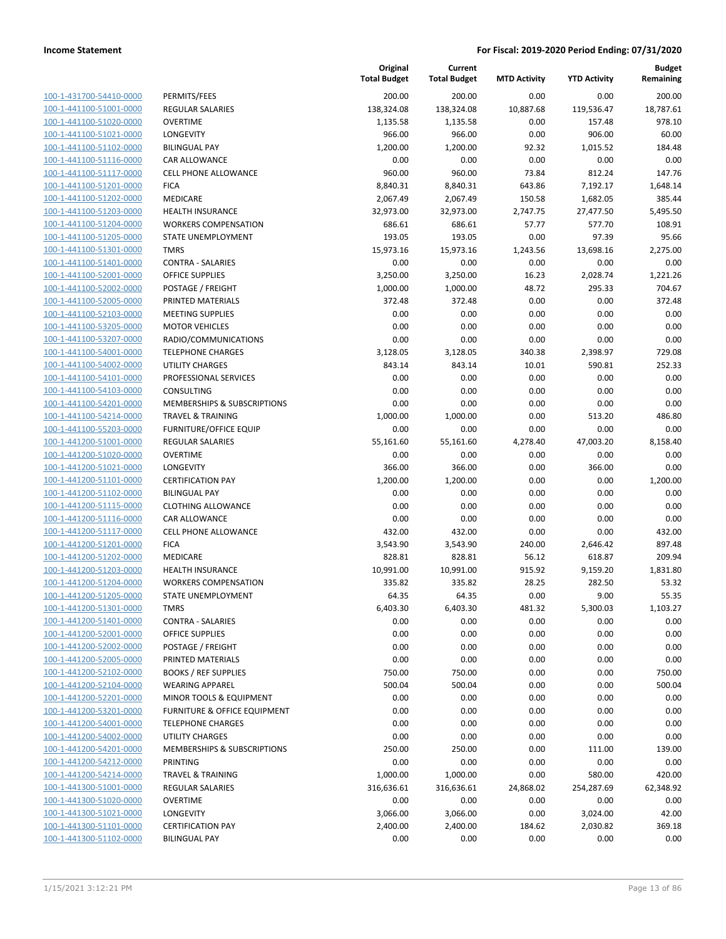| 100-1-431700-54410-0000        |
|--------------------------------|
| 100-1-441100-51001-0000        |
| 100-1-441100-51020-0000        |
| 100-1-441100-51021-0000        |
| 100-1-441100-51102-0000        |
| <u>100-1-441100-51116-0000</u> |
| 100-1-441100-51117-0000        |
| 100-1-441100-51201-0000        |
| 100-1-441100-51202-0000        |
| 100-1-441100-51203-0000        |
| 100-1-441100-51204-0000        |
| 100-1-441100-51205-0000        |
| 100-1-441100-51301-0000        |
| 100-1-441100-51401-0000        |
|                                |
| 100-1-441100-52001-0000        |
| 100-1-441100-52002-0000        |
| 100-1-441100-52005-0000        |
| 100-1-441100-52103-0000        |
| 100-1-441100-53205-0000        |
| 100-1-441100-53207-0000        |
| 100-1-441100-54001-0000        |
| 100-1-441100-54002-0000        |
| 100-1-441100-54101-0000        |
| 100-1-441100-54103-0000        |
| 100-1-441100-54201-0000        |
| 100-1-441100-54214-0000        |
| 100-1-441100-55203-0000        |
| 100-1-441200-51001-0000        |
| 100-1-441200-51020-0000        |
| 100-1-441200-51021-0000        |
|                                |
| 100-1-441200-51101-0000        |
| 100-1-441200-51102-0000        |
| 100-1-441200-51115-0000        |
| 100-1-441200-51116-0000        |
| 100-1-441200-51117-0000        |
| 100-1-441200-51201-0000        |
| 100-1-441200-51202-0000        |
| 100-1-441200-51203-0000        |
| 100-1-441200-51204-0000        |
| 100-1-441200-51205-0000        |
| 100-1-441200-51301-0000        |
| <u>100-1-441200-51401-0000</u> |
| <u>100-1-441200-52001-0000</u> |
| 100-1-441200-52002-0000        |
| 100-1-441200-52005-0000        |
| <u>100-1-441200-52102-0000</u> |
| <u>100-1-441200-52104-0000</u> |
| <u>100-1-441200-52201-0000</u> |
|                                |
| 100-1-441200-53201-0000        |
| <u>100-1-441200-54001-0000</u> |
| <u>100-1-441200-54002-0000</u> |
| <u>100-1-441200-54201-0000</u> |
| 100-1-441200-54212-0000        |
| 100-1-441200-54214-0000        |
| 100-1-441300-51001-0000        |
| <u>100-1-441300-51020-0000</u> |
| <u>100-1-441300-51021-0000</u> |
| <u>100-1-441300-51101-0000</u> |
| 100-1-441300-51102-0000        |
|                                |

|                                                    |                                         | Original<br><b>Total Budget</b> | Current<br><b>Total Budget</b> | <b>MTD Activity</b> | <b>YTD Activity</b> | <b>Budget</b><br>Remaining |
|----------------------------------------------------|-----------------------------------------|---------------------------------|--------------------------------|---------------------|---------------------|----------------------------|
| 100-1-431700-54410-0000                            | PERMITS/FEES                            | 200.00                          | 200.00                         | 0.00                | 0.00                | 200.00                     |
| 100-1-441100-51001-0000                            | <b>REGULAR SALARIES</b>                 | 138,324.08                      | 138,324.08                     | 10,887.68           | 119,536.47          | 18,787.61                  |
| 100-1-441100-51020-0000                            | <b>OVERTIME</b>                         | 1,135.58                        | 1,135.58                       | 0.00                | 157.48              | 978.10                     |
| 100-1-441100-51021-0000                            | LONGEVITY                               | 966.00                          | 966.00                         | 0.00                | 906.00              | 60.00                      |
| 100-1-441100-51102-0000                            | <b>BILINGUAL PAY</b>                    | 1,200.00                        | 1,200.00                       | 92.32               | 1,015.52            | 184.48                     |
| 100-1-441100-51116-0000                            | CAR ALLOWANCE                           | 0.00                            | 0.00                           | 0.00                | 0.00                | 0.00                       |
| 100-1-441100-51117-0000                            | <b>CELL PHONE ALLOWANCE</b>             | 960.00                          | 960.00                         | 73.84               | 812.24              | 147.76                     |
| 100-1-441100-51201-0000                            | <b>FICA</b>                             | 8,840.31                        | 8,840.31                       | 643.86              | 7,192.17            | 1,648.14                   |
| 100-1-441100-51202-0000                            | MEDICARE                                | 2,067.49                        | 2,067.49                       | 150.58              | 1,682.05            | 385.44                     |
| 100-1-441100-51203-0000                            | <b>HEALTH INSURANCE</b>                 | 32,973.00                       | 32,973.00                      | 2,747.75            | 27,477.50           | 5,495.50                   |
| 100-1-441100-51204-0000                            | <b>WORKERS COMPENSATION</b>             | 686.61                          | 686.61                         | 57.77               | 577.70              | 108.91                     |
| 100-1-441100-51205-0000                            | STATE UNEMPLOYMENT                      | 193.05                          | 193.05                         | 0.00                | 97.39               | 95.66                      |
| 100-1-441100-51301-0000                            | <b>TMRS</b>                             | 15,973.16                       | 15,973.16                      | 1,243.56            | 13,698.16           | 2,275.00                   |
| 100-1-441100-51401-0000                            | <b>CONTRA - SALARIES</b>                | 0.00                            | 0.00                           | 0.00                | 0.00                | 0.00                       |
| 100-1-441100-52001-0000                            | <b>OFFICE SUPPLIES</b>                  | 3,250.00                        | 3,250.00                       | 16.23               | 2,028.74            | 1,221.26                   |
| 100-1-441100-52002-0000                            | POSTAGE / FREIGHT                       | 1,000.00                        | 1,000.00                       | 48.72               | 295.33              | 704.67                     |
| 100-1-441100-52005-0000                            | PRINTED MATERIALS                       | 372.48                          | 372.48                         | 0.00                | 0.00                | 372.48                     |
| 100-1-441100-52103-0000                            | <b>MEETING SUPPLIES</b>                 | 0.00                            | 0.00                           | 0.00                | 0.00                | 0.00                       |
| 100-1-441100-53205-0000<br>100-1-441100-53207-0000 | <b>MOTOR VEHICLES</b>                   | 0.00                            | 0.00                           | 0.00                | 0.00                | 0.00                       |
|                                                    | RADIO/COMMUNICATIONS                    | 0.00                            | 0.00                           | 0.00                | 0.00                | 0.00                       |
| 100-1-441100-54001-0000                            | <b>TELEPHONE CHARGES</b>                | 3,128.05                        | 3,128.05                       | 340.38              | 2,398.97            | 729.08                     |
| 100-1-441100-54002-0000<br>100-1-441100-54101-0000 | <b>UTILITY CHARGES</b>                  | 843.14                          | 843.14                         | 10.01               | 590.81              | 252.33                     |
| 100-1-441100-54103-0000                            | PROFESSIONAL SERVICES<br>CONSULTING     | 0.00                            | 0.00                           | 0.00                | 0.00                | 0.00                       |
| 100-1-441100-54201-0000                            | <b>MEMBERSHIPS &amp; SUBSCRIPTIONS</b>  | 0.00<br>0.00                    | 0.00<br>0.00                   | 0.00<br>0.00        | 0.00<br>0.00        | 0.00<br>0.00               |
| 100-1-441100-54214-0000                            | <b>TRAVEL &amp; TRAINING</b>            | 1,000.00                        | 1,000.00                       | 0.00                | 513.20              | 486.80                     |
| 100-1-441100-55203-0000                            | <b>FURNITURE/OFFICE EQUIP</b>           | 0.00                            | 0.00                           | 0.00                | 0.00                | 0.00                       |
| 100-1-441200-51001-0000                            | <b>REGULAR SALARIES</b>                 | 55,161.60                       | 55,161.60                      | 4,278.40            | 47,003.20           | 8,158.40                   |
| 100-1-441200-51020-0000                            | <b>OVERTIME</b>                         | 0.00                            | 0.00                           | 0.00                | 0.00                | 0.00                       |
| 100-1-441200-51021-0000                            | LONGEVITY                               | 366.00                          | 366.00                         | 0.00                | 366.00              | 0.00                       |
| 100-1-441200-51101-0000                            | <b>CERTIFICATION PAY</b>                | 1,200.00                        | 1,200.00                       | 0.00                | 0.00                | 1,200.00                   |
| 100-1-441200-51102-0000                            | <b>BILINGUAL PAY</b>                    | 0.00                            | 0.00                           | 0.00                | 0.00                | 0.00                       |
| 100-1-441200-51115-0000                            | <b>CLOTHING ALLOWANCE</b>               | 0.00                            | 0.00                           | 0.00                | 0.00                | 0.00                       |
| 100-1-441200-51116-0000                            | <b>CAR ALLOWANCE</b>                    | 0.00                            | 0.00                           | 0.00                | 0.00                | 0.00                       |
| 100-1-441200-51117-0000                            | <b>CELL PHONE ALLOWANCE</b>             | 432.00                          | 432.00                         | 0.00                | 0.00                | 432.00                     |
| 100-1-441200-51201-0000                            | <b>FICA</b>                             | 3,543.90                        | 3,543.90                       | 240.00              | 2,646.42            | 897.48                     |
| 100-1-441200-51202-0000                            | MEDICARE                                | 828.81                          | 828.81                         | 56.12               | 618.87              | 209.94                     |
| 100-1-441200-51203-0000                            | <b>HEALTH INSURANCE</b>                 | 10,991.00                       | 10,991.00                      | 915.92              | 9,159.20            | 1,831.80                   |
| 100-1-441200-51204-0000                            | <b>WORKERS COMPENSATION</b>             | 335.82                          | 335.82                         | 28.25               | 282.50              | 53.32                      |
| 100-1-441200-51205-0000                            | STATE UNEMPLOYMENT                      | 64.35                           | 64.35                          | 0.00                | 9.00                | 55.35                      |
| 100-1-441200-51301-0000                            | TMRS                                    | 6,403.30                        | 6,403.30                       | 481.32              | 5,300.03            | 1,103.27                   |
| 100-1-441200-51401-0000                            | <b>CONTRA - SALARIES</b>                | 0.00                            | 0.00                           | 0.00                | 0.00                | 0.00                       |
| 100-1-441200-52001-0000                            | <b>OFFICE SUPPLIES</b>                  | 0.00                            | 0.00                           | 0.00                | 0.00                | 0.00                       |
| 100-1-441200-52002-0000                            | POSTAGE / FREIGHT                       | 0.00                            | 0.00                           | 0.00                | 0.00                | 0.00                       |
| 100-1-441200-52005-0000                            | PRINTED MATERIALS                       | 0.00                            | 0.00                           | 0.00                | 0.00                | 0.00                       |
| 100-1-441200-52102-0000                            | <b>BOOKS / REF SUPPLIES</b>             | 750.00                          | 750.00                         | 0.00                | 0.00                | 750.00                     |
| 100-1-441200-52104-0000                            | <b>WEARING APPAREL</b>                  | 500.04                          | 500.04                         | 0.00                | 0.00                | 500.04                     |
| 100-1-441200-52201-0000                            | MINOR TOOLS & EQUIPMENT                 | 0.00                            | 0.00                           | 0.00                | 0.00                | 0.00                       |
| 100-1-441200-53201-0000                            | <b>FURNITURE &amp; OFFICE EQUIPMENT</b> | 0.00                            | 0.00                           | 0.00                | 0.00                | 0.00                       |
| 100-1-441200-54001-0000                            | <b>TELEPHONE CHARGES</b>                | 0.00                            | 0.00                           | 0.00                | 0.00                | 0.00                       |
| 100-1-441200-54002-0000                            | UTILITY CHARGES                         | 0.00                            | 0.00                           | 0.00                | 0.00                | 0.00                       |
| 100-1-441200-54201-0000                            | MEMBERSHIPS & SUBSCRIPTIONS             | 250.00                          | 250.00                         | 0.00                | 111.00              | 139.00                     |
| 100-1-441200-54212-0000                            | PRINTING                                | 0.00                            | 0.00                           | 0.00                | 0.00                | 0.00                       |
| 100-1-441200-54214-0000                            | <b>TRAVEL &amp; TRAINING</b>            | 1,000.00                        | 1,000.00                       | 0.00                | 580.00              | 420.00                     |
| 100-1-441300-51001-0000                            | REGULAR SALARIES                        | 316,636.61                      | 316,636.61                     | 24,868.02           | 254,287.69          | 62,348.92                  |
| 100-1-441300-51020-0000                            | <b>OVERTIME</b>                         | 0.00                            | 0.00                           | 0.00                | 0.00                | 0.00                       |
| 100-1-441300-51021-0000                            | LONGEVITY                               | 3,066.00                        | 3,066.00                       | 0.00                | 3,024.00            | 42.00                      |
| 100-1-441300-51101-0000                            | <b>CERTIFICATION PAY</b>                | 2,400.00                        | 2,400.00                       | 184.62              | 2,030.82            | 369.18                     |
| 100-1-441300-51102-0000                            | <b>BILINGUAL PAY</b>                    | 0.00                            | 0.00                           | 0.00                | 0.00                | 0.00                       |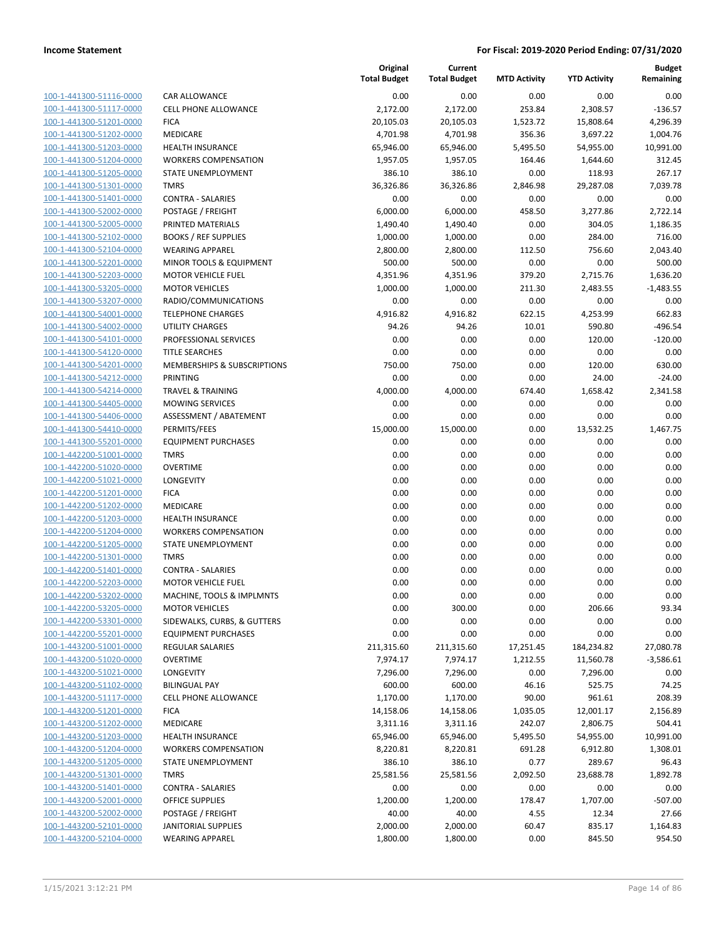| 100-1-441300-51116-0000        |
|--------------------------------|
| 100-1-441300-51117-0000        |
| 100-1-441300-51201-0000        |
| 100-1-441300-51202-0000        |
| 100-1-441300-51203-0000        |
| 100-1-441300-51204-0000        |
| 100-1-441300-51205-0000        |
| 100-1-441300-51301-0000        |
| 100-1-441300-51401-0000        |
| 100-1-441300-52002-0000        |
| 100-1-441300-52005-0000        |
| 100-1-441300-52102-0000        |
| 100-1-441300-52104-0000        |
| 100-1-441300-52201-0000        |
| 100-1-441300-52203-0000        |
| 100-1-441300-53205-0000        |
| 100-1-441300-53207-0000        |
| 100-1-441300-54001-0000        |
| 100-1-441300-54002-0000        |
| 100-1-441300-54101-0000        |
| 100-1-441300-54120-0000        |
| 100-1-441300-54201-0000        |
| 100-1-441300-54212-0000        |
| 100-1-441300-54214-0000        |
| 100-1-441300-54405-0000        |
| 100-1-441300-54406-0000        |
| 100-1-441300-54410-0000        |
|                                |
| 100-1-441300-55201-0000        |
| 100-1-442200-51001-0000        |
| 100-1-442200-51020-0000        |
| 100-1-442200-51021-0000        |
| 100-1-442200-51201-0000        |
| 100-1-442200-51202-0000        |
| 100-1-442200-51203-0000        |
| 100-1-442200-51204-0000        |
| 100-1-442200-51205-0000        |
| 100-1-442200-51301-0000        |
| 100-1-442200-51401-0000        |
| 100-1-442200-52203-0000        |
| 100-1-442200-53202-0000        |
| 100-1-442200-53205-0000        |
| <u>100-1-442200-53301-0000</u> |
| 100-1-442200-55201-0000        |
| 100-1-443200-51001-0000        |
| 100-1-443200-51020-0000        |
| <u>100-1-443200-51021-0000</u> |
| <u>100-1-443200-51102-0000</u> |
| 100-1-443200-51117-0000        |
| 100-1-443200-51201-0000        |
| <u>100-1-443200-51202-0000</u> |
| <u>100-1-443200-51203-0000</u> |
| <u>100-1-443200-51204-0000</u> |
| 100-1-443200-51205-0000        |
| 100-1-443200-51301-0000        |
| <u>100-1-443200-51401-0000</u> |
| <u>100-1-443200-52001-0000</u> |
| <u>100-1-443200-52002-0000</u> |
| <u>100-1-443200-52101-0000</u> |
| 100-1-443200-52104-0000        |
|                                |

|                         |                                        | Original<br><b>Total Budget</b> | Current<br><b>Total Budget</b> | <b>MTD Activity</b> | <b>YTD Activity</b> | <b>Budget</b><br>Remaining |
|-------------------------|----------------------------------------|---------------------------------|--------------------------------|---------------------|---------------------|----------------------------|
| 100-1-441300-51116-0000 | <b>CAR ALLOWANCE</b>                   | 0.00                            | 0.00                           | 0.00                | 0.00                | 0.00                       |
| 100-1-441300-51117-0000 | <b>CELL PHONE ALLOWANCE</b>            | 2,172.00                        | 2,172.00                       | 253.84              | 2,308.57            | $-136.57$                  |
| 100-1-441300-51201-0000 | <b>FICA</b>                            | 20,105.03                       | 20,105.03                      | 1,523.72            | 15,808.64           | 4,296.39                   |
| 100-1-441300-51202-0000 | MEDICARE                               | 4,701.98                        | 4,701.98                       | 356.36              | 3,697.22            | 1,004.76                   |
| 100-1-441300-51203-0000 | <b>HEALTH INSURANCE</b>                | 65,946.00                       | 65,946.00                      | 5,495.50            | 54,955.00           | 10,991.00                  |
| 100-1-441300-51204-0000 | <b>WORKERS COMPENSATION</b>            | 1,957.05                        | 1,957.05                       | 164.46              | 1,644.60            | 312.45                     |
| 100-1-441300-51205-0000 | STATE UNEMPLOYMENT                     | 386.10                          | 386.10                         | 0.00                | 118.93              | 267.17                     |
| 100-1-441300-51301-0000 | <b>TMRS</b>                            | 36,326.86                       | 36,326.86                      | 2,846.98            | 29,287.08           | 7,039.78                   |
| 100-1-441300-51401-0000 | <b>CONTRA - SALARIES</b>               | 0.00                            | 0.00                           | 0.00                | 0.00                | 0.00                       |
| 100-1-441300-52002-0000 | POSTAGE / FREIGHT                      | 6,000.00                        | 6,000.00                       | 458.50              | 3,277.86            | 2,722.14                   |
| 100-1-441300-52005-0000 | PRINTED MATERIALS                      | 1,490.40                        | 1,490.40                       | 0.00                | 304.05              | 1,186.35                   |
| 100-1-441300-52102-0000 | <b>BOOKS / REF SUPPLIES</b>            | 1,000.00                        | 1,000.00                       | 0.00                | 284.00              | 716.00                     |
| 100-1-441300-52104-0000 | <b>WEARING APPAREL</b>                 | 2,800.00                        | 2,800.00                       | 112.50              | 756.60              | 2,043.40                   |
| 100-1-441300-52201-0000 | MINOR TOOLS & EQUIPMENT                | 500.00                          | 500.00                         | 0.00                | 0.00                | 500.00                     |
| 100-1-441300-52203-0000 | <b>MOTOR VEHICLE FUEL</b>              | 4,351.96                        | 4,351.96                       | 379.20              | 2,715.76            | 1,636.20                   |
| 100-1-441300-53205-0000 | <b>MOTOR VEHICLES</b>                  | 1,000.00                        | 1,000.00                       | 211.30              | 2,483.55            | $-1,483.55$                |
| 100-1-441300-53207-0000 | RADIO/COMMUNICATIONS                   | 0.00                            | 0.00                           | 0.00                | 0.00                | 0.00                       |
| 100-1-441300-54001-0000 | <b>TELEPHONE CHARGES</b>               | 4,916.82                        | 4,916.82                       | 622.15              | 4,253.99            | 662.83                     |
| 100-1-441300-54002-0000 | <b>UTILITY CHARGES</b>                 | 94.26                           | 94.26                          | 10.01               | 590.80              | $-496.54$                  |
| 100-1-441300-54101-0000 | PROFESSIONAL SERVICES                  | 0.00                            | 0.00                           | 0.00                | 120.00              | $-120.00$                  |
| 100-1-441300-54120-0000 | <b>TITLE SEARCHES</b>                  | 0.00                            | 0.00                           | 0.00                | 0.00                | 0.00                       |
| 100-1-441300-54201-0000 | <b>MEMBERSHIPS &amp; SUBSCRIPTIONS</b> | 750.00                          | 750.00                         | 0.00                | 120.00              | 630.00                     |
| 100-1-441300-54212-0000 | PRINTING                               | 0.00                            | 0.00                           | 0.00                | 24.00               | $-24.00$                   |
| 100-1-441300-54214-0000 | <b>TRAVEL &amp; TRAINING</b>           | 4,000.00                        | 4,000.00                       | 674.40              | 1,658.42            | 2,341.58                   |
| 100-1-441300-54405-0000 | <b>MOWING SERVICES</b>                 | 0.00                            | 0.00                           | 0.00                | 0.00                | 0.00                       |
| 100-1-441300-54406-0000 | ASSESSMENT / ABATEMENT                 | 0.00                            | 0.00                           | 0.00                | 0.00                | 0.00                       |
| 100-1-441300-54410-0000 | PERMITS/FEES                           | 15,000.00                       | 15,000.00                      | 0.00                | 13,532.25           | 1,467.75                   |
| 100-1-441300-55201-0000 | <b>EQUIPMENT PURCHASES</b>             | 0.00                            | 0.00                           | 0.00                | 0.00                | 0.00                       |
| 100-1-442200-51001-0000 | <b>TMRS</b>                            | 0.00                            | 0.00                           | 0.00                | 0.00                | 0.00                       |
| 100-1-442200-51020-0000 | <b>OVERTIME</b>                        | 0.00                            | 0.00                           | 0.00                | 0.00                | 0.00                       |
| 100-1-442200-51021-0000 | LONGEVITY                              | 0.00                            | 0.00                           | 0.00                | 0.00                | 0.00                       |
| 100-1-442200-51201-0000 | <b>FICA</b>                            | 0.00                            | 0.00                           | 0.00                | 0.00                | 0.00                       |
| 100-1-442200-51202-0000 | MEDICARE                               | 0.00                            | 0.00                           | 0.00                | 0.00                | 0.00                       |
| 100-1-442200-51203-0000 | <b>HEALTH INSURANCE</b>                | 0.00                            | 0.00                           | 0.00                | 0.00                | 0.00                       |
| 100-1-442200-51204-0000 | <b>WORKERS COMPENSATION</b>            | 0.00                            | 0.00                           | 0.00                | 0.00                | 0.00                       |
| 100-1-442200-51205-0000 | STATE UNEMPLOYMENT                     | 0.00                            | 0.00                           | 0.00                | 0.00                | 0.00                       |
| 100-1-442200-51301-0000 | <b>TMRS</b>                            | 0.00                            | 0.00                           | 0.00                | 0.00                | 0.00                       |
| 100-1-442200-51401-0000 | <b>CONTRA - SALARIES</b>               | 0.00                            | 0.00                           | 0.00                | 0.00                | 0.00                       |
| 100-1-442200-52203-0000 | <b>MOTOR VEHICLE FUEL</b>              | 0.00                            | 0.00                           | 0.00                | 0.00                | 0.00                       |
| 100-1-442200-53202-0000 | MACHINE, TOOLS & IMPLMNTS              | 0.00                            | 0.00                           | 0.00                | 0.00                | 0.00                       |
| 100-1-442200-53205-0000 | <b>MOTOR VEHICLES</b>                  | 0.00                            | 300.00                         | 0.00                | 206.66              | 93.34                      |
| 100-1-442200-53301-0000 | SIDEWALKS, CURBS, & GUTTERS            | 0.00                            | 0.00                           | 0.00                | 0.00                | 0.00                       |
| 100-1-442200-55201-0000 | <b>EQUIPMENT PURCHASES</b>             | 0.00                            | 0.00                           | 0.00                | 0.00                | 0.00                       |
| 100-1-443200-51001-0000 | <b>REGULAR SALARIES</b>                | 211,315.60                      | 211,315.60                     | 17,251.45           | 184,234.82          | 27,080.78                  |
| 100-1-443200-51020-0000 | <b>OVERTIME</b>                        | 7,974.17                        | 7,974.17                       | 1,212.55            | 11,560.78           | $-3,586.61$                |
| 100-1-443200-51021-0000 | LONGEVITY                              | 7,296.00                        | 7,296.00                       | 0.00                | 7,296.00            | 0.00                       |
| 100-1-443200-51102-0000 | <b>BILINGUAL PAY</b>                   | 600.00                          | 600.00                         | 46.16               | 525.75              | 74.25                      |
| 100-1-443200-51117-0000 | <b>CELL PHONE ALLOWANCE</b>            | 1,170.00                        | 1,170.00                       | 90.00               | 961.61              | 208.39                     |
| 100-1-443200-51201-0000 | <b>FICA</b>                            | 14,158.06                       | 14,158.06                      | 1,035.05            | 12,001.17           | 2,156.89                   |
| 100-1-443200-51202-0000 | MEDICARE                               | 3,311.16                        | 3,311.16                       | 242.07              | 2,806.75            | 504.41                     |
| 100-1-443200-51203-0000 | <b>HEALTH INSURANCE</b>                | 65,946.00                       | 65,946.00                      | 5,495.50            | 54,955.00           | 10,991.00                  |
| 100-1-443200-51204-0000 | <b>WORKERS COMPENSATION</b>            | 8,220.81                        | 8,220.81                       | 691.28              | 6,912.80            | 1,308.01                   |
| 100-1-443200-51205-0000 | STATE UNEMPLOYMENT                     | 386.10                          | 386.10                         | 0.77                | 289.67              | 96.43                      |
| 100-1-443200-51301-0000 | <b>TMRS</b>                            | 25,581.56                       | 25,581.56                      | 2,092.50            | 23,688.78           | 1,892.78                   |
| 100-1-443200-51401-0000 | <b>CONTRA - SALARIES</b>               | 0.00                            | 0.00                           | 0.00                | 0.00                | 0.00                       |
| 100-1-443200-52001-0000 | OFFICE SUPPLIES                        | 1,200.00                        | 1,200.00                       | 178.47              | 1,707.00            | $-507.00$                  |
| 100-1-443200-52002-0000 | POSTAGE / FREIGHT                      | 40.00                           | 40.00                          | 4.55                | 12.34               | 27.66                      |
| 100-1-443200-52101-0000 | <b>JANITORIAL SUPPLIES</b>             | 2,000.00                        | 2,000.00                       | 60.47               | 835.17              | 1,164.83                   |
| 100-1-443200-52104-0000 | <b>WEARING APPAREL</b>                 | 1,800.00                        | 1,800.00                       | 0.00                | 845.50              | 954.50                     |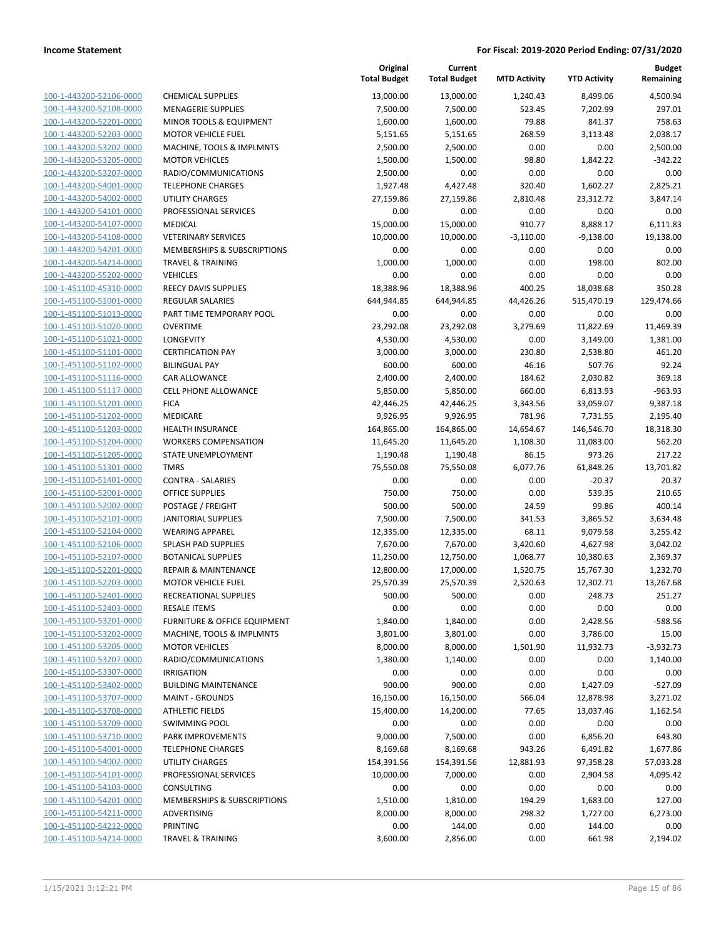| 100-1-443200-52106-0000        |
|--------------------------------|
| 100-1-443200-52108-0000        |
| 100-1-443200-52201-0000        |
| 100-1-443200-52203-0000        |
| 100-1-443200-53202-0000        |
| 100-1-443200-53205-0000        |
|                                |
| 100-1-443200-53207-0000        |
| 100-1-443200-54001-0000        |
| 100-1-443200-54002-0000        |
| 100-1-443200-54101-0000        |
| 100-1-443200-54107-0000        |
| 100-1-443200-54108-0000        |
| 100-1-443200-54201-0000        |
| 100-1-443200-54214-0000        |
| 100-1-443200-55202-0000        |
| 100-1-451100-45310-0000        |
|                                |
| 100-1-451100-51001-0000        |
| 100-1-451100-51013-0000        |
| 100-1-451100-51020-0000        |
| 100-1-451100-51021-0000        |
| 100-1-451100-51101-0000        |
| 100-1-451100-51102-0000        |
| <u>100-1-451100-51116-0000</u> |
| 100-1-451100-51117-0000        |
| 100-1-451100-51201-0000        |
| 100-1-451100-51202-0000        |
|                                |
| 100-1-451100-51203-0000        |
| 100-1-451100-51204-0000        |
| 100-1-451100-51205-0000        |
| 100-1-451100-51301-0000        |
| 100-1-451100-51401-0000        |
| 100-1-451100-52001-0000        |
| <u>100-1-451100-52002-0000</u> |
| 100-1-451100-52101-0000        |
| 100-1-451100-52104-0000        |
| 100-1-451100-52106-0000        |
|                                |
| 100-1-451100-52107-0000        |
| 100-1-451100-52201-0000        |
| 100-1-451100-52203-0000        |
| 100-1-451100-52401-0000        |
| 100-1-451100-52403-0000        |
| 100-1-451100-53201-0000        |
| <u>100-1-451100-53202-0000</u> |
| 100-1-451100-53205-0000        |
| 100-1-451100-53207-0000        |
|                                |
| <u>100-1-451100-53307-0000</u> |
| 100-1-451100-53402-0000        |
| 100-1-451100-53707-0000        |
| 100-1-451100-53708-0000        |
| 100-1-451100-53709-0000        |
| 100-1-451100-53710-0000        |
| <u>100-1-451100-54001-0000</u> |
| <u>100-1-451100-54002-0000</u> |
| <u>100-1-451100-54101-0000</u> |
| <u>100-1-451100-54103-0000</u> |
|                                |
| <u>100-1-451100-54201-0000</u> |
| <u>100-1-451100-54211-0000</u> |
| 100-1-451100-54212-0000        |
| <u>100-1-451100-54214-0000</u> |
|                                |

|                                                    |                                                        | Original<br><b>Total Budget</b> | Current<br><b>Total Budget</b> | <b>MTD Activity</b> | <b>YTD Activity</b> | Budget<br>Remaining |
|----------------------------------------------------|--------------------------------------------------------|---------------------------------|--------------------------------|---------------------|---------------------|---------------------|
| 100-1-443200-52106-0000                            | <b>CHEMICAL SUPPLIES</b>                               | 13,000.00                       | 13,000.00                      | 1,240.43            | 8,499.06            | 4,500.94            |
| 100-1-443200-52108-0000                            | <b>MENAGERIE SUPPLIES</b>                              | 7,500.00                        | 7,500.00                       | 523.45              | 7,202.99            | 297.01              |
| 100-1-443200-52201-0000                            | MINOR TOOLS & EQUIPMENT                                | 1,600.00                        | 1,600.00                       | 79.88               | 841.37              | 758.63              |
| 100-1-443200-52203-0000                            | <b>MOTOR VEHICLE FUEL</b>                              | 5,151.65                        | 5,151.65                       | 268.59              | 3,113.48            | 2,038.17            |
| 100-1-443200-53202-0000                            | MACHINE, TOOLS & IMPLMNTS                              | 2,500.00                        | 2,500.00                       | 0.00                | 0.00                | 2,500.00            |
| 100-1-443200-53205-0000                            | <b>MOTOR VEHICLES</b>                                  | 1,500.00                        | 1,500.00                       | 98.80               | 1,842.22            | $-342.22$           |
| 100-1-443200-53207-0000                            | RADIO/COMMUNICATIONS                                   | 2,500.00                        | 0.00                           | 0.00                | 0.00                | 0.00                |
| 100-1-443200-54001-0000                            | <b>TELEPHONE CHARGES</b>                               | 1,927.48                        | 4,427.48                       | 320.40              | 1,602.27            | 2,825.21            |
| 100-1-443200-54002-0000                            | <b>UTILITY CHARGES</b>                                 | 27,159.86                       | 27,159.86                      | 2,810.48            | 23,312.72           | 3,847.14            |
| 100-1-443200-54101-0000                            | PROFESSIONAL SERVICES                                  | 0.00                            | 0.00                           | 0.00                | 0.00                | 0.00                |
| 100-1-443200-54107-0000                            | <b>MEDICAL</b>                                         | 15,000.00                       | 15,000.00                      | 910.77              | 8,888.17            | 6,111.83            |
| 100-1-443200-54108-0000                            | <b>VETERINARY SERVICES</b>                             | 10,000.00                       | 10,000.00                      | $-3,110.00$         | $-9,138.00$         | 19,138.00           |
| 100-1-443200-54201-0000                            | <b>MEMBERSHIPS &amp; SUBSCRIPTIONS</b>                 | 0.00                            | 0.00                           | 0.00                | 0.00                | 0.00                |
| 100-1-443200-54214-0000                            | <b>TRAVEL &amp; TRAINING</b>                           | 1,000.00                        | 1,000.00                       | 0.00                | 198.00              | 802.00              |
| 100-1-443200-55202-0000                            | <b>VEHICLES</b>                                        | 0.00                            | 0.00                           | 0.00                | 0.00                | 0.00                |
| 100-1-451100-45310-0000                            | <b>REECY DAVIS SUPPLIES</b>                            | 18,388.96                       | 18,388.96                      | 400.25              | 18,038.68           | 350.28              |
| 100-1-451100-51001-0000                            | <b>REGULAR SALARIES</b>                                | 644,944.85                      | 644,944.85                     | 44,426.26           | 515,470.19          | 129,474.66          |
| 100-1-451100-51013-0000                            | PART TIME TEMPORARY POOL                               | 0.00                            | 0.00                           | 0.00                | 0.00                | 0.00                |
| 100-1-451100-51020-0000                            | <b>OVERTIME</b>                                        | 23,292.08                       | 23,292.08                      | 3,279.69            | 11,822.69           | 11,469.39           |
| 100-1-451100-51021-0000                            | <b>LONGEVITY</b>                                       | 4,530.00                        | 4,530.00                       | 0.00                | 3,149.00            | 1,381.00            |
| 100-1-451100-51101-0000                            | <b>CERTIFICATION PAY</b>                               | 3,000.00                        | 3,000.00                       | 230.80              | 2,538.80            | 461.20              |
| 100-1-451100-51102-0000                            | <b>BILINGUAL PAY</b>                                   | 600.00                          | 600.00                         | 46.16               | 507.76              | 92.24               |
| 100-1-451100-51116-0000                            | <b>CAR ALLOWANCE</b>                                   | 2,400.00                        | 2,400.00                       | 184.62              | 2,030.82            | 369.18              |
| 100-1-451100-51117-0000                            | <b>CELL PHONE ALLOWANCE</b>                            | 5,850.00                        | 5,850.00                       | 660.00              | 6,813.93            | $-963.93$           |
| 100-1-451100-51201-0000                            | <b>FICA</b>                                            | 42,446.25                       | 42,446.25                      | 3,343.56            | 33,059.07           | 9,387.18            |
| 100-1-451100-51202-0000                            | MEDICARE                                               | 9,926.95                        | 9,926.95                       | 781.96              | 7,731.55            | 2,195.40            |
| 100-1-451100-51203-0000<br>100-1-451100-51204-0000 | <b>HEALTH INSURANCE</b><br><b>WORKERS COMPENSATION</b> | 164,865.00                      | 164,865.00                     | 14,654.67           | 146,546.70          | 18,318.30<br>562.20 |
| 100-1-451100-51205-0000                            | STATE UNEMPLOYMENT                                     | 11,645.20<br>1,190.48           | 11,645.20<br>1,190.48          | 1,108.30<br>86.15   | 11,083.00<br>973.26 | 217.22              |
| 100-1-451100-51301-0000                            | <b>TMRS</b>                                            | 75,550.08                       | 75,550.08                      | 6,077.76            | 61,848.26           | 13,701.82           |
| 100-1-451100-51401-0000                            | <b>CONTRA - SALARIES</b>                               | 0.00                            | 0.00                           | 0.00                | $-20.37$            | 20.37               |
| 100-1-451100-52001-0000                            | <b>OFFICE SUPPLIES</b>                                 | 750.00                          | 750.00                         | 0.00                | 539.35              | 210.65              |
| 100-1-451100-52002-0000                            | POSTAGE / FREIGHT                                      | 500.00                          | 500.00                         | 24.59               | 99.86               | 400.14              |
| 100-1-451100-52101-0000                            | <b>JANITORIAL SUPPLIES</b>                             | 7,500.00                        | 7,500.00                       | 341.53              | 3,865.52            | 3,634.48            |
| 100-1-451100-52104-0000                            | <b>WEARING APPAREL</b>                                 | 12,335.00                       | 12,335.00                      | 68.11               | 9,079.58            | 3,255.42            |
| 100-1-451100-52106-0000                            | SPLASH PAD SUPPLIES                                    | 7,670.00                        | 7,670.00                       | 3,420.60            | 4,627.98            | 3,042.02            |
| 100-1-451100-52107-0000                            | <b>BOTANICAL SUPPLIES</b>                              | 11,250.00                       | 12,750.00                      | 1,068.77            | 10,380.63           | 2,369.37            |
| 100-1-451100-52201-0000                            | <b>REPAIR &amp; MAINTENANCE</b>                        | 12,800.00                       | 17,000.00                      | 1,520.75            | 15,767.30           | 1,232.70            |
| 100-1-451100-52203-0000                            | <b>MOTOR VEHICLE FUEL</b>                              | 25,570.39                       | 25,570.39                      | 2,520.63            | 12,302.71           | 13,267.68           |
| 100-1-451100-52401-0000                            | RECREATIONAL SUPPLIES                                  | 500.00                          | 500.00                         | 0.00                | 248.73              | 251.27              |
| 100-1-451100-52403-0000                            | <b>RESALE ITEMS</b>                                    | 0.00                            | 0.00                           | 0.00                | 0.00                | 0.00                |
| 100-1-451100-53201-0000                            | <b>FURNITURE &amp; OFFICE EQUIPMENT</b>                | 1,840.00                        | 1,840.00                       | 0.00                | 2,428.56            | $-588.56$           |
| 100-1-451100-53202-0000                            | MACHINE, TOOLS & IMPLMNTS                              | 3,801.00                        | 3,801.00                       | 0.00                | 3,786.00            | 15.00               |
| 100-1-451100-53205-0000                            | <b>MOTOR VEHICLES</b>                                  | 8,000.00                        | 8,000.00                       | 1,501.90            | 11,932.73           | $-3,932.73$         |
| 100-1-451100-53207-0000                            | RADIO/COMMUNICATIONS                                   | 1,380.00                        | 1,140.00                       | 0.00                | 0.00                | 1,140.00            |
| 100-1-451100-53307-0000                            | <b>IRRIGATION</b>                                      | 0.00                            | 0.00                           | 0.00                | 0.00                | 0.00                |
| 100-1-451100-53402-0000                            | <b>BUILDING MAINTENANCE</b>                            | 900.00                          | 900.00                         | 0.00                | 1,427.09            | $-527.09$           |
| 100-1-451100-53707-0000                            | <b>MAINT - GROUNDS</b>                                 | 16,150.00                       | 16,150.00                      | 566.04              | 12,878.98           | 3,271.02            |
| 100-1-451100-53708-0000                            | <b>ATHLETIC FIELDS</b>                                 | 15,400.00                       | 14,200.00                      | 77.65               | 13,037.46           | 1,162.54            |
| 100-1-451100-53709-0000                            | <b>SWIMMING POOL</b>                                   | 0.00                            | 0.00                           | 0.00                | 0.00                | 0.00                |
| 100-1-451100-53710-0000                            | <b>PARK IMPROVEMENTS</b>                               | 9,000.00                        | 7,500.00                       | 0.00                | 6,856.20            | 643.80              |
| 100-1-451100-54001-0000                            | <b>TELEPHONE CHARGES</b>                               | 8,169.68                        | 8,169.68                       | 943.26              | 6,491.82            | 1,677.86            |
| 100-1-451100-54002-0000                            | <b>UTILITY CHARGES</b>                                 | 154,391.56                      | 154,391.56                     | 12,881.93           | 97,358.28           | 57,033.28           |
| 100-1-451100-54101-0000                            | PROFESSIONAL SERVICES                                  | 10,000.00                       | 7,000.00                       | 0.00                | 2,904.58            | 4,095.42            |
| 100-1-451100-54103-0000                            | <b>CONSULTING</b>                                      | 0.00                            | 0.00                           | 0.00                | 0.00                | 0.00                |
| 100-1-451100-54201-0000                            | MEMBERSHIPS & SUBSCRIPTIONS                            | 1,510.00                        | 1,810.00                       | 194.29              | 1,683.00            | 127.00              |
| 100-1-451100-54211-0000                            | ADVERTISING                                            | 8,000.00                        | 8,000.00                       | 298.32              | 1,727.00            | 6,273.00            |
| 100-1-451100-54212-0000                            | PRINTING                                               | 0.00                            | 144.00                         | 0.00                | 144.00              | 0.00                |
| 100-1-451100-54214-0000                            | <b>TRAVEL &amp; TRAINING</b>                           | 3,600.00                        | 2,856.00                       | 0.00                | 661.98              | 2,194.02            |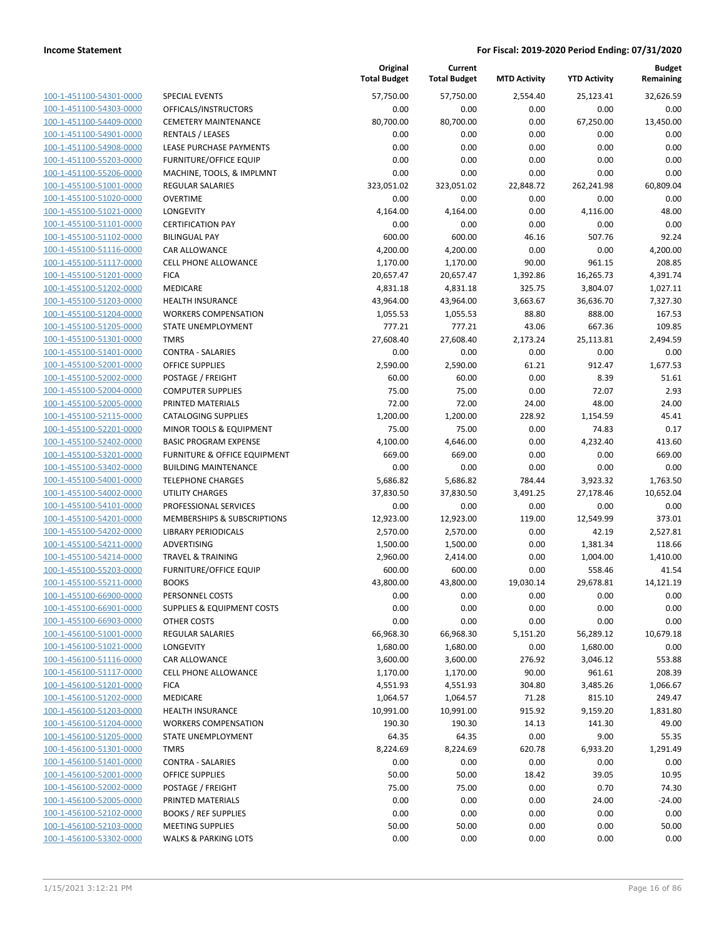**Budget Remaining**

**MTD Activity YTD Activity**

**Current**

**Original**

|                         |                                         | <b>Total Budget</b> | <b>Total Budget</b> | <b>MTD Activity</b> | <b>YTD Activity</b> | Remaining |
|-------------------------|-----------------------------------------|---------------------|---------------------|---------------------|---------------------|-----------|
| 100-1-451100-54301-0000 | <b>SPECIAL EVENTS</b>                   | 57,750.00           | 57,750.00           | 2,554.40            | 25,123.41           | 32.626.59 |
| 100-1-451100-54303-0000 | OFFICALS/INSTRUCTORS                    | 0.00                | 0.00                | 0.00                | 0.00                | 0.00      |
| 100-1-451100-54409-0000 | <b>CEMETERY MAINTENANCE</b>             | 80,700.00           | 80,700.00           | 0.00                | 67,250.00           | 13,450.00 |
| 100-1-451100-54901-0000 | <b>RENTALS / LEASES</b>                 | 0.00                | 0.00                | 0.00                | 0.00                | 0.00      |
| 100-1-451100-54908-0000 | LEASE PURCHASE PAYMENTS                 | 0.00                | 0.00                | 0.00                | 0.00                | 0.00      |
| 100-1-451100-55203-0000 | <b>FURNITURE/OFFICE EQUIP</b>           | 0.00                | 0.00                | 0.00                | 0.00                | 0.00      |
| 100-1-451100-55206-0000 | MACHINE, TOOLS, & IMPLMNT               | 0.00                | 0.00                | 0.00                | 0.00                | 0.00      |
| 100-1-455100-51001-0000 | <b>REGULAR SALARIES</b>                 | 323,051.02          | 323,051.02          | 22,848.72           | 262,241.98          | 60,809.04 |
| 100-1-455100-51020-0000 | <b>OVERTIME</b>                         | 0.00                | 0.00                | 0.00                | 0.00                | 0.00      |
| 100-1-455100-51021-0000 | LONGEVITY                               | 4,164.00            | 4,164.00            | 0.00                | 4,116.00            | 48.00     |
| 100-1-455100-51101-0000 | <b>CERTIFICATION PAY</b>                | 0.00                | 0.00                | 0.00                | 0.00                | 0.00      |
| 100-1-455100-51102-0000 | <b>BILINGUAL PAY</b>                    | 600.00              | 600.00              | 46.16               | 507.76              | 92.24     |
| 100-1-455100-51116-0000 | CAR ALLOWANCE                           | 4,200.00            | 4,200.00            | 0.00                | 0.00                | 4,200.00  |
| 100-1-455100-51117-0000 | <b>CELL PHONE ALLOWANCE</b>             | 1,170.00            | 1,170.00            | 90.00               | 961.15              | 208.85    |
| 100-1-455100-51201-0000 | <b>FICA</b>                             | 20,657.47           | 20,657.47           | 1,392.86            | 16,265.73           | 4,391.74  |
| 100-1-455100-51202-0000 | MEDICARE                                | 4,831.18            | 4,831.18            | 325.75              | 3,804.07            | 1,027.11  |
| 100-1-455100-51203-0000 | HEALTH INSURANCE                        | 43,964.00           | 43,964.00           | 3,663.67            | 36,636.70           | 7,327.30  |
| 100-1-455100-51204-0000 | <b>WORKERS COMPENSATION</b>             | 1,055.53            | 1,055.53            | 88.80               | 888.00              | 167.53    |
| 100-1-455100-51205-0000 | STATE UNEMPLOYMENT                      | 777.21              | 777.21              | 43.06               | 667.36              | 109.85    |
| 100-1-455100-51301-0000 | <b>TMRS</b>                             | 27,608.40           | 27,608.40           | 2,173.24            | 25,113.81           | 2,494.59  |
| 100-1-455100-51401-0000 | <b>CONTRA - SALARIES</b>                | 0.00                | 0.00                | 0.00                | 0.00                | 0.00      |
| 100-1-455100-52001-0000 | OFFICE SUPPLIES                         | 2,590.00            | 2,590.00            | 61.21               | 912.47              | 1,677.53  |
| 100-1-455100-52002-0000 | POSTAGE / FREIGHT                       | 60.00               | 60.00               | 0.00                | 8.39                | 51.61     |
| 100-1-455100-52004-0000 | <b>COMPUTER SUPPLIES</b>                | 75.00               | 75.00               | 0.00                | 72.07               | 2.93      |
| 100-1-455100-52005-0000 | PRINTED MATERIALS                       | 72.00               | 72.00               | 24.00               | 48.00               | 24.00     |
| 100-1-455100-52115-0000 | <b>CATALOGING SUPPLIES</b>              | 1,200.00            | 1,200.00            | 228.92              | 1,154.59            | 45.41     |
| 100-1-455100-52201-0000 | MINOR TOOLS & EQUIPMENT                 | 75.00               | 75.00               | 0.00                | 74.83               | 0.17      |
| 100-1-455100-52402-0000 | <b>BASIC PROGRAM EXPENSE</b>            | 4,100.00            | 4,646.00            | 0.00                | 4,232.40            | 413.60    |
| 100-1-455100-53201-0000 | <b>FURNITURE &amp; OFFICE EQUIPMENT</b> | 669.00              | 669.00              | 0.00                | 0.00                | 669.00    |
| 100-1-455100-53402-0000 | <b>BUILDING MAINTENANCE</b>             | 0.00                | 0.00                | 0.00                | 0.00                | 0.00      |
| 100-1-455100-54001-0000 | <b>TELEPHONE CHARGES</b>                | 5,686.82            | 5,686.82            | 784.44              | 3,923.32            | 1,763.50  |
| 100-1-455100-54002-0000 | UTILITY CHARGES                         | 37,830.50           | 37,830.50           | 3,491.25            | 27,178.46           | 10,652.04 |
| 100-1-455100-54101-0000 | PROFESSIONAL SERVICES                   | 0.00                | 0.00                | 0.00                | 0.00                | 0.00      |
| 100-1-455100-54201-0000 | <b>MEMBERSHIPS &amp; SUBSCRIPTIONS</b>  | 12,923.00           | 12,923.00           | 119.00              | 12,549.99           | 373.01    |
| 100-1-455100-54202-0000 | <b>LIBRARY PERIODICALS</b>              | 2,570.00            | 2,570.00            | 0.00                | 42.19               | 2,527.81  |
| 100-1-455100-54211-0000 | ADVERTISING                             | 1,500.00            | 1,500.00            | 0.00                | 1,381.34            | 118.66    |
| 100-1-455100-54214-0000 | <b>TRAVEL &amp; TRAINING</b>            | 2,960.00            | 2,414.00            | 0.00                | 1,004.00            | 1,410.00  |
| 100-1-455100-55203-0000 | FURNITURE/OFFICE EQUIP                  | 600.00              | 600.00              | 0.00                | 558.46              | 41.54     |
| 100-1-455100-55211-0000 | <b>BOOKS</b>                            | 43,800.00           | 43,800.00           | 19,030.14           | 29,678.81           | 14,121.19 |
| 100-1-455100-66900-0000 | PERSONNEL COSTS                         | 0.00                | 0.00                | 0.00                | 0.00                | 0.00      |
| 100-1-455100-66901-0000 | <b>SUPPLIES &amp; EQUIPMENT COSTS</b>   | $0.00\,$            | 0.00                | 0.00                | 0.00                | 0.00      |
| 100-1-455100-66903-0000 | OTHER COSTS                             | 0.00                | 0.00                | 0.00                | 0.00                | 0.00      |
| 100-1-456100-51001-0000 | REGULAR SALARIES                        | 66,968.30           | 66,968.30           | 5,151.20            | 56,289.12           | 10,679.18 |
| 100-1-456100-51021-0000 | LONGEVITY                               | 1,680.00            | 1,680.00            | 0.00                | 1,680.00            | 0.00      |
| 100-1-456100-51116-0000 | CAR ALLOWANCE                           | 3,600.00            | 3,600.00            | 276.92              | 3,046.12            | 553.88    |
| 100-1-456100-51117-0000 | <b>CELL PHONE ALLOWANCE</b>             | 1,170.00            | 1,170.00            | 90.00               | 961.61              | 208.39    |
| 100-1-456100-51201-0000 | <b>FICA</b>                             | 4,551.93            | 4,551.93            | 304.80              | 3,485.26            | 1,066.67  |
| 100-1-456100-51202-0000 | MEDICARE                                | 1,064.57            | 1,064.57            | 71.28               | 815.10              | 249.47    |
| 100-1-456100-51203-0000 | <b>HEALTH INSURANCE</b>                 | 10,991.00           | 10,991.00           | 915.92              | 9,159.20            | 1,831.80  |
| 100-1-456100-51204-0000 | <b>WORKERS COMPENSATION</b>             | 190.30              | 190.30              | 14.13               | 141.30              | 49.00     |
| 100-1-456100-51205-0000 | STATE UNEMPLOYMENT                      | 64.35               | 64.35               | 0.00                | 9.00                | 55.35     |
| 100-1-456100-51301-0000 | TMRS                                    | 8,224.69            | 8,224.69            | 620.78              | 6,933.20            | 1,291.49  |
| 100-1-456100-51401-0000 | <b>CONTRA - SALARIES</b>                | 0.00                | 0.00                | 0.00                | 0.00                | 0.00      |
| 100-1-456100-52001-0000 | OFFICE SUPPLIES                         | 50.00               | 50.00               | 18.42               | 39.05               | 10.95     |
| 100-1-456100-52002-0000 | POSTAGE / FREIGHT                       | 75.00               | 75.00               | 0.00                | 0.70                | 74.30     |
| 100-1-456100-52005-0000 | PRINTED MATERIALS                       | 0.00                | 0.00                | 0.00                | 24.00               | $-24.00$  |
| 100-1-456100-52102-0000 | <b>BOOKS / REF SUPPLIES</b>             | 0.00                | 0.00                | 0.00                | 0.00                | 0.00      |
| 100-1-456100-52103-0000 | <b>MEETING SUPPLIES</b>                 | 50.00               | 50.00               | 0.00                | 0.00                | 50.00     |
| 100-1-456100-53302-0000 | <b>WALKS &amp; PARKING LOTS</b>         | 0.00                | 0.00                | 0.00                | 0.00                | 0.00      |
|                         |                                         |                     |                     |                     |                     |           |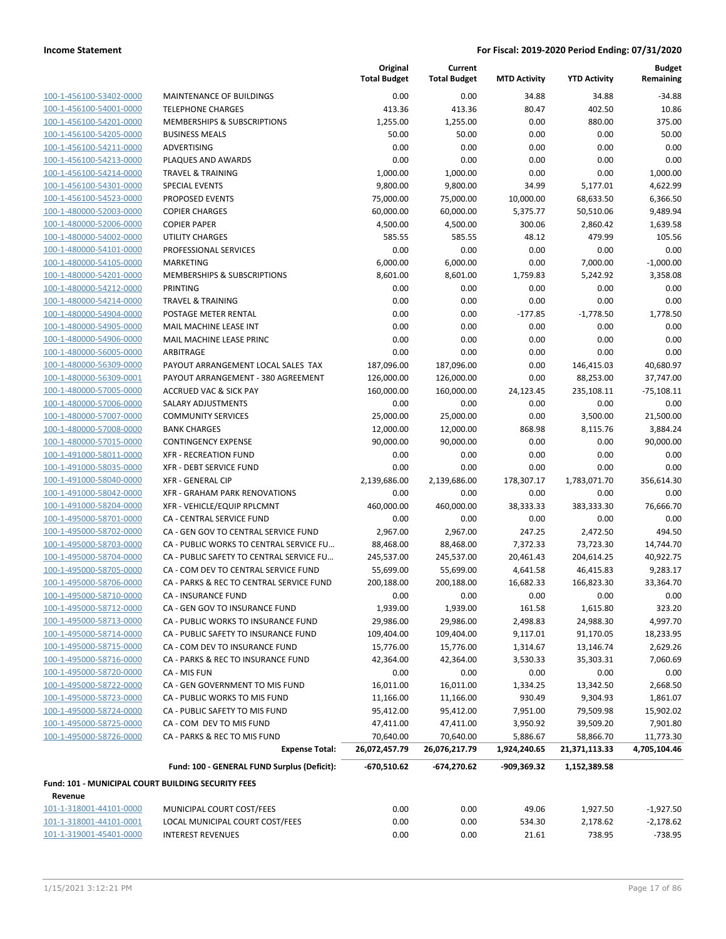|                                                    |                                             | Original<br><b>Total Budget</b> | Current<br><b>Total Budget</b> | <b>MTD Activity</b> | <b>YTD Activity</b> | <b>Budget</b><br>Remaining |
|----------------------------------------------------|---------------------------------------------|---------------------------------|--------------------------------|---------------------|---------------------|----------------------------|
| 100-1-456100-53402-0000                            | MAINTENANCE OF BUILDINGS                    | 0.00                            | 0.00                           | 34.88               | 34.88               | $-34.88$                   |
| 100-1-456100-54001-0000                            | <b>TELEPHONE CHARGES</b>                    | 413.36                          | 413.36                         | 80.47               | 402.50              | 10.86                      |
| 100-1-456100-54201-0000                            | <b>MEMBERSHIPS &amp; SUBSCRIPTIONS</b>      | 1,255.00                        | 1,255.00                       | 0.00                | 880.00              | 375.00                     |
| 100-1-456100-54205-0000                            | <b>BUSINESS MEALS</b>                       | 50.00                           | 50.00                          | 0.00                | 0.00                | 50.00                      |
| 100-1-456100-54211-0000                            | ADVERTISING                                 | 0.00                            | 0.00                           | 0.00                | 0.00                | 0.00                       |
| 100-1-456100-54213-0000                            | PLAQUES AND AWARDS                          | 0.00                            | 0.00                           | 0.00                | 0.00                | 0.00                       |
| 100-1-456100-54214-0000                            | <b>TRAVEL &amp; TRAINING</b>                | 1,000.00                        | 1,000.00                       | 0.00                | 0.00                | 1,000.00                   |
| 100-1-456100-54301-0000                            | <b>SPECIAL EVENTS</b>                       | 9,800.00                        | 9,800.00                       | 34.99               | 5,177.01            | 4,622.99                   |
| 100-1-456100-54523-0000                            | PROPOSED EVENTS                             | 75,000.00                       | 75,000.00                      | 10,000.00           | 68,633.50           | 6,366.50                   |
| 100-1-480000-52003-0000                            | <b>COPIER CHARGES</b>                       | 60,000.00                       | 60,000.00                      | 5,375.77            | 50,510.06           | 9,489.94                   |
| 100-1-480000-52006-0000                            | <b>COPIER PAPER</b>                         | 4,500.00                        | 4,500.00                       | 300.06              | 2,860.42            | 1,639.58                   |
| 100-1-480000-54002-0000                            | <b>UTILITY CHARGES</b>                      | 585.55                          | 585.55                         | 48.12               | 479.99              | 105.56                     |
| 100-1-480000-54101-0000                            | PROFESSIONAL SERVICES                       | 0.00                            | 0.00                           | 0.00                | 0.00                | 0.00                       |
| 100-1-480000-54105-0000                            | <b>MARKETING</b>                            | 6,000.00                        | 6,000.00                       | 0.00                | 7,000.00            | $-1,000.00$                |
| 100-1-480000-54201-0000                            | MEMBERSHIPS & SUBSCRIPTIONS                 | 8,601.00                        | 8,601.00                       | 1,759.83            | 5,242.92            | 3,358.08                   |
| 100-1-480000-54212-0000                            | PRINTING                                    | 0.00                            | 0.00                           | 0.00                | 0.00                | 0.00                       |
| 100-1-480000-54214-0000                            | <b>TRAVEL &amp; TRAINING</b>                | 0.00                            | 0.00                           | 0.00                | 0.00                | 0.00                       |
| 100-1-480000-54904-0000                            | POSTAGE METER RENTAL                        | 0.00                            | 0.00                           | $-177.85$           | $-1,778.50$         | 1,778.50                   |
| 100-1-480000-54905-0000                            | MAIL MACHINE LEASE INT                      | 0.00                            | 0.00                           | 0.00                | 0.00                | 0.00                       |
| 100-1-480000-54906-0000                            | MAIL MACHINE LEASE PRINC                    | 0.00                            | 0.00                           | 0.00                | 0.00                | 0.00                       |
| 100-1-480000-56005-0000                            | ARBITRAGE                                   | 0.00                            | 0.00                           | 0.00                | 0.00                | 0.00                       |
| 100-1-480000-56309-0000                            | PAYOUT ARRANGEMENT LOCAL SALES TAX          | 187,096.00                      | 187,096.00                     | 0.00                | 146,415.03          | 40,680.97                  |
| 100-1-480000-56309-0001                            | PAYOUT ARRANGEMENT - 380 AGREEMENT          | 126,000.00                      | 126,000.00                     | 0.00                | 88,253.00           | 37,747.00                  |
| 100-1-480000-57005-0000                            | <b>ACCRUED VAC &amp; SICK PAY</b>           | 160,000.00                      | 160,000.00                     | 24,123.45           | 235,108.11          | $-75,108.11$               |
| 100-1-480000-57006-0000                            | SALARY ADJUSTMENTS                          | 0.00                            | 0.00                           | 0.00                | 0.00                | 0.00                       |
| 100-1-480000-57007-0000                            | <b>COMMUNITY SERVICES</b>                   | 25,000.00                       | 25,000.00                      | 0.00                | 3,500.00            | 21,500.00                  |
| 100-1-480000-57008-0000                            | <b>BANK CHARGES</b>                         | 12,000.00                       | 12,000.00                      | 868.98              | 8,115.76            | 3,884.24                   |
| 100-1-480000-57015-0000                            | <b>CONTINGENCY EXPENSE</b>                  | 90,000.00                       | 90,000.00                      | 0.00                | 0.00                | 90,000.00                  |
| 100-1-491000-58011-0000                            | <b>XFR - RECREATION FUND</b>                | 0.00                            | 0.00                           | 0.00                | 0.00                | 0.00                       |
| 100-1-491000-58035-0000                            | XFR - DEBT SERVICE FUND                     | 0.00                            | 0.00                           | 0.00                | 0.00                | 0.00                       |
| 100-1-491000-58040-0000                            | <b>XFR - GENERAL CIP</b>                    | 2,139,686.00                    | 2,139,686.00                   | 178,307.17          | 1,783,071.70        | 356,614.30                 |
| 100-1-491000-58042-0000                            | XFR - GRAHAM PARK RENOVATIONS               | 0.00                            | 0.00                           | 0.00                | 0.00                | 0.00                       |
| 100-1-491000-58204-0000                            | XFR - VEHICLE/EQUIP RPLCMNT                 | 460,000.00                      | 460,000.00                     | 38,333.33           | 383,333.30          | 76,666.70                  |
| 100-1-495000-58701-0000                            | <b>CA - CENTRAL SERVICE FUND</b>            | 0.00                            | 0.00                           | 0.00                | 0.00                | 0.00                       |
| 100-1-495000-58702-0000                            | CA - GEN GOV TO CENTRAL SERVICE FUND        | 2,967.00                        | 2,967.00                       | 247.25              | 2,472.50            | 494.50                     |
| 100-1-495000-58703-0000                            | CA - PUBLIC WORKS TO CENTRAL SERVICE FU     | 88,468.00                       | 88,468.00                      | 7,372.33            | 73,723.30           | 14,744.70                  |
| 100-1-495000-58704-0000                            | CA - PUBLIC SAFETY TO CENTRAL SERVICE FU    | 245,537.00                      | 245,537.00                     | 20,461.43           | 204,614.25          | 40,922.75                  |
| 100-1-495000-58705-0000                            | CA - COM DEV TO CENTRAL SERVICE FUND        | 55,699.00                       | 55,699.00                      | 4,641.58            | 46,415.83           | 9,283.17                   |
| 100-1-495000-58706-0000                            | CA - PARKS & REC TO CENTRAL SERVICE FUND    | 200,188.00                      | 200,188.00                     | 16,682.33           | 166,823.30          | 33,364.70                  |
| 100-1-495000-58710-0000                            | <b>CA - INSURANCE FUND</b>                  | 0.00                            | 0.00                           | 0.00                | 0.00                | 0.00                       |
| 100-1-495000-58712-0000                            | CA - GEN GOV TO INSURANCE FUND              | 1,939.00                        | 1,939.00                       | 161.58              | 1,615.80            | 323.20                     |
| 100-1-495000-58713-0000                            | CA - PUBLIC WORKS TO INSURANCE FUND         | 29,986.00                       | 29,986.00                      | 2,498.83            | 24,988.30           | 4,997.70                   |
| 100-1-495000-58714-0000                            | CA - PUBLIC SAFETY TO INSURANCE FUND        | 109,404.00                      | 109,404.00                     | 9,117.01            | 91,170.05           | 18,233.95                  |
| 100-1-495000-58715-0000                            | CA - COM DEV TO INSURANCE FUND              | 15,776.00                       | 15,776.00                      | 1,314.67            | 13,146.74           | 2,629.26                   |
| 100-1-495000-58716-0000                            | CA - PARKS & REC TO INSURANCE FUND          | 42,364.00                       | 42,364.00                      | 3,530.33            | 35,303.31           | 7,060.69                   |
| 100-1-495000-58720-0000                            | CA - MIS FUN                                | 0.00                            | 0.00                           | 0.00                | 0.00                | 0.00                       |
| 100-1-495000-58722-0000                            | CA - GEN GOVERNMENT TO MIS FUND             | 16,011.00                       | 16,011.00                      | 1,334.25            | 13,342.50           | 2,668.50                   |
| 100-1-495000-58723-0000                            | CA - PUBLIC WORKS TO MIS FUND               | 11,166.00                       | 11,166.00                      | 930.49              | 9,304.93            | 1,861.07                   |
| 100-1-495000-58724-0000                            | CA - PUBLIC SAFETY TO MIS FUND              | 95,412.00                       | 95,412.00                      | 7,951.00            | 79,509.98           | 15,902.02                  |
| 100-1-495000-58725-0000                            | CA - COM DEV TO MIS FUND                    | 47,411.00                       | 47,411.00                      | 3,950.92            | 39,509.20           | 7,901.80                   |
| 100-1-495000-58726-0000                            | CA - PARKS & REC TO MIS FUND                | 70,640.00                       | 70,640.00                      | 5,886.67            | 58,866.70           | 11,773.30                  |
|                                                    | <b>Expense Total:</b>                       | 26,072,457.79                   | 26,076,217.79                  | 1,924,240.65        | 21,371,113.33       | 4,705,104.46               |
|                                                    | Fund: 100 - GENERAL FUND Surplus (Deficit): | -670,510.62                     | -674,270.62                    | -909,369.32         | 1,152,389.58        |                            |
| Fund: 101 - MUNICIPAL COURT BUILDING SECURITY FEES |                                             |                                 |                                |                     |                     |                            |
| Revenue                                            |                                             |                                 |                                |                     |                     |                            |
| 101-1-318001-44101-0000                            | MUNICIPAL COURT COST/FEES                   | 0.00                            | 0.00                           | 49.06               | 1,927.50            | $-1,927.50$                |
| 101-1-318001-44101-0001                            | LOCAL MUNICIPAL COURT COST/FEES             | 0.00                            | 0.00                           | 534.30              | 2,178.62            | $-2,178.62$                |
| 101-1-319001-45401-0000                            | <b>INTEREST REVENUES</b>                    | 0.00                            | 0.00                           | 21.61               | 738.95              | $-738.95$                  |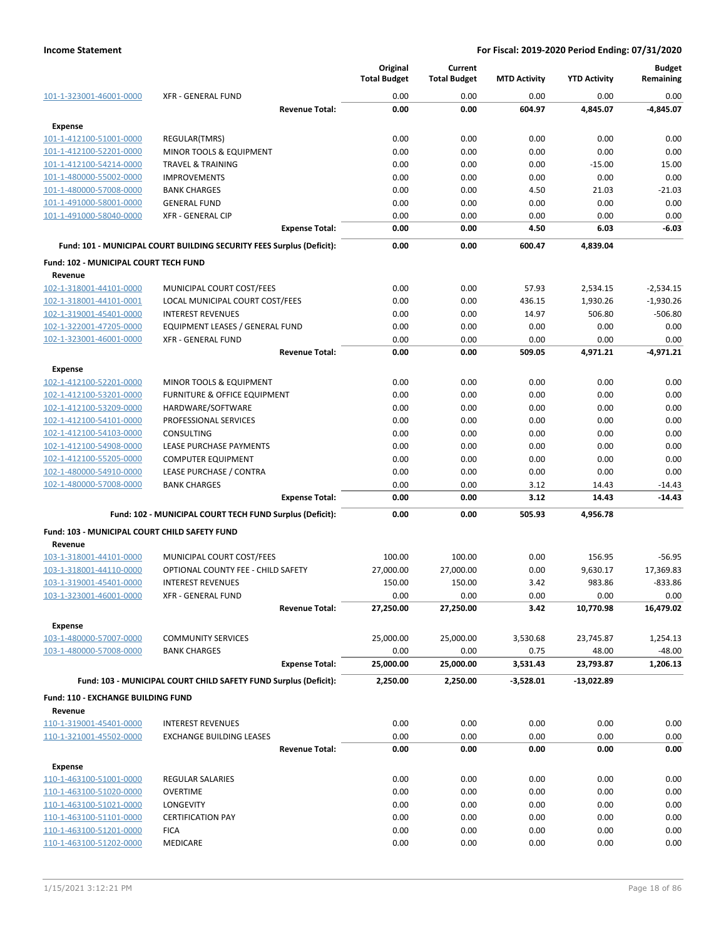|                                               |                                                                       | Original<br><b>Total Budget</b> | Current<br><b>Total Budget</b> | <b>MTD Activity</b> | <b>YTD Activity</b> | <b>Budget</b><br>Remaining |
|-----------------------------------------------|-----------------------------------------------------------------------|---------------------------------|--------------------------------|---------------------|---------------------|----------------------------|
| 101-1-323001-46001-0000                       | <b>XFR - GENERAL FUND</b>                                             | 0.00                            | 0.00                           | 0.00                | 0.00                | 0.00                       |
|                                               | <b>Revenue Total:</b>                                                 | 0.00                            | 0.00                           | 604.97              | 4,845.07            | $-4,845.07$                |
| <b>Expense</b>                                |                                                                       |                                 |                                |                     |                     |                            |
| 101-1-412100-51001-0000                       | REGULAR(TMRS)                                                         | 0.00                            | 0.00                           | 0.00                | 0.00                | 0.00                       |
| 101-1-412100-52201-0000                       | MINOR TOOLS & EQUIPMENT                                               | 0.00                            | 0.00                           | 0.00                | 0.00                | 0.00                       |
| 101-1-412100-54214-0000                       | <b>TRAVEL &amp; TRAINING</b>                                          | 0.00                            | 0.00                           | 0.00                | $-15.00$            | 15.00                      |
| 101-1-480000-55002-0000                       | <b>IMPROVEMENTS</b>                                                   | 0.00                            | 0.00                           | 0.00                | 0.00                | 0.00                       |
| 101-1-480000-57008-0000                       | <b>BANK CHARGES</b>                                                   | 0.00                            | 0.00                           | 4.50                | 21.03               | $-21.03$                   |
| 101-1-491000-58001-0000                       | <b>GENERAL FUND</b>                                                   | 0.00                            | 0.00                           | 0.00                | 0.00                | 0.00                       |
| 101-1-491000-58040-0000                       | <b>XFR - GENERAL CIP</b>                                              | 0.00                            | 0.00                           | 0.00                | 0.00                | 0.00                       |
|                                               | <b>Expense Total:</b>                                                 | 0.00                            | 0.00                           | 4.50                | 6.03                | $-6.03$                    |
|                                               | Fund: 101 - MUNICIPAL COURT BUILDING SECURITY FEES Surplus (Deficit): | 0.00                            | 0.00                           | 600.47              | 4,839.04            |                            |
| <b>Fund: 102 - MUNICIPAL COURT TECH FUND</b>  |                                                                       |                                 |                                |                     |                     |                            |
| Revenue                                       |                                                                       |                                 |                                |                     |                     |                            |
| 102-1-318001-44101-0000                       | MUNICIPAL COURT COST/FEES                                             | 0.00                            | 0.00                           | 57.93               | 2,534.15            | $-2,534.15$                |
| 102-1-318001-44101-0001                       | LOCAL MUNICIPAL COURT COST/FEES                                       | 0.00                            | 0.00                           | 436.15              | 1,930.26            | $-1,930.26$                |
| 102-1-319001-45401-0000                       | <b>INTEREST REVENUES</b>                                              | 0.00                            | 0.00                           | 14.97               | 506.80              | $-506.80$                  |
| 102-1-322001-47205-0000                       | EQUIPMENT LEASES / GENERAL FUND                                       | 0.00                            | 0.00                           | 0.00                | 0.00                | 0.00                       |
| 102-1-323001-46001-0000                       | <b>XFR - GENERAL FUND</b>                                             | 0.00                            | 0.00                           | 0.00                | 0.00                | 0.00                       |
|                                               | <b>Revenue Total:</b>                                                 | 0.00                            | 0.00                           | 509.05              | 4,971.21            | $-4,971.21$                |
| <b>Expense</b>                                |                                                                       |                                 |                                |                     |                     |                            |
| 102-1-412100-52201-0000                       | <b>MINOR TOOLS &amp; EQUIPMENT</b>                                    | 0.00                            | 0.00                           | 0.00                | 0.00                | 0.00                       |
| 102-1-412100-53201-0000                       | FURNITURE & OFFICE EQUIPMENT                                          | 0.00                            | 0.00                           | 0.00                | 0.00                | 0.00                       |
| 102-1-412100-53209-0000                       | HARDWARE/SOFTWARE                                                     | 0.00                            | 0.00                           | 0.00                | 0.00                | 0.00                       |
| 102-1-412100-54101-0000                       | PROFESSIONAL SERVICES                                                 | 0.00                            | 0.00                           | 0.00                | 0.00                | 0.00                       |
| 102-1-412100-54103-0000                       | <b>CONSULTING</b>                                                     | 0.00                            | 0.00                           | 0.00                | 0.00                | 0.00                       |
| 102-1-412100-54908-0000                       | LEASE PURCHASE PAYMENTS                                               | 0.00                            | 0.00                           | 0.00                | 0.00                | 0.00                       |
| 102-1-412100-55205-0000                       | <b>COMPUTER EQUIPMENT</b>                                             | 0.00                            | 0.00                           | 0.00                | 0.00                | 0.00                       |
| 102-1-480000-54910-0000                       | LEASE PURCHASE / CONTRA                                               | 0.00                            | 0.00                           | 0.00                | 0.00                | 0.00                       |
| 102-1-480000-57008-0000                       | <b>BANK CHARGES</b>                                                   | 0.00                            | 0.00                           | 3.12                | 14.43               | $-14.43$                   |
|                                               | <b>Expense Total:</b>                                                 | 0.00                            | 0.00                           | 3.12                | 14.43               | $-14.43$                   |
|                                               | Fund: 102 - MUNICIPAL COURT TECH FUND Surplus (Deficit):              | 0.00                            | 0.00                           | 505.93              | 4,956.78            |                            |
|                                               |                                                                       |                                 |                                |                     |                     |                            |
| Fund: 103 - MUNICIPAL COURT CHILD SAFETY FUND |                                                                       |                                 |                                |                     |                     |                            |
| Revenue<br>103-1-318001-44101-0000            | MUNICIPAL COURT COST/FEES                                             | 100.00                          | 100.00                         | 0.00                | 156.95              | $-56.95$                   |
| 103-1-318001-44110-0000                       | OPTIONAL COUNTY FEE - CHILD SAFETY                                    | 27,000.00                       | 27,000.00                      | 0.00                | 9,630.17            | 17,369.83                  |
| 103-1-319001-45401-0000                       | <b>INTEREST REVENUES</b>                                              | 150.00                          | 150.00                         | 3.42                | 983.86              | $-833.86$                  |
| 103-1-323001-46001-0000                       | <b>XFR - GENERAL FUND</b>                                             | 0.00                            | 0.00                           | 0.00                | 0.00                | 0.00                       |
|                                               | <b>Revenue Total:</b>                                                 | 27,250.00                       | 27,250.00                      | 3.42                | 10,770.98           | 16,479.02                  |
|                                               |                                                                       |                                 |                                |                     |                     |                            |
| <b>Expense</b><br>103-1-480000-57007-0000     | <b>COMMUNITY SERVICES</b>                                             | 25,000.00                       | 25,000.00                      | 3,530.68            | 23,745.87           | 1,254.13                   |
| 103-1-480000-57008-0000                       | <b>BANK CHARGES</b>                                                   | 0.00                            | 0.00                           | 0.75                | 48.00               | $-48.00$                   |
|                                               | <b>Expense Total:</b>                                                 | 25,000.00                       | 25,000.00                      | 3,531.43            | 23,793.87           | 1,206.13                   |
|                                               |                                                                       |                                 |                                |                     |                     |                            |
|                                               | Fund: 103 - MUNICIPAL COURT CHILD SAFETY FUND Surplus (Deficit):      | 2,250.00                        | 2,250.00                       | $-3,528.01$         | -13,022.89          |                            |
| Fund: 110 - EXCHANGE BUILDING FUND            |                                                                       |                                 |                                |                     |                     |                            |
| Revenue                                       |                                                                       |                                 |                                |                     |                     |                            |
| 110-1-319001-45401-0000                       | <b>INTEREST REVENUES</b>                                              | 0.00                            | 0.00                           | 0.00                | 0.00                | 0.00                       |
| 110-1-321001-45502-0000                       | <b>EXCHANGE BUILDING LEASES</b>                                       | 0.00                            | 0.00                           | 0.00                | 0.00                | 0.00                       |
|                                               | <b>Revenue Total:</b>                                                 | 0.00                            | 0.00                           | 0.00                | 0.00                | 0.00                       |
| <b>Expense</b>                                |                                                                       |                                 |                                |                     |                     |                            |
| 110-1-463100-51001-0000                       | REGULAR SALARIES                                                      | 0.00                            | 0.00                           | 0.00                | 0.00                | 0.00                       |
| 110-1-463100-51020-0000                       | <b>OVERTIME</b>                                                       | 0.00                            | 0.00                           | 0.00                | 0.00                | 0.00                       |
| 110-1-463100-51021-0000                       | LONGEVITY                                                             | 0.00                            | 0.00                           | 0.00                | 0.00                | 0.00                       |
| 110-1-463100-51101-0000                       | <b>CERTIFICATION PAY</b>                                              | 0.00                            | 0.00                           | 0.00                | 0.00                | 0.00                       |
| 110-1-463100-51201-0000                       | <b>FICA</b>                                                           | 0.00                            | 0.00                           | 0.00                | 0.00                | 0.00                       |
| 110-1-463100-51202-0000                       | MEDICARE                                                              | 0.00                            | 0.00                           | 0.00                | 0.00                | 0.00                       |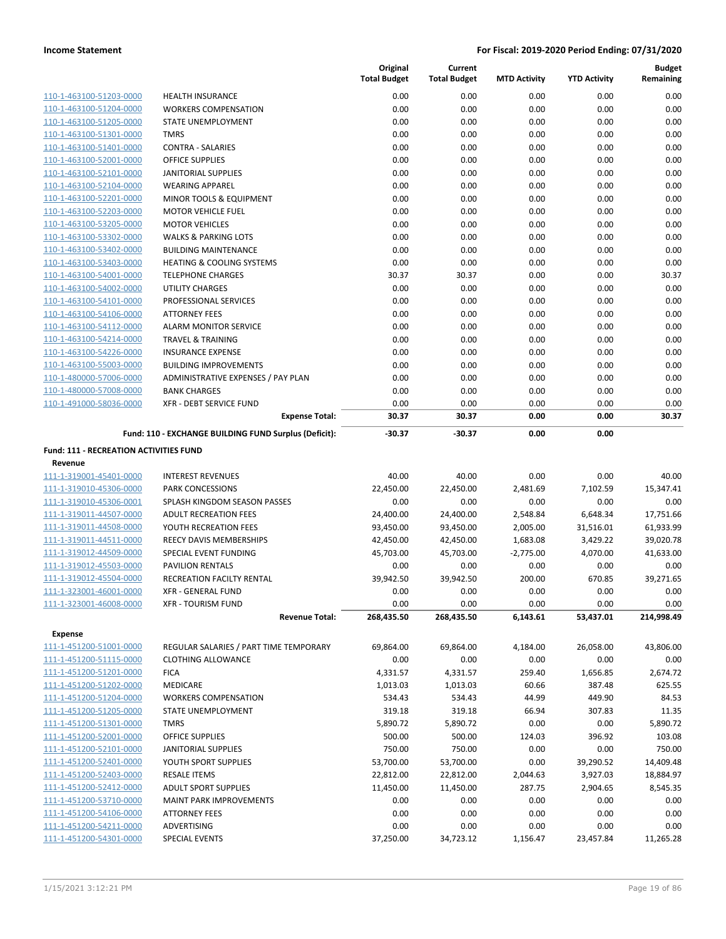|                                        |                                                       | Original<br><b>Total Budget</b> | Current<br><b>Total Budget</b> | <b>MTD Activity</b> | <b>YTD Activity</b> | <b>Budget</b><br>Remaining |
|----------------------------------------|-------------------------------------------------------|---------------------------------|--------------------------------|---------------------|---------------------|----------------------------|
| 110-1-463100-51203-0000                | <b>HEALTH INSURANCE</b>                               | 0.00                            | 0.00                           | 0.00                | 0.00                | 0.00                       |
| 110-1-463100-51204-0000                | <b>WORKERS COMPENSATION</b>                           | 0.00                            | 0.00                           | 0.00                | 0.00                | 0.00                       |
| 110-1-463100-51205-0000                | STATE UNEMPLOYMENT                                    | 0.00                            | 0.00                           | 0.00                | 0.00                | 0.00                       |
| 110-1-463100-51301-0000                | <b>TMRS</b>                                           | 0.00                            | 0.00                           | 0.00                | 0.00                | 0.00                       |
| 110-1-463100-51401-0000                | <b>CONTRA - SALARIES</b>                              | 0.00                            | 0.00                           | 0.00                | 0.00                | 0.00                       |
| 110-1-463100-52001-0000                | <b>OFFICE SUPPLIES</b>                                | 0.00                            | 0.00                           | 0.00                | 0.00                | 0.00                       |
| 110-1-463100-52101-0000                | <b>JANITORIAL SUPPLIES</b>                            | 0.00                            | 0.00                           | 0.00                | 0.00                | 0.00                       |
| 110-1-463100-52104-0000                | <b>WEARING APPAREL</b>                                | 0.00                            | 0.00                           | 0.00                | 0.00                | 0.00                       |
| 110-1-463100-52201-0000                | MINOR TOOLS & EQUIPMENT                               | 0.00                            | 0.00                           | 0.00                | 0.00                | 0.00                       |
| 110-1-463100-52203-0000                | <b>MOTOR VEHICLE FUEL</b>                             | 0.00                            | 0.00                           | 0.00                | 0.00                | 0.00                       |
| 110-1-463100-53205-0000                | <b>MOTOR VEHICLES</b>                                 | 0.00                            | 0.00                           | 0.00                | 0.00                | 0.00                       |
| 110-1-463100-53302-0000                | <b>WALKS &amp; PARKING LOTS</b>                       | 0.00                            | 0.00                           | 0.00                | 0.00                | 0.00                       |
| 110-1-463100-53402-0000                | <b>BUILDING MAINTENANCE</b>                           | 0.00                            | 0.00                           | 0.00                | 0.00                | 0.00                       |
| 110-1-463100-53403-0000                | <b>HEATING &amp; COOLING SYSTEMS</b>                  | 0.00                            | 0.00                           | 0.00                | 0.00                | 0.00                       |
| 110-1-463100-54001-0000                | <b>TELEPHONE CHARGES</b>                              | 30.37                           | 30.37                          | 0.00                | 0.00                | 30.37                      |
| 110-1-463100-54002-0000                | <b>UTILITY CHARGES</b>                                | 0.00                            | 0.00                           | 0.00                | 0.00                | 0.00                       |
| 110-1-463100-54101-0000                | PROFESSIONAL SERVICES                                 | 0.00                            | 0.00                           | 0.00                | 0.00                | 0.00                       |
| 110-1-463100-54106-0000                | <b>ATTORNEY FEES</b>                                  | 0.00                            | 0.00                           | 0.00                | 0.00                | 0.00                       |
| 110-1-463100-54112-0000                | ALARM MONITOR SERVICE                                 | 0.00                            | 0.00                           | 0.00                | 0.00                | 0.00                       |
| 110-1-463100-54214-0000                | <b>TRAVEL &amp; TRAINING</b>                          | 0.00                            | 0.00                           | 0.00                | 0.00                | 0.00                       |
| 110-1-463100-54226-0000                | <b>INSURANCE EXPENSE</b>                              | 0.00                            | 0.00                           | 0.00                | 0.00                | 0.00                       |
| 110-1-463100-55003-0000                | <b>BUILDING IMPROVEMENTS</b>                          | 0.00                            | 0.00                           | 0.00                | 0.00                | 0.00                       |
| 110-1-480000-57006-0000                | ADMINISTRATIVE EXPENSES / PAY PLAN                    | 0.00                            | 0.00                           | 0.00                | 0.00                | 0.00                       |
| 110-1-480000-57008-0000                | <b>BANK CHARGES</b>                                   | 0.00                            | 0.00                           | 0.00                | 0.00                | 0.00                       |
| 110-1-491000-58036-0000                | XFR - DEBT SERVICE FUND                               | 0.00                            | 0.00                           | 0.00                | 0.00                | 0.00                       |
|                                        | <b>Expense Total:</b>                                 | 30.37                           | 30.37                          | 0.00                | 0.00                | 30.37                      |
|                                        | Fund: 110 - EXCHANGE BUILDING FUND Surplus (Deficit): | $-30.37$                        | $-30.37$                       | 0.00                | 0.00                |                            |
| Fund: 111 - RECREATION ACTIVITIES FUND |                                                       |                                 |                                |                     |                     |                            |
| Revenue                                |                                                       |                                 |                                |                     |                     |                            |
| 111-1-319001-45401-0000                | <b>INTEREST REVENUES</b>                              | 40.00                           | 40.00                          | 0.00                | 0.00                | 40.00                      |
| 111-1-319010-45306-0000                | <b>PARK CONCESSIONS</b>                               | 22,450.00                       | 22,450.00                      | 2,481.69            | 7,102.59            | 15,347.41                  |
| 111-1-319010-45306-0001                | SPLASH KINGDOM SEASON PASSES                          | 0.00                            | 0.00                           | 0.00                | 0.00                | 0.00                       |
| 111-1-319011-44507-0000                | <b>ADULT RECREATION FEES</b>                          | 24,400.00                       | 24,400.00                      | 2,548.84            | 6,648.34            | 17,751.66                  |
| 111-1-319011-44508-0000                | YOUTH RECREATION FEES                                 | 93,450.00                       | 93,450.00                      | 2,005.00            | 31,516.01           | 61,933.99                  |
| 111-1-319011-44511-0000                | REECY DAVIS MEMBERSHIPS                               | 42,450.00                       | 42,450.00                      | 1,683.08            | 3,429.22            | 39,020.78                  |
| 111-1-319012-44509-0000                | SPECIAL EVENT FUNDING                                 | 45,703.00                       | 45,703.00                      | $-2,775.00$         | 4,070.00            | 41,633.00                  |
| 111-1-319012-45503-0000                | <b>PAVILION RENTALS</b>                               | 0.00                            | 0.00                           | 0.00                | 0.00                | 0.00                       |
| 111-1-319012-45504-0000                | <b>RECREATION FACILTY RENTAL</b>                      | 39,942.50                       | 39,942.50                      | 200.00              | 670.85              | 39,271.65                  |
| 111-1-323001-46001-0000                | XFR - GENERAL FUND                                    | 0.00                            | 0.00                           | 0.00                | 0.00                | 0.00                       |
| 111-1-323001-46008-0000                | <b>XFR - TOURISM FUND</b>                             | 0.00                            | 0.00                           | 0.00                | 0.00                | 0.00                       |
|                                        | <b>Revenue Total:</b>                                 | 268,435.50                      | 268,435.50                     | 6,143.61            | 53,437.01           | 214,998.49                 |
| <b>Expense</b>                         |                                                       |                                 |                                |                     |                     |                            |
| 111-1-451200-51001-0000                | REGULAR SALARIES / PART TIME TEMPORARY                | 69,864.00                       | 69,864.00                      | 4,184.00            | 26,058.00           | 43,806.00                  |
| 111-1-451200-51115-0000                | <b>CLOTHING ALLOWANCE</b>                             | 0.00                            | 0.00                           | 0.00                | 0.00                | 0.00                       |
| 111-1-451200-51201-0000                | <b>FICA</b>                                           | 4,331.57                        | 4,331.57                       | 259.40              | 1,656.85            | 2,674.72                   |
| 111-1-451200-51202-0000                | MEDICARE                                              | 1,013.03                        | 1,013.03                       | 60.66               | 387.48              | 625.55                     |
| 111-1-451200-51204-0000                | <b>WORKERS COMPENSATION</b>                           | 534.43                          | 534.43                         | 44.99               | 449.90              | 84.53                      |
| 111-1-451200-51205-0000                | STATE UNEMPLOYMENT                                    | 319.18                          | 319.18                         | 66.94               | 307.83              | 11.35                      |
| 111-1-451200-51301-0000                | <b>TMRS</b>                                           | 5,890.72                        | 5,890.72                       | 0.00                | 0.00                | 5,890.72                   |
| 111-1-451200-52001-0000                | <b>OFFICE SUPPLIES</b>                                | 500.00                          | 500.00                         | 124.03              | 396.92              | 103.08                     |
| 111-1-451200-52101-0000                | <b>JANITORIAL SUPPLIES</b>                            | 750.00                          | 750.00                         | 0.00                | 0.00                | 750.00                     |
| 111-1-451200-52401-0000                | YOUTH SPORT SUPPLIES                                  | 53,700.00                       | 53,700.00                      | 0.00                | 39,290.52           | 14,409.48                  |
| 111-1-451200-52403-0000                | <b>RESALE ITEMS</b>                                   | 22,812.00                       | 22,812.00                      | 2,044.63            | 3,927.03            | 18,884.97                  |
| 111-1-451200-52412-0000                | <b>ADULT SPORT SUPPLIES</b>                           | 11,450.00                       | 11,450.00                      | 287.75              | 2,904.65            | 8,545.35                   |
| 111-1-451200-53710-0000                | MAINT PARK IMPROVEMENTS                               | 0.00                            | 0.00                           | 0.00                | 0.00                | 0.00                       |
| 111-1-451200-54106-0000                | <b>ATTORNEY FEES</b>                                  | 0.00                            | 0.00                           | 0.00                | 0.00                | 0.00                       |
| 111-1-451200-54211-0000                | ADVERTISING                                           | 0.00                            | 0.00                           | 0.00                | 0.00                | 0.00                       |
| 111-1-451200-54301-0000                | SPECIAL EVENTS                                        | 37,250.00                       | 34,723.12                      | 1,156.47            | 23,457.84           | 11,265.28                  |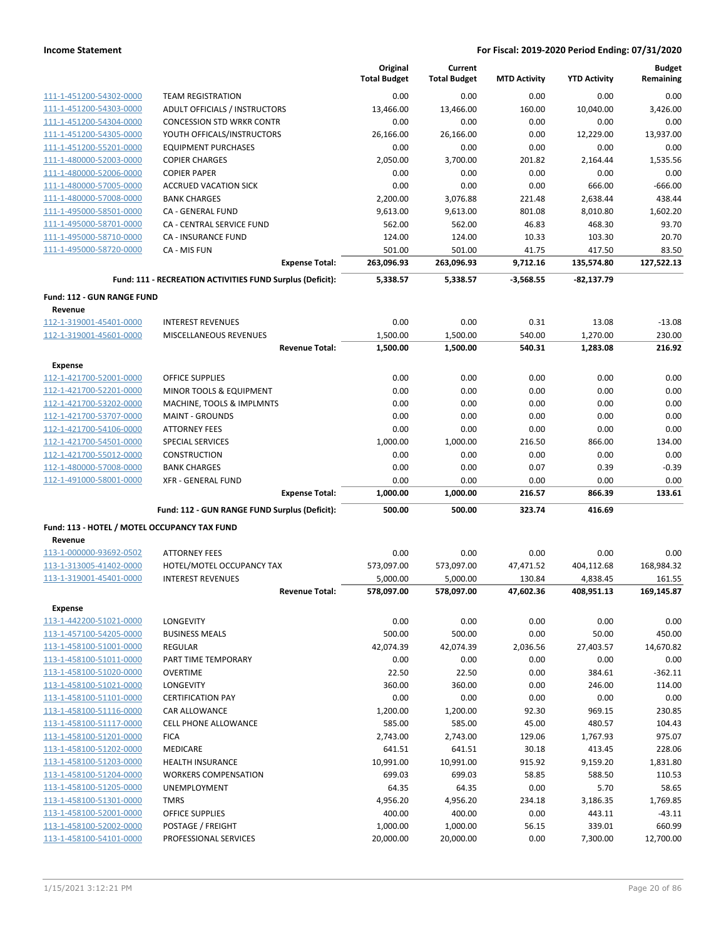|                                                         |                                                           | Original<br><b>Total Budget</b> | Current<br><b>Total Budget</b> | <b>MTD Activity</b> | <b>YTD Activity</b> | <b>Budget</b><br>Remaining |
|---------------------------------------------------------|-----------------------------------------------------------|---------------------------------|--------------------------------|---------------------|---------------------|----------------------------|
| 111-1-451200-54302-0000                                 | <b>TEAM REGISTRATION</b>                                  | 0.00                            | 0.00                           | 0.00                | 0.00                | 0.00                       |
| 111-1-451200-54303-0000                                 | ADULT OFFICIALS / INSTRUCTORS                             | 13,466.00                       | 13,466.00                      | 160.00              | 10,040.00           | 3,426.00                   |
| 111-1-451200-54304-0000                                 | <b>CONCESSION STD WRKR CONTR</b>                          | 0.00                            | 0.00                           | 0.00                | 0.00                | 0.00                       |
| 111-1-451200-54305-0000                                 | YOUTH OFFICALS/INSTRUCTORS                                | 26,166.00                       | 26,166.00                      | 0.00                | 12,229.00           | 13,937.00                  |
| 111-1-451200-55201-0000                                 | <b>EQUIPMENT PURCHASES</b>                                | 0.00                            | 0.00                           | 0.00                | 0.00                | 0.00                       |
| 111-1-480000-52003-0000                                 | <b>COPIER CHARGES</b>                                     | 2,050.00                        | 3,700.00                       | 201.82              | 2,164.44            | 1,535.56                   |
| 111-1-480000-52006-0000                                 | <b>COPIER PAPER</b>                                       | 0.00                            | 0.00                           | 0.00                | 0.00                | 0.00                       |
| 111-1-480000-57005-0000                                 | <b>ACCRUED VACATION SICK</b>                              | 0.00                            | 0.00                           | 0.00                | 666.00              | $-666.00$                  |
| 111-1-480000-57008-0000                                 | <b>BANK CHARGES</b>                                       | 2,200.00                        | 3,076.88                       | 221.48              | 2,638.44            | 438.44                     |
| 111-1-495000-58501-0000                                 | CA - GENERAL FUND                                         | 9,613.00                        | 9,613.00                       | 801.08              | 8,010.80            | 1,602.20                   |
| 111-1-495000-58701-0000                                 | CA - CENTRAL SERVICE FUND                                 | 562.00                          | 562.00                         | 46.83               | 468.30              | 93.70                      |
| 111-1-495000-58710-0000                                 | CA - INSURANCE FUND                                       | 124.00                          | 124.00                         | 10.33               | 103.30              | 20.70                      |
| 111-1-495000-58720-0000                                 | CA - MIS FUN                                              | 501.00                          | 501.00                         | 41.75               | 417.50              | 83.50                      |
|                                                         | <b>Expense Total:</b>                                     | 263,096.93                      | 263,096.93                     | 9,712.16            | 135,574.80          | 127,522.13                 |
|                                                         | Fund: 111 - RECREATION ACTIVITIES FUND Surplus (Deficit): | 5,338.57                        | 5,338.57                       | $-3,568.55$         | $-82,137.79$        |                            |
| <b>Fund: 112 - GUN RANGE FUND</b>                       |                                                           |                                 |                                |                     |                     |                            |
| Revenue<br>112-1-319001-45401-0000                      | <b>INTEREST REVENUES</b>                                  | 0.00                            | 0.00                           | 0.31                | 13.08               | $-13.08$                   |
| 112-1-319001-45601-0000                                 | MISCELLANEOUS REVENUES                                    | 1,500.00                        | 1,500.00                       | 540.00              | 1,270.00            | 230.00                     |
|                                                         | <b>Revenue Total:</b>                                     | 1,500.00                        | 1,500.00                       | 540.31              | 1,283.08            | 216.92                     |
| <b>Expense</b>                                          |                                                           |                                 |                                |                     |                     |                            |
| 112-1-421700-52001-0000                                 | <b>OFFICE SUPPLIES</b>                                    | 0.00                            | 0.00                           | 0.00                | 0.00                | 0.00                       |
| 112-1-421700-52201-0000                                 |                                                           |                                 |                                |                     |                     | 0.00                       |
|                                                         | MINOR TOOLS & EQUIPMENT                                   | 0.00                            | 0.00                           | 0.00                | 0.00                | 0.00                       |
| 112-1-421700-53202-0000                                 | MACHINE, TOOLS & IMPLMNTS                                 | 0.00<br>0.00                    | 0.00                           | 0.00                | 0.00                | 0.00                       |
| 112-1-421700-53707-0000                                 | <b>MAINT - GROUNDS</b>                                    |                                 | 0.00                           | 0.00                | 0.00                |                            |
| 112-1-421700-54106-0000                                 | <b>ATTORNEY FEES</b>                                      | 0.00                            | 0.00                           | 0.00                | 0.00                | 0.00                       |
| 112-1-421700-54501-0000                                 | <b>SPECIAL SERVICES</b>                                   | 1,000.00                        | 1,000.00                       | 216.50              | 866.00              | 134.00                     |
| 112-1-421700-55012-0000                                 | CONSTRUCTION                                              | 0.00                            | 0.00                           | 0.00                | 0.00                | 0.00                       |
| 112-1-480000-57008-0000                                 | <b>BANK CHARGES</b>                                       | 0.00                            | 0.00                           | 0.07                | 0.39                | $-0.39$<br>0.00            |
| 112-1-491000-58001-0000                                 | <b>XFR - GENERAL FUND</b><br><b>Expense Total:</b>        | 0.00<br>1,000.00                | 0.00<br>1,000.00               | 0.00<br>216.57      | 0.00<br>866.39      | 133.61                     |
|                                                         | Fund: 112 - GUN RANGE FUND Surplus (Deficit):             | 500.00                          | 500.00                         | 323.74              | 416.69              |                            |
|                                                         |                                                           |                                 |                                |                     |                     |                            |
| Fund: 113 - HOTEL / MOTEL OCCUPANCY TAX FUND<br>Revenue |                                                           |                                 |                                |                     |                     |                            |
| 113-1-000000-93692-0502                                 | <b>ATTORNEY FEES</b>                                      | 0.00                            | 0.00                           | 0.00                | 0.00                | 0.00                       |
| 113-1-313005-41402-0000                                 | HOTEL/MOTEL OCCUPANCY TAX                                 | 573,097.00                      | 573,097.00                     | 47,471.52           | 404,112.68          | 168,984.32                 |
| 113-1-319001-45401-0000                                 | <b>INTEREST REVENUES</b>                                  | 5,000.00                        | 5,000.00                       | 130.84              | 4,838.45            | 161.55                     |
|                                                         | <b>Revenue Total:</b>                                     | 578,097.00                      | 578,097.00                     | 47,602.36           | 408,951.13          | 169,145.87                 |
| <b>Expense</b>                                          |                                                           |                                 |                                |                     |                     |                            |
| 113-1-442200-51021-0000                                 | LONGEVITY                                                 | 0.00                            | 0.00                           | 0.00                | 0.00                | 0.00                       |
| 113-1-457100-54205-0000                                 | <b>BUSINESS MEALS</b>                                     | 500.00                          | 500.00                         | 0.00                | 50.00               | 450.00                     |
| 113-1-458100-51001-0000                                 | <b>REGULAR</b>                                            | 42,074.39                       | 42,074.39                      | 2,036.56            | 27,403.57           | 14,670.82                  |
| 113-1-458100-51011-0000                                 | PART TIME TEMPORARY                                       | 0.00                            | 0.00                           | 0.00                | 0.00                | 0.00                       |
| 113-1-458100-51020-0000                                 | <b>OVERTIME</b>                                           | 22.50                           | 22.50                          | 0.00                | 384.61              | $-362.11$                  |
| 113-1-458100-51021-0000                                 | <b>LONGEVITY</b>                                          | 360.00                          | 360.00                         | 0.00                | 246.00              | 114.00                     |
| 113-1-458100-51101-0000                                 | <b>CERTIFICATION PAY</b>                                  | 0.00                            | 0.00                           | 0.00                | 0.00                | 0.00                       |
| 113-1-458100-51116-0000                                 | <b>CAR ALLOWANCE</b>                                      | 1,200.00                        | 1,200.00                       | 92.30               | 969.15              | 230.85                     |
| 113-1-458100-51117-0000                                 | <b>CELL PHONE ALLOWANCE</b>                               | 585.00                          | 585.00                         | 45.00               | 480.57              | 104.43                     |
| 113-1-458100-51201-0000                                 | <b>FICA</b>                                               | 2,743.00                        | 2,743.00                       | 129.06              | 1,767.93            | 975.07                     |
| 113-1-458100-51202-0000                                 | <b>MEDICARE</b>                                           | 641.51                          | 641.51                         | 30.18               | 413.45              | 228.06                     |
| 113-1-458100-51203-0000                                 | <b>HEALTH INSURANCE</b>                                   | 10,991.00                       | 10,991.00                      | 915.92              | 9,159.20            | 1,831.80                   |
| 113-1-458100-51204-0000                                 | <b>WORKERS COMPENSATION</b>                               | 699.03                          | 699.03                         | 58.85               | 588.50              | 110.53                     |
| 113-1-458100-51205-0000                                 | UNEMPLOYMENT                                              | 64.35                           | 64.35                          | 0.00                | 5.70                | 58.65                      |
| 113-1-458100-51301-0000                                 | <b>TMRS</b>                                               | 4,956.20                        | 4,956.20                       | 234.18              | 3,186.35            | 1,769.85                   |
| 113-1-458100-52001-0000                                 | OFFICE SUPPLIES                                           | 400.00                          | 400.00                         | 0.00                | 443.11              | $-43.11$                   |
| 113-1-458100-52002-0000                                 | POSTAGE / FREIGHT                                         | 1,000.00                        | 1,000.00                       | 56.15               | 339.01              | 660.99                     |
| 113-1-458100-54101-0000                                 | PROFESSIONAL SERVICES                                     | 20,000.00                       | 20,000.00                      | 0.00                | 7,300.00            | 12,700.00                  |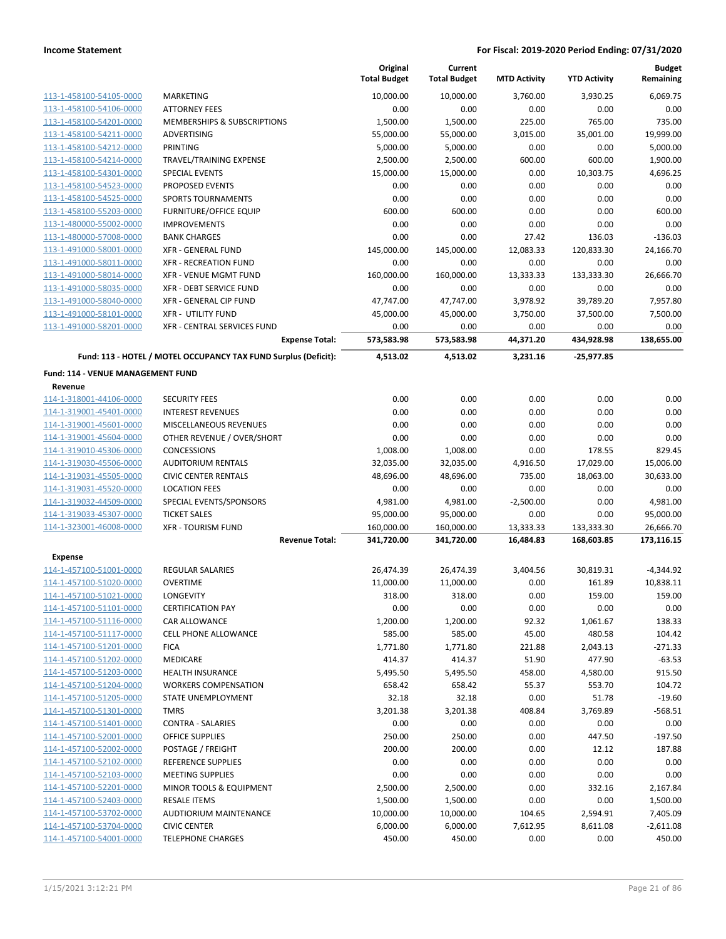|                                              |                                                                 | Original<br><b>Total Budget</b> | Current<br><b>Total Budget</b> | <b>MTD Activity</b> | <b>YTD Activity</b> | <b>Budget</b><br>Remaining |
|----------------------------------------------|-----------------------------------------------------------------|---------------------------------|--------------------------------|---------------------|---------------------|----------------------------|
| 113-1-458100-54105-0000                      | <b>MARKETING</b>                                                | 10,000.00                       | 10,000.00                      | 3,760.00            | 3,930.25            | 6,069.75                   |
| 113-1-458100-54106-0000                      | <b>ATTORNEY FEES</b>                                            | 0.00                            | 0.00                           | 0.00                | 0.00                | 0.00                       |
| 113-1-458100-54201-0000                      | MEMBERSHIPS & SUBSCRIPTIONS                                     | 1,500.00                        | 1,500.00                       | 225.00              | 765.00              | 735.00                     |
| 113-1-458100-54211-0000                      | ADVERTISING                                                     | 55,000.00                       | 55,000.00                      | 3,015.00            | 35,001.00           | 19.999.00                  |
| 113-1-458100-54212-0000                      | <b>PRINTING</b>                                                 | 5,000.00                        | 5,000.00                       | 0.00                | 0.00                | 5,000.00                   |
| 113-1-458100-54214-0000                      | TRAVEL/TRAINING EXPENSE                                         | 2,500.00                        | 2,500.00                       | 600.00              | 600.00              | 1,900.00                   |
| 113-1-458100-54301-0000                      | <b>SPECIAL EVENTS</b>                                           | 15,000.00                       | 15,000.00                      | 0.00                | 10,303.75           | 4,696.25                   |
| 113-1-458100-54523-0000                      | PROPOSED EVENTS                                                 | 0.00                            | 0.00                           | 0.00                | 0.00                | 0.00                       |
| 113-1-458100-54525-0000                      | <b>SPORTS TOURNAMENTS</b>                                       | 0.00                            | 0.00                           | 0.00                | 0.00                | 0.00                       |
| 113-1-458100-55203-0000                      | <b>FURNITURE/OFFICE EQUIP</b>                                   | 600.00                          | 600.00                         | 0.00                | 0.00                | 600.00                     |
| 113-1-480000-55002-0000                      | <b>IMPROVEMENTS</b>                                             | 0.00                            | 0.00                           | 0.00                | 0.00                | 0.00                       |
| 113-1-480000-57008-0000                      | <b>BANK CHARGES</b>                                             | 0.00                            | 0.00                           | 27.42               | 136.03              | $-136.03$                  |
| 113-1-491000-58001-0000                      | <b>XFR - GENERAL FUND</b>                                       | 145,000.00                      | 145,000.00                     | 12,083.33           | 120,833.30          | 24,166.70                  |
| 113-1-491000-58011-0000                      | <b>XFR - RECREATION FUND</b>                                    | 0.00                            | 0.00                           | 0.00                | 0.00                | 0.00                       |
| 113-1-491000-58014-0000                      | XFR - VENUE MGMT FUND                                           | 160,000.00                      | 160,000.00                     | 13,333.33           | 133,333.30          | 26,666.70                  |
| 113-1-491000-58035-0000                      | XFR - DEBT SERVICE FUND                                         | 0.00                            | 0.00                           | 0.00                | 0.00                | 0.00                       |
| 113-1-491000-58040-0000                      | <b>XFR - GENERAL CIP FUND</b>                                   | 47,747.00                       | 47,747.00                      | 3,978.92            | 39,789.20           | 7,957.80                   |
| 113-1-491000-58101-0000                      | <b>XFR - UTILITY FUND</b>                                       | 45,000.00                       | 45,000.00                      | 3,750.00            | 37,500.00           | 7,500.00                   |
| 113-1-491000-58201-0000                      | XFR - CENTRAL SERVICES FUND                                     | 0.00                            | 0.00                           | 0.00                | 0.00                | 0.00                       |
|                                              | <b>Expense Total:</b>                                           | 573,583.98                      | 573,583.98                     | 44,371.20           | 434,928.98          | 138,655.00                 |
|                                              | Fund: 113 - HOTEL / MOTEL OCCUPANCY TAX FUND Surplus (Deficit): | 4,513.02                        | 4,513.02                       | 3,231.16            | $-25,977.85$        |                            |
| Fund: 114 - VENUE MANAGEMENT FUND<br>Revenue |                                                                 |                                 |                                |                     |                     |                            |
| 114-1-318001-44106-0000                      | <b>SECURITY FEES</b>                                            | 0.00                            | 0.00                           | 0.00                | 0.00                | 0.00                       |
| 114-1-319001-45401-0000                      | <b>INTEREST REVENUES</b>                                        | 0.00                            | 0.00                           | 0.00                | 0.00                | 0.00                       |
| 114-1-319001-45601-0000                      | MISCELLANEOUS REVENUES                                          | 0.00                            | 0.00                           | 0.00                | 0.00                | 0.00                       |
| 114-1-319001-45604-0000                      | OTHER REVENUE / OVER/SHORT                                      | 0.00                            | 0.00                           | 0.00                | 0.00                | 0.00                       |
| 114-1-319010-45306-0000                      | <b>CONCESSIONS</b>                                              | 1,008.00                        | 1,008.00                       | 0.00                | 178.55              | 829.45                     |
| 114-1-319030-45506-0000                      | <b>AUDITORIUM RENTALS</b>                                       | 32,035.00                       | 32,035.00                      | 4,916.50            | 17,029.00           | 15,006.00                  |
| 114-1-319031-45505-0000                      | <b>CIVIC CENTER RENTALS</b>                                     | 48,696.00                       | 48,696.00                      | 735.00              | 18,063.00           | 30,633.00                  |
| 114-1-319031-45520-0000                      | <b>LOCATION FEES</b>                                            | 0.00                            | 0.00                           | 0.00                | 0.00                | 0.00                       |
| 114-1-319032-44509-0000                      | SPECIAL EVENTS/SPONSORS                                         | 4,981.00                        | 4,981.00                       | $-2,500.00$         | 0.00                | 4,981.00                   |
| 114-1-319033-45307-0000                      | <b>TICKET SALES</b>                                             | 95,000.00                       | 95,000.00                      | 0.00                | 0.00                | 95,000.00                  |
| 114-1-323001-46008-0000                      | <b>XFR - TOURISM FUND</b>                                       | 160,000.00                      | 160,000.00                     | 13,333.33           | 133,333.30          | 26,666.70                  |
|                                              | <b>Revenue Total:</b>                                           | 341,720.00                      | 341,720.00                     | 16,484.83           | 168,603.85          | 173,116.15                 |
| <b>Expense</b>                               |                                                                 |                                 |                                |                     |                     |                            |
| 114-1-457100-51001-0000                      | <b>REGULAR SALARIES</b>                                         | 26,474.39                       | 26,474.39                      | 3,404.56            | 30,819.31           | $-4,344.92$                |
| 114-1-457100-51020-0000                      | <b>OVERTIME</b>                                                 | 11,000.00                       | 11,000.00                      | 0.00                | 161.89              | 10,838.11                  |
| 114-1-457100-51021-0000                      | <b>LONGEVITY</b>                                                | 318.00                          | 318.00                         | 0.00                | 159.00              | 159.00                     |
| 114-1-457100-51101-0000                      | <b>CERTIFICATION PAY</b>                                        | 0.00                            | 0.00                           | 0.00                | 0.00                | 0.00                       |
| 114-1-457100-51116-0000                      | <b>CAR ALLOWANCE</b>                                            | 1,200.00                        | 1,200.00                       | 92.32               | 1,061.67            | 138.33                     |
| 114-1-457100-51117-0000                      | <b>CELL PHONE ALLOWANCE</b>                                     | 585.00                          | 585.00                         | 45.00               | 480.58              | 104.42                     |
| 114-1-457100-51201-0000                      | <b>FICA</b>                                                     | 1,771.80                        | 1,771.80                       | 221.88              | 2,043.13            | $-271.33$                  |
| 114-1-457100-51202-0000                      | MEDICARE                                                        | 414.37                          | 414.37                         | 51.90               | 477.90              | $-63.53$                   |
| 114-1-457100-51203-0000                      | <b>HEALTH INSURANCE</b>                                         | 5,495.50                        | 5,495.50                       | 458.00              | 4,580.00            | 915.50                     |
| 114-1-457100-51204-0000                      | <b>WORKERS COMPENSATION</b>                                     | 658.42                          | 658.42                         | 55.37               | 553.70              | 104.72                     |
| 114-1-457100-51205-0000                      | STATE UNEMPLOYMENT                                              | 32.18                           | 32.18                          | 0.00                | 51.78               | $-19.60$                   |
| 114-1-457100-51301-0000                      | <b>TMRS</b>                                                     | 3,201.38                        | 3,201.38                       | 408.84              | 3,769.89            | $-568.51$                  |
| 114-1-457100-51401-0000                      | <b>CONTRA - SALARIES</b>                                        | 0.00                            | 0.00                           | 0.00                | 0.00                | 0.00                       |
| 114-1-457100-52001-0000                      | <b>OFFICE SUPPLIES</b>                                          | 250.00                          | 250.00                         | 0.00                | 447.50              | $-197.50$                  |
| 114-1-457100-52002-0000                      | POSTAGE / FREIGHT                                               | 200.00                          | 200.00                         | 0.00                | 12.12               | 187.88                     |
| 114-1-457100-52102-0000                      | REFERENCE SUPPLIES                                              | 0.00                            | 0.00                           | 0.00                | 0.00                | 0.00                       |
| 114-1-457100-52103-0000                      | <b>MEETING SUPPLIES</b>                                         | 0.00                            | 0.00                           | 0.00                | 0.00                | 0.00                       |
| 114-1-457100-52201-0000                      | MINOR TOOLS & EQUIPMENT                                         | 2,500.00                        | 2,500.00                       | 0.00                | 332.16              | 2,167.84                   |
| 114-1-457100-52403-0000                      | <b>RESALE ITEMS</b>                                             | 1,500.00                        | 1,500.00                       | 0.00                | 0.00                | 1,500.00                   |
| 114-1-457100-53702-0000                      | <b>AUDTIORIUM MAINTENANCE</b>                                   | 10,000.00                       | 10,000.00                      | 104.65              | 2,594.91            | 7,405.09                   |
| 114-1-457100-53704-0000                      | <b>CIVIC CENTER</b>                                             | 6,000.00                        | 6,000.00                       | 7,612.95            | 8,611.08            | $-2,611.08$                |
| 114-1-457100-54001-0000                      | <b>TELEPHONE CHARGES</b>                                        | 450.00                          | 450.00                         | 0.00                | 0.00                | 450.00                     |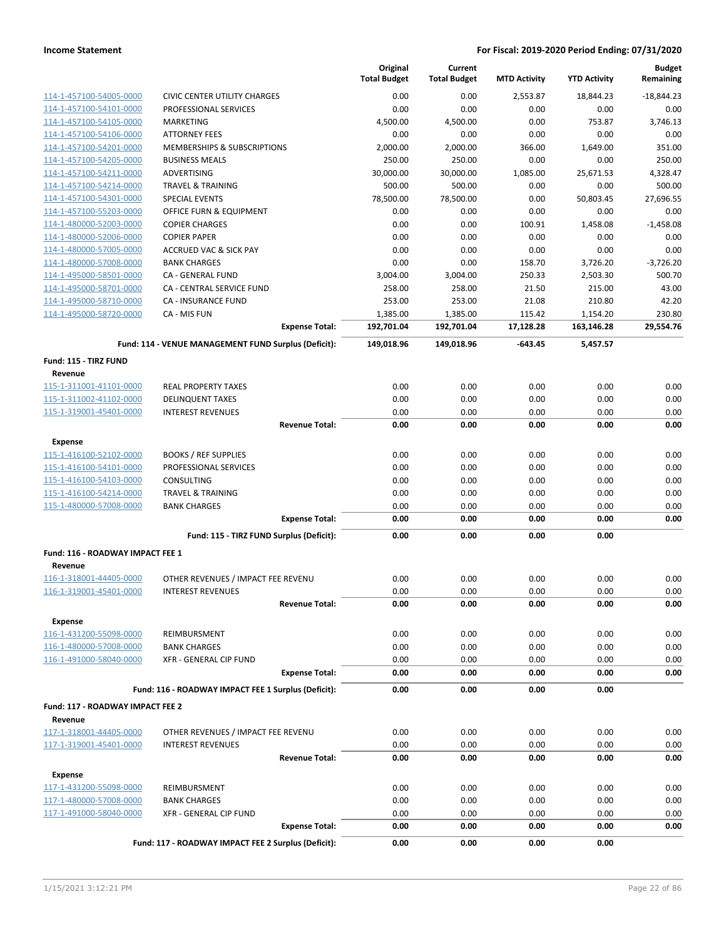|                                    |                                                      | Original<br><b>Total Budget</b> | Current<br><b>Total Budget</b> | <b>MTD Activity</b> | <b>YTD Activity</b> | <b>Budget</b><br>Remaining |
|------------------------------------|------------------------------------------------------|---------------------------------|--------------------------------|---------------------|---------------------|----------------------------|
| 114-1-457100-54005-0000            | CIVIC CENTER UTILITY CHARGES                         | 0.00                            | 0.00                           | 2,553.87            | 18,844.23           | $-18,844.23$               |
| 114-1-457100-54101-0000            | PROFESSIONAL SERVICES                                | 0.00                            | 0.00                           | 0.00                | 0.00                | 0.00                       |
| 114-1-457100-54105-0000            | MARKETING                                            | 4,500.00                        | 4,500.00                       | 0.00                | 753.87              | 3,746.13                   |
| 114-1-457100-54106-0000            | <b>ATTORNEY FEES</b>                                 | 0.00                            | 0.00                           | 0.00                | 0.00                | 0.00                       |
| 114-1-457100-54201-0000            | MEMBERSHIPS & SUBSCRIPTIONS                          | 2,000.00                        | 2,000.00                       | 366.00              | 1,649.00            | 351.00                     |
| 114-1-457100-54205-0000            | <b>BUSINESS MEALS</b>                                | 250.00                          | 250.00                         | 0.00                | 0.00                | 250.00                     |
| 114-1-457100-54211-0000            | ADVERTISING                                          | 30,000.00                       | 30,000.00                      | 1,085.00            | 25,671.53           | 4,328.47                   |
| 114-1-457100-54214-0000            | <b>TRAVEL &amp; TRAINING</b>                         | 500.00                          | 500.00                         | 0.00                | 0.00                | 500.00                     |
| 114-1-457100-54301-0000            | <b>SPECIAL EVENTS</b>                                | 78,500.00                       | 78,500.00                      | 0.00                | 50,803.45           | 27,696.55                  |
| 114-1-457100-55203-0000            | OFFICE FURN & EQUIPMENT                              | 0.00                            | 0.00                           | 0.00                | 0.00                | 0.00                       |
| 114-1-480000-52003-0000            | <b>COPIER CHARGES</b>                                | 0.00                            | 0.00                           | 100.91              | 1,458.08            | $-1,458.08$                |
| 114-1-480000-52006-0000            | <b>COPIER PAPER</b>                                  | 0.00                            | 0.00                           | 0.00                | 0.00                | 0.00                       |
| 114-1-480000-57005-0000            | <b>ACCRUED VAC &amp; SICK PAY</b>                    | 0.00                            | 0.00                           | 0.00                | 0.00                | 0.00                       |
| 114-1-480000-57008-0000            | <b>BANK CHARGES</b>                                  | 0.00                            | 0.00                           | 158.70              | 3,726.20            | $-3,726.20$                |
| 114-1-495000-58501-0000            | CA - GENERAL FUND                                    | 3,004.00                        | 3,004.00                       | 250.33              | 2,503.30            | 500.70                     |
| 114-1-495000-58701-0000            | CA - CENTRAL SERVICE FUND                            | 258.00                          | 258.00                         | 21.50               | 215.00              | 43.00                      |
| 114-1-495000-58710-0000            | <b>CA - INSURANCE FUND</b>                           | 253.00                          | 253.00                         | 21.08               | 210.80              | 42.20                      |
| 114-1-495000-58720-0000            | CA - MIS FUN                                         | 1,385.00                        | 1,385.00                       | 115.42              | 1,154.20            | 230.80                     |
|                                    | <b>Expense Total:</b>                                | 192,701.04                      | 192,701.04                     | 17,128.28           | 163,146.28          | 29,554.76                  |
|                                    | Fund: 114 - VENUE MANAGEMENT FUND Surplus (Deficit): | 149,018.96                      | 149,018.96                     | $-643.45$           | 5,457.57            |                            |
| Fund: 115 - TIRZ FUND              |                                                      |                                 |                                |                     |                     |                            |
| Revenue<br>115-1-311001-41101-0000 | <b>REAL PROPERTY TAXES</b>                           | 0.00                            | 0.00                           | 0.00                | 0.00                | 0.00                       |
| 115-1-311002-41102-0000            | <b>DELINQUENT TAXES</b>                              | 0.00                            | 0.00                           | 0.00                | 0.00                | 0.00                       |
| 115-1-319001-45401-0000            | <b>INTEREST REVENUES</b>                             | 0.00                            | 0.00                           | 0.00                | 0.00                | 0.00                       |
|                                    | <b>Revenue Total:</b>                                | 0.00                            | 0.00                           | 0.00                | 0.00                | 0.00                       |
| <b>Expense</b>                     |                                                      |                                 |                                |                     |                     |                            |
| 115-1-416100-52102-0000            | <b>BOOKS / REF SUPPLIES</b>                          | 0.00                            | 0.00                           | 0.00                | 0.00                | 0.00                       |
| 115-1-416100-54101-0000            | PROFESSIONAL SERVICES                                | 0.00                            | 0.00                           | 0.00                | 0.00                | 0.00                       |
| 115-1-416100-54103-0000            | <b>CONSULTING</b>                                    | 0.00                            | 0.00                           | 0.00                | 0.00                | 0.00                       |
| 115-1-416100-54214-0000            | <b>TRAVEL &amp; TRAINING</b>                         | 0.00                            | 0.00                           | 0.00                | 0.00                | 0.00                       |
| 115-1-480000-57008-0000            | <b>BANK CHARGES</b>                                  | 0.00                            | 0.00                           | 0.00                | 0.00                | 0.00                       |
|                                    | <b>Expense Total:</b>                                | 0.00                            | 0.00                           | 0.00                | 0.00                | 0.00                       |
|                                    | Fund: 115 - TIRZ FUND Surplus (Deficit):             | 0.00                            | 0.00                           | 0.00                | 0.00                |                            |
| Fund: 116 - ROADWAY IMPACT FEE 1   |                                                      |                                 |                                |                     |                     |                            |
| Revenue                            |                                                      |                                 |                                |                     |                     |                            |
| 116-1-318001-44405-0000            | OTHER REVENUES / IMPACT FEE REVENU                   | 0.00                            | 0.00                           | 0.00                | 0.00                | 0.00                       |
| 116-1-319001-45401-0000            | <b>INTEREST REVENUES</b>                             | 0.00                            | 0.00                           | 0.00                | 0.00                | 0.00                       |
|                                    | <b>Revenue Total:</b>                                | 0.00                            | 0.00                           | 0.00                | 0.00                | 0.00                       |
| <b>Expense</b>                     |                                                      |                                 |                                |                     |                     |                            |
| 116-1-431200-55098-0000            | REIMBURSMENT                                         | 0.00                            | 0.00                           | 0.00                | 0.00                | 0.00                       |
| 116-1-480000-57008-0000            | <b>BANK CHARGES</b>                                  | 0.00                            | 0.00                           | 0.00                | 0.00                | 0.00                       |
| 116-1-491000-58040-0000            | XFR - GENERAL CIP FUND                               | 0.00                            | 0.00                           | 0.00                | 0.00                | 0.00                       |
|                                    | <b>Expense Total:</b>                                | 0.00                            | 0.00                           | 0.00                | 0.00                | 0.00                       |
|                                    | Fund: 116 - ROADWAY IMPACT FEE 1 Surplus (Deficit):  | 0.00                            | 0.00                           | 0.00                | 0.00                |                            |
| Fund: 117 - ROADWAY IMPACT FEE 2   |                                                      |                                 |                                |                     |                     |                            |
| Revenue                            |                                                      |                                 |                                |                     |                     |                            |
| 117-1-318001-44405-0000            | OTHER REVENUES / IMPACT FEE REVENU                   | 0.00                            | 0.00                           | 0.00                | 0.00                | 0.00                       |
| 117-1-319001-45401-0000            | <b>INTEREST REVENUES</b>                             | 0.00                            | 0.00                           | 0.00                | 0.00                | 0.00                       |
|                                    | <b>Revenue Total:</b>                                | 0.00                            | 0.00                           | 0.00                | 0.00                | 0.00                       |
| <b>Expense</b>                     |                                                      |                                 |                                |                     |                     |                            |
| 117-1-431200-55098-0000            | REIMBURSMENT                                         | 0.00                            | 0.00                           | 0.00                | 0.00                | 0.00                       |
| 117-1-480000-57008-0000            | <b>BANK CHARGES</b>                                  | 0.00                            | 0.00                           | 0.00                | 0.00                | 0.00                       |
| 117-1-491000-58040-0000            | XFR - GENERAL CIP FUND                               | 0.00                            | 0.00                           | 0.00                | 0.00                | 0.00                       |
|                                    | <b>Expense Total:</b>                                | 0.00                            | 0.00                           | 0.00                | 0.00                | 0.00                       |
|                                    | Fund: 117 - ROADWAY IMPACT FEE 2 Surplus (Deficit):  | 0.00                            | 0.00                           | 0.00                | 0.00                |                            |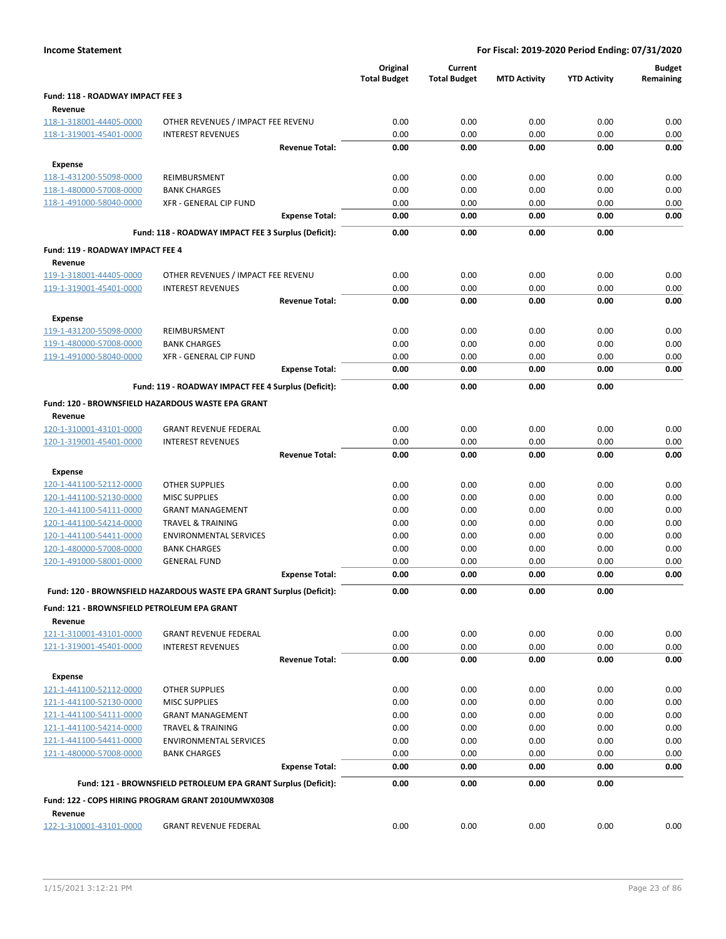|                                                    |                                                                      | Original            | Current             |                     |                     | <b>Budget</b> |
|----------------------------------------------------|----------------------------------------------------------------------|---------------------|---------------------|---------------------|---------------------|---------------|
|                                                    |                                                                      | <b>Total Budget</b> | <b>Total Budget</b> | <b>MTD Activity</b> | <b>YTD Activity</b> | Remaining     |
| Fund: 118 - ROADWAY IMPACT FEE 3                   |                                                                      |                     |                     |                     |                     |               |
| Revenue<br>118-1-318001-44405-0000                 | OTHER REVENUES / IMPACT FEE REVENU                                   | 0.00                | 0.00                | 0.00                | 0.00                | 0.00          |
| 118-1-319001-45401-0000                            | <b>INTEREST REVENUES</b>                                             | 0.00                | 0.00                | 0.00                | 0.00                | 0.00          |
|                                                    | <b>Revenue Total:</b>                                                | 0.00                | 0.00                | 0.00                | 0.00                | 0.00          |
| <b>Expense</b>                                     |                                                                      |                     |                     |                     |                     |               |
| 118-1-431200-55098-0000                            | REIMBURSMENT                                                         | 0.00                | 0.00                | 0.00                | 0.00                | 0.00          |
| 118-1-480000-57008-0000                            | <b>BANK CHARGES</b>                                                  | 0.00                | 0.00                | 0.00                | 0.00                | 0.00          |
| 118-1-491000-58040-0000                            | XFR - GENERAL CIP FUND                                               | 0.00                | 0.00                | 0.00                | 0.00                | 0.00          |
|                                                    | <b>Expense Total:</b>                                                | 0.00                | 0.00                | 0.00                | 0.00                | 0.00          |
|                                                    | Fund: 118 - ROADWAY IMPACT FEE 3 Surplus (Deficit):                  | 0.00                | 0.00                | 0.00                | 0.00                |               |
|                                                    |                                                                      |                     |                     |                     |                     |               |
| Fund: 119 - ROADWAY IMPACT FEE 4                   |                                                                      |                     |                     |                     |                     |               |
| Revenue<br>119-1-318001-44405-0000                 | OTHER REVENUES / IMPACT FEE REVENU                                   | 0.00                | 0.00                | 0.00                | 0.00                | 0.00          |
| 119-1-319001-45401-0000                            | <b>INTEREST REVENUES</b>                                             | 0.00                | 0.00                | 0.00                | 0.00                | 0.00          |
|                                                    | <b>Revenue Total:</b>                                                | 0.00                | 0.00                | 0.00                | 0.00                | 0.00          |
|                                                    |                                                                      |                     |                     |                     |                     |               |
| <b>Expense</b>                                     |                                                                      | 0.00                | 0.00                | 0.00                | 0.00                | 0.00          |
| 119-1-431200-55098-0000<br>119-1-480000-57008-0000 | REIMBURSMENT<br><b>BANK CHARGES</b>                                  | 0.00                | 0.00                | 0.00                | 0.00                | 0.00          |
| 119-1-491000-58040-0000                            | <b>XFR - GENERAL CIP FUND</b>                                        | 0.00                | 0.00                | 0.00                | 0.00                | 0.00          |
|                                                    | <b>Expense Total:</b>                                                | 0.00                | 0.00                | 0.00                | 0.00                | 0.00          |
|                                                    |                                                                      |                     |                     |                     |                     |               |
|                                                    | Fund: 119 - ROADWAY IMPACT FEE 4 Surplus (Deficit):                  | 0.00                | 0.00                | 0.00                | 0.00                |               |
|                                                    | Fund: 120 - BROWNSFIELD HAZARDOUS WASTE EPA GRANT                    |                     |                     |                     |                     |               |
| Revenue                                            |                                                                      |                     |                     |                     |                     |               |
| 120-1-310001-43101-0000<br>120-1-319001-45401-0000 | <b>GRANT REVENUE FEDERAL</b><br><b>INTEREST REVENUES</b>             | 0.00<br>0.00        | 0.00<br>0.00        | 0.00<br>0.00        | 0.00<br>0.00        | 0.00<br>0.00  |
|                                                    | <b>Revenue Total:</b>                                                | 0.00                | 0.00                | 0.00                | 0.00                | 0.00          |
|                                                    |                                                                      |                     |                     |                     |                     |               |
| <b>Expense</b>                                     |                                                                      |                     |                     |                     |                     |               |
| 120-1-441100-52112-0000<br>120-1-441100-52130-0000 | <b>OTHER SUPPLIES</b><br><b>MISC SUPPLIES</b>                        | 0.00<br>0.00        | 0.00<br>0.00        | 0.00<br>0.00        | 0.00<br>0.00        | 0.00<br>0.00  |
| 120-1-441100-54111-0000                            | <b>GRANT MANAGEMENT</b>                                              | 0.00                | 0.00                | 0.00                | 0.00                | 0.00          |
| 120-1-441100-54214-0000                            | TRAVEL & TRAINING                                                    | 0.00                | 0.00                | 0.00                | 0.00                | 0.00          |
| 120-1-441100-54411-0000                            | <b>ENVIRONMENTAL SERVICES</b>                                        | 0.00                | 0.00                | 0.00                | 0.00                | 0.00          |
| 120-1-480000-57008-0000                            | <b>BANK CHARGES</b>                                                  | 0.00                | 0.00                | 0.00                | 0.00                | 0.00          |
| 120-1-491000-58001-0000                            | <b>GENERAL FUND</b>                                                  | 0.00                | 0.00                | 0.00                | 0.00                | 0.00          |
|                                                    | <b>Expense Total:</b>                                                | 0.00                | 0.00                | 0.00                | 0.00                | 0.00          |
|                                                    | Fund: 120 - BROWNSFIELD HAZARDOUS WASTE EPA GRANT Surplus (Deficit): | 0.00                | 0.00                | 0.00                | 0.00                |               |
| Fund: 121 - BROWNSFIELD PETROLEUM EPA GRANT        |                                                                      |                     |                     |                     |                     |               |
| Revenue                                            |                                                                      |                     |                     |                     |                     |               |
| 121-1-310001-43101-0000                            | <b>GRANT REVENUE FEDERAL</b>                                         | 0.00                | 0.00                | 0.00                | 0.00                | 0.00          |
| 121-1-319001-45401-0000                            | <b>INTEREST REVENUES</b>                                             | 0.00                | 0.00                | 0.00                | 0.00                | 0.00          |
|                                                    | <b>Revenue Total:</b>                                                | 0.00                | 0.00                | 0.00                | 0.00                | 0.00          |
| <b>Expense</b>                                     |                                                                      |                     |                     |                     |                     |               |
| 121-1-441100-52112-0000                            | <b>OTHER SUPPLIES</b>                                                | 0.00                | 0.00                | 0.00                | 0.00                | 0.00          |
| 121-1-441100-52130-0000                            | <b>MISC SUPPLIES</b>                                                 | 0.00                | 0.00                | 0.00                | 0.00                | 0.00          |
| 121-1-441100-54111-0000                            | <b>GRANT MANAGEMENT</b>                                              | 0.00                | 0.00                | 0.00                | 0.00                | 0.00          |
| 121-1-441100-54214-0000                            | TRAVEL & TRAINING                                                    | 0.00                | 0.00                | 0.00                | 0.00                | 0.00          |
| 121-1-441100-54411-0000                            | <b>ENVIRONMENTAL SERVICES</b>                                        | 0.00                | 0.00                | 0.00                | 0.00                | 0.00          |
| 121-1-480000-57008-0000                            | <b>BANK CHARGES</b>                                                  | 0.00                | 0.00                | 0.00                | 0.00                | 0.00          |
|                                                    | <b>Expense Total:</b>                                                | 0.00                | 0.00                | 0.00                | 0.00                | 0.00          |
|                                                    | Fund: 121 - BROWNSFIELD PETROLEUM EPA GRANT Surplus (Deficit):       | 0.00                | 0.00                | 0.00                | 0.00                |               |
|                                                    | Fund: 122 - COPS HIRING PROGRAM GRANT 2010UMWX0308                   |                     |                     |                     |                     |               |
| Revenue                                            |                                                                      |                     |                     |                     |                     |               |
| 122-1-310001-43101-0000                            | <b>GRANT REVENUE FEDERAL</b>                                         | 0.00                | 0.00                | 0.00                | 0.00                | 0.00          |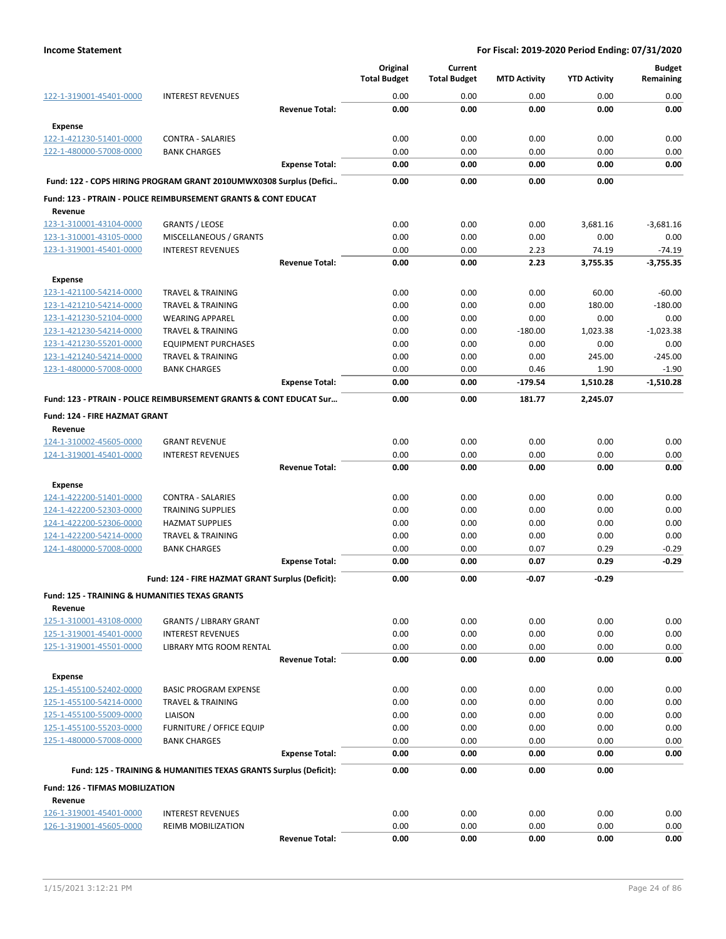|                                                                      |                                                                           |                       | Original            | Current             |                     |                     | <b>Budget</b> |
|----------------------------------------------------------------------|---------------------------------------------------------------------------|-----------------------|---------------------|---------------------|---------------------|---------------------|---------------|
|                                                                      |                                                                           |                       | <b>Total Budget</b> | <b>Total Budget</b> | <b>MTD Activity</b> | <b>YTD Activity</b> | Remaining     |
| 122-1-319001-45401-0000                                              | <b>INTEREST REVENUES</b>                                                  |                       | 0.00                | 0.00                | 0.00                | 0.00                | 0.00          |
|                                                                      |                                                                           | <b>Revenue Total:</b> | 0.00                | 0.00                | 0.00                | 0.00                | 0.00          |
| <b>Expense</b>                                                       |                                                                           |                       |                     |                     |                     |                     |               |
| 122-1-421230-51401-0000                                              | <b>CONTRA - SALARIES</b>                                                  |                       | 0.00                | 0.00                | 0.00                | 0.00                | 0.00          |
| 122-1-480000-57008-0000                                              | <b>BANK CHARGES</b>                                                       |                       | 0.00                | 0.00                | 0.00                | 0.00                | 0.00          |
|                                                                      |                                                                           | <b>Expense Total:</b> | 0.00                | 0.00                | 0.00                | 0.00                | 0.00          |
|                                                                      | Fund: 122 - COPS HIRING PROGRAM GRANT 2010UMWX0308 Surplus (Defici        |                       | 0.00                | 0.00                | 0.00                | 0.00                |               |
|                                                                      | <b>Fund: 123 - PTRAIN - POLICE REIMBURSEMENT GRANTS &amp; CONT EDUCAT</b> |                       |                     |                     |                     |                     |               |
| Revenue                                                              |                                                                           |                       |                     |                     |                     |                     |               |
| 123-1-310001-43104-0000                                              | <b>GRANTS / LEOSE</b>                                                     |                       | 0.00                | 0.00                | 0.00                | 3,681.16            | $-3,681.16$   |
| 123-1-310001-43105-0000                                              | MISCELLANEOUS / GRANTS                                                    |                       | 0.00                | 0.00                | 0.00                | 0.00                | 0.00          |
| 123-1-319001-45401-0000                                              | <b>INTEREST REVENUES</b>                                                  |                       | 0.00                | 0.00                | 2.23                | 74.19               | $-74.19$      |
|                                                                      |                                                                           | <b>Revenue Total:</b> | 0.00                | 0.00                | 2.23                | 3,755.35            | $-3,755.35$   |
| <b>Expense</b>                                                       |                                                                           |                       |                     |                     |                     |                     |               |
| 123-1-421100-54214-0000                                              | <b>TRAVEL &amp; TRAINING</b>                                              |                       | 0.00                | 0.00                | 0.00                | 60.00               | $-60.00$      |
| 123-1-421210-54214-0000                                              | <b>TRAVEL &amp; TRAINING</b>                                              |                       | 0.00                | 0.00                | 0.00                | 180.00              | $-180.00$     |
| 123-1-421230-52104-0000                                              | <b>WEARING APPAREL</b>                                                    |                       | 0.00                | 0.00                | 0.00                | 0.00                | 0.00          |
| 123-1-421230-54214-0000                                              | <b>TRAVEL &amp; TRAINING</b>                                              |                       | 0.00                | 0.00                | $-180.00$           | 1,023.38            | $-1,023.38$   |
| 123-1-421230-55201-0000                                              | <b>EQUIPMENT PURCHASES</b>                                                |                       | 0.00                | 0.00                | 0.00                | 0.00                | 0.00          |
| 123-1-421240-54214-0000                                              | <b>TRAVEL &amp; TRAINING</b>                                              |                       | 0.00                | 0.00                | 0.00                | 245.00              | $-245.00$     |
| 123-1-480000-57008-0000                                              | <b>BANK CHARGES</b>                                                       |                       | 0.00                | 0.00                | 0.46                | 1.90                | $-1.90$       |
|                                                                      |                                                                           | <b>Expense Total:</b> | 0.00                | 0.00                | -179.54             | 1,510.28            | $-1,510.28$   |
|                                                                      | Fund: 123 - PTRAIN - POLICE REIMBURSEMENT GRANTS & CONT EDUCAT Sur        |                       | 0.00                | 0.00                | 181.77              | 2,245.07            |               |
| Fund: 124 - FIRE HAZMAT GRANT                                        |                                                                           |                       |                     |                     |                     |                     |               |
| Revenue                                                              |                                                                           |                       |                     |                     |                     |                     |               |
| 124-1-310002-45605-0000                                              | <b>GRANT REVENUE</b>                                                      |                       | 0.00                | 0.00                | 0.00                | 0.00                | 0.00          |
| 124-1-319001-45401-0000                                              | <b>INTEREST REVENUES</b>                                                  |                       | 0.00                | 0.00                | 0.00                | 0.00                | 0.00          |
|                                                                      |                                                                           | <b>Revenue Total:</b> | 0.00                | 0.00                | 0.00                | 0.00                | 0.00          |
| <b>Expense</b>                                                       |                                                                           |                       |                     |                     |                     |                     |               |
| 124-1-422200-51401-0000                                              | <b>CONTRA - SALARIES</b>                                                  |                       | 0.00                | 0.00                | 0.00                | 0.00                | 0.00          |
| 124-1-422200-52303-0000                                              | <b>TRAINING SUPPLIES</b>                                                  |                       | 0.00                | 0.00                | 0.00                | 0.00                | 0.00          |
| 124-1-422200-52306-0000                                              | <b>HAZMAT SUPPLIES</b>                                                    |                       | 0.00                | 0.00                | 0.00                | 0.00                | 0.00          |
| 124-1-422200-54214-0000                                              | <b>TRAVEL &amp; TRAINING</b>                                              |                       | 0.00                | 0.00                | 0.00                | 0.00                | 0.00          |
| 124-1-480000-57008-0000                                              | <b>BANK CHARGES</b>                                                       |                       | 0.00                | 0.00                | 0.07                | 0.29                | $-0.29$       |
|                                                                      |                                                                           | <b>Expense Total:</b> | 0.00                | 0.00                | 0.07                | 0.29                | $-0.29$       |
|                                                                      | Fund: 124 - FIRE HAZMAT GRANT Surplus (Deficit):                          |                       | 0.00                | 0.00                | $-0.07$             | $-0.29$             |               |
|                                                                      |                                                                           |                       |                     |                     |                     |                     |               |
| <b>Fund: 125 - TRAINING &amp; HUMANITIES TEXAS GRANTS</b><br>Revenue |                                                                           |                       |                     |                     |                     |                     |               |
| 125-1-310001-43108-0000                                              | <b>GRANTS / LIBRARY GRANT</b>                                             |                       | 0.00                | 0.00                | 0.00                | 0.00                | 0.00          |
| 125-1-319001-45401-0000                                              | <b>INTEREST REVENUES</b>                                                  |                       | 0.00                | 0.00                | 0.00                | 0.00                | 0.00          |
| 125-1-319001-45501-0000                                              | LIBRARY MTG ROOM RENTAL                                                   |                       | 0.00                | 0.00                | 0.00                | 0.00                | 0.00          |
|                                                                      |                                                                           | <b>Revenue Total:</b> | 0.00                | 0.00                | 0.00                | 0.00                | 0.00          |
| <b>Expense</b>                                                       |                                                                           |                       |                     |                     |                     |                     |               |
| 125-1-455100-52402-0000                                              | <b>BASIC PROGRAM EXPENSE</b>                                              |                       | 0.00                | 0.00                | 0.00                | 0.00                | 0.00          |
| 125-1-455100-54214-0000                                              | <b>TRAVEL &amp; TRAINING</b>                                              |                       | 0.00                | 0.00                | 0.00                | 0.00                | 0.00          |
| 125-1-455100-55009-0000                                              | LIAISON                                                                   |                       | 0.00                | 0.00                | 0.00                | 0.00                | 0.00          |
| 125-1-455100-55203-0000                                              | <b>FURNITURE / OFFICE EQUIP</b>                                           |                       | 0.00                | 0.00                | 0.00                | 0.00                | 0.00          |
| 125-1-480000-57008-0000                                              | <b>BANK CHARGES</b>                                                       |                       | 0.00                | 0.00                | 0.00                | 0.00                | 0.00          |
|                                                                      |                                                                           | <b>Expense Total:</b> | 0.00                | 0.00                | 0.00                | 0.00                | 0.00          |
|                                                                      | Fund: 125 - TRAINING & HUMANITIES TEXAS GRANTS Surplus (Deficit):         |                       | 0.00                | 0.00                | 0.00                | 0.00                |               |
|                                                                      |                                                                           |                       |                     |                     |                     |                     |               |
| Fund: 126 - TIFMAS MOBILIZATION                                      |                                                                           |                       |                     |                     |                     |                     |               |
| Revenue                                                              |                                                                           |                       |                     |                     |                     |                     |               |
| 126-1-319001-45401-0000                                              | <b>INTEREST REVENUES</b>                                                  |                       | 0.00                | 0.00                | 0.00                | 0.00                | 0.00          |
| 126-1-319001-45605-0000                                              | <b>REIMB MOBILIZATION</b>                                                 |                       | 0.00                | 0.00                | 0.00                | 0.00                | 0.00          |
|                                                                      |                                                                           | <b>Revenue Total:</b> | 0.00                | 0.00                | 0.00                | 0.00                | 0.00          |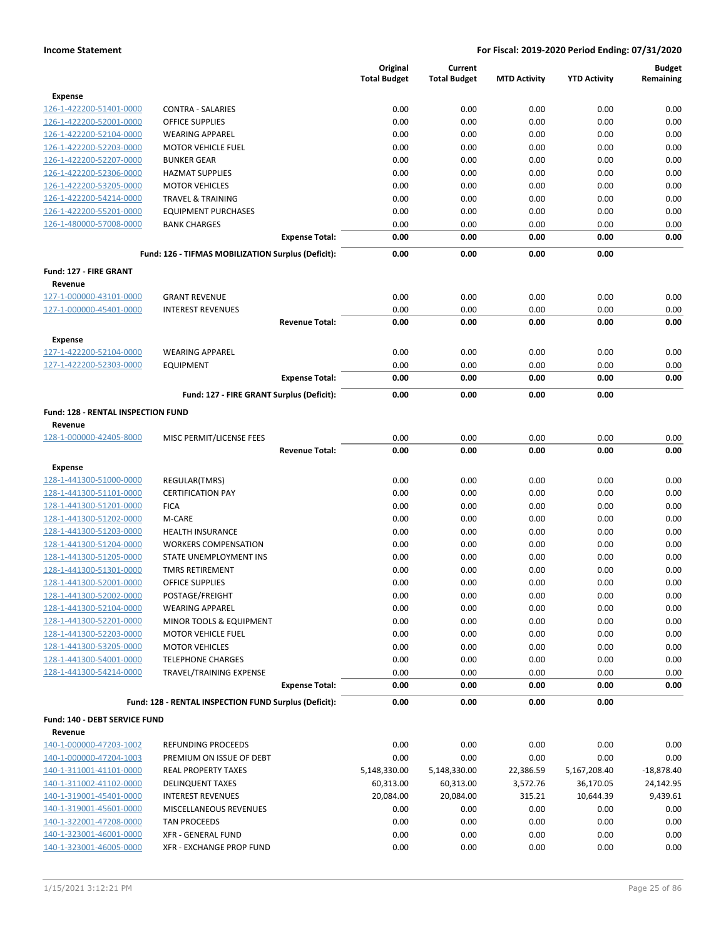|                                                    |                                                       |                       | Original<br><b>Total Budget</b> | Current<br><b>Total Budget</b> | <b>MTD Activity</b> | <b>YTD Activity</b> | <b>Budget</b><br>Remaining |
|----------------------------------------------------|-------------------------------------------------------|-----------------------|---------------------------------|--------------------------------|---------------------|---------------------|----------------------------|
| <b>Expense</b>                                     |                                                       |                       |                                 |                                |                     |                     |                            |
| 126-1-422200-51401-0000                            | <b>CONTRA - SALARIES</b>                              |                       | 0.00                            | 0.00                           | 0.00                | 0.00                | 0.00                       |
| 126-1-422200-52001-0000                            | <b>OFFICE SUPPLIES</b>                                |                       | 0.00                            | 0.00                           | 0.00                | 0.00                | 0.00                       |
| 126-1-422200-52104-0000                            | <b>WEARING APPAREL</b>                                |                       | 0.00                            | 0.00                           | 0.00                | 0.00                | 0.00                       |
| 126-1-422200-52203-0000                            | <b>MOTOR VEHICLE FUEL</b>                             |                       | 0.00                            | 0.00                           | 0.00                | 0.00                | 0.00                       |
| 126-1-422200-52207-0000                            | <b>BUNKER GEAR</b>                                    |                       | 0.00                            | 0.00                           | 0.00                | 0.00                | 0.00                       |
| 126-1-422200-52306-0000                            | <b>HAZMAT SUPPLIES</b>                                |                       | 0.00                            | 0.00                           | 0.00                | 0.00                | 0.00                       |
| 126-1-422200-53205-0000                            | <b>MOTOR VEHICLES</b>                                 |                       | 0.00                            | 0.00                           | 0.00                | 0.00                | 0.00                       |
| 126-1-422200-54214-0000                            | <b>TRAVEL &amp; TRAINING</b>                          |                       | 0.00                            | 0.00                           | 0.00                | 0.00                | 0.00                       |
| 126-1-422200-55201-0000                            | <b>EQUIPMENT PURCHASES</b>                            |                       | 0.00                            | 0.00                           | 0.00                | 0.00                | 0.00                       |
| 126-1-480000-57008-0000                            | <b>BANK CHARGES</b>                                   |                       | 0.00                            | 0.00                           | 0.00                | 0.00                | 0.00                       |
|                                                    | Fund: 126 - TIFMAS MOBILIZATION Surplus (Deficit):    | <b>Expense Total:</b> | 0.00<br>0.00                    | 0.00<br>0.00                   | 0.00<br>0.00        | 0.00<br>0.00        | 0.00                       |
|                                                    |                                                       |                       |                                 |                                |                     |                     |                            |
| Fund: 127 - FIRE GRANT                             |                                                       |                       |                                 |                                |                     |                     |                            |
| Revenue                                            |                                                       |                       |                                 |                                |                     |                     |                            |
| 127-1-000000-43101-0000                            | <b>GRANT REVENUE</b>                                  |                       | 0.00                            | 0.00                           | 0.00                | 0.00                | 0.00                       |
| 127-1-000000-45401-0000                            | <b>INTEREST REVENUES</b>                              |                       | 0.00                            | 0.00                           | 0.00                | 0.00                | 0.00                       |
|                                                    |                                                       | <b>Revenue Total:</b> | 0.00                            | 0.00                           | 0.00                | 0.00                | 0.00                       |
| Expense                                            |                                                       |                       |                                 |                                |                     |                     |                            |
| 127-1-422200-52104-0000                            | <b>WEARING APPAREL</b>                                |                       | 0.00                            | 0.00                           | 0.00                | 0.00                | 0.00                       |
| 127-1-422200-52303-0000                            | <b>EQUIPMENT</b>                                      |                       | 0.00                            | 0.00                           | 0.00                | 0.00                | 0.00                       |
|                                                    |                                                       | <b>Expense Total:</b> | 0.00                            | 0.00                           | 0.00                | 0.00                | 0.00                       |
|                                                    | Fund: 127 - FIRE GRANT Surplus (Deficit):             |                       | 0.00                            | 0.00                           | 0.00                | 0.00                |                            |
| Fund: 128 - RENTAL INSPECTION FUND                 |                                                       |                       |                                 |                                |                     |                     |                            |
| Revenue                                            |                                                       |                       |                                 |                                |                     |                     |                            |
| 128-1-000000-42405-8000                            | MISC PERMIT/LICENSE FEES                              |                       | 0.00                            | 0.00                           | 0.00                | 0.00                | 0.00                       |
|                                                    |                                                       | <b>Revenue Total:</b> | 0.00                            | 0.00                           | 0.00                | 0.00                | 0.00                       |
|                                                    |                                                       |                       |                                 |                                |                     |                     |                            |
| Expense                                            |                                                       |                       | 0.00                            | 0.00                           | 0.00                | 0.00                | 0.00                       |
| 128-1-441300-51000-0000<br>128-1-441300-51101-0000 | REGULAR(TMRS)<br><b>CERTIFICATION PAY</b>             |                       | 0.00                            | 0.00                           | 0.00                | 0.00                | 0.00                       |
| 128-1-441300-51201-0000                            | <b>FICA</b>                                           |                       | 0.00                            | 0.00                           | 0.00                | 0.00                | 0.00                       |
| 128-1-441300-51202-0000                            | M-CARE                                                |                       | 0.00                            | 0.00                           | 0.00                | 0.00                | 0.00                       |
|                                                    | <b>HEALTH INSURANCE</b>                               |                       | 0.00                            | 0.00                           | 0.00                | 0.00                | 0.00                       |
| 128-1-441300-51203-0000                            | <b>WORKERS COMPENSATION</b>                           |                       | 0.00                            | 0.00                           | 0.00                | 0.00                | 0.00                       |
| 128-1-441300-51204-0000<br>128-1-441300-51205-0000 | STATE UNEMPLOYMENT INS                                |                       | 0.00                            | 0.00                           | 0.00                | 0.00                | 0.00                       |
| 128-1-441300-51301-0000                            | <b>TMRS RETIREMENT</b>                                |                       | 0.00                            | 0.00                           | 0.00                | 0.00                | 0.00                       |
| 128-1-441300-52001-0000                            | <b>OFFICE SUPPLIES</b>                                |                       | 0.00                            | 0.00                           | 0.00                | 0.00                | 0.00                       |
| 128-1-441300-52002-0000                            | POSTAGE/FREIGHT                                       |                       | 0.00                            | 0.00                           | 0.00                | 0.00                | 0.00                       |
| 128-1-441300-52104-0000                            |                                                       |                       | 0.00                            | 0.00                           | 0.00                | 0.00                | 0.00                       |
| 128-1-441300-52201-0000                            | <b>WEARING APPAREL</b><br>MINOR TOOLS & EQUIPMENT     |                       | 0.00                            | 0.00                           | 0.00                | 0.00                | 0.00                       |
| 128-1-441300-52203-0000                            | <b>MOTOR VEHICLE FUEL</b>                             |                       | 0.00                            |                                |                     |                     | 0.00                       |
| 128-1-441300-53205-0000                            |                                                       |                       |                                 | 0.00                           | 0.00                | 0.00                | 0.00                       |
|                                                    | <b>MOTOR VEHICLES</b><br><b>TELEPHONE CHARGES</b>     |                       | 0.00                            | 0.00                           | 0.00                | 0.00                |                            |
| 128-1-441300-54001-0000                            |                                                       |                       | 0.00                            | 0.00                           | 0.00                | 0.00                | 0.00                       |
| 128-1-441300-54214-0000                            | TRAVEL/TRAINING EXPENSE                               |                       | 0.00                            | 0.00                           | 0.00                | 0.00<br>0.00        | 0.00                       |
|                                                    |                                                       | <b>Expense Total:</b> | 0.00                            | 0.00                           | 0.00                |                     | 0.00                       |
|                                                    | Fund: 128 - RENTAL INSPECTION FUND Surplus (Deficit): |                       | 0.00                            | 0.00                           | 0.00                | 0.00                |                            |
| Fund: 140 - DEBT SERVICE FUND                      |                                                       |                       |                                 |                                |                     |                     |                            |
| Revenue                                            |                                                       |                       |                                 |                                |                     |                     |                            |
| 140-1-000000-47203-1002                            | <b>REFUNDING PROCEEDS</b>                             |                       | 0.00                            | 0.00                           | 0.00                | 0.00                | 0.00                       |
| 140-1-000000-47204-1003                            | PREMIUM ON ISSUE OF DEBT                              |                       | 0.00                            | 0.00                           | 0.00                | 0.00                | 0.00                       |
| 140-1-311001-41101-0000                            | <b>REAL PROPERTY TAXES</b>                            |                       | 5,148,330.00                    | 5,148,330.00                   | 22,386.59           | 5,167,208.40        | $-18,878.40$               |
| 140-1-311002-41102-0000                            | <b>DELINQUENT TAXES</b>                               |                       | 60,313.00                       | 60,313.00                      | 3,572.76            | 36,170.05           | 24,142.95                  |
| 140-1-319001-45401-0000                            | <b>INTEREST REVENUES</b>                              |                       | 20,084.00                       | 20,084.00                      | 315.21              | 10,644.39           | 9,439.61                   |
| 140-1-319001-45601-0000                            | MISCELLANEOUS REVENUES                                |                       | 0.00                            | 0.00                           | 0.00                | 0.00                | 0.00                       |
| 140-1-322001-47208-0000                            | TAN PROCEEDS                                          |                       | 0.00                            | 0.00                           | 0.00                | 0.00                | 0.00                       |
| 140-1-323001-46001-0000                            | XFR - GENERAL FUND                                    |                       | 0.00                            | 0.00                           | 0.00                | 0.00                | 0.00                       |
| 140-1-323001-46005-0000                            | XFR - EXCHANGE PROP FUND                              |                       | 0.00                            | 0.00                           | 0.00                | 0.00                | 0.00                       |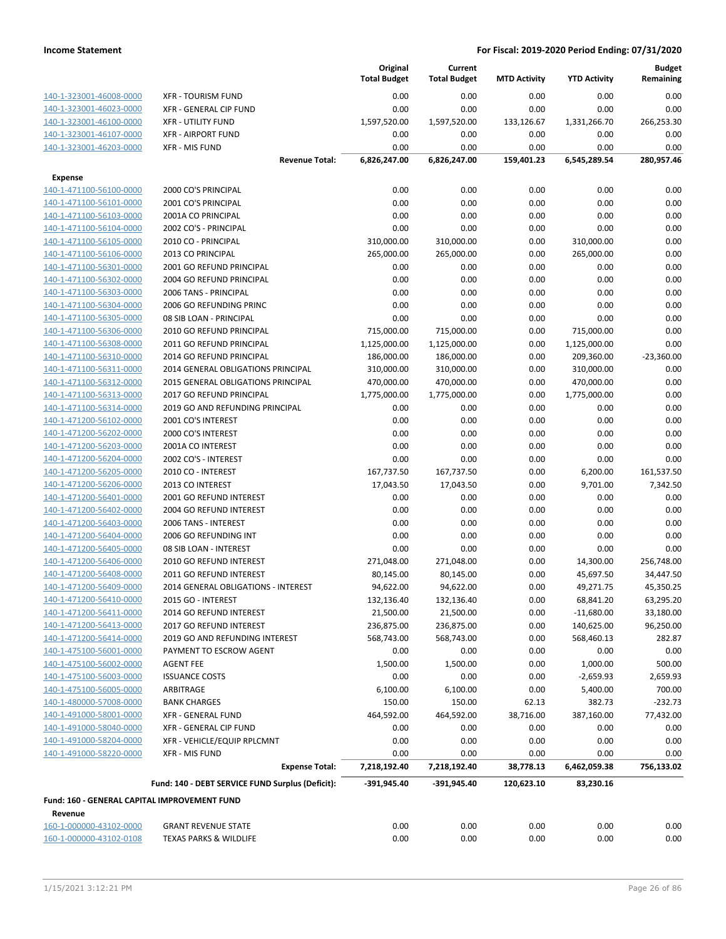|                                                         |                                                  | Original<br><b>Total Budget</b> | Current<br><b>Total Budget</b> | <b>MTD Activity</b> | <b>YTD Activity</b>  | <b>Budget</b><br>Remaining |
|---------------------------------------------------------|--------------------------------------------------|---------------------------------|--------------------------------|---------------------|----------------------|----------------------------|
| 140-1-323001-46008-0000                                 | <b>XFR - TOURISM FUND</b>                        | 0.00                            | 0.00                           | 0.00                | 0.00                 | 0.00                       |
| 140-1-323001-46023-0000                                 | XFR - GENERAL CIP FUND                           | 0.00                            | 0.00                           | 0.00                | 0.00                 | 0.00                       |
| 140-1-323001-46100-0000                                 | <b>XFR - UTILITY FUND</b>                        | 1,597,520.00                    | 1,597,520.00                   | 133,126.67          | 1,331,266.70         | 266,253.30                 |
| 140-1-323001-46107-0000                                 | <b>XFR - AIRPORT FUND</b>                        | 0.00                            | 0.00                           | 0.00                | 0.00                 | 0.00                       |
| 140-1-323001-46203-0000                                 | <b>XFR - MIS FUND</b>                            | 0.00                            | 0.00                           | 0.00                | 0.00                 | 0.00                       |
|                                                         | <b>Revenue Total:</b>                            | 6,826,247.00                    | 6,826,247.00                   | 159,401.23          | 6,545,289.54         | 280,957.46                 |
| <b>Expense</b>                                          |                                                  |                                 |                                |                     |                      |                            |
| 140-1-471100-56100-0000                                 | 2000 CO'S PRINCIPAL                              | 0.00                            | 0.00                           | 0.00                | 0.00                 | 0.00                       |
| 140-1-471100-56101-0000                                 | 2001 CO'S PRINCIPAL                              | 0.00                            | 0.00                           | 0.00                | 0.00                 | 0.00                       |
| 140-1-471100-56103-0000                                 | 2001A CO PRINCIPAL                               | 0.00                            | 0.00                           | 0.00                | 0.00                 | 0.00                       |
| 140-1-471100-56104-0000                                 | 2002 CO'S - PRINCIPAL                            | 0.00                            | 0.00                           | 0.00                | 0.00                 | 0.00                       |
| 140-1-471100-56105-0000                                 | 2010 CO - PRINCIPAL                              | 310,000.00                      | 310,000.00                     | 0.00                | 310,000.00           | 0.00                       |
| 140-1-471100-56106-0000                                 | 2013 CO PRINCIPAL                                | 265,000.00                      | 265,000.00                     | 0.00                | 265,000.00           | 0.00                       |
| 140-1-471100-56301-0000                                 | 2001 GO REFUND PRINCIPAL                         | 0.00                            | 0.00                           | 0.00                | 0.00                 | 0.00                       |
| 140-1-471100-56302-0000                                 | 2004 GO REFUND PRINCIPAL                         | 0.00                            | 0.00                           | 0.00                | 0.00                 | 0.00                       |
| 140-1-471100-56303-0000                                 | 2006 TANS - PRINCIPAL                            | 0.00                            | 0.00                           | 0.00                | 0.00                 | 0.00                       |
| 140-1-471100-56304-0000                                 | 2006 GO REFUNDING PRINC                          | 0.00                            | 0.00                           | 0.00                | 0.00                 | 0.00                       |
| 140-1-471100-56305-0000                                 | 08 SIB LOAN - PRINCIPAL                          | 0.00                            | 0.00                           | 0.00                | 0.00                 | 0.00                       |
| 140-1-471100-56306-0000                                 | 2010 GO REFUND PRINCIPAL                         | 715,000.00                      | 715,000.00                     | 0.00                | 715,000.00           | 0.00                       |
| 140-1-471100-56308-0000                                 | 2011 GO REFUND PRINCIPAL                         | 1,125,000.00                    | 1,125,000.00                   | 0.00                | 1,125,000.00         | 0.00                       |
| 140-1-471100-56310-0000                                 | 2014 GO REFUND PRINCIPAL                         | 186,000.00                      | 186,000.00                     | 0.00                | 209,360.00           | $-23,360.00$               |
| 140-1-471100-56311-0000                                 | 2014 GENERAL OBLIGATIONS PRINCIPAL               | 310,000.00                      | 310,000.00                     | 0.00                | 310,000.00           | 0.00                       |
| 140-1-471100-56312-0000                                 | 2015 GENERAL OBLIGATIONS PRINCIPAL               | 470,000.00                      | 470,000.00                     | 0.00                | 470,000.00           | 0.00                       |
| 140-1-471100-56313-0000                                 | 2017 GO REFUND PRINCIPAL                         | 1,775,000.00                    | 1,775,000.00                   | 0.00                | 1,775,000.00         | 0.00                       |
| 140-1-471100-56314-0000                                 | 2019 GO AND REFUNDING PRINCIPAL                  | 0.00                            | 0.00                           | 0.00                | 0.00                 | 0.00                       |
| 140-1-471200-56102-0000                                 | 2001 CO'S INTEREST                               | 0.00                            | 0.00                           | 0.00                | 0.00                 | 0.00                       |
| 140-1-471200-56202-0000                                 | 2000 CO'S INTEREST                               | 0.00                            | 0.00                           | 0.00                | 0.00                 | 0.00                       |
| 140-1-471200-56203-0000                                 | 2001A CO INTEREST                                | 0.00                            | 0.00                           | 0.00                | 0.00                 | 0.00                       |
| 140-1-471200-56204-0000                                 | 2002 CO'S - INTEREST                             | 0.00                            | 0.00                           | 0.00                | 0.00                 | 0.00                       |
| 140-1-471200-56205-0000                                 | 2010 CO - INTEREST                               | 167,737.50                      | 167,737.50                     | 0.00                | 6,200.00             | 161,537.50                 |
| 140-1-471200-56206-0000                                 | 2013 CO INTEREST                                 | 17,043.50                       | 17,043.50                      | 0.00                | 9,701.00             | 7,342.50                   |
| 140-1-471200-56401-0000                                 | 2001 GO REFUND INTEREST                          | 0.00                            | 0.00                           | 0.00                | 0.00                 | 0.00                       |
| 140-1-471200-56402-0000                                 | 2004 GO REFUND INTEREST                          | 0.00                            | 0.00                           | 0.00                | 0.00                 | 0.00                       |
| 140-1-471200-56403-0000                                 | 2006 TANS - INTEREST                             | 0.00                            | 0.00                           | 0.00                | 0.00                 | 0.00                       |
| 140-1-471200-56404-0000                                 | 2006 GO REFUNDING INT                            | 0.00                            | 0.00                           | 0.00                | 0.00                 | 0.00                       |
| 140-1-471200-56405-0000                                 | 08 SIB LOAN - INTEREST                           | 0.00                            | 0.00                           | 0.00                | 0.00                 | 0.00                       |
| 140-1-471200-56406-0000                                 | 2010 GO REFUND INTEREST                          | 271,048.00                      | 271,048.00                     | 0.00                | 14,300.00            | 256,748.00                 |
| 140-1-471200-56408-0000                                 | 2011 GO REFUND INTEREST                          | 80,145.00                       | 80,145.00                      | 0.00                | 45,697.50            | 34,447.50                  |
| 140-1-471200-56409-0000                                 | 2014 GENERAL OBLIGATIONS - INTEREST              | 94,622.00                       | 94,622.00                      | 0.00                | 49,271.75            | 45,350.25                  |
| 140-1-471200-56410-0000                                 | 2015 GO - INTEREST                               | 132,136.40                      | 132,136.40                     | 0.00                | 68,841.20            | 63,295.20                  |
| 140-1-471200-56411-0000                                 | 2014 GO REFUND INTEREST                          | 21,500.00                       | 21,500.00                      | 0.00                | $-11,680.00$         | 33,180.00                  |
| 140-1-471200-56413-0000                                 | 2017 GO REFUND INTEREST                          | 236,875.00                      | 236,875.00                     | 0.00                | 140,625.00           | 96,250.00                  |
| 140-1-471200-56414-0000                                 | 2019 GO AND REFUNDING INTEREST                   | 568,743.00                      | 568,743.00                     | 0.00                | 568,460.13           | 282.87                     |
| 140-1-475100-56001-0000                                 | PAYMENT TO ESCROW AGENT                          | 0.00                            | 0.00                           | 0.00                | 0.00                 | 0.00                       |
| 140-1-475100-56002-0000                                 | <b>AGENT FEE</b>                                 | 1,500.00                        | 1,500.00                       | 0.00                | 1,000.00             | 500.00                     |
| 140-1-475100-56003-0000                                 | <b>ISSUANCE COSTS</b>                            | 0.00                            | 0.00                           | 0.00                | $-2,659.93$          | 2,659.93                   |
| 140-1-475100-56005-0000                                 | ARBITRAGE                                        | 6,100.00                        | 6,100.00                       | 0.00                | 5,400.00             | 700.00                     |
| 140-1-480000-57008-0000                                 | <b>BANK CHARGES</b>                              | 150.00                          | 150.00                         | 62.13               | 382.73               | $-232.73$                  |
| 140-1-491000-58001-0000                                 | <b>XFR - GENERAL FUND</b>                        | 464,592.00                      | 464,592.00                     | 38,716.00           | 387,160.00           | 77,432.00                  |
| 140-1-491000-58040-0000                                 | XFR - GENERAL CIP FUND                           | 0.00                            | 0.00                           | 0.00                | 0.00                 | 0.00                       |
| 140-1-491000-58204-0000                                 | XFR - VEHICLE/EQUIP RPLCMNT                      | 0.00                            | 0.00                           | 0.00                | 0.00                 | 0.00                       |
| 140-1-491000-58220-0000                                 | XFR - MIS FUND<br><b>Expense Total:</b>          | 0.00<br>7,218,192.40            | 0.00<br>7,218,192.40           | 0.00<br>38,778.13   | 0.00<br>6,462,059.38 | 0.00<br>756,133.02         |
|                                                         | Fund: 140 - DEBT SERVICE FUND Surplus (Deficit): | -391,945.40                     | -391,945.40                    | 120,623.10          | 83,230.16            |                            |
|                                                         |                                                  |                                 |                                |                     |                      |                            |
| Fund: 160 - GENERAL CAPITAL IMPROVEMENT FUND<br>Revenue |                                                  |                                 |                                |                     |                      |                            |
| 160-1-000000-43102-0000                                 | <b>GRANT REVENUE STATE</b>                       | 0.00                            | 0.00                           | 0.00                | 0.00                 | 0.00                       |
| 160-1-000000-43102-0108                                 | <b>TEXAS PARKS &amp; WILDLIFE</b>                | 0.00                            | 0.00                           | 0.00                | 0.00                 | 0.00                       |
|                                                         |                                                  |                                 |                                |                     |                      |                            |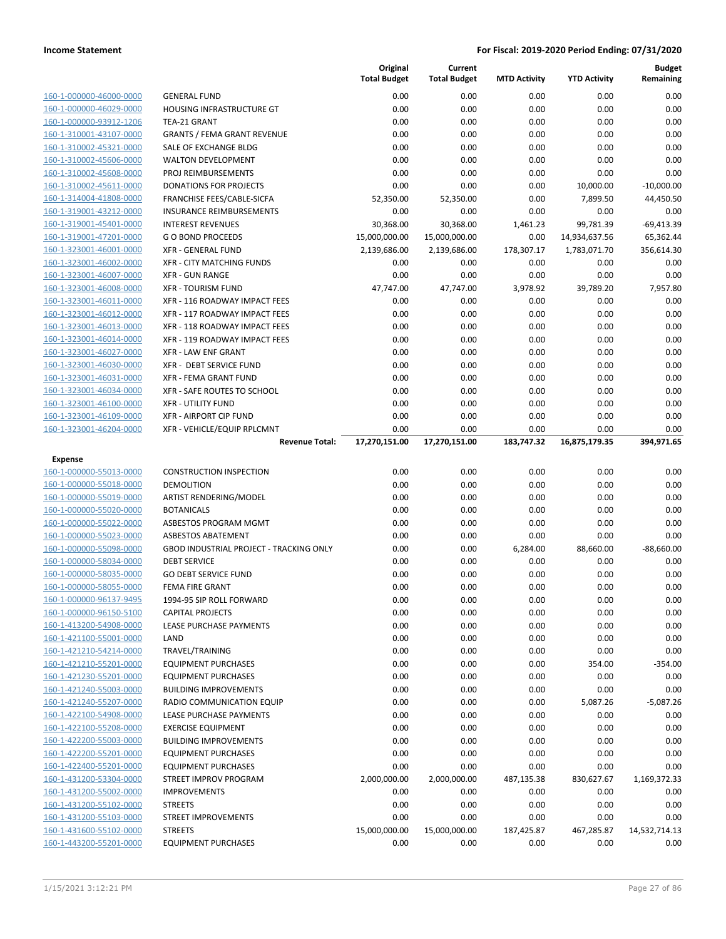| 160-1-000000-46000-0000 |        |
|-------------------------|--------|
| 160-1-000000-46029-0000 | ı      |
| 160-1-000000-93912-1206 |        |
| 160-1-310001-43107-0000 | ١      |
| 160-1-310002-45321-0000 | :      |
| 160-1-310002-45606-0000 |        |
| 160-1-310002-45608-0000 | ı      |
| 160-1-310002-45611-0000 | ı      |
| 160-1-314004-41808-0000 | ı      |
| 160-1-319001-43212-0000 | ı      |
| 160-1-319001-45401-0000 | ı      |
| 160-1-319001-47201-0000 | I      |
| 160-1-323001-46001-0000 | j      |
| 160-1-323001-46002-0000 |        |
| 160-1-323001-46007-0000 | j      |
| 160-1-323001-46008-0000 | ì      |
| 160-1-323001-46011-0000 | ֚֚֚֚֚֡ |
| 160-1-323001-46012-0000 | j      |
| 160-1-323001-46013-0000 | j      |
| 160-1-323001-46014-0000 | ì      |
| 160-1-323001-46027-0000 | ì      |
| 160-1-323001-46030-0000 | j      |
| 160-1-323001-46031-0000 | j      |
| 160-1-323001-46034-0000 | ì      |
| 160-1-323001-46100-0000 | ì      |
| 160-1-323001-46109-0000 |        |
| 160-1-323001-46204-0000 | j      |

| Expense                 |
|-------------------------|
| 160-1-000000-55013-0000 |
| 160-1-000000-55018-0000 |
| 160-1-000000-55019-0000 |
| 160-1-000000-55020-0000 |
| 160-1-000000-55022-0000 |
| 160-1-000000-55023-0000 |
| 160-1-000000-55098-0000 |
| 160-1-000000-58034-0000 |
| 160-1-000000-58035-0000 |
| 160-1-000000-58055-0000 |
| 160-1-000000-96137-9495 |
| 160-1-000000-96150-5100 |
| 160-1-413200-54908-0000 |
| 160-1-421100-55001-0000 |
| 160-1-421210-54214-0000 |
| 160-1-421210-55201-0000 |
| 160-1-421230-55201-0000 |
| 160-1-421240-55003-0000 |
| 160-1-421240-55207-0000 |
| 160-1-422100-54908-0000 |
| 160-1-422100-55208-0000 |
| 160-1-422200-55003-0000 |
| 160-1-422200-55201-0000 |
| 160-1-422400-55201-0000 |
| 160-1-431200-53304-0000 |
| 160-1-431200-55002-0000 |
| 160-1-431200-55102-0000 |
| 160-1-431200-55103-0000 |
| 160-1-431600-55102-0000 |
| 160-1-443200-55201-0000 |

|                                                    |                                                             | Original<br><b>Total Budget</b> | Current<br><b>Total Budget</b> | <b>MTD Activity</b> | <b>YTD Activity</b> | <b>Budget</b><br>Remaining |
|----------------------------------------------------|-------------------------------------------------------------|---------------------------------|--------------------------------|---------------------|---------------------|----------------------------|
| 160-1-000000-46000-0000                            | <b>GENERAL FUND</b>                                         | 0.00                            | 0.00                           | 0.00                | 0.00                | 0.00                       |
| 160-1-000000-46029-0000                            | HOUSING INFRASTRUCTURE GT                                   | 0.00                            | 0.00                           | 0.00                | 0.00                | 0.00                       |
| 160-1-000000-93912-1206                            | TEA-21 GRANT                                                | 0.00                            | 0.00                           | 0.00                | 0.00                | 0.00                       |
| 160-1-310001-43107-0000                            | <b>GRANTS / FEMA GRANT REVENUE</b>                          | 0.00                            | 0.00                           | 0.00                | 0.00                | 0.00                       |
| 160-1-310002-45321-0000                            | SALE OF EXCHANGE BLDG                                       | 0.00                            | 0.00                           | 0.00                | 0.00                | 0.00                       |
| 160-1-310002-45606-0000                            | <b>WALTON DEVELOPMENT</b>                                   | 0.00                            | 0.00                           | 0.00                | 0.00                | 0.00                       |
| 160-1-310002-45608-0000                            | PROJ REIMBURSEMENTS                                         | 0.00                            | 0.00                           | 0.00                | 0.00                | 0.00                       |
| 160-1-310002-45611-0000                            | DONATIONS FOR PROJECTS                                      | 0.00                            | 0.00                           | 0.00                | 10,000.00           | $-10,000.00$               |
| 160-1-314004-41808-0000                            | FRANCHISE FEES/CABLE-SICFA                                  | 52,350.00                       | 52,350.00                      | 0.00                | 7,899.50            | 44,450.50                  |
| 160-1-319001-43212-0000                            | INSURANCE REIMBURSEMENTS                                    | 0.00                            | 0.00                           | 0.00                | 0.00                | 0.00                       |
| 160-1-319001-45401-0000                            | <b>INTEREST REVENUES</b>                                    | 30,368.00                       | 30,368.00                      | 1,461.23            | 99,781.39           | $-69,413.39$               |
| 160-1-319001-47201-0000                            | <b>GO BOND PROCEEDS</b>                                     | 15,000,000.00                   | 15,000,000.00                  | 0.00                | 14,934,637.56       | 65,362.44                  |
| 160-1-323001-46001-0000                            | <b>XFR - GENERAL FUND</b>                                   | 2,139,686.00                    | 2,139,686.00                   | 178,307.17          | 1,783,071.70        | 356,614.30                 |
| 160-1-323001-46002-0000                            | XFR - CITY MATCHING FUNDS                                   | 0.00                            | 0.00                           | 0.00                | 0.00                | 0.00                       |
| 160-1-323001-46007-0000                            | <b>XFR - GUN RANGE</b>                                      | 0.00                            | 0.00                           | 0.00                | 0.00                | 0.00                       |
| 160-1-323001-46008-0000                            | <b>XFR - TOURISM FUND</b>                                   | 47,747.00                       | 47,747.00                      | 3,978.92            | 39,789.20           | 7,957.80                   |
| 160-1-323001-46011-0000                            | XFR - 116 ROADWAY IMPACT FEES                               | 0.00                            | 0.00                           | 0.00                | 0.00                | 0.00                       |
| 160-1-323001-46012-0000                            | XFR - 117 ROADWAY IMPACT FEES                               | 0.00                            | 0.00                           | 0.00                | 0.00                | 0.00                       |
| 160-1-323001-46013-0000                            | XFR - 118 ROADWAY IMPACT FEES                               | 0.00                            | 0.00                           | 0.00                | 0.00                | 0.00                       |
| 160-1-323001-46014-0000                            | XFR - 119 ROADWAY IMPACT FEES                               | 0.00                            | 0.00                           | 0.00                | 0.00                | 0.00                       |
| 160-1-323001-46027-0000<br>160-1-323001-46030-0000 | <b>XFR - LAW ENF GRANT</b>                                  | 0.00                            | 0.00                           | 0.00                | 0.00                | 0.00                       |
| 160-1-323001-46031-0000                            | <b>XFR - DEBT SERVICE FUND</b>                              | 0.00                            | 0.00                           | 0.00                | 0.00                | 0.00                       |
| 160-1-323001-46034-0000                            | <b>XFR - FEMA GRANT FUND</b><br>XFR - SAFE ROUTES TO SCHOOL | 0.00<br>0.00                    | 0.00<br>0.00                   | 0.00<br>0.00        | 0.00<br>0.00        | 0.00<br>0.00               |
| 160-1-323001-46100-0000                            | <b>XFR - UTILITY FUND</b>                                   | 0.00                            | 0.00                           | 0.00                | 0.00                | 0.00                       |
| 160-1-323001-46109-0000                            | <b>XFR - AIRPORT CIP FUND</b>                               | 0.00                            | 0.00                           | 0.00                | 0.00                | 0.00                       |
| 160-1-323001-46204-0000                            | XFR - VEHICLE/EQUIP RPLCMNT                                 | 0.00                            | 0.00                           | 0.00                | 0.00                | 0.00                       |
|                                                    | <b>Revenue Total:</b>                                       | 17,270,151.00                   | 17,270,151.00                  | 183,747.32          | 16,875,179.35       | 394,971.65                 |
|                                                    |                                                             |                                 |                                |                     |                     |                            |
| Expense<br>160-1-000000-55013-0000                 | <b>CONSTRUCTION INSPECTION</b>                              | 0.00                            | 0.00                           | 0.00                | 0.00                | 0.00                       |
| 160-1-000000-55018-0000                            | <b>DEMOLITION</b>                                           | 0.00                            | 0.00                           | 0.00                | 0.00                | 0.00                       |
| 160-1-000000-55019-0000                            | ARTIST RENDERING/MODEL                                      | 0.00                            | 0.00                           | 0.00                | 0.00                | 0.00                       |
| 160-1-000000-55020-0000                            | <b>BOTANICALS</b>                                           | 0.00                            | 0.00                           | 0.00                | 0.00                | 0.00                       |
| 160-1-000000-55022-0000                            | ASBESTOS PROGRAM MGMT                                       | 0.00                            | 0.00                           | 0.00                | 0.00                | 0.00                       |
| 160-1-000000-55023-0000                            | <b>ASBESTOS ABATEMENT</b>                                   | 0.00                            | 0.00                           | 0.00                | 0.00                | 0.00                       |
| 160-1-000000-55098-0000                            | <b>GBOD INDUSTRIAL PROJECT - TRACKING ONLY</b>              | 0.00                            | 0.00                           | 6,284.00            | 88,660.00           | $-88,660.00$               |
| 160-1-000000-58034-0000                            | <b>DEBT SERVICE</b>                                         | 0.00                            | 0.00                           | 0.00                | 0.00                | 0.00                       |
| 160-1-000000-58035-0000                            | <b>GO DEBT SERVICE FUND</b>                                 | 0.00                            | 0.00                           | 0.00                | 0.00                | 0.00                       |
| 160-1-000000-58055-0000                            | <b>FEMA FIRE GRANT</b>                                      | 0.00                            | 0.00                           | 0.00                | 0.00                | 0.00                       |
| 160-1-000000-96137-9495                            | 1994-95 SIP ROLL FORWARD                                    | 0.00                            | 0.00                           | 0.00                | 0.00                | 0.00                       |
| 160-1-000000-96150-5100                            | <b>CAPITAL PROJECTS</b>                                     | 0.00                            | 0.00                           | 0.00                | 0.00                | 0.00                       |
| 160-1-413200-54908-0000                            | LEASE PURCHASE PAYMENTS                                     | 0.00                            | 0.00                           | 0.00                | 0.00                | 0.00                       |
| 160-1-421100-55001-0000                            | LAND                                                        | 0.00                            | 0.00                           | 0.00                | 0.00                | 0.00                       |
| 160-1-421210-54214-0000                            | TRAVEL/TRAINING                                             | 0.00                            | 0.00                           | 0.00                | 0.00                | 0.00                       |
| 160-1-421210-55201-0000                            | <b>EQUIPMENT PURCHASES</b>                                  | 0.00                            | 0.00                           | 0.00                | 354.00              | $-354.00$                  |
| 160-1-421230-55201-0000                            | <b>EQUIPMENT PURCHASES</b>                                  | 0.00                            | 0.00                           | 0.00                | 0.00                | 0.00                       |
| 160-1-421240-55003-0000                            | <b>BUILDING IMPROVEMENTS</b>                                | 0.00                            | 0.00                           | 0.00                | 0.00                | 0.00                       |
| 160-1-421240-55207-0000                            | RADIO COMMUNICATION EQUIP                                   | 0.00                            | 0.00                           | 0.00                | 5,087.26            | $-5,087.26$                |
| 160-1-422100-54908-0000                            | LEASE PURCHASE PAYMENTS                                     | 0.00                            | 0.00                           | 0.00                | 0.00                | 0.00                       |
| 160-1-422100-55208-0000                            | <b>EXERCISE EQUIPMENT</b>                                   | 0.00                            | 0.00                           | 0.00                | 0.00                | 0.00                       |
| 160-1-422200-55003-0000<br>160-1-422200-55201-0000 | <b>BUILDING IMPROVEMENTS</b><br><b>EQUIPMENT PURCHASES</b>  | 0.00                            | 0.00                           | 0.00                | 0.00                | 0.00                       |
| 160-1-422400-55201-0000                            | <b>EQUIPMENT PURCHASES</b>                                  | 0.00<br>0.00                    | 0.00<br>0.00                   | 0.00<br>0.00        | 0.00<br>0.00        | 0.00<br>0.00               |
| 160-1-431200-53304-0000                            | STREET IMPROV PROGRAM                                       | 2,000,000.00                    | 2,000,000.00                   | 487,135.38          | 830,627.67          | 1,169,372.33               |
| 160-1-431200-55002-0000                            | <b>IMPROVEMENTS</b>                                         | 0.00                            | 0.00                           | 0.00                | 0.00                | 0.00                       |
| 160-1-431200-55102-0000                            | <b>STREETS</b>                                              | 0.00                            | 0.00                           | 0.00                | 0.00                | 0.00                       |
| 160-1-431200-55103-0000                            | STREET IMPROVEMENTS                                         | 0.00                            | 0.00                           | 0.00                | 0.00                | 0.00                       |
| 160-1-431600-55102-0000                            | <b>STREETS</b>                                              | 15,000,000.00                   | 15,000,000.00                  | 187,425.87          | 467,285.87          | 14,532,714.13              |
| 160-1-443200-55201-0000                            | <b>EQUIPMENT PURCHASES</b>                                  | 0.00                            | 0.00                           | 0.00                | 0.00                | 0.00                       |
|                                                    |                                                             |                                 |                                |                     |                     |                            |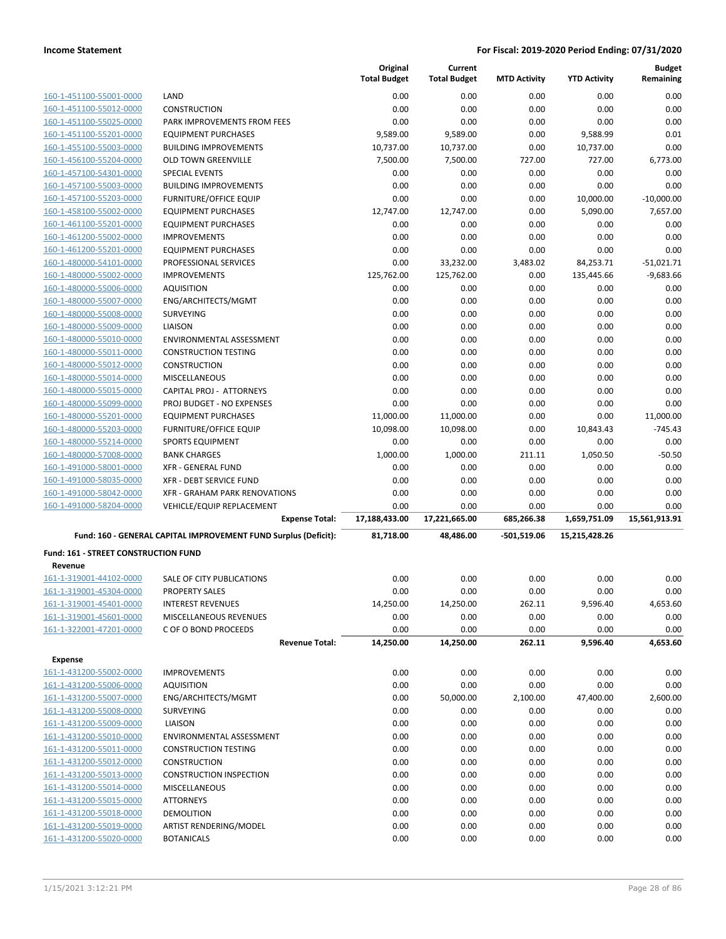|                                                    |                                                                 | Original            | Current             |                     |                     | <b>Budget</b> |
|----------------------------------------------------|-----------------------------------------------------------------|---------------------|---------------------|---------------------|---------------------|---------------|
|                                                    |                                                                 | <b>Total Budget</b> | <b>Total Budget</b> | <b>MTD Activity</b> | <b>YTD Activity</b> | Remaining     |
| 160-1-451100-55001-0000                            | LAND                                                            | 0.00                | 0.00                | 0.00                | 0.00                | 0.00          |
| 160-1-451100-55012-0000                            | <b>CONSTRUCTION</b>                                             | 0.00                | 0.00                | 0.00                | 0.00                | 0.00          |
| 160-1-451100-55025-0000                            | PARK IMPROVEMENTS FROM FEES                                     | 0.00                | 0.00                | 0.00                | 0.00                | 0.00          |
| 160-1-451100-55201-0000                            | <b>EQUIPMENT PURCHASES</b>                                      | 9,589.00            | 9,589.00            | 0.00                | 9,588.99            | 0.01          |
| 160-1-455100-55003-0000                            | <b>BUILDING IMPROVEMENTS</b>                                    | 10,737.00           | 10,737.00           | 0.00                | 10,737.00           | 0.00          |
| 160-1-456100-55204-0000                            | <b>OLD TOWN GREENVILLE</b>                                      | 7,500.00            | 7,500.00            | 727.00              | 727.00              | 6,773.00      |
| 160-1-457100-54301-0000                            | <b>SPECIAL EVENTS</b>                                           | 0.00                | 0.00                | 0.00                | 0.00                | 0.00          |
| 160-1-457100-55003-0000                            | <b>BUILDING IMPROVEMENTS</b>                                    | 0.00                | 0.00                | 0.00                | 0.00                | 0.00          |
| 160-1-457100-55203-0000                            | <b>FURNITURE/OFFICE EQUIP</b>                                   | 0.00                | 0.00                | 0.00                | 10,000.00           | $-10,000.00$  |
| 160-1-458100-55002-0000                            | <b>EQUIPMENT PURCHASES</b>                                      | 12,747.00           | 12,747.00           | 0.00                | 5,090.00            | 7,657.00      |
| 160-1-461100-55201-0000                            | <b>EQUIPMENT PURCHASES</b>                                      | 0.00                | 0.00                | 0.00                | 0.00                | 0.00          |
| 160-1-461200-55002-0000                            | <b>IMPROVEMENTS</b>                                             | 0.00                | 0.00                | 0.00                | 0.00                | 0.00          |
| 160-1-461200-55201-0000                            | <b>EQUIPMENT PURCHASES</b>                                      | 0.00                | 0.00                | 0.00                | 0.00                | 0.00          |
| 160-1-480000-54101-0000                            | PROFESSIONAL SERVICES                                           | 0.00                | 33,232.00           | 3,483.02            | 84,253.71           | $-51,021.71$  |
| 160-1-480000-55002-0000                            | <b>IMPROVEMENTS</b>                                             | 125,762.00          | 125,762.00          | 0.00                | 135,445.66          | $-9,683.66$   |
| 160-1-480000-55006-0000                            | <b>AQUISITION</b>                                               | 0.00                | 0.00                | 0.00                | 0.00                | 0.00          |
| 160-1-480000-55007-0000                            | ENG/ARCHITECTS/MGMT                                             | 0.00                | 0.00                | 0.00                | 0.00                | 0.00          |
| 160-1-480000-55008-0000                            | <b>SURVEYING</b>                                                | 0.00                | 0.00                | 0.00                | 0.00                | 0.00          |
| 160-1-480000-55009-0000                            | <b>LIAISON</b>                                                  | 0.00                | 0.00                | 0.00                | 0.00                | 0.00          |
| 160-1-480000-55010-0000                            | ENVIRONMENTAL ASSESSMENT                                        | 0.00                | 0.00                | 0.00                | 0.00                | 0.00          |
| 160-1-480000-55011-0000                            | <b>CONSTRUCTION TESTING</b>                                     | 0.00                | 0.00                | 0.00                | 0.00                | 0.00          |
| 160-1-480000-55012-0000                            | <b>CONSTRUCTION</b>                                             | 0.00                | 0.00                | 0.00                | 0.00                | 0.00          |
| 160-1-480000-55014-0000                            | <b>MISCELLANEOUS</b>                                            | 0.00                | 0.00                | 0.00                | 0.00                | 0.00          |
| 160-1-480000-55015-0000                            | <b>CAPITAL PROJ - ATTORNEYS</b>                                 | 0.00                | 0.00                | 0.00                | 0.00                | 0.00          |
| 160-1-480000-55099-0000                            | PROJ BUDGET - NO EXPENSES                                       | 0.00                | 0.00                | 0.00                | 0.00                | 0.00          |
| 160-1-480000-55201-0000                            | <b>EQUIPMENT PURCHASES</b>                                      | 11,000.00           | 11,000.00           | 0.00                | 0.00                | 11,000.00     |
| 160-1-480000-55203-0000                            | <b>FURNITURE/OFFICE EQUIP</b>                                   | 10,098.00           | 10,098.00           | 0.00                | 10,843.43           | $-745.43$     |
| 160-1-480000-55214-0000                            | <b>SPORTS EQUIPMENT</b>                                         | 0.00                | 0.00                | 0.00                | 0.00                | 0.00          |
| 160-1-480000-57008-0000                            | <b>BANK CHARGES</b>                                             | 1,000.00            | 1,000.00            | 211.11              | 1,050.50            | $-50.50$      |
| 160-1-491000-58001-0000                            | <b>XFR - GENERAL FUND</b>                                       | 0.00                | 0.00                | 0.00                | 0.00                | 0.00          |
| 160-1-491000-58035-0000                            | XFR - DEBT SERVICE FUND                                         | 0.00                | 0.00                | 0.00                | 0.00                | 0.00          |
| 160-1-491000-58042-0000                            | XFR - GRAHAM PARK RENOVATIONS                                   | 0.00                | 0.00                | 0.00                | 0.00                | 0.00          |
| 160-1-491000-58204-0000                            | VEHICLE/EQUIP REPLACEMENT                                       | 0.00                | 0.00                | 0.00                | 0.00                | 0.00          |
|                                                    | <b>Expense Total:</b>                                           | 17,188,433.00       | 17,221,665.00       | 685,266.38          | 1,659,751.09        | 15,561,913.91 |
|                                                    | Fund: 160 - GENERAL CAPITAL IMPROVEMENT FUND Surplus (Deficit): | 81,718.00           | 48,486.00           | -501,519.06         | 15,215,428.26       |               |
| <b>Fund: 161 - STREET CONSTRUCTION FUND</b>        |                                                                 |                     |                     |                     |                     |               |
| Revenue                                            |                                                                 |                     |                     |                     |                     |               |
| 161-1-319001-44102-0000                            | SALE OF CITY PUBLICATIONS                                       | 0.00                | 0.00                | 0.00                | 0.00                | 0.00          |
| 161-1-319001-45304-0000                            | <b>PROPERTY SALES</b>                                           | 0.00                | 0.00                | 0.00                | 0.00                | 0.00          |
| 161-1-319001-45401-0000                            | <b>INTEREST REVENUES</b>                                        | 14,250.00           | 14,250.00           | 262.11              | 9,596.40            | 4,653.60      |
| 161-1-319001-45601-0000                            | MISCELLANEOUS REVENUES                                          | 0.00                | 0.00                | 0.00                | 0.00                | 0.00          |
| 161-1-322001-47201-0000                            | C OF O BOND PROCEEDS                                            | 0.00                | 0.00                | 0.00                | 0.00                | 0.00          |
|                                                    | <b>Revenue Total:</b>                                           | 14,250.00           | 14,250.00           | 262.11              | 9,596.40            | 4,653.60      |
|                                                    |                                                                 |                     |                     |                     |                     |               |
| <b>Expense</b>                                     |                                                                 |                     |                     |                     |                     |               |
| 161-1-431200-55002-0000                            | <b>IMPROVEMENTS</b>                                             | 0.00                | 0.00                | 0.00                | 0.00                | 0.00          |
| 161-1-431200-55006-0000                            | <b>AQUISITION</b>                                               | 0.00                | 0.00                | 0.00                | 0.00                | 0.00          |
| 161-1-431200-55007-0000                            | ENG/ARCHITECTS/MGMT                                             | 0.00                | 50,000.00           | 2,100.00            | 47,400.00           | 2,600.00      |
| 161-1-431200-55008-0000                            |                                                                 |                     |                     |                     |                     |               |
| 161-1-431200-55009-0000                            | <b>SURVEYING</b>                                                | 0.00                | 0.00                | 0.00                | 0.00                | 0.00          |
|                                                    | LIAISON                                                         | 0.00                | 0.00                | 0.00                | 0.00                | 0.00          |
| 161-1-431200-55010-0000                            | ENVIRONMENTAL ASSESSMENT                                        | 0.00                | 0.00                | 0.00                | 0.00                | 0.00          |
| 161-1-431200-55011-0000                            | <b>CONSTRUCTION TESTING</b>                                     | 0.00                | 0.00                | 0.00                | 0.00                | 0.00          |
| 161-1-431200-55012-0000                            | <b>CONSTRUCTION</b>                                             | 0.00                | 0.00                | 0.00                | 0.00                | 0.00          |
| 161-1-431200-55013-0000                            | <b>CONSTRUCTION INSPECTION</b>                                  | 0.00                | 0.00                | 0.00                | 0.00                | 0.00          |
| 161-1-431200-55014-0000                            | MISCELLANEOUS                                                   | 0.00                | 0.00                | 0.00                | 0.00                | 0.00          |
| 161-1-431200-55015-0000                            | <b>ATTORNEYS</b>                                                | 0.00                | 0.00                | 0.00                | 0.00                | 0.00          |
| 161-1-431200-55018-0000                            | <b>DEMOLITION</b>                                               | 0.00                | 0.00                | 0.00                | 0.00                | 0.00          |
| 161-1-431200-55019-0000<br>161-1-431200-55020-0000 | ARTIST RENDERING/MODEL<br><b>BOTANICALS</b>                     | 0.00<br>0.00        | 0.00<br>0.00        | 0.00<br>0.00        | 0.00<br>0.00        | 0.00<br>0.00  |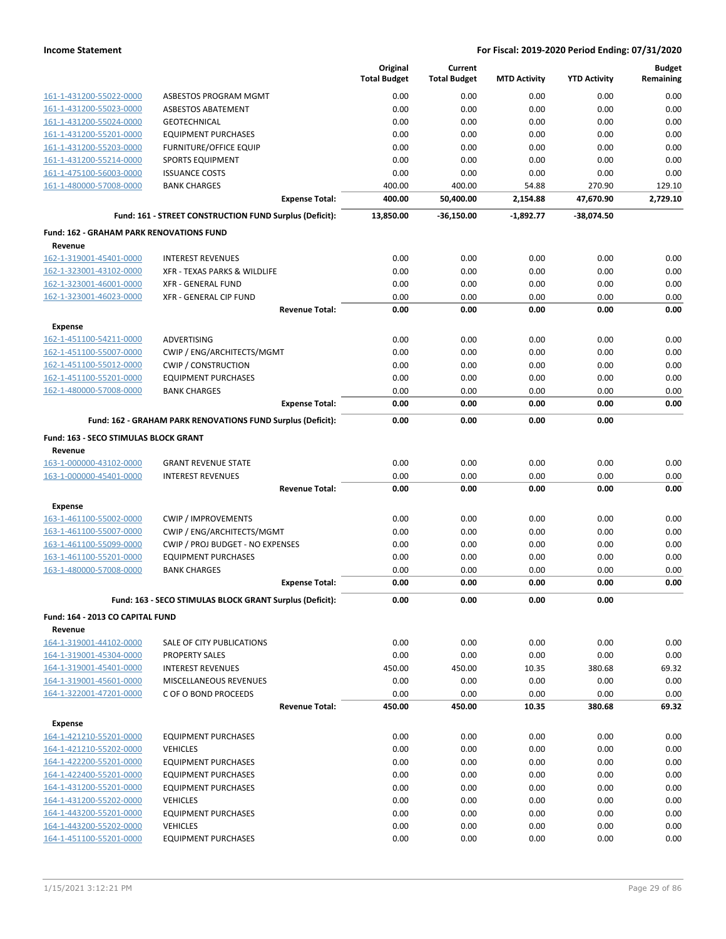|                                                    |                                                             | Original<br><b>Total Budget</b> | Current<br><b>Total Budget</b> | <b>MTD Activity</b> | <b>YTD Activity</b> | <b>Budget</b><br>Remaining |
|----------------------------------------------------|-------------------------------------------------------------|---------------------------------|--------------------------------|---------------------|---------------------|----------------------------|
| 161-1-431200-55022-0000                            | ASBESTOS PROGRAM MGMT                                       | 0.00                            | 0.00                           | 0.00                | 0.00                | 0.00                       |
| 161-1-431200-55023-0000                            | ASBESTOS ABATEMENT                                          | 0.00                            | 0.00                           | 0.00                | 0.00                | 0.00                       |
| 161-1-431200-55024-0000                            | <b>GEOTECHNICAL</b>                                         | 0.00                            | 0.00                           | 0.00                | 0.00                | 0.00                       |
| 161-1-431200-55201-0000                            | <b>EQUIPMENT PURCHASES</b>                                  | 0.00                            | 0.00                           | 0.00                | 0.00                | 0.00                       |
| 161-1-431200-55203-0000                            | FURNITURE/OFFICE EQUIP                                      | 0.00                            | 0.00                           | 0.00                | 0.00                | 0.00                       |
| 161-1-431200-55214-0000                            | <b>SPORTS EQUIPMENT</b>                                     | 0.00                            | 0.00                           | 0.00                | 0.00                | 0.00                       |
| 161-1-475100-56003-0000                            | <b>ISSUANCE COSTS</b>                                       | 0.00                            | 0.00                           | 0.00                | 0.00                | 0.00                       |
| 161-1-480000-57008-0000                            | <b>BANK CHARGES</b>                                         | 400.00                          | 400.00                         | 54.88               | 270.90              | 129.10                     |
|                                                    | <b>Expense Total:</b>                                       | 400.00                          | 50,400.00                      | 2,154.88            | 47,670.90           | 2.729.10                   |
|                                                    | Fund: 161 - STREET CONSTRUCTION FUND Surplus (Deficit):     | 13,850.00                       | -36,150.00                     | $-1,892.77$         | -38,074.50          |                            |
| <b>Fund: 162 - GRAHAM PARK RENOVATIONS FUND</b>    |                                                             |                                 |                                |                     |                     |                            |
| Revenue                                            |                                                             |                                 |                                |                     |                     |                            |
| 162-1-319001-45401-0000                            | <b>INTEREST REVENUES</b>                                    | 0.00                            | 0.00                           | 0.00                | 0.00                | 0.00                       |
| 162-1-323001-43102-0000                            | XFR - TEXAS PARKS & WILDLIFE                                | 0.00                            | 0.00                           | 0.00                | 0.00                | 0.00                       |
| 162-1-323001-46001-0000                            | <b>XFR - GENERAL FUND</b>                                   | 0.00                            | 0.00                           | 0.00                | 0.00                | 0.00                       |
| 162-1-323001-46023-0000                            | XFR - GENERAL CIP FUND                                      | 0.00                            | 0.00                           | 0.00                | 0.00                | 0.00<br>0.00               |
|                                                    | <b>Revenue Total:</b>                                       | 0.00                            | 0.00                           | 0.00                | 0.00                |                            |
| <b>Expense</b>                                     |                                                             |                                 |                                |                     |                     |                            |
| 162-1-451100-54211-0000                            | <b>ADVERTISING</b>                                          | 0.00                            | 0.00                           | 0.00                | 0.00                | 0.00<br>0.00               |
| 162-1-451100-55007-0000                            | CWIP / ENG/ARCHITECTS/MGMT                                  | 0.00<br>0.00                    | 0.00<br>0.00                   | 0.00<br>0.00        | 0.00<br>0.00        | 0.00                       |
| 162-1-451100-55012-0000<br>162-1-451100-55201-0000 | <b>CWIP / CONSTRUCTION</b><br><b>EQUIPMENT PURCHASES</b>    | 0.00                            | 0.00                           | 0.00                | 0.00                | 0.00                       |
| 162-1-480000-57008-0000                            | <b>BANK CHARGES</b>                                         | 0.00                            | 0.00                           | 0.00                | 0.00                | 0.00                       |
|                                                    | <b>Expense Total:</b>                                       | 0.00                            | 0.00                           | 0.00                | 0.00                | 0.00                       |
|                                                    | Fund: 162 - GRAHAM PARK RENOVATIONS FUND Surplus (Deficit): | 0.00                            | 0.00                           | 0.00                | 0.00                |                            |
| Fund: 163 - SECO STIMULAS BLOCK GRANT              |                                                             |                                 |                                |                     |                     |                            |
| Revenue                                            |                                                             |                                 |                                |                     |                     |                            |
| 163-1-000000-43102-0000                            | <b>GRANT REVENUE STATE</b>                                  | 0.00                            | 0.00                           | 0.00                | 0.00                | 0.00                       |
| 163-1-000000-45401-0000                            | <b>INTEREST REVENUES</b>                                    | 0.00                            | 0.00                           | 0.00                | 0.00                | 0.00                       |
|                                                    | <b>Revenue Total:</b>                                       | 0.00                            | 0.00                           | 0.00                | 0.00                | 0.00                       |
| <b>Expense</b>                                     |                                                             |                                 |                                |                     |                     |                            |
| 163-1-461100-55002-0000                            | <b>CWIP / IMPROVEMENTS</b>                                  | 0.00                            | 0.00                           | 0.00                | 0.00                | 0.00                       |
| 163-1-461100-55007-0000                            | CWIP / ENG/ARCHITECTS/MGMT                                  | 0.00                            | 0.00                           | 0.00                | 0.00                | 0.00                       |
| 163-1-461100-55099-0000                            | CWIP / PROJ BUDGET - NO EXPENSES                            | 0.00                            | 0.00                           | 0.00                | 0.00                | 0.00                       |
| 163-1-461100-55201-0000                            | <b>EQUIPMENT PURCHASES</b>                                  | 0.00                            | 0.00                           | 0.00                | 0.00                | 0.00                       |
| 163-1-480000-57008-0000                            | <b>BANK CHARGES</b>                                         | 0.00                            | 0.00                           | 0.00                | 0.00                | 0.00                       |
|                                                    | <b>Expense Total:</b>                                       | 0.00                            | 0.00                           | 0.00                | 0.00                | 0.00                       |
|                                                    | Fund: 163 - SECO STIMULAS BLOCK GRANT Surplus (Deficit):    | 0.00                            | 0.00                           | 0.00                | 0.00                |                            |
| Fund: 164 - 2013 CO CAPITAL FUND                   |                                                             |                                 |                                |                     |                     |                            |
| Revenue                                            |                                                             |                                 |                                |                     |                     |                            |
| 164-1-319001-44102-0000                            | SALE OF CITY PUBLICATIONS                                   | 0.00                            | 0.00                           | 0.00                | 0.00                | 0.00                       |
| 164-1-319001-45304-0000                            | <b>PROPERTY SALES</b>                                       | 0.00                            | 0.00                           | 0.00                | 0.00                | 0.00                       |
| 164-1-319001-45401-0000                            | <b>INTEREST REVENUES</b>                                    | 450.00                          | 450.00                         | 10.35               | 380.68              | 69.32                      |
| 164-1-319001-45601-0000                            | MISCELLANEOUS REVENUES                                      | 0.00                            | 0.00                           | 0.00                | 0.00                | 0.00                       |
| 164-1-322001-47201-0000                            | C OF O BOND PROCEEDS                                        | 0.00                            | 0.00                           | 0.00                | 0.00                | 0.00                       |
|                                                    | <b>Revenue Total:</b>                                       | 450.00                          | 450.00                         | 10.35               | 380.68              | 69.32                      |
| <b>Expense</b>                                     |                                                             |                                 |                                |                     |                     |                            |
| 164-1-421210-55201-0000                            | <b>EQUIPMENT PURCHASES</b>                                  | 0.00                            | 0.00                           | 0.00                | 0.00                | 0.00                       |
| 164-1-421210-55202-0000<br>164-1-422200-55201-0000 | <b>VEHICLES</b>                                             | 0.00<br>0.00                    | 0.00                           | 0.00                | 0.00                | 0.00                       |
| 164-1-422400-55201-0000                            | <b>EQUIPMENT PURCHASES</b><br><b>EQUIPMENT PURCHASES</b>    | 0.00                            | 0.00<br>0.00                   | 0.00<br>0.00        | 0.00<br>0.00        | 0.00<br>0.00               |
| 164-1-431200-55201-0000                            | <b>EQUIPMENT PURCHASES</b>                                  | 0.00                            | 0.00                           | 0.00                | 0.00                | 0.00                       |
| 164-1-431200-55202-0000                            | <b>VEHICLES</b>                                             | 0.00                            | 0.00                           | 0.00                | 0.00                | 0.00                       |
| 164-1-443200-55201-0000                            | <b>EQUIPMENT PURCHASES</b>                                  | 0.00                            | 0.00                           | 0.00                | 0.00                | 0.00                       |
| 164-1-443200-55202-0000                            | <b>VEHICLES</b>                                             | 0.00                            | 0.00                           | 0.00                | 0.00                | 0.00                       |
| 164-1-451100-55201-0000                            | <b>EQUIPMENT PURCHASES</b>                                  | 0.00                            | 0.00                           | 0.00                | 0.00                | 0.00                       |
|                                                    |                                                             |                                 |                                |                     |                     |                            |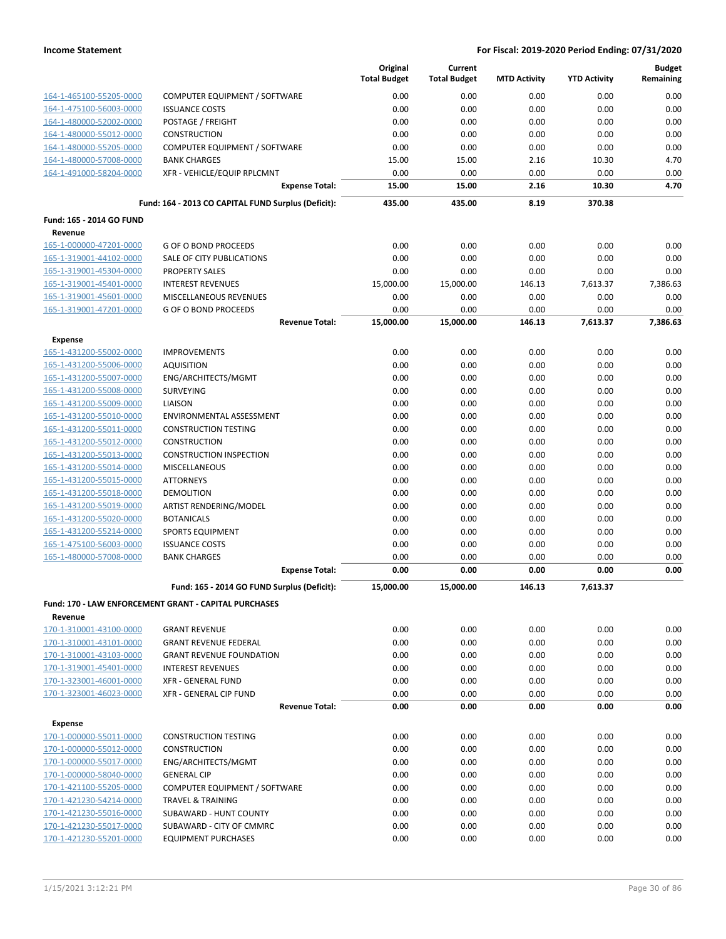|                          |                                                       | Original<br><b>Total Budget</b> | Current<br><b>Total Budget</b> | <b>MTD Activity</b> | <b>YTD Activity</b> | <b>Budget</b><br>Remaining |
|--------------------------|-------------------------------------------------------|---------------------------------|--------------------------------|---------------------|---------------------|----------------------------|
| 164-1-465100-55205-0000  | COMPUTER EQUIPMENT / SOFTWARE                         | 0.00                            | 0.00                           | 0.00                | 0.00                | 0.00                       |
| 164-1-475100-56003-0000  | <b>ISSUANCE COSTS</b>                                 | 0.00                            | 0.00                           | 0.00                | 0.00                | 0.00                       |
| 164-1-480000-52002-0000  | POSTAGE / FREIGHT                                     | 0.00                            | 0.00                           | 0.00                | 0.00                | 0.00                       |
| 164-1-480000-55012-0000  | <b>CONSTRUCTION</b>                                   | 0.00                            | 0.00                           | 0.00                | 0.00                | 0.00                       |
| 164-1-480000-55205-0000  | COMPUTER EQUIPMENT / SOFTWARE                         | 0.00                            | 0.00                           | 0.00                | 0.00                | 0.00                       |
| 164-1-480000-57008-0000  | <b>BANK CHARGES</b>                                   | 15.00                           | 15.00                          | 2.16                | 10.30               | 4.70                       |
| 164-1-491000-58204-0000  | XFR - VEHICLE/EQUIP RPLCMNT                           | 0.00                            | 0.00                           | 0.00                | 0.00                | 0.00                       |
|                          | <b>Expense Total:</b>                                 | 15.00                           | 15.00                          | 2.16                | 10.30               | 4.70                       |
|                          | Fund: 164 - 2013 CO CAPITAL FUND Surplus (Deficit):   | 435.00                          | 435.00                         | 8.19                | 370.38              |                            |
| Fund: 165 - 2014 GO FUND |                                                       |                                 |                                |                     |                     |                            |
| Revenue                  |                                                       |                                 |                                |                     |                     |                            |
| 165-1-000000-47201-0000  | <b>G OF O BOND PROCEEDS</b>                           | 0.00                            | 0.00                           | 0.00                | 0.00                | 0.00                       |
| 165-1-319001-44102-0000  | SALE OF CITY PUBLICATIONS                             | 0.00                            | 0.00                           | 0.00                | 0.00                | 0.00                       |
| 165-1-319001-45304-0000  | <b>PROPERTY SALES</b>                                 | 0.00                            | 0.00                           | 0.00                | 0.00                | 0.00                       |
| 165-1-319001-45401-0000  | <b>INTEREST REVENUES</b>                              | 15,000.00<br>0.00               | 15,000.00<br>0.00              | 146.13              | 7,613.37            | 7,386.63<br>0.00           |
| 165-1-319001-45601-0000  | MISCELLANEOUS REVENUES                                | 0.00                            |                                | 0.00                | 0.00                | 0.00                       |
| 165-1-319001-47201-0000  | <b>G OF O BOND PROCEEDS</b><br><b>Revenue Total:</b>  | 15,000.00                       | 0.00<br>15,000.00              | 0.00<br>146.13      | 0.00<br>7,613.37    | 7,386.63                   |
| <b>Expense</b>           |                                                       |                                 |                                |                     |                     |                            |
| 165-1-431200-55002-0000  | <b>IMPROVEMENTS</b>                                   | 0.00                            | 0.00                           | 0.00                | 0.00                | 0.00                       |
| 165-1-431200-55006-0000  | <b>AQUISITION</b>                                     | 0.00                            | 0.00                           | 0.00                | 0.00                | 0.00                       |
| 165-1-431200-55007-0000  | ENG/ARCHITECTS/MGMT                                   | 0.00                            | 0.00                           | 0.00                | 0.00                | 0.00                       |
| 165-1-431200-55008-0000  | <b>SURVEYING</b>                                      | 0.00                            | 0.00                           | 0.00                | 0.00                | 0.00                       |
| 165-1-431200-55009-0000  | LIAISON                                               | 0.00                            | 0.00                           | 0.00                | 0.00                | 0.00                       |
| 165-1-431200-55010-0000  | ENVIRONMENTAL ASSESSMENT                              | 0.00                            | 0.00                           | 0.00                | 0.00                | 0.00                       |
| 165-1-431200-55011-0000  | <b>CONSTRUCTION TESTING</b>                           | 0.00                            | 0.00                           | 0.00                | 0.00                | 0.00                       |
| 165-1-431200-55012-0000  | <b>CONSTRUCTION</b>                                   | 0.00                            | 0.00                           | 0.00                | 0.00                | 0.00                       |
| 165-1-431200-55013-0000  | <b>CONSTRUCTION INSPECTION</b>                        | 0.00                            | 0.00                           | 0.00                | 0.00                | 0.00                       |
| 165-1-431200-55014-0000  | <b>MISCELLANEOUS</b>                                  | 0.00                            | 0.00                           | 0.00                | 0.00                | 0.00                       |
| 165-1-431200-55015-0000  | <b>ATTORNEYS</b>                                      | 0.00                            | 0.00                           | 0.00                | 0.00                | 0.00                       |
| 165-1-431200-55018-0000  | <b>DEMOLITION</b>                                     | 0.00                            | 0.00                           | 0.00                | 0.00                | 0.00                       |
| 165-1-431200-55019-0000  | ARTIST RENDERING/MODEL                                | 0.00                            | 0.00                           | 0.00                | 0.00                | 0.00                       |
| 165-1-431200-55020-0000  | <b>BOTANICALS</b>                                     | 0.00                            | 0.00                           | 0.00                | 0.00                | 0.00                       |
| 165-1-431200-55214-0000  | <b>SPORTS EQUIPMENT</b>                               | 0.00                            | 0.00                           | 0.00                | 0.00                | 0.00                       |
| 165-1-475100-56003-0000  | <b>ISSUANCE COSTS</b>                                 | 0.00                            | 0.00                           | 0.00                | 0.00                | 0.00                       |
| 165-1-480000-57008-0000  | <b>BANK CHARGES</b>                                   | 0.00                            | 0.00                           | 0.00                | 0.00                | 0.00                       |
|                          | <b>Expense Total:</b>                                 | 0.00                            | 0.00                           | 0.00                | 0.00                | 0.00                       |
|                          | Fund: 165 - 2014 GO FUND Surplus (Deficit):           | 15,000.00                       | 15,000.00                      | 146.13              | 7,613.37            |                            |
| Revenue                  | Fund: 170 - LAW ENFORCEMENT GRANT - CAPITAL PURCHASES |                                 |                                |                     |                     |                            |
| 170-1-310001-43100-0000  | <b>GRANT REVENUE</b>                                  | 0.00                            | 0.00                           | 0.00                | 0.00                | 0.00                       |
| 170-1-310001-43101-0000  | <b>GRANT REVENUE FEDERAL</b>                          | 0.00                            | 0.00                           | 0.00                | 0.00                | 0.00                       |
| 170-1-310001-43103-0000  | <b>GRANT REVENUE FOUNDATION</b>                       | 0.00                            | 0.00                           | 0.00                | 0.00                | 0.00                       |
| 170-1-319001-45401-0000  | <b>INTEREST REVENUES</b>                              | 0.00                            | 0.00                           | 0.00                | 0.00                | 0.00                       |
| 170-1-323001-46001-0000  | <b>XFR - GENERAL FUND</b>                             | 0.00                            | 0.00                           | 0.00                | 0.00                | 0.00                       |
| 170-1-323001-46023-0000  | XFR - GENERAL CIP FUND                                | 0.00                            | 0.00                           | 0.00                | 0.00                | 0.00                       |
|                          | <b>Revenue Total:</b>                                 | 0.00                            | 0.00                           | 0.00                | 0.00                | 0.00                       |
| <b>Expense</b>           |                                                       |                                 |                                |                     |                     |                            |
| 170-1-000000-55011-0000  | <b>CONSTRUCTION TESTING</b>                           | 0.00                            | 0.00                           | 0.00                | 0.00                | 0.00                       |
| 170-1-000000-55012-0000  | <b>CONSTRUCTION</b>                                   | 0.00                            | 0.00                           | 0.00                | 0.00                | 0.00                       |
| 170-1-000000-55017-0000  | ENG/ARCHITECTS/MGMT                                   | 0.00                            | 0.00                           | 0.00                | 0.00                | 0.00                       |
| 170-1-000000-58040-0000  | <b>GENERAL CIP</b>                                    | 0.00                            | 0.00                           | 0.00                | 0.00                | 0.00                       |
| 170-1-421100-55205-0000  | COMPUTER EQUIPMENT / SOFTWARE                         | 0.00                            | 0.00                           | 0.00                | 0.00                | 0.00                       |
| 170-1-421230-54214-0000  | <b>TRAVEL &amp; TRAINING</b>                          | 0.00                            | 0.00                           | 0.00                | 0.00                | 0.00                       |
| 170-1-421230-55016-0000  | SUBAWARD - HUNT COUNTY                                | 0.00                            | 0.00                           | 0.00                | 0.00                | 0.00                       |
| 170-1-421230-55017-0000  | SUBAWARD - CITY OF CMMRC                              | 0.00                            | 0.00                           | 0.00                | 0.00                | 0.00                       |
| 170-1-421230-55201-0000  | <b>EQUIPMENT PURCHASES</b>                            | 0.00                            | 0.00                           | 0.00                | 0.00                | 0.00                       |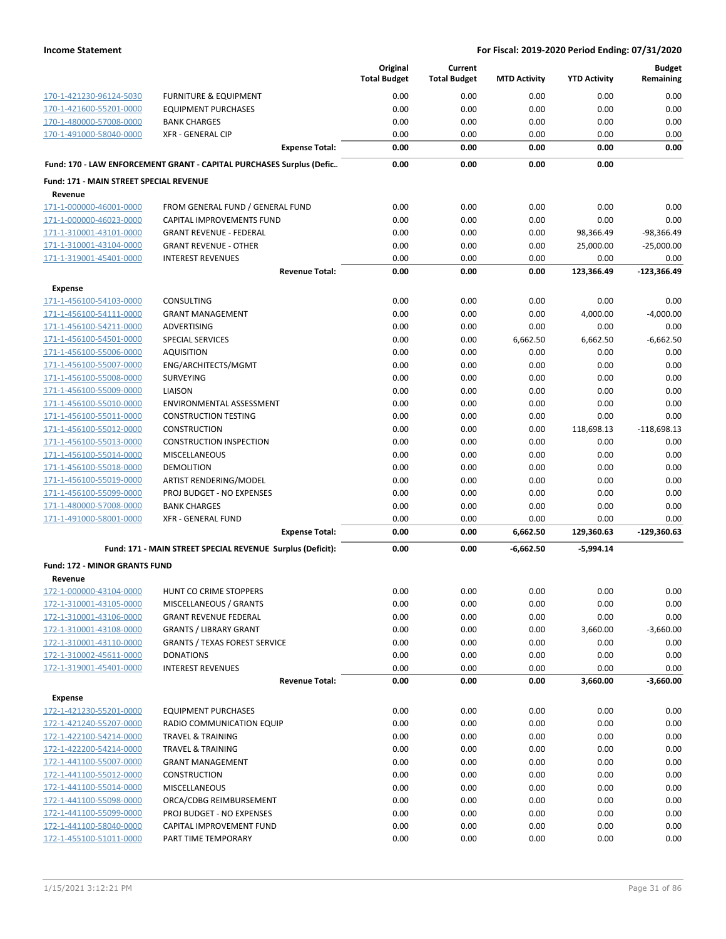|                                                    |                                                                      | Original<br><b>Total Budget</b> | Current<br><b>Total Budget</b> | <b>MTD Activity</b> | <b>YTD Activity</b> | <b>Budget</b><br>Remaining |
|----------------------------------------------------|----------------------------------------------------------------------|---------------------------------|--------------------------------|---------------------|---------------------|----------------------------|
|                                                    |                                                                      |                                 |                                |                     |                     |                            |
| 170-1-421230-96124-5030                            | <b>FURNITURE &amp; EQUIPMENT</b>                                     | 0.00                            | 0.00                           | 0.00                | 0.00                | 0.00                       |
| 170-1-421600-55201-0000<br>170-1-480000-57008-0000 | <b>EQUIPMENT PURCHASES</b><br><b>BANK CHARGES</b>                    | 0.00<br>0.00                    | 0.00<br>0.00                   | 0.00<br>0.00        | 0.00<br>0.00        | 0.00<br>0.00               |
| 170-1-491000-58040-0000                            | <b>XFR - GENERAL CIP</b>                                             | 0.00                            | 0.00                           | 0.00                | 0.00                | 0.00                       |
|                                                    | <b>Expense Total:</b>                                                | 0.00                            | 0.00                           | 0.00                | 0.00                | 0.00                       |
|                                                    | Fund: 170 - LAW ENFORCEMENT GRANT - CAPITAL PURCHASES Surplus (Defic | 0.00                            | 0.00                           | 0.00                | 0.00                |                            |
| <b>Fund: 171 - MAIN STREET SPECIAL REVENUE</b>     |                                                                      |                                 |                                |                     |                     |                            |
| Revenue                                            |                                                                      |                                 |                                |                     |                     |                            |
| 171-1-000000-46001-0000                            | FROM GENERAL FUND / GENERAL FUND                                     | 0.00                            | 0.00                           | 0.00                | 0.00                | 0.00                       |
| 171-1-000000-46023-0000                            | <b>CAPITAL IMPROVEMENTS FUND</b>                                     | 0.00                            | 0.00                           | 0.00                | 0.00                | 0.00                       |
| 171-1-310001-43101-0000                            | <b>GRANT REVENUE - FEDERAL</b>                                       | 0.00                            | 0.00                           | 0.00                | 98,366.49           | $-98,366.49$               |
| 171-1-310001-43104-0000                            | <b>GRANT REVENUE - OTHER</b>                                         | 0.00                            | 0.00                           | 0.00                | 25,000.00           | $-25,000.00$               |
| 171-1-319001-45401-0000                            | <b>INTEREST REVENUES</b>                                             | 0.00                            | 0.00                           | 0.00                | 0.00                | 0.00                       |
|                                                    | <b>Revenue Total:</b>                                                | 0.00                            | 0.00                           | 0.00                | 123,366.49          | $-123,366.49$              |
| <b>Expense</b>                                     |                                                                      |                                 |                                |                     |                     |                            |
| 171-1-456100-54103-0000                            | CONSULTING                                                           | 0.00                            | 0.00                           | 0.00                | 0.00                | 0.00                       |
| 171-1-456100-54111-0000                            | <b>GRANT MANAGEMENT</b>                                              | 0.00                            | 0.00                           | 0.00                | 4,000.00            | $-4,000.00$                |
| 171-1-456100-54211-0000                            | ADVERTISING                                                          | 0.00                            | 0.00                           | 0.00                | 0.00                | 0.00                       |
| 171-1-456100-54501-0000                            | SPECIAL SERVICES                                                     | 0.00                            | 0.00                           | 6,662.50            | 6,662.50            | $-6,662.50$                |
| 171-1-456100-55006-0000                            | <b>AQUISITION</b>                                                    | 0.00                            | 0.00                           | 0.00                | 0.00                | 0.00                       |
| 171-1-456100-55007-0000                            | ENG/ARCHITECTS/MGMT                                                  | 0.00                            | 0.00                           | 0.00                | 0.00                | 0.00                       |
| 171-1-456100-55008-0000                            | <b>SURVEYING</b>                                                     | 0.00                            | 0.00                           | 0.00                | 0.00                | 0.00                       |
| 171-1-456100-55009-0000                            | LIAISON                                                              | 0.00                            | 0.00                           | 0.00                | 0.00                | 0.00                       |
| 171-1-456100-55010-0000                            | ENVIRONMENTAL ASSESSMENT                                             | 0.00                            | 0.00                           | 0.00                | 0.00                | 0.00                       |
| 171-1-456100-55011-0000                            | <b>CONSTRUCTION TESTING</b>                                          | 0.00                            | 0.00                           | 0.00                | 0.00                | 0.00                       |
| 171-1-456100-55012-0000                            | <b>CONSTRUCTION</b>                                                  | 0.00                            | 0.00                           | 0.00                | 118,698.13          | $-118,698.13$              |
| 171-1-456100-55013-0000<br>171-1-456100-55014-0000 | <b>CONSTRUCTION INSPECTION</b>                                       | 0.00<br>0.00                    | 0.00<br>0.00                   | 0.00<br>0.00        | 0.00<br>0.00        | 0.00<br>0.00               |
| 171-1-456100-55018-0000                            | <b>MISCELLANEOUS</b><br>DEMOLITION                                   | 0.00                            | 0.00                           | 0.00                | 0.00                | 0.00                       |
| 171-1-456100-55019-0000                            | ARTIST RENDERING/MODEL                                               | 0.00                            | 0.00                           | 0.00                | 0.00                | 0.00                       |
| 171-1-456100-55099-0000                            | <b>PROJ BUDGET - NO EXPENSES</b>                                     | 0.00                            | 0.00                           | 0.00                | 0.00                | 0.00                       |
| 171-1-480000-57008-0000                            | <b>BANK CHARGES</b>                                                  | 0.00                            | 0.00                           | 0.00                | 0.00                | 0.00                       |
| 171-1-491000-58001-0000                            | <b>XFR - GENERAL FUND</b>                                            | 0.00                            | 0.00                           | 0.00                | 0.00                | 0.00                       |
|                                                    | <b>Expense Total:</b>                                                | 0.00                            | 0.00                           | 6,662.50            | 129,360.63          | $-129,360.63$              |
|                                                    | Fund: 171 - MAIN STREET SPECIAL REVENUE Surplus (Deficit):           | 0.00                            | 0.00                           | -6,662.50           | -5,994.14           |                            |
| <b>Fund: 172 - MINOR GRANTS FUND</b>               |                                                                      |                                 |                                |                     |                     |                            |
| Revenue                                            |                                                                      |                                 |                                |                     |                     |                            |
| 172-1-000000-43104-0000                            | <b>HUNT CO CRIME STOPPERS</b>                                        | 0.00                            | 0.00                           | 0.00                | 0.00                | 0.00                       |
| 172-1-310001-43105-0000                            | MISCELLANEOUS / GRANTS                                               | 0.00                            | 0.00                           | 0.00                | 0.00                | 0.00                       |
| 172-1-310001-43106-0000                            | <b>GRANT REVENUE FEDERAL</b>                                         | 0.00                            | 0.00                           | 0.00                | 0.00                | 0.00                       |
| 172-1-310001-43108-0000                            | <b>GRANTS / LIBRARY GRANT</b>                                        | 0.00                            | 0.00                           | 0.00                | 3,660.00            | $-3,660.00$                |
| 172-1-310001-43110-0000                            | <b>GRANTS / TEXAS FOREST SERVICE</b>                                 | 0.00                            | 0.00                           | 0.00                | 0.00                | 0.00                       |
| 172-1-310002-45611-0000                            | <b>DONATIONS</b>                                                     | 0.00                            | 0.00                           | 0.00                | 0.00                | 0.00                       |
| 172-1-319001-45401-0000                            | <b>INTEREST REVENUES</b>                                             | 0.00                            | 0.00                           | 0.00                | 0.00                | 0.00                       |
|                                                    | <b>Revenue Total:</b>                                                | 0.00                            | 0.00                           | 0.00                | 3,660.00            | $-3,660.00$                |
| <b>Expense</b>                                     |                                                                      |                                 |                                |                     |                     |                            |
| 172-1-421230-55201-0000                            | <b>EQUIPMENT PURCHASES</b>                                           | 0.00                            | 0.00                           | 0.00                | 0.00                | 0.00                       |
| 172-1-421240-55207-0000                            | RADIO COMMUNICATION EQUIP                                            | 0.00                            | 0.00                           | 0.00                | 0.00                | 0.00                       |
| 172-1-422100-54214-0000                            | <b>TRAVEL &amp; TRAINING</b>                                         | 0.00                            | 0.00                           | 0.00                | 0.00                | 0.00                       |
| 172-1-422200-54214-0000                            | <b>TRAVEL &amp; TRAINING</b>                                         | 0.00                            | 0.00                           | 0.00                | 0.00                | 0.00                       |
| 172-1-441100-55007-0000                            | <b>GRANT MANAGEMENT</b>                                              | 0.00                            | 0.00                           | 0.00                | 0.00                | 0.00                       |
| 172-1-441100-55012-0000<br>172-1-441100-55014-0000 | <b>CONSTRUCTION</b><br><b>MISCELLANEOUS</b>                          | 0.00<br>0.00                    | 0.00<br>0.00                   | 0.00<br>0.00        | 0.00<br>0.00        | 0.00<br>0.00               |
| 172-1-441100-55098-0000                            | ORCA/CDBG REIMBURSEMENT                                              | 0.00                            | 0.00                           | 0.00                | 0.00                | 0.00                       |
| 172-1-441100-55099-0000                            | PROJ BUDGET - NO EXPENSES                                            | 0.00                            | 0.00                           | 0.00                | 0.00                | 0.00                       |
| 172-1-441100-58040-0000                            | CAPITAL IMPROVEMENT FUND                                             | 0.00                            | 0.00                           | 0.00                | 0.00                | 0.00                       |
| 172-1-455100-51011-0000                            | PART TIME TEMPORARY                                                  | 0.00                            | 0.00                           | 0.00                | 0.00                | 0.00                       |
|                                                    |                                                                      |                                 |                                |                     |                     |                            |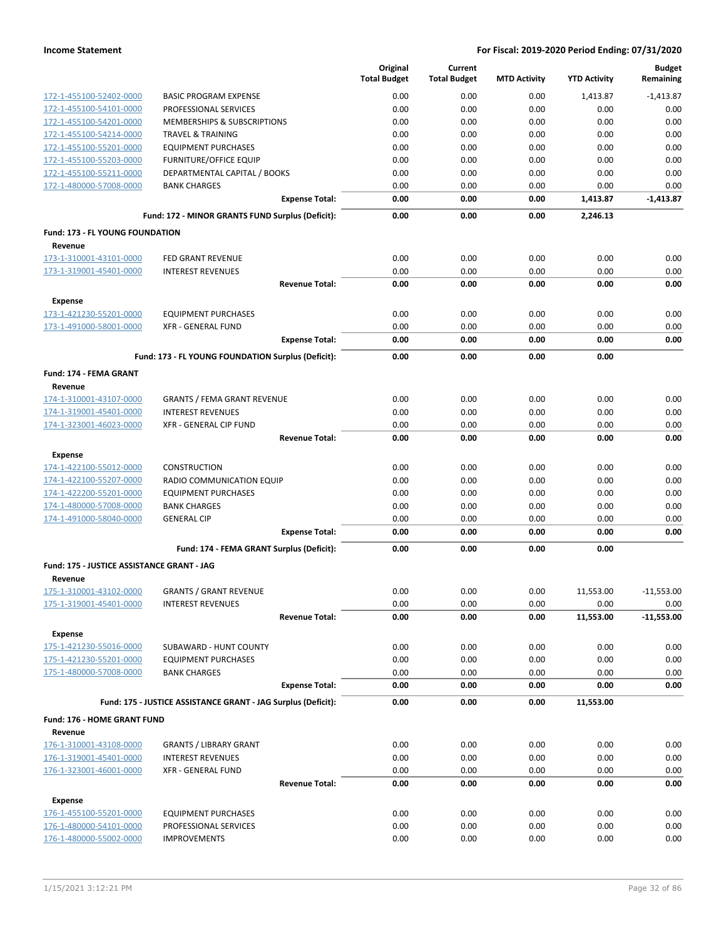|                                                    |                                                               | Original<br><b>Total Budget</b> | Current<br><b>Total Budget</b> | <b>MTD Activity</b> | <b>YTD Activity</b> | <b>Budget</b><br>Remaining |
|----------------------------------------------------|---------------------------------------------------------------|---------------------------------|--------------------------------|---------------------|---------------------|----------------------------|
| 172-1-455100-52402-0000                            | <b>BASIC PROGRAM EXPENSE</b>                                  | 0.00                            | 0.00                           | 0.00                | 1.413.87            | $-1.413.87$                |
| 172-1-455100-54101-0000                            | PROFESSIONAL SERVICES                                         | 0.00                            | 0.00                           | 0.00                | 0.00                | 0.00                       |
| 172-1-455100-54201-0000                            | <b>MEMBERSHIPS &amp; SUBSCRIPTIONS</b>                        | 0.00                            | 0.00                           | 0.00                | 0.00                | 0.00                       |
| 172-1-455100-54214-0000                            | <b>TRAVEL &amp; TRAINING</b>                                  | 0.00                            | 0.00                           | 0.00                | 0.00                | 0.00                       |
| 172-1-455100-55201-0000                            | <b>EQUIPMENT PURCHASES</b>                                    | 0.00                            | 0.00                           | 0.00                | 0.00                | 0.00                       |
| 172-1-455100-55203-0000                            | <b>FURNITURE/OFFICE EQUIP</b>                                 | 0.00                            | 0.00                           | 0.00                | 0.00                | 0.00                       |
| 172-1-455100-55211-0000                            | DEPARTMENTAL CAPITAL / BOOKS                                  | 0.00                            | 0.00                           | 0.00                | 0.00                | 0.00                       |
| 172-1-480000-57008-0000                            | <b>BANK CHARGES</b>                                           | 0.00                            | 0.00                           | 0.00                | 0.00                | 0.00                       |
|                                                    | <b>Expense Total:</b>                                         | 0.00                            | 0.00                           | 0.00                | 1,413.87            | $-1,413.87$                |
|                                                    | Fund: 172 - MINOR GRANTS FUND Surplus (Deficit):              | 0.00                            | 0.00                           | 0.00                | 2.246.13            |                            |
| Fund: 173 - FL YOUNG FOUNDATION                    |                                                               |                                 |                                |                     |                     |                            |
| Revenue                                            |                                                               |                                 |                                |                     |                     |                            |
| 173-1-310001-43101-0000                            | <b>FED GRANT REVENUE</b>                                      | 0.00                            | 0.00                           | 0.00                | 0.00                | 0.00                       |
| 173-1-319001-45401-0000                            | <b>INTEREST REVENUES</b>                                      | 0.00                            | 0.00                           | 0.00                | 0.00                | 0.00                       |
|                                                    | <b>Revenue Total:</b>                                         | 0.00                            | 0.00                           | 0.00                | 0.00                | 0.00                       |
| <b>Expense</b>                                     |                                                               |                                 |                                |                     |                     |                            |
| 173-1-421230-55201-0000                            | <b>EQUIPMENT PURCHASES</b>                                    | 0.00                            | 0.00                           | 0.00                | 0.00                | 0.00                       |
| 173-1-491000-58001-0000                            | <b>XFR - GENERAL FUND</b>                                     | 0.00<br>0.00                    | 0.00<br>0.00                   | 0.00<br>0.00        | 0.00<br>0.00        | 0.00<br>0.00               |
|                                                    | <b>Expense Total:</b>                                         |                                 |                                |                     |                     |                            |
|                                                    | Fund: 173 - FL YOUNG FOUNDATION Surplus (Deficit):            | 0.00                            | 0.00                           | 0.00                | 0.00                |                            |
| <b>Fund: 174 - FEMA GRANT</b><br>Revenue           |                                                               |                                 |                                |                     |                     |                            |
| 174-1-310001-43107-0000                            | <b>GRANTS / FEMA GRANT REVENUE</b>                            | 0.00                            | 0.00                           | 0.00                | 0.00                | 0.00                       |
| 174-1-319001-45401-0000                            | <b>INTEREST REVENUES</b>                                      | 0.00                            | 0.00                           | 0.00                | 0.00                | 0.00                       |
| 174-1-323001-46023-0000                            | XFR - GENERAL CIP FUND                                        | 0.00                            | 0.00                           | 0.00                | 0.00                | 0.00                       |
|                                                    | <b>Revenue Total:</b>                                         | 0.00                            | 0.00                           | 0.00                | 0.00                | 0.00                       |
| <b>Expense</b>                                     |                                                               |                                 |                                |                     |                     |                            |
| 174-1-422100-55012-0000                            | <b>CONSTRUCTION</b>                                           | 0.00                            | 0.00                           | 0.00                | 0.00                | 0.00                       |
| 174-1-422100-55207-0000                            | RADIO COMMUNICATION EQUIP                                     | 0.00                            | 0.00                           | 0.00                | 0.00                | 0.00                       |
| 174-1-422200-55201-0000                            | <b>EQUIPMENT PURCHASES</b>                                    | 0.00                            | 0.00                           | 0.00                | 0.00                | 0.00                       |
| 174-1-480000-57008-0000                            | <b>BANK CHARGES</b>                                           | 0.00                            | 0.00                           | 0.00                | 0.00                | 0.00                       |
| 174-1-491000-58040-0000                            | <b>GENERAL CIP</b>                                            | 0.00                            | 0.00                           | 0.00                | 0.00                | 0.00                       |
|                                                    | <b>Expense Total:</b>                                         | 0.00                            | 0.00                           | 0.00                | 0.00                | 0.00                       |
|                                                    | Fund: 174 - FEMA GRANT Surplus (Deficit):                     | 0.00                            | 0.00                           | 0.00                | 0.00                |                            |
| Fund: 175 - JUSTICE ASSISTANCE GRANT - JAG         |                                                               |                                 |                                |                     |                     |                            |
| Revenue                                            |                                                               |                                 |                                |                     |                     |                            |
| 175-1-310001-43102-0000                            | <b>GRANTS / GRANT REVENUE</b>                                 | 0.00                            | 0.00                           | 0.00                | 11,553.00           | $-11,553.00$               |
| 175-1-319001-45401-0000                            | <b>INTEREST REVENUES</b>                                      | 0.00                            | 0.00                           | 0.00                | 0.00                | 0.00                       |
|                                                    | <b>Revenue Total:</b>                                         | 0.00                            | 0.00                           | 0.00                | 11,553.00           | $-11,553.00$               |
| <b>Expense</b>                                     |                                                               |                                 |                                |                     |                     |                            |
| 175-1-421230-55016-0000                            | SUBAWARD - HUNT COUNTY                                        | 0.00                            | 0.00                           | 0.00                | 0.00                | 0.00                       |
| 175-1-421230-55201-0000<br>175-1-480000-57008-0000 | <b>EQUIPMENT PURCHASES</b>                                    | 0.00                            | 0.00                           | 0.00                | 0.00<br>0.00        | 0.00                       |
|                                                    | <b>BANK CHARGES</b><br><b>Expense Total:</b>                  | 0.00<br>0.00                    | 0.00<br>0.00                   | 0.00<br>0.00        | 0.00                | 0.00<br>0.00               |
|                                                    | Fund: 175 - JUSTICE ASSISTANCE GRANT - JAG Surplus (Deficit): | 0.00                            | 0.00                           | 0.00                | 11,553.00           |                            |
| Fund: 176 - HOME GRANT FUND                        |                                                               |                                 |                                |                     |                     |                            |
| Revenue                                            |                                                               |                                 |                                |                     |                     |                            |
| 176-1-310001-43108-0000                            | <b>GRANTS / LIBRARY GRANT</b>                                 | 0.00                            | 0.00                           | 0.00                | 0.00                | 0.00                       |
| 176-1-319001-45401-0000                            | <b>INTEREST REVENUES</b>                                      | 0.00                            | 0.00                           | 0.00                | 0.00                | 0.00                       |
| 176-1-323001-46001-0000                            | <b>XFR - GENERAL FUND</b>                                     | 0.00                            | 0.00                           | 0.00                | 0.00                | 0.00                       |
|                                                    | <b>Revenue Total:</b>                                         | 0.00                            | 0.00                           | 0.00                | 0.00                | 0.00                       |
| <b>Expense</b>                                     |                                                               |                                 |                                |                     |                     |                            |
| 176-1-455100-55201-0000                            | <b>EQUIPMENT PURCHASES</b>                                    | 0.00                            | 0.00                           | 0.00                | 0.00                | 0.00                       |
| 176-1-480000-54101-0000                            | PROFESSIONAL SERVICES                                         | 0.00                            | 0.00                           | 0.00                | 0.00                | 0.00                       |
| 176-1-480000-55002-0000                            | <b>IMPROVEMENTS</b>                                           | 0.00                            | 0.00                           | 0.00                | 0.00                | 0.00                       |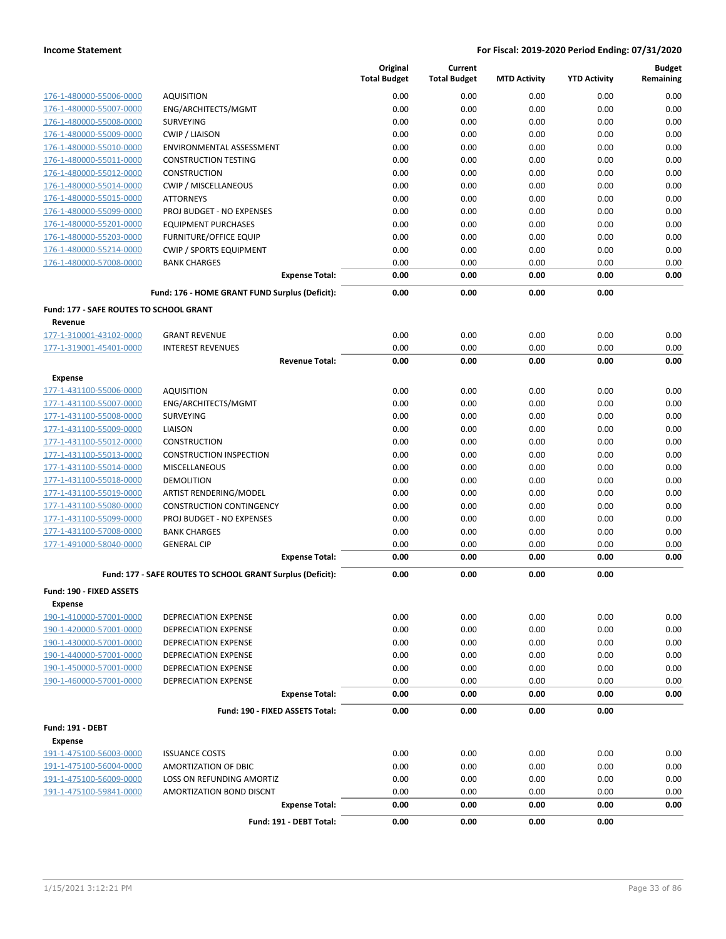|                                                    |                                                            | Original<br><b>Total Budget</b> | Current<br><b>Total Budget</b> | <b>MTD Activity</b> | <b>YTD Activity</b> | <b>Budget</b><br>Remaining |
|----------------------------------------------------|------------------------------------------------------------|---------------------------------|--------------------------------|---------------------|---------------------|----------------------------|
| 176-1-480000-55006-0000                            | <b>AQUISITION</b>                                          | 0.00                            | 0.00                           | 0.00                | 0.00                | 0.00                       |
| 176-1-480000-55007-0000                            | ENG/ARCHITECTS/MGMT                                        | 0.00                            | 0.00                           | 0.00                | 0.00                | 0.00                       |
| 176-1-480000-55008-0000                            | <b>SURVEYING</b>                                           | 0.00                            | 0.00                           | 0.00                | 0.00                | 0.00                       |
| 176-1-480000-55009-0000                            | <b>CWIP / LIAISON</b>                                      | 0.00                            | 0.00                           | 0.00                | 0.00                | 0.00                       |
| 176-1-480000-55010-0000                            | <b>ENVIRONMENTAL ASSESSMENT</b>                            | 0.00                            | 0.00                           | 0.00                | 0.00                | 0.00                       |
| 176-1-480000-55011-0000                            | <b>CONSTRUCTION TESTING</b>                                | 0.00                            | 0.00                           | 0.00                | 0.00                | 0.00                       |
| 176-1-480000-55012-0000                            | <b>CONSTRUCTION</b>                                        | 0.00                            | 0.00                           | 0.00                | 0.00                | 0.00                       |
| 176-1-480000-55014-0000                            | CWIP / MISCELLANEOUS                                       | 0.00                            | 0.00                           | 0.00                | 0.00                | 0.00                       |
| 176-1-480000-55015-0000                            | <b>ATTORNEYS</b>                                           | 0.00                            | 0.00                           | 0.00                | 0.00                | 0.00                       |
| 176-1-480000-55099-0000                            | PROJ BUDGET - NO EXPENSES                                  | 0.00                            | 0.00                           | 0.00                | 0.00                | 0.00                       |
| 176-1-480000-55201-0000                            | <b>EQUIPMENT PURCHASES</b>                                 | 0.00                            | 0.00                           | 0.00                | 0.00                | 0.00                       |
| 176-1-480000-55203-0000                            | <b>FURNITURE/OFFICE EQUIP</b>                              | 0.00                            | 0.00                           | 0.00                | 0.00                | 0.00                       |
| 176-1-480000-55214-0000                            | <b>CWIP / SPORTS EQUIPMENT</b>                             | 0.00                            | 0.00                           | 0.00                | 0.00                | 0.00                       |
| 176-1-480000-57008-0000                            | <b>BANK CHARGES</b>                                        | 0.00                            | 0.00                           | 0.00                | 0.00                | 0.00                       |
|                                                    | <b>Expense Total:</b>                                      | 0.00                            | 0.00                           | 0.00                | 0.00                | 0.00                       |
|                                                    | Fund: 176 - HOME GRANT FUND Surplus (Deficit):             | 0.00                            | 0.00                           | 0.00                | 0.00                |                            |
| Fund: 177 - SAFE ROUTES TO SCHOOL GRANT            |                                                            |                                 |                                |                     |                     |                            |
| Revenue                                            |                                                            |                                 |                                |                     |                     |                            |
| 177-1-310001-43102-0000<br>177-1-319001-45401-0000 | <b>GRANT REVENUE</b>                                       | 0.00                            | 0.00                           | 0.00                | 0.00                | 0.00                       |
|                                                    | <b>INTEREST REVENUES</b><br><b>Revenue Total:</b>          | 0.00<br>0.00                    | 0.00<br>0.00                   | 0.00<br>0.00        | 0.00<br>0.00        | 0.00<br>0.00               |
|                                                    |                                                            |                                 |                                |                     |                     |                            |
| <b>Expense</b>                                     |                                                            |                                 |                                |                     |                     |                            |
| 177-1-431100-55006-0000<br>177-1-431100-55007-0000 | <b>AQUISITION</b><br>ENG/ARCHITECTS/MGMT                   | 0.00<br>0.00                    | 0.00<br>0.00                   | 0.00<br>0.00        | 0.00<br>0.00        | 0.00<br>0.00               |
| 177-1-431100-55008-0000                            | <b>SURVEYING</b>                                           | 0.00                            | 0.00                           | 0.00                | 0.00                | 0.00                       |
| 177-1-431100-55009-0000                            | LIAISON                                                    | 0.00                            | 0.00                           | 0.00                | 0.00                | 0.00                       |
| 177-1-431100-55012-0000                            | <b>CONSTRUCTION</b>                                        | 0.00                            | 0.00                           | 0.00                | 0.00                | 0.00                       |
| 177-1-431100-55013-0000                            | <b>CONSTRUCTION INSPECTION</b>                             | 0.00                            | 0.00                           | 0.00                | 0.00                | 0.00                       |
| 177-1-431100-55014-0000                            | <b>MISCELLANEOUS</b>                                       | 0.00                            | 0.00                           | 0.00                | 0.00                | 0.00                       |
| 177-1-431100-55018-0000                            | <b>DEMOLITION</b>                                          | 0.00                            | 0.00                           | 0.00                | 0.00                | 0.00                       |
| 177-1-431100-55019-0000                            | ARTIST RENDERING/MODEL                                     | 0.00                            | 0.00                           | 0.00                | 0.00                | 0.00                       |
| 177-1-431100-55080-0000                            | <b>CONSTRUCTION CONTINGENCY</b>                            | 0.00                            | 0.00                           | 0.00                | 0.00                | 0.00                       |
| 177-1-431100-55099-0000                            | PROJ BUDGET - NO EXPENSES                                  | 0.00                            | 0.00                           | 0.00                | 0.00                | 0.00                       |
| 177-1-431100-57008-0000                            | <b>BANK CHARGES</b>                                        | 0.00                            | 0.00                           | 0.00                | 0.00                | 0.00                       |
| 177-1-491000-58040-0000                            | <b>GENERAL CIP</b>                                         | 0.00                            | 0.00                           | 0.00                | 0.00                | 0.00                       |
|                                                    | <b>Expense Total:</b>                                      | 0.00                            | 0.00                           | 0.00                | 0.00                | 0.00                       |
|                                                    | Fund: 177 - SAFE ROUTES TO SCHOOL GRANT Surplus (Deficit): | 0.00                            | 0.00                           | 0.00                | 0.00                |                            |
| Fund: 190 - FIXED ASSETS                           |                                                            |                                 |                                |                     |                     |                            |
| <b>Expense</b>                                     |                                                            |                                 |                                |                     |                     |                            |
| 190-1-410000-57001-0000                            | <b>DEPRECIATION EXPENSE</b>                                | 0.00                            | 0.00                           | 0.00                | 0.00                | 0.00                       |
| 190-1-420000-57001-0000                            | DEPRECIATION EXPENSE                                       | 0.00                            | 0.00                           | 0.00                | 0.00                | 0.00                       |
| 190-1-430000-57001-0000                            | DEPRECIATION EXPENSE                                       | 0.00                            | 0.00                           | 0.00                | 0.00                | 0.00                       |
| 190-1-440000-57001-0000<br>190-1-450000-57001-0000 | DEPRECIATION EXPENSE                                       | 0.00<br>0.00                    | 0.00                           | 0.00                | 0.00                | 0.00<br>0.00               |
| 190-1-460000-57001-0000                            | <b>DEPRECIATION EXPENSE</b><br><b>DEPRECIATION EXPENSE</b> | 0.00                            | 0.00<br>0.00                   | 0.00<br>0.00        | 0.00<br>0.00        | 0.00                       |
|                                                    | <b>Expense Total:</b>                                      | 0.00                            | 0.00                           | 0.00                | 0.00                | 0.00                       |
|                                                    | Fund: 190 - FIXED ASSETS Total:                            |                                 |                                |                     | 0.00                |                            |
|                                                    |                                                            | 0.00                            | 0.00                           | 0.00                |                     |                            |
| <b>Fund: 191 - DEBT</b><br><b>Expense</b>          |                                                            |                                 |                                |                     |                     |                            |
| 191-1-475100-56003-0000                            | <b>ISSUANCE COSTS</b>                                      | 0.00                            | 0.00                           | 0.00                | 0.00                | 0.00                       |
| 191-1-475100-56004-0000                            | AMORTIZATION OF DBIC                                       | 0.00                            | 0.00                           | 0.00                | 0.00                | 0.00                       |
| 191-1-475100-56009-0000                            | LOSS ON REFUNDING AMORTIZ                                  | 0.00                            | 0.00                           | 0.00                | 0.00                | 0.00                       |
| 191-1-475100-59841-0000                            | AMORTIZATION BOND DISCNT                                   | 0.00                            | 0.00                           | 0.00                | 0.00                | 0.00                       |
|                                                    | <b>Expense Total:</b>                                      | 0.00                            | 0.00                           | 0.00                | 0.00                | 0.00                       |
|                                                    | Fund: 191 - DEBT Total:                                    | 0.00                            | 0.00                           | 0.00                | 0.00                |                            |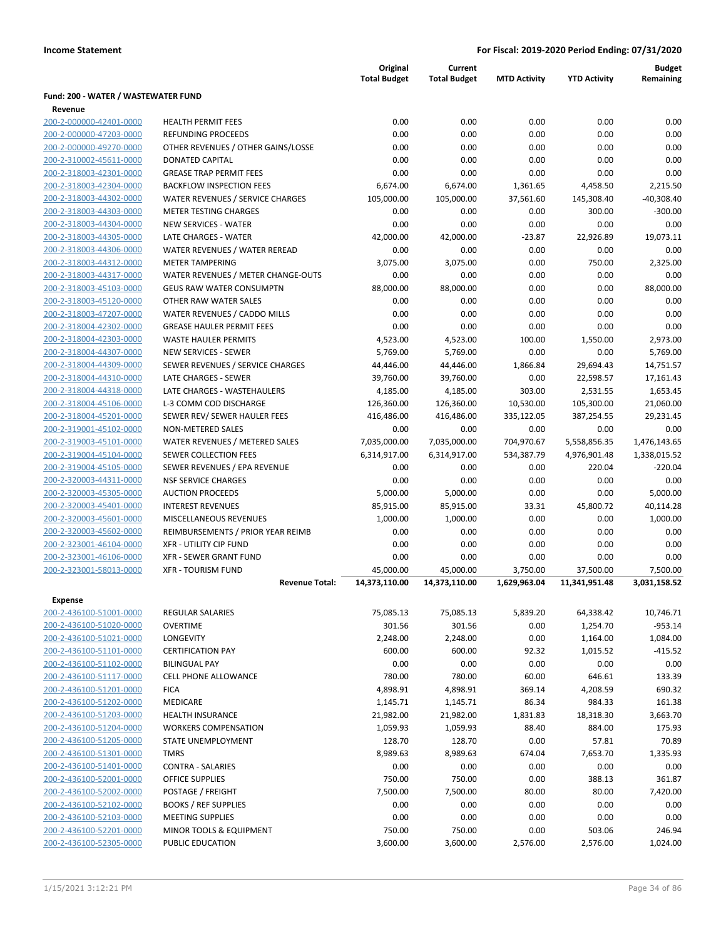|                                     |                                    | Original<br><b>Total Budget</b> | Current<br><b>Total Budget</b> | <b>MTD Activity</b> | <b>YTD Activity</b> | <b>Budget</b><br>Remaining |
|-------------------------------------|------------------------------------|---------------------------------|--------------------------------|---------------------|---------------------|----------------------------|
| Fund: 200 - WATER / WASTEWATER FUND |                                    |                                 |                                |                     |                     |                            |
| Revenue                             |                                    |                                 |                                |                     |                     |                            |
| 200-2-000000-42401-0000             | <b>HEALTH PERMIT FEES</b>          | 0.00                            | 0.00                           | 0.00                | 0.00                | 0.00                       |
| 200-2-000000-47203-0000             | REFUNDING PROCEEDS                 | 0.00                            | 0.00                           | 0.00                | 0.00                | 0.00                       |
| 200-2-000000-49270-0000             | OTHER REVENUES / OTHER GAINS/LOSSE | 0.00                            | 0.00                           | 0.00                | 0.00                | 0.00                       |
| 200-2-310002-45611-0000             | <b>DONATED CAPITAL</b>             | 0.00                            | 0.00                           | 0.00                | 0.00                | 0.00                       |
| 200-2-318003-42301-0000             | <b>GREASE TRAP PERMIT FEES</b>     | 0.00                            | 0.00                           | 0.00                | 0.00                | 0.00                       |
| 200-2-318003-42304-0000             | <b>BACKFLOW INSPECTION FEES</b>    | 6,674.00                        | 6,674.00                       | 1,361.65            | 4,458.50            | 2,215.50                   |
| 200-2-318003-44302-0000             | WATER REVENUES / SERVICE CHARGES   | 105,000.00                      | 105,000.00                     | 37,561.60           | 145,308.40          | $-40,308.40$               |
| 200-2-318003-44303-0000             | <b>METER TESTING CHARGES</b>       | 0.00                            | 0.00                           | 0.00                | 300.00              | $-300.00$                  |
| 200-2-318003-44304-0000             | <b>NEW SERVICES - WATER</b>        | 0.00                            | 0.00                           | 0.00                | 0.00                | 0.00                       |
| 200-2-318003-44305-0000             | LATE CHARGES - WATER               | 42,000.00                       | 42,000.00                      | $-23.87$            | 22,926.89           | 19,073.11                  |
| 200-2-318003-44306-0000             | WATER REVENUES / WATER REREAD      | 0.00                            | 0.00                           | 0.00                | 0.00                | 0.00                       |
| 200-2-318003-44312-0000             | <b>METER TAMPERING</b>             | 3,075.00                        | 3,075.00                       | 0.00                | 750.00              | 2,325.00                   |
| 200-2-318003-44317-0000             | WATER REVENUES / METER CHANGE-OUTS | 0.00                            | 0.00                           | 0.00                | 0.00                | 0.00                       |
| 200-2-318003-45103-0000             | <b>GEUS RAW WATER CONSUMPTN</b>    | 88,000.00                       | 88,000.00                      | 0.00                | 0.00                | 88,000.00                  |
| 200-2-318003-45120-0000             | OTHER RAW WATER SALES              | 0.00                            | 0.00                           | 0.00                | 0.00                | 0.00                       |
| 200-2-318003-47207-0000             | WATER REVENUES / CADDO MILLS       | 0.00                            | 0.00                           | 0.00                | 0.00                | 0.00                       |
| 200-2-318004-42302-0000             | <b>GREASE HAULER PERMIT FEES</b>   | 0.00                            | 0.00                           | 0.00                | 0.00                | 0.00                       |
| 200-2-318004-42303-0000             | <b>WASTE HAULER PERMITS</b>        | 4,523.00                        | 4,523.00                       | 100.00              | 1,550.00            | 2,973.00                   |
| 200-2-318004-44307-0000             | <b>NEW SERVICES - SEWER</b>        | 5,769.00                        | 5,769.00                       | 0.00                | 0.00                | 5,769.00                   |
| 200-2-318004-44309-0000             | SEWER REVENUES / SERVICE CHARGES   | 44,446.00                       | 44,446.00                      | 1,866.84            | 29,694.43           | 14,751.57                  |
| 200-2-318004-44310-0000             | <b>LATE CHARGES - SEWER</b>        | 39,760.00                       | 39,760.00                      | 0.00                | 22,598.57           | 17,161.43                  |
| 200-2-318004-44318-0000             | LATE CHARGES - WASTEHAULERS        | 4,185.00                        | 4,185.00                       | 303.00              | 2,531.55            | 1,653.45                   |
| 200-2-318004-45106-0000             | L-3 COMM COD DISCHARGE             | 126,360.00                      | 126,360.00                     | 10,530.00           | 105,300.00          | 21,060.00                  |
| 200-2-318004-45201-0000             | SEWER REV/ SEWER HAULER FEES       | 416,486.00                      | 416,486.00                     | 335,122.05          | 387,254.55          | 29,231.45                  |
| 200-2-319001-45102-0000             | NON-METERED SALES                  | 0.00                            | 0.00                           | 0.00                | 0.00                | 0.00                       |
| 200-2-319003-45101-0000             | WATER REVENUES / METERED SALES     | 7,035,000.00                    | 7,035,000.00                   | 704,970.67          | 5,558,856.35        | 1,476,143.65               |
| 200-2-319004-45104-0000             | SEWER COLLECTION FEES              | 6,314,917.00                    | 6,314,917.00                   | 534,387.79          | 4,976,901.48        | 1,338,015.52               |
| 200-2-319004-45105-0000             | SEWER REVENUES / EPA REVENUE       | 0.00                            | 0.00                           | 0.00                | 220.04              | $-220.04$                  |
| 200-2-320003-44311-0000             | <b>NSF SERVICE CHARGES</b>         | 0.00                            | 0.00                           | 0.00                | 0.00                | 0.00                       |
| 200-2-320003-45305-0000             | <b>AUCTION PROCEEDS</b>            | 5,000.00                        | 5,000.00                       | 0.00                | 0.00                | 5,000.00                   |
| 200-2-320003-45401-0000             | <b>INTEREST REVENUES</b>           | 85,915.00                       | 85,915.00                      | 33.31               | 45,800.72           | 40,114.28                  |
| 200-2-320003-45601-0000             | MISCELLANEOUS REVENUES             | 1,000.00                        | 1,000.00                       | 0.00                | 0.00                | 1,000.00                   |
| 200-2-320003-45602-0000             | REIMBURSEMENTS / PRIOR YEAR REIMB  | 0.00                            | 0.00                           | 0.00                | 0.00                | 0.00                       |
| 200-2-323001-46104-0000             | <b>XFR - UTILITY CIP FUND</b>      | 0.00                            | 0.00                           | 0.00                | 0.00                | 0.00                       |
| 200-2-323001-46106-0000             | <b>XFR - SEWER GRANT FUND</b>      | 0.00                            | 0.00                           | 0.00                | 0.00                | 0.00                       |
| 200-2-323001-58013-0000             | <b>XFR - TOURISM FUND</b>          | 45,000.00                       | 45,000.00                      | 3,750.00            | 37,500.00           | 7,500.00                   |
|                                     | <b>Revenue Total:</b>              | 14,373,110.00                   | 14,373,110.00                  | 1,629,963.04        | 11,341,951.48       | 3,031,158.52               |
| Expense                             |                                    |                                 |                                |                     |                     |                            |
| 200-2-436100-51001-0000             | <b>REGULAR SALARIES</b>            | 75,085.13                       | 75,085.13                      | 5,839.20            | 64,338.42           | 10,746.71                  |
| 200-2-436100-51020-0000             | <b>OVERTIME</b>                    | 301.56                          | 301.56                         | 0.00                | 1,254.70            | $-953.14$                  |
| 200-2-436100-51021-0000             | LONGEVITY                          | 2,248.00                        | 2,248.00                       | 0.00                | 1,164.00            | 1,084.00                   |
| 200-2-436100-51101-0000             | <b>CERTIFICATION PAY</b>           | 600.00                          | 600.00                         | 92.32               | 1,015.52            | $-415.52$                  |
| 200-2-436100-51102-0000             | <b>BILINGUAL PAY</b>               | 0.00                            | 0.00                           | 0.00                | 0.00                | 0.00                       |
| 200-2-436100-51117-0000             | <b>CELL PHONE ALLOWANCE</b>        |                                 |                                |                     |                     | 133.39                     |
| 200-2-436100-51201-0000             | <b>FICA</b>                        | 780.00                          | 780.00                         | 60.00               | 646.61              | 690.32                     |
| 200-2-436100-51202-0000             | MEDICARE                           | 4,898.91                        | 4,898.91<br>1,145.71           | 369.14              | 4,208.59<br>984.33  | 161.38                     |
|                                     |                                    | 1,145.71                        |                                | 86.34               |                     |                            |
| 200-2-436100-51203-0000             | <b>HEALTH INSURANCE</b>            | 21,982.00                       | 21,982.00                      | 1,831.83            | 18,318.30           | 3,663.70                   |
| 200-2-436100-51204-0000             | <b>WORKERS COMPENSATION</b>        | 1,059.93                        | 1,059.93                       | 88.40               | 884.00              | 175.93                     |
| 200-2-436100-51205-0000             | STATE UNEMPLOYMENT                 | 128.70                          | 128.70                         | 0.00                | 57.81               | 70.89                      |
| 200-2-436100-51301-0000             | <b>TMRS</b>                        | 8,989.63                        | 8,989.63                       | 674.04              | 7,653.70            | 1,335.93                   |
| 200-2-436100-51401-0000             | <b>CONTRA - SALARIES</b>           | 0.00                            | 0.00                           | 0.00                | 0.00                | 0.00                       |
| 200-2-436100-52001-0000             | <b>OFFICE SUPPLIES</b>             | 750.00                          | 750.00                         | 0.00                | 388.13              | 361.87                     |
| 200-2-436100-52002-0000             | POSTAGE / FREIGHT                  | 7,500.00                        | 7,500.00                       | 80.00               | 80.00               | 7,420.00                   |
| 200-2-436100-52102-0000             | <b>BOOKS / REF SUPPLIES</b>        | 0.00                            | 0.00                           | 0.00                | 0.00                | 0.00                       |
| 200-2-436100-52103-0000             | <b>MEETING SUPPLIES</b>            | 0.00                            | 0.00                           | 0.00                | 0.00                | 0.00                       |
| 200-2-436100-52201-0000             | MINOR TOOLS & EQUIPMENT            | 750.00                          | 750.00                         | 0.00                | 503.06              | 246.94                     |
| 200-2-436100-52305-0000             | PUBLIC EDUCATION                   | 3,600.00                        | 3,600.00                       | 2,576.00            | 2,576.00            | 1,024.00                   |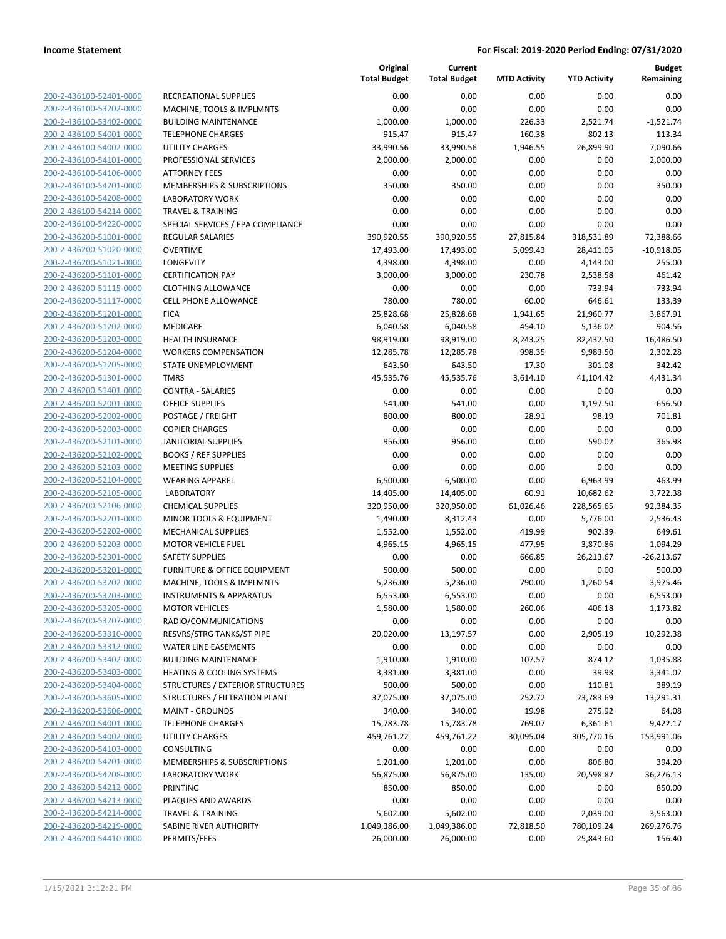| 200-2-436100-52401-0000        |
|--------------------------------|
| 200-2-436100-53202-0000        |
| 200-2-436100-53402-0000        |
| 200-2-436100-54001-0000        |
| 200-2-436100-54002-0000        |
| 200-2-436100-54101-0000        |
|                                |
| 200-2-436100-54106-0000        |
| 200-2-436100-54201-0000        |
| 200-2-436100-54208-0000        |
| 200-2-436100-54214-0000        |
| 200-2-436100-54220-0000        |
| 200-2-436200-51001-0000        |
| 200-2-436200-51020-0000        |
| 200-2-436200-51021-0000        |
| 200-2-436200-51101-0000        |
| 200-2-436200-51115-0000        |
| 200-2-436200-51117-0000        |
|                                |
| 200-2-436200-51201-0000        |
| 200-2-436200-51202-0000        |
| 200-2-436200-51203-0000        |
| 200-2-436200-51204-0000        |
| 200-2-436200-51205-0000        |
| 200-2-436200-51301-0000        |
| 200-2-436200-51401-0000        |
| 200-2-436200-52001-0000        |
| 200-2-436200-52002-0000        |
| 200-2-436200-52003-0000        |
| 200-2-436200-52101-0000        |
|                                |
| 200-2-436200-52102-0000        |
| 200-2-436200-52103-0000        |
| 200-2-436200-52104-0000        |
| 200-2-436200-52105-0000        |
| 200-2-436200-52106-0000        |
| 200-2-436200-52201-0000        |
| 200-2-436200-52202-0000        |
| 200-2-436200-52203-0000        |
| 200-2-436200-52301-0000        |
| 200-2-436200-53201-0000        |
| 200-2-436200-53202-0000        |
| 200-2-436200-53203-0000        |
|                                |
| 200-2-436200-53205-0000        |
| <u>200-2-436200-53207-0000</u> |
| 200-2-436200-53310-0000        |
| 200-2-436200-53312-0000        |
| 200-2-436200-53402-0000        |
| 200-2-436200-53403-0000        |
| 200-2-436200-53404-0000        |
| <u>200-2-436200-53605-0000</u> |
| 200-2-436200-53606-0000        |
| 200-2-436200-54001-0000        |
|                                |
| 200-2-436200-54002-0000        |
|                                |
| 200-2-436200-54103-0000        |
| 200-2-436200-54201-0000        |
| 200-2-436200-54208-0000        |
| 200-2-436200-54212-0000        |
| 200-2-436200-54213-0000        |
| 200-2-436200-54214-0000        |
| 200-2-436200-54219-0000        |
| 200-2-436200-54410-0000        |

|                                                    |                                                     | Original<br><b>Total Budget</b> | Current<br><b>Total Budget</b> | <b>MTD Activity</b> | <b>YTD Activity</b> | <b>Budget</b><br>Remaining |
|----------------------------------------------------|-----------------------------------------------------|---------------------------------|--------------------------------|---------------------|---------------------|----------------------------|
| 200-2-436100-52401-0000                            | RECREATIONAL SUPPLIES                               | 0.00                            | 0.00                           | 0.00                | 0.00                | 0.00                       |
| 200-2-436100-53202-0000                            | MACHINE, TOOLS & IMPLMNTS                           | 0.00                            | 0.00                           | 0.00                | 0.00                | 0.00                       |
| 200-2-436100-53402-0000                            | <b>BUILDING MAINTENANCE</b>                         | 1,000.00                        | 1,000.00                       | 226.33              | 2,521.74            | $-1,521.74$                |
| 200-2-436100-54001-0000                            | <b>TELEPHONE CHARGES</b>                            | 915.47                          | 915.47                         | 160.38              | 802.13              | 113.34                     |
| 200-2-436100-54002-0000                            | <b>UTILITY CHARGES</b>                              | 33,990.56                       | 33,990.56                      | 1,946.55            | 26,899.90           | 7,090.66                   |
| 200-2-436100-54101-0000                            | PROFESSIONAL SERVICES                               | 2,000.00                        | 2,000.00                       | 0.00                | 0.00                | 2,000.00                   |
| 200-2-436100-54106-0000                            | <b>ATTORNEY FEES</b>                                | 0.00                            | 0.00                           | 0.00                | 0.00                | 0.00                       |
| 200-2-436100-54201-0000                            | <b>MEMBERSHIPS &amp; SUBSCRIPTIONS</b>              | 350.00                          | 350.00                         | 0.00                | 0.00                | 350.00                     |
| 200-2-436100-54208-0000                            | <b>LABORATORY WORK</b>                              | 0.00                            | 0.00                           | 0.00                | 0.00                | 0.00                       |
| 200-2-436100-54214-0000                            | <b>TRAVEL &amp; TRAINING</b>                        | 0.00                            | 0.00                           | 0.00                | 0.00                | 0.00                       |
| 200-2-436100-54220-0000                            | SPECIAL SERVICES / EPA COMPLIANCE                   | 0.00                            | 0.00                           | 0.00                | 0.00                | 0.00                       |
| 200-2-436200-51001-0000                            | REGULAR SALARIES                                    | 390,920.55                      | 390,920.55                     | 27,815.84           | 318,531.89          | 72,388.66                  |
| 200-2-436200-51020-0000                            | <b>OVERTIME</b>                                     | 17,493.00                       | 17,493.00                      | 5,099.43            | 28,411.05           | $-10,918.05$               |
| 200-2-436200-51021-0000                            | LONGEVITY                                           | 4,398.00                        | 4,398.00                       | 0.00                | 4,143.00            | 255.00                     |
| 200-2-436200-51101-0000                            | <b>CERTIFICATION PAY</b>                            | 3,000.00                        | 3,000.00                       | 230.78              | 2,538.58            | 461.42                     |
| 200-2-436200-51115-0000                            | <b>CLOTHING ALLOWANCE</b>                           | 0.00                            | 0.00                           | 0.00                | 733.94              | $-733.94$                  |
| 200-2-436200-51117-0000                            | <b>CELL PHONE ALLOWANCE</b>                         | 780.00                          | 780.00                         | 60.00               | 646.61              | 133.39                     |
| 200-2-436200-51201-0000                            | <b>FICA</b>                                         | 25,828.68                       | 25,828.68                      | 1,941.65            | 21,960.77           | 3,867.91                   |
| 200-2-436200-51202-0000                            | MEDICARE                                            | 6,040.58                        | 6,040.58                       | 454.10              | 5,136.02            | 904.56                     |
| 200-2-436200-51203-0000                            | <b>HEALTH INSURANCE</b>                             | 98,919.00                       | 98,919.00                      | 8,243.25            | 82,432.50           | 16,486.50                  |
| 200-2-436200-51204-0000                            | <b>WORKERS COMPENSATION</b>                         | 12,285.78                       | 12,285.78                      | 998.35              | 9,983.50            | 2,302.28                   |
| 200-2-436200-51205-0000                            | STATE UNEMPLOYMENT                                  | 643.50                          | 643.50                         | 17.30               | 301.08              | 342.42                     |
| 200-2-436200-51301-0000                            | <b>TMRS</b>                                         | 45,535.76                       | 45,535.76                      | 3,614.10            | 41,104.42           | 4,431.34                   |
| 200-2-436200-51401-0000                            | <b>CONTRA - SALARIES</b>                            | 0.00                            | 0.00                           | 0.00                | 0.00                | 0.00                       |
| 200-2-436200-52001-0000                            | <b>OFFICE SUPPLIES</b>                              | 541.00                          | 541.00                         | 0.00                | 1,197.50            | $-656.50$                  |
| 200-2-436200-52002-0000                            | POSTAGE / FREIGHT                                   | 800.00                          | 800.00                         | 28.91               | 98.19               | 701.81                     |
| 200-2-436200-52003-0000<br>200-2-436200-52101-0000 | <b>COPIER CHARGES</b><br><b>JANITORIAL SUPPLIES</b> | 0.00                            | 0.00<br>956.00                 | 0.00<br>0.00        | 0.00                | 0.00<br>365.98             |
| 200-2-436200-52102-0000                            | <b>BOOKS / REF SUPPLIES</b>                         | 956.00<br>0.00                  | 0.00                           | 0.00                | 590.02<br>0.00      | 0.00                       |
| 200-2-436200-52103-0000                            | <b>MEETING SUPPLIES</b>                             | 0.00                            | 0.00                           | 0.00                | 0.00                | 0.00                       |
| 200-2-436200-52104-0000                            | <b>WEARING APPAREL</b>                              | 6,500.00                        | 6,500.00                       | 0.00                | 6,963.99            | $-463.99$                  |
| 200-2-436200-52105-0000                            | <b>LABORATORY</b>                                   | 14,405.00                       | 14,405.00                      | 60.91               | 10,682.62           | 3,722.38                   |
| 200-2-436200-52106-0000                            | <b>CHEMICAL SUPPLIES</b>                            | 320,950.00                      | 320,950.00                     | 61,026.46           | 228,565.65          | 92,384.35                  |
| 200-2-436200-52201-0000                            | MINOR TOOLS & EQUIPMENT                             | 1,490.00                        | 8,312.43                       | 0.00                | 5,776.00            | 2,536.43                   |
| 200-2-436200-52202-0000                            | <b>MECHANICAL SUPPLIES</b>                          | 1,552.00                        | 1,552.00                       | 419.99              | 902.39              | 649.61                     |
| 200-2-436200-52203-0000                            | <b>MOTOR VEHICLE FUEL</b>                           | 4,965.15                        | 4,965.15                       | 477.95              | 3,870.86            | 1,094.29                   |
| 200-2-436200-52301-0000                            | <b>SAFETY SUPPLIES</b>                              | 0.00                            | 0.00                           | 666.85              | 26,213.67           | $-26,213.67$               |
| 200-2-436200-53201-0000                            | <b>FURNITURE &amp; OFFICE EQUIPMENT</b>             | 500.00                          | 500.00                         | 0.00                | 0.00                | 500.00                     |
| 200-2-436200-53202-0000                            | MACHINE, TOOLS & IMPLMNTS                           | 5,236.00                        | 5,236.00                       | 790.00              | 1,260.54            | 3,975.46                   |
| 200-2-436200-53203-0000                            | INSTRUMENTS & APPARATUS                             | 6,553.00                        | 6,553.00                       | 0.00                | 0.00                | 6,553.00                   |
| 200-2-436200-53205-0000                            | <b>MOTOR VEHICLES</b>                               | 1,580.00                        | 1,580.00                       | 260.06              | 406.18              | 1,173.82                   |
| 200-2-436200-53207-0000                            | RADIO/COMMUNICATIONS                                | 0.00                            | 0.00                           | 0.00                | 0.00                | 0.00                       |
| 200-2-436200-53310-0000                            | RESVRS/STRG TANKS/ST PIPE                           | 20,020.00                       | 13,197.57                      | 0.00                | 2,905.19            | 10,292.38                  |
| 200-2-436200-53312-0000                            | <b>WATER LINE EASEMENTS</b>                         | 0.00                            | 0.00                           | 0.00                | 0.00                | 0.00                       |
| 200-2-436200-53402-0000                            | <b>BUILDING MAINTENANCE</b>                         | 1,910.00                        | 1,910.00                       | 107.57              | 874.12              | 1,035.88                   |
| 200-2-436200-53403-0000                            | HEATING & COOLING SYSTEMS                           | 3,381.00                        | 3,381.00                       | 0.00                | 39.98               | 3,341.02                   |
| 200-2-436200-53404-0000                            | STRUCTURES / EXTERIOR STRUCTURES                    | 500.00                          | 500.00                         | 0.00                | 110.81              | 389.19                     |
| 200-2-436200-53605-0000                            | STRUCTURES / FILTRATION PLANT                       | 37,075.00                       | 37,075.00                      | 252.72              | 23,783.69           | 13,291.31                  |
| 200-2-436200-53606-0000                            | <b>MAINT - GROUNDS</b>                              | 340.00                          | 340.00                         | 19.98               | 275.92              | 64.08                      |
| 200-2-436200-54001-0000                            | <b>TELEPHONE CHARGES</b>                            | 15,783.78                       | 15,783.78                      | 769.07              | 6,361.61            | 9,422.17                   |
| 200-2-436200-54002-0000                            | UTILITY CHARGES                                     | 459,761.22                      | 459,761.22                     | 30,095.04           | 305,770.16          | 153,991.06                 |
| 200-2-436200-54103-0000                            | CONSULTING                                          | 0.00                            | 0.00                           | 0.00                | 0.00                | 0.00                       |
| 200-2-436200-54201-0000                            | MEMBERSHIPS & SUBSCRIPTIONS                         | 1,201.00                        | 1,201.00                       | 0.00                | 806.80              | 394.20                     |
| 200-2-436200-54208-0000                            | <b>LABORATORY WORK</b>                              | 56,875.00                       | 56,875.00                      | 135.00              | 20,598.87           | 36,276.13                  |
| 200-2-436200-54212-0000                            | <b>PRINTING</b>                                     | 850.00                          | 850.00                         | 0.00                | 0.00                | 850.00                     |
| 200-2-436200-54213-0000                            | PLAQUES AND AWARDS                                  | 0.00                            | 0.00                           | 0.00                | 0.00                | 0.00                       |
| 200-2-436200-54214-0000                            | <b>TRAVEL &amp; TRAINING</b>                        | 5,602.00                        | 5,602.00                       | 0.00                | 2,039.00            | 3,563.00                   |
| 200-2-436200-54219-0000                            | SABINE RIVER AUTHORITY                              | 1,049,386.00                    | 1,049,386.00                   | 72,818.50           | 780,109.24          | 269,276.76                 |
| 200-2-436200-54410-0000                            | PERMITS/FEES                                        | 26,000.00                       | 26,000.00                      | 0.00                | 25,843.60           | 156.40                     |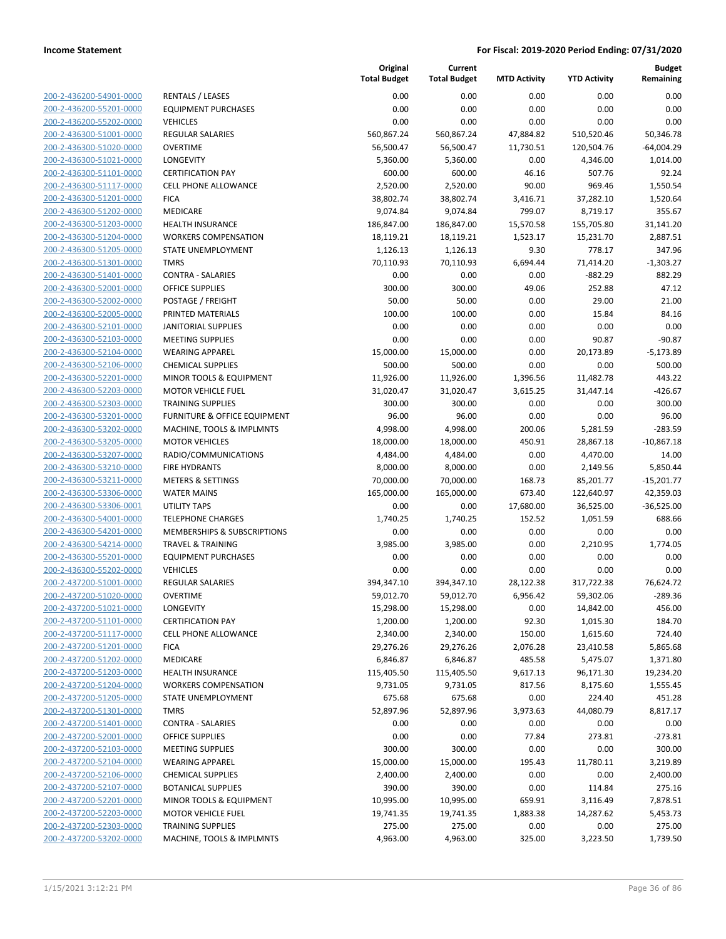| 200-2-436200-54901-0000        |
|--------------------------------|
| 200-2-436200-55201-0000        |
| 200-2-436200-55202-0000        |
| 200-2-436300-51001-0000        |
| 200-2-436300-51020-0000        |
| 200-2-436300-51021-0000        |
| 200-2-436300-51101-0000        |
| 200-2-436300-51117-0000        |
| 200-2-436300-51201-0000        |
| 200-2-436300-51202-0000        |
| 200-2-436300-51203-0000        |
| 200-2-436300-51204-0000        |
| 200-2-436300-51205-0000        |
| <u>200-2-436300-51301-0000</u> |
| 200-2-436300-51401-0000        |
| 200-2-436300-52001-0000        |
| 200-2-436300-52002-0000        |
| 200-2-436300-52005-0000        |
|                                |
| 200-2-436300-52101-0000        |
| 200-2-436300-52103-0000        |
| 200-2-436300-52104-0000        |
| 200-2-436300-52106-0000        |
| 200-2-436300-52201-0000        |
| 200-2-436300-52203-0000        |
| 200-2-436300-52303-0000        |
| 200-2-436300-53201-0000        |
| 200-2-436300-53202-0000        |
| 200-2-436300-53205-0000        |
| 200-2-436300-53207-0000        |
| 200-2-436300-53210-0000        |
| 200-2-436300-53211-0000        |
| 200-2-436300-53306-0000        |
| 200-2-436300-53306-0001        |
| 200-2-436300-54001-0000        |
| 200-2-436300-54201-0000        |
| 200-2-436300-54214-0000        |
| 200-2-436300-55201-0000        |
| 200-2-436300-55202-0000        |
| 200-2-437200-51001-0000        |
| 200-2-437200-51020-0000        |
| 200-2-437200-51021-0000        |
|                                |
| 200-2-437200-51101-0000        |
| 200-2-437200-51117-0000        |
| 200-2-437200-51201-0000        |
| 200-2-437200-51202-0000        |
| 200-2-437200-51203-0000        |
| 200-2-437200-51204-0000        |
| 200-2-437200-51205-0000        |
| <u>200-2-437200-51301-0000</u> |
| <u>200-2-437200-51401-0000</u> |
| 200-2-437200-52001-0000        |
| 200-2-437200-52103-0000        |
| 200-2-437200-52104-0000        |
| 200-2-437200-52106-0000        |
| 200-2-437200-52107-0000        |
| 200-2-437200-52201-0000        |
| 200-2-437200-52203-0000        |
| 200-2-437200-52303-0000        |
| 200-2-437200-53202-0000        |
|                                |

|                                                    |                                                                     | Original<br><b>Total Budget</b> | Current<br><b>Total Budget</b> | <b>MTD Activity</b> | <b>YTD Activity</b> | <b>Budget</b><br>Remaining |
|----------------------------------------------------|---------------------------------------------------------------------|---------------------------------|--------------------------------|---------------------|---------------------|----------------------------|
| 200-2-436200-54901-0000                            | <b>RENTALS / LEASES</b>                                             | 0.00                            | 0.00                           | 0.00                | 0.00                | 0.00                       |
| 200-2-436200-55201-0000                            | <b>EQUIPMENT PURCHASES</b>                                          | 0.00                            | 0.00                           | 0.00                | 0.00                | 0.00                       |
| 200-2-436200-55202-0000                            | <b>VEHICLES</b>                                                     | 0.00                            | 0.00                           | 0.00                | 0.00                | 0.00                       |
| 200-2-436300-51001-0000                            | <b>REGULAR SALARIES</b>                                             | 560,867.24                      | 560,867.24                     | 47,884.82           | 510,520.46          | 50,346.78                  |
| 200-2-436300-51020-0000                            | <b>OVERTIME</b>                                                     | 56,500.47                       | 56,500.47                      | 11,730.51           | 120,504.76          | $-64,004.29$               |
| 200-2-436300-51021-0000                            | LONGEVITY                                                           | 5,360.00                        | 5,360.00                       | 0.00                | 4,346.00            | 1,014.00                   |
| 200-2-436300-51101-0000                            | <b>CERTIFICATION PAY</b>                                            | 600.00                          | 600.00                         | 46.16               | 507.76              | 92.24                      |
| 200-2-436300-51117-0000                            | <b>CELL PHONE ALLOWANCE</b>                                         | 2,520.00                        | 2,520.00                       | 90.00               | 969.46              | 1,550.54                   |
| 200-2-436300-51201-0000                            | <b>FICA</b>                                                         | 38,802.74                       | 38,802.74                      | 3,416.71            | 37,282.10           | 1,520.64                   |
| 200-2-436300-51202-0000                            | MEDICARE                                                            | 9,074.84                        | 9,074.84                       | 799.07              | 8,719.17            | 355.67                     |
| 200-2-436300-51203-0000                            | <b>HEALTH INSURANCE</b>                                             | 186,847.00                      | 186,847.00                     | 15,570.58           | 155,705.80          | 31,141.20                  |
| 200-2-436300-51204-0000                            | <b>WORKERS COMPENSATION</b>                                         | 18,119.21                       | 18,119.21                      | 1,523.17            | 15,231.70           | 2,887.51                   |
| 200-2-436300-51205-0000                            | STATE UNEMPLOYMENT                                                  | 1,126.13                        | 1,126.13                       | 9.30                | 778.17              | 347.96                     |
| 200-2-436300-51301-0000                            | <b>TMRS</b>                                                         | 70,110.93                       | 70,110.93                      | 6,694.44            | 71,414.20           | $-1,303.27$                |
| 200-2-436300-51401-0000                            | <b>CONTRA - SALARIES</b>                                            | 0.00                            | 0.00                           | 0.00                | $-882.29$           | 882.29                     |
| 200-2-436300-52001-0000                            | <b>OFFICE SUPPLIES</b>                                              | 300.00                          | 300.00                         | 49.06               | 252.88              | 47.12                      |
| 200-2-436300-52002-0000                            | POSTAGE / FREIGHT                                                   | 50.00                           | 50.00                          | 0.00                | 29.00               | 21.00                      |
| 200-2-436300-52005-0000                            | PRINTED MATERIALS                                                   | 100.00                          | 100.00                         | 0.00                | 15.84               | 84.16                      |
| 200-2-436300-52101-0000                            | <b>JANITORIAL SUPPLIES</b>                                          | 0.00                            | 0.00                           | 0.00                | 0.00                | 0.00                       |
| 200-2-436300-52103-0000                            | <b>MEETING SUPPLIES</b>                                             | 0.00                            | 0.00                           | 0.00                | 90.87               | $-90.87$                   |
| 200-2-436300-52104-0000                            | <b>WEARING APPAREL</b>                                              | 15,000.00                       | 15,000.00                      | 0.00                | 20,173.89           | $-5,173.89$                |
| 200-2-436300-52106-0000                            | <b>CHEMICAL SUPPLIES</b>                                            | 500.00                          | 500.00                         | 0.00                | 0.00                | 500.00                     |
| 200-2-436300-52201-0000                            | MINOR TOOLS & EQUIPMENT                                             | 11,926.00                       | 11,926.00                      | 1,396.56            | 11,482.78           | 443.22                     |
| 200-2-436300-52203-0000                            | <b>MOTOR VEHICLE FUEL</b>                                           | 31,020.47                       | 31,020.47                      | 3,615.25            | 31,447.14           | $-426.67$                  |
| 200-2-436300-52303-0000<br>200-2-436300-53201-0000 | <b>TRAINING SUPPLIES</b><br><b>FURNITURE &amp; OFFICE EQUIPMENT</b> | 300.00<br>96.00                 | 300.00<br>96.00                | 0.00<br>0.00        | 0.00                | 300.00<br>96.00            |
| 200-2-436300-53202-0000                            | MACHINE, TOOLS & IMPLMNTS                                           | 4,998.00                        | 4,998.00                       | 200.06              | 0.00<br>5,281.59    | $-283.59$                  |
| 200-2-436300-53205-0000                            | <b>MOTOR VEHICLES</b>                                               | 18,000.00                       | 18,000.00                      | 450.91              | 28,867.18           | $-10,867.18$               |
| 200-2-436300-53207-0000                            | RADIO/COMMUNICATIONS                                                | 4,484.00                        | 4,484.00                       | 0.00                | 4,470.00            | 14.00                      |
| 200-2-436300-53210-0000                            | <b>FIRE HYDRANTS</b>                                                | 8,000.00                        | 8,000.00                       | 0.00                | 2,149.56            | 5,850.44                   |
| 200-2-436300-53211-0000                            | <b>METERS &amp; SETTINGS</b>                                        | 70,000.00                       | 70,000.00                      | 168.73              | 85,201.77           | $-15,201.77$               |
| 200-2-436300-53306-0000                            | <b>WATER MAINS</b>                                                  | 165,000.00                      | 165,000.00                     | 673.40              | 122,640.97          | 42,359.03                  |
| 200-2-436300-53306-0001                            | <b>UTILITY TAPS</b>                                                 | 0.00                            | 0.00                           | 17,680.00           | 36,525.00           | $-36,525.00$               |
| 200-2-436300-54001-0000                            | <b>TELEPHONE CHARGES</b>                                            | 1,740.25                        | 1,740.25                       | 152.52              | 1,051.59            | 688.66                     |
| 200-2-436300-54201-0000                            | MEMBERSHIPS & SUBSCRIPTIONS                                         | 0.00                            | 0.00                           | 0.00                | 0.00                | 0.00                       |
| 200-2-436300-54214-0000                            | <b>TRAVEL &amp; TRAINING</b>                                        | 3,985.00                        | 3,985.00                       | 0.00                | 2,210.95            | 1,774.05                   |
| 200-2-436300-55201-0000                            | <b>EQUIPMENT PURCHASES</b>                                          | 0.00                            | 0.00                           | 0.00                | 0.00                | 0.00                       |
| 200-2-436300-55202-0000                            | <b>VEHICLES</b>                                                     | 0.00                            | 0.00                           | 0.00                | 0.00                | 0.00                       |
| 200-2-437200-51001-0000                            | <b>REGULAR SALARIES</b>                                             | 394,347.10                      | 394,347.10                     | 28,122.38           | 317,722.38          | 76,624.72                  |
| 200-2-437200-51020-0000                            | <b>OVERTIME</b>                                                     | 59,012.70                       | 59,012.70                      | 6,956.42            | 59,302.06           | $-289.36$                  |
| 200-2-437200-51021-0000                            | LONGEVITY                                                           | 15,298.00                       | 15,298.00                      | 0.00                | 14,842.00           | 456.00                     |
| 200-2-437200-51101-0000                            | <b>CERTIFICATION PAY</b>                                            | 1,200.00                        | 1,200.00                       | 92.30               | 1,015.30            | 184.70                     |
| 200-2-437200-51117-0000                            | <b>CELL PHONE ALLOWANCE</b>                                         | 2,340.00                        | 2,340.00                       | 150.00              | 1,615.60            | 724.40                     |
| 200-2-437200-51201-0000                            | <b>FICA</b>                                                         | 29,276.26                       | 29,276.26                      | 2,076.28            | 23,410.58           | 5,865.68                   |
| 200-2-437200-51202-0000                            | MEDICARE                                                            | 6,846.87                        | 6,846.87                       | 485.58              | 5,475.07            | 1,371.80                   |
| 200-2-437200-51203-0000                            | <b>HEALTH INSURANCE</b>                                             | 115,405.50                      | 115,405.50                     | 9,617.13            | 96,171.30           | 19,234.20                  |
| 200-2-437200-51204-0000                            | <b>WORKERS COMPENSATION</b>                                         | 9,731.05                        | 9,731.05                       | 817.56              | 8,175.60            | 1,555.45                   |
| 200-2-437200-51205-0000                            | STATE UNEMPLOYMENT                                                  | 675.68                          | 675.68                         | 0.00                | 224.40              | 451.28                     |
| 200-2-437200-51301-0000                            | <b>TMRS</b>                                                         | 52,897.96                       | 52,897.96                      | 3,973.63            | 44,080.79           | 8,817.17                   |
| 200-2-437200-51401-0000                            | <b>CONTRA - SALARIES</b>                                            | 0.00                            | 0.00                           | 0.00                | 0.00                | 0.00                       |
| 200-2-437200-52001-0000                            | <b>OFFICE SUPPLIES</b>                                              | 0.00                            | 0.00                           | 77.84               | 273.81              | $-273.81$                  |
| 200-2-437200-52103-0000                            | <b>MEETING SUPPLIES</b>                                             | 300.00                          | 300.00                         | 0.00                | 0.00                | 300.00                     |
| 200-2-437200-52104-0000                            | <b>WEARING APPAREL</b>                                              | 15,000.00                       | 15,000.00                      | 195.43              | 11,780.11           | 3,219.89                   |
| 200-2-437200-52106-0000                            | <b>CHEMICAL SUPPLIES</b>                                            | 2,400.00                        | 2,400.00                       | 0.00                | 0.00                | 2,400.00                   |
| 200-2-437200-52107-0000                            | <b>BOTANICAL SUPPLIES</b>                                           | 390.00                          | 390.00                         | 0.00                | 114.84              | 275.16                     |
| 200-2-437200-52201-0000                            | MINOR TOOLS & EQUIPMENT                                             | 10,995.00                       | 10,995.00                      | 659.91              | 3,116.49            | 7,878.51                   |
| 200-2-437200-52203-0000                            | <b>MOTOR VEHICLE FUEL</b>                                           | 19,741.35                       | 19,741.35                      | 1,883.38            | 14,287.62           | 5,453.73                   |
| 200-2-437200-52303-0000                            | <b>TRAINING SUPPLIES</b>                                            | 275.00                          | 275.00                         | 0.00                | 0.00                | 275.00                     |
| 200-2-437200-53202-0000                            | MACHINE, TOOLS & IMPLMNTS                                           | 4,963.00                        | 4,963.00                       | 325.00              | 3,223.50            | 1,739.50                   |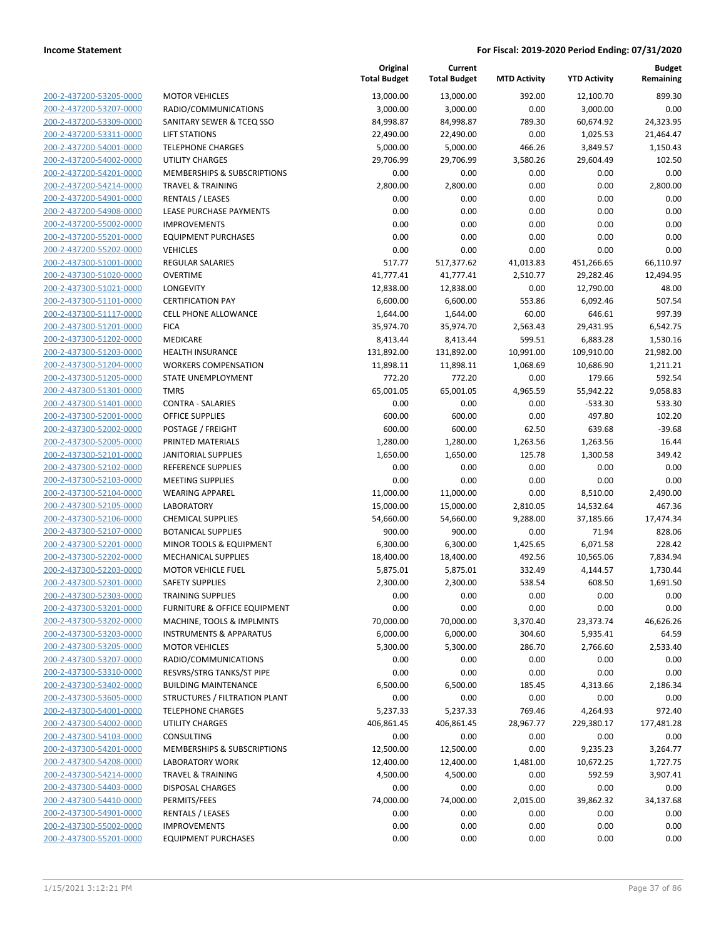| 200-2-437200-53205-0000        |  |
|--------------------------------|--|
| 200-2-437200-53207-0000        |  |
| 200-2-437200-53309-0000        |  |
| 200-2-437200-53311-0000        |  |
| 200-2-437200-54001-0000        |  |
|                                |  |
| 200-2-437200-54002-0000        |  |
| 200-2-437200-54201-0000        |  |
| 200-2-437200-54214-0000        |  |
| 200-2-437200-54901-0000        |  |
| <u>200-2-437200-54908-0000</u> |  |
| 200-2-437200-55002-0000        |  |
| 200-2-437200-55201-0000        |  |
| 200-2-437200-55202-0000        |  |
| 200-2-437300-51001-0000        |  |
|                                |  |
| <u>200-2-437300-51020-0000</u> |  |
| 200-2-437300-51021-0000        |  |
| 200-2-437300-51101-0000        |  |
| 200-2-437300-51117-0000        |  |
| 200-2-437300-51201-0000        |  |
| 200-2-437300-51202-0000        |  |
| 200-2-437300-51203-0000        |  |
| 200-2-437300-51204-0000        |  |
| 200-2-437300-51205-0000        |  |
| 200-2-437300-51301-0000        |  |
|                                |  |
| <u>200-2-437300-51401-0000</u> |  |
| 200-2-437300-52001-0000        |  |
| 200-2-437300-52002-0000        |  |
| 200-2-437300-52005-0000        |  |
| 200-2-437300-52101-0000        |  |
| 200-2-437300-52102-0000        |  |
| 200-2-437300-52103-0000        |  |
| 200-2-437300-52104-0000        |  |
| 200-2-437300-52105-0000        |  |
| 200-2-437300-52106-0000        |  |
|                                |  |
| <u>200-2-437300-52107-0000</u> |  |
| 200-2-437300-52201-0000        |  |
| 200-2-437300-52202-0000        |  |
| 200-2-437300-52203-0000        |  |
| 200-2-437300-52301-0000        |  |
| 200-2-437300-52303-0000        |  |
| 200-2-437300-53201-0000        |  |
| 200-2-437300-53202-0000        |  |
| 200-2-437300-53203-0000        |  |
| 200-2-437300-53205-0000        |  |
|                                |  |
| <u>200-2-437300-53207-0000</u> |  |
| 200-2-437300-53310-0000        |  |
| 200-2-437300-53402-0000        |  |
| 200-2-437300-53605-0000        |  |
| 200-2-437300-54001-0000        |  |
| 200-2-437300-54002-0000        |  |
| 200-2-437300-54103-0000        |  |
| 200-2-437300-54201-0000        |  |
| 200-2-437300-54208-0000        |  |
|                                |  |
| 200-2-437300-54214-0000        |  |
| <u>200-2-437300-54403-0000</u> |  |
| <u>200-2-437300-54410-0000</u> |  |
| 200-2-437300-54901-0000        |  |
| 200-2-437300-55002-0000        |  |
| 200-2-437300-55201-0000        |  |
|                                |  |

|                                                    |                                             | Original<br><b>Total Budget</b> | Current<br><b>Total Budget</b> | <b>MTD Activity</b>  | <b>YTD Activity</b>    | <b>Budget</b><br>Remaining |
|----------------------------------------------------|---------------------------------------------|---------------------------------|--------------------------------|----------------------|------------------------|----------------------------|
| 200-2-437200-53205-0000                            | <b>MOTOR VEHICLES</b>                       | 13,000.00                       | 13,000.00                      | 392.00               | 12,100.70              | 899.30                     |
| 200-2-437200-53207-0000                            | RADIO/COMMUNICATIONS                        | 3,000.00                        | 3,000.00                       | 0.00                 | 3,000.00               | 0.00                       |
| 200-2-437200-53309-0000                            | SANITARY SEWER & TCEQ SSO                   | 84,998.87                       | 84,998.87                      | 789.30               | 60,674.92              | 24,323.95                  |
| 200-2-437200-53311-0000                            | <b>LIFT STATIONS</b>                        | 22,490.00                       | 22,490.00                      | 0.00                 | 1,025.53               | 21,464.47                  |
| 200-2-437200-54001-0000                            | <b>TELEPHONE CHARGES</b>                    | 5,000.00                        | 5,000.00                       | 466.26               | 3,849.57               | 1,150.43                   |
| 200-2-437200-54002-0000                            | <b>UTILITY CHARGES</b>                      | 29,706.99                       | 29,706.99                      | 3,580.26             | 29,604.49              | 102.50                     |
| 200-2-437200-54201-0000                            | MEMBERSHIPS & SUBSCRIPTIONS                 | 0.00                            | 0.00                           | 0.00                 | 0.00                   | 0.00                       |
| 200-2-437200-54214-0000                            | <b>TRAVEL &amp; TRAINING</b>                | 2,800.00                        | 2,800.00                       | 0.00                 | 0.00                   | 2,800.00                   |
| 200-2-437200-54901-0000                            | <b>RENTALS / LEASES</b>                     | 0.00                            | 0.00                           | 0.00                 | 0.00                   | 0.00                       |
| 200-2-437200-54908-0000                            | LEASE PURCHASE PAYMENTS                     | 0.00                            | 0.00                           | 0.00                 | 0.00                   | 0.00                       |
| 200-2-437200-55002-0000                            | <b>IMPROVEMENTS</b>                         | 0.00                            | 0.00                           | 0.00                 | 0.00                   | 0.00                       |
| 200-2-437200-55201-0000                            | <b>EQUIPMENT PURCHASES</b>                  | 0.00                            | 0.00                           | 0.00                 | 0.00                   | 0.00                       |
| 200-2-437200-55202-0000                            | <b>VEHICLES</b>                             | 0.00                            | 0.00                           | 0.00                 | 0.00                   | 0.00                       |
| 200-2-437300-51001-0000                            | <b>REGULAR SALARIES</b>                     | 517.77                          | 517,377.62                     | 41,013.83            | 451,266.65             | 66,110.97                  |
| 200-2-437300-51020-0000                            | <b>OVERTIME</b>                             | 41,777.41                       | 41,777.41                      | 2,510.77             | 29,282.46              | 12,494.95                  |
| 200-2-437300-51021-0000                            | LONGEVITY                                   | 12,838.00                       | 12,838.00                      | 0.00                 | 12,790.00              | 48.00                      |
| 200-2-437300-51101-0000                            | <b>CERTIFICATION PAY</b>                    | 6,600.00                        | 6,600.00                       | 553.86               | 6,092.46               | 507.54                     |
| 200-2-437300-51117-0000                            | <b>CELL PHONE ALLOWANCE</b>                 | 1,644.00                        | 1,644.00                       | 60.00                | 646.61                 | 997.39                     |
| 200-2-437300-51201-0000                            | <b>FICA</b>                                 | 35,974.70                       | 35,974.70                      | 2,563.43             | 29,431.95              | 6,542.75                   |
| 200-2-437300-51202-0000                            | MEDICARE                                    | 8,413.44                        | 8,413.44                       | 599.51               | 6,883.28               | 1,530.16                   |
| 200-2-437300-51203-0000                            | <b>HEALTH INSURANCE</b>                     | 131,892.00                      | 131,892.00                     | 10,991.00            | 109,910.00             | 21,982.00                  |
| 200-2-437300-51204-0000                            | <b>WORKERS COMPENSATION</b>                 | 11,898.11                       | 11,898.11                      | 1,068.69             | 10,686.90              | 1,211.21                   |
| 200-2-437300-51205-0000                            | STATE UNEMPLOYMENT                          | 772.20                          | 772.20                         | 0.00                 | 179.66                 | 592.54                     |
| 200-2-437300-51301-0000                            | <b>TMRS</b>                                 | 65,001.05                       | 65,001.05                      | 4,965.59             | 55,942.22              | 9,058.83                   |
| 200-2-437300-51401-0000                            | <b>CONTRA - SALARIES</b>                    | 0.00                            | 0.00                           | 0.00                 | $-533.30$              | 533.30                     |
| 200-2-437300-52001-0000                            | <b>OFFICE SUPPLIES</b>                      | 600.00                          | 600.00                         | 0.00                 | 497.80                 | 102.20                     |
| 200-2-437300-52002-0000                            | POSTAGE / FREIGHT                           | 600.00                          | 600.00                         | 62.50                | 639.68                 | $-39.68$                   |
| 200-2-437300-52005-0000                            | PRINTED MATERIALS                           | 1,280.00                        | 1,280.00                       | 1,263.56             | 1,263.56               | 16.44                      |
| 200-2-437300-52101-0000                            | <b>JANITORIAL SUPPLIES</b>                  | 1,650.00                        | 1,650.00                       | 125.78               | 1,300.58               | 349.42                     |
| 200-2-437300-52102-0000                            | REFERENCE SUPPLIES                          | 0.00                            | 0.00                           | 0.00                 | 0.00                   | 0.00                       |
| 200-2-437300-52103-0000                            | <b>MEETING SUPPLIES</b>                     | 0.00                            | 0.00                           | 0.00                 | 0.00                   | 0.00                       |
| 200-2-437300-52104-0000                            | <b>WEARING APPAREL</b><br><b>LABORATORY</b> | 11,000.00                       | 11,000.00                      | 0.00                 | 8,510.00               | 2,490.00                   |
| 200-2-437300-52105-0000<br>200-2-437300-52106-0000 | <b>CHEMICAL SUPPLIES</b>                    | 15,000.00<br>54,660.00          | 15,000.00<br>54,660.00         | 2,810.05<br>9,288.00 | 14,532.64<br>37,185.66 | 467.36<br>17,474.34        |
| 200-2-437300-52107-0000                            | <b>BOTANICAL SUPPLIES</b>                   | 900.00                          | 900.00                         | 0.00                 | 71.94                  | 828.06                     |
| 200-2-437300-52201-0000                            | MINOR TOOLS & EQUIPMENT                     | 6,300.00                        | 6,300.00                       | 1,425.65             | 6,071.58               | 228.42                     |
| 200-2-437300-52202-0000                            | MECHANICAL SUPPLIES                         | 18,400.00                       | 18,400.00                      | 492.56               | 10,565.06              | 7,834.94                   |
| 200-2-437300-52203-0000                            | <b>MOTOR VEHICLE FUEL</b>                   | 5,875.01                        | 5,875.01                       | 332.49               | 4,144.57               | 1,730.44                   |
| 200-2-437300-52301-0000                            | <b>SAFETY SUPPLIES</b>                      | 2,300.00                        | 2,300.00                       | 538.54               | 608.50                 | 1,691.50                   |
| 200-2-437300-52303-0000                            | <b>TRAINING SUPPLIES</b>                    | 0.00                            | 0.00                           | 0.00                 | 0.00                   | 0.00                       |
| 200-2-437300-53201-0000                            | FURNITURE & OFFICE EQUIPMENT                | 0.00                            | 0.00                           | 0.00                 | 0.00                   | 0.00                       |
| 200-2-437300-53202-0000                            | MACHINE, TOOLS & IMPLMNTS                   | 70,000.00                       | 70,000.00                      | 3,370.40             | 23,373.74              | 46,626.26                  |
| 200-2-437300-53203-0000                            | <b>INSTRUMENTS &amp; APPARATUS</b>          | 6,000.00                        | 6,000.00                       | 304.60               | 5,935.41               | 64.59                      |
| 200-2-437300-53205-0000                            | <b>MOTOR VEHICLES</b>                       | 5,300.00                        | 5,300.00                       | 286.70               | 2,766.60               | 2,533.40                   |
| 200-2-437300-53207-0000                            | RADIO/COMMUNICATIONS                        | 0.00                            | 0.00                           | 0.00                 | 0.00                   | 0.00                       |
| 200-2-437300-53310-0000                            | RESVRS/STRG TANKS/ST PIPE                   | 0.00                            | 0.00                           | 0.00                 | 0.00                   | 0.00                       |
| 200-2-437300-53402-0000                            | <b>BUILDING MAINTENANCE</b>                 | 6,500.00                        | 6,500.00                       | 185.45               | 4,313.66               | 2,186.34                   |
| 200-2-437300-53605-0000                            | STRUCTURES / FILTRATION PLANT               | 0.00                            | 0.00                           | 0.00                 | 0.00                   | 0.00                       |
| 200-2-437300-54001-0000                            | <b>TELEPHONE CHARGES</b>                    | 5,237.33                        | 5,237.33                       | 769.46               | 4,264.93               | 972.40                     |
| 200-2-437300-54002-0000                            | <b>UTILITY CHARGES</b>                      | 406,861.45                      | 406,861.45                     | 28,967.77            | 229,380.17             | 177,481.28                 |
| 200-2-437300-54103-0000                            | CONSULTING                                  | 0.00                            | 0.00                           | 0.00                 | 0.00                   | 0.00                       |
| 200-2-437300-54201-0000                            | MEMBERSHIPS & SUBSCRIPTIONS                 | 12,500.00                       | 12,500.00                      | 0.00                 | 9,235.23               | 3,264.77                   |
| 200-2-437300-54208-0000                            | LABORATORY WORK                             | 12,400.00                       | 12,400.00                      | 1,481.00             | 10,672.25              | 1,727.75                   |
| 200-2-437300-54214-0000                            | <b>TRAVEL &amp; TRAINING</b>                | 4,500.00                        | 4,500.00                       | 0.00                 | 592.59                 | 3,907.41                   |
| 200-2-437300-54403-0000                            | <b>DISPOSAL CHARGES</b>                     | 0.00                            | 0.00                           | 0.00                 | 0.00                   | 0.00                       |
| 200-2-437300-54410-0000                            | PERMITS/FEES                                | 74,000.00                       | 74,000.00                      | 2,015.00             | 39,862.32              | 34,137.68                  |
| 200-2-437300-54901-0000                            | <b>RENTALS / LEASES</b>                     | 0.00                            | 0.00                           | 0.00                 | 0.00                   | 0.00                       |
| 200-2-437300-55002-0000                            | <b>IMPROVEMENTS</b>                         | 0.00                            | 0.00                           | 0.00                 | 0.00                   | 0.00                       |
| 200-2-437300-55201-0000                            | <b>EQUIPMENT PURCHASES</b>                  | 0.00                            | 0.00                           | 0.00                 | 0.00                   | 0.00                       |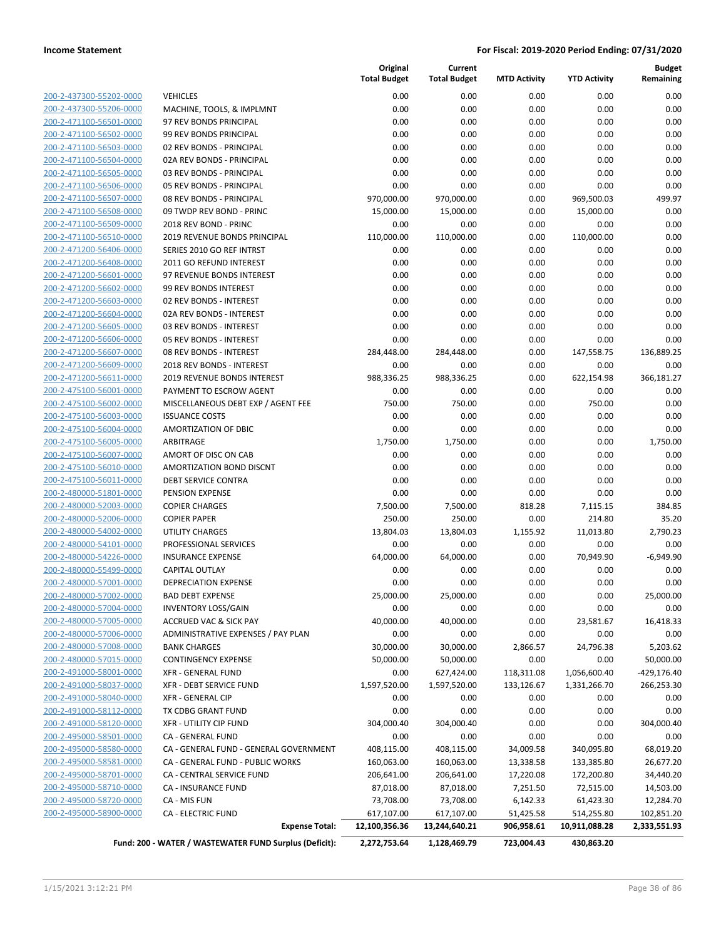|                         |                                                        | Original<br><b>Total Budget</b> | Current<br><b>Total Budget</b> | <b>MTD Activity</b> | <b>YTD Activity</b> | <b>Budget</b><br>Remaining |
|-------------------------|--------------------------------------------------------|---------------------------------|--------------------------------|---------------------|---------------------|----------------------------|
| 200-2-437300-55202-0000 | <b>VEHICLES</b>                                        | 0.00                            | 0.00                           | 0.00                | 0.00                | 0.00                       |
| 200-2-437300-55206-0000 | MACHINE, TOOLS, & IMPLMNT                              | 0.00                            | 0.00                           | 0.00                | 0.00                | 0.00                       |
| 200-2-471100-56501-0000 | 97 REV BONDS PRINCIPAL                                 | 0.00                            | 0.00                           | 0.00                | 0.00                | 0.00                       |
| 200-2-471100-56502-0000 | 99 REV BONDS PRINCIPAL                                 | 0.00                            | 0.00                           | 0.00                | 0.00                | 0.00                       |
| 200-2-471100-56503-0000 | 02 REV BONDS - PRINCIPAL                               | 0.00                            | 0.00                           | 0.00                | 0.00                | 0.00                       |
| 200-2-471100-56504-0000 | 02A REV BONDS - PRINCIPAL                              | 0.00                            | 0.00                           | 0.00                | 0.00                | 0.00                       |
| 200-2-471100-56505-0000 | 03 REV BONDS - PRINCIPAL                               | 0.00                            | 0.00                           | 0.00                | 0.00                | 0.00                       |
| 200-2-471100-56506-0000 | 05 REV BONDS - PRINCIPAL                               | 0.00                            | 0.00                           | 0.00                | 0.00                | 0.00                       |
| 200-2-471100-56507-0000 | 08 REV BONDS - PRINCIPAL                               | 970,000.00                      | 970,000.00                     | 0.00                | 969,500.03          | 499.97                     |
| 200-2-471100-56508-0000 | 09 TWDP REV BOND - PRINC                               | 15,000.00                       | 15,000.00                      | 0.00                | 15,000.00           | 0.00                       |
| 200-2-471100-56509-0000 | 2018 REV BOND - PRINC                                  | 0.00                            | 0.00                           | 0.00                | 0.00                | 0.00                       |
| 200-2-471100-56510-0000 | 2019 REVENUE BONDS PRINCIPAL                           | 110,000.00                      | 110,000.00                     | 0.00                | 110,000.00          | 0.00                       |
| 200-2-471200-56406-0000 | SERIES 2010 GO REF INTRST                              | 0.00                            | 0.00                           | 0.00                | 0.00                | 0.00                       |
| 200-2-471200-56408-0000 | 2011 GO REFUND INTEREST                                | 0.00                            | 0.00                           | 0.00                | 0.00                | 0.00                       |
| 200-2-471200-56601-0000 | 97 REVENUE BONDS INTEREST                              | 0.00                            | 0.00                           | 0.00                | 0.00                | 0.00                       |
| 200-2-471200-56602-0000 | 99 REV BONDS INTEREST                                  | 0.00                            | 0.00                           | 0.00                | 0.00                | 0.00                       |
| 200-2-471200-56603-0000 | 02 REV BONDS - INTEREST                                | 0.00                            | 0.00                           | 0.00                | 0.00                | 0.00                       |
| 200-2-471200-56604-0000 | 02A REV BONDS - INTEREST                               | 0.00                            | 0.00                           | 0.00                | 0.00                | 0.00                       |
| 200-2-471200-56605-0000 | 03 REV BONDS - INTEREST                                | 0.00                            | 0.00                           | 0.00                | 0.00                | 0.00                       |
| 200-2-471200-56606-0000 | 05 REV BONDS - INTEREST                                | 0.00                            | 0.00                           | 0.00                | 0.00                | 0.00                       |
| 200-2-471200-56607-0000 | 08 REV BONDS - INTEREST                                | 284,448.00                      | 284,448.00                     | 0.00                | 147,558.75          | 136,889.25                 |
| 200-2-471200-56609-0000 | 2018 REV BONDS - INTEREST                              | 0.00                            | 0.00                           | 0.00                | 0.00                | 0.00                       |
| 200-2-471200-56611-0000 | 2019 REVENUE BONDS INTEREST                            | 988,336.25                      | 988,336.25                     | 0.00                | 622,154.98          | 366,181.27                 |
| 200-2-475100-56001-0000 | PAYMENT TO ESCROW AGENT                                | 0.00                            | 0.00                           | 0.00                | 0.00                | 0.00                       |
| 200-2-475100-56002-0000 | MISCELLANEOUS DEBT EXP / AGENT FEE                     | 750.00                          | 750.00                         | 0.00                | 750.00              | 0.00                       |
| 200-2-475100-56003-0000 | <b>ISSUANCE COSTS</b>                                  | 0.00                            | 0.00                           | 0.00                | 0.00                | 0.00                       |
| 200-2-475100-56004-0000 | AMORTIZATION OF DBIC                                   | 0.00                            | 0.00                           | 0.00                | 0.00                | 0.00                       |
| 200-2-475100-56005-0000 | ARBITRAGE                                              | 1,750.00                        | 1,750.00                       | 0.00                | 0.00                | 1,750.00                   |
| 200-2-475100-56007-0000 | AMORT OF DISC ON CAB                                   | 0.00                            | 0.00                           | 0.00                | 0.00                | 0.00                       |
| 200-2-475100-56010-0000 | AMORTIZATION BOND DISCNT                               | 0.00                            | 0.00                           | 0.00                | 0.00                | 0.00                       |
| 200-2-475100-56011-0000 | <b>DEBT SERVICE CONTRA</b>                             | 0.00                            | 0.00                           | 0.00                | 0.00                | 0.00                       |
| 200-2-480000-51801-0000 | PENSION EXPENSE                                        | 0.00                            | 0.00                           | 0.00                | 0.00                | 0.00                       |
| 200-2-480000-52003-0000 | <b>COPIER CHARGES</b>                                  | 7,500.00                        | 7,500.00                       | 818.28              | 7,115.15            | 384.85                     |
| 200-2-480000-52006-0000 | <b>COPIER PAPER</b>                                    | 250.00                          | 250.00                         | 0.00                | 214.80              | 35.20                      |
| 200-2-480000-54002-0000 | <b>UTILITY CHARGES</b>                                 | 13,804.03                       | 13,804.03                      | 1,155.92            | 11,013.80           | 2,790.23                   |
| 200-2-480000-54101-0000 | PROFESSIONAL SERVICES                                  | 0.00                            | 0.00                           | 0.00                | 0.00                | 0.00                       |
| 200-2-480000-54226-0000 | <b>INSURANCE EXPENSE</b>                               | 64,000.00                       | 64,000.00                      | 0.00                | 70,949.90           | $-6,949.90$                |
| 200-2-480000-55499-0000 | <b>CAPITAL OUTLAY</b>                                  | 0.00                            | 0.00                           | 0.00                | 0.00                | 0.00                       |
| 200-2-480000-57001-0000 | <b>DEPRECIATION EXPENSE</b>                            | 0.00                            | 0.00                           | 0.00                | 0.00                | 0.00                       |
| 200-2-480000-57002-0000 | <b>BAD DEBT EXPENSE</b>                                | 25,000.00                       | 25,000.00                      | 0.00                | 0.00                | 25,000.00                  |
| 200-2-480000-57004-0000 | <b>INVENTORY LOSS/GAIN</b>                             | 0.00                            | 0.00                           | 0.00                | 0.00                | 0.00                       |
| 200-2-480000-57005-0000 | <b>ACCRUED VAC &amp; SICK PAY</b>                      | 40,000.00                       | 40,000.00                      | 0.00                | 23,581.67           | 16,418.33                  |
| 200-2-480000-57006-0000 | ADMINISTRATIVE EXPENSES / PAY PLAN                     | 0.00                            | 0.00                           | 0.00                | 0.00                | 0.00                       |
| 200-2-480000-57008-0000 | <b>BANK CHARGES</b>                                    | 30,000.00                       | 30,000.00                      | 2,866.57            | 24,796.38           | 5,203.62                   |
| 200-2-480000-57015-0000 | <b>CONTINGENCY EXPENSE</b>                             | 50,000.00                       | 50,000.00                      | 0.00                | 0.00                | 50,000.00                  |
| 200-2-491000-58001-0000 | <b>XFR - GENERAL FUND</b>                              | 0.00                            | 627,424.00                     | 118,311.08          | 1,056,600.40        | -429,176.40                |
| 200-2-491000-58037-0000 | XFR - DEBT SERVICE FUND                                | 1,597,520.00                    | 1,597,520.00                   | 133,126.67          | 1,331,266.70        | 266,253.30                 |
| 200-2-491000-58040-0000 | <b>XFR - GENERAL CIP</b>                               | 0.00                            | 0.00                           | 0.00                | 0.00                | 0.00                       |
| 200-2-491000-58112-0000 | TX CDBG GRANT FUND                                     | 0.00                            | 0.00                           | 0.00                | 0.00                | 0.00                       |
| 200-2-491000-58120-0000 | <b>XFR - UTILITY CIP FUND</b>                          | 304,000.40                      | 304,000.40                     | 0.00                | 0.00                | 304,000.40                 |
| 200-2-495000-58501-0000 | CA - GENERAL FUND                                      | 0.00                            | 0.00                           | 0.00                | 0.00                | 0.00                       |
| 200-2-495000-58580-0000 | CA - GENERAL FUND - GENERAL GOVERNMENT                 | 408,115.00                      | 408,115.00                     | 34,009.58           | 340,095.80          | 68,019.20                  |
| 200-2-495000-58581-0000 | CA - GENERAL FUND - PUBLIC WORKS                       | 160,063.00                      | 160,063.00                     | 13,338.58           | 133,385.80          | 26,677.20                  |
| 200-2-495000-58701-0000 | CA - CENTRAL SERVICE FUND                              | 206,641.00                      | 206,641.00                     | 17,220.08           | 172,200.80          | 34,440.20                  |
| 200-2-495000-58710-0000 | CA - INSURANCE FUND                                    | 87,018.00                       | 87,018.00                      | 7,251.50            | 72,515.00           | 14,503.00                  |
| 200-2-495000-58720-0000 | CA - MIS FUN                                           | 73,708.00                       | 73,708.00                      | 6,142.33            | 61,423.30           | 12,284.70                  |
| 200-2-495000-58900-0000 | <b>CA - ELECTRIC FUND</b>                              | 617,107.00                      | 617,107.00                     | 51,425.58           | 514,255.80          | 102,851.20                 |
|                         | <b>Expense Total:</b>                                  | 12,100,356.36                   | 13,244,640.21                  | 906,958.61          | 10,911,088.28       | 2,333,551.93               |
|                         | Fund: 200 - WATER / WASTEWATER FUND Surplus (Deficit): | 2,272,753.64                    | 1,128,469.79                   | 723,004.43          | 430,863.20          |                            |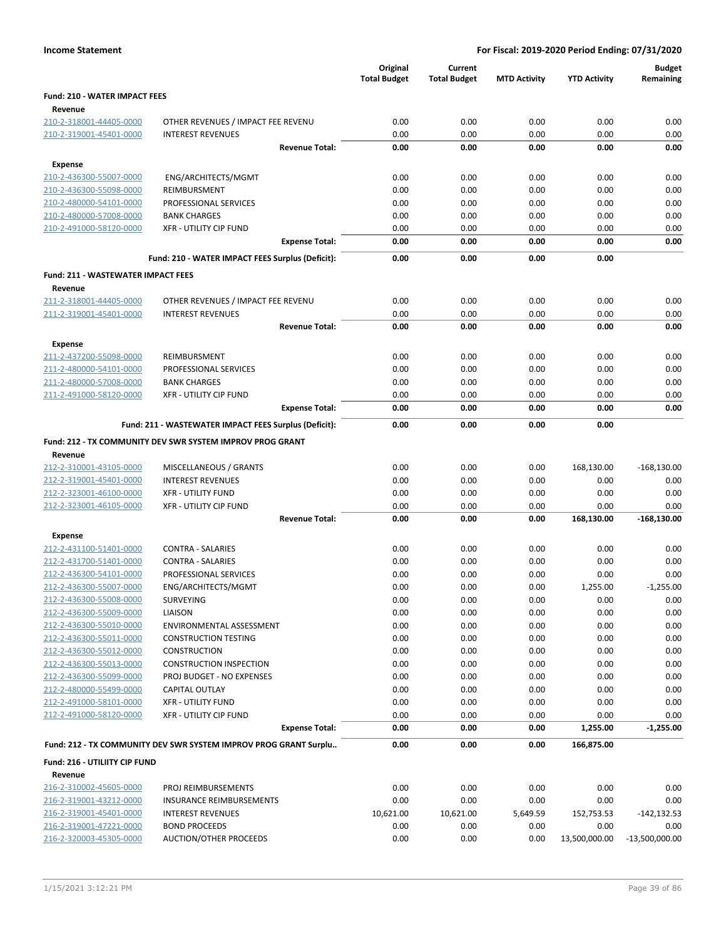|  | <b>Income Statement</b> |
|--|-------------------------|
|--|-------------------------|

|                                                    |                                                                  | Original<br><b>Total Budget</b> | Current<br><b>Total Budget</b> | <b>MTD Activity</b> | <b>YTD Activity</b> | <b>Budget</b><br>Remaining |
|----------------------------------------------------|------------------------------------------------------------------|---------------------------------|--------------------------------|---------------------|---------------------|----------------------------|
| <b>Fund: 210 - WATER IMPACT FEES</b><br>Revenue    |                                                                  |                                 |                                |                     |                     |                            |
| 210-2-318001-44405-0000                            | OTHER REVENUES / IMPACT FEE REVENU                               | 0.00                            | 0.00                           | 0.00                | 0.00                | 0.00                       |
| 210-2-319001-45401-0000                            | <b>INTEREST REVENUES</b>                                         | 0.00                            | 0.00                           | 0.00                | 0.00                | 0.00                       |
|                                                    | <b>Revenue Total:</b>                                            | 0.00                            | 0.00                           | 0.00                | 0.00                | 0.00                       |
| <b>Expense</b>                                     |                                                                  |                                 |                                |                     |                     |                            |
| 210-2-436300-55007-0000                            | ENG/ARCHITECTS/MGMT                                              | 0.00                            | 0.00                           | 0.00                | 0.00                | 0.00                       |
| 210-2-436300-55098-0000                            | REIMBURSMENT                                                     | 0.00                            | 0.00                           | 0.00                | 0.00                | 0.00                       |
| 210-2-480000-54101-0000                            | PROFESSIONAL SERVICES                                            | 0.00                            | 0.00                           | 0.00                | 0.00                | 0.00                       |
| 210-2-480000-57008-0000                            | <b>BANK CHARGES</b>                                              | 0.00                            | 0.00                           | 0.00                | 0.00                | 0.00                       |
| 210-2-491000-58120-0000                            | <b>XFR - UTILITY CIP FUND</b>                                    | 0.00                            | 0.00                           | 0.00                | 0.00                | 0.00                       |
|                                                    | <b>Expense Total:</b>                                            | 0.00                            | 0.00                           | 0.00                | 0.00                | 0.00                       |
|                                                    | Fund: 210 - WATER IMPACT FEES Surplus (Deficit):                 | 0.00                            | 0.00                           | 0.00                | 0.00                |                            |
| <b>Fund: 211 - WASTEWATER IMPACT FEES</b>          |                                                                  |                                 |                                |                     |                     |                            |
| Revenue                                            |                                                                  |                                 |                                |                     |                     |                            |
| 211-2-318001-44405-0000                            | OTHER REVENUES / IMPACT FEE REVENU                               | 0.00                            | 0.00                           | 0.00                | 0.00                | 0.00                       |
| 211-2-319001-45401-0000                            | <b>INTEREST REVENUES</b>                                         | 0.00                            | 0.00                           | 0.00                | 0.00                | 0.00                       |
|                                                    | <b>Revenue Total:</b>                                            | 0.00                            | 0.00                           | 0.00                | 0.00                | 0.00                       |
| <b>Expense</b>                                     |                                                                  |                                 |                                |                     |                     |                            |
| 211-2-437200-55098-0000                            | <b>REIMBURSMENT</b>                                              | 0.00                            | 0.00                           | 0.00                | 0.00                | 0.00                       |
| 211-2-480000-54101-0000                            | PROFESSIONAL SERVICES                                            | 0.00                            | 0.00                           | 0.00                | 0.00                | 0.00                       |
| 211-2-480000-57008-0000                            | <b>BANK CHARGES</b>                                              | 0.00                            | 0.00                           | 0.00                | 0.00                | 0.00                       |
| 211-2-491000-58120-0000                            | <b>XFR - UTILITY CIP FUND</b>                                    | 0.00                            | 0.00                           | 0.00                | 0.00                | 0.00                       |
|                                                    | <b>Expense Total:</b>                                            | 0.00                            | 0.00                           | 0.00                | 0.00                | 0.00                       |
|                                                    | Fund: 211 - WASTEWATER IMPACT FEES Surplus (Deficit):            | 0.00                            | 0.00                           | 0.00                | 0.00                |                            |
|                                                    | Fund: 212 - TX COMMUNITY DEV SWR SYSTEM IMPROV PROG GRANT        |                                 |                                |                     |                     |                            |
| Revenue                                            |                                                                  |                                 |                                |                     |                     |                            |
| 212-2-310001-43105-0000                            | MISCELLANEOUS / GRANTS                                           | 0.00                            | 0.00                           | 0.00                | 168,130.00          | $-168,130.00$              |
| 212-2-319001-45401-0000                            | <b>INTEREST REVENUES</b>                                         | 0.00                            | 0.00                           | 0.00                | 0.00                | 0.00                       |
| 212-2-323001-46100-0000                            | <b>XFR - UTILITY FUND</b>                                        | 0.00                            | 0.00                           | 0.00                | 0.00                | 0.00                       |
| 212-2-323001-46105-0000                            | <b>XFR - UTILITY CIP FUND</b>                                    | 0.00                            | 0.00                           | 0.00                | 0.00                | 0.00                       |
|                                                    | <b>Revenue Total:</b>                                            | 0.00                            | 0.00                           | 0.00                | 168,130.00          | $-168, 130.00$             |
| <b>Expense</b>                                     |                                                                  |                                 |                                |                     |                     |                            |
| 212-2-431100-51401-0000                            | <b>CONTRA - SALARIES</b>                                         | 0.00                            | 0.00                           | 0.00                | 0.00                | 0.00                       |
| 212-2-431700-51401-0000                            | <b>CONTRA - SALARIES</b>                                         | 0.00                            | 0.00                           | 0.00                | 0.00                | 0.00                       |
| 212-2-436300-54101-0000                            | PROFESSIONAL SERVICES                                            | 0.00                            | 0.00                           | 0.00                | 0.00                | 0.00                       |
| 212-2-436300-55007-0000                            | ENG/ARCHITECTS/MGMT                                              | 0.00                            | 0.00                           | 0.00                | 1,255.00            | $-1,255.00$                |
| 212-2-436300-55008-0000                            | SURVEYING                                                        | 0.00                            | 0.00                           | 0.00                | 0.00                | 0.00                       |
| 212-2-436300-55009-0000                            | LIAISON                                                          | 0.00                            | 0.00                           | 0.00                | 0.00                | 0.00                       |
| 212-2-436300-55010-0000                            | ENVIRONMENTAL ASSESSMENT                                         | 0.00                            | 0.00                           | 0.00                | 0.00                | 0.00                       |
| 212-2-436300-55011-0000                            | <b>CONSTRUCTION TESTING</b>                                      | 0.00                            | 0.00                           | 0.00                | 0.00                | 0.00                       |
| 212-2-436300-55012-0000                            | <b>CONSTRUCTION</b>                                              | 0.00                            | 0.00                           | 0.00                | 0.00                | 0.00                       |
| 212-2-436300-55013-0000                            | <b>CONSTRUCTION INSPECTION</b>                                   | 0.00                            | 0.00                           | 0.00                | 0.00                | 0.00                       |
| 212-2-436300-55099-0000                            | PROJ BUDGET - NO EXPENSES                                        | 0.00                            | 0.00                           | 0.00                | 0.00                | 0.00                       |
| 212-2-480000-55499-0000                            | CAPITAL OUTLAY                                                   | 0.00                            | 0.00                           | 0.00                | 0.00                | 0.00                       |
| 212-2-491000-58101-0000                            | <b>XFR - UTILITY FUND</b>                                        | 0.00                            | 0.00                           | 0.00<br>0.00        | 0.00<br>0.00        | 0.00<br>0.00               |
| 212-2-491000-58120-0000                            | XFR - UTILITY CIP FUND<br><b>Expense Total:</b>                  | 0.00<br>0.00                    | 0.00<br>0.00                   | 0.00                | 1,255.00            | $-1,255.00$                |
|                                                    |                                                                  |                                 |                                |                     |                     |                            |
|                                                    | Fund: 212 - TX COMMUNITY DEV SWR SYSTEM IMPROV PROG GRANT Surplu | 0.00                            | 0.00                           | 0.00                | 166,875.00          |                            |
| <b>Fund: 216 - UTILIITY CIP FUND</b>               |                                                                  |                                 |                                |                     |                     |                            |
| Revenue                                            |                                                                  |                                 |                                |                     |                     |                            |
| 216-2-310002-45605-0000                            | PROJ REIMBURSEMENTS                                              | 0.00<br>0.00                    | 0.00                           | 0.00                | 0.00                | 0.00                       |
| 216-2-319001-43212-0000<br>216-2-319001-45401-0000 | <b>INSURANCE REIMBURSEMENTS</b><br><b>INTEREST REVENUES</b>      | 10,621.00                       | 0.00<br>10,621.00              | 0.00<br>5,649.59    | 0.00<br>152,753.53  | 0.00<br>$-142, 132.53$     |
| 216-2-319001-47221-0000                            | <b>BOND PROCEEDS</b>                                             | 0.00                            | 0.00                           | 0.00                | 0.00                | 0.00                       |
| 216-2-320003-45305-0000                            | AUCTION/OTHER PROCEEDS                                           | 0.00                            | 0.00                           | 0.00                | 13,500,000.00       | $-13,500,000.00$           |
|                                                    |                                                                  |                                 |                                |                     |                     |                            |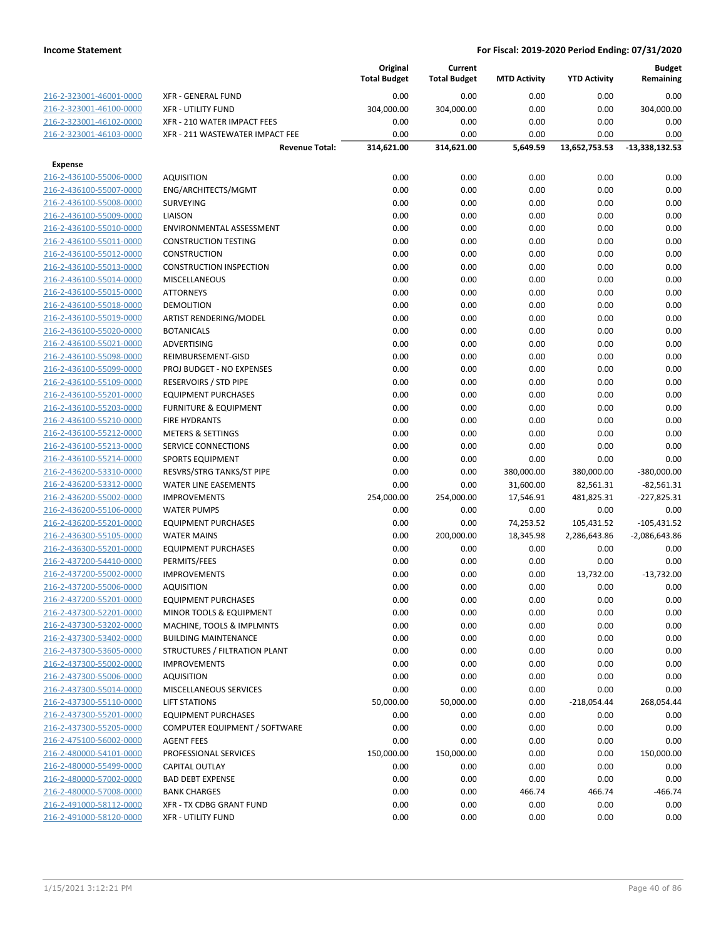|                                                    |                                         | Original            | Current             |                     |                       | <b>Budget</b>      |
|----------------------------------------------------|-----------------------------------------|---------------------|---------------------|---------------------|-----------------------|--------------------|
|                                                    |                                         | <b>Total Budget</b> | <b>Total Budget</b> | <b>MTD Activity</b> | <b>YTD Activity</b>   | Remaining          |
| 216-2-323001-46001-0000                            | <b>XFR - GENERAL FUND</b>               | 0.00                | 0.00                | 0.00                | 0.00                  | 0.00               |
| 216-2-323001-46100-0000                            | <b>XFR - UTILITY FUND</b>               | 304,000.00          | 304,000.00          | 0.00                | 0.00                  | 304,000.00         |
| 216-2-323001-46102-0000                            | XFR - 210 WATER IMPACT FEES             | 0.00                | 0.00                | 0.00                | 0.00                  | 0.00               |
| 216-2-323001-46103-0000                            | XFR - 211 WASTEWATER IMPACT FEE         | 0.00                | 0.00                | 0.00                | 0.00                  | 0.00               |
|                                                    | <b>Revenue Total:</b>                   | 314,621.00          | 314,621.00          | 5,649.59            | 13,652,753.53         | $-13,338,132.53$   |
| <b>Expense</b>                                     |                                         |                     |                     |                     |                       |                    |
| 216-2-436100-55006-0000                            | <b>AQUISITION</b>                       | 0.00                | 0.00                | 0.00                | 0.00                  | 0.00               |
| 216-2-436100-55007-0000                            | ENG/ARCHITECTS/MGMT                     | 0.00                | 0.00                | 0.00                | 0.00                  | 0.00               |
| 216-2-436100-55008-0000                            | <b>SURVEYING</b>                        | 0.00                | 0.00                | 0.00                | 0.00                  | 0.00               |
| 216-2-436100-55009-0000                            | LIAISON                                 | 0.00                | 0.00                | 0.00                | 0.00                  | 0.00               |
| 216-2-436100-55010-0000                            | ENVIRONMENTAL ASSESSMENT                | 0.00                | 0.00                | 0.00                | 0.00                  | 0.00               |
| 216-2-436100-55011-0000                            | <b>CONSTRUCTION TESTING</b>             | 0.00                | 0.00                | 0.00                | 0.00                  | 0.00               |
| 216-2-436100-55012-0000                            | <b>CONSTRUCTION</b>                     | 0.00                | 0.00                | 0.00                | 0.00                  | 0.00               |
| 216-2-436100-55013-0000                            | <b>CONSTRUCTION INSPECTION</b>          | 0.00                | 0.00                | 0.00                | 0.00                  | 0.00               |
| 216-2-436100-55014-0000                            | <b>MISCELLANEOUS</b>                    | 0.00                | 0.00                | 0.00                | 0.00                  | 0.00               |
| 216-2-436100-55015-0000                            | <b>ATTORNEYS</b>                        | 0.00                | 0.00                | 0.00                | 0.00                  | 0.00               |
| 216-2-436100-55018-0000                            | <b>DEMOLITION</b>                       | 0.00                | 0.00                | 0.00                | 0.00                  | 0.00               |
| 216-2-436100-55019-0000                            | ARTIST RENDERING/MODEL                  | 0.00                | 0.00                | 0.00                | 0.00                  | 0.00               |
| 216-2-436100-55020-0000                            | <b>BOTANICALS</b>                       | 0.00                | 0.00                | 0.00                | 0.00                  | 0.00               |
| 216-2-436100-55021-0000                            | ADVERTISING                             | 0.00                | 0.00                | 0.00                | 0.00                  | 0.00               |
| 216-2-436100-55098-0000                            | REIMBURSEMENT-GISD                      | 0.00                | 0.00                | 0.00                | 0.00                  | 0.00               |
| 216-2-436100-55099-0000                            | PROJ BUDGET - NO EXPENSES               | 0.00                | 0.00                | 0.00                | 0.00                  | 0.00               |
| 216-2-436100-55109-0000                            | <b>RESERVOIRS / STD PIPE</b>            | 0.00                | 0.00                | 0.00                | 0.00                  | 0.00               |
| 216-2-436100-55201-0000                            | <b>EQUIPMENT PURCHASES</b>              | 0.00                | 0.00                | 0.00                | 0.00                  | 0.00               |
| 216-2-436100-55203-0000                            | <b>FURNITURE &amp; EQUIPMENT</b>        | 0.00                | 0.00                | 0.00                | 0.00                  | 0.00               |
| 216-2-436100-55210-0000                            | <b>FIRE HYDRANTS</b>                    | 0.00                | 0.00                | 0.00                | 0.00                  | 0.00               |
| 216-2-436100-55212-0000                            | <b>METERS &amp; SETTINGS</b>            | 0.00                | 0.00                | 0.00                | 0.00                  | 0.00               |
| 216-2-436100-55213-0000                            | SERVICE CONNECTIONS                     | 0.00                | 0.00                | 0.00                | 0.00                  | 0.00               |
| 216-2-436100-55214-0000                            | <b>SPORTS EQUIPMENT</b>                 | 0.00                | 0.00                | 0.00                | 0.00                  | 0.00               |
| 216-2-436200-53310-0000                            | RESVRS/STRG TANKS/ST PIPE               | 0.00                | 0.00                | 380,000.00          | 380,000.00            | $-380,000.00$      |
| 216-2-436200-53312-0000                            | <b>WATER LINE EASEMENTS</b>             | 0.00                | 0.00                | 31,600.00           | 82,561.31             | $-82,561.31$       |
| 216-2-436200-55002-0000                            | <b>IMPROVEMENTS</b>                     | 254,000.00          | 254,000.00          | 17,546.91           | 481,825.31            | $-227,825.31$      |
| 216-2-436200-55106-0000                            | <b>WATER PUMPS</b>                      | 0.00                | 0.00                | 0.00                | 0.00                  | 0.00               |
| 216-2-436200-55201-0000                            | <b>EQUIPMENT PURCHASES</b>              | 0.00                | 0.00                | 74,253.52           | 105,431.52            | $-105,431.52$      |
| 216-2-436300-55105-0000                            | <b>WATER MAINS</b>                      | 0.00                | 200,000.00          | 18,345.98           | 2,286,643.86          | $-2,086,643.86$    |
| 216-2-436300-55201-0000                            | <b>EQUIPMENT PURCHASES</b>              | 0.00                | 0.00                | 0.00                | 0.00                  | 0.00               |
| 216-2-437200-54410-0000                            | PERMITS/FEES                            | 0.00                | 0.00                | 0.00                | 0.00                  | 0.00               |
| 216-2-437200-55002-0000                            | <b>IMPROVEMENTS</b>                     | 0.00                | 0.00                | 0.00                | 13,732.00             | $-13,732.00$       |
| 216-2-437200-55006-0000                            | <b>AQUISITION</b>                       | 0.00                | 0.00                | 0.00                | 0.00                  | 0.00               |
| 216-2-437200-55201-0000                            | <b>EQUIPMENT PURCHASES</b>              | 0.00                | 0.00                | 0.00                | 0.00                  | 0.00               |
| 216-2-437300-52201-0000                            | MINOR TOOLS & EQUIPMENT                 | 0.00                | 0.00                | 0.00                | 0.00                  | 0.00               |
| 216-2-437300-53202-0000                            | MACHINE, TOOLS & IMPLMNTS               | 0.00                | 0.00                | 0.00                | 0.00                  | 0.00               |
| 216-2-437300-53402-0000                            | <b>BUILDING MAINTENANCE</b>             | 0.00                | 0.00                | 0.00                | 0.00                  | 0.00               |
| 216-2-437300-53605-0000                            | STRUCTURES / FILTRATION PLANT           | 0.00                | 0.00                | 0.00                | 0.00                  | 0.00               |
| 216-2-437300-55002-0000                            | <b>IMPROVEMENTS</b>                     | 0.00                | 0.00                | 0.00                | 0.00                  | 0.00               |
| 216-2-437300-55006-0000<br>216-2-437300-55014-0000 | AQUISITION                              | 0.00                | 0.00                | 0.00                | 0.00                  | 0.00               |
| 216-2-437300-55110-0000                            | MISCELLANEOUS SERVICES<br>LIFT STATIONS | 0.00<br>50,000.00   | 0.00<br>50,000.00   | 0.00<br>0.00        | 0.00<br>$-218,054.44$ | 0.00<br>268,054.44 |
| 216-2-437300-55201-0000                            | <b>EQUIPMENT PURCHASES</b>              | 0.00                | 0.00                | 0.00                | 0.00                  | 0.00               |
| 216-2-437300-55205-0000                            | COMPUTER EQUIPMENT / SOFTWARE           | 0.00                | 0.00                | 0.00                | 0.00                  | 0.00               |
| 216-2-475100-56002-0000                            | <b>AGENT FEES</b>                       | 0.00                | 0.00                | 0.00                | 0.00                  | 0.00               |
| 216-2-480000-54101-0000                            | PROFESSIONAL SERVICES                   | 150,000.00          | 150,000.00          | 0.00                | 0.00                  | 150,000.00         |
| 216-2-480000-55499-0000                            | <b>CAPITAL OUTLAY</b>                   | 0.00                | 0.00                | 0.00                | 0.00                  | 0.00               |
| 216-2-480000-57002-0000                            | <b>BAD DEBT EXPENSE</b>                 | 0.00                | 0.00                | 0.00                | 0.00                  | 0.00               |
| 216-2-480000-57008-0000                            | <b>BANK CHARGES</b>                     | 0.00                | 0.00                | 466.74              | 466.74                | $-466.74$          |
| 216-2-491000-58112-0000                            | XFR - TX CDBG GRANT FUND                | 0.00                | 0.00                | 0.00                | 0.00                  | 0.00               |
| 216-2-491000-58120-0000                            | <b>XFR - UTILITY FUND</b>               | 0.00                | 0.00                | 0.00                | 0.00                  | 0.00               |
|                                                    |                                         |                     |                     |                     |                       |                    |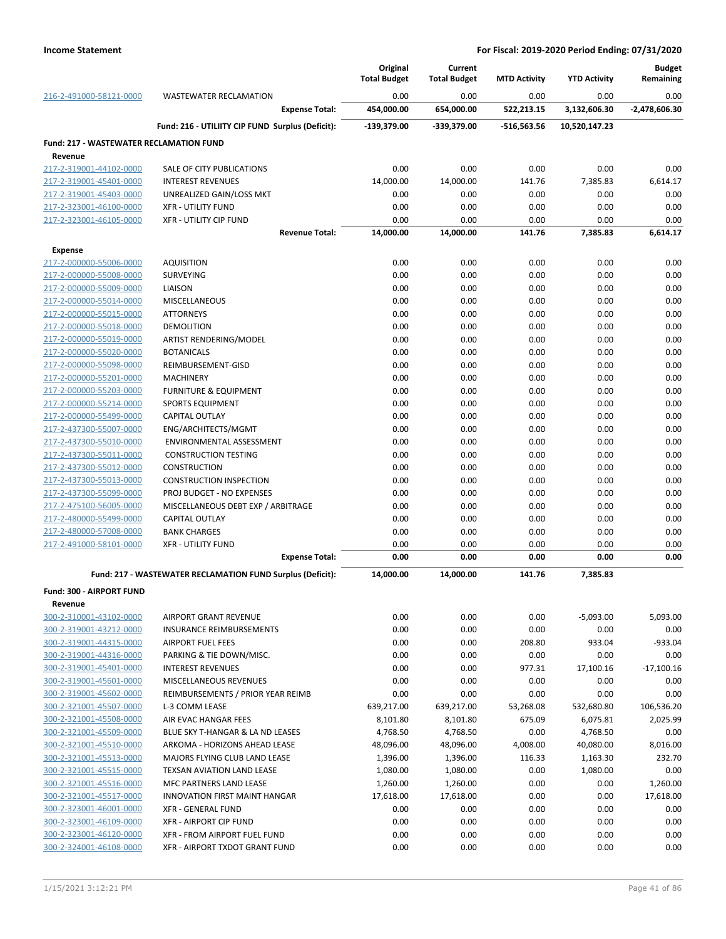|                                                |                                                            | Original<br><b>Total Budget</b> | Current<br><b>Total Budget</b> | <b>MTD Activity</b> | <b>YTD Activity</b> | <b>Budget</b><br>Remaining |
|------------------------------------------------|------------------------------------------------------------|---------------------------------|--------------------------------|---------------------|---------------------|----------------------------|
| 216-2-491000-58121-0000                        | <b>WASTEWATER RECLAMATION</b>                              | 0.00                            | 0.00                           | 0.00                | 0.00                | 0.00                       |
|                                                | <b>Expense Total:</b>                                      | 454,000.00                      | 654,000.00                     | 522,213.15          | 3,132,606.30        | -2,478,606.30              |
|                                                | Fund: 216 - UTILIITY CIP FUND Surplus (Deficit):           | -139,379.00                     | -339,379.00                    | -516,563.56         | 10,520,147.23       |                            |
| <b>Fund: 217 - WASTEWATER RECLAMATION FUND</b> |                                                            |                                 |                                |                     |                     |                            |
| Revenue                                        |                                                            |                                 |                                |                     |                     |                            |
| 217-2-319001-44102-0000                        | SALE OF CITY PUBLICATIONS                                  | 0.00                            | 0.00                           | 0.00                | 0.00                | 0.00                       |
| 217-2-319001-45401-0000                        | <b>INTEREST REVENUES</b>                                   | 14,000.00                       | 14,000.00                      | 141.76              | 7,385.83            | 6,614.17                   |
| 217-2-319001-45403-0000                        | UNREALIZED GAIN/LOSS MKT                                   | 0.00                            | 0.00                           | 0.00                | 0.00                | 0.00                       |
| 217-2-323001-46100-0000                        | <b>XFR - UTILITY FUND</b>                                  | 0.00                            | 0.00                           | 0.00                | 0.00                | 0.00                       |
| 217-2-323001-46105-0000                        | <b>XFR - UTILITY CIP FUND</b>                              | 0.00                            | 0.00                           | 0.00                | 0.00                | 0.00                       |
|                                                | <b>Revenue Total:</b>                                      | 14,000.00                       | 14,000.00                      | 141.76              | 7,385.83            | 6,614.17                   |
| <b>Expense</b>                                 |                                                            |                                 |                                |                     |                     |                            |
| 217-2-000000-55006-0000                        | <b>AQUISITION</b>                                          | 0.00                            | 0.00                           | 0.00                | 0.00                | 0.00                       |
| 217-2-000000-55008-0000                        | <b>SURVEYING</b>                                           | 0.00                            | 0.00                           | 0.00                | 0.00                | 0.00                       |
| 217-2-000000-55009-0000                        | LIAISON                                                    | 0.00                            | 0.00                           | 0.00                | 0.00                | 0.00                       |
| 217-2-000000-55014-0000                        | <b>MISCELLANEOUS</b>                                       | 0.00                            | 0.00                           | 0.00                | 0.00                | 0.00                       |
| 217-2-000000-55015-0000                        | <b>ATTORNEYS</b>                                           | 0.00                            | 0.00                           | 0.00                | 0.00                | 0.00                       |
| 217-2-000000-55018-0000                        | DEMOLITION                                                 | 0.00                            | 0.00                           | 0.00                | 0.00                | 0.00                       |
| 217-2-000000-55019-0000                        | ARTIST RENDERING/MODEL                                     | 0.00                            | 0.00                           | 0.00                | 0.00                | 0.00                       |
| 217-2-000000-55020-0000                        | <b>BOTANICALS</b>                                          | 0.00                            | 0.00                           | 0.00                | 0.00                | 0.00                       |
| 217-2-000000-55098-0000                        | REIMBURSEMENT-GISD                                         | 0.00                            | 0.00                           | 0.00                | 0.00                | 0.00                       |
| 217-2-000000-55201-0000                        | <b>MACHINERY</b>                                           | 0.00                            | 0.00                           | 0.00                | 0.00                | 0.00                       |
| 217-2-000000-55203-0000                        | <b>FURNITURE &amp; EQUIPMENT</b>                           | 0.00                            | 0.00                           | 0.00                | 0.00                | 0.00                       |
| 217-2-000000-55214-0000                        | <b>SPORTS EQUIPMENT</b>                                    | 0.00                            | 0.00                           | 0.00                | 0.00                | 0.00                       |
| 217-2-000000-55499-0000                        | <b>CAPITAL OUTLAY</b>                                      | 0.00                            | 0.00                           | 0.00                | 0.00                | 0.00                       |
| 217-2-437300-55007-0000                        | ENG/ARCHITECTS/MGMT                                        | 0.00                            | 0.00                           | 0.00                | 0.00                | 0.00                       |
| 217-2-437300-55010-0000                        | ENVIRONMENTAL ASSESSMENT                                   | 0.00                            | 0.00                           | 0.00                | 0.00                | 0.00                       |
| 217-2-437300-55011-0000                        | <b>CONSTRUCTION TESTING</b>                                | 0.00                            | 0.00                           | 0.00                | 0.00                | 0.00                       |
| 217-2-437300-55012-0000                        | <b>CONSTRUCTION</b>                                        | 0.00                            | 0.00                           | 0.00                | 0.00                | 0.00                       |
| 217-2-437300-55013-0000                        | <b>CONSTRUCTION INSPECTION</b>                             | 0.00                            | 0.00                           | 0.00                | 0.00                | 0.00                       |
| 217-2-437300-55099-0000                        | PROJ BUDGET - NO EXPENSES                                  | 0.00                            | 0.00                           | 0.00                | 0.00                | 0.00                       |
| 217-2-475100-56005-0000                        | MISCELLANEOUS DEBT EXP / ARBITRAGE                         | 0.00                            | 0.00                           | 0.00                | 0.00                | 0.00                       |
| 217-2-480000-55499-0000                        | CAPITAL OUTLAY                                             | 0.00                            | 0.00                           | 0.00                | 0.00                | 0.00                       |
| 217-2-480000-57008-0000                        | <b>BANK CHARGES</b>                                        | 0.00                            | 0.00                           | 0.00                | 0.00                | 0.00                       |
| 217-2-491000-58101-0000                        | <b>XFR - UTILITY FUND</b><br><b>Expense Total:</b>         | 0.00<br>0.00                    | 0.00<br>0.00                   | 0.00<br>0.00        | 0.00<br>0.00        | 0.00<br>0.00               |
|                                                | Fund: 217 - WASTEWATER RECLAMATION FUND Surplus (Deficit): | 14,000.00                       | 14,000.00                      | 141.76              | 7.385.83            |                            |
| Fund: 300 - AIRPORT FUND                       |                                                            |                                 |                                |                     |                     |                            |
| Revenue                                        |                                                            |                                 |                                |                     |                     |                            |
| 300-2-310001-43102-0000                        | AIRPORT GRANT REVENUE                                      | 0.00                            | 0.00                           | 0.00                | $-5,093.00$         | 5,093.00                   |
| 300-2-319001-43212-0000                        | <b>INSURANCE REIMBURSEMENTS</b>                            | 0.00                            | 0.00                           | 0.00                | 0.00                | 0.00                       |
| 300-2-319001-44315-0000                        | <b>AIRPORT FUEL FEES</b>                                   | 0.00                            | 0.00                           | 208.80              | 933.04              | $-933.04$                  |
| 300-2-319001-44316-0000                        | PARKING & TIE DOWN/MISC.                                   | 0.00                            | 0.00                           | 0.00                | 0.00                | 0.00                       |
| 300-2-319001-45401-0000                        | <b>INTEREST REVENUES</b>                                   | 0.00                            | 0.00                           | 977.31              | 17,100.16           | $-17,100.16$               |
| 300-2-319001-45601-0000                        | MISCELLANEOUS REVENUES                                     | 0.00                            | 0.00                           | 0.00                | 0.00                | 0.00                       |
| 300-2-319001-45602-0000                        | REIMBURSEMENTS / PRIOR YEAR REIMB                          | 0.00                            | 0.00                           | 0.00                | 0.00                | 0.00                       |
| 300-2-321001-45507-0000                        | L-3 COMM LEASE                                             | 639,217.00                      | 639,217.00                     | 53,268.08           | 532,680.80          | 106,536.20                 |
| 300-2-321001-45508-0000                        | AIR EVAC HANGAR FEES                                       | 8,101.80                        | 8,101.80                       | 675.09              | 6,075.81            | 2,025.99                   |
| 300-2-321001-45509-0000                        | BLUE SKY T-HANGAR & LA ND LEASES                           | 4,768.50                        | 4,768.50                       | 0.00                | 4,768.50            | 0.00                       |
| 300-2-321001-45510-0000                        | ARKOMA - HORIZONS AHEAD LEASE                              | 48,096.00                       | 48,096.00                      | 4,008.00            | 40,080.00           | 8,016.00                   |
| 300-2-321001-45513-0000                        | MAJORS FLYING CLUB LAND LEASE                              | 1,396.00                        | 1,396.00                       | 116.33              | 1,163.30            | 232.70                     |
| 300-2-321001-45515-0000                        | TEXSAN AVIATION LAND LEASE                                 | 1,080.00                        | 1,080.00                       | 0.00                | 1,080.00            | 0.00                       |
| 300-2-321001-45516-0000                        | MFC PARTNERS LAND LEASE                                    | 1,260.00                        | 1,260.00                       | 0.00                | 0.00                | 1,260.00                   |
| 300-2-321001-45517-0000                        | <b>INNOVATION FIRST MAINT HANGAR</b>                       | 17,618.00                       | 17,618.00                      | 0.00                | 0.00                | 17,618.00                  |
| 300-2-323001-46001-0000                        | XFR - GENERAL FUND                                         | 0.00                            | 0.00                           | 0.00                | 0.00                | 0.00                       |
| 300-2-323001-46109-0000                        | XFR - AIRPORT CIP FUND                                     | 0.00                            | 0.00                           | 0.00                | 0.00                | 0.00                       |
| 300-2-323001-46120-0000                        | XFR - FROM AIRPORT FUEL FUND                               | 0.00                            | 0.00                           | 0.00                | 0.00                | 0.00                       |
| 300-2-324001-46108-0000                        | XFR - AIRPORT TXDOT GRANT FUND                             | 0.00                            | 0.00                           | 0.00                | 0.00                | 0.00                       |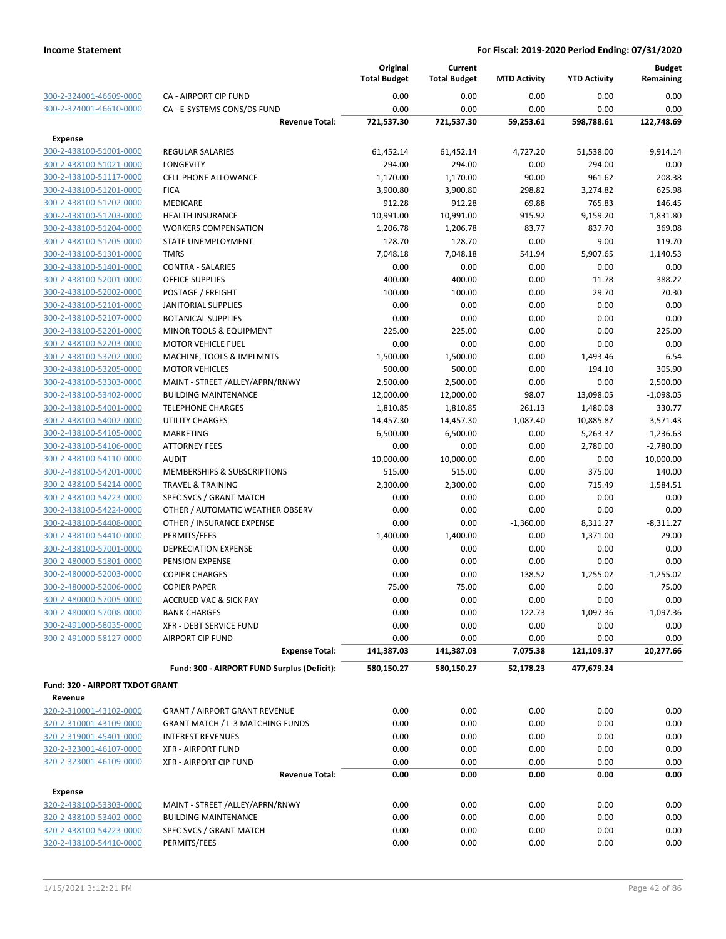|                                 |                                             | Original<br><b>Total Budget</b> | Current<br><b>Total Budget</b> | <b>MTD Activity</b> | <b>YTD Activity</b> | <b>Budget</b><br>Remaining |
|---------------------------------|---------------------------------------------|---------------------------------|--------------------------------|---------------------|---------------------|----------------------------|
| 300-2-324001-46609-0000         | <b>CA - AIRPORT CIP FUND</b>                | 0.00                            | 0.00                           | 0.00                | 0.00                | 0.00                       |
| 300-2-324001-46610-0000         | CA - E-SYSTEMS CONS/DS FUND                 | 0.00                            | 0.00                           | 0.00                | 0.00                | 0.00                       |
|                                 | <b>Revenue Total:</b>                       | 721,537.30                      | 721,537.30                     | 59,253.61           | 598,788.61          | 122,748.69                 |
| <b>Expense</b>                  |                                             |                                 |                                |                     |                     |                            |
| 300-2-438100-51001-0000         | <b>REGULAR SALARIES</b>                     | 61,452.14                       | 61,452.14                      | 4,727.20            | 51,538.00           | 9,914.14                   |
| 300-2-438100-51021-0000         | LONGEVITY                                   | 294.00                          | 294.00                         | 0.00                | 294.00              | 0.00                       |
| 300-2-438100-51117-0000         | <b>CELL PHONE ALLOWANCE</b>                 | 1,170.00                        | 1,170.00                       | 90.00               | 961.62              | 208.38                     |
| 300-2-438100-51201-0000         | <b>FICA</b>                                 | 3,900.80                        | 3,900.80                       | 298.82              | 3,274.82            | 625.98                     |
| 300-2-438100-51202-0000         | <b>MEDICARE</b>                             | 912.28                          | 912.28                         | 69.88               | 765.83              | 146.45                     |
| 300-2-438100-51203-0000         | <b>HEALTH INSURANCE</b>                     | 10,991.00                       | 10,991.00                      | 915.92              | 9,159.20            | 1,831.80                   |
| 300-2-438100-51204-0000         | <b>WORKERS COMPENSATION</b>                 | 1,206.78                        | 1,206.78                       | 83.77               | 837.70              | 369.08                     |
| 300-2-438100-51205-0000         | STATE UNEMPLOYMENT                          | 128.70                          | 128.70                         | 0.00                | 9.00                | 119.70                     |
| 300-2-438100-51301-0000         | <b>TMRS</b>                                 | 7,048.18                        | 7,048.18                       | 541.94              | 5,907.65            | 1,140.53                   |
| 300-2-438100-51401-0000         | <b>CONTRA - SALARIES</b>                    | 0.00                            | 0.00                           | 0.00                | 0.00                | 0.00                       |
| 300-2-438100-52001-0000         | <b>OFFICE SUPPLIES</b>                      | 400.00                          | 400.00                         | 0.00                | 11.78               | 388.22                     |
| 300-2-438100-52002-0000         | POSTAGE / FREIGHT                           | 100.00                          | 100.00                         | 0.00                | 29.70               | 70.30                      |
| 300-2-438100-52101-0000         | <b>JANITORIAL SUPPLIES</b>                  | 0.00                            | 0.00                           | 0.00                | 0.00                | 0.00                       |
| 300-2-438100-52107-0000         | <b>BOTANICAL SUPPLIES</b>                   | 0.00                            | 0.00                           | 0.00                | 0.00                | 0.00                       |
| 300-2-438100-52201-0000         | <b>MINOR TOOLS &amp; EQUIPMENT</b>          | 225.00                          | 225.00                         | 0.00                | 0.00                | 225.00                     |
| 300-2-438100-52203-0000         | <b>MOTOR VEHICLE FUEL</b>                   | 0.00                            | 0.00                           | 0.00                | 0.00                | 0.00                       |
| 300-2-438100-53202-0000         | MACHINE, TOOLS & IMPLMNTS                   | 1,500.00                        | 1,500.00                       | 0.00                | 1,493.46            | 6.54                       |
| 300-2-438100-53205-0000         | <b>MOTOR VEHICLES</b>                       | 500.00                          | 500.00                         | 0.00                | 194.10              | 305.90                     |
| 300-2-438100-53303-0000         | MAINT - STREET /ALLEY/APRN/RNWY             | 2,500.00                        | 2,500.00                       | 0.00                | 0.00                | 2,500.00                   |
| 300-2-438100-53402-0000         | <b>BUILDING MAINTENANCE</b>                 | 12,000.00                       | 12,000.00                      | 98.07               | 13,098.05           | $-1,098.05$                |
| 300-2-438100-54001-0000         | <b>TELEPHONE CHARGES</b>                    | 1,810.85                        | 1,810.85                       | 261.13              | 1,480.08            | 330.77                     |
| 300-2-438100-54002-0000         | <b>UTILITY CHARGES</b>                      | 14,457.30                       | 14,457.30                      | 1,087.40            | 10,885.87           | 3,571.43                   |
| 300-2-438100-54105-0000         | <b>MARKETING</b>                            | 6,500.00                        | 6,500.00                       | 0.00                | 5,263.37            | 1,236.63                   |
| 300-2-438100-54106-0000         | <b>ATTORNEY FEES</b>                        | 0.00                            | 0.00                           | 0.00                | 2,780.00            | $-2,780.00$                |
| 300-2-438100-54110-0000         | <b>AUDIT</b>                                | 10,000.00                       | 10,000.00                      | 0.00                | 0.00                | 10,000.00                  |
| 300-2-438100-54201-0000         | MEMBERSHIPS & SUBSCRIPTIONS                 | 515.00                          | 515.00                         | 0.00                | 375.00              | 140.00                     |
| 300-2-438100-54214-0000         | <b>TRAVEL &amp; TRAINING</b>                | 2,300.00                        | 2,300.00                       | 0.00                | 715.49              | 1,584.51                   |
| 300-2-438100-54223-0000         | SPEC SVCS / GRANT MATCH                     | 0.00                            | 0.00                           | 0.00                | 0.00                | 0.00                       |
| 300-2-438100-54224-0000         | OTHER / AUTOMATIC WEATHER OBSERV            | 0.00                            | 0.00                           | 0.00                | 0.00                | 0.00                       |
| 300-2-438100-54408-0000         | OTHER / INSURANCE EXPENSE                   | 0.00                            | 0.00                           | $-1,360.00$         | 8,311.27            | $-8,311.27$                |
| 300-2-438100-54410-0000         | PERMITS/FEES                                | 1,400.00                        | 1,400.00                       | 0.00                | 1,371.00            | 29.00                      |
| 300-2-438100-57001-0000         | DEPRECIATION EXPENSE                        | 0.00                            | 0.00                           | 0.00                | 0.00                | 0.00                       |
| 300-2-480000-51801-0000         | PENSION EXPENSE                             | 0.00                            | 0.00                           | 0.00                | 0.00                | 0.00                       |
| 300-2-480000-52003-0000         | <b>COPIER CHARGES</b>                       | 0.00                            | 0.00                           | 138.52              | 1,255.02            | $-1,255.02$                |
| 300-2-480000-52006-0000         | <b>COPIER PAPER</b>                         | 75.00                           | 75.00                          | 0.00                | 0.00                | 75.00                      |
| 300-2-480000-57005-0000         | ACCRUED VAC & SICK PAY                      | 0.00                            | 0.00                           | 0.00                | 0.00                | 0.00                       |
| 300-2-480000-57008-0000         | <b>BANK CHARGES</b>                         | 0.00                            | 0.00                           | 122.73              | 1,097.36            | $-1,097.36$                |
| 300-2-491000-58035-0000         | <b>XFR - DEBT SERVICE FUND</b>              | 0.00                            | 0.00                           | 0.00                | 0.00                | 0.00                       |
| 300-2-491000-58127-0000         | <b>AIRPORT CIP FUND</b>                     | 0.00                            | 0.00                           | 0.00                | 0.00                | 0.00                       |
|                                 | <b>Expense Total:</b>                       | 141,387.03                      | 141,387.03                     | 7,075.38            | 121,109.37          | 20,277.66                  |
|                                 | Fund: 300 - AIRPORT FUND Surplus (Deficit): | 580,150.27                      | 580,150.27                     | 52,178.23           | 477,679.24          |                            |
| Fund: 320 - AIRPORT TXDOT GRANT |                                             |                                 |                                |                     |                     |                            |
| Revenue                         |                                             |                                 |                                |                     |                     |                            |
| 320-2-310001-43102-0000         | <b>GRANT / AIRPORT GRANT REVENUE</b>        | 0.00                            | 0.00                           | 0.00                | 0.00                | 0.00                       |
| 320-2-310001-43109-0000         | <b>GRANT MATCH / L-3 MATCHING FUNDS</b>     | 0.00                            | 0.00                           | 0.00                | 0.00                | 0.00                       |
| 320-2-319001-45401-0000         | <b>INTEREST REVENUES</b>                    | 0.00                            | 0.00                           | 0.00                | 0.00                | 0.00                       |
| 320-2-323001-46107-0000         | <b>XFR - AIRPORT FUND</b>                   | 0.00                            | 0.00                           | 0.00                | 0.00                | 0.00                       |
| 320-2-323001-46109-0000         | <b>XFR - AIRPORT CIP FUND</b>               | 0.00                            | 0.00                           | 0.00                | 0.00                | 0.00                       |
|                                 | <b>Revenue Total:</b>                       | 0.00                            | 0.00                           | 0.00                | 0.00                | 0.00                       |
| <b>Expense</b>                  |                                             |                                 |                                |                     |                     |                            |
| 320-2-438100-53303-0000         | MAINT - STREET /ALLEY/APRN/RNWY             | 0.00                            | 0.00                           | 0.00                | 0.00                | 0.00                       |
| 320-2-438100-53402-0000         | <b>BUILDING MAINTENANCE</b>                 | 0.00                            | 0.00                           | 0.00                | 0.00                | 0.00                       |
| 320-2-438100-54223-0000         | SPEC SVCS / GRANT MATCH                     | 0.00                            | 0.00                           | 0.00                | 0.00                | 0.00                       |
| 320-2-438100-54410-0000         | PERMITS/FEES                                | 0.00                            | 0.00                           | 0.00                | 0.00                | 0.00                       |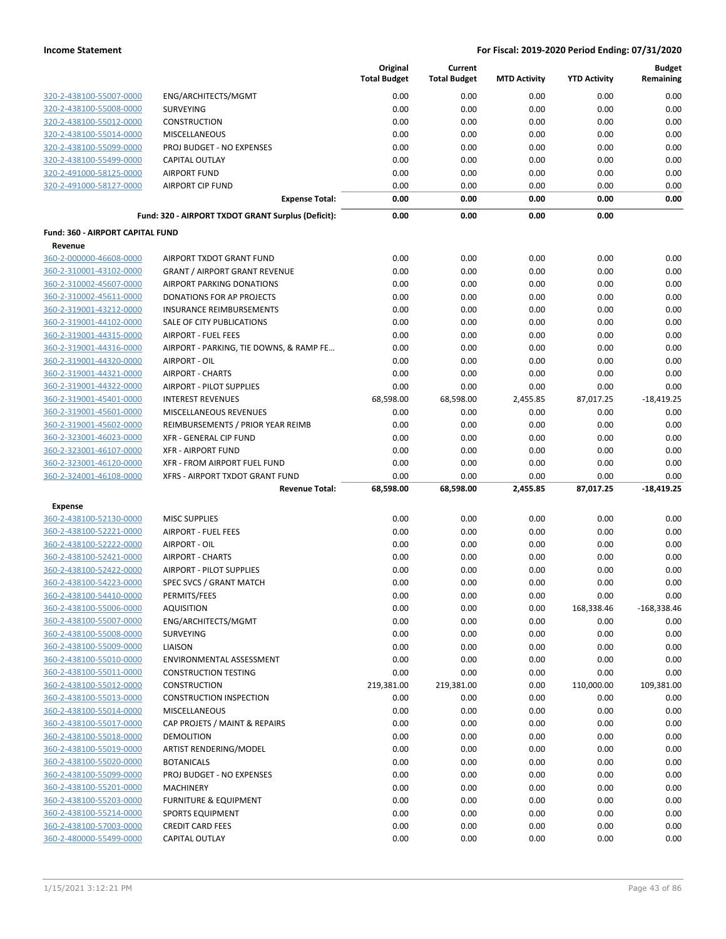|                                           |                                                          | Original<br><b>Total Budget</b> | Current<br><b>Total Budget</b> | <b>MTD Activity</b> | <b>YTD Activity</b> | <b>Budget</b><br>Remaining |
|-------------------------------------------|----------------------------------------------------------|---------------------------------|--------------------------------|---------------------|---------------------|----------------------------|
| 320-2-438100-55007-0000                   | ENG/ARCHITECTS/MGMT                                      | 0.00                            | 0.00                           | 0.00                | 0.00                | 0.00                       |
| 320-2-438100-55008-0000                   | <b>SURVEYING</b>                                         | 0.00                            | 0.00                           | 0.00                | 0.00                | 0.00                       |
| 320-2-438100-55012-0000                   | CONSTRUCTION                                             | 0.00                            | 0.00                           | 0.00                | 0.00                | 0.00                       |
| 320-2-438100-55014-0000                   | <b>MISCELLANEOUS</b>                                     | 0.00                            | 0.00                           | 0.00                | 0.00                | 0.00                       |
| 320-2-438100-55099-0000                   | PROJ BUDGET - NO EXPENSES                                | 0.00                            | 0.00                           | 0.00                | 0.00                | 0.00                       |
| 320-2-438100-55499-0000                   | <b>CAPITAL OUTLAY</b>                                    | 0.00                            | 0.00                           | 0.00                | 0.00                | 0.00                       |
| 320-2-491000-58125-0000                   | <b>AIRPORT FUND</b>                                      | 0.00                            | 0.00                           | 0.00                | 0.00                | 0.00                       |
| 320-2-491000-58127-0000                   | <b>AIRPORT CIP FUND</b>                                  | 0.00                            | 0.00                           | 0.00                | 0.00                | 0.00                       |
|                                           | <b>Expense Total:</b>                                    | 0.00                            | 0.00                           | 0.00                | 0.00                | 0.00                       |
|                                           | Fund: 320 - AIRPORT TXDOT GRANT Surplus (Deficit):       | 0.00                            | 0.00                           | 0.00                | 0.00                |                            |
| Fund: 360 - AIRPORT CAPITAL FUND          |                                                          |                                 |                                |                     |                     |                            |
| Revenue                                   |                                                          |                                 |                                |                     |                     |                            |
| 360-2-000000-46608-0000                   | AIRPORT TXDOT GRANT FUND                                 | 0.00                            | 0.00                           | 0.00                | 0.00                | 0.00                       |
| 360-2-310001-43102-0000                   | <b>GRANT / AIRPORT GRANT REVENUE</b>                     | 0.00                            | 0.00                           | 0.00                | 0.00                | 0.00                       |
| 360-2-310002-45607-0000                   | AIRPORT PARKING DONATIONS                                | 0.00                            | 0.00                           | 0.00                | 0.00                | 0.00                       |
| 360-2-310002-45611-0000                   | DONATIONS FOR AP PROJECTS                                | 0.00                            | 0.00                           | 0.00                | 0.00                | 0.00                       |
| 360-2-319001-43212-0000                   | <b>INSURANCE REIMBURSEMENTS</b>                          | 0.00                            | 0.00                           | 0.00                | 0.00                | 0.00                       |
| 360-2-319001-44102-0000                   | SALE OF CITY PUBLICATIONS                                | 0.00                            | 0.00                           | 0.00                | 0.00                | 0.00                       |
| 360-2-319001-44315-0000                   | AIRPORT - FUEL FEES                                      | 0.00                            | 0.00                           | 0.00                | 0.00                | 0.00                       |
| 360-2-319001-44316-0000                   | AIRPORT - PARKING, TIE DOWNS, & RAMP FE                  | 0.00                            | 0.00                           | 0.00                | 0.00                | 0.00                       |
| 360-2-319001-44320-0000                   | AIRPORT - OIL                                            | 0.00                            | 0.00                           | 0.00                | 0.00                | 0.00                       |
| 360-2-319001-44321-0000                   | <b>AIRPORT - CHARTS</b>                                  | 0.00                            | 0.00                           | 0.00                | 0.00                | 0.00                       |
| 360-2-319001-44322-0000                   | AIRPORT - PILOT SUPPLIES                                 | 0.00                            | 0.00                           | 0.00                | 0.00                | 0.00                       |
| 360-2-319001-45401-0000                   | <b>INTEREST REVENUES</b>                                 | 68,598.00                       | 68,598.00                      | 2,455.85            | 87,017.25           | $-18,419.25$               |
| 360-2-319001-45601-0000                   | MISCELLANEOUS REVENUES                                   | 0.00                            | 0.00                           | 0.00                | 0.00                | 0.00                       |
| 360-2-319001-45602-0000                   | REIMBURSEMENTS / PRIOR YEAR REIMB                        | 0.00                            | 0.00                           | 0.00                | 0.00                | 0.00                       |
| 360-2-323001-46023-0000                   | XFR - GENERAL CIP FUND                                   | 0.00                            | 0.00                           | 0.00                | 0.00                | 0.00                       |
| 360-2-323001-46107-0000                   | <b>XFR - AIRPORT FUND</b>                                | 0.00                            | 0.00                           | 0.00                | 0.00                | 0.00                       |
| 360-2-323001-46120-0000                   | XFR - FROM AIRPORT FUEL FUND                             | 0.00                            | 0.00                           | 0.00                | 0.00                | 0.00                       |
| 360-2-324001-46108-0000                   | XFRS - AIRPORT TXDOT GRANT FUND<br><b>Revenue Total:</b> | 0.00<br>68,598.00               | 0.00<br>68,598.00              | 0.00<br>2,455.85    | 0.00<br>87,017.25   | 0.00<br>$-18,419.25$       |
|                                           |                                                          |                                 |                                |                     |                     |                            |
| <b>Expense</b><br>360-2-438100-52130-0000 | <b>MISC SUPPLIES</b>                                     | 0.00                            | 0.00                           | 0.00                | 0.00                | 0.00                       |
| 360-2-438100-52221-0000                   | <b>AIRPORT - FUEL FEES</b>                               | 0.00                            | 0.00                           | 0.00                | 0.00                | 0.00                       |
| 360-2-438100-52222-0000                   | AIRPORT - OIL                                            | 0.00                            | 0.00                           | 0.00                | 0.00                | 0.00                       |
| 360-2-438100-52421-0000                   | <b>AIRPORT - CHARTS</b>                                  | 0.00                            | 0.00                           | 0.00                | 0.00                | 0.00                       |
| 360-2-438100-52422-0000                   | <b>AIRPORT - PILOT SUPPLIES</b>                          | 0.00                            | 0.00                           | 0.00                | 0.00                | 0.00                       |
| 360-2-438100-54223-0000                   | SPEC SVCS / GRANT MATCH                                  | 0.00                            | 0.00                           | 0.00                | 0.00                | 0.00                       |
| 360-2-438100-54410-0000                   | PERMITS/FEES                                             | 0.00                            | 0.00                           | 0.00                | 0.00                | 0.00                       |
| 360-2-438100-55006-0000                   | <b>AQUISITION</b>                                        | 0.00                            | 0.00                           | 0.00                | 168,338.46          | $-168,338.46$              |
| 360-2-438100-55007-0000                   | ENG/ARCHITECTS/MGMT                                      | 0.00                            | 0.00                           | 0.00                | 0.00                | 0.00                       |
| 360-2-438100-55008-0000                   | <b>SURVEYING</b>                                         | 0.00                            | 0.00                           | 0.00                | 0.00                | 0.00                       |
| 360-2-438100-55009-0000                   | LIAISON                                                  | 0.00                            | 0.00                           | 0.00                | 0.00                | 0.00                       |
| 360-2-438100-55010-0000                   | ENVIRONMENTAL ASSESSMENT                                 | 0.00                            | 0.00                           | 0.00                | 0.00                | 0.00                       |
| 360-2-438100-55011-0000                   | <b>CONSTRUCTION TESTING</b>                              | 0.00                            | 0.00                           | 0.00                | 0.00                | 0.00                       |
| 360-2-438100-55012-0000                   | CONSTRUCTION                                             | 219,381.00                      | 219,381.00                     | 0.00                | 110,000.00          | 109,381.00                 |
| 360-2-438100-55013-0000                   | <b>CONSTRUCTION INSPECTION</b>                           | 0.00                            | 0.00                           | 0.00                | 0.00                | 0.00                       |
| 360-2-438100-55014-0000                   | <b>MISCELLANEOUS</b>                                     | 0.00                            | 0.00                           | 0.00                | 0.00                | 0.00                       |
| 360-2-438100-55017-0000                   | CAP PROJETS / MAINT & REPAIRS                            | 0.00                            | 0.00                           | 0.00                | 0.00                | 0.00                       |
| 360-2-438100-55018-0000                   | DEMOLITION                                               | 0.00                            | 0.00                           | 0.00                | 0.00                | 0.00                       |
| 360-2-438100-55019-0000                   | ARTIST RENDERING/MODEL                                   | 0.00                            | 0.00                           | 0.00                | 0.00                | 0.00                       |
| 360-2-438100-55020-0000                   | <b>BOTANICALS</b>                                        | 0.00                            | 0.00                           | 0.00                | 0.00                | 0.00                       |
| 360-2-438100-55099-0000                   | PROJ BUDGET - NO EXPENSES                                | 0.00                            | 0.00                           | 0.00                | 0.00                | 0.00                       |
| 360-2-438100-55201-0000                   | <b>MACHINERY</b>                                         | 0.00                            | 0.00                           | 0.00                | 0.00                | 0.00                       |
| 360-2-438100-55203-0000                   | <b>FURNITURE &amp; EQUIPMENT</b>                         | 0.00                            | 0.00                           | 0.00                | 0.00                | 0.00                       |
| 360-2-438100-55214-0000                   | <b>SPORTS EQUIPMENT</b>                                  | 0.00                            | 0.00                           | 0.00                | 0.00                | 0.00                       |
| 360-2-438100-57003-0000                   | <b>CREDIT CARD FEES</b>                                  | 0.00                            | 0.00                           | 0.00                | 0.00                | 0.00                       |
| 360-2-480000-55499-0000                   | CAPITAL OUTLAY                                           | 0.00                            | 0.00                           | 0.00                | 0.00                | 0.00                       |
|                                           |                                                          |                                 |                                |                     |                     |                            |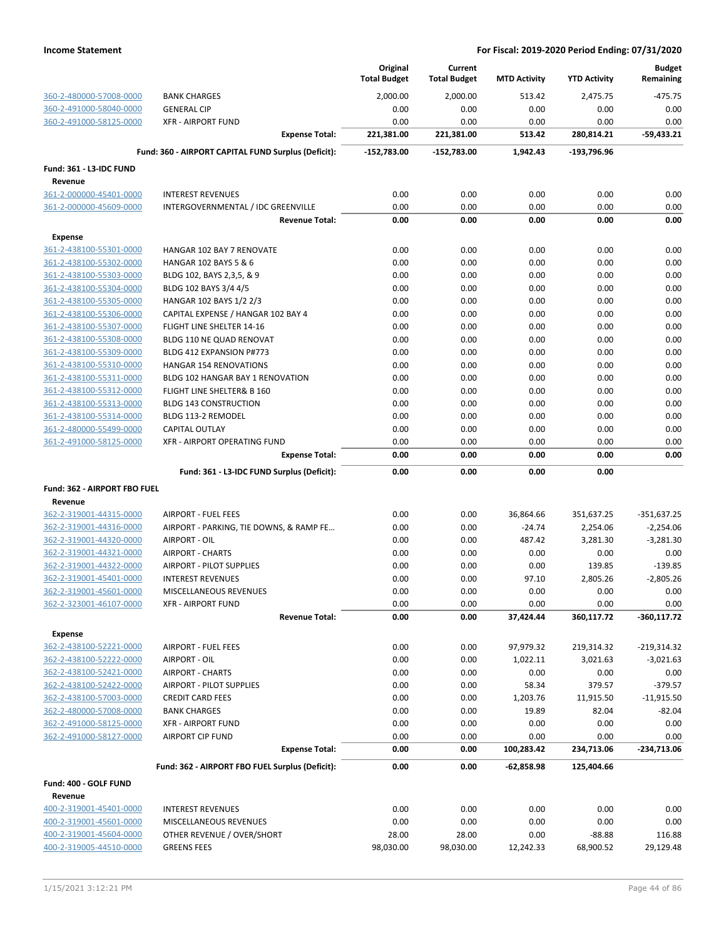|                                |                                                     | Original<br><b>Total Budget</b> | Current<br><b>Total Budget</b> | <b>MTD Activity</b> | <b>YTD Activity</b> | <b>Budget</b><br>Remaining |
|--------------------------------|-----------------------------------------------------|---------------------------------|--------------------------------|---------------------|---------------------|----------------------------|
| 360-2-480000-57008-0000        | <b>BANK CHARGES</b>                                 | 2,000.00                        | 2,000.00                       | 513.42              | 2,475.75            | -475.75                    |
| 360-2-491000-58040-0000        | <b>GENERAL CIP</b>                                  | 0.00                            | 0.00                           | 0.00                | 0.00                | 0.00                       |
| 360-2-491000-58125-0000        | <b>XFR - AIRPORT FUND</b>                           | 0.00                            | 0.00                           | 0.00                | 0.00                | 0.00                       |
|                                | <b>Expense Total:</b>                               | 221,381.00                      | 221,381.00                     | 513.42              | 280,814.21          | $-59,433.21$               |
|                                | Fund: 360 - AIRPORT CAPITAL FUND Surplus (Deficit): | $-152,783.00$                   | -152,783.00                    | 1,942.43            | $-193,796.96$       |                            |
| <b>Fund: 361 - L3-IDC FUND</b> |                                                     |                                 |                                |                     |                     |                            |
| Revenue                        |                                                     |                                 |                                |                     |                     |                            |
| 361-2-000000-45401-0000        | <b>INTEREST REVENUES</b>                            | 0.00                            | 0.00                           | 0.00                | 0.00                | 0.00                       |
| 361-2-000000-45609-0000        | INTERGOVERNMENTAL / IDC GREENVILLE                  | 0.00                            | 0.00                           | 0.00                | 0.00                | 0.00                       |
|                                | <b>Revenue Total:</b>                               | 0.00                            | 0.00                           | 0.00                | 0.00                | 0.00                       |
| <b>Expense</b>                 |                                                     |                                 |                                |                     |                     |                            |
| 361-2-438100-55301-0000        | HANGAR 102 BAY 7 RENOVATE                           | 0.00                            | 0.00                           | 0.00                | 0.00                | 0.00                       |
| 361-2-438100-55302-0000        | HANGAR 102 BAYS 5 & 6                               | 0.00                            | 0.00                           | 0.00                | 0.00                | 0.00                       |
| 361-2-438100-55303-0000        | BLDG 102, BAYS 2,3,5, & 9                           | 0.00                            | 0.00                           | 0.00                | 0.00                | 0.00                       |
| 361-2-438100-55304-0000        | BLDG 102 BAYS 3/4 4/5                               | 0.00                            | 0.00                           | 0.00                | 0.00                | 0.00                       |
| 361-2-438100-55305-0000        | HANGAR 102 BAYS 1/2 2/3                             | 0.00                            | 0.00                           | 0.00                | 0.00                | 0.00                       |
| 361-2-438100-55306-0000        | CAPITAL EXPENSE / HANGAR 102 BAY 4                  | 0.00                            | 0.00                           | 0.00                | 0.00                | 0.00                       |
| 361-2-438100-55307-0000        | FLIGHT LINE SHELTER 14-16                           | 0.00                            | 0.00                           | 0.00                | 0.00                | 0.00                       |
| 361-2-438100-55308-0000        | BLDG 110 NE QUAD RENOVAT                            | 0.00                            | 0.00                           | 0.00                | 0.00                | 0.00                       |
| 361-2-438100-55309-0000        | BLDG 412 EXPANSION P#773                            | 0.00                            | 0.00                           | 0.00                | 0.00                | 0.00                       |
| 361-2-438100-55310-0000        | <b>HANGAR 154 RENOVATIONS</b>                       | 0.00                            | 0.00                           | 0.00                | 0.00                | 0.00                       |
| 361-2-438100-55311-0000        | BLDG 102 HANGAR BAY 1 RENOVATION                    | 0.00                            | 0.00                           | 0.00                | 0.00                | 0.00                       |
| 361-2-438100-55312-0000        | FLIGHT LINE SHELTER& B 160                          | 0.00                            | 0.00                           | 0.00                | 0.00                | 0.00                       |
| 361-2-438100-55313-0000        | <b>BLDG 143 CONSTRUCTION</b>                        | 0.00                            | 0.00                           | 0.00                | 0.00                | 0.00                       |
| 361-2-438100-55314-0000        | BLDG 113-2 REMODEL                                  | 0.00                            | 0.00                           | 0.00                | 0.00                | 0.00                       |
| 361-2-480000-55499-0000        | <b>CAPITAL OUTLAY</b>                               | 0.00                            | 0.00                           | 0.00                | 0.00                | 0.00                       |
| 361-2-491000-58125-0000        | XFR - AIRPORT OPERATING FUND                        | 0.00                            | 0.00                           | 0.00                | 0.00                | 0.00                       |
|                                | <b>Expense Total:</b>                               | 0.00                            | 0.00                           | 0.00                | 0.00                | 0.00                       |
|                                | Fund: 361 - L3-IDC FUND Surplus (Deficit):          | 0.00                            | 0.00                           | 0.00                | 0.00                |                            |
| Fund: 362 - AIRPORT FBO FUEL   |                                                     |                                 |                                |                     |                     |                            |
| Revenue                        |                                                     |                                 |                                |                     |                     |                            |
| 362-2-319001-44315-0000        | <b>AIRPORT - FUEL FEES</b>                          | 0.00                            | 0.00                           | 36,864.66           | 351,637.25          | $-351,637.25$              |
| 362-2-319001-44316-0000        | AIRPORT - PARKING, TIE DOWNS, & RAMP FE             | 0.00                            | 0.00                           | $-24.74$            | 2,254.06            | $-2,254.06$                |
| 362-2-319001-44320-0000        | AIRPORT - OIL                                       | 0.00                            | 0.00                           | 487.42              | 3,281.30            | $-3,281.30$                |
| 362-2-319001-44321-0000        | <b>AIRPORT - CHARTS</b>                             | 0.00                            | 0.00                           | 0.00                | 0.00                | 0.00                       |
| 362-2-319001-44322-0000        | AIRPORT - PILOT SUPPLIES                            | 0.00                            | 0.00                           | 0.00                | 139.85              | $-139.85$                  |
| 362-2-319001-45401-0000        | <b>INTEREST REVENUES</b>                            | 0.00                            | 0.00                           | 97.10               | 2,805.26            | $-2,805.26$                |
| 362-2-319001-45601-0000        | MISCELLANEOUS REVENUES                              | 0.00                            | 0.00                           | 0.00                | 0.00                | 0.00                       |
| 362-2-323001-46107-0000        | <b>XFR - AIRPORT FUND</b>                           | 0.00                            | 0.00                           | 0.00                | 0.00                | 0.00                       |
|                                | <b>Revenue Total:</b>                               | 0.00                            | 0.00                           | 37,424.44           | 360,117.72          | $-360, 117.72$             |
| <b>Expense</b>                 |                                                     |                                 |                                |                     |                     |                            |
| 362-2-438100-52221-0000        | <b>AIRPORT - FUEL FEES</b>                          | 0.00                            | 0.00                           | 97,979.32           | 219,314.32          | $-219,314.32$              |
| 362-2-438100-52222-0000        | AIRPORT - OIL                                       | 0.00                            | 0.00                           | 1,022.11            | 3,021.63            | $-3,021.63$                |
| 362-2-438100-52421-0000        | <b>AIRPORT - CHARTS</b>                             | 0.00                            | 0.00                           | 0.00                | 0.00                | 0.00                       |
| 362-2-438100-52422-0000        | AIRPORT - PILOT SUPPLIES                            | 0.00                            | 0.00                           | 58.34               | 379.57              | $-379.57$                  |
| 362-2-438100-57003-0000        | <b>CREDIT CARD FEES</b>                             | 0.00                            | 0.00                           | 1,203.76            | 11,915.50           | $-11,915.50$               |
| 362-2-480000-57008-0000        | <b>BANK CHARGES</b>                                 | 0.00                            | 0.00                           | 19.89               | 82.04               | $-82.04$                   |
| 362-2-491000-58125-0000        | <b>XFR - AIRPORT FUND</b>                           | 0.00                            | 0.00                           | 0.00                | 0.00                | 0.00                       |
| 362-2-491000-58127-0000        | <b>AIRPORT CIP FUND</b>                             | 0.00                            | 0.00                           | 0.00                | 0.00                | 0.00                       |
|                                | <b>Expense Total:</b>                               | 0.00                            | 0.00                           | 100,283.42          | 234,713.06          | -234,713.06                |
|                                | Fund: 362 - AIRPORT FBO FUEL Surplus (Deficit):     | 0.00                            | 0.00                           | -62,858.98          | 125,404.66          |                            |
| Fund: 400 - GOLF FUND          |                                                     |                                 |                                |                     |                     |                            |
| Revenue                        |                                                     |                                 |                                |                     |                     |                            |
| 400-2-319001-45401-0000        | <b>INTEREST REVENUES</b>                            | 0.00                            | 0.00                           | 0.00                | 0.00                | 0.00                       |
| 400-2-319001-45601-0000        | MISCELLANEOUS REVENUES                              | 0.00                            | 0.00                           | 0.00                | 0.00                | 0.00                       |
| 400-2-319001-45604-0000        | OTHER REVENUE / OVER/SHORT                          | 28.00                           | 28.00                          | 0.00                | $-88.88$            | 116.88                     |
| 400-2-319005-44510-0000        | <b>GREENS FEES</b>                                  | 98,030.00                       | 98,030.00                      | 12,242.33           | 68,900.52           | 29,129.48                  |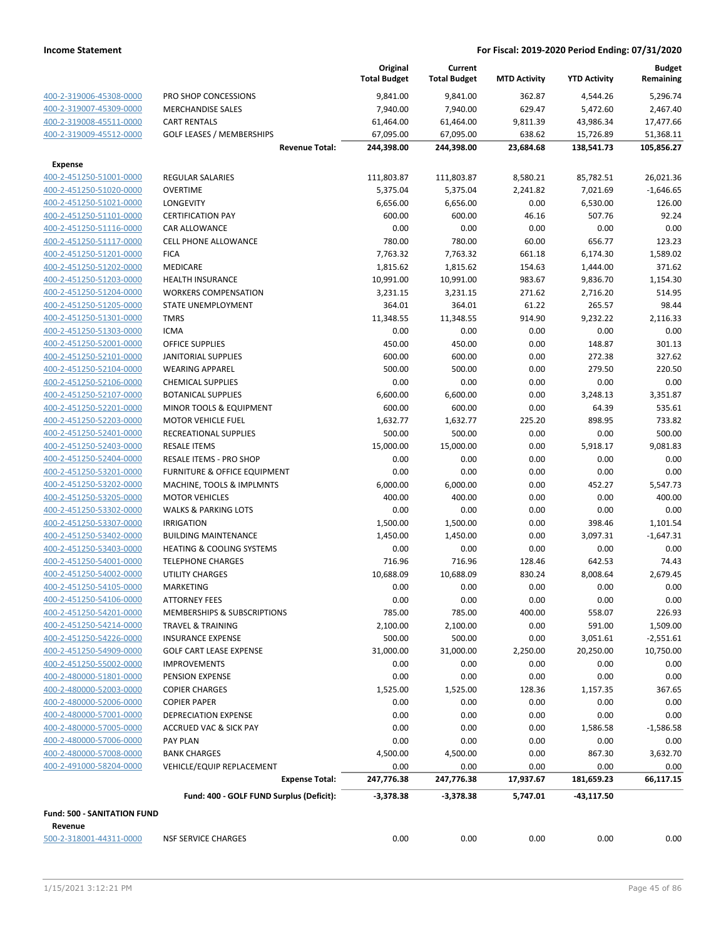|                                    |                                          | Original            | Current             |                     |                     | <b>Budget</b> |
|------------------------------------|------------------------------------------|---------------------|---------------------|---------------------|---------------------|---------------|
|                                    |                                          | <b>Total Budget</b> | <b>Total Budget</b> | <b>MTD Activity</b> | <b>YTD Activity</b> | Remaining     |
| 400-2-319006-45308-0000            | PRO SHOP CONCESSIONS                     | 9,841.00            | 9,841.00            | 362.87              | 4,544.26            | 5,296.74      |
| 400-2-319007-45309-0000            | <b>MERCHANDISE SALES</b>                 | 7,940.00            | 7,940.00            | 629.47              | 5,472.60            | 2,467.40      |
| 400-2-319008-45511-0000            | <b>CART RENTALS</b>                      | 61,464.00           | 61,464.00           | 9,811.39            | 43,986.34           | 17,477.66     |
| 400-2-319009-45512-0000            | <b>GOLF LEASES / MEMBERSHIPS</b>         | 67,095.00           | 67,095.00           | 638.62              | 15,726.89           | 51,368.11     |
|                                    | <b>Revenue Total:</b>                    | 244,398.00          | 244,398.00          | 23,684.68           | 138,541.73          | 105,856.27    |
| <b>Expense</b>                     |                                          |                     |                     |                     |                     |               |
| 400-2-451250-51001-0000            | <b>REGULAR SALARIES</b>                  | 111,803.87          | 111,803.87          | 8,580.21            | 85,782.51           | 26,021.36     |
| 400-2-451250-51020-0000            | <b>OVERTIME</b>                          | 5,375.04            | 5,375.04            | 2,241.82            | 7,021.69            | $-1,646.65$   |
| 400-2-451250-51021-0000            | LONGEVITY                                | 6,656.00            | 6,656.00            | 0.00                | 6,530.00            | 126.00        |
| 400-2-451250-51101-0000            | <b>CERTIFICATION PAY</b>                 | 600.00              | 600.00              | 46.16               | 507.76              | 92.24         |
| 400-2-451250-51116-0000            | <b>CAR ALLOWANCE</b>                     | 0.00                | 0.00                | 0.00                | 0.00                | 0.00          |
| 400-2-451250-51117-0000            | CELL PHONE ALLOWANCE                     | 780.00              | 780.00              | 60.00               | 656.77              | 123.23        |
| 400-2-451250-51201-0000            | <b>FICA</b>                              | 7,763.32            | 7,763.32            | 661.18              | 6,174.30            | 1,589.02      |
| 400-2-451250-51202-0000            | MEDICARE                                 | 1,815.62            | 1,815.62            | 154.63              | 1,444.00            | 371.62        |
| 400-2-451250-51203-0000            | <b>HEALTH INSURANCE</b>                  | 10,991.00           | 10,991.00           | 983.67              | 9,836.70            | 1,154.30      |
| 400-2-451250-51204-0000            | <b>WORKERS COMPENSATION</b>              | 3,231.15            | 3,231.15            | 271.62              | 2,716.20            | 514.95        |
| 400-2-451250-51205-0000            | <b>STATE UNEMPLOYMENT</b>                | 364.01              | 364.01              | 61.22               | 265.57              | 98.44         |
| 400-2-451250-51301-0000            | <b>TMRS</b>                              | 11,348.55           | 11,348.55           | 914.90              | 9,232.22            | 2,116.33      |
| 400-2-451250-51303-0000            | <b>ICMA</b>                              | 0.00                | 0.00                | 0.00                | 0.00                | 0.00          |
| 400-2-451250-52001-0000            | <b>OFFICE SUPPLIES</b>                   | 450.00              | 450.00              | 0.00                | 148.87              | 301.13        |
| 400-2-451250-52101-0000            | <b>JANITORIAL SUPPLIES</b>               | 600.00              | 600.00              | 0.00                | 272.38              | 327.62        |
| 400-2-451250-52104-0000            | <b>WEARING APPAREL</b>                   | 500.00              | 500.00              | 0.00                | 279.50              | 220.50        |
| 400-2-451250-52106-0000            | <b>CHEMICAL SUPPLIES</b>                 | 0.00                | 0.00                | 0.00                | 0.00                | 0.00          |
| 400-2-451250-52107-0000            | <b>BOTANICAL SUPPLIES</b>                | 6,600.00            | 6,600.00            | 0.00                | 3,248.13            | 3,351.87      |
| 400-2-451250-52201-0000            | MINOR TOOLS & EQUIPMENT                  | 600.00              | 600.00              | 0.00                | 64.39               | 535.61        |
| 400-2-451250-52203-0000            | <b>MOTOR VEHICLE FUEL</b>                | 1,632.77            | 1,632.77            | 225.20              | 898.95              | 733.82        |
| 400-2-451250-52401-0000            | RECREATIONAL SUPPLIES                    | 500.00              | 500.00              | 0.00                | 0.00                | 500.00        |
| 400-2-451250-52403-0000            | <b>RESALE ITEMS</b>                      | 15,000.00           | 15,000.00           | 0.00                | 5,918.17            | 9,081.83      |
| 400-2-451250-52404-0000            | RESALE ITEMS - PRO SHOP                  | 0.00                | 0.00                | 0.00                | 0.00                | 0.00          |
| 400-2-451250-53201-0000            | FURNITURE & OFFICE EQUIPMENT             | 0.00                | 0.00                | 0.00                | 0.00                | 0.00          |
| 400-2-451250-53202-0000            | MACHINE, TOOLS & IMPLMNTS                | 6,000.00            | 6,000.00            | 0.00                | 452.27              | 5,547.73      |
| 400-2-451250-53205-0000            | <b>MOTOR VEHICLES</b>                    | 400.00              | 400.00              | 0.00                | 0.00                | 400.00        |
| 400-2-451250-53302-0000            | <b>WALKS &amp; PARKING LOTS</b>          | 0.00                | 0.00                | 0.00                | 0.00                | 0.00          |
| 400-2-451250-53307-0000            | <b>IRRIGATION</b>                        | 1,500.00            | 1,500.00            | 0.00                | 398.46              | 1,101.54      |
| 400-2-451250-53402-0000            | <b>BUILDING MAINTENANCE</b>              | 1,450.00            | 1,450.00            | 0.00                | 3,097.31            | $-1,647.31$   |
| 400-2-451250-53403-0000            | <b>HEATING &amp; COOLING SYSTEMS</b>     | 0.00                | 0.00                | 0.00                | 0.00                | 0.00          |
| 400-2-451250-54001-0000            | <b>TELEPHONE CHARGES</b>                 | 716.96              | 716.96              | 128.46              | 642.53              | 74.43         |
| 400-2-451250-54002-0000            | <b>UTILITY CHARGES</b>                   | 10,688.09           | 10,688.09           | 830.24              | 8,008.64            | 2,679.45      |
| 400-2-451250-54105-0000            | MARKETING                                | 0.00                | 0.00                | 0.00                | 0.00                | 0.00          |
| 400-2-451250-54106-0000            | <b>ATTORNEY FEES</b>                     | 0.00                | 0.00                | 0.00                | 0.00                | 0.00          |
| 400-2-451250-54201-0000            | MEMBERSHIPS & SUBSCRIPTIONS              | 785.00              | 785.00              | 400.00              | 558.07              | 226.93        |
| 400-2-451250-54214-0000            | <b>TRAVEL &amp; TRAINING</b>             | 2,100.00            | 2,100.00            | 0.00                | 591.00              | 1,509.00      |
| 400-2-451250-54226-0000            | <b>INSURANCE EXPENSE</b>                 | 500.00              | 500.00              | 0.00                | 3,051.61            | $-2,551.61$   |
| 400-2-451250-54909-0000            | <b>GOLF CART LEASE EXPENSE</b>           | 31,000.00           | 31,000.00           | 2,250.00            | 20,250.00           | 10,750.00     |
| 400-2-451250-55002-0000            | <b>IMPROVEMENTS</b>                      | 0.00                | 0.00                | 0.00                | 0.00                | 0.00          |
| 400-2-480000-51801-0000            | PENSION EXPENSE                          | 0.00                | 0.00                | 0.00                | 0.00                | 0.00          |
| 400-2-480000-52003-0000            | <b>COPIER CHARGES</b>                    | 1,525.00            | 1,525.00            | 128.36              | 1,157.35            | 367.65        |
| 400-2-480000-52006-0000            | <b>COPIER PAPER</b>                      | 0.00                | 0.00                | 0.00                | 0.00                | 0.00          |
| 400-2-480000-57001-0000            | <b>DEPRECIATION EXPENSE</b>              | 0.00                | 0.00                | 0.00                | 0.00                | 0.00          |
| 400-2-480000-57005-0000            | ACCRUED VAC & SICK PAY                   | 0.00                | 0.00                | 0.00                | 1,586.58            | $-1,586.58$   |
| 400-2-480000-57006-0000            | <b>PAY PLAN</b>                          | 0.00                | 0.00                | 0.00                | 0.00                | 0.00          |
| 400-2-480000-57008-0000            | <b>BANK CHARGES</b>                      | 4,500.00            | 4,500.00            | 0.00                | 867.30              | 3,632.70      |
| 400-2-491000-58204-0000            | VEHICLE/EQUIP REPLACEMENT                | 0.00                | 0.00                | 0.00                | 0.00                | 0.00          |
|                                    | <b>Expense Total:</b>                    | 247,776.38          | 247,776.38          | 17,937.67           | 181,659.23          | 66,117.15     |
|                                    | Fund: 400 - GOLF FUND Surplus (Deficit): | $-3,378.38$         | $-3,378.38$         | 5,747.01            | $-43,117.50$        |               |
|                                    |                                          |                     |                     |                     |                     |               |
| <b>Fund: 500 - SANITATION FUND</b> |                                          |                     |                     |                     |                     |               |
| Revenue                            |                                          |                     |                     |                     |                     |               |
| 500-2-318001-44311-0000            | <b>NSF SERVICE CHARGES</b>               | 0.00                | 0.00                | 0.00                | 0.00                | 0.00          |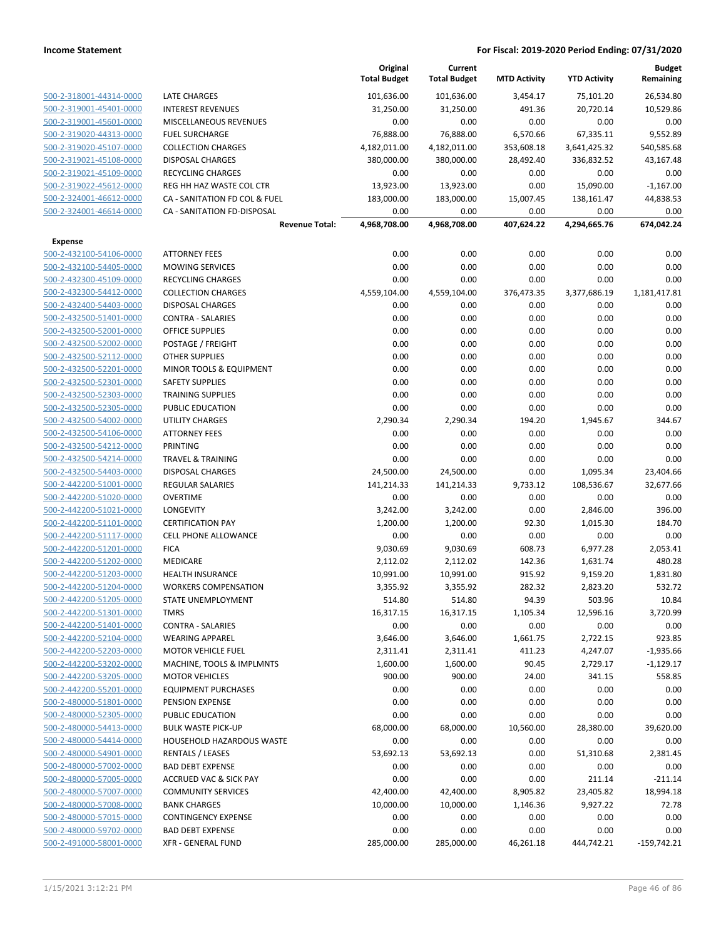|                         |                                                      | Original<br><b>Total Budget</b> | Current<br><b>Total Budget</b> | <b>MTD Activity</b> | <b>YTD Activity</b>  | <b>Budget</b><br>Remaining |
|-------------------------|------------------------------------------------------|---------------------------------|--------------------------------|---------------------|----------------------|----------------------------|
| 500-2-318001-44314-0000 | LATE CHARGES                                         | 101,636.00                      | 101,636.00                     | 3,454.17            | 75,101.20            | 26,534.80                  |
| 500-2-319001-45401-0000 | <b>INTEREST REVENUES</b>                             | 31,250.00                       | 31,250.00                      | 491.36              | 20,720.14            | 10,529.86                  |
| 500-2-319001-45601-0000 | MISCELLANEOUS REVENUES                               | 0.00                            | 0.00                           | 0.00                | 0.00                 | 0.00                       |
| 500-2-319020-44313-0000 | <b>FUEL SURCHARGE</b>                                | 76,888.00                       | 76,888.00                      | 6,570.66            | 67,335.11            | 9,552.89                   |
| 500-2-319020-45107-0000 | <b>COLLECTION CHARGES</b>                            | 4,182,011.00                    | 4,182,011.00                   | 353,608.18          | 3,641,425.32         | 540,585.68                 |
| 500-2-319021-45108-0000 | <b>DISPOSAL CHARGES</b>                              | 380,000.00                      | 380,000.00                     | 28,492.40           | 336,832.52           | 43,167.48                  |
| 500-2-319021-45109-0000 | <b>RECYCLING CHARGES</b>                             | 0.00                            | 0.00                           | 0.00                | 0.00                 | 0.00                       |
| 500-2-319022-45612-0000 | REG HH HAZ WASTE COL CTR                             | 13,923.00                       | 13,923.00                      | 0.00                | 15,090.00            | $-1,167.00$                |
| 500-2-324001-46612-0000 | CA - SANITATION FD COL & FUEL                        | 183,000.00                      | 183,000.00                     | 15,007.45           | 138,161.47           | 44,838.53                  |
| 500-2-324001-46614-0000 | CA - SANITATION FD-DISPOSAL<br><b>Revenue Total:</b> | 0.00<br>4,968,708.00            | 0.00<br>4,968,708.00           | 0.00<br>407,624.22  | 0.00<br>4,294,665.76 | 0.00<br>674,042.24         |
| Expense                 |                                                      |                                 |                                |                     |                      |                            |
| 500-2-432100-54106-0000 | <b>ATTORNEY FEES</b>                                 | 0.00                            | 0.00                           | 0.00                | 0.00                 | 0.00                       |
| 500-2-432100-54405-0000 | <b>MOWING SERVICES</b>                               | 0.00                            | 0.00                           | 0.00                | 0.00                 | 0.00                       |
| 500-2-432300-45109-0000 | <b>RECYCLING CHARGES</b>                             | 0.00                            | 0.00                           | 0.00                | 0.00                 | 0.00                       |
| 500-2-432300-54412-0000 | <b>COLLECTION CHARGES</b>                            | 4,559,104.00                    | 4,559,104.00                   | 376,473.35          | 3,377,686.19         | 1,181,417.81               |
| 500-2-432400-54403-0000 | <b>DISPOSAL CHARGES</b>                              | 0.00                            | 0.00                           | 0.00                | 0.00                 | 0.00                       |
| 500-2-432500-51401-0000 | <b>CONTRA - SALARIES</b>                             | 0.00                            | 0.00                           | 0.00                | 0.00                 | 0.00                       |
| 500-2-432500-52001-0000 | <b>OFFICE SUPPLIES</b>                               | 0.00                            | 0.00                           | 0.00                | 0.00                 | 0.00                       |
| 500-2-432500-52002-0000 | POSTAGE / FREIGHT                                    | 0.00                            | 0.00                           | 0.00                | 0.00                 | 0.00                       |
| 500-2-432500-52112-0000 | <b>OTHER SUPPLIES</b>                                | 0.00                            | 0.00                           | 0.00                | 0.00                 | 0.00                       |
| 500-2-432500-52201-0000 | <b>MINOR TOOLS &amp; EQUIPMENT</b>                   | 0.00                            | 0.00                           | 0.00                | 0.00                 | 0.00                       |
| 500-2-432500-52301-0000 | <b>SAFETY SUPPLIES</b>                               | 0.00                            | 0.00                           | 0.00                | 0.00                 | 0.00                       |
| 500-2-432500-52303-0000 | <b>TRAINING SUPPLIES</b>                             | 0.00                            | 0.00                           | 0.00                | 0.00                 | 0.00                       |
| 500-2-432500-52305-0000 | PUBLIC EDUCATION                                     | 0.00                            | 0.00                           | 0.00                | 0.00                 | 0.00                       |
| 500-2-432500-54002-0000 | <b>UTILITY CHARGES</b>                               | 2,290.34                        | 2,290.34                       | 194.20              | 1,945.67             | 344.67                     |
| 500-2-432500-54106-0000 | <b>ATTORNEY FEES</b>                                 | 0.00                            | 0.00                           | 0.00                | 0.00                 | 0.00                       |
| 500-2-432500-54212-0000 | PRINTING                                             | 0.00                            | 0.00                           | 0.00                | 0.00                 | 0.00                       |
| 500-2-432500-54214-0000 | <b>TRAVEL &amp; TRAINING</b>                         | 0.00                            | 0.00                           | 0.00                | 0.00                 | 0.00                       |
| 500-2-432500-54403-0000 | <b>DISPOSAL CHARGES</b>                              | 24,500.00                       | 24,500.00                      | 0.00                | 1,095.34             | 23,404.66                  |
| 500-2-442200-51001-0000 | <b>REGULAR SALARIES</b>                              | 141,214.33                      | 141,214.33                     | 9,733.12            | 108,536.67           | 32,677.66                  |
| 500-2-442200-51020-0000 | <b>OVERTIME</b>                                      | 0.00                            | 0.00                           | 0.00                | 0.00                 | 0.00                       |
| 500-2-442200-51021-0000 | <b>LONGEVITY</b>                                     | 3,242.00                        | 3,242.00                       | 0.00                | 2,846.00             | 396.00                     |
| 500-2-442200-51101-0000 | <b>CERTIFICATION PAY</b>                             | 1,200.00                        | 1,200.00                       | 92.30               | 1,015.30             | 184.70                     |
| 500-2-442200-51117-0000 | <b>CELL PHONE ALLOWANCE</b>                          | 0.00                            | 0.00                           | 0.00                | 0.00                 | 0.00                       |
| 500-2-442200-51201-0000 | <b>FICA</b>                                          | 9,030.69                        | 9,030.69                       | 608.73              | 6,977.28             | 2,053.41                   |
| 500-2-442200-51202-0000 | <b>MEDICARE</b>                                      | 2,112.02                        | 2,112.02                       | 142.36              | 1,631.74             | 480.28                     |
| 500-2-442200-51203-0000 | <b>HEALTH INSURANCE</b>                              | 10,991.00                       | 10,991.00                      | 915.92              | 9,159.20             | 1,831.80                   |
| 500-2-442200-51204-0000 | <b>WORKERS COMPENSATION</b>                          | 3,355.92                        | 3,355.92                       | 282.32              | 2,823.20             | 532.72                     |
| 500-2-442200-51205-0000 | STATE UNEMPLOYMENT                                   | 514.80                          | 514.80                         | 94.39               | 503.96               | 10.84                      |
| 500-2-442200-51301-0000 | <b>TMRS</b>                                          | 16,317.15                       | 16,317.15                      | 1,105.34            | 12,596.16            | 3,720.99                   |
| 500-2-442200-51401-0000 | <b>CONTRA - SALARIES</b>                             | 0.00                            | 0.00                           | 0.00                | 0.00                 | 0.00                       |
| 500-2-442200-52104-0000 | <b>WEARING APPAREL</b>                               | 3,646.00                        | 3,646.00                       | 1,661.75            | 2,722.15             | 923.85                     |
| 500-2-442200-52203-0000 | <b>MOTOR VEHICLE FUEL</b>                            | 2,311.41                        | 2,311.41                       | 411.23              | 4,247.07             | $-1,935.66$                |
| 500-2-442200-53202-0000 | MACHINE, TOOLS & IMPLMNTS                            | 1,600.00                        | 1,600.00                       | 90.45               | 2,729.17             | $-1,129.17$                |
| 500-2-442200-53205-0000 | <b>MOTOR VEHICLES</b>                                | 900.00                          | 900.00                         | 24.00               | 341.15               | 558.85                     |
| 500-2-442200-55201-0000 | <b>EQUIPMENT PURCHASES</b>                           | 0.00                            | 0.00                           | 0.00                | 0.00                 | 0.00                       |
| 500-2-480000-51801-0000 | PENSION EXPENSE                                      | 0.00                            | 0.00                           | 0.00                | 0.00                 | 0.00                       |
| 500-2-480000-52305-0000 | PUBLIC EDUCATION                                     | 0.00                            | 0.00                           | 0.00                | 0.00                 | 0.00                       |
| 500-2-480000-54413-0000 | <b>BULK WASTE PICK-UP</b>                            | 68,000.00                       | 68,000.00                      | 10,560.00           | 28,380.00            | 39,620.00                  |
| 500-2-480000-54414-0000 | <b>HOUSEHOLD HAZARDOUS WASTE</b>                     | 0.00                            | 0.00                           | 0.00                | 0.00                 | 0.00                       |
| 500-2-480000-54901-0000 | <b>RENTALS / LEASES</b>                              | 53,692.13                       | 53,692.13                      | 0.00                | 51,310.68            | 2,381.45                   |
| 500-2-480000-57002-0000 | <b>BAD DEBT EXPENSE</b>                              | 0.00                            | 0.00                           | 0.00                | 0.00                 | 0.00                       |
| 500-2-480000-57005-0000 | <b>ACCRUED VAC &amp; SICK PAY</b>                    | 0.00                            | 0.00                           | 0.00                | 211.14               | $-211.14$                  |
| 500-2-480000-57007-0000 | <b>COMMUNITY SERVICES</b>                            | 42,400.00                       | 42,400.00                      | 8,905.82            | 23,405.82            | 18,994.18                  |
| 500-2-480000-57008-0000 | <b>BANK CHARGES</b>                                  | 10,000.00                       | 10,000.00                      | 1,146.36            | 9,927.22             | 72.78                      |
| 500-2-480000-57015-0000 | <b>CONTINGENCY EXPENSE</b>                           | 0.00                            | 0.00                           | 0.00                | 0.00                 | 0.00                       |
| 500-2-480000-59702-0000 | <b>BAD DEBT EXPENSE</b>                              | 0.00                            | 0.00                           | 0.00                | 0.00                 | 0.00                       |
| 500-2-491000-58001-0000 | XFR - GENERAL FUND                                   | 285,000.00                      | 285,000.00                     | 46,261.18           | 444,742.21           | $-159,742.21$              |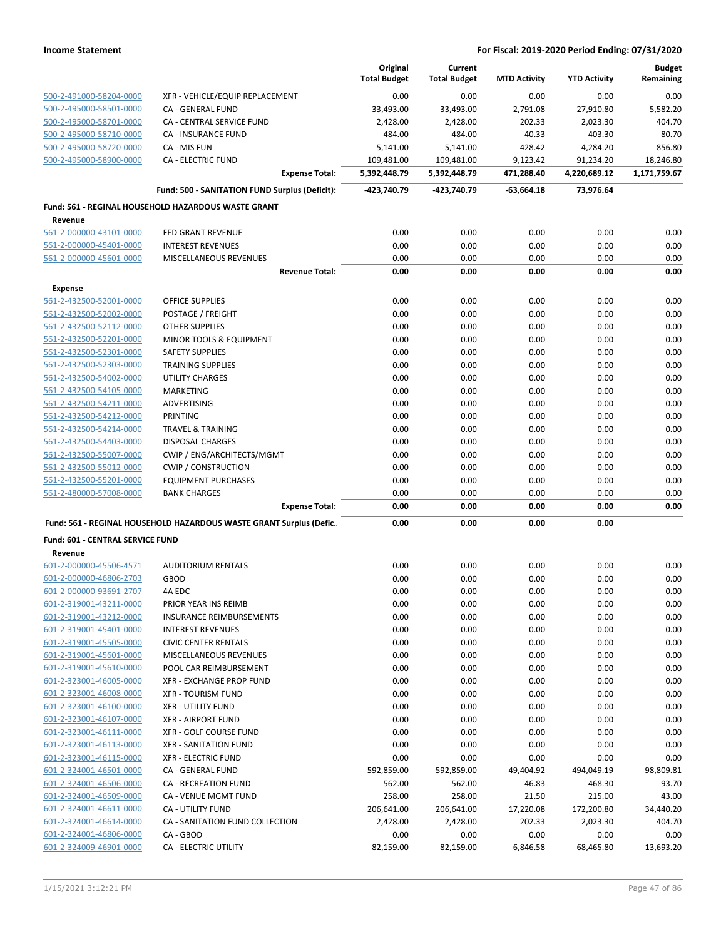|                                         |                                                                    | Original<br><b>Total Budget</b> | Current<br><b>Total Budget</b> | <b>MTD Activity</b> | <b>YTD Activity</b> | <b>Budget</b><br>Remaining |
|-----------------------------------------|--------------------------------------------------------------------|---------------------------------|--------------------------------|---------------------|---------------------|----------------------------|
| 500-2-491000-58204-0000                 | XFR - VEHICLE/EQUIP REPLACEMENT                                    | 0.00                            | 0.00                           | 0.00                | 0.00                | 0.00                       |
| 500-2-495000-58501-0000                 | CA - GENERAL FUND                                                  | 33,493.00                       | 33,493.00                      | 2,791.08            | 27,910.80           | 5,582.20                   |
| 500-2-495000-58701-0000                 | <b>CA - CENTRAL SERVICE FUND</b>                                   | 2,428.00                        | 2,428.00                       | 202.33              | 2,023.30            | 404.70                     |
| 500-2-495000-58710-0000                 | CA - INSURANCE FUND                                                | 484.00                          | 484.00                         | 40.33               | 403.30              | 80.70                      |
| 500-2-495000-58720-0000                 | CA - MIS FUN                                                       | 5,141.00                        | 5,141.00                       | 428.42              | 4,284.20            | 856.80                     |
| 500-2-495000-58900-0000                 | <b>CA - ELECTRIC FUND</b>                                          | 109,481.00                      | 109,481.00                     | 9,123.42            | 91,234.20           | 18,246.80                  |
|                                         | <b>Expense Total:</b>                                              | 5,392,448.79                    | 5,392,448.79                   | 471,288.40          | 4,220,689.12        | 1,171,759.67               |
|                                         | Fund: 500 - SANITATION FUND Surplus (Deficit):                     | -423,740.79                     | -423,740.79                    | $-63,664.18$        | 73,976.64           |                            |
|                                         | Fund: 561 - REGINAL HOUSEHOLD HAZARDOUS WASTE GRANT                |                                 |                                |                     |                     |                            |
| Revenue<br>561-2-000000-43101-0000      | <b>FED GRANT REVENUE</b>                                           | 0.00                            | 0.00                           | 0.00                | 0.00                | 0.00                       |
| 561-2-000000-45401-0000                 | <b>INTEREST REVENUES</b>                                           | 0.00                            | 0.00                           | 0.00                | 0.00                | 0.00                       |
| 561-2-000000-45601-0000                 | MISCELLANEOUS REVENUES                                             | 0.00                            | 0.00                           | 0.00                | 0.00                | 0.00                       |
|                                         | <b>Revenue Total:</b>                                              | 0.00                            | 0.00                           | 0.00                | 0.00                | 0.00                       |
| Expense                                 |                                                                    |                                 |                                |                     |                     |                            |
| 561-2-432500-52001-0000                 | <b>OFFICE SUPPLIES</b>                                             | 0.00                            | 0.00                           | 0.00                | 0.00                | 0.00                       |
| 561-2-432500-52002-0000                 | POSTAGE / FREIGHT                                                  | 0.00                            | 0.00                           | 0.00                | 0.00                | 0.00                       |
| 561-2-432500-52112-0000                 | <b>OTHER SUPPLIES</b>                                              | 0.00                            | 0.00                           | 0.00                | 0.00                | 0.00                       |
| 561-2-432500-52201-0000                 | MINOR TOOLS & EQUIPMENT                                            | 0.00                            | 0.00                           | 0.00                | 0.00                | 0.00                       |
| 561-2-432500-52301-0000                 | <b>SAFETY SUPPLIES</b>                                             | 0.00                            | 0.00                           | 0.00                | 0.00                | 0.00                       |
| 561-2-432500-52303-0000                 | <b>TRAINING SUPPLIES</b>                                           | 0.00                            | 0.00                           | 0.00                | 0.00                | 0.00                       |
| 561-2-432500-54002-0000                 | <b>UTILITY CHARGES</b>                                             | 0.00                            | 0.00                           | 0.00                | 0.00                | 0.00                       |
| 561-2-432500-54105-0000                 | <b>MARKETING</b>                                                   | 0.00                            | 0.00                           | 0.00                | 0.00                | 0.00                       |
| 561-2-432500-54211-0000                 | ADVERTISING                                                        | 0.00                            | 0.00                           | 0.00                | 0.00                | 0.00                       |
| 561-2-432500-54212-0000                 | <b>PRINTING</b>                                                    | 0.00                            | 0.00                           | 0.00                | 0.00                | 0.00                       |
| 561-2-432500-54214-0000                 | <b>TRAVEL &amp; TRAINING</b>                                       | 0.00                            | 0.00                           | 0.00                | 0.00                | 0.00                       |
| 561-2-432500-54403-0000                 | <b>DISPOSAL CHARGES</b>                                            | 0.00                            | 0.00                           | 0.00                | 0.00                | 0.00                       |
| 561-2-432500-55007-0000                 | CWIP / ENG/ARCHITECTS/MGMT                                         | 0.00                            | 0.00                           | 0.00                | 0.00                | 0.00                       |
| 561-2-432500-55012-0000                 | <b>CWIP / CONSTRUCTION</b>                                         | 0.00                            | 0.00                           | 0.00                | 0.00                | 0.00                       |
| 561-2-432500-55201-0000                 | <b>EQUIPMENT PURCHASES</b>                                         | 0.00                            | 0.00                           | 0.00                | 0.00                | 0.00                       |
| 561-2-480000-57008-0000                 | <b>BANK CHARGES</b>                                                | 0.00                            | 0.00                           | 0.00                | 0.00                | 0.00                       |
|                                         | <b>Expense Total:</b>                                              | 0.00                            | 0.00                           | 0.00                | 0.00                | 0.00                       |
|                                         | Fund: 561 - REGINAL HOUSEHOLD HAZARDOUS WASTE GRANT Surplus (Defic | 0.00                            | 0.00                           | 0.00                | 0.00                |                            |
| <b>Fund: 601 - CENTRAL SERVICE FUND</b> |                                                                    |                                 |                                |                     |                     |                            |
| Revenue<br>601-2-000000-45506-4571      | <b>AUDITORIUM RENTALS</b>                                          | 0.00                            | 0.00                           | 0.00                | 0.00                | 0.00                       |
| 601-2-000000-46806-2703                 | <b>GBOD</b>                                                        | 0.00                            | 0.00                           | 0.00                | 0.00                | 0.00                       |
| 601-2-000000-93691-2707                 | 4A EDC                                                             | 0.00                            | 0.00                           | 0.00                | 0.00                | 0.00                       |
| 601-2-319001-43211-0000                 | PRIOR YEAR INS REIMB                                               | 0.00                            | 0.00                           | 0.00                | 0.00                | 0.00                       |
| 601-2-319001-43212-0000                 | <b>INSURANCE REIMBURSEMENTS</b>                                    | 0.00                            | 0.00                           | 0.00                | 0.00                | 0.00                       |
| 601-2-319001-45401-0000                 | <b>INTEREST REVENUES</b>                                           | 0.00                            | 0.00                           | 0.00                | 0.00                | 0.00                       |
| 601-2-319001-45505-0000                 | <b>CIVIC CENTER RENTALS</b>                                        | 0.00                            | 0.00                           | 0.00                | 0.00                | 0.00                       |
| 601-2-319001-45601-0000                 | MISCELLANEOUS REVENUES                                             | 0.00                            | 0.00                           | 0.00                | 0.00                | 0.00                       |
| 601-2-319001-45610-0000                 | POOL CAR REIMBURSEMENT                                             | 0.00                            | 0.00                           | 0.00                | 0.00                | 0.00                       |
| 601-2-323001-46005-0000                 | XFR - EXCHANGE PROP FUND                                           | 0.00                            | 0.00                           | 0.00                | 0.00                | 0.00                       |
| 601-2-323001-46008-0000                 | <b>XFR - TOURISM FUND</b>                                          | 0.00                            | 0.00                           | 0.00                | 0.00                | 0.00                       |
| 601-2-323001-46100-0000                 | <b>XFR - UTILITY FUND</b>                                          | 0.00                            | 0.00                           | 0.00                | 0.00                | 0.00                       |
| 601-2-323001-46107-0000                 | <b>XFR - AIRPORT FUND</b>                                          | 0.00                            | 0.00                           | 0.00                | 0.00                | 0.00                       |
| 601-2-323001-46111-0000                 | <b>XFR - GOLF COURSE FUND</b>                                      | 0.00                            | 0.00                           | 0.00                | 0.00                | 0.00                       |
| 601-2-323001-46113-0000                 | <b>XFR - SANITATION FUND</b>                                       | 0.00                            | 0.00                           | 0.00                | 0.00                | 0.00                       |
| 601-2-323001-46115-0000                 | <b>XFR - ELECTRIC FUND</b>                                         | 0.00                            | 0.00                           | 0.00                | 0.00                | 0.00                       |
| 601-2-324001-46501-0000                 | CA - GENERAL FUND                                                  | 592,859.00                      | 592,859.00                     | 49,404.92           | 494,049.19          | 98,809.81                  |
| 601-2-324001-46506-0000                 | CA - RECREATION FUND                                               | 562.00                          | 562.00                         | 46.83               | 468.30              | 93.70                      |
| 601-2-324001-46509-0000                 | CA - VENUE MGMT FUND                                               | 258.00                          | 258.00                         | 21.50               | 215.00              | 43.00                      |
| 601-2-324001-46611-0000                 | <b>CA - UTILITY FUND</b>                                           | 206,641.00                      | 206,641.00                     | 17,220.08           | 172,200.80          | 34,440.20                  |
| 601-2-324001-46614-0000                 | CA - SANITATION FUND COLLECTION                                    | 2,428.00                        | 2,428.00                       | 202.33              | 2,023.30            | 404.70                     |
| 601-2-324001-46806-0000                 | CA - GBOD                                                          | 0.00                            | 0.00                           | 0.00                | 0.00                | 0.00                       |
| 601-2-324009-46901-0000                 | CA - ELECTRIC UTILITY                                              | 82,159.00                       | 82,159.00                      | 6,846.58            | 68,465.80           | 13,693.20                  |
|                                         |                                                                    |                                 |                                |                     |                     |                            |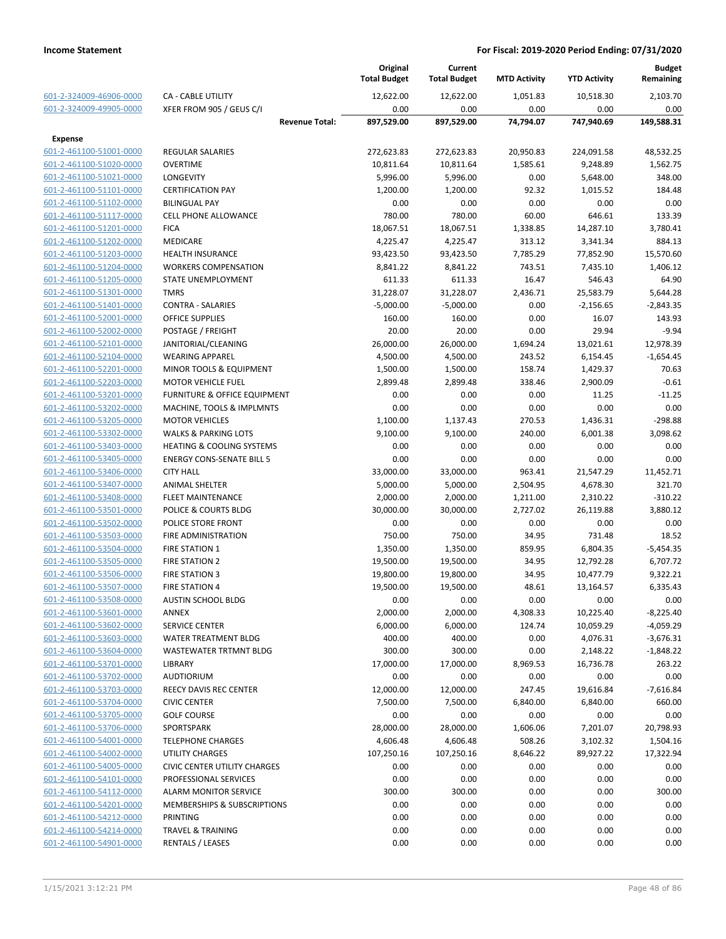|                         |                                         |                       | Original<br><b>Total Budget</b> | Current<br><b>Total Budget</b> | <b>MTD Activity</b> | <b>YTD Activity</b> | <b>Budget</b><br>Remaining |
|-------------------------|-----------------------------------------|-----------------------|---------------------------------|--------------------------------|---------------------|---------------------|----------------------------|
| 601-2-324009-46906-0000 | <b>CA - CABLE UTILITY</b>               |                       | 12,622.00                       | 12,622.00                      | 1.051.83            | 10.518.30           | 2,103.70                   |
| 601-2-324009-49905-0000 | XFER FROM 905 / GEUS C/I                |                       | 0.00                            | 0.00                           | 0.00                | 0.00                | 0.00                       |
|                         |                                         | <b>Revenue Total:</b> | 897,529.00                      | 897,529.00                     | 74,794.07           | 747,940.69          | 149,588.31                 |
| <b>Expense</b>          |                                         |                       |                                 |                                |                     |                     |                            |
| 601-2-461100-51001-0000 | <b>REGULAR SALARIES</b>                 |                       | 272,623.83                      | 272,623.83                     | 20,950.83           | 224,091.58          | 48,532.25                  |
| 601-2-461100-51020-0000 | <b>OVERTIME</b>                         |                       | 10,811.64                       | 10,811.64                      | 1,585.61            | 9,248.89            | 1,562.75                   |
| 601-2-461100-51021-0000 | LONGEVITY                               |                       | 5,996.00                        | 5,996.00                       | 0.00                | 5,648.00            | 348.00                     |
| 601-2-461100-51101-0000 | <b>CERTIFICATION PAY</b>                |                       | 1,200.00                        | 1,200.00                       | 92.32               | 1,015.52            | 184.48                     |
| 601-2-461100-51102-0000 | <b>BILINGUAL PAY</b>                    |                       | 0.00                            | 0.00                           | 0.00                | 0.00                | 0.00                       |
| 601-2-461100-51117-0000 | <b>CELL PHONE ALLOWANCE</b>             |                       | 780.00                          | 780.00                         | 60.00               | 646.61              | 133.39                     |
| 601-2-461100-51201-0000 | <b>FICA</b>                             |                       | 18,067.51                       | 18,067.51                      | 1,338.85            | 14,287.10           | 3,780.41                   |
| 601-2-461100-51202-0000 | <b>MEDICARE</b>                         |                       | 4,225.47                        | 4,225.47                       | 313.12              | 3,341.34            | 884.13                     |
| 601-2-461100-51203-0000 | <b>HEALTH INSURANCE</b>                 |                       | 93,423.50                       | 93,423.50                      | 7,785.29            | 77,852.90           | 15,570.60                  |
| 601-2-461100-51204-0000 | <b>WORKERS COMPENSATION</b>             |                       | 8,841.22                        | 8,841.22                       | 743.51              | 7,435.10            | 1,406.12                   |
| 601-2-461100-51205-0000 | STATE UNEMPLOYMENT                      |                       | 611.33                          | 611.33                         | 16.47               | 546.43              | 64.90                      |
| 601-2-461100-51301-0000 | <b>TMRS</b>                             |                       | 31,228.07                       | 31,228.07                      | 2,436.71            | 25,583.79           | 5,644.28                   |
| 601-2-461100-51401-0000 | <b>CONTRA - SALARIES</b>                |                       | $-5,000.00$                     | $-5,000.00$                    | 0.00                | $-2,156.65$         | $-2,843.35$                |
| 601-2-461100-52001-0000 | <b>OFFICE SUPPLIES</b>                  |                       | 160.00                          | 160.00                         | 0.00                | 16.07               | 143.93                     |
| 601-2-461100-52002-0000 | POSTAGE / FREIGHT                       |                       | 20.00                           | 20.00                          | 0.00                | 29.94               | $-9.94$                    |
| 601-2-461100-52101-0000 | JANITORIAL/CLEANING                     |                       | 26,000.00                       | 26,000.00                      | 1,694.24            | 13,021.61           | 12,978.39                  |
| 601-2-461100-52104-0000 | <b>WEARING APPAREL</b>                  |                       | 4,500.00                        | 4,500.00                       | 243.52              | 6,154.45            | $-1,654.45$                |
| 601-2-461100-52201-0000 | MINOR TOOLS & EQUIPMENT                 |                       | 1,500.00                        | 1,500.00                       | 158.74              | 1,429.37            | 70.63                      |
| 601-2-461100-52203-0000 | <b>MOTOR VEHICLE FUEL</b>               |                       | 2,899.48                        | 2,899.48                       | 338.46              | 2,900.09            | $-0.61$                    |
| 601-2-461100-53201-0000 | <b>FURNITURE &amp; OFFICE EQUIPMENT</b> |                       | 0.00                            | 0.00                           | 0.00                | 11.25               | $-11.25$                   |
| 601-2-461100-53202-0000 | MACHINE, TOOLS & IMPLMNTS               |                       | 0.00                            | 0.00                           | 0.00                | 0.00                | 0.00                       |
| 601-2-461100-53205-0000 | <b>MOTOR VEHICLES</b>                   |                       | 1,100.00                        | 1,137.43                       | 270.53              | 1,436.31            | $-298.88$                  |
| 601-2-461100-53302-0000 | <b>WALKS &amp; PARKING LOTS</b>         |                       | 9,100.00                        | 9,100.00                       | 240.00              | 6,001.38            | 3,098.62                   |
| 601-2-461100-53403-0000 | <b>HEATING &amp; COOLING SYSTEMS</b>    |                       | 0.00                            | 0.00                           | 0.00                | 0.00                | 0.00                       |
| 601-2-461100-53405-0000 | <b>ENERGY CONS-SENATE BILL 5</b>        |                       | 0.00                            | 0.00                           | 0.00                | 0.00                | 0.00                       |
| 601-2-461100-53406-0000 | <b>CITY HALL</b>                        |                       | 33,000.00                       | 33,000.00                      | 963.41              | 21,547.29           | 11,452.71                  |
| 601-2-461100-53407-0000 | <b>ANIMAL SHELTER</b>                   |                       | 5,000.00                        | 5,000.00                       | 2,504.95            | 4,678.30            | 321.70                     |
| 601-2-461100-53408-0000 | <b>FLEET MAINTENANCE</b>                |                       | 2,000.00                        | 2,000.00                       | 1,211.00            | 2,310.22            | $-310.22$                  |
| 601-2-461100-53501-0000 | POLICE & COURTS BLDG                    |                       | 30,000.00                       | 30,000.00                      | 2,727.02            | 26,119.88           | 3,880.12                   |
| 601-2-461100-53502-0000 | POLICE STORE FRONT                      |                       | 0.00                            | 0.00                           | 0.00                | 0.00                | 0.00                       |
| 601-2-461100-53503-0000 | FIRE ADMINISTRATION                     |                       | 750.00                          | 750.00                         | 34.95               | 731.48              | 18.52                      |
| 601-2-461100-53504-0000 | <b>FIRE STATION 1</b>                   |                       | 1,350.00                        | 1,350.00                       | 859.95              | 6,804.35            | $-5,454.35$                |
| 601-2-461100-53505-0000 | <b>FIRE STATION 2</b>                   |                       | 19,500.00                       | 19,500.00                      | 34.95               | 12,792.28           | 6,707.72                   |
| 601-2-461100-53506-0000 | <b>FIRE STATION 3</b>                   |                       | 19,800.00                       | 19,800.00                      | 34.95               | 10,477.79           | 9,322.21                   |
| 601-2-461100-53507-0000 | <b>FIRE STATION 4</b>                   |                       | 19,500.00                       | 19,500.00                      | 48.61               | 13,164.57           | 6,335.43                   |
| 601-2-461100-53508-0000 | <b>AUSTIN SCHOOL BLDG</b>               |                       | 0.00                            | 0.00                           | 0.00                | 0.00                | 0.00                       |
| 601-2-461100-53601-0000 | ANNEX                                   |                       | 2,000.00                        | 2,000.00                       | 4,308.33            | 10,225.40           | $-8,225.40$                |
| 601-2-461100-53602-0000 | SERVICE CENTER                          |                       | 6,000.00                        | 6,000.00                       | 124.74              | 10,059.29           | $-4,059.29$                |
| 601-2-461100-53603-0000 | WATER TREATMENT BLDG                    |                       | 400.00                          | 400.00                         | 0.00                | 4,076.31            | $-3,676.31$                |
| 601-2-461100-53604-0000 | WASTEWATER TRTMNT BLDG                  |                       | 300.00                          | 300.00                         | 0.00                | 2,148.22            | $-1,848.22$                |
| 601-2-461100-53701-0000 | LIBRARY                                 |                       | 17,000.00                       | 17,000.00                      | 8,969.53            | 16,736.78           | 263.22                     |
| 601-2-461100-53702-0000 | <b>AUDTIORIUM</b>                       |                       | 0.00                            | 0.00                           | 0.00                | 0.00                | 0.00                       |
| 601-2-461100-53703-0000 | REECY DAVIS REC CENTER                  |                       | 12,000.00                       | 12,000.00                      | 247.45              | 19,616.84           | $-7,616.84$                |
| 601-2-461100-53704-0000 | <b>CIVIC CENTER</b>                     |                       | 7,500.00                        | 7,500.00                       | 6,840.00            | 6,840.00            | 660.00                     |
| 601-2-461100-53705-0000 | <b>GOLF COURSE</b>                      |                       | 0.00                            | 0.00                           | 0.00                | 0.00                | 0.00                       |
| 601-2-461100-53706-0000 | SPORTSPARK                              |                       | 28,000.00                       | 28,000.00                      | 1,606.06            | 7,201.07            | 20,798.93                  |
| 601-2-461100-54001-0000 | <b>TELEPHONE CHARGES</b>                |                       | 4,606.48                        | 4,606.48                       | 508.26              | 3,102.32            | 1,504.16                   |
| 601-2-461100-54002-0000 | <b>UTILITY CHARGES</b>                  |                       | 107,250.16                      | 107,250.16                     | 8,646.22            | 89,927.22           | 17,322.94                  |
| 601-2-461100-54005-0000 | <b>CIVIC CENTER UTILITY CHARGES</b>     |                       | 0.00                            | 0.00                           | 0.00                | 0.00                | 0.00                       |
| 601-2-461100-54101-0000 | PROFESSIONAL SERVICES                   |                       | 0.00                            | 0.00                           | 0.00                | 0.00                | 0.00                       |
| 601-2-461100-54112-0000 | <b>ALARM MONITOR SERVICE</b>            |                       | 300.00                          | 300.00                         | 0.00                | 0.00                | 300.00                     |
| 601-2-461100-54201-0000 | MEMBERSHIPS & SUBSCRIPTIONS             |                       | 0.00                            | 0.00                           | 0.00                | 0.00                | 0.00                       |
| 601-2-461100-54212-0000 | PRINTING                                |                       | 0.00                            | 0.00                           | 0.00                | 0.00                | 0.00                       |
| 601-2-461100-54214-0000 | <b>TRAVEL &amp; TRAINING</b>            |                       | 0.00                            | 0.00                           | 0.00                | 0.00                | 0.00                       |
| 601-2-461100-54901-0000 | <b>RENTALS / LEASES</b>                 |                       | 0.00                            | 0.00                           | 0.00                | 0.00                | 0.00                       |
|                         |                                         |                       |                                 |                                |                     |                     |                            |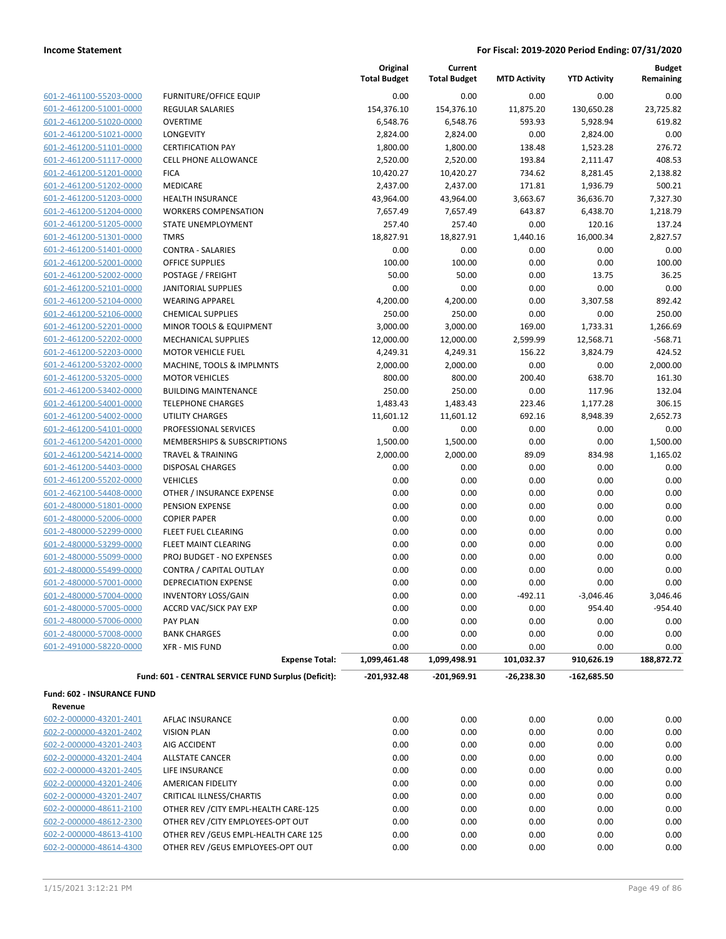| 601-2-461100-55203-0000         |
|---------------------------------|
| 601-2-461200-51001-0000         |
| 601-2-461200-51020-0000         |
| 601-2-461200-51021-0000         |
| 601-2-461200-51101-0000         |
| 601-2-461200-51117-0000         |
| 601-2-461200-51201-0000         |
| 601-2-461200-51202-0000         |
| 601-2-461200-51203-0000         |
| 601-2-461200-51204-0000         |
| 601-2-461200-51205-0000         |
| -2-461200-51301-0000<br>$601 -$ |
| 601-2-461200-51401-0000         |
| 601-2-461200-52001-0000         |
| 601-2-461200-52002-0000         |
| 601-2-461200-52101-0000         |
| 601-2-461200-52104-0000         |
| 601-2-461200-52106-0000         |
| 601-2-461200-52201-0000         |
| 601-2-461200-52202-0000         |
| 601-2-461200-52203-0000         |
| 601-2-461200-53202-0000         |
| 601-2-461200-53205-0000         |
| 601-2-461200-53402-0000         |
| 601-2-461200-54001-0000         |
| 601-2-461200-54002-0000         |
| 601-2-461200-54101-0000         |
| 601-2-461200-54201-0000         |
| 601-2-461200-54214-0000         |
| 601-2-461200-54403-0000         |
| 601-2-461200-55202-0000         |
| 601-2-462100-54408-0000         |
| 601-2-480000-51801-0000         |
| 601-2-480000-52006-0000         |
| 601-2-480000-52299-0000         |
| 601-2-480000-53299-0000         |
| 601-2-480000-55099-0000         |
| 601-2-480000-55499-0000         |
| 601-2-480000-57001-0000         |
| 601-2-480000-57004-0000         |
| 601-2-480000-57005-0000         |
| 601-2-480000-57006-0000         |
| 601-2-480000-57008-0000         |
| 601-2-491000-58220-0000         |
|                                 |

|                            |                                                     | Original<br><b>Total Budget</b> | Current<br><b>Total Budget</b> | <b>MTD Activity</b> | <b>YTD Activity</b> | <b>Budget</b><br>Remaining |
|----------------------------|-----------------------------------------------------|---------------------------------|--------------------------------|---------------------|---------------------|----------------------------|
| 601-2-461100-55203-0000    | <b>FURNITURE/OFFICE EQUIP</b>                       | 0.00                            | 0.00                           | 0.00                | 0.00                | 0.00                       |
| 601-2-461200-51001-0000    | <b>REGULAR SALARIES</b>                             | 154,376.10                      | 154,376.10                     | 11,875.20           | 130,650.28          | 23,725.82                  |
| 601-2-461200-51020-0000    | <b>OVERTIME</b>                                     | 6,548.76                        | 6,548.76                       | 593.93              | 5,928.94            | 619.82                     |
| 601-2-461200-51021-0000    | <b>LONGEVITY</b>                                    | 2,824.00                        | 2,824.00                       | 0.00                | 2,824.00            | 0.00                       |
| 601-2-461200-51101-0000    | <b>CERTIFICATION PAY</b>                            | 1,800.00                        | 1,800.00                       | 138.48              | 1,523.28            | 276.72                     |
| 601-2-461200-51117-0000    | <b>CELL PHONE ALLOWANCE</b>                         | 2,520.00                        | 2,520.00                       | 193.84              | 2,111.47            | 408.53                     |
| 601-2-461200-51201-0000    | <b>FICA</b>                                         | 10,420.27                       | 10,420.27                      | 734.62              | 8,281.45            | 2,138.82                   |
| 601-2-461200-51202-0000    | <b>MEDICARE</b>                                     | 2,437.00                        | 2,437.00                       | 171.81              | 1,936.79            | 500.21                     |
| 601-2-461200-51203-0000    | <b>HEALTH INSURANCE</b>                             | 43,964.00                       | 43,964.00                      | 3,663.67            | 36,636.70           | 7,327.30                   |
| 601-2-461200-51204-0000    | <b>WORKERS COMPENSATION</b>                         | 7,657.49                        | 7,657.49                       | 643.87              | 6,438.70            | 1,218.79                   |
| 601-2-461200-51205-0000    | <b>STATE UNEMPLOYMENT</b>                           | 257.40                          | 257.40                         | 0.00                | 120.16              | 137.24                     |
| 601-2-461200-51301-0000    | <b>TMRS</b>                                         | 18,827.91                       | 18,827.91                      | 1,440.16            | 16,000.34           | 2,827.57                   |
| 601-2-461200-51401-0000    | <b>CONTRA - SALARIES</b>                            | 0.00                            | 0.00                           | 0.00                | 0.00                | 0.00                       |
| 601-2-461200-52001-0000    | <b>OFFICE SUPPLIES</b>                              | 100.00                          | 100.00                         | 0.00                | 0.00                | 100.00                     |
| 601-2-461200-52002-0000    | POSTAGE / FREIGHT                                   | 50.00                           | 50.00                          | 0.00                | 13.75               | 36.25                      |
| 601-2-461200-52101-0000    | <b>JANITORIAL SUPPLIES</b>                          | 0.00                            | 0.00                           | 0.00                | 0.00                | 0.00                       |
| 601-2-461200-52104-0000    | <b>WEARING APPAREL</b>                              | 4,200.00                        | 4,200.00                       | 0.00                | 3,307.58            | 892.42                     |
| 601-2-461200-52106-0000    | <b>CHEMICAL SUPPLIES</b>                            | 250.00                          | 250.00                         | 0.00                | 0.00                | 250.00                     |
| 601-2-461200-52201-0000    | MINOR TOOLS & EQUIPMENT                             | 3,000.00                        | 3,000.00                       | 169.00              | 1,733.31            | 1,266.69                   |
| 601-2-461200-52202-0000    | <b>MECHANICAL SUPPLIES</b>                          | 12,000.00                       | 12,000.00                      | 2,599.99            | 12,568.71           | $-568.71$                  |
| 601-2-461200-52203-0000    | <b>MOTOR VEHICLE FUEL</b>                           | 4,249.31                        | 4,249.31                       | 156.22              | 3,824.79            | 424.52                     |
| 601-2-461200-53202-0000    | MACHINE, TOOLS & IMPLMNTS                           | 2,000.00                        | 2,000.00                       | 0.00                | 0.00                | 2,000.00                   |
| 601-2-461200-53205-0000    | <b>MOTOR VEHICLES</b>                               | 800.00                          | 800.00                         | 200.40              | 638.70              | 161.30                     |
| 601-2-461200-53402-0000    | <b>BUILDING MAINTENANCE</b>                         | 250.00                          | 250.00                         | 0.00                | 117.96              | 132.04                     |
| 601-2-461200-54001-0000    | <b>TELEPHONE CHARGES</b>                            | 1,483.43                        | 1,483.43                       | 223.46              | 1,177.28            | 306.15                     |
| 601-2-461200-54002-0000    | UTILITY CHARGES                                     | 11,601.12                       | 11,601.12                      | 692.16              | 8,948.39            | 2,652.73                   |
| 601-2-461200-54101-0000    | PROFESSIONAL SERVICES                               | 0.00                            | 0.00                           | 0.00                | 0.00                | 0.00                       |
| 601-2-461200-54201-0000    | MEMBERSHIPS & SUBSCRIPTIONS                         | 1,500.00                        | 1,500.00                       | 0.00                | 0.00                | 1,500.00                   |
| 601-2-461200-54214-0000    | <b>TRAVEL &amp; TRAINING</b>                        | 2,000.00                        | 2,000.00                       | 89.09               | 834.98              | 1,165.02                   |
| 601-2-461200-54403-0000    | <b>DISPOSAL CHARGES</b>                             | 0.00                            | 0.00                           | 0.00                | 0.00                | 0.00                       |
| 601-2-461200-55202-0000    | <b>VEHICLES</b>                                     | 0.00                            | 0.00                           | 0.00                | 0.00                | 0.00                       |
| 601-2-462100-54408-0000    | OTHER / INSURANCE EXPENSE                           | 0.00                            | 0.00                           | 0.00                | 0.00                | 0.00                       |
| 601-2-480000-51801-0000    | PENSION EXPENSE                                     | 0.00                            | 0.00                           | 0.00                | 0.00                | 0.00                       |
| 601-2-480000-52006-0000    | <b>COPIER PAPER</b>                                 | 0.00                            | 0.00                           | 0.00                | 0.00                | 0.00                       |
| 601-2-480000-52299-0000    | FLEET FUEL CLEARING                                 | 0.00                            | 0.00                           | 0.00                | 0.00                | 0.00                       |
| 601-2-480000-53299-0000    | FLEET MAINT CLEARING                                | 0.00                            | 0.00                           | 0.00                | 0.00                | 0.00                       |
| 601-2-480000-55099-0000    | PROJ BUDGET - NO EXPENSES                           | 0.00                            | 0.00                           | 0.00                | 0.00                | 0.00                       |
| 601-2-480000-55499-0000    | CONTRA / CAPITAL OUTLAY                             | 0.00                            | 0.00                           | 0.00                | 0.00                | 0.00                       |
| 601-2-480000-57001-0000    | <b>DEPRECIATION EXPENSE</b>                         | 0.00                            | 0.00                           | 0.00                | 0.00                | 0.00                       |
| 601-2-480000-57004-0000    | <b>INVENTORY LOSS/GAIN</b>                          | 0.00                            | 0.00                           | $-492.11$           | $-3,046.46$         | 3,046.46                   |
| 601-2-480000-57005-0000    | <b>ACCRD VAC/SICK PAY EXP</b>                       | 0.00                            | 0.00                           | 0.00                | 954.40              | -954.40                    |
| 601-2-480000-57006-0000    | <b>PAY PLAN</b>                                     | 0.00                            | 0.00                           | 0.00                | 0.00                | 0.00                       |
| 601-2-480000-57008-0000    | <b>BANK CHARGES</b>                                 | 0.00                            | 0.00                           | 0.00                | 0.00                | 0.00                       |
| 601-2-491000-58220-0000    | XFR - MIS FUND                                      | 0.00                            | 0.00                           | 0.00                | 0.00                | 0.00                       |
|                            | <b>Expense Total:</b>                               | 1,099,461.48                    | 1,099,498.91                   | 101,032.37          | 910,626.19          | 188,872.72                 |
|                            | Fund: 601 - CENTRAL SERVICE FUND Surplus (Deficit): | $-201,932.48$                   | $-201,969.91$                  | $-26,238.30$        | $-162,685.50$       |                            |
| Fund: 602 - INSURANCE FUND |                                                     |                                 |                                |                     |                     |                            |
| Revenue                    |                                                     |                                 |                                |                     |                     |                            |
| 602-2-000000-43201-2401    | AFLAC INSURANCE                                     | 0.00                            | 0.00                           | 0.00                | 0.00                | 0.00                       |
| 602-2-000000-43201-2402    | <b>VISION PLAN</b>                                  | 0.00                            | 0.00                           | 0.00                | 0.00                | 0.00                       |
| 602-2-000000-43201-2403    | AIG ACCIDENT                                        | 0.00                            | 0.00                           | 0.00                | 0.00                | 0.00                       |
| 602-2-000000-43201-2404    | <b>ALLSTATE CANCER</b>                              | 0.00                            | 0.00                           | 0.00                | 0.00                | 0.00                       |
| 602-2-000000-43201-2405    | LIFE INSURANCE                                      | 0.00                            | 0.00                           | 0.00                | 0.00                | 0.00                       |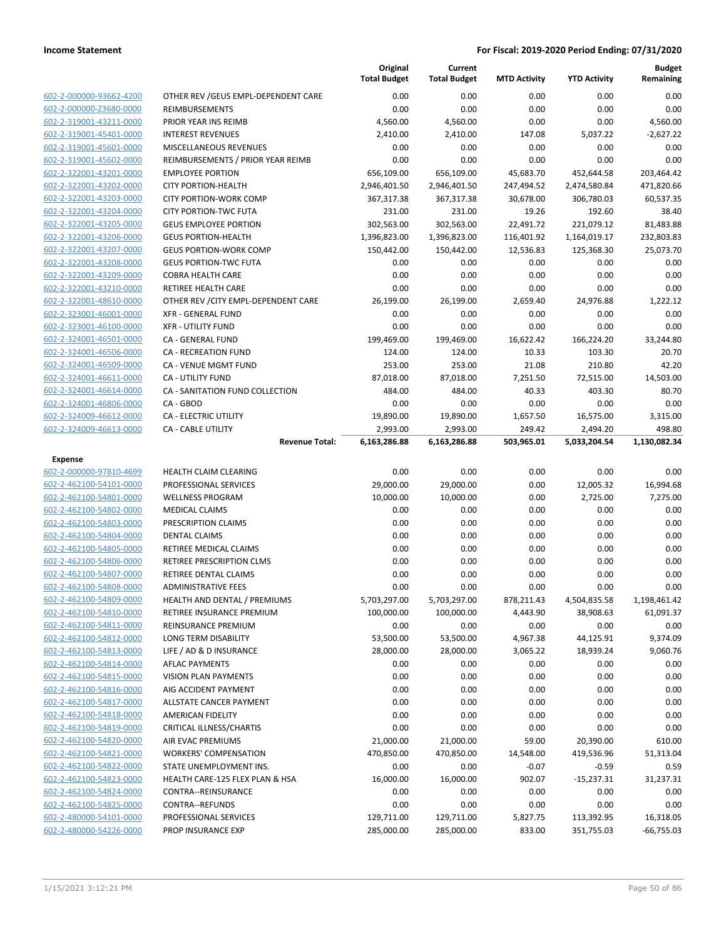|                         |                                      | Original<br><b>Total Budget</b> | Current<br><b>Total Budget</b> | <b>MTD Activity</b> | <b>YTD Activity</b> | <b>Budget</b><br>Remaining |
|-------------------------|--------------------------------------|---------------------------------|--------------------------------|---------------------|---------------------|----------------------------|
| 602-2-000000-93662-4200 | OTHER REV / GEUS EMPL-DEPENDENT CARE | 0.00                            | 0.00                           | 0.00                | 0.00                | 0.00                       |
| 602-2-000000-Z3680-0000 | REIMBURSEMENTS                       | 0.00                            | 0.00                           | 0.00                | 0.00                | 0.00                       |
| 602-2-319001-43211-0000 | PRIOR YEAR INS REIMB                 | 4,560.00                        | 4,560.00                       | 0.00                | 0.00                | 4,560.00                   |
| 602-2-319001-45401-0000 | <b>INTEREST REVENUES</b>             | 2,410.00                        | 2,410.00                       | 147.08              | 5,037.22            | $-2,627.22$                |
| 602-2-319001-45601-0000 | MISCELLANEOUS REVENUES               | 0.00                            | 0.00                           | 0.00                | 0.00                | 0.00                       |
| 602-2-319001-45602-0000 | REIMBURSEMENTS / PRIOR YEAR REIMB    | 0.00                            | 0.00                           | 0.00                | 0.00                | 0.00                       |
| 602-2-322001-43201-0000 | <b>EMPLOYEE PORTION</b>              | 656,109.00                      | 656,109.00                     | 45,683.70           | 452,644.58          | 203,464.42                 |
| 602-2-322001-43202-0000 | <b>CITY PORTION-HEALTH</b>           | 2,946,401.50                    | 2,946,401.50                   | 247,494.52          | 2,474,580.84        | 471,820.66                 |
| 602-2-322001-43203-0000 | <b>CITY PORTION-WORK COMP</b>        | 367,317.38                      | 367,317.38                     | 30,678.00           | 306,780.03          | 60,537.35                  |
| 602-2-322001-43204-0000 | <b>CITY PORTION-TWC FUTA</b>         | 231.00                          | 231.00                         | 19.26               | 192.60              | 38.40                      |
| 602-2-322001-43205-0000 | <b>GEUS EMPLOYEE PORTION</b>         | 302,563.00                      | 302,563.00                     | 22,491.72           | 221,079.12          | 81,483.88                  |
| 602-2-322001-43206-0000 | <b>GEUS PORTION-HEALTH</b>           | 1,396,823.00                    | 1,396,823.00                   | 116,401.92          | 1,164,019.17        | 232,803.83                 |
| 602-2-322001-43207-0000 | <b>GEUS PORTION-WORK COMP</b>        | 150,442.00                      | 150,442.00                     | 12,536.83           | 125,368.30          | 25,073.70                  |
| 602-2-322001-43208-0000 | <b>GEUS PORTION-TWC FUTA</b>         | 0.00                            | 0.00                           | 0.00                | 0.00                | 0.00                       |
| 602-2-322001-43209-0000 | <b>COBRA HEALTH CARE</b>             | 0.00                            | 0.00                           | 0.00                | 0.00                | 0.00                       |
| 602-2-322001-43210-0000 | RETIREE HEALTH CARE                  | 0.00                            | 0.00                           | 0.00                | 0.00                | 0.00                       |
| 602-2-322001-48610-0000 | OTHER REV / CITY EMPL-DEPENDENT CARE | 26,199.00                       | 26,199.00                      | 2,659.40            | 24,976.88           | 1,222.12                   |
| 602-2-323001-46001-0000 | <b>XFR - GENERAL FUND</b>            | 0.00                            | 0.00                           | 0.00                | 0.00                | 0.00                       |
| 602-2-323001-46100-0000 | <b>XFR - UTILITY FUND</b>            | 0.00                            | 0.00                           | 0.00                | 0.00                | 0.00                       |
| 602-2-324001-46501-0000 | <b>CA - GENERAL FUND</b>             | 199,469.00                      | 199,469.00                     | 16,622.42           | 166,224.20          | 33,244.80                  |
| 602-2-324001-46506-0000 | <b>CA - RECREATION FUND</b>          | 124.00                          | 124.00                         | 10.33               | 103.30              | 20.70                      |
| 602-2-324001-46509-0000 | CA - VENUE MGMT FUND                 | 253.00                          | 253.00                         | 21.08               | 210.80              | 42.20                      |
| 602-2-324001-46611-0000 | CA - UTILITY FUND                    | 87,018.00                       | 87,018.00                      | 7,251.50            | 72,515.00           | 14,503.00                  |
| 602-2-324001-46614-0000 | CA - SANITATION FUND COLLECTION      | 484.00                          | 484.00                         | 40.33               | 403.30              | 80.70                      |
| 602-2-324001-46806-0000 | CA - GBOD                            | 0.00                            | 0.00                           | 0.00                | 0.00                | 0.00                       |
| 602-2-324009-46612-0000 | <b>CA - ELECTRIC UTILITY</b>         | 19,890.00                       | 19,890.00                      | 1,657.50            | 16,575.00           | 3,315.00                   |
| 602-2-324009-46613-0000 | <b>CA - CABLE UTILITY</b>            | 2,993.00                        | 2,993.00                       | 249.42              | 2,494.20            | 498.80                     |
|                         | <b>Revenue Total:</b>                | 6,163,286.88                    | 6,163,286.88                   | 503,965.01          | 5,033,204.54        | 1,130,082.34               |
| Expense                 |                                      |                                 |                                |                     |                     |                            |
| 602-2-000000-97810-4699 | HEALTH CLAIM CLEARING                | 0.00                            | 0.00                           | 0.00                | 0.00                | 0.00                       |
| 602-2-462100-54101-0000 | PROFESSIONAL SERVICES                | 29,000.00                       | 29,000.00                      | 0.00                | 12,005.32           | 16,994.68                  |
| 602-2-462100-54801-0000 | <b>WELLNESS PROGRAM</b>              | 10,000.00                       | 10,000.00                      | 0.00                | 2,725.00            | 7,275.00                   |
| 602-2-462100-54802-0000 | MEDICAL CLAIMS                       | 0.00                            | 0.00                           | 0.00                | 0.00                | 0.00                       |
| 602-2-462100-54803-0000 | PRESCRIPTION CLAIMS                  | 0.00                            | 0.00                           | 0.00                | 0.00                | 0.00                       |
| 602-2-462100-54804-0000 | <b>DENTAL CLAIMS</b>                 | 0.00                            | 0.00                           | 0.00                | 0.00                | 0.00                       |
| 602-2-462100-54805-0000 | RETIREE MEDICAL CLAIMS               | 0.00                            | 0.00                           | 0.00                | 0.00                | 0.00                       |
| 602-2-462100-54806-0000 | RETIREE PRESCRIPTION CLMS            | 0.00                            | 0.00                           | 0.00                | 0.00                | 0.00                       |
|                         |                                      |                                 |                                |                     |                     |                            |
| 602-2-462100-54807-0000 | RETIREE DENTAL CLAIMS                | 0.00                            | 0.00                           | 0.00                | 0.00                | 0.00                       |
| 602-2-462100-54808-0000 | <b>ADMINISTRATIVE FEES</b>           | 0.00                            | 0.00                           | 0.00                | 0.00                | 0.00                       |
| 602-2-462100-54809-0000 | <b>HEALTH AND DENTAL / PREMIUMS</b>  | 5,703,297.00                    | 5,703,297.00                   | 878,211.43          | 4,504,835.58        | 1,198,461.42               |
| 602-2-462100-54810-0000 | RETIREE INSURANCE PREMIUM            | 100,000.00                      | 100,000.00                     | 4,443.90            | 38,908.63           | 61,091.37                  |
| 602-2-462100-54811-0000 | REINSURANCE PREMIUM                  | 0.00                            | 0.00                           | 0.00                | 0.00                | 0.00                       |
| 602-2-462100-54812-0000 | LONG TERM DISABILITY                 | 53,500.00                       | 53,500.00                      | 4,967.38            | 44,125.91           | 9,374.09                   |
| 602-2-462100-54813-0000 | LIFE / AD & D INSURANCE              | 28,000.00                       | 28,000.00                      | 3,065.22            | 18,939.24           | 9,060.76                   |
| 602-2-462100-54814-0000 | <b>AFLAC PAYMENTS</b>                | 0.00                            | 0.00                           | 0.00                | 0.00                | 0.00                       |
| 602-2-462100-54815-0000 | <b>VISION PLAN PAYMENTS</b>          | 0.00                            | 0.00                           | 0.00                | 0.00                | 0.00                       |
| 602-2-462100-54816-0000 | AIG ACCIDENT PAYMENT                 | 0.00                            | 0.00                           | 0.00                | 0.00                | 0.00                       |
| 602-2-462100-54817-0000 | ALLSTATE CANCER PAYMENT              | 0.00                            | 0.00                           | 0.00                | 0.00                | 0.00                       |
| 602-2-462100-54818-0000 | AMERICAN FIDELITY                    | 0.00                            | 0.00                           | 0.00                | 0.00                | 0.00                       |
| 602-2-462100-54819-0000 | CRITICAL ILLNESS/CHARTIS             | 0.00                            | 0.00                           | 0.00                | 0.00                | 0.00                       |
| 602-2-462100-54820-0000 | AIR EVAC PREMIUMS                    | 21,000.00                       | 21,000.00                      | 59.00               | 20,390.00           | 610.00                     |
| 602-2-462100-54821-0000 | <b>WORKERS' COMPENSATION</b>         | 470,850.00                      | 470,850.00                     | 14,548.00           | 419,536.96          | 51,313.04                  |
| 602-2-462100-54822-0000 | STATE UNEMPLOYMENT INS.              | 0.00                            | 0.00                           | $-0.07$             | $-0.59$             | 0.59                       |
| 602-2-462100-54823-0000 | HEALTH CARE-125 FLEX PLAN & HSA      | 16,000.00                       | 16,000.00                      | 902.07              | $-15,237.31$        | 31,237.31                  |
| 602-2-462100-54824-0000 | CONTRA--REINSURANCE                  | 0.00                            | 0.00                           | 0.00                | 0.00                | 0.00                       |
| 602-2-462100-54825-0000 | CONTRA--REFUNDS                      | 0.00                            | 0.00                           | 0.00                | 0.00                | 0.00                       |
| 602-2-480000-54101-0000 | PROFESSIONAL SERVICES                | 129,711.00                      | 129,711.00                     | 5,827.75            | 113,392.95          | 16,318.05                  |
| 602-2-480000-54226-0000 | PROP INSURANCE EXP                   | 285,000.00                      | 285,000.00                     | 833.00              | 351,755.03          | $-66,755.03$               |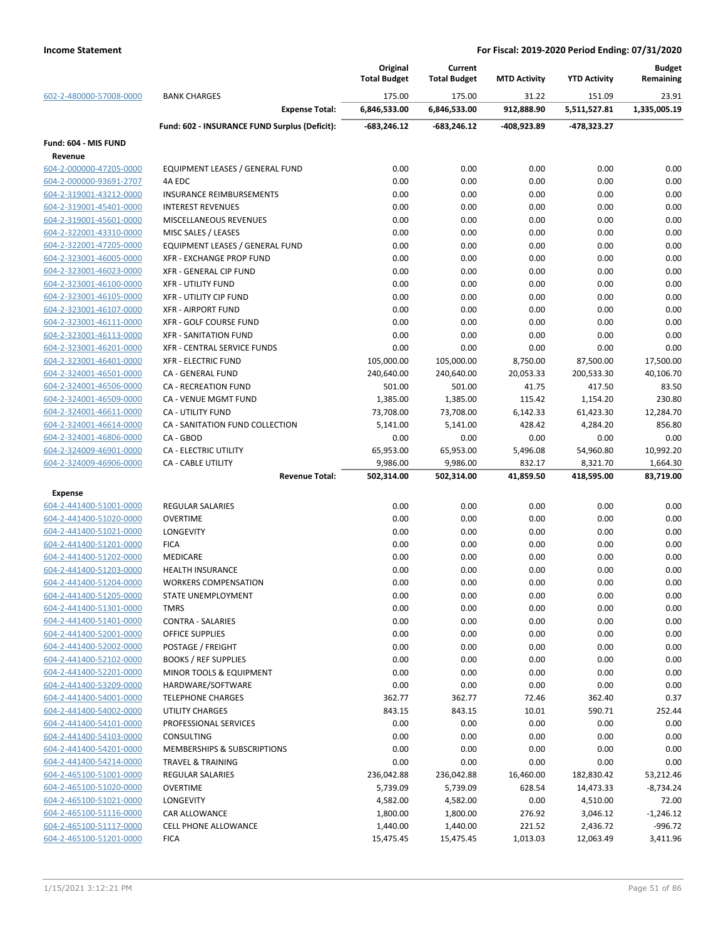|                         |                                               | Original<br><b>Total Budget</b> | Current<br><b>Total Budget</b> | <b>MTD Activity</b> | <b>YTD Activity</b> | <b>Budget</b><br>Remaining |
|-------------------------|-----------------------------------------------|---------------------------------|--------------------------------|---------------------|---------------------|----------------------------|
| 602-2-480000-57008-0000 | <b>BANK CHARGES</b>                           | 175.00                          | 175.00                         | 31.22               | 151.09              | 23.91                      |
|                         | <b>Expense Total:</b>                         | 6,846,533.00                    | 6,846,533.00                   | 912,888.90          | 5,511,527.81        | 1,335,005.19               |
|                         | Fund: 602 - INSURANCE FUND Surplus (Deficit): | $-683,246.12$                   | $-683,246.12$                  | -408,923.89         | -478,323.27         |                            |
| Fund: 604 - MIS FUND    |                                               |                                 |                                |                     |                     |                            |
| Revenue                 |                                               |                                 |                                |                     |                     |                            |
| 604-2-000000-47205-0000 | EQUIPMENT LEASES / GENERAL FUND               | 0.00                            | 0.00                           | 0.00                | 0.00                | 0.00                       |
| 604-2-000000-93691-2707 | 4A EDC                                        | 0.00                            | 0.00                           | 0.00                | 0.00                | 0.00                       |
| 604-2-319001-43212-0000 | <b>INSURANCE REIMBURSEMENTS</b>               | 0.00                            | 0.00                           | 0.00                | 0.00                | 0.00                       |
| 604-2-319001-45401-0000 | <b>INTEREST REVENUES</b>                      | 0.00                            | 0.00                           | 0.00                | 0.00                | 0.00                       |
| 604-2-319001-45601-0000 | <b>MISCELLANEOUS REVENUES</b>                 | 0.00                            | 0.00                           | 0.00                | 0.00                | 0.00                       |
| 604-2-322001-43310-0000 | MISC SALES / LEASES                           | 0.00                            | 0.00                           | 0.00                | 0.00                | 0.00                       |
| 604-2-322001-47205-0000 | EQUIPMENT LEASES / GENERAL FUND               | 0.00                            | 0.00                           | 0.00                | 0.00                | 0.00                       |
| 604-2-323001-46005-0000 | XFR - EXCHANGE PROP FUND                      | 0.00                            | 0.00                           | 0.00                | 0.00                | 0.00                       |
| 604-2-323001-46023-0000 | XFR - GENERAL CIP FUND                        | 0.00                            | 0.00                           | 0.00                | 0.00                | 0.00                       |
| 604-2-323001-46100-0000 | <b>XFR - UTILITY FUND</b>                     | 0.00                            | 0.00                           | 0.00                | 0.00                | 0.00                       |
| 604-2-323001-46105-0000 | <b>XFR - UTILITY CIP FUND</b>                 | 0.00                            | 0.00                           | 0.00                | 0.00                | 0.00                       |
| 604-2-323001-46107-0000 | <b>XFR - AIRPORT FUND</b>                     | 0.00                            | 0.00                           | 0.00                | 0.00                | 0.00                       |
| 604-2-323001-46111-0000 | <b>XFR - GOLF COURSE FUND</b>                 | 0.00                            | 0.00                           | 0.00                | 0.00                | 0.00                       |
| 604-2-323001-46113-0000 | <b>XFR - SANITATION FUND</b>                  | 0.00                            | 0.00                           | 0.00                | 0.00                | 0.00                       |
| 604-2-323001-46201-0000 | XFR - CENTRAL SERVICE FUNDS                   | 0.00                            | 0.00                           | 0.00                | 0.00                | 0.00                       |
| 604-2-323001-46401-0000 | <b>XFR - ELECTRIC FUND</b>                    | 105,000.00                      | 105,000.00                     | 8,750.00            | 87,500.00           | 17,500.00                  |
| 604-2-324001-46501-0000 | CA - GENERAL FUND                             | 240,640.00                      | 240,640.00                     | 20,053.33           | 200,533.30          | 40,106.70                  |
| 604-2-324001-46506-0000 | <b>CA - RECREATION FUND</b>                   | 501.00                          | 501.00                         | 41.75               | 417.50              | 83.50                      |
| 604-2-324001-46509-0000 | CA - VENUE MGMT FUND                          | 1,385.00                        | 1,385.00                       | 115.42              | 1,154.20            | 230.80                     |
| 604-2-324001-46611-0000 | <b>CA - UTILITY FUND</b>                      | 73,708.00                       | 73,708.00                      | 6,142.33            | 61,423.30           | 12,284.70                  |
| 604-2-324001-46614-0000 | CA - SANITATION FUND COLLECTION               | 5,141.00                        | 5,141.00                       | 428.42              | 4,284.20            | 856.80                     |
| 604-2-324001-46806-0000 | CA - GBOD                                     | 0.00                            | 0.00                           | 0.00                | 0.00                | 0.00                       |
| 604-2-324009-46901-0000 | <b>CA - ELECTRIC UTILITY</b>                  | 65,953.00                       | 65,953.00                      | 5,496.08            | 54,960.80           | 10,992.20                  |
| 604-2-324009-46906-0000 | <b>CA - CABLE UTILITY</b>                     | 9,986.00                        | 9,986.00                       | 832.17              | 8,321.70            | 1,664.30                   |
|                         | <b>Revenue Total:</b>                         | 502,314.00                      | 502,314.00                     | 41,859.50           | 418,595.00          | 83,719.00                  |
| <b>Expense</b>          |                                               |                                 |                                |                     |                     |                            |
| 604-2-441400-51001-0000 | <b>REGULAR SALARIES</b>                       | 0.00                            | 0.00                           | 0.00                | 0.00                | 0.00                       |
| 604-2-441400-51020-0000 | <b>OVERTIME</b>                               | 0.00                            | 0.00                           | 0.00                | 0.00                | 0.00                       |
| 604-2-441400-51021-0000 | <b>LONGEVITY</b>                              | 0.00                            | 0.00                           | 0.00                | 0.00                | 0.00                       |
| 604-2-441400-51201-0000 | <b>FICA</b>                                   | 0.00                            | 0.00                           | 0.00                | 0.00                | 0.00                       |
| 604-2-441400-51202-0000 | <b>MEDICARE</b>                               | 0.00                            | 0.00                           | 0.00                | 0.00                | 0.00                       |
| 604-2-441400-51203-0000 | <b>HEALTH INSURANCE</b>                       | 0.00                            | 0.00                           | 0.00                | 0.00                | 0.00                       |
| 604-2-441400-51204-0000 | <b>WORKERS COMPENSATION</b>                   | 0.00                            | 0.00                           | 0.00                | 0.00                | 0.00                       |
| 604-2-441400-51205-0000 | STATE UNEMPLOYMENT                            | 0.00                            | 0.00                           | 0.00                | 0.00                | 0.00                       |
| 604-2-441400-51301-0000 | <b>TMRS</b>                                   | 0.00                            | 0.00                           | 0.00                | 0.00                | 0.00                       |
| 604-2-441400-51401-0000 | <b>CONTRA - SALARIES</b>                      | 0.00                            | 0.00                           | 0.00                | 0.00                | 0.00                       |
| 604-2-441400-52001-0000 | <b>OFFICE SUPPLIES</b>                        | 0.00                            | 0.00                           | 0.00                | 0.00                | 0.00                       |
| 604-2-441400-52002-0000 | POSTAGE / FREIGHT                             | 0.00                            | 0.00                           | 0.00                | 0.00                | 0.00                       |
| 604-2-441400-52102-0000 | <b>BOOKS / REF SUPPLIES</b>                   | 0.00                            | 0.00                           | 0.00                | 0.00                | 0.00                       |
| 604-2-441400-52201-0000 | MINOR TOOLS & EQUIPMENT                       | 0.00                            | 0.00                           | 0.00                | 0.00                | 0.00                       |
|                         |                                               |                                 |                                |                     |                     |                            |
| 604-2-441400-53209-0000 | HARDWARE/SOFTWARE<br><b>TELEPHONE CHARGES</b> | 0.00                            | 0.00                           | 0.00                | 0.00                | 0.00                       |
| 604-2-441400-54001-0000 |                                               | 362.77                          | 362.77                         | 72.46               | 362.40              | 0.37                       |
| 604-2-441400-54002-0000 | UTILITY CHARGES                               | 843.15                          | 843.15                         | 10.01               | 590.71              | 252.44                     |
| 604-2-441400-54101-0000 | PROFESSIONAL SERVICES                         | 0.00                            | 0.00                           | 0.00                | 0.00                | 0.00                       |
| 604-2-441400-54103-0000 | CONSULTING                                    | 0.00                            | 0.00                           | 0.00                | 0.00                | 0.00                       |
| 604-2-441400-54201-0000 | MEMBERSHIPS & SUBSCRIPTIONS                   | 0.00                            | 0.00                           | 0.00                | 0.00                | 0.00                       |
| 604-2-441400-54214-0000 | <b>TRAVEL &amp; TRAINING</b>                  | 0.00                            | 0.00                           | 0.00                | 0.00                | 0.00                       |
| 604-2-465100-51001-0000 | <b>REGULAR SALARIES</b>                       | 236,042.88                      | 236,042.88                     | 16,460.00           | 182,830.42          | 53,212.46                  |
| 604-2-465100-51020-0000 | <b>OVERTIME</b>                               | 5,739.09                        | 5,739.09                       | 628.54              | 14,473.33           | $-8,734.24$                |
| 604-2-465100-51021-0000 | <b>LONGEVITY</b>                              | 4,582.00                        | 4,582.00                       | 0.00                | 4,510.00            | 72.00                      |
| 604-2-465100-51116-0000 | <b>CAR ALLOWANCE</b>                          | 1,800.00                        | 1,800.00                       | 276.92              | 3,046.12            | $-1,246.12$                |
| 604-2-465100-51117-0000 | <b>CELL PHONE ALLOWANCE</b>                   | 1,440.00                        | 1,440.00                       | 221.52              | 2,436.72            | $-996.72$                  |
| 604-2-465100-51201-0000 | <b>FICA</b>                                   | 15,475.45                       | 15,475.45                      | 1,013.03            | 12,063.49           | 3,411.96                   |
|                         |                                               |                                 |                                |                     |                     |                            |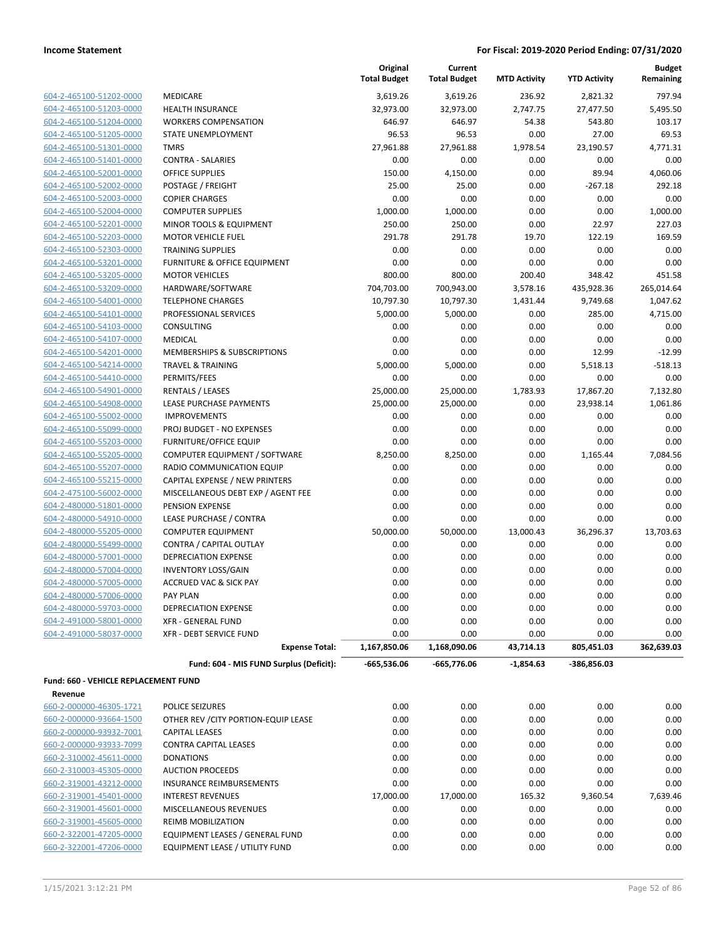**Budget Remaining**

**MTD Activity YTD Activity**

**Current Total Budget**

**Original Total Budget**

|                                                    | Fund: 604 - MIS FUND Surplus (Deficit):       | $-665,536.06$   | $-665,776.06$     | $-1,854.63$    | -386,856.03     |                  |
|----------------------------------------------------|-----------------------------------------------|-----------------|-------------------|----------------|-----------------|------------------|
|                                                    | <b>Expense Total:</b>                         | 1,167,850.06    | 1,168,090.06      | 43,714.13      | 805,451.03      | 362,639.03       |
| 604-2-491000-58037-0000                            | <b>XFR - DEBT SERVICE FUND</b>                | 0.00            | 0.00              | 0.00           | 0.00            | 0.00             |
| 604-2-491000-58001-0000                            | <b>XFR - GENERAL FUND</b>                     | 0.00            | 0.00              | 0.00           | 0.00            | 0.00             |
| 604-2-480000-59703-0000                            | <b>DEPRECIATION EXPENSE</b>                   | 0.00            | 0.00              | 0.00           | 0.00            | 0.00             |
| 604-2-480000-57006-0000                            | <b>PAY PLAN</b>                               | 0.00            | 0.00              | 0.00           | 0.00            | 0.00             |
| 604-2-480000-57005-0000                            | <b>ACCRUED VAC &amp; SICK PAY</b>             | 0.00            | 0.00              | 0.00           | 0.00            | 0.00             |
| 604-2-480000-57004-0000                            | <b>INVENTORY LOSS/GAIN</b>                    | 0.00            | 0.00              | 0.00           | 0.00            | 0.00             |
| 604-2-480000-57001-0000                            | <b>DEPRECIATION EXPENSE</b>                   | 0.00            | 0.00              | 0.00           | 0.00            | 0.00             |
| 604-2-480000-55499-0000                            | CONTRA / CAPITAL OUTLAY                       | 0.00            | 0.00              | 0.00           | 0.00            | 0.00             |
| 604-2-480000-55205-0000                            | <b>COMPUTER EQUIPMENT</b>                     | 50,000.00       | 50,000.00         | 13,000.43      | 36,296.37       | 13,703.63        |
| 604-2-480000-54910-0000                            | LEASE PURCHASE / CONTRA                       | 0.00            | 0.00              | 0.00           | 0.00            | 0.00             |
| 604-2-480000-51801-0000                            | PENSION EXPENSE                               | 0.00            | 0.00              | 0.00           | 0.00            | 0.00             |
| 604-2-475100-56002-0000                            | MISCELLANEOUS DEBT EXP / AGENT FEE            | 0.00            | 0.00              | 0.00           | 0.00            | 0.00             |
| 604-2-465100-55215-0000                            | CAPITAL EXPENSE / NEW PRINTERS                | 0.00            | 0.00              | 0.00           | 0.00            | 0.00             |
| 604-2-465100-55207-0000                            | RADIO COMMUNICATION EQUIP                     | 0.00            | 0.00              | 0.00           | 0.00            | 0.00             |
| 604-2-465100-55205-0000                            | COMPUTER EQUIPMENT / SOFTWARE                 | 8,250.00        | 8,250.00          | 0.00           | 1,165.44        | 7,084.56         |
| 604-2-465100-55203-0000                            | <b>FURNITURE/OFFICE EQUIP</b>                 | 0.00            | 0.00              | 0.00           | 0.00            | 0.00             |
| 604-2-465100-55099-0000                            | PROJ BUDGET - NO EXPENSES                     | 0.00            | 0.00              | 0.00           | 0.00            | 0.00             |
| 604-2-465100-55002-0000                            | <b>IMPROVEMENTS</b>                           | 0.00            | 0.00              | 0.00           | 0.00            | 0.00             |
| 604-2-465100-54908-0000                            | LEASE PURCHASE PAYMENTS                       | 25,000.00       | 25,000.00         | 0.00           | 23,938.14       | 1,061.86         |
| 604-2-465100-54901-0000                            | <b>RENTALS / LEASES</b>                       | 25,000.00       | 25,000.00         | 1,783.93       | 17,867.20       | 7,132.80         |
| 604-2-465100-54410-0000                            | PERMITS/FEES                                  | 0.00            | 0.00              | 0.00           | 0.00            | 0.00             |
| 604-2-465100-54214-0000                            | <b>TRAVEL &amp; TRAINING</b>                  | 5,000.00        | 5,000.00          | 0.00           | 5,518.13        | $-518.13$        |
| 604-2-465100-54201-0000                            | <b>MEMBERSHIPS &amp; SUBSCRIPTIONS</b>        | 0.00            | 0.00              | 0.00           | 12.99           | $-12.99$         |
| 604-2-465100-54107-0000                            | <b>MEDICAL</b>                                | 0.00            | 0.00              | 0.00           | 0.00            | 0.00             |
| 604-2-465100-54103-0000                            | <b>CONSULTING</b>                             | 0.00            | 0.00              | 0.00           | 0.00            | 0.00             |
| 604-2-465100-54101-0000                            | PROFESSIONAL SERVICES                         | 5,000.00        | 5,000.00          | 0.00           | 285.00          | 4,715.00         |
| 604-2-465100-54001-0000                            | HARDWARE/SOFTWARE<br><b>TELEPHONE CHARGES</b> | 10,797.30       | 10,797.30         | 1,431.44       | 9,749.68        | 1,047.62         |
| 604-2-465100-53205-0000<br>604-2-465100-53209-0000 | <b>MOTOR VEHICLES</b>                         | 704,703.00      | 700,943.00        | 3,578.16       | 435,928.36      | 265,014.64       |
| 604-2-465100-53201-0000                            | FURNITURE & OFFICE EQUIPMENT                  | 0.00<br>800.00  | 0.00<br>800.00    | 0.00<br>200.40 | 0.00<br>348.42  | 0.00<br>451.58   |
| 604-2-465100-52303-0000                            | <b>TRAINING SUPPLIES</b>                      | 0.00            | 0.00              | 0.00           | 0.00            | 0.00             |
| 604-2-465100-52203-0000                            | <b>MOTOR VEHICLE FUEL</b>                     | 291.78          | 291.78            | 19.70          | 122.19          | 169.59           |
| 604-2-465100-52201-0000                            | MINOR TOOLS & EQUIPMENT                       | 250.00          | 250.00            | 0.00           | 22.97           | 227.03           |
| 604-2-465100-52004-0000                            | <b>COMPUTER SUPPLIES</b>                      | 1,000.00        | 1,000.00          | 0.00           | 0.00            | 1,000.00         |
| 604-2-465100-52003-0000                            | <b>COPIER CHARGES</b>                         | 0.00            | 0.00              | 0.00           | 0.00            | 0.00             |
| 604-2-465100-52002-0000                            | POSTAGE / FREIGHT                             | 25.00           | 25.00             | 0.00           | $-267.18$       |                  |
| 604-2-465100-52001-0000                            | <b>OFFICE SUPPLIES</b>                        | 150.00          | 4,150.00          |                | 89.94           | 292.18           |
| 604-2-465100-51401-0000                            |                                               |                 |                   | 0.00           |                 | 4.060.06         |
| 604-2-465100-51301-0000                            | <b>CONTRA - SALARIES</b>                      | 0.00            | 27,961.88<br>0.00 | 0.00           | 0.00            | 4,771.31<br>0.00 |
|                                                    | STATE UNEMPLOYMENT<br><b>TMRS</b>             | 27,961.88       |                   | 1,978.54       | 23,190.57       | 69.53            |
| 604-2-465100-51204-0000<br>604-2-465100-51205-0000 | <b>WORKERS COMPENSATION</b>                   | 646.97<br>96.53 | 646.97<br>96.53   | 54.38<br>0.00  | 543.80<br>27.00 | 103.17           |
| 604-2-465100-51203-0000                            | <b>HEALTH INSURANCE</b>                       | 32,973.00       | 32,973.00         | 2,747.75       | 27,477.50       | 5,495.50         |
| 604-2-465100-51202-0000                            | <b>MEDICARE</b>                               | 3,619.26        | 3,619.26          | 236.92         | 2,821.32        | 797.94           |
|                                                    |                                               |                 |                   |                |                 |                  |

| 660-2-000000-46305-1721 | <b>POLICE SEIZURES</b>                | 0.00      | 0.00      | 0.00   | 0.00     | 0.00     |
|-------------------------|---------------------------------------|-----------|-----------|--------|----------|----------|
| 660-2-000000-93664-1500 | OTHER REV / CITY PORTION-EQUIP LEASE  | 0.00      | 0.00      | 0.00   | 0.00     | 0.00     |
| 660-2-000000-93932-7001 | <b>CAPITAL LEASES</b>                 | 0.00      | 0.00      | 0.00   | 0.00     | 0.00     |
| 660-2-000000-93933-7099 | <b>CONTRA CAPITAL LEASES</b>          | 0.00      | 0.00      | 0.00   | 0.00     | 0.00     |
| 660-2-310002-45611-0000 | <b>DONATIONS</b>                      | 0.00      | 0.00      | 0.00   | 0.00     | 0.00     |
| 660-2-310003-45305-0000 | <b>AUCTION PROCEEDS</b>               | 0.00      | 0.00      | 0.00   | 0.00     | 0.00     |
| 660-2-319001-43212-0000 | INSURANCE REIMBURSEMENTS              | 0.00      | 0.00      | 0.00   | 0.00     | 0.00     |
| 660-2-319001-45401-0000 | <b>INTEREST REVENUES</b>              | 17,000.00 | 17.000.00 | 165.32 | 9.360.54 | 7,639.46 |
| 660-2-319001-45601-0000 | <b>MISCELLANEOUS REVENUES</b>         | 0.00      | 0.00      | 0.00   | 0.00     | 0.00     |
| 660-2-319001-45605-0000 | <b>REIMB MOBILIZATION</b>             | 0.00      | 0.00      | 0.00   | 0.00     | 0.00     |
| 660-2-322001-47205-0000 | EQUIPMENT LEASES / GENERAL FUND       | 0.00      | 0.00      | 0.00   | 0.00     | 0.00     |
| 660-2-322001-47206-0000 | <b>EQUIPMENT LEASE / UTILITY FUND</b> | 0.00      | 0.00      | 0.00   | 0.00     | 0.00     |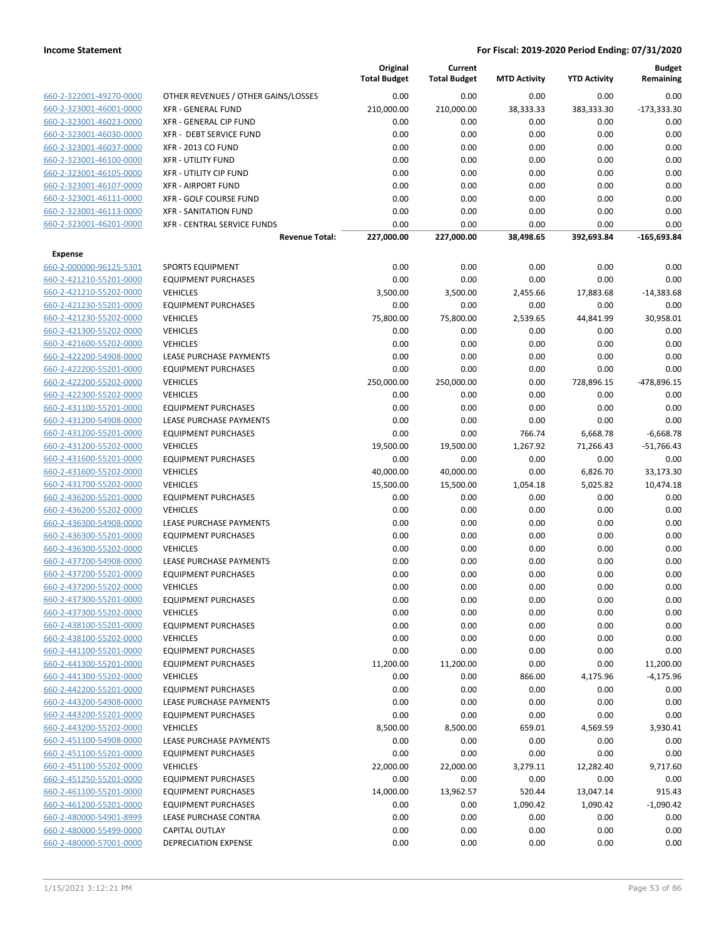|                         |                                     | Original<br><b>Total Budget</b> | Current<br><b>Total Budget</b> | <b>MTD Activity</b> | <b>YTD Activity</b> | <b>Budget</b><br>Remaining |
|-------------------------|-------------------------------------|---------------------------------|--------------------------------|---------------------|---------------------|----------------------------|
| 660-2-322001-49270-0000 | OTHER REVENUES / OTHER GAINS/LOSSES | 0.00                            | 0.00                           | 0.00                | 0.00                | 0.00                       |
| 660-2-323001-46001-0000 | <b>XFR - GENERAL FUND</b>           | 210,000.00                      | 210,000.00                     | 38,333.33           | 383,333.30          | $-173,333.30$              |
| 660-2-323001-46023-0000 | XFR - GENERAL CIP FUND              | 0.00                            | 0.00                           | 0.00                | 0.00                | 0.00                       |
| 660-2-323001-46030-0000 | XFR - DEBT SERVICE FUND             | 0.00                            | 0.00                           | 0.00                | 0.00                | 0.00                       |
| 660-2-323001-46037-0000 | <b>XFR - 2013 CO FUND</b>           | 0.00                            | 0.00                           | 0.00                | 0.00                | 0.00                       |
| 660-2-323001-46100-0000 | <b>XFR - UTILITY FUND</b>           | 0.00                            | 0.00                           | 0.00                | 0.00                | 0.00                       |
| 660-2-323001-46105-0000 | XFR - UTILITY CIP FUND              | 0.00                            | 0.00                           | 0.00                | 0.00                | 0.00                       |
| 660-2-323001-46107-0000 | <b>XFR - AIRPORT FUND</b>           | 0.00                            | 0.00                           | 0.00                | 0.00                | 0.00                       |
| 660-2-323001-46111-0000 | <b>XFR - GOLF COURSE FUND</b>       | 0.00                            | 0.00                           | 0.00                | 0.00                | 0.00                       |
| 660-2-323001-46113-0000 | <b>XFR - SANITATION FUND</b>        | 0.00                            | 0.00                           | 0.00                | 0.00                | 0.00                       |
| 660-2-323001-46201-0000 | XFR - CENTRAL SERVICE FUNDS         | 0.00                            | 0.00                           | 0.00                | 0.00                | 0.00                       |
|                         | <b>Revenue Total:</b>               | 227,000.00                      | 227,000.00                     | 38,498.65           | 392,693.84          | -165,693.84                |
| <b>Expense</b>          |                                     |                                 |                                |                     |                     |                            |
| 660-2-000000-96125-5301 | <b>SPORTS EQUIPMENT</b>             | 0.00                            | 0.00                           | 0.00                | 0.00                | 0.00                       |
| 660-2-421210-55201-0000 | <b>EQUIPMENT PURCHASES</b>          | 0.00                            | 0.00                           | 0.00                | 0.00                | 0.00                       |
| 660-2-421210-55202-0000 | <b>VEHICLES</b>                     | 3,500.00                        | 3,500.00                       | 2,455.66            | 17,883.68           | $-14,383.68$               |
| 660-2-421230-55201-0000 | <b>EQUIPMENT PURCHASES</b>          | 0.00                            | 0.00                           | 0.00                | 0.00                | 0.00                       |
| 660-2-421230-55202-0000 | <b>VEHICLES</b>                     | 75,800.00                       | 75,800.00                      | 2,539.65            | 44,841.99           | 30,958.01                  |
| 660-2-421300-55202-0000 | <b>VEHICLES</b>                     | 0.00                            | 0.00                           | 0.00                | 0.00                | 0.00                       |
| 660-2-421600-55202-0000 | <b>VEHICLES</b>                     | 0.00                            | 0.00                           | 0.00                | 0.00                | 0.00                       |
| 660-2-422200-54908-0000 | LEASE PURCHASE PAYMENTS             | 0.00                            | 0.00                           | 0.00                | 0.00                | 0.00                       |
| 660-2-422200-55201-0000 | <b>EQUIPMENT PURCHASES</b>          | 0.00                            | 0.00                           | 0.00                | 0.00                | 0.00                       |
| 660-2-422200-55202-0000 | <b>VEHICLES</b>                     | 250,000.00                      | 250,000.00                     | 0.00                | 728,896.15          | -478,896.15                |
| 660-2-422300-55202-0000 | <b>VEHICLES</b>                     | 0.00                            | 0.00                           | 0.00                | 0.00                | 0.00                       |
| 660-2-431100-55201-0000 | <b>EQUIPMENT PURCHASES</b>          | 0.00                            | 0.00                           | 0.00                | 0.00                | 0.00                       |
| 660-2-431200-54908-0000 | LEASE PURCHASE PAYMENTS             | 0.00                            | 0.00                           | 0.00                | 0.00                | 0.00                       |
| 660-2-431200-55201-0000 | <b>EQUIPMENT PURCHASES</b>          | 0.00                            | 0.00                           | 766.74              | 6,668.78            | $-6,668.78$                |
| 660-2-431200-55202-0000 | <b>VEHICLES</b>                     | 19,500.00                       | 19,500.00                      | 1,267.92            | 71,266.43           | $-51,766.43$               |
| 660-2-431600-55201-0000 | <b>EQUIPMENT PURCHASES</b>          | 0.00                            | 0.00                           | 0.00                | 0.00                | 0.00                       |
| 660-2-431600-55202-0000 | <b>VEHICLES</b>                     | 40,000.00                       | 40,000.00                      | 0.00                | 6,826.70            | 33,173.30                  |
| 660-2-431700-55202-0000 | <b>VEHICLES</b>                     | 15,500.00                       | 15,500.00                      | 1,054.18            | 5,025.82            | 10,474.18                  |
| 660-2-436200-55201-0000 | <b>EQUIPMENT PURCHASES</b>          | 0.00                            | 0.00                           | 0.00                | 0.00                | 0.00                       |
| 660-2-436200-55202-0000 | <b>VEHICLES</b>                     | 0.00                            | 0.00                           | 0.00                | 0.00                | 0.00                       |
| 660-2-436300-54908-0000 | LEASE PURCHASE PAYMENTS             | 0.00                            | 0.00                           | 0.00                | 0.00                | 0.00                       |
| 660-2-436300-55201-0000 | <b>EQUIPMENT PURCHASES</b>          | 0.00                            | 0.00                           | 0.00                | 0.00                | 0.00                       |
| 660-2-436300-55202-0000 | <b>VEHICLES</b>                     | 0.00                            | 0.00                           | 0.00                | 0.00                | 0.00                       |
| 660-2-437200-54908-0000 | LEASE PURCHASE PAYMENTS             | 0.00                            | 0.00                           | 0.00                | 0.00                | 0.00                       |
| 660-2-437200-55201-0000 | <b>EQUIPMENT PURCHASES</b>          | 0.00                            | 0.00                           | 0.00                | 0.00                | 0.00                       |
| 660-2-437200-55202-0000 | <b>VEHICLES</b>                     | 0.00                            | 0.00                           | 0.00                | 0.00                | 0.00                       |
| 660-2-437300-55201-0000 | <b>EQUIPMENT PURCHASES</b>          | 0.00                            | 0.00                           | 0.00                | 0.00                | 0.00                       |
| 660-2-437300-55202-0000 | <b>VEHICLES</b>                     | 0.00                            | 0.00                           | 0.00                | 0.00                | 0.00                       |
| 660-2-438100-55201-0000 | <b>EQUIPMENT PURCHASES</b>          | 0.00                            | 0.00                           | 0.00                | 0.00                | 0.00                       |
| 660-2-438100-55202-0000 | <b>VEHICLES</b>                     | 0.00                            | 0.00                           | 0.00                | 0.00                | 0.00                       |
| 660-2-441100-55201-0000 | <b>EQUIPMENT PURCHASES</b>          | 0.00                            | 0.00                           | 0.00                | 0.00                | 0.00                       |
| 660-2-441300-55201-0000 | <b>EQUIPMENT PURCHASES</b>          | 11,200.00                       | 11,200.00                      | 0.00                | 0.00                | 11,200.00                  |
| 660-2-441300-55202-0000 | <b>VEHICLES</b>                     | 0.00                            | 0.00                           | 866.00              | 4,175.96            | $-4,175.96$                |
| 660-2-442200-55201-0000 | <b>EQUIPMENT PURCHASES</b>          | 0.00                            | 0.00                           | 0.00                | 0.00                | 0.00                       |
| 660-2-443200-54908-0000 | LEASE PURCHASE PAYMENTS             | 0.00                            | 0.00                           | 0.00                | 0.00                | 0.00                       |
| 660-2-443200-55201-0000 | <b>EQUIPMENT PURCHASES</b>          | 0.00                            | 0.00                           | 0.00                | 0.00                | 0.00                       |
| 660-2-443200-55202-0000 | <b>VEHICLES</b>                     | 8,500.00                        | 8,500.00                       | 659.01              | 4,569.59            | 3,930.41                   |
| 660-2-451100-54908-0000 | <b>LEASE PURCHASE PAYMENTS</b>      | 0.00                            | 0.00                           | 0.00                | 0.00                | 0.00                       |
| 660-2-451100-55201-0000 | <b>EQUIPMENT PURCHASES</b>          | 0.00                            | 0.00                           | 0.00                | 0.00                | 0.00                       |
| 660-2-451100-55202-0000 | <b>VEHICLES</b>                     | 22,000.00                       | 22,000.00                      | 3,279.11            | 12,282.40           | 9,717.60                   |
| 660-2-451250-55201-0000 | <b>EQUIPMENT PURCHASES</b>          | 0.00                            | 0.00                           | 0.00                | 0.00                | 0.00                       |
| 660-2-461100-55201-0000 | <b>EQUIPMENT PURCHASES</b>          | 14,000.00                       | 13,962.57                      | 520.44              | 13,047.14           | 915.43                     |
| 660-2-461200-55201-0000 | <b>EQUIPMENT PURCHASES</b>          | 0.00                            | 0.00                           | 1,090.42            | 1,090.42            | $-1,090.42$                |
| 660-2-480000-54901-8999 | LEASE PURCHASE CONTRA               | 0.00                            | 0.00                           | 0.00                | 0.00                | 0.00                       |
| 660-2-480000-55499-0000 | <b>CAPITAL OUTLAY</b>               | 0.00                            | 0.00                           | 0.00                | 0.00                | 0.00                       |
| 660-2-480000-57001-0000 | DEPRECIATION EXPENSE                | 0.00                            | 0.00                           | 0.00                | 0.00                | 0.00                       |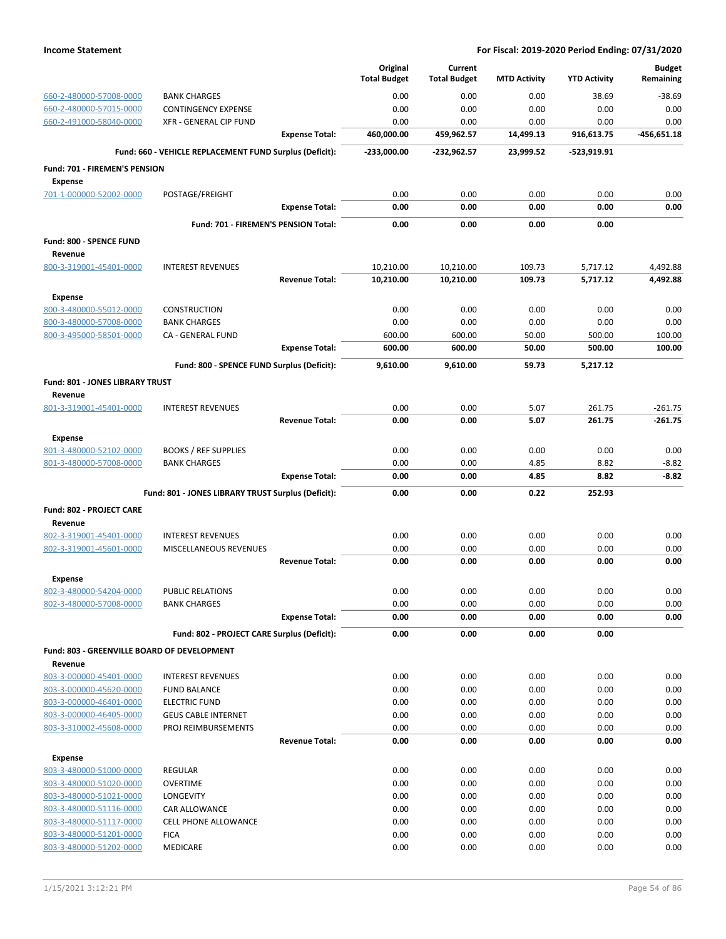|                                                    |                                                         | Original<br><b>Total Budget</b> | Current<br><b>Total Budget</b> | <b>MTD Activity</b> | <b>YTD Activity</b> | <b>Budget</b><br>Remaining |
|----------------------------------------------------|---------------------------------------------------------|---------------------------------|--------------------------------|---------------------|---------------------|----------------------------|
| 660-2-480000-57008-0000                            | <b>BANK CHARGES</b>                                     | 0.00                            | 0.00                           | 0.00                | 38.69               | $-38.69$                   |
| 660-2-480000-57015-0000                            | <b>CONTINGENCY EXPENSE</b>                              | 0.00                            | 0.00                           | 0.00                | 0.00                | 0.00                       |
| 660-2-491000-58040-0000                            | XFR - GENERAL CIP FUND                                  | 0.00                            | 0.00                           | 0.00                | 0.00                | 0.00                       |
|                                                    | <b>Expense Total:</b>                                   | 460,000.00                      | 459,962.57                     | 14,499.13           | 916,613.75          | $-456,651.18$              |
|                                                    | Fund: 660 - VEHICLE REPLACEMENT FUND Surplus (Deficit): | $-233,000.00$                   | -232,962.57                    | 23,999.52           | -523,919.91         |                            |
| Fund: 701 - FIREMEN'S PENSION                      |                                                         |                                 |                                |                     |                     |                            |
| <b>Expense</b>                                     |                                                         |                                 |                                |                     |                     |                            |
| 701-1-000000-52002-0000                            | POSTAGE/FREIGHT                                         | 0.00                            | 0.00                           | 0.00                | 0.00                | 0.00                       |
|                                                    | <b>Expense Total:</b>                                   | 0.00                            | 0.00                           | 0.00                | 0.00                | 0.00                       |
|                                                    | Fund: 701 - FIREMEN'S PENSION Total:                    | 0.00                            | 0.00                           | 0.00                | 0.00                |                            |
| Fund: 800 - SPENCE FUND                            |                                                         |                                 |                                |                     |                     |                            |
| Revenue                                            |                                                         |                                 |                                |                     |                     |                            |
| 800-3-319001-45401-0000                            | <b>INTEREST REVENUES</b>                                | 10,210.00                       | 10,210.00                      | 109.73              | 5,717.12            | 4,492.88                   |
|                                                    | <b>Revenue Total:</b>                                   | 10,210.00                       | 10,210.00                      | 109.73              | 5,717.12            | 4,492.88                   |
| <b>Expense</b>                                     |                                                         |                                 |                                |                     |                     |                            |
| 800-3-480000-55012-0000                            | <b>CONSTRUCTION</b>                                     | 0.00                            | 0.00                           | 0.00                | 0.00                | 0.00                       |
| 800-3-480000-57008-0000<br>800-3-495000-58501-0000 | <b>BANK CHARGES</b><br>CA - GENERAL FUND                | 0.00<br>600.00                  | 0.00<br>600.00                 | 0.00<br>50.00       | 0.00<br>500.00      | 0.00<br>100.00             |
|                                                    | <b>Expense Total:</b>                                   | 600.00                          | 600.00                         | 50.00               | 500.00              | 100.00                     |
|                                                    | Fund: 800 - SPENCE FUND Surplus (Deficit):              | 9,610.00                        | 9,610.00                       | 59.73               | 5,217.12            |                            |
|                                                    |                                                         |                                 |                                |                     |                     |                            |
| Fund: 801 - JONES LIBRARY TRUST<br>Revenue         |                                                         |                                 |                                |                     |                     |                            |
| 801-3-319001-45401-0000                            | <b>INTEREST REVENUES</b>                                | 0.00                            | 0.00                           | 5.07                | 261.75              | $-261.75$                  |
|                                                    | <b>Revenue Total:</b>                                   | 0.00                            | 0.00                           | 5.07                | 261.75              | -261.75                    |
| <b>Expense</b>                                     |                                                         |                                 |                                |                     |                     |                            |
| 801-3-480000-52102-0000                            | <b>BOOKS / REF SUPPLIES</b>                             | 0.00                            | 0.00                           | 0.00                | 0.00                | 0.00                       |
| 801-3-480000-57008-0000                            | <b>BANK CHARGES</b>                                     | 0.00                            | 0.00                           | 4.85                | 8.82                | $-8.82$                    |
|                                                    | <b>Expense Total:</b>                                   | 0.00                            | 0.00                           | 4.85                | 8.82                | $-8.82$                    |
|                                                    | Fund: 801 - JONES LIBRARY TRUST Surplus (Deficit):      | 0.00                            | 0.00                           | 0.22                | 252.93              |                            |
| Fund: 802 - PROJECT CARE                           |                                                         |                                 |                                |                     |                     |                            |
| Revenue                                            |                                                         |                                 |                                |                     |                     |                            |
| 802-3-319001-45401-0000                            | <b>INTEREST REVENUES</b>                                | 0.00                            | 0.00                           | 0.00                | 0.00                | 0.00                       |
| 802-3-319001-45601-0000                            | MISCELLANEOUS REVENUES                                  | 0.00                            | 0.00                           | 0.00                | 0.00                | 0.00                       |
|                                                    | <b>Revenue Total:</b>                                   | 0.00                            | 0.00                           | 0.00                | 0.00                | 0.00                       |
| <b>Expense</b>                                     |                                                         |                                 |                                |                     |                     |                            |
| 802-3-480000-54204-0000                            | PUBLIC RELATIONS                                        | 0.00                            | 0.00                           | 0.00                | 0.00                | 0.00                       |
| 802-3-480000-57008-0000                            | <b>BANK CHARGES</b>                                     | 0.00<br>0.00                    | 0.00<br>0.00                   | 0.00<br>0.00        | 0.00<br>0.00        | 0.00<br>0.00               |
|                                                    | <b>Expense Total:</b>                                   |                                 |                                |                     |                     |                            |
|                                                    | Fund: 802 - PROJECT CARE Surplus (Deficit):             | 0.00                            | 0.00                           | 0.00                | 0.00                |                            |
| Fund: 803 - GREENVILLE BOARD OF DEVELOPMENT        |                                                         |                                 |                                |                     |                     |                            |
| Revenue<br>803-3-000000-45401-0000                 | <b>INTEREST REVENUES</b>                                | 0.00                            | 0.00                           | 0.00                | 0.00                | 0.00                       |
| 803-3-000000-45620-0000                            | <b>FUND BALANCE</b>                                     | 0.00                            | 0.00                           | 0.00                | 0.00                | 0.00                       |
| 803-3-000000-46401-0000                            | <b>ELECTRIC FUND</b>                                    | 0.00                            | 0.00                           | 0.00                | 0.00                | 0.00                       |
| 803-3-000000-46405-0000                            | <b>GEUS CABLE INTERNET</b>                              | 0.00                            | 0.00                           | 0.00                | 0.00                | 0.00                       |
| 803-3-310002-45608-0000                            | PROJ REIMBURSEMENTS                                     | 0.00                            | 0.00                           | 0.00                | 0.00                | 0.00                       |
|                                                    | <b>Revenue Total:</b>                                   | 0.00                            | 0.00                           | 0.00                | 0.00                | 0.00                       |
| <b>Expense</b>                                     |                                                         |                                 |                                |                     |                     |                            |
| 803-3-480000-51000-0000                            | <b>REGULAR</b>                                          | 0.00                            | 0.00                           | 0.00                | 0.00                | 0.00                       |
| 803-3-480000-51020-0000                            | <b>OVERTIME</b>                                         | 0.00                            | 0.00                           | 0.00                | 0.00                | 0.00                       |
| 803-3-480000-51021-0000                            | <b>LONGEVITY</b>                                        | 0.00                            | 0.00                           | 0.00                | 0.00                | 0.00                       |
| 803-3-480000-51116-0000                            | CAR ALLOWANCE                                           | 0.00                            | 0.00                           | 0.00                | 0.00                | 0.00                       |
| 803-3-480000-51117-0000<br>803-3-480000-51201-0000 | <b>CELL PHONE ALLOWANCE</b><br><b>FICA</b>              | 0.00<br>0.00                    | 0.00<br>0.00                   | 0.00<br>0.00        | 0.00<br>0.00        | 0.00<br>0.00               |
| 803-3-480000-51202-0000                            | MEDICARE                                                | 0.00                            | 0.00                           | 0.00                | 0.00                | 0.00                       |
|                                                    |                                                         |                                 |                                |                     |                     |                            |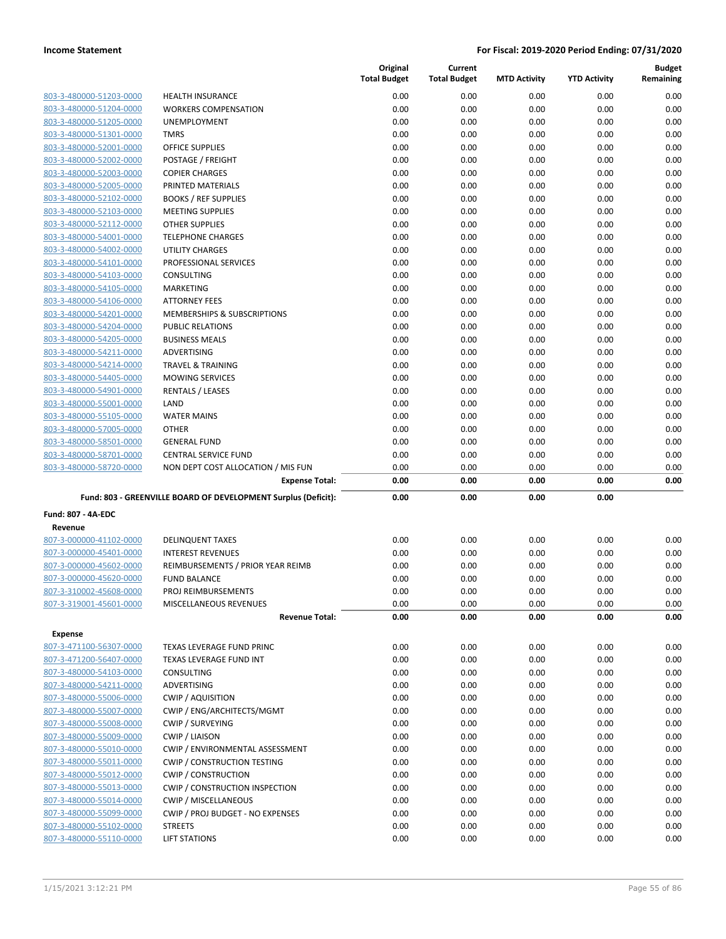|                           |                                                                | Original<br><b>Total Budget</b> | Current<br><b>Total Budget</b> | <b>MTD Activity</b> | <b>YTD Activity</b> | <b>Budget</b> |
|---------------------------|----------------------------------------------------------------|---------------------------------|--------------------------------|---------------------|---------------------|---------------|
|                           |                                                                |                                 |                                |                     |                     | Remaining     |
| 803-3-480000-51203-0000   | <b>HEALTH INSURANCE</b>                                        | 0.00                            | 0.00                           | 0.00                | 0.00                | 0.00          |
| 803-3-480000-51204-0000   | <b>WORKERS COMPENSATION</b>                                    | 0.00                            | 0.00                           | 0.00                | 0.00                | 0.00          |
| 803-3-480000-51205-0000   | <b>UNEMPLOYMENT</b>                                            | 0.00                            | 0.00                           | 0.00                | 0.00                | 0.00          |
| 803-3-480000-51301-0000   | <b>TMRS</b>                                                    | 0.00                            | 0.00                           | 0.00                | 0.00                | 0.00          |
| 803-3-480000-52001-0000   | <b>OFFICE SUPPLIES</b>                                         | 0.00                            | 0.00                           | 0.00                | 0.00                | 0.00          |
| 803-3-480000-52002-0000   | POSTAGE / FREIGHT                                              | 0.00                            | 0.00                           | 0.00                | 0.00                | 0.00          |
| 803-3-480000-52003-0000   | <b>COPIER CHARGES</b>                                          | 0.00                            | 0.00                           | 0.00                | 0.00                | 0.00          |
| 803-3-480000-52005-0000   | PRINTED MATERIALS                                              | 0.00                            | 0.00                           | 0.00                | 0.00                | 0.00          |
| 803-3-480000-52102-0000   | <b>BOOKS / REF SUPPLIES</b>                                    | 0.00                            | 0.00                           | 0.00                | 0.00                | 0.00          |
| 803-3-480000-52103-0000   | <b>MEETING SUPPLIES</b>                                        | 0.00                            | 0.00                           | 0.00                | 0.00                | 0.00          |
| 803-3-480000-52112-0000   | <b>OTHER SUPPLIES</b>                                          | 0.00                            | 0.00                           | 0.00                | 0.00                | 0.00          |
| 803-3-480000-54001-0000   | <b>TELEPHONE CHARGES</b>                                       | 0.00                            | 0.00                           | 0.00                | 0.00                | 0.00          |
| 803-3-480000-54002-0000   | <b>UTILITY CHARGES</b>                                         | 0.00                            | 0.00                           | 0.00                | 0.00                | 0.00          |
| 803-3-480000-54101-0000   | PROFESSIONAL SERVICES                                          | 0.00                            | 0.00                           | 0.00                | 0.00                | 0.00          |
| 803-3-480000-54103-0000   | <b>CONSULTING</b>                                              | 0.00                            | 0.00                           | 0.00                | 0.00                | 0.00          |
| 803-3-480000-54105-0000   | <b>MARKETING</b>                                               | 0.00                            | 0.00                           | 0.00                | 0.00                | 0.00          |
| 803-3-480000-54106-0000   | <b>ATTORNEY FEES</b>                                           | 0.00                            | 0.00                           | 0.00                | 0.00                | 0.00          |
| 803-3-480000-54201-0000   | <b>MEMBERSHIPS &amp; SUBSCRIPTIONS</b>                         | 0.00                            | 0.00                           | 0.00                | 0.00                | 0.00          |
| 803-3-480000-54204-0000   | <b>PUBLIC RELATIONS</b>                                        | 0.00                            | 0.00                           | 0.00                | 0.00                | 0.00          |
| 803-3-480000-54205-0000   | <b>BUSINESS MEALS</b>                                          | 0.00                            | 0.00                           | 0.00                | 0.00                | 0.00          |
| 803-3-480000-54211-0000   | ADVERTISING                                                    | 0.00                            | 0.00                           | 0.00                | 0.00                | 0.00          |
| 803-3-480000-54214-0000   | <b>TRAVEL &amp; TRAINING</b>                                   | 0.00                            | 0.00                           | 0.00                | 0.00                | 0.00          |
| 803-3-480000-54405-0000   | <b>MOWING SERVICES</b>                                         | 0.00                            | 0.00                           | 0.00                | 0.00                | 0.00          |
| 803-3-480000-54901-0000   | <b>RENTALS / LEASES</b>                                        | 0.00                            | 0.00                           | 0.00                | 0.00                | 0.00          |
| 803-3-480000-55001-0000   | LAND                                                           | 0.00                            | 0.00                           | 0.00                | 0.00                | 0.00          |
| 803-3-480000-55105-0000   | <b>WATER MAINS</b>                                             | 0.00                            | 0.00                           | 0.00                | 0.00                | 0.00          |
| 803-3-480000-57005-0000   | <b>OTHER</b>                                                   | 0.00                            | 0.00                           | 0.00                | 0.00                | 0.00          |
| 803-3-480000-58501-0000   | <b>GENERAL FUND</b>                                            | 0.00                            | 0.00                           | 0.00                | 0.00                | 0.00          |
| 803-3-480000-58701-0000   | <b>CENTRAL SERVICE FUND</b>                                    | 0.00                            | 0.00                           | 0.00                | 0.00                | 0.00          |
| 803-3-480000-58720-0000   | NON DEPT COST ALLOCATION / MIS FUN                             | 0.00                            | 0.00                           | 0.00                | 0.00                | 0.00          |
|                           | <b>Expense Total:</b>                                          | 0.00                            | 0.00                           | 0.00                | 0.00                | 0.00          |
|                           | Fund: 803 - GREENVILLE BOARD OF DEVELOPMENT Surplus (Deficit): | 0.00                            | 0.00                           | 0.00                | 0.00                |               |
| <b>Fund: 807 - 4A-EDC</b> |                                                                |                                 |                                |                     |                     |               |
| Revenue                   |                                                                |                                 |                                |                     |                     |               |
| 807-3-000000-41102-0000   | <b>DELINQUENT TAXES</b>                                        | 0.00                            | 0.00                           | 0.00                | 0.00                | 0.00          |
| 807-3-000000-45401-0000   | <b>INTEREST REVENUES</b>                                       | 0.00                            | 0.00                           | 0.00                | 0.00                | 0.00          |
| 807-3-000000-45602-0000   | REIMBURSEMENTS / PRIOR YEAR REIMB                              | 0.00                            | 0.00                           | 0.00                | 0.00                | 0.00          |
| 807-3-000000-45620-0000   | <b>FUND BALANCE</b>                                            | 0.00                            | 0.00                           | 0.00                | 0.00                | 0.00          |
| 807-3-310002-45608-0000   | PROJ REIMBURSEMENTS                                            | 0.00                            | 0.00                           | 0.00                | 0.00                | 0.00          |
| 807-3-319001-45601-0000   |                                                                |                                 |                                |                     |                     |               |
|                           | MISCELLANEOUS REVENUES<br><b>Revenue Total:</b>                | 0.00<br>0.00                    | 0.00<br>0.00                   | 0.00<br>0.00        | 0.00<br>0.00        | 0.00<br>0.00  |
|                           |                                                                |                                 |                                |                     |                     |               |
| <b>Expense</b>            |                                                                |                                 |                                |                     |                     |               |
| 807-3-471100-56307-0000   | <b>TEXAS LEVERAGE FUND PRINC</b>                               | 0.00                            | 0.00                           | 0.00                | 0.00                | 0.00          |
| 807-3-471200-56407-0000   | TEXAS LEVERAGE FUND INT                                        | 0.00                            | 0.00                           | 0.00                | 0.00                | 0.00          |
| 807-3-480000-54103-0000   | <b>CONSULTING</b>                                              | 0.00                            | 0.00                           | 0.00                | 0.00                | 0.00          |
| 807-3-480000-54211-0000   | ADVERTISING                                                    | 0.00                            | 0.00                           | 0.00                | 0.00                | 0.00          |
| 807-3-480000-55006-0000   | <b>CWIP / AQUISITION</b>                                       | 0.00                            | 0.00                           | 0.00                | 0.00                | 0.00          |
| 807-3-480000-55007-0000   | CWIP / ENG/ARCHITECTS/MGMT                                     | 0.00                            | 0.00                           | 0.00                | 0.00                | 0.00          |
| 807-3-480000-55008-0000   | <b>CWIP / SURVEYING</b>                                        | 0.00                            | 0.00                           | 0.00                | 0.00                | 0.00          |
| 807-3-480000-55009-0000   | <b>CWIP / LIAISON</b>                                          | 0.00                            | 0.00                           | 0.00                | 0.00                | 0.00          |
| 807-3-480000-55010-0000   | CWIP / ENVIRONMENTAL ASSESSMENT                                | 0.00                            | 0.00                           | 0.00                | 0.00                | 0.00          |
| 807-3-480000-55011-0000   | <b>CWIP / CONSTRUCTION TESTING</b>                             | 0.00                            | 0.00                           | 0.00                | 0.00                | 0.00          |
| 807-3-480000-55012-0000   | <b>CWIP / CONSTRUCTION</b>                                     | 0.00                            | 0.00                           | 0.00                | 0.00                | 0.00          |
| 807-3-480000-55013-0000   | <b>CWIP / CONSTRUCTION INSPECTION</b>                          | 0.00                            | 0.00                           | 0.00                | 0.00                | 0.00          |
| 807-3-480000-55014-0000   | CWIP / MISCELLANEOUS                                           | 0.00                            | 0.00                           | 0.00                | 0.00                | 0.00          |
| 807-3-480000-55099-0000   | CWIP / PROJ BUDGET - NO EXPENSES                               | 0.00                            | 0.00                           | 0.00                | 0.00                | 0.00          |
| 807-3-480000-55102-0000   | <b>STREETS</b>                                                 | 0.00                            | 0.00                           | 0.00                | 0.00                | 0.00          |
| 807-3-480000-55110-0000   | <b>LIFT STATIONS</b>                                           | 0.00                            | 0.00                           | 0.00                | 0.00                | 0.00          |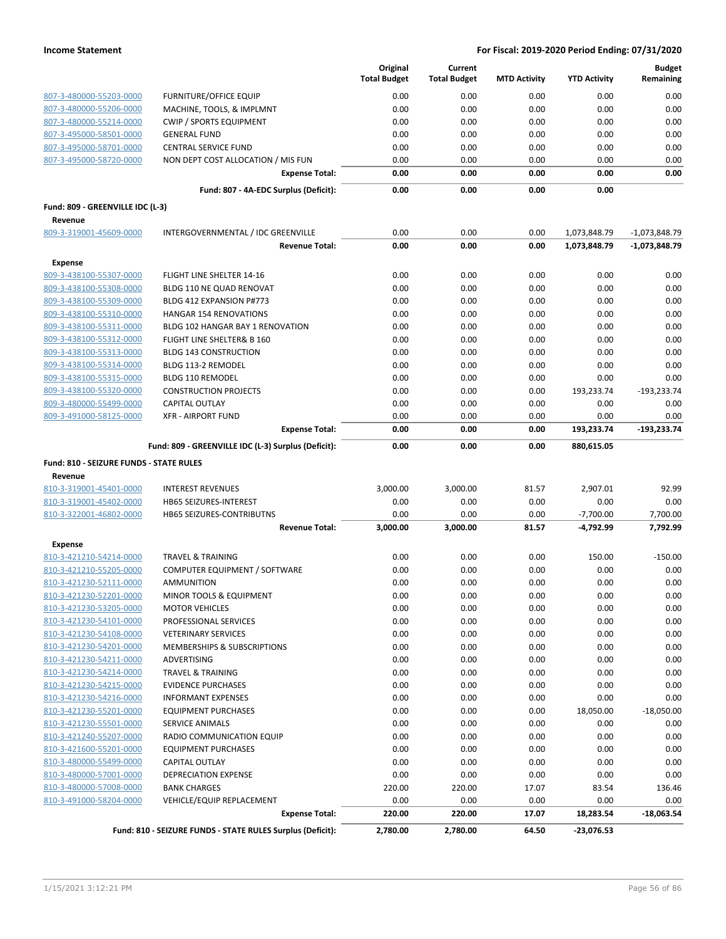|                                         |                                                            | Original<br><b>Total Budget</b> | Current<br><b>Total Budget</b> | <b>MTD Activity</b> | <b>YTD Activity</b> | <b>Budget</b><br>Remaining |
|-----------------------------------------|------------------------------------------------------------|---------------------------------|--------------------------------|---------------------|---------------------|----------------------------|
| 807-3-480000-55203-0000                 | <b>FURNITURE/OFFICE EQUIP</b>                              | 0.00                            | 0.00                           | 0.00                | 0.00                | 0.00                       |
| 807-3-480000-55206-0000                 | MACHINE, TOOLS, & IMPLMNT                                  | 0.00                            | 0.00                           | 0.00                | 0.00                | 0.00                       |
| 807-3-480000-55214-0000                 | <b>CWIP / SPORTS EQUIPMENT</b>                             | 0.00                            | 0.00                           | 0.00                | 0.00                | 0.00                       |
| 807-3-495000-58501-0000                 | <b>GENERAL FUND</b>                                        | 0.00                            | 0.00                           | 0.00                | 0.00                | 0.00                       |
| 807-3-495000-58701-0000                 | <b>CENTRAL SERVICE FUND</b>                                | 0.00                            | 0.00                           | 0.00                | 0.00                | 0.00                       |
| 807-3-495000-58720-0000                 | NON DEPT COST ALLOCATION / MIS FUN                         | 0.00                            | 0.00                           | 0.00                | 0.00                | 0.00                       |
|                                         | <b>Expense Total:</b>                                      | 0.00                            | 0.00                           | 0.00                | 0.00                | 0.00                       |
|                                         | Fund: 807 - 4A-EDC Surplus (Deficit):                      | 0.00                            | 0.00                           | 0.00                | 0.00                |                            |
| Fund: 809 - GREENVILLE IDC (L-3)        |                                                            |                                 |                                |                     |                     |                            |
| Revenue<br>809-3-319001-45609-0000      | INTERGOVERNMENTAL / IDC GREENVILLE                         | 0.00                            | 0.00                           | 0.00                | 1,073,848.79        | $-1,073,848.79$            |
|                                         | <b>Revenue Total:</b>                                      | 0.00                            | 0.00                           | 0.00                | 1,073,848.79        | $-1,073,848.79$            |
| <b>Expense</b>                          |                                                            |                                 |                                |                     |                     |                            |
| 809-3-438100-55307-0000                 | FLIGHT LINE SHELTER 14-16                                  | 0.00                            | 0.00                           | 0.00                | 0.00                | 0.00                       |
| 809-3-438100-55308-0000                 | BLDG 110 NE QUAD RENOVAT                                   | 0.00                            | 0.00                           | 0.00                | 0.00                | 0.00                       |
| 809-3-438100-55309-0000                 | BLDG 412 EXPANSION P#773                                   | 0.00                            | 0.00                           | 0.00                | 0.00                | 0.00                       |
| 809-3-438100-55310-0000                 | <b>HANGAR 154 RENOVATIONS</b>                              | 0.00                            | 0.00                           | 0.00                | 0.00                | 0.00                       |
| 809-3-438100-55311-0000                 | BLDG 102 HANGAR BAY 1 RENOVATION                           | 0.00                            | 0.00                           | 0.00                | 0.00                | 0.00                       |
| 809-3-438100-55312-0000                 | FLIGHT LINE SHELTER& B 160                                 | 0.00                            | 0.00                           | 0.00                | 0.00                | 0.00                       |
| 809-3-438100-55313-0000                 | <b>BLDG 143 CONSTRUCTION</b>                               | 0.00                            | 0.00                           | 0.00                | 0.00                | 0.00                       |
| 809-3-438100-55314-0000                 | BLDG 113-2 REMODEL                                         | 0.00                            | 0.00                           | 0.00                | 0.00                | 0.00                       |
| 809-3-438100-55315-0000                 | BLDG 110 REMODEL                                           | 0.00                            | 0.00                           | 0.00                | 0.00                | 0.00                       |
| 809-3-438100-55320-0000                 | <b>CONSTRUCTION PROJECTS</b>                               | 0.00                            | 0.00                           | 0.00                | 193,233.74          | $-193,233.74$              |
| 809-3-480000-55499-0000                 | CAPITAL OUTLAY                                             | 0.00                            | 0.00                           | 0.00                | 0.00                | 0.00                       |
| 809-3-491000-58125-0000                 | <b>XFR - AIRPORT FUND</b>                                  | 0.00                            | 0.00                           | 0.00                | 0.00                | 0.00                       |
|                                         | <b>Expense Total:</b>                                      | 0.00                            | 0.00                           | 0.00                | 193,233.74          | $-193,233.74$              |
|                                         | Fund: 809 - GREENVILLE IDC (L-3) Surplus (Deficit):        | 0.00                            | 0.00                           | 0.00                | 880,615.05          |                            |
| Fund: 810 - SEIZURE FUNDS - STATE RULES |                                                            |                                 |                                |                     |                     |                            |
| Revenue                                 |                                                            |                                 |                                |                     |                     |                            |
| 810-3-319001-45401-0000                 | <b>INTEREST REVENUES</b>                                   | 3,000.00                        | 3,000.00                       | 81.57               | 2,907.01            | 92.99                      |
| 810-3-319001-45402-0000                 | <b>HB65 SEIZURES-INTEREST</b>                              | 0.00                            | 0.00                           | 0.00                | 0.00                | 0.00                       |
| 810-3-322001-46802-0000                 | HB65 SEIZURES-CONTRIBUTNS                                  | 0.00                            | 0.00                           | 0.00                | $-7,700.00$         | 7,700.00                   |
|                                         | <b>Revenue Total:</b>                                      | 3,000.00                        | 3,000.00                       | 81.57               | -4,792.99           | 7,792.99                   |
| <b>Expense</b>                          |                                                            |                                 |                                |                     |                     |                            |
| 810-3-421210-54214-0000                 | <b>TRAVEL &amp; TRAINING</b>                               | 0.00                            | 0.00                           | 0.00                | 150.00              | $-150.00$                  |
| 810-3-421210-55205-0000                 | COMPUTER EQUIPMENT / SOFTWARE                              | 0.00                            | 0.00                           | 0.00                | 0.00                | 0.00                       |
| 810-3-421230-52111-0000                 | <b>AMMUNITION</b>                                          | 0.00                            | 0.00                           | 0.00                | 0.00                | 0.00                       |
| 810-3-421230-52201-0000                 | <b>MINOR TOOLS &amp; EQUIPMENT</b>                         | 0.00                            | 0.00                           | 0.00                | 0.00                | 0.00                       |
| 810-3-421230-53205-0000                 | <b>MOTOR VEHICLES</b>                                      | 0.00                            | 0.00                           | 0.00                | 0.00                | 0.00                       |
| 810-3-421230-54101-0000                 | PROFESSIONAL SERVICES                                      | 0.00                            | 0.00                           | 0.00                | 0.00                | 0.00                       |
| 810-3-421230-54108-0000                 | <b>VETERINARY SERVICES</b>                                 | 0.00                            | 0.00                           | 0.00                | 0.00                | 0.00                       |
| 810-3-421230-54201-0000                 | MEMBERSHIPS & SUBSCRIPTIONS                                | 0.00                            | 0.00                           | 0.00                | 0.00                | 0.00                       |
| 810-3-421230-54211-0000                 | ADVERTISING                                                | 0.00                            | 0.00                           | 0.00                | 0.00                | 0.00                       |
| 810-3-421230-54214-0000                 | <b>TRAVEL &amp; TRAINING</b>                               | 0.00                            | 0.00                           | 0.00                | 0.00                | 0.00                       |
| 810-3-421230-54215-0000                 | <b>EVIDENCE PURCHASES</b>                                  | 0.00                            | 0.00                           | 0.00                | 0.00                | 0.00                       |
| 810-3-421230-54216-0000                 | <b>INFORMANT EXPENSES</b>                                  | 0.00                            | 0.00                           | 0.00                | 0.00                | 0.00                       |
| 810-3-421230-55201-0000                 | <b>EQUIPMENT PURCHASES</b>                                 | 0.00                            | 0.00                           | 0.00                | 18,050.00           | $-18,050.00$               |
| 810-3-421230-55501-0000                 | SERVICE ANIMALS                                            | 0.00                            | 0.00                           | 0.00                | 0.00                | 0.00                       |
| 810-3-421240-55207-0000                 | RADIO COMMUNICATION EQUIP                                  | 0.00                            | 0.00                           | 0.00                | 0.00                | 0.00                       |
| 810-3-421600-55201-0000                 | <b>EQUIPMENT PURCHASES</b>                                 | 0.00                            | 0.00                           | 0.00                | 0.00                | 0.00                       |
| 810-3-480000-55499-0000                 | CAPITAL OUTLAY                                             | 0.00                            | 0.00                           | 0.00                | 0.00                | 0.00                       |
| 810-3-480000-57001-0000                 | DEPRECIATION EXPENSE                                       | 0.00                            | 0.00                           | 0.00                | 0.00                | 0.00                       |
| 810-3-480000-57008-0000                 | <b>BANK CHARGES</b>                                        | 220.00                          | 220.00                         | 17.07               | 83.54               | 136.46                     |
| 810-3-491000-58204-0000                 | VEHICLE/EQUIP REPLACEMENT                                  | 0.00                            | 0.00                           | 0.00                | 0.00                | 0.00                       |
|                                         | <b>Expense Total:</b>                                      | 220.00                          | 220.00                         | 17.07               | 18,283.54           | $-18,063.54$               |
|                                         | Fund: 810 - SEIZURE FUNDS - STATE RULES Surplus (Deficit): | 2,780.00                        | 2,780.00                       | 64.50               | -23,076.53          |                            |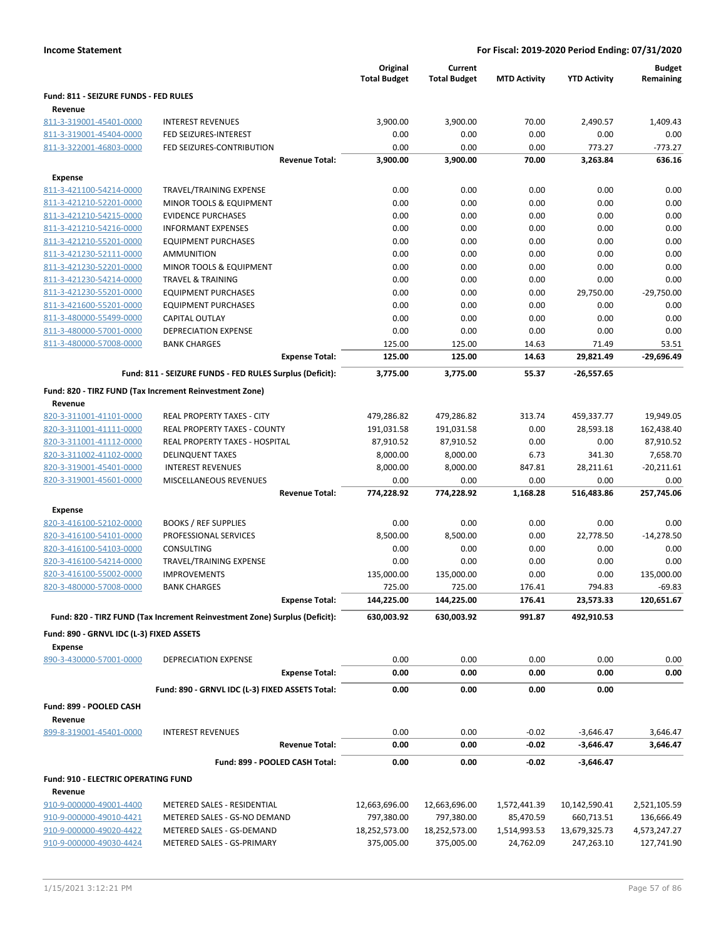|                                                    |                                                                            | Original<br><b>Total Budget</b> | Current<br><b>Total Budget</b> | <b>MTD Activity</b> | <b>YTD Activity</b> | <b>Budget</b><br>Remaining |
|----------------------------------------------------|----------------------------------------------------------------------------|---------------------------------|--------------------------------|---------------------|---------------------|----------------------------|
| Fund: 811 - SEIZURE FUNDS - FED RULES              |                                                                            |                                 |                                |                     |                     |                            |
| Revenue                                            |                                                                            |                                 |                                |                     |                     |                            |
| 811-3-319001-45401-0000                            | <b>INTEREST REVENUES</b>                                                   | 3,900.00                        | 3,900.00                       | 70.00               | 2,490.57            | 1,409.43                   |
| 811-3-319001-45404-0000                            | FED SEIZURES-INTEREST                                                      | 0.00                            | 0.00                           | 0.00                | 0.00                | 0.00                       |
| 811-3-322001-46803-0000                            | FED SEIZURES-CONTRIBUTION                                                  | 0.00                            | 0.00                           | 0.00                | 773.27              | -773.27                    |
|                                                    | <b>Revenue Total:</b>                                                      | 3,900.00                        | 3,900.00                       | 70.00               | 3,263.84            | 636.16                     |
| Expense                                            |                                                                            |                                 |                                |                     |                     |                            |
| 811-3-421100-54214-0000                            | TRAVEL/TRAINING EXPENSE                                                    | 0.00                            | 0.00                           | 0.00                | 0.00                | 0.00                       |
| 811-3-421210-52201-0000                            | <b>MINOR TOOLS &amp; EQUIPMENT</b>                                         | 0.00                            | 0.00                           | 0.00                | 0.00                | 0.00                       |
| 811-3-421210-54215-0000                            | <b>EVIDENCE PURCHASES</b>                                                  | 0.00                            | 0.00                           | 0.00                | 0.00                | 0.00                       |
| 811-3-421210-54216-0000                            | <b>INFORMANT EXPENSES</b>                                                  | 0.00                            | 0.00                           | 0.00                | 0.00                | 0.00                       |
| 811-3-421210-55201-0000                            | <b>EQUIPMENT PURCHASES</b>                                                 | 0.00                            | 0.00                           | 0.00                | 0.00                | 0.00                       |
| 811-3-421230-52111-0000                            | AMMUNITION                                                                 | 0.00                            | 0.00                           | 0.00                | 0.00                | 0.00                       |
| 811-3-421230-52201-0000                            | <b>MINOR TOOLS &amp; EQUIPMENT</b>                                         | 0.00                            | 0.00                           | 0.00                | 0.00                | 0.00                       |
| 811-3-421230-54214-0000                            | TRAVEL & TRAINING                                                          | 0.00                            | 0.00                           | 0.00                | 0.00                | 0.00                       |
| 811-3-421230-55201-0000                            | <b>EQUIPMENT PURCHASES</b>                                                 | 0.00                            | 0.00                           | 0.00                | 29,750.00           | $-29,750.00$               |
| 811-3-421600-55201-0000                            | <b>EQUIPMENT PURCHASES</b>                                                 | 0.00                            | 0.00                           | 0.00                | 0.00                | 0.00                       |
| 811-3-480000-55499-0000                            | <b>CAPITAL OUTLAY</b>                                                      | 0.00                            | 0.00                           | 0.00                | 0.00                | 0.00                       |
| 811-3-480000-57001-0000                            | <b>DEPRECIATION EXPENSE</b>                                                | 0.00                            | 0.00                           | 0.00                | 0.00                | 0.00                       |
| 811-3-480000-57008-0000                            | <b>BANK CHARGES</b>                                                        | 125.00                          | 125.00                         | 14.63               | 71.49               | 53.51                      |
|                                                    | <b>Expense Total:</b>                                                      | 125.00                          | 125.00                         | 14.63               | 29,821.49           | $-29,696.49$               |
|                                                    | Fund: 811 - SEIZURE FUNDS - FED RULES Surplus (Deficit):                   | 3,775.00                        | 3,775.00                       | 55.37               | -26,557.65          |                            |
|                                                    | Fund: 820 - TIRZ FUND (Tax Increment Reinvestment Zone)                    |                                 |                                |                     |                     |                            |
| Revenue                                            |                                                                            |                                 |                                |                     |                     |                            |
| 820-3-311001-41101-0000                            | REAL PROPERTY TAXES - CITY                                                 | 479,286.82                      | 479,286.82                     | 313.74              | 459,337.77          | 19,949.05                  |
| 820-3-311001-41111-0000                            | REAL PROPERTY TAXES - COUNTY                                               | 191,031.58                      | 191,031.58                     | 0.00                | 28,593.18           | 162,438.40                 |
| 820-3-311001-41112-0000                            | REAL PROPERTY TAXES - HOSPITAL                                             | 87,910.52                       | 87,910.52                      | 0.00                | 0.00                | 87,910.52                  |
| 820-3-311002-41102-0000<br>820-3-319001-45401-0000 | <b>DELINQUENT TAXES</b><br><b>INTEREST REVENUES</b>                        | 8,000.00<br>8,000.00            | 8,000.00<br>8,000.00           | 6.73<br>847.81      | 341.30<br>28,211.61 | 7,658.70<br>$-20,211.61$   |
| 820-3-319001-45601-0000                            | MISCELLANEOUS REVENUES                                                     | 0.00                            | 0.00                           | 0.00                | 0.00                | 0.00                       |
|                                                    | <b>Revenue Total:</b>                                                      | 774,228.92                      | 774,228.92                     | 1,168.28            | 516,483.86          | 257,745.06                 |
|                                                    |                                                                            |                                 |                                |                     |                     |                            |
| Expense                                            | <b>BOOKS / REF SUPPLIES</b>                                                | 0.00                            | 0.00                           | 0.00                | 0.00                | 0.00                       |
| 820-3-416100-52102-0000<br>820-3-416100-54101-0000 | PROFESSIONAL SERVICES                                                      | 8,500.00                        | 8,500.00                       | 0.00                | 22,778.50           | $-14,278.50$               |
| 820-3-416100-54103-0000                            | <b>CONSULTING</b>                                                          | 0.00                            | 0.00                           | 0.00                | 0.00                | 0.00                       |
| 820-3-416100-54214-0000                            | TRAVEL/TRAINING EXPENSE                                                    | 0.00                            | 0.00                           | 0.00                | 0.00                | 0.00                       |
| 820-3-416100-55002-0000                            | <b>IMPROVEMENTS</b>                                                        | 135,000.00                      | 135,000.00                     | 0.00                | 0.00                | 135,000.00                 |
| 820-3-480000-57008-0000                            | <b>BANK CHARGES</b>                                                        | 725.00                          | 725.00                         | 176.41              | 794.83              | $-69.83$                   |
|                                                    | <b>Expense Total:</b>                                                      | 144,225.00                      | 144,225.00                     | 176.41              | 23,573.33           | 120,651.67                 |
|                                                    | Fund: 820 - TIRZ FUND (Tax Increment Reinvestment Zone) Surplus (Deficit): | 630,003.92                      | 630,003.92                     | 991.87              | 492,910.53          |                            |
| Fund: 890 - GRNVL IDC (L-3) FIXED ASSETS           |                                                                            |                                 |                                |                     |                     |                            |
| <b>Expense</b>                                     |                                                                            |                                 |                                |                     |                     |                            |
| 890-3-430000-57001-0000                            | DEPRECIATION EXPENSE                                                       | 0.00                            | 0.00                           | 0.00                | 0.00                | 0.00                       |
|                                                    | <b>Expense Total:</b>                                                      | 0.00                            | 0.00                           | 0.00                | 0.00                | 0.00                       |
|                                                    | Fund: 890 - GRNVL IDC (L-3) FIXED ASSETS Total:                            | 0.00                            | 0.00                           | 0.00                | 0.00                |                            |
| Fund: 899 - POOLED CASH                            |                                                                            |                                 |                                |                     |                     |                            |
| Revenue                                            |                                                                            |                                 |                                |                     |                     |                            |
| 899-8-319001-45401-0000                            | <b>INTEREST REVENUES</b>                                                   | 0.00                            | 0.00                           | $-0.02$             | $-3,646.47$         | 3,646.47                   |
|                                                    | <b>Revenue Total:</b>                                                      | 0.00                            | 0.00                           | $-0.02$             | $-3,646.47$         | 3,646.47                   |
|                                                    |                                                                            |                                 |                                |                     |                     |                            |
|                                                    | Fund: 899 - POOLED CASH Total:                                             | 0.00                            | 0.00                           | $-0.02$             | $-3,646.47$         |                            |
| <b>Fund: 910 - ELECTRIC OPERATING FUND</b>         |                                                                            |                                 |                                |                     |                     |                            |
| Revenue                                            |                                                                            |                                 |                                |                     |                     |                            |
| 910-9-000000-49001-4400                            | METERED SALES - RESIDENTIAL                                                | 12,663,696.00                   | 12,663,696.00                  | 1,572,441.39        | 10,142,590.41       | 2,521,105.59               |
| 910-9-000000-49010-4421                            | METERED SALES - GS-NO DEMAND                                               | 797,380.00                      | 797,380.00                     | 85,470.59           | 660,713.51          | 136,666.49                 |
| 910-9-000000-49020-4422                            | METERED SALES - GS-DEMAND                                                  | 18,252,573.00                   | 18,252,573.00                  | 1,514,993.53        | 13,679,325.73       | 4,573,247.27               |
| 910-9-000000-49030-4424                            | METERED SALES - GS-PRIMARY                                                 | 375,005.00                      | 375,005.00                     | 24,762.09           | 247,263.10          | 127,741.90                 |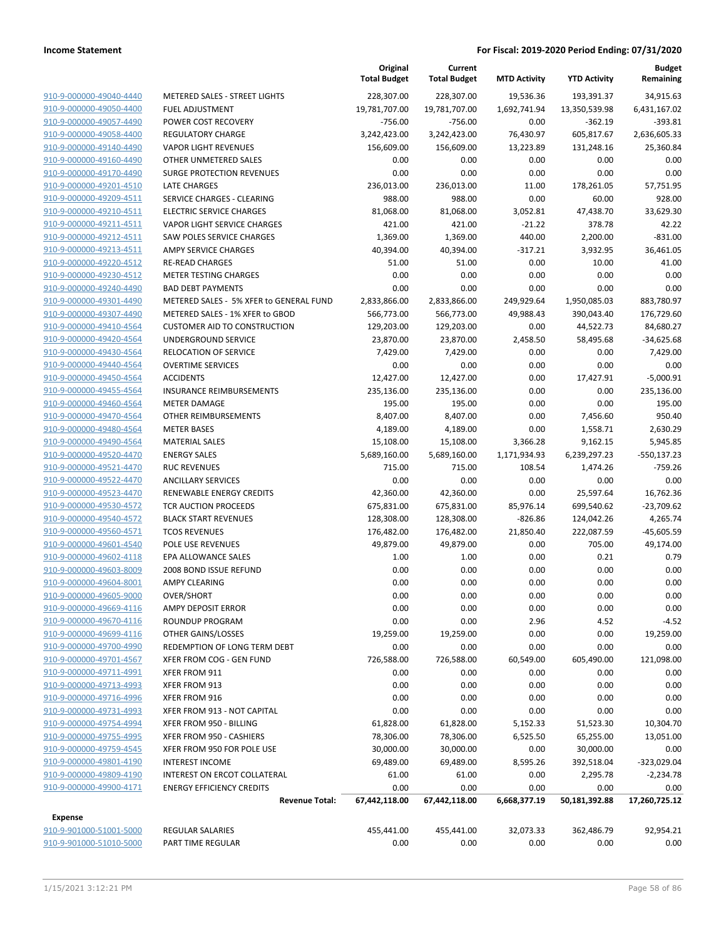|                                                    |                                                                  | Original<br><b>Total Budget</b> | Current<br><b>Total Budget</b> | <b>MTD Activity</b> | <b>YTD Activity</b>   | <b>Budget</b><br>Remaining |
|----------------------------------------------------|------------------------------------------------------------------|---------------------------------|--------------------------------|---------------------|-----------------------|----------------------------|
| 910-9-000000-49040-4440                            | METERED SALES - STREET LIGHTS                                    | 228,307.00                      | 228,307.00                     | 19,536.36           | 193,391.37            | 34,915.63                  |
| 910-9-000000-49050-4400                            | FUEL ADJUSTMENT                                                  | 19,781,707.00                   | 19,781,707.00                  | 1,692,741.94        | 13,350,539.98         | 6,431,167.02               |
| 910-9-000000-49057-4490                            | POWER COST RECOVERY                                              | $-756.00$                       | $-756.00$                      | 0.00                | $-362.19$             | $-393.81$                  |
| 910-9-000000-49058-4400                            | <b>REGULATORY CHARGE</b>                                         | 3,242,423.00                    | 3,242,423.00                   | 76,430.97           | 605,817.67            | 2,636,605.33               |
| 910-9-000000-49140-4490                            | <b>VAPOR LIGHT REVENUES</b>                                      | 156,609.00                      | 156,609.00                     | 13,223.89           | 131,248.16            | 25,360.84                  |
| 910-9-000000-49160-4490                            | OTHER UNMETERED SALES                                            | 0.00                            | 0.00                           | 0.00                | 0.00                  | 0.00                       |
| 910-9-000000-49170-4490                            | SURGE PROTECTION REVENUES                                        | 0.00                            | 0.00                           | 0.00                | 0.00                  | 0.00                       |
| 910-9-000000-49201-4510                            | <b>LATE CHARGES</b>                                              | 236,013.00                      | 236,013.00                     | 11.00               | 178,261.05            | 57,751.95                  |
| 910-9-000000-49209-4511                            | SERVICE CHARGES - CLEARING                                       | 988.00                          | 988.00                         | 0.00                | 60.00                 | 928.00                     |
| 910-9-000000-49210-4511                            | <b>ELECTRIC SERVICE CHARGES</b>                                  | 81,068.00                       | 81,068.00                      | 3,052.81            | 47,438.70             | 33,629.30                  |
| 910-9-000000-49211-4511                            | VAPOR LIGHT SERVICE CHARGES                                      | 421.00                          | 421.00                         | $-21.22$            | 378.78                | 42.22                      |
| 910-9-000000-49212-4511                            | SAW POLES SERVICE CHARGES                                        | 1,369.00                        | 1,369.00                       | 440.00              | 2,200.00              | $-831.00$                  |
| 910-9-000000-49213-4511                            | <b>AMPY SERVICE CHARGES</b>                                      | 40,394.00                       | 40,394.00                      | $-317.21$           | 3,932.95              | 36,461.05                  |
| 910-9-000000-49220-4512                            | <b>RE-READ CHARGES</b>                                           | 51.00                           | 51.00                          | 0.00                | 10.00                 | 41.00                      |
| 910-9-000000-49230-4512                            | <b>METER TESTING CHARGES</b>                                     | 0.00                            | 0.00                           | 0.00                | 0.00                  | 0.00                       |
| 910-9-000000-49240-4490                            | <b>BAD DEBT PAYMENTS</b>                                         | 0.00                            | 0.00                           | 0.00                | 0.00                  | 0.00                       |
| 910-9-000000-49301-4490                            | METERED SALES - 5% XFER to GENERAL FUND                          | 2,833,866.00                    | 2,833,866.00                   | 249,929.64          | 1,950,085.03          | 883,780.97                 |
| 910-9-000000-49307-4490                            | METERED SALES - 1% XFER to GBOD                                  | 566,773.00                      | 566,773.00                     | 49,988.43           | 390,043.40            | 176,729.60                 |
| 910-9-000000-49410-4564                            | <b>CUSTOMER AID TO CONSTRUCTION</b>                              | 129,203.00                      | 129,203.00                     | 0.00                | 44,522.73             | 84,680.27                  |
| 910-9-000000-49420-4564                            | UNDERGROUND SERVICE                                              | 23,870.00                       | 23,870.00                      | 2,458.50            | 58,495.68             | $-34,625.68$               |
| 910-9-000000-49430-4564                            | <b>RELOCATION OF SERVICE</b>                                     | 7,429.00                        | 7,429.00                       | 0.00                | 0.00                  | 7,429.00                   |
| 910-9-000000-49440-4564                            | <b>OVERTIME SERVICES</b>                                         | 0.00                            | 0.00                           | 0.00                | 0.00                  | 0.00                       |
| 910-9-000000-49450-4564                            | <b>ACCIDENTS</b>                                                 | 12,427.00                       | 12,427.00                      | 0.00                | 17,427.91             | $-5,000.91$                |
| 910-9-000000-49455-4564                            | <b>INSURANCE REIMBURSEMENTS</b>                                  | 235,136.00                      | 235,136.00                     | 0.00                | 0.00                  | 235,136.00                 |
| 910-9-000000-49460-4564                            | <b>METER DAMAGE</b>                                              | 195.00                          | 195.00                         | 0.00                | 0.00                  | 195.00                     |
| 910-9-000000-49470-4564                            | OTHER REIMBURSEMENTS                                             | 8,407.00                        | 8,407.00                       | 0.00                | 7,456.60              | 950.40                     |
| 910-9-000000-49480-4564                            | <b>METER BASES</b>                                               | 4,189.00                        | 4,189.00                       | 0.00                | 1,558.71              | 2,630.29                   |
| 910-9-000000-49490-4564                            | <b>MATERIAL SALES</b>                                            | 15,108.00                       | 15,108.00                      | 3,366.28            | 9,162.15              | 5,945.85                   |
| 910-9-000000-49520-4470                            | <b>ENERGY SALES</b>                                              | 5,689,160.00                    | 5,689,160.00                   | 1,171,934.93        | 6,239,297.23          | $-550,137.23$              |
| 910-9-000000-49521-4470                            | <b>RUC REVENUES</b>                                              | 715.00                          | 715.00                         | 108.54              | 1,474.26              | $-759.26$                  |
| 910-9-000000-49522-4470                            | <b>ANCILLARY SERVICES</b>                                        | 0.00                            | 0.00                           | 0.00                | 0.00                  | 0.00                       |
| 910-9-000000-49523-4470                            | RENEWABLE ENERGY CREDITS                                         | 42,360.00                       | 42,360.00                      | 0.00                | 25,597.64             | 16,762.36                  |
| 910-9-000000-49530-4572                            | TCR AUCTION PROCEEDS                                             | 675,831.00                      | 675,831.00                     | 85,976.14           | 699,540.62            | $-23,709.62$               |
| 910-9-000000-49540-4572                            | <b>BLACK START REVENUES</b>                                      | 128,308.00                      | 128,308.00                     | $-826.86$           | 124,042.26            | 4,265.74                   |
| 910-9-000000-49560-4571                            | <b>TCOS REVENUES</b>                                             | 176,482.00                      | 176,482.00                     | 21,850.40           | 222,087.59            | $-45,605.59$               |
| 910-9-000000-49601-4540                            | POLE USE REVENUES                                                | 49,879.00                       | 49,879.00                      | 0.00                | 705.00                | 49,174.00                  |
| 910-9-000000-49602-4118                            | EPA ALLOWANCE SALES                                              | 1.00                            | 1.00                           | 0.00                | 0.21                  | 0.79                       |
| 910-9-000000-49603-8009                            | 2008 BOND ISSUE REFUND                                           | 0.00                            | 0.00                           | 0.00                | 0.00                  | 0.00                       |
| 910-9-000000-49604-8001                            | <b>AMPY CLEARING</b>                                             | 0.00                            | 0.00                           | 0.00                | 0.00                  | 0.00                       |
| 910-9-000000-49605-9000                            | OVER/SHORT                                                       | 0.00                            | 0.00                           | 0.00                | 0.00                  | 0.00                       |
| 910-9-000000-49669-4116                            | AMPY DEPOSIT ERROR                                               | 0.00                            | 0.00                           | 0.00                | 0.00                  | 0.00                       |
| 910-9-000000-49670-4116                            | ROUNDUP PROGRAM                                                  | 0.00                            | 0.00                           | 2.96                | 4.52                  | $-4.52$                    |
| 910-9-000000-49699-4116                            | OTHER GAINS/LOSSES<br>REDEMPTION OF LONG TERM DEBT               | 19,259.00                       | 19,259.00                      | 0.00                | 0.00                  | 19,259.00                  |
| 910-9-000000-49700-4990<br>910-9-000000-49701-4567 | XFER FROM COG - GEN FUND                                         | 0.00<br>726,588.00              | 0.00                           | 0.00<br>60,549.00   | 0.00<br>605,490.00    | 0.00<br>121,098.00         |
| 910-9-000000-49711-4991                            | XFER FROM 911                                                    | 0.00                            | 726,588.00<br>0.00             | 0.00                | 0.00                  | 0.00                       |
|                                                    |                                                                  | 0.00                            |                                |                     |                       | 0.00                       |
| 910-9-000000-49713-4993<br>910-9-000000-49716-4996 | XFER FROM 913<br>XFER FROM 916                                   |                                 | 0.00                           | 0.00                | 0.00                  | 0.00                       |
| 910-9-000000-49731-4993                            | XFER FROM 913 - NOT CAPITAL                                      | 0.00                            | 0.00                           | 0.00                | 0.00                  | 0.00                       |
| 910-9-000000-49754-4994                            |                                                                  | 0.00                            | 0.00                           | 0.00                | 0.00                  | 10,304.70                  |
|                                                    | XFER FROM 950 - BILLING                                          | 61,828.00                       | 61,828.00                      | 5,152.33            | 51,523.30             |                            |
| 910-9-000000-49755-4995                            | XFER FROM 950 - CASHIERS                                         | 78,306.00                       | 78,306.00                      | 6,525.50            | 65,255.00             | 13,051.00                  |
| 910-9-000000-49759-4545                            | XFER FROM 950 FOR POLE USE                                       | 30,000.00                       | 30,000.00                      | 0.00                | 30,000.00             | 0.00                       |
| 910-9-000000-49801-4190<br>910-9-000000-49809-4190 | <b>INTEREST INCOME</b>                                           | 69,489.00                       | 69,489.00                      | 8,595.26            | 392,518.04            | $-323,029.04$              |
| 910-9-000000-49900-4171                            | INTEREST ON ERCOT COLLATERAL<br><b>ENERGY EFFICIENCY CREDITS</b> | 61.00                           | 61.00                          | 0.00                | 2,295.78              | $-2,234.78$<br>0.00        |
|                                                    | <b>Revenue Total:</b>                                            | 0.00<br>67,442,118.00           | 0.00<br>67,442,118.00          | 0.00                | 0.00<br>50,181,392.88 |                            |
|                                                    |                                                                  |                                 |                                | 6,668,377.19        |                       | 17,260,725.12              |
| <b>Expense</b>                                     |                                                                  |                                 |                                |                     |                       |                            |
| 910-9-901000-51001-5000                            | REGULAR SALARIES                                                 | 455,441.00                      | 455,441.00                     | 32,073.33           | 362,486.79            | 92,954.21                  |
| 910-9-901000-51010-5000                            | PART TIME REGULAR                                                | 0.00                            | 0.00                           | 0.00                | 0.00                  | 0.00                       |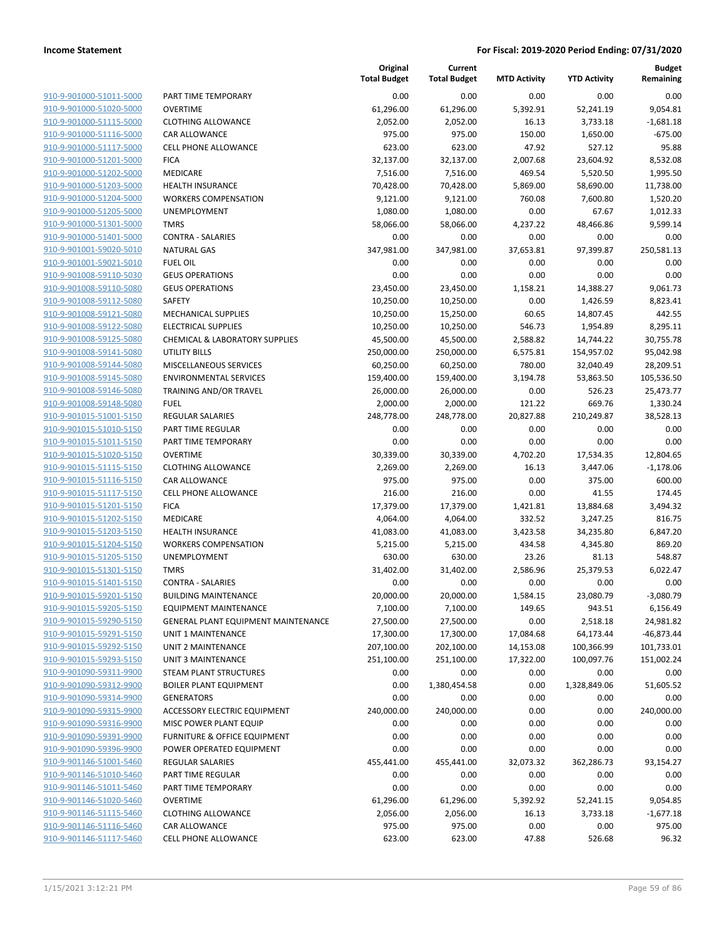| 910-9-901000-51011-5000        |
|--------------------------------|
| 910-9-901000-51020-5000        |
| 910-9-901000-51115-5000        |
| <u>910-9-901000-51116-5000</u> |
| 910-9-901000-51117-5000        |
| 910-9-901000-51201-5000        |
| 910-9-901000-51202-5000        |
| 910-9-901000-51203-5000        |
| 910-9-901000-51204-5000        |
| 910-9-901000-51205-5000        |
| 910-9-901000-51301-5000        |
| 910-9-901000-51401-5000        |
| 910-9-901001-59020-5010        |
| <u>910-9-901001-59021-5010</u> |
| 910-9-901008-59110-5030        |
| 910-9-901008-59110-5080        |
| 910-9-901008-59112-5080        |
| 910-9-901008-59121-5080        |
| <u>910-9-901008-59122-5080</u> |
| 910-9-901008-59125-5080        |
| 910-9-901008-59141-5080        |
| 910-9-901008-59144-5080        |
| 910-9-901008-59145-5080        |
| <u>910-9-901008-59146-5080</u> |
| 910-9-901008-59148-5080        |
| 910-9-901015-51001-5150        |
|                                |
| 910-9-901015-51010-5150        |
| 910-9-901015-51011-5150        |
| 910-9-901015-51020-5150        |
| 910-9-901015-51115-5150        |
| 910-9-901015-51116-5150        |
| 910-9-901015-51117-5150        |
| 910-9-901015-51201-5150        |
| 910-9-901015-51202-5150        |
| 910-9-901015-51203-5150        |
| 910-9-901015-51204-5150        |
| 910-9-901015-51205-5150        |
| 910-9-901015-51301-5150        |
| 910-9-901015-51401-5150        |
| 910-9-901015-59201-5150        |
| 910-9-901015-59205-5150        |
| 910-9-901015-59290-5150        |
| 910-9-901015-59291-5150        |
| 910-9-901015-59292-5150        |
| 910-9-901015-59293-5150        |
| 910-9-901090-59311-9900        |
| 910-9-901090-59312-9900        |
| <u>910-9-901090-59314-9900</u> |
| 910-9-901090-59315-9900        |
| 910-9-901090-59316-9900        |
| 910-9-901090-59391-9900        |
| 910-9-901090-59396-9900        |
| 910-9-901146-51001-5460        |
| <u>910-9-901146-51010-5460</u> |
| 910-9-901146-51011-5460        |
| 910-9-901146-51020-5460        |
| 910-9-901146-51115-5460        |
| 910-9-901146-51116-5460        |
| 910-9-901146-51117-5460        |
|                                |

|                                                    |                                                            | Original<br><b>Total Budget</b> | Current<br><b>Total Budget</b> | <b>MTD Activity</b> | <b>YTD Activity</b>  | <b>Budget</b><br>Remaining |
|----------------------------------------------------|------------------------------------------------------------|---------------------------------|--------------------------------|---------------------|----------------------|----------------------------|
| 910-9-901000-51011-5000                            | PART TIME TEMPORARY                                        | 0.00                            | 0.00                           | 0.00                | 0.00                 | 0.00                       |
| 910-9-901000-51020-5000                            | <b>OVERTIME</b>                                            | 61,296.00                       | 61,296.00                      | 5,392.91            | 52,241.19            | 9,054.81                   |
| 910-9-901000-51115-5000                            | <b>CLOTHING ALLOWANCE</b>                                  | 2,052.00                        | 2,052.00                       | 16.13               | 3,733.18             | $-1,681.18$                |
| 910-9-901000-51116-5000                            | CAR ALLOWANCE                                              | 975.00                          | 975.00                         | 150.00              | 1,650.00             | $-675.00$                  |
| 910-9-901000-51117-5000                            | <b>CELL PHONE ALLOWANCE</b>                                | 623.00                          | 623.00                         | 47.92               | 527.12               | 95.88                      |
| 910-9-901000-51201-5000                            | <b>FICA</b>                                                | 32,137.00                       | 32,137.00                      | 2,007.68            | 23,604.92            | 8,532.08                   |
| 910-9-901000-51202-5000                            | MEDICARE                                                   | 7,516.00                        | 7,516.00                       | 469.54              | 5,520.50             | 1,995.50                   |
| 910-9-901000-51203-5000                            | <b>HEALTH INSURANCE</b>                                    | 70,428.00                       | 70,428.00                      | 5,869.00            | 58,690.00            | 11,738.00                  |
| 910-9-901000-51204-5000                            | <b>WORKERS COMPENSATION</b>                                | 9,121.00                        | 9,121.00                       | 760.08              | 7,600.80             | 1,520.20                   |
| 910-9-901000-51205-5000                            | <b>UNEMPLOYMENT</b>                                        | 1,080.00                        | 1,080.00                       | 0.00                | 67.67                | 1,012.33                   |
| 910-9-901000-51301-5000                            | <b>TMRS</b>                                                | 58,066.00                       | 58,066.00                      | 4,237.22            | 48,466.86            | 9,599.14                   |
| 910-9-901000-51401-5000                            | <b>CONTRA - SALARIES</b>                                   | 0.00                            | 0.00                           | 0.00                | 0.00                 | 0.00                       |
| 910-9-901001-59020-5010                            | <b>NATURAL GAS</b>                                         | 347,981.00                      | 347,981.00                     | 37,653.81           | 97,399.87            | 250,581.13                 |
| 910-9-901001-59021-5010                            | <b>FUEL OIL</b>                                            | 0.00                            | 0.00                           | 0.00                | 0.00                 | 0.00                       |
| 910-9-901008-59110-5030                            | <b>GEUS OPERATIONS</b>                                     | 0.00                            | 0.00                           | 0.00                | 0.00                 | 0.00                       |
| 910-9-901008-59110-5080                            | <b>GEUS OPERATIONS</b>                                     | 23,450.00                       | 23,450.00                      | 1,158.21            | 14,388.27            | 9,061.73                   |
| 910-9-901008-59112-5080                            | SAFETY                                                     | 10,250.00                       | 10,250.00                      | 0.00                | 1,426.59             | 8,823.41                   |
| 910-9-901008-59121-5080                            | MECHANICAL SUPPLIES                                        | 10,250.00                       | 15,250.00                      | 60.65               | 14,807.45            | 442.55                     |
| 910-9-901008-59122-5080                            | <b>ELECTRICAL SUPPLIES</b>                                 | 10,250.00                       | 10,250.00                      | 546.73              | 1,954.89             | 8,295.11                   |
| 910-9-901008-59125-5080                            | CHEMICAL & LABORATORY SUPPLIES                             | 45,500.00                       | 45,500.00                      | 2,588.82            | 14,744.22            | 30,755.78                  |
| 910-9-901008-59141-5080                            | <b>UTILITY BILLS</b>                                       | 250,000.00                      | 250,000.00                     | 6,575.81            | 154,957.02           | 95,042.98                  |
| 910-9-901008-59144-5080                            | MISCELLANEOUS SERVICES                                     | 60,250.00                       | 60,250.00                      | 780.00              | 32,040.49            | 28,209.51                  |
| 910-9-901008-59145-5080                            | <b>ENVIRONMENTAL SERVICES</b>                              | 159,400.00                      | 159,400.00                     | 3,194.78            | 53,863.50            | 105,536.50                 |
| 910-9-901008-59146-5080                            | TRAINING AND/OR TRAVEL                                     | 26,000.00                       | 26,000.00                      | 0.00                | 526.23               | 25,473.77                  |
| 910-9-901008-59148-5080                            | <b>FUEL</b>                                                | 2,000.00                        | 2,000.00                       | 121.22              | 669.76               | 1,330.24                   |
| 910-9-901015-51001-5150                            | <b>REGULAR SALARIES</b>                                    | 248,778.00                      | 248,778.00                     | 20,827.88           | 210,249.87           | 38,528.13                  |
| 910-9-901015-51010-5150                            | PART TIME REGULAR                                          | 0.00                            | 0.00                           | 0.00                | 0.00                 | 0.00                       |
| 910-9-901015-51011-5150                            | PART TIME TEMPORARY                                        | 0.00                            | 0.00                           | 0.00                | 0.00                 | 0.00                       |
| 910-9-901015-51020-5150                            | <b>OVERTIME</b>                                            | 30,339.00                       | 30,339.00                      | 4,702.20            | 17,534.35            | 12,804.65                  |
| 910-9-901015-51115-5150                            | <b>CLOTHING ALLOWANCE</b>                                  | 2,269.00                        | 2,269.00                       | 16.13               | 3,447.06             | $-1,178.06$                |
| 910-9-901015-51116-5150                            | CAR ALLOWANCE                                              | 975.00                          | 975.00                         | 0.00                | 375.00               | 600.00                     |
| 910-9-901015-51117-5150                            | CELL PHONE ALLOWANCE                                       | 216.00                          | 216.00                         | 0.00                | 41.55                | 174.45                     |
| 910-9-901015-51201-5150                            | <b>FICA</b>                                                | 17,379.00                       | 17,379.00                      | 1,421.81            | 13,884.68            | 3,494.32                   |
| 910-9-901015-51202-5150                            | MEDICARE                                                   | 4,064.00                        | 4,064.00                       | 332.52              | 3,247.25             | 816.75                     |
| 910-9-901015-51203-5150                            | <b>HEALTH INSURANCE</b>                                    | 41,083.00                       | 41,083.00                      | 3,423.58            | 34,235.80            | 6,847.20                   |
| 910-9-901015-51204-5150                            | <b>WORKERS COMPENSATION</b>                                | 5,215.00                        | 5,215.00                       | 434.58              | 4,345.80             | 869.20                     |
| 910-9-901015-51205-5150                            | UNEMPLOYMENT                                               | 630.00                          | 630.00                         | 23.26               | 81.13                | 548.87                     |
| 910-9-901015-51301-5150                            | <b>TMRS</b>                                                | 31,402.00                       | 31,402.00                      | 2,586.96            | 25,379.53            | 6,022.47                   |
| 910-9-901015-51401-5150                            | <b>CONTRA - SALARIES</b>                                   | 0.00                            | 0.00                           | 0.00                | 0.00                 | 0.00                       |
| 910-9-901015-59201-5150                            | <b>BUILDING MAINTENANCE</b>                                | 20,000.00                       | 20,000.00                      | 1,584.15            | 23,080.79            | $-3,080.79$                |
| 910-9-901015-59205-5150                            | <b>EQUIPMENT MAINTENANCE</b>                               | 7,100.00                        | 7,100.00                       | 149.65              | 943.51               | 6,156.49                   |
| 910-9-901015-59290-5150                            | <b>GENERAL PLANT EQUIPMENT MAINTENANCE</b>                 | 27,500.00                       | 27,500.00                      | 0.00                | 2,518.18             | 24,981.82                  |
| 910-9-901015-59291-5150                            | UNIT 1 MAINTENANCE                                         | 17,300.00                       | 17,300.00                      | 17,084.68           | 64,173.44            | $-46,873.44$               |
| 910-9-901015-59292-5150<br>910-9-901015-59293-5150 | UNIT 2 MAINTENANCE                                         | 207,100.00                      | 202,100.00<br>251,100.00       | 14,153.08           | 100,366.99           | 101,733.01                 |
| 910-9-901090-59311-9900                            | <b>UNIT 3 MAINTENANCE</b><br><b>STEAM PLANT STRUCTURES</b> | 251,100.00<br>0.00              | 0.00                           | 17,322.00<br>0.00   | 100,097.76<br>0.00   | 151,002.24<br>0.00         |
| 910-9-901090-59312-9900                            |                                                            |                                 | 1,380,454.58                   |                     |                      |                            |
| 910-9-901090-59314-9900                            | <b>BOILER PLANT EQUIPMENT</b><br><b>GENERATORS</b>         | 0.00<br>0.00                    | 0.00                           | 0.00<br>0.00        | 1,328,849.06<br>0.00 | 51,605.52<br>0.00          |
| 910-9-901090-59315-9900                            | <b>ACCESSORY ELECTRIC EQUIPMENT</b>                        | 240,000.00                      | 240,000.00                     | 0.00                | 0.00                 | 240,000.00                 |
| 910-9-901090-59316-9900                            | MISC POWER PLANT EQUIP                                     | 0.00                            | 0.00                           | 0.00                | 0.00                 | 0.00                       |
| 910-9-901090-59391-9900                            | <b>FURNITURE &amp; OFFICE EQUIPMENT</b>                    | 0.00                            | 0.00                           | 0.00                | 0.00                 | 0.00                       |
| 910-9-901090-59396-9900                            | POWER OPERATED EQUIPMENT                                   | 0.00                            | 0.00                           | 0.00                | 0.00                 | 0.00                       |
|                                                    |                                                            |                                 |                                |                     |                      |                            |
| 910-9-901146-51001-5460<br>910-9-901146-51010-5460 | REGULAR SALARIES<br>PART TIME REGULAR                      | 455,441.00<br>0.00              | 455,441.00<br>0.00             | 32,073.32<br>0.00   | 362,286.73<br>0.00   | 93,154.27<br>0.00          |
| 910-9-901146-51011-5460                            | PART TIME TEMPORARY                                        | 0.00                            | 0.00                           | 0.00                | 0.00                 | 0.00                       |
| 910-9-901146-51020-5460                            | <b>OVERTIME</b>                                            | 61,296.00                       | 61,296.00                      | 5,392.92            | 52,241.15            | 9,054.85                   |
| 910-9-901146-51115-5460                            | <b>CLOTHING ALLOWANCE</b>                                  | 2,056.00                        | 2,056.00                       | 16.13               | 3,733.18             | $-1,677.18$                |
| 910-9-901146-51116-5460                            | CAR ALLOWANCE                                              | 975.00                          | 975.00                         | 0.00                | 0.00                 | 975.00                     |
| 910-9-901146-51117-5460                            | <b>CELL PHONE ALLOWANCE</b>                                | 623.00                          | 623.00                         | 47.88               | 526.68               | 96.32                      |
|                                                    |                                                            |                                 |                                |                     |                      |                            |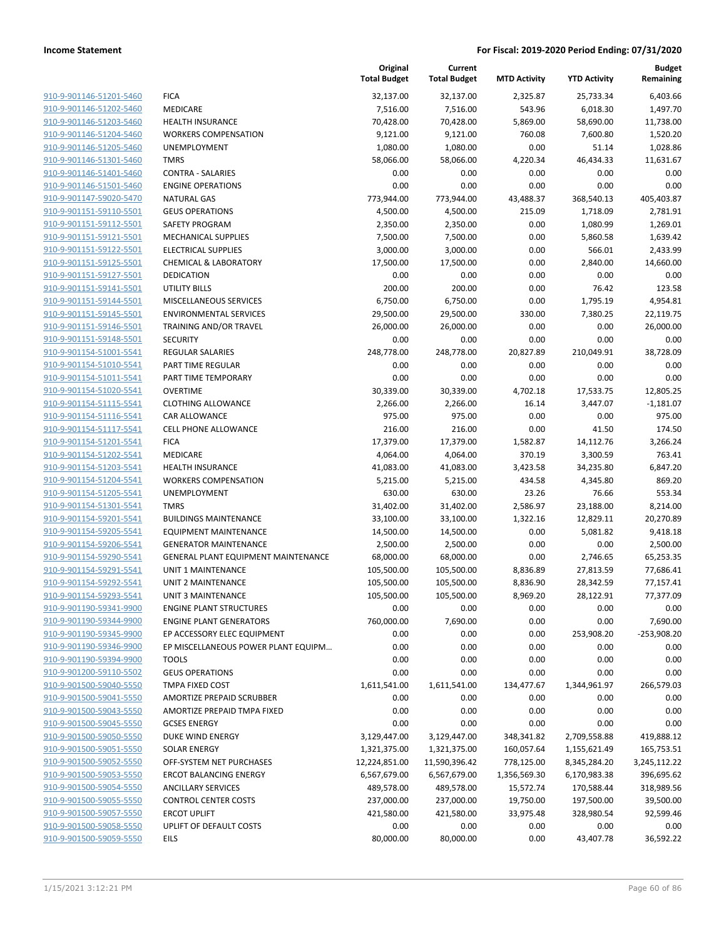|                         |                                     | Original<br><b>Total Budget</b> | Current<br><b>Total Budget</b> | <b>MTD Activity</b> | <b>YTD Activity</b> | <b>Budget</b><br>Remaining |
|-------------------------|-------------------------------------|---------------------------------|--------------------------------|---------------------|---------------------|----------------------------|
| 910-9-901146-51201-5460 | <b>FICA</b>                         | 32,137.00                       | 32,137.00                      | 2,325.87            | 25,733.34           | 6,403.66                   |
| 910-9-901146-51202-5460 | MEDICARE                            | 7,516.00                        | 7,516.00                       | 543.96              | 6,018.30            | 1,497.70                   |
| 910-9-901146-51203-5460 | <b>HEALTH INSURANCE</b>             | 70,428.00                       | 70,428.00                      | 5,869.00            | 58,690.00           | 11,738.00                  |
| 910-9-901146-51204-5460 | <b>WORKERS COMPENSATION</b>         | 9,121.00                        | 9,121.00                       | 760.08              | 7,600.80            | 1,520.20                   |
| 910-9-901146-51205-5460 | <b>UNEMPLOYMENT</b>                 | 1,080.00                        | 1,080.00                       | 0.00                | 51.14               | 1,028.86                   |
| 910-9-901146-51301-5460 | <b>TMRS</b>                         | 58,066.00                       | 58,066.00                      | 4,220.34            | 46,434.33           | 11,631.67                  |
| 910-9-901146-51401-5460 | <b>CONTRA - SALARIES</b>            | 0.00                            | 0.00                           | 0.00                | 0.00                | 0.00                       |
| 910-9-901146-51501-5460 | <b>ENGINE OPERATIONS</b>            | 0.00                            | 0.00                           | 0.00                | 0.00                | 0.00                       |
| 910-9-901147-59020-5470 | <b>NATURAL GAS</b>                  | 773,944.00                      | 773,944.00                     | 43,488.37           | 368,540.13          | 405,403.87                 |
| 910-9-901151-59110-5501 | <b>GEUS OPERATIONS</b>              | 4,500.00                        | 4,500.00                       | 215.09              | 1,718.09            | 2,781.91                   |
| 910-9-901151-59112-5501 | <b>SAFETY PROGRAM</b>               | 2,350.00                        | 2,350.00                       | 0.00                | 1,080.99            | 1,269.01                   |
| 910-9-901151-59121-5501 | <b>MECHANICAL SUPPLIES</b>          | 7,500.00                        | 7,500.00                       | 0.00                | 5,860.58            | 1,639.42                   |
| 910-9-901151-59122-5501 | <b>ELECTRICAL SUPPLIES</b>          | 3,000.00                        | 3,000.00                       | 0.00                | 566.01              | 2,433.99                   |
| 910-9-901151-59125-5501 | <b>CHEMICAL &amp; LABORATORY</b>    | 17,500.00                       | 17,500.00                      | 0.00                | 2,840.00            | 14,660.00                  |
| 910-9-901151-59127-5501 | <b>DEDICATION</b>                   | 0.00                            | 0.00                           | 0.00                | 0.00                | 0.00                       |
| 910-9-901151-59141-5501 | UTILITY BILLS                       | 200.00                          | 200.00                         | 0.00                | 76.42               | 123.58                     |
| 910-9-901151-59144-5501 | MISCELLANEOUS SERVICES              | 6,750.00                        | 6,750.00                       | 0.00                | 1,795.19            | 4,954.81                   |
| 910-9-901151-59145-5501 | <b>ENVIRONMENTAL SERVICES</b>       | 29,500.00                       | 29,500.00                      | 330.00              | 7,380.25            | 22,119.75                  |
| 910-9-901151-59146-5501 | TRAINING AND/OR TRAVEL              | 26,000.00                       | 26,000.00                      | 0.00                | 0.00                | 26,000.00                  |
| 910-9-901151-59148-5501 | <b>SECURITY</b>                     | 0.00                            | 0.00                           | 0.00                | 0.00                | 0.00                       |
| 910-9-901154-51001-5541 | REGULAR SALARIES                    | 248,778.00                      | 248,778.00                     | 20,827.89           | 210,049.91          | 38,728.09                  |
| 910-9-901154-51010-5541 | PART TIME REGULAR                   | 0.00                            | 0.00                           | 0.00                | 0.00                | 0.00                       |
| 910-9-901154-51011-5541 | PART TIME TEMPORARY                 | 0.00                            | 0.00                           | 0.00                | 0.00                | 0.00                       |
| 910-9-901154-51020-5541 | <b>OVERTIME</b>                     | 30,339.00                       | 30,339.00                      | 4,702.18            | 17,533.75           | 12,805.25                  |
| 910-9-901154-51115-5541 | <b>CLOTHING ALLOWANCE</b>           | 2,266.00                        | 2,266.00                       | 16.14               | 3,447.07            | $-1,181.07$                |
| 910-9-901154-51116-5541 | CAR ALLOWANCE                       | 975.00                          | 975.00                         | 0.00                | 0.00                | 975.00                     |
| 910-9-901154-51117-5541 | <b>CELL PHONE ALLOWANCE</b>         | 216.00                          | 216.00                         | 0.00                | 41.50               | 174.50                     |
| 910-9-901154-51201-5541 | <b>FICA</b>                         | 17,379.00                       | 17,379.00                      | 1,582.87            | 14,112.76           | 3,266.24                   |
| 910-9-901154-51202-5541 | MEDICARE                            | 4,064.00                        | 4,064.00                       | 370.19              | 3,300.59            | 763.41                     |
| 910-9-901154-51203-5541 | <b>HEALTH INSURANCE</b>             | 41,083.00                       | 41,083.00                      | 3,423.58            | 34,235.80           | 6,847.20                   |
| 910-9-901154-51204-5541 | <b>WORKERS COMPENSATION</b>         | 5,215.00                        | 5,215.00                       | 434.58              | 4,345.80            | 869.20                     |
| 910-9-901154-51205-5541 | UNEMPLOYMENT                        | 630.00                          | 630.00                         | 23.26               | 76.66               | 553.34                     |
| 910-9-901154-51301-5541 | <b>TMRS</b>                         | 31,402.00                       | 31,402.00                      | 2,586.97            | 23,188.00           | 8,214.00                   |
| 910-9-901154-59201-5541 | <b>BUILDINGS MAINTENANCE</b>        | 33,100.00                       | 33,100.00                      | 1,322.16            | 12,829.11           | 20,270.89                  |
| 910-9-901154-59205-5541 | <b>EQUIPMENT MAINTENANCE</b>        | 14,500.00                       | 14,500.00                      | 0.00                | 5,081.82            | 9,418.18                   |
| 910-9-901154-59206-5541 | <b>GENERATOR MAINTENANCE</b>        | 2,500.00                        | 2,500.00                       | 0.00                | 0.00                | 2,500.00                   |
| 910-9-901154-59290-5541 | GENERAL PLANT EQUIPMENT MAINTENANCE | 68,000.00                       | 68,000.00                      | 0.00                | 2,746.65            | 65,253.35                  |
| 910-9-901154-59291-5541 | <b>UNIT 1 MAINTENANCE</b>           | 105,500.00                      | 105,500.00                     | 8,836.89            | 27,813.59           | 77,686.41                  |
| 910-9-901154-59292-5541 | UNIT 2 MAINTENANCE                  | 105,500.00                      | 105,500.00                     | 8,836.90            | 28,342.59           | 77,157.41                  |
| 910-9-901154-59293-5541 | UNIT 3 MAINTENANCE                  | 105,500.00                      | 105,500.00                     | 8,969.20            | 28,122.91           | 77,377.09                  |
| 910-9-901190-59341-9900 | <b>ENGINE PLANT STRUCTURES</b>      | 0.00                            | 0.00                           | 0.00                | 0.00                | 0.00                       |
| 910-9-901190-59344-9900 | <b>ENGINE PLANT GENERATORS</b>      | 760,000.00                      | 7,690.00                       | 0.00                | 0.00                | 7,690.00                   |
| 910-9-901190-59345-9900 | EP ACCESSORY ELEC EQUIPMENT         | 0.00                            | 0.00                           | 0.00                | 253,908.20          | -253,908.20                |
| 910-9-901190-59346-9900 | EP MISCELLANEOUS POWER PLANT EQUIPM | 0.00                            | 0.00                           | 0.00                | 0.00                | 0.00                       |
| 910-9-901190-59394-9900 | <b>TOOLS</b>                        | 0.00                            | 0.00                           | 0.00                | 0.00                | 0.00                       |
| 910-9-901200-59110-5502 | <b>GEUS OPERATIONS</b>              | 0.00                            | 0.00                           | 0.00                | 0.00                | 0.00                       |
| 910-9-901500-59040-5550 | TMPA FIXED COST                     | 1,611,541.00                    | 1,611,541.00                   | 134,477.67          | 1,344,961.97        | 266,579.03                 |
| 910-9-901500-59041-5550 | AMORTIZE PREPAID SCRUBBER           | 0.00                            | 0.00                           | 0.00                | 0.00                | 0.00                       |
| 910-9-901500-59043-5550 | AMORTIZE PREPAID TMPA FIXED         | 0.00                            | 0.00                           | 0.00                | 0.00                | 0.00                       |
| 910-9-901500-59045-5550 | <b>GCSES ENERGY</b>                 | 0.00                            | 0.00                           | 0.00                | 0.00                | 0.00                       |
| 910-9-901500-59050-5550 | <b>DUKE WIND ENERGY</b>             | 3,129,447.00                    | 3,129,447.00                   | 348,341.82          | 2,709,558.88        | 419,888.12                 |
| 910-9-901500-59051-5550 | <b>SOLAR ENERGY</b>                 | 1,321,375.00                    | 1,321,375.00                   | 160,057.64          | 1,155,621.49        | 165,753.51                 |
| 910-9-901500-59052-5550 | OFF-SYSTEM NET PURCHASES            | 12,224,851.00                   | 11,590,396.42                  | 778,125.00          | 8,345,284.20        | 3,245,112.22               |
| 910-9-901500-59053-5550 | <b>ERCOT BALANCING ENERGY</b>       | 6,567,679.00                    | 6,567,679.00                   | 1,356,569.30        | 6,170,983.38        | 396,695.62                 |
| 910-9-901500-59054-5550 | <b>ANCILLARY SERVICES</b>           | 489,578.00                      | 489,578.00                     | 15,572.74           | 170,588.44          | 318,989.56                 |
| 910-9-901500-59055-5550 | <b>CONTROL CENTER COSTS</b>         | 237,000.00                      | 237,000.00                     | 19,750.00           | 197,500.00          | 39,500.00                  |
| 910-9-901500-59057-5550 | <b>ERCOT UPLIFT</b>                 | 421,580.00                      | 421,580.00                     | 33,975.48           | 328,980.54          | 92,599.46                  |
| 910-9-901500-59058-5550 | UPLIFT OF DEFAULT COSTS             | 0.00                            | 0.00                           | 0.00                | 0.00                | 0.00                       |
| 910-9-901500-59059-5550 | <b>EILS</b>                         | 80,000.00                       | 80,000.00                      | 0.00                | 43,407.78           | 36,592.22                  |
|                         |                                     |                                 |                                |                     |                     |                            |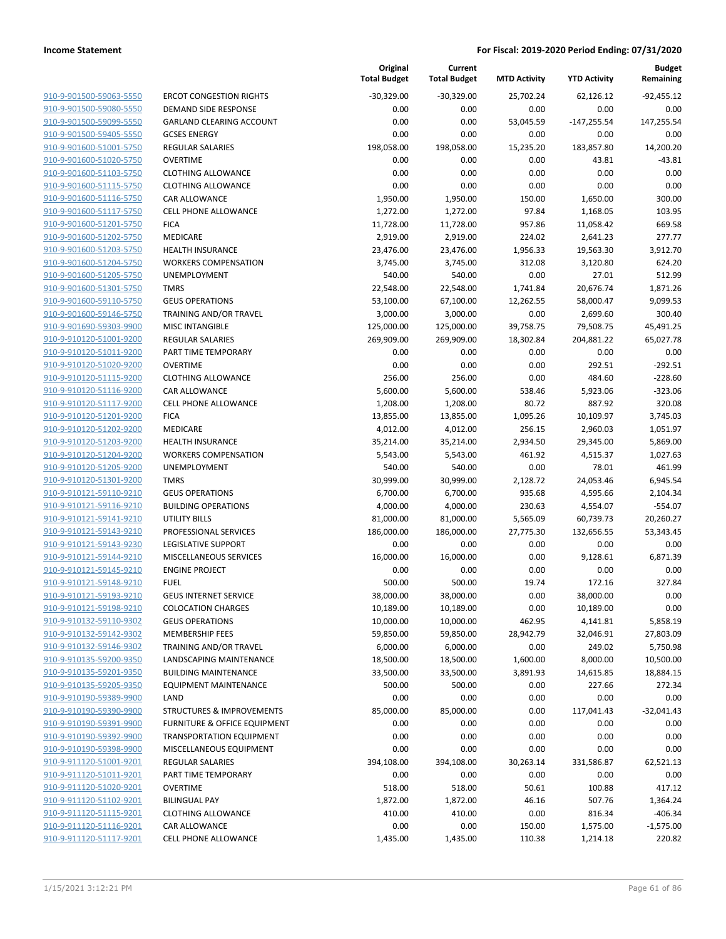| 910-9-901500-59063-5550        | E |
|--------------------------------|---|
| 910-9-901500-59080-5550        | C |
| 910-9-901500-59099-5550        | C |
| 910-9-901500-59405-5550        | c |
| 910-9-901600-51001-5750        | F |
| 910-9-901600-51020-5750        | C |
| 910-9-901600-51103-5750        | C |
| 910-9-901600-51115-5750        | C |
| 910-9-901600-51116-5750        | C |
| 910-9-901600-51117-5750        | C |
| 910-9-901600-51201-5750        | F |
| 910-9-901600-51202-5750        | Ŋ |
| 910-9-901600-51203-5750        | ŀ |
| 910-9-901600-51204-5750        | ١ |
| 910-9-901600-51205-5750        | ι |
| 910-9-901600-51301-5750        | T |
| 910-9-901600-59110-5750        | c |
| 910-9-901600-59146-5750        | T |
| <u>910-9-901690-59303-9900</u> | Ν |
| 910-9-910120-51001-9200        | F |
| 910-9-910120-51011-9200        | F |
| 910-9-910120-51020-9200        | C |
| 910-9-910120-51115-9200        | C |
| 910-9-910120-51116-9200        | C |
|                                | C |
| 910-9-910120-51117-9200        | F |
| 910-9-910120-51201-9200        |   |
| 910-9-910120-51202-9200        | Ņ |
| 910-9-910120-51203-9200        | ŀ |
| 910-9-910120-51204-9200        | ١ |
| 910-9-910120-51205-9200        | ι |
| 910-9-910120-51301-9200        | ı |
| 910-9-910121-59110-9210        | c |
| 910-9-910121-59116-9210        | Ε |
| 910-9-910121-59141-9210        | ι |
| 910-9-910121-59143-9210        | P |
| 910-9-910121-59143-9230        | L |
| 910-9-910121-59144-9210        | Ņ |
| 910-9-910121-59145-9210        | E |
| 910-9-910121-59148-9210        | F |
| 910-9-910121-59193-9210        | C |
| 910-9-910121-59198-9210        | C |
| 910-9-910132-59110-9302        | c |
| 910-9-910132-59142-9302        | ٨ |
| 910-9-910132-59146-9302        | ı |
| 910-9-910135-59200-9350        | L |
| 910-9-910135-59201-9350        | E |
| 910-9-910135-59205-9350        | Е |
| 910-9-910190-59389-9900        | L |
| 910-9-910190-59390-9900        | S |
| 910-9-910190-59391-9900        | F |
| 910-9-910190-59392-9900        | ı |
| 910-9-910190-59398-9900        | ٨ |
|                                |   |
| <u>910-9-911120-51001-9201</u> | F |
| <u>910-9-911120-51011-9201</u> | F |
| 910-9-911120-51020-9201        | c |
| 910-9-911120-51102-9201        | E |
| 910-9-911120-51115-9201        | c |
| 910-9-911120-51116-9201        | c |
| 910-9-911120-51117-9201        | c |
|                                |   |

|                                                 | Total B      |
|-------------------------------------------------|--------------|
| <b>RCOT CONGESTION RIGHTS</b>                   | $-30,3$      |
| <b>DEMAND SIDE RESPONSE</b>                     |              |
| GARLAND CLEARING ACCOUNT                        |              |
| <b>GCSES ENERGY</b>                             |              |
| REGULAR SALARIES                                | 198,0        |
| <b>DVERTIME</b>                                 |              |
| LLOTHING ALLOWANCE                              |              |
| LOTHING ALLOWANCE                               |              |
| CAR ALLOWANCE<br><b>CELL PHONE ALLOWANCE</b>    | 1,9<br>1,2   |
| <b>ICA</b>                                      | 11,7         |
| MEDICARE                                        | 2,9          |
| <b>IEALTH INSURANCE</b>                         | 23,4         |
| <b><i>NORKERS COMPENSATION</i></b>              | 3,7          |
| JNEMPLOYMENT                                    | 5            |
| <b>MRS</b>                                      | 22,5         |
| <b>GEUS OPERATIONS</b>                          | 53,1         |
| RAINING AND/OR TRAVEL                           | 3,0          |
| <b>MISC INTANGIBLE</b>                          | 125,0        |
| <b>REGULAR SALARIES</b>                         | 269,9        |
| <b>PART TIME TEMPORARY</b>                      |              |
| <b>DVERTIME</b>                                 |              |
| <b>LOTHING ALLOWANCE</b>                        | 2            |
| CAR ALLOWANCE                                   | 5,6          |
| <b>CELL PHONE ALLOWANCE</b>                     | 1,2          |
| <b>ICA</b>                                      | 13,8         |
| MEDICARE<br><b>IEALTH INSURANCE</b>             | 4,0<br>35,2  |
| <b><i>NORKERS COMPENSATION</i></b>              | 5,5          |
| JNEMPLOYMENT                                    | 5            |
| <b>MRS</b>                                      | 30,9         |
| <b>GEUS OPERATIONS</b>                          | 6,7          |
| <b>BUILDING OPERATIONS</b>                      | 4,0          |
| JTILITY BILLS                                   | 81,0         |
| <b>PROFESSIONAL SERVICES</b>                    | 186,0        |
| <b>EGISLATIVE SUPPORT</b>                       |              |
| <b>MISCELLANEOUS SERVICES</b>                   | 16,0         |
| NGINE PROJECT                                   |              |
| <b>UEL</b>                                      | 5            |
| <b>GEUS INTERNET SERVICE</b>                    | 38,0         |
| COLOCATION CHARGES                              | 10,1         |
| SEUS OPERATIONS                                 | 10,0         |
| <b>MEMBERSHIP FEES</b>                          | 59,8         |
| RAINING AND/OR TRAVEL<br>ANDSCAPING MAINTENANCE | 6,0          |
| <b>BUILDING MAINTENANCE</b>                     | 18,5<br>33,5 |
| QUIPMENT MAINTENANCE                            | 5            |
| AND.                                            |              |
| TRUCTURES & IMPROVEMENTS                        | 85,0         |
| URNITURE & OFFICE EQUIPMENT                     |              |
| <b>RANSPORTATION EQUIPMENT</b>                  |              |
| <b>MISCELLANEOUS EQUIPMENT</b>                  |              |
| REGULAR SALARIES                                | 394,1        |
| <b>PART TIME TEMPORARY</b>                      |              |
| <b>DVERTIME</b>                                 | 5            |
| BILINGUAL PAY                                   | 1,8          |
| LLOTHING ALLOWANCE                              | 4            |
| CAR ALLOWANCE                                   |              |
| <b>ELL PHONE ALLOWANCE</b>                      | 1,4          |

|                                                    |                                                     | Original<br><b>Total Budget</b> | Current<br><b>Total Budget</b> | <b>MTD Activity</b> | <b>YTD Activity</b> | <b>Budget</b><br>Remaining |
|----------------------------------------------------|-----------------------------------------------------|---------------------------------|--------------------------------|---------------------|---------------------|----------------------------|
| 910-9-901500-59063-5550                            | <b>ERCOT CONGESTION RIGHTS</b>                      | $-30,329.00$                    | $-30,329.00$                   | 25,702.24           | 62,126.12           | $-92.455.12$               |
| 910-9-901500-59080-5550                            | DEMAND SIDE RESPONSE                                | 0.00                            | 0.00                           | 0.00                | 0.00                | 0.00                       |
| 910-9-901500-59099-5550                            | <b>GARLAND CLEARING ACCOUNT</b>                     | 0.00                            | 0.00                           | 53,045.59           | $-147,255.54$       | 147,255.54                 |
| 910-9-901500-59405-5550                            | <b>GCSES ENERGY</b>                                 | 0.00                            | 0.00                           | 0.00                | 0.00                | 0.00                       |
| 910-9-901600-51001-5750                            | <b>REGULAR SALARIES</b>                             | 198,058.00                      | 198,058.00                     | 15,235.20           | 183,857.80          | 14,200.20                  |
| 910-9-901600-51020-5750                            | <b>OVERTIME</b>                                     | 0.00                            | 0.00                           | 0.00                | 43.81               | $-43.81$                   |
| 910-9-901600-51103-5750                            | <b>CLOTHING ALLOWANCE</b>                           | 0.00                            | 0.00                           | 0.00                | 0.00                | 0.00                       |
| 910-9-901600-51115-5750                            | <b>CLOTHING ALLOWANCE</b>                           | 0.00                            | 0.00                           | 0.00                | 0.00                | 0.00                       |
| 910-9-901600-51116-5750                            | <b>CAR ALLOWANCE</b>                                | 1,950.00                        | 1,950.00                       | 150.00              | 1,650.00            | 300.00                     |
| 910-9-901600-51117-5750                            | <b>CELL PHONE ALLOWANCE</b>                         | 1,272.00                        | 1,272.00                       | 97.84               | 1,168.05            | 103.95                     |
| 910-9-901600-51201-5750                            | <b>FICA</b>                                         | 11,728.00                       | 11,728.00                      | 957.86              | 11,058.42           | 669.58                     |
| 910-9-901600-51202-5750                            | MEDICARE                                            | 2,919.00                        | 2,919.00                       | 224.02              | 2,641.23            | 277.77                     |
| 910-9-901600-51203-5750                            | <b>HEALTH INSURANCE</b>                             | 23,476.00                       | 23,476.00                      | 1,956.33            | 19,563.30           | 3,912.70                   |
| 910-9-901600-51204-5750                            | <b>WORKERS COMPENSATION</b>                         | 3,745.00                        | 3,745.00                       | 312.08              | 3,120.80            | 624.20                     |
| 910-9-901600-51205-5750                            | UNEMPLOYMENT                                        | 540.00                          | 540.00                         | 0.00                | 27.01               | 512.99                     |
| 910-9-901600-51301-5750                            | <b>TMRS</b>                                         | 22,548.00                       | 22,548.00                      | 1,741.84            | 20,676.74           | 1,871.26                   |
| 910-9-901600-59110-5750                            | <b>GEUS OPERATIONS</b>                              | 53,100.00                       | 67,100.00                      | 12,262.55           | 58,000.47           | 9,099.53                   |
| 910-9-901600-59146-5750                            | TRAINING AND/OR TRAVEL                              | 3,000.00                        | 3,000.00                       | 0.00                | 2,699.60            | 300.40                     |
| 910-9-901690-59303-9900                            | <b>MISC INTANGIBLE</b>                              | 125,000.00                      | 125,000.00                     | 39,758.75           | 79,508.75           | 45,491.25                  |
| 910-9-910120-51001-9200                            | <b>REGULAR SALARIES</b>                             | 269,909.00                      | 269,909.00                     | 18,302.84           | 204,881.22          | 65,027.78                  |
| 910-9-910120-51011-9200                            | PART TIME TEMPORARY                                 | 0.00                            | 0.00                           | 0.00                | 0.00                | 0.00                       |
| 910-9-910120-51020-9200                            | <b>OVERTIME</b>                                     | 0.00                            | 0.00                           | 0.00                | 292.51              | $-292.51$                  |
| 910-9-910120-51115-9200                            | <b>CLOTHING ALLOWANCE</b>                           | 256.00                          | 256.00                         | 0.00                | 484.60              | $-228.60$                  |
| 910-9-910120-51116-9200                            | <b>CAR ALLOWANCE</b>                                | 5,600.00                        | 5,600.00                       | 538.46              | 5,923.06            | $-323.06$                  |
| 910-9-910120-51117-9200                            | <b>CELL PHONE ALLOWANCE</b>                         | 1,208.00                        | 1,208.00                       | 80.72               | 887.92              | 320.08                     |
| 910-9-910120-51201-9200                            | <b>FICA</b>                                         | 13,855.00                       | 13,855.00                      | 1,095.26            | 10,109.97           | 3,745.03                   |
| 910-9-910120-51202-9200                            | MEDICARE                                            | 4,012.00                        | 4,012.00                       | 256.15              | 2,960.03            | 1,051.97                   |
| 910-9-910120-51203-9200                            | <b>HEALTH INSURANCE</b>                             | 35,214.00                       | 35,214.00                      | 2,934.50            | 29,345.00           | 5,869.00                   |
| 910-9-910120-51204-9200                            | <b>WORKERS COMPENSATION</b>                         | 5,543.00                        | 5,543.00                       | 461.92              | 4,515.37            | 1,027.63                   |
| 910-9-910120-51205-9200                            | UNEMPLOYMENT                                        | 540.00                          | 540.00                         | 0.00                | 78.01               | 461.99                     |
| 910-9-910120-51301-9200                            | <b>TMRS</b>                                         | 30,999.00                       | 30,999.00                      | 2,128.72            | 24,053.46           | 6,945.54                   |
| 910-9-910121-59110-9210                            | <b>GEUS OPERATIONS</b>                              | 6,700.00                        | 6,700.00                       | 935.68              | 4,595.66            | 2,104.34                   |
| 910-9-910121-59116-9210                            | <b>BUILDING OPERATIONS</b>                          | 4,000.00                        | 4,000.00                       | 230.63              | 4,554.07            | $-554.07$                  |
| 910-9-910121-59141-9210                            | <b>UTILITY BILLS</b>                                | 81,000.00                       | 81,000.00                      | 5,565.09            | 60,739.73           | 20,260.27                  |
| 910-9-910121-59143-9210<br>910-9-910121-59143-9230 | PROFESSIONAL SERVICES<br><b>LEGISLATIVE SUPPORT</b> | 186,000.00<br>0.00              | 186,000.00<br>0.00             | 27,775.30<br>0.00   | 132,656.55<br>0.00  | 53,343.45<br>0.00          |
| 910-9-910121-59144-9210                            | <b>MISCELLANEOUS SERVICES</b>                       | 16,000.00                       | 16,000.00                      | 0.00                | 9,128.61            | 6,871.39                   |
| 910-9-910121-59145-9210                            | <b>ENGINE PROJECT</b>                               | 0.00                            | 0.00                           | 0.00                | 0.00                | 0.00                       |
| 910-9-910121-59148-9210                            | <b>FUEL</b>                                         | 500.00                          | 500.00                         | 19.74               | 172.16              | 327.84                     |
| 910-9-910121-59193-9210                            | <b>GEUS INTERNET SERVICE</b>                        | 38,000.00                       | 38,000.00                      | 0.00                | 38,000.00           | 0.00                       |
| 910-9-910121-59198-9210                            | <b>COLOCATION CHARGES</b>                           | 10,189.00                       | 10,189.00                      | 0.00                | 10,189.00           | 0.00                       |
| 910-9-910132-59110-9302                            | <b>GEUS OPERATIONS</b>                              | 10,000.00                       | 10,000.00                      | 462.95              | 4,141.81            | 5,858.19                   |
| 910-9-910132-59142-9302                            | <b>MEMBERSHIP FEES</b>                              | 59,850.00                       | 59,850.00                      | 28,942.79           | 32,046.91           | 27,803.09                  |
| 910-9-910132-59146-9302                            | <b>TRAINING AND/OR TRAVEL</b>                       | 6,000.00                        | 6,000.00                       | 0.00                | 249.02              | 5,750.98                   |
| 910-9-910135-59200-9350                            | LANDSCAPING MAINTENANCE                             | 18,500.00                       | 18,500.00                      | 1,600.00            | 8,000.00            | 10,500.00                  |
| 910-9-910135-59201-9350                            | <b>BUILDING MAINTENANCE</b>                         | 33,500.00                       | 33,500.00                      | 3,891.93            | 14,615.85           | 18,884.15                  |
| 910-9-910135-59205-9350                            | <b>EQUIPMENT MAINTENANCE</b>                        | 500.00                          | 500.00                         | 0.00                | 227.66              | 272.34                     |
| 910-9-910190-59389-9900                            | LAND                                                | 0.00                            | 0.00                           | 0.00                | 0.00                | 0.00                       |
| 910-9-910190-59390-9900                            | <b>STRUCTURES &amp; IMPROVEMENTS</b>                | 85,000.00                       | 85,000.00                      | 0.00                | 117,041.43          | $-32,041.43$               |
| 910-9-910190-59391-9900                            | FURNITURE & OFFICE EQUIPMENT                        | 0.00                            | 0.00                           | 0.00                | 0.00                | 0.00                       |
| 910-9-910190-59392-9900                            | <b>TRANSPORTATION EQUIPMENT</b>                     | 0.00                            | 0.00                           | 0.00                | 0.00                | 0.00                       |
| 910-9-910190-59398-9900                            | MISCELLANEOUS EQUIPMENT                             | 0.00                            | 0.00                           | 0.00                | 0.00                | 0.00                       |
| 910-9-911120-51001-9201                            | <b>REGULAR SALARIES</b>                             | 394,108.00                      | 394,108.00                     | 30,263.14           | 331,586.87          | 62,521.13                  |
| 910-9-911120-51011-9201                            | PART TIME TEMPORARY                                 | 0.00                            | 0.00                           | 0.00                | 0.00                | 0.00                       |
| 910-9-911120-51020-9201                            | <b>OVERTIME</b>                                     | 518.00                          | 518.00                         | 50.61               | 100.88              | 417.12                     |
| 910-9-911120-51102-9201                            | <b>BILINGUAL PAY</b>                                | 1,872.00                        | 1,872.00                       | 46.16               | 507.76              | 1,364.24                   |
| 910-9-911120-51115-9201                            | <b>CLOTHING ALLOWANCE</b>                           | 410.00                          | 410.00                         | 0.00                | 816.34              | $-406.34$                  |
| 910-9-911120-51116-9201                            | <b>CAR ALLOWANCE</b>                                | 0.00                            | 0.00                           | 150.00              | 1,575.00            | $-1,575.00$                |
| 910-9-911120-51117-9201                            | <b>CELL PHONE ALLOWANCE</b>                         | 1,435.00                        | 1,435.00                       | 110.38              | 1,214.18            | 220.82                     |
|                                                    |                                                     |                                 |                                |                     |                     |                            |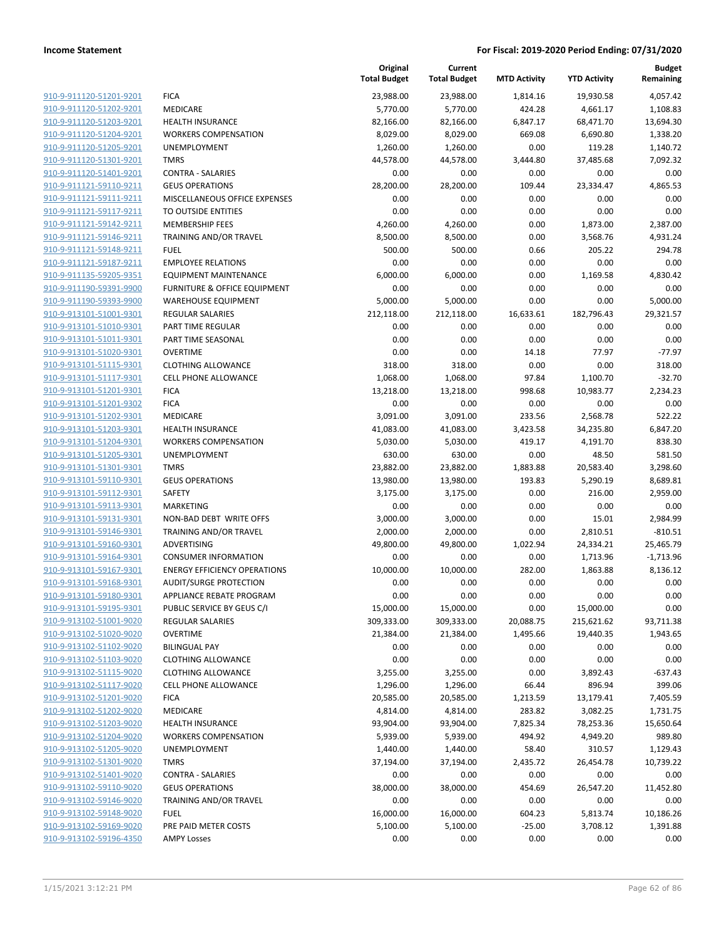|                                                    |                                             | Original<br><b>Total Budget</b> | Current<br><b>Total Budget</b> | <b>MTD Activity</b> | <b>YTD Activity</b> | <b>Budget</b><br>Remaining |
|----------------------------------------------------|---------------------------------------------|---------------------------------|--------------------------------|---------------------|---------------------|----------------------------|
| 910-9-911120-51201-9201                            | <b>FICA</b>                                 | 23,988.00                       | 23,988.00                      | 1,814.16            | 19,930.58           | 4,057.42                   |
| 910-9-911120-51202-9201                            | MEDICARE                                    | 5,770.00                        | 5,770.00                       | 424.28              | 4,661.17            | 1,108.83                   |
| 910-9-911120-51203-9201                            | <b>HEALTH INSURANCE</b>                     | 82,166.00                       | 82,166.00                      | 6,847.17            | 68,471.70           | 13,694.30                  |
| 910-9-911120-51204-9201                            | <b>WORKERS COMPENSATION</b>                 | 8,029.00                        | 8,029.00                       | 669.08              | 6,690.80            | 1,338.20                   |
| 910-9-911120-51205-9201                            | UNEMPLOYMENT                                | 1,260.00                        | 1,260.00                       | 0.00                | 119.28              | 1,140.72                   |
| 910-9-911120-51301-9201                            | <b>TMRS</b>                                 | 44,578.00                       | 44,578.00                      | 3,444.80            | 37,485.68           | 7,092.32                   |
| 910-9-911120-51401-9201                            | <b>CONTRA - SALARIES</b>                    | 0.00                            | 0.00                           | 0.00                | 0.00                | 0.00                       |
| 910-9-911121-59110-9211                            | <b>GEUS OPERATIONS</b>                      | 28,200.00                       | 28,200.00                      | 109.44              | 23,334.47           | 4,865.53                   |
| 910-9-911121-59111-9211                            | MISCELLANEOUS OFFICE EXPENSES               | 0.00                            | 0.00                           | 0.00                | 0.00                | 0.00                       |
| 910-9-911121-59117-9211                            | TO OUTSIDE ENTITIES                         | 0.00                            | 0.00                           | 0.00                | 0.00                | 0.00                       |
| 910-9-911121-59142-9211                            | <b>MEMBERSHIP FEES</b>                      | 4,260.00                        | 4,260.00                       | 0.00                | 1,873.00            | 2,387.00                   |
| 910-9-911121-59146-9211                            | TRAINING AND/OR TRAVEL                      | 8,500.00                        | 8,500.00                       | 0.00                | 3,568.76            | 4,931.24                   |
| 910-9-911121-59148-9211                            | <b>FUEL</b>                                 | 500.00                          | 500.00                         | 0.66                | 205.22              | 294.78                     |
| 910-9-911121-59187-9211                            | <b>EMPLOYEE RELATIONS</b>                   | 0.00                            | 0.00                           | 0.00                | 0.00                | 0.00                       |
| 910-9-911135-59205-9351                            | <b>EQUIPMENT MAINTENANCE</b>                | 6,000.00                        | 6,000.00                       | 0.00                | 1,169.58            | 4,830.42                   |
| 910-9-911190-59391-9900                            | FURNITURE & OFFICE EQUIPMENT                | 0.00                            | 0.00                           | 0.00                | 0.00                | 0.00                       |
| 910-9-911190-59393-9900                            | <b>WAREHOUSE EQUIPMENT</b>                  | 5,000.00                        | 5,000.00                       | 0.00                | 0.00                | 5,000.00                   |
| 910-9-913101-51001-9301                            | <b>REGULAR SALARIES</b>                     | 212,118.00                      | 212,118.00                     | 16,633.61           | 182,796.43          | 29,321.57                  |
| 910-9-913101-51010-9301                            | <b>PART TIME REGULAR</b>                    | 0.00                            | 0.00                           | 0.00                | 0.00                | 0.00                       |
| 910-9-913101-51011-9301                            | PART TIME SEASONAL                          | 0.00                            | 0.00                           | 0.00                | 0.00                | 0.00                       |
| 910-9-913101-51020-9301                            | <b>OVERTIME</b>                             | 0.00                            | 0.00                           | 14.18               | 77.97               | $-77.97$                   |
| 910-9-913101-51115-9301                            | <b>CLOTHING ALLOWANCE</b>                   | 318.00                          | 318.00                         | 0.00                | 0.00                | 318.00                     |
| 910-9-913101-51117-9301                            | <b>CELL PHONE ALLOWANCE</b>                 | 1,068.00                        | 1,068.00                       | 97.84               | 1,100.70            | $-32.70$                   |
| 910-9-913101-51201-9301                            | <b>FICA</b>                                 | 13,218.00                       | 13,218.00                      | 998.68              | 10,983.77           | 2,234.23                   |
| 910-9-913101-51201-9302                            | <b>FICA</b>                                 | 0.00                            | 0.00                           | 0.00                | 0.00                | 0.00                       |
| 910-9-913101-51202-9301                            | MEDICARE                                    | 3,091.00                        | 3,091.00                       | 233.56              | 2,568.78            | 522.22                     |
| 910-9-913101-51203-9301                            | <b>HEALTH INSURANCE</b>                     | 41,083.00                       | 41,083.00                      | 3,423.58            | 34,235.80           | 6,847.20                   |
| 910-9-913101-51204-9301                            | <b>WORKERS COMPENSATION</b>                 | 5,030.00                        | 5,030.00                       | 419.17              | 4,191.70            | 838.30                     |
| 910-9-913101-51205-9301                            | UNEMPLOYMENT                                | 630.00                          | 630.00                         | 0.00                | 48.50               | 581.50                     |
| 910-9-913101-51301-9301                            | <b>TMRS</b>                                 | 23,882.00                       | 23,882.00                      | 1,883.88            | 20,583.40           | 3,298.60                   |
| 910-9-913101-59110-9301                            | <b>GEUS OPERATIONS</b>                      | 13,980.00                       | 13,980.00                      | 193.83              | 5,290.19            | 8,689.81                   |
| 910-9-913101-59112-9301                            | SAFETY                                      | 3,175.00                        | 3,175.00                       | 0.00                | 216.00              | 2,959.00                   |
| 910-9-913101-59113-9301<br>910-9-913101-59131-9301 | <b>MARKETING</b><br>NON-BAD DEBT WRITE OFFS | 0.00                            | 0.00<br>3,000.00               | 0.00<br>0.00        | 0.00<br>15.01       | 0.00                       |
| 910-9-913101-59146-9301                            | <b>TRAINING AND/OR TRAVEL</b>               | 3,000.00<br>2,000.00            | 2,000.00                       | 0.00                | 2,810.51            | 2,984.99<br>$-810.51$      |
| 910-9-913101-59160-9301                            | ADVERTISING                                 | 49,800.00                       | 49,800.00                      | 1,022.94            | 24,334.21           | 25,465.79                  |
| 910-9-913101-59164-9301                            | <b>CONSUMER INFORMATION</b>                 | 0.00                            | 0.00                           | 0.00                | 1,713.96            | $-1,713.96$                |
| 910-9-913101-59167-9301                            | <b>ENERGY EFFICIENCY OPERATIONS</b>         | 10,000.00                       | 10,000.00                      | 282.00              | 1,863.88            | 8,136.12                   |
| 910-9-913101-59168-9301                            | <b>AUDIT/SURGE PROTECTION</b>               | 0.00                            | 0.00                           | 0.00                | 0.00                | 0.00                       |
| 910-9-913101-59180-9301                            | APPLIANCE REBATE PROGRAM                    | 0.00                            | 0.00                           | 0.00                | 0.00                | 0.00                       |
| 910-9-913101-59195-9301                            | PUBLIC SERVICE BY GEUS C/I                  | 15,000.00                       | 15,000.00                      | 0.00                | 15,000.00           | 0.00                       |
| 910-9-913102-51001-9020                            | <b>REGULAR SALARIES</b>                     | 309,333.00                      | 309,333.00                     | 20,088.75           | 215,621.62          | 93,711.38                  |
| 910-9-913102-51020-9020                            | <b>OVERTIME</b>                             | 21,384.00                       | 21,384.00                      | 1,495.66            | 19,440.35           | 1,943.65                   |
| 910-9-913102-51102-9020                            | <b>BILINGUAL PAY</b>                        | 0.00                            | 0.00                           | 0.00                | 0.00                | 0.00                       |
| 910-9-913102-51103-9020                            | <b>CLOTHING ALLOWANCE</b>                   | 0.00                            | 0.00                           | 0.00                | 0.00                | 0.00                       |
| 910-9-913102-51115-9020                            | <b>CLOTHING ALLOWANCE</b>                   | 3,255.00                        | 3,255.00                       | 0.00                | 3,892.43            | $-637.43$                  |
| 910-9-913102-51117-9020                            | <b>CELL PHONE ALLOWANCE</b>                 | 1,296.00                        | 1,296.00                       | 66.44               | 896.94              | 399.06                     |
| 910-9-913102-51201-9020                            | <b>FICA</b>                                 | 20,585.00                       | 20,585.00                      | 1,213.59            | 13,179.41           | 7,405.59                   |
| 910-9-913102-51202-9020                            | MEDICARE                                    | 4,814.00                        | 4,814.00                       | 283.82              | 3,082.25            | 1,731.75                   |
| 910-9-913102-51203-9020                            | <b>HEALTH INSURANCE</b>                     | 93,904.00                       | 93,904.00                      | 7,825.34            | 78,253.36           | 15,650.64                  |
| 910-9-913102-51204-9020                            | <b>WORKERS COMPENSATION</b>                 | 5,939.00                        | 5,939.00                       | 494.92              | 4,949.20            | 989.80                     |
| 910-9-913102-51205-9020                            | UNEMPLOYMENT                                | 1,440.00                        | 1,440.00                       | 58.40               | 310.57              | 1,129.43                   |
| 910-9-913102-51301-9020                            | <b>TMRS</b>                                 | 37,194.00                       | 37,194.00                      | 2,435.72            | 26,454.78           | 10,739.22                  |
| 910-9-913102-51401-9020                            | <b>CONTRA - SALARIES</b>                    | 0.00                            | 0.00                           | 0.00                | 0.00                | 0.00                       |
| 910-9-913102-59110-9020                            | <b>GEUS OPERATIONS</b>                      | 38,000.00                       | 38,000.00                      | 454.69              | 26,547.20           | 11,452.80                  |
| 910-9-913102-59146-9020                            | TRAINING AND/OR TRAVEL                      | 0.00                            | 0.00                           | 0.00                | 0.00                | 0.00                       |
| 910-9-913102-59148-9020                            | <b>FUEL</b>                                 | 16,000.00                       | 16,000.00                      | 604.23              | 5,813.74            | 10,186.26                  |
| 910-9-913102-59169-9020                            | PRE PAID METER COSTS                        | 5,100.00                        | 5,100.00                       | $-25.00$            | 3,708.12            | 1,391.88                   |
| 910-9-913102-59196-4350                            | <b>AMPY Losses</b>                          | 0.00                            | 0.00                           | 0.00                | 0.00                | 0.00                       |
|                                                    |                                             |                                 |                                |                     |                     |                            |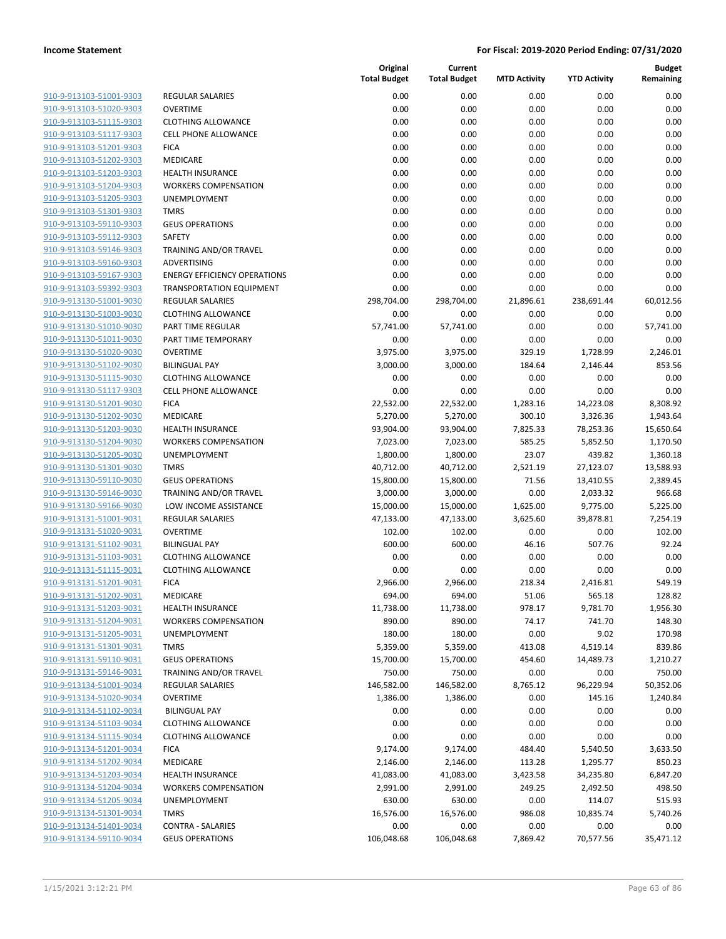| 910-9-913103-51001-9303        |
|--------------------------------|
| 910-9-913103-51020-9303        |
| <u>910-9-913103-51115-9303</u> |
| 910-9-913103-51117-9303        |
| 910-9-913103-51201<br>-9303    |
| 910-9-913103-51202-9303        |
| 910-9-913103-51203-9303        |
| <u>910-9-913103-51204-9303</u> |
| 910-9-913103-51205-9303        |
| 910-9-913103-51301<br>-9303    |
| 910-9-913103-59110-9303        |
| 910-9-913103-59112-9303        |
| <u>910-9-913103-59146-9303</u> |
| 910-9-913103-59160-9303        |
| 910-9-913103-59167-9303        |
| 910-9-913103-59392-9303        |
| 910-9-913130-51001-9030        |
| <u>910-9-913130-51003-9030</u> |
| 910-9-913130-51010-9030        |
| 910-9-913130-51011<br>-9030    |
| 910-9-913130-51020-9030        |
| 910-9-913130-51102-9030        |
| 910-9-913130-51115-9030        |
| 910-9-913130-51117-9303        |
| 910-9-913130-51201<br>-9030    |
| 910-9-913130-51202-9030        |
| 910-9-913130-51203-9030        |
| <u>910-9-913130-51204-9030</u> |
| 910-9-913130-51205-9030        |
| 910-9-913130-51301<br>-9030    |
| 910-9-913130-59110-9030        |
| 910-9-913130-59146-9030        |
| <u>910-9-913130-59166-9030</u> |
| 910-9-913131-51001-9031        |
| 910-9-913131-51020-9031        |
| 910-9-913131-51102-9031        |
| 910-9-913131-51103-9031        |
| <u>910-9-913131-51115-9031</u> |
| 910-9-913131-51201-9031        |
| 910-9-913131-<br>51202-9031    |
| 910-9-913131-51203-9031        |
| 910-9-913131-51204-9031        |
| <u>910-9-913131-51205-9031</u> |
| 910-9-913131-51301-9031        |
| 910-9-913131-59110-9031        |
| 910-9-913131-59146-9031        |
| 910-9-913134-51001-9034        |
| <u>910-9-913134-51020-9034</u> |
| 910-9-913134-51102-9034        |
| 910-9-913134-51103-9034        |
| 910-9-913134-51115-9034        |
| 910-9-913134-51201-9034        |
| 910-9-913134-51202-9034        |
| 910-9-913134-51203-9034        |
| 910-9-913134-51204-9034        |
| 910-9-913134-51205-9034        |
| 910-9-913134-51301-9034        |
| <u>910-9-913134-51401-9034</u> |
| 910-9-913134-59110-9034        |
|                                |

|                                                    |                                                        | Original<br><b>Total Budget</b> | Current<br><b>Total Budget</b> | <b>MTD Activity</b> | <b>YTD Activity</b> | <b>Budget</b><br>Remaining |
|----------------------------------------------------|--------------------------------------------------------|---------------------------------|--------------------------------|---------------------|---------------------|----------------------------|
| 910-9-913103-51001-9303                            | <b>REGULAR SALARIES</b>                                | 0.00                            | 0.00                           | 0.00                | 0.00                | 0.00                       |
| 910-9-913103-51020-9303                            | <b>OVERTIME</b>                                        | 0.00                            | 0.00                           | 0.00                | 0.00                | 0.00                       |
| 910-9-913103-51115-9303                            | <b>CLOTHING ALLOWANCE</b>                              | 0.00                            | 0.00                           | 0.00                | 0.00                | 0.00                       |
| 910-9-913103-51117-9303                            | <b>CELL PHONE ALLOWANCE</b>                            | 0.00                            | 0.00                           | 0.00                | 0.00                | 0.00                       |
| 910-9-913103-51201-9303                            | <b>FICA</b>                                            | 0.00                            | 0.00                           | 0.00                | 0.00                | 0.00                       |
| 910-9-913103-51202-9303                            | MEDICARE                                               | 0.00                            | 0.00                           | 0.00                | 0.00                | 0.00                       |
| 910-9-913103-51203-9303                            | HEALTH INSURANCE                                       | 0.00                            | 0.00                           | 0.00                | 0.00                | 0.00                       |
| 910-9-913103-51204-9303                            | <b>WORKERS COMPENSATION</b>                            | 0.00                            | 0.00                           | 0.00                | 0.00                | 0.00                       |
| 910-9-913103-51205-9303                            | <b>UNEMPLOYMENT</b>                                    | 0.00                            | 0.00                           | 0.00                | 0.00                | 0.00                       |
| 910-9-913103-51301-9303                            | <b>TMRS</b>                                            | 0.00                            | 0.00                           | 0.00                | 0.00                | 0.00                       |
| 910-9-913103-59110-9303                            | <b>GEUS OPERATIONS</b>                                 | 0.00                            | 0.00                           | 0.00                | 0.00                | 0.00                       |
| 910-9-913103-59112-9303                            | SAFETY                                                 | 0.00                            | 0.00                           | 0.00                | 0.00                | 0.00                       |
| 910-9-913103-59146-9303                            | TRAINING AND/OR TRAVEL                                 | 0.00                            | 0.00                           | 0.00                | 0.00                | 0.00                       |
| 910-9-913103-59160-9303                            | ADVERTISING                                            | 0.00                            | 0.00                           | 0.00                | 0.00                | 0.00                       |
| 910-9-913103-59167-9303                            | <b>ENERGY EFFICIENCY OPERATIONS</b>                    | 0.00                            | 0.00                           | 0.00                | 0.00                | 0.00                       |
| 910-9-913103-59392-9303                            | <b>TRANSPORTATION EQUIPMENT</b>                        | 0.00                            | 0.00                           | 0.00                | 0.00                | 0.00                       |
| 910-9-913130-51001-9030                            | <b>REGULAR SALARIES</b>                                | 298,704.00                      | 298,704.00                     | 21,896.61           | 238,691.44          | 60,012.56                  |
| 910-9-913130-51003-9030                            | <b>CLOTHING ALLOWANCE</b>                              | 0.00                            | 0.00                           | 0.00                | 0.00                | 0.00                       |
| 910-9-913130-51010-9030                            | PART TIME REGULAR                                      | 57,741.00                       | 57,741.00                      | 0.00                | 0.00                | 57,741.00                  |
| 910-9-913130-51011-9030                            | PART TIME TEMPORARY                                    | 0.00                            | 0.00                           | 0.00                | 0.00                | 0.00                       |
| 910-9-913130-51020-9030                            | <b>OVERTIME</b>                                        | 3,975.00                        | 3,975.00                       | 329.19              | 1,728.99            | 2,246.01                   |
| 910-9-913130-51102-9030                            | <b>BILINGUAL PAY</b>                                   | 3,000.00                        | 3,000.00                       | 184.64              | 2,146.44            | 853.56                     |
| 910-9-913130-51115-9030                            | <b>CLOTHING ALLOWANCE</b>                              | 0.00                            | 0.00                           | 0.00                | 0.00                | 0.00                       |
| 910-9-913130-51117-9303                            | <b>CELL PHONE ALLOWANCE</b>                            | 0.00                            | 0.00                           | 0.00                | 0.00                | 0.00                       |
| 910-9-913130-51201-9030                            | <b>FICA</b>                                            | 22,532.00                       | 22,532.00                      | 1,283.16            | 14,223.08           | 8,308.92                   |
| 910-9-913130-51202-9030                            | MEDICARE                                               | 5,270.00                        | 5,270.00                       | 300.10              | 3,326.36            | 1,943.64                   |
| 910-9-913130-51203-9030                            | HEALTH INSURANCE                                       | 93,904.00                       | 93,904.00                      | 7,825.33            | 78,253.36           | 15,650.64                  |
| 910-9-913130-51204-9030                            | <b>WORKERS COMPENSATION</b>                            | 7,023.00                        | 7,023.00                       | 585.25              | 5,852.50            | 1,170.50                   |
| 910-9-913130-51205-9030                            | UNEMPLOYMENT                                           | 1,800.00                        | 1,800.00                       | 23.07               | 439.82              | 1,360.18                   |
| 910-9-913130-51301-9030                            | <b>TMRS</b>                                            | 40,712.00                       | 40,712.00                      | 2,521.19            | 27,123.07           | 13,588.93                  |
| 910-9-913130-59110-9030                            | <b>GEUS OPERATIONS</b>                                 | 15,800.00                       | 15,800.00                      | 71.56               | 13,410.55           | 2,389.45                   |
| 910-9-913130-59146-9030                            | TRAINING AND/OR TRAVEL                                 | 3,000.00                        | 3,000.00                       | 0.00                | 2,033.32            | 966.68                     |
| 910-9-913130-59166-9030<br>910-9-913131-51001-9031 | LOW INCOME ASSISTANCE                                  | 15,000.00                       | 15,000.00                      | 1,625.00            | 9,775.00            | 5,225.00                   |
| 910-9-913131-51020-9031                            | <b>REGULAR SALARIES</b><br><b>OVERTIME</b>             | 47,133.00<br>102.00             | 47,133.00<br>102.00            | 3,625.60<br>0.00    | 39,878.81<br>0.00   | 7,254.19<br>102.00         |
|                                                    |                                                        |                                 |                                |                     |                     |                            |
| 910-9-913131-51102-9031                            | <b>BILINGUAL PAY</b>                                   | 600.00                          | 600.00                         | 46.16               | 507.76              | 92.24                      |
| 910-9-913131-51103-9031<br>910-9-913131-51115-9031 | <b>CLOTHING ALLOWANCE</b><br><b>CLOTHING ALLOWANCE</b> | 0.00                            | 0.00                           | 0.00                | 0.00                | 0.00<br>0.00               |
| 910-9-913131-51201-9031                            | <b>FICA</b>                                            | 0.00                            | 0.00                           | 0.00<br>218.34      | 0.00                | 549.19                     |
| 910-9-913131-51202-9031                            | <b>MEDICARE</b>                                        | 2,966.00<br>694.00              | 2,966.00<br>694.00             | 51.06               | 2,416.81<br>565.18  | 128.82                     |
| 910-9-913131-51203-9031                            | <b>HEALTH INSURANCE</b>                                | 11,738.00                       | 11,738.00                      | 978.17              | 9,781.70            | 1,956.30                   |
| 910-9-913131-51204-9031                            | <b>WORKERS COMPENSATION</b>                            | 890.00                          | 890.00                         | 74.17               | 741.70              | 148.30                     |
| 910-9-913131-51205-9031                            | UNEMPLOYMENT                                           | 180.00                          | 180.00                         | 0.00                | 9.02                | 170.98                     |
| 910-9-913131-51301-9031                            | <b>TMRS</b>                                            | 5,359.00                        | 5,359.00                       | 413.08              | 4,519.14            | 839.86                     |
| 910-9-913131-59110-9031                            | <b>GEUS OPERATIONS</b>                                 | 15,700.00                       | 15,700.00                      | 454.60              | 14,489.73           | 1,210.27                   |
| 910-9-913131-59146-9031                            | TRAINING AND/OR TRAVEL                                 | 750.00                          | 750.00                         | 0.00                | 0.00                | 750.00                     |
| 910-9-913134-51001-9034                            | <b>REGULAR SALARIES</b>                                | 146,582.00                      | 146,582.00                     | 8,765.12            | 96,229.94           | 50,352.06                  |
| 910-9-913134-51020-9034                            | <b>OVERTIME</b>                                        | 1,386.00                        | 1,386.00                       | 0.00                | 145.16              | 1,240.84                   |
| 910-9-913134-51102-9034                            | <b>BILINGUAL PAY</b>                                   | 0.00                            | 0.00                           | 0.00                | 0.00                | 0.00                       |
| 910-9-913134-51103-9034                            | <b>CLOTHING ALLOWANCE</b>                              | 0.00                            | 0.00                           | 0.00                | 0.00                | 0.00                       |
| 910-9-913134-51115-9034                            | <b>CLOTHING ALLOWANCE</b>                              | 0.00                            | 0.00                           | 0.00                | 0.00                | 0.00                       |
| 910-9-913134-51201-9034                            | <b>FICA</b>                                            | 9,174.00                        | 9,174.00                       | 484.40              | 5,540.50            | 3,633.50                   |
| 910-9-913134-51202-9034                            | MEDICARE                                               | 2,146.00                        | 2,146.00                       | 113.28              | 1,295.77            | 850.23                     |
| 910-9-913134-51203-9034                            | <b>HEALTH INSURANCE</b>                                | 41,083.00                       | 41,083.00                      | 3,423.58            | 34,235.80           | 6,847.20                   |
| 910-9-913134-51204-9034                            | <b>WORKERS COMPENSATION</b>                            | 2,991.00                        | 2,991.00                       | 249.25              | 2,492.50            | 498.50                     |
| 910-9-913134-51205-9034                            | UNEMPLOYMENT                                           | 630.00                          | 630.00                         | 0.00                | 114.07              | 515.93                     |
| 910-9-913134-51301-9034                            | <b>TMRS</b>                                            | 16,576.00                       | 16,576.00                      | 986.08              | 10,835.74           | 5,740.26                   |
| 910-9-913134-51401-9034                            | <b>CONTRA - SALARIES</b>                               | 0.00                            | 0.00                           | 0.00                | 0.00                | 0.00                       |
| 910-9-913134-59110-9034                            | <b>GEUS OPERATIONS</b>                                 | 106,048.68                      | 106,048.68                     | 7,869.42            | 70,577.56           | 35,471.12                  |
|                                                    |                                                        |                                 |                                |                     |                     |                            |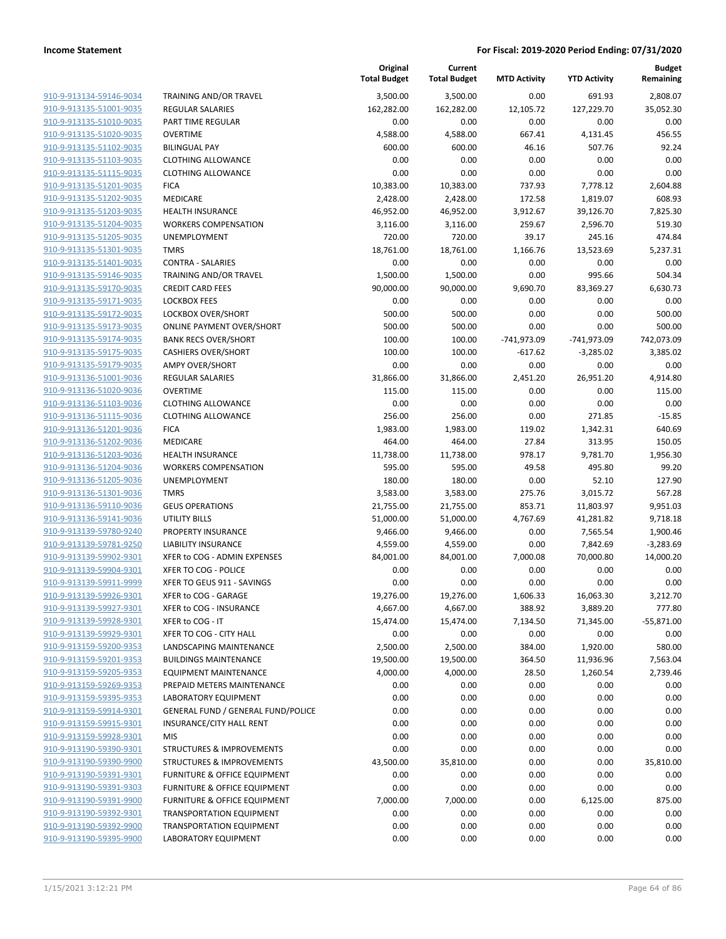**Budget Remaining**

**MTD Activity YTD Activity**

**Current**

**Original**

| 910-9-913134-59146-9034        |
|--------------------------------|
| 910-9-913135-51001-9035        |
| 910-9-913135-51010-9035        |
| 910-9-913135-51020-9035        |
| <u>910-9-913135-51102-9035</u> |
| 910-9-913135-51103-9035        |
| 910-9-913135-51115-9035        |
| 910-9-913135-51201-9035        |
| 910-9-913135-51202-9035        |
| <u>910-9-913135-51203-9035</u> |
| 910-9-913135-51204-9035        |
| 910-9-913135-51205-9035        |
| 910-9-913135-51301-9035        |
| 910-9-913135-51401-9035        |
|                                |
| <u>910-9-913135-59146-9035</u> |
| 910-9-913135-59170-9035        |
| 910-9-913135-59171-9035        |
| 910-9-913135-59172-9035        |
| 910-9-913135-59173-9035        |
| <u>910-9-913135-59174-9035</u> |
| 910-9-913135-59175-9035        |
| 910-9-913135-59179-9035        |
| 910-9-913136-51001-9036        |
| 910-9-913136-51020-9036        |
| 910-9-913136-51103-9036        |
| 910-9-913136-51115-9036        |
| 910-9-913136-51201-9036        |
| 910-9-913136-51202-9036        |
| 910-9-913136-51203-9036        |
| <u>910-9-913136-51204-9036</u> |
| 910-9-913136-51205-9036        |
| 910-9-913136-51301-9036        |
| 910-9-913136-59110-9036        |
| <u>910-9-913136-59141-9036</u> |
| <u>910-9-913139-59780-9240</u> |
| 910-9-913139-59781-9250        |
| 910-9-913139-59902-9301        |
|                                |
| 910-9-913139-59904-9301        |
| 910-9-913139-59911-9999        |
| 910-9-913139-59926-9301        |
| 910-9-913139-59927-9301        |
| 910-9-913139-59928-9301        |
| 910-9-913139-59929-9301        |
| 910-9-913159-59200-9353        |
| 910-9-913159-59201-9353        |
| 910-9-913159-59205-9353        |
| 910-9-913159-59269-9353        |
| 910-9-913159-59395-9353        |
| <u>910-9-913159-59914-9301</u> |
| <u>910-9-913159-59915-9301</u> |
| <u>910-9-913159-59928-9301</u> |
| 910-9-913190-59390-9301        |
| 910-9-913190-59390-9900        |
| <u>910-9-913190-59391-9301</u> |
| <u>910-9-913190-59391-9303</u> |
|                                |
| <u>910-9-913190-59391-9900</u> |
| <u>910-9-913190-59392-9301</u> |
| <u>910-9-913190-59392-9900</u> |
| <u>910-9-913190-59395-9900</u> |

|                                                    |                                                               | <b>Total Budget</b> | <b>Total Budget</b> | <b>MTD Activity</b> | <b>YTD Activity</b> | Remaining        |
|----------------------------------------------------|---------------------------------------------------------------|---------------------|---------------------|---------------------|---------------------|------------------|
| 910-9-913134-59146-9034                            | TRAINING AND/OR TRAVEL                                        | 3,500.00            | 3,500.00            | 0.00                | 691.93              | 2,808.07         |
| 910-9-913135-51001-9035                            | <b>REGULAR SALARIES</b>                                       | 162,282.00          | 162,282.00          | 12,105.72           | 127,229.70          | 35,052.30        |
| 910-9-913135-51010-9035                            | PART TIME REGULAR                                             | 0.00                | 0.00                | 0.00                | 0.00                | 0.00             |
| 910-9-913135-51020-9035                            | <b>OVERTIME</b>                                               | 4,588.00            | 4,588.00            | 667.41              | 4,131.45            | 456.55           |
| 910-9-913135-51102-9035                            | <b>BILINGUAL PAY</b>                                          | 600.00              | 600.00              | 46.16               | 507.76              | 92.24            |
| 910-9-913135-51103-9035                            | <b>CLOTHING ALLOWANCE</b>                                     | 0.00                | 0.00                | 0.00                | 0.00                | 0.00             |
| 910-9-913135-51115-9035                            | <b>CLOTHING ALLOWANCE</b>                                     | 0.00                | 0.00                | 0.00                | 0.00                | 0.00             |
| 910-9-913135-51201-9035                            | <b>FICA</b>                                                   | 10,383.00           | 10,383.00           | 737.93              | 7,778.12            | 2,604.88         |
| 910-9-913135-51202-9035                            | MEDICARE                                                      | 2,428.00            | 2,428.00            | 172.58              | 1,819.07            | 608.93           |
| 910-9-913135-51203-9035                            | <b>HEALTH INSURANCE</b>                                       | 46,952.00           | 46,952.00           | 3,912.67            | 39,126.70           | 7,825.30         |
| 910-9-913135-51204-9035                            | <b>WORKERS COMPENSATION</b>                                   | 3,116.00            | 3,116.00            | 259.67              | 2,596.70            | 519.30           |
| 910-9-913135-51205-9035                            | UNEMPLOYMENT                                                  | 720.00              | 720.00              | 39.17               | 245.16              | 474.84           |
| 910-9-913135-51301-9035                            | <b>TMRS</b>                                                   | 18,761.00           | 18,761.00           | 1,166.76            | 13,523.69           | 5,237.31         |
| 910-9-913135-51401-9035                            | <b>CONTRA - SALARIES</b>                                      | 0.00                | 0.00                | 0.00                | 0.00                | 0.00             |
| 910-9-913135-59146-9035                            | TRAINING AND/OR TRAVEL                                        | 1,500.00            | 1,500.00            | 0.00                | 995.66              | 504.34           |
| 910-9-913135-59170-9035                            | <b>CREDIT CARD FEES</b>                                       | 90,000.00           | 90,000.00           | 9,690.70            | 83,369.27           | 6,630.73         |
| 910-9-913135-59171-9035                            | <b>LOCKBOX FEES</b>                                           | 0.00                | 0.00                | 0.00                | 0.00                | 0.00             |
| 910-9-913135-59172-9035<br>910-9-913135-59173-9035 | <b>LOCKBOX OVER/SHORT</b><br><b>ONLINE PAYMENT OVER/SHORT</b> | 500.00<br>500.00    | 500.00<br>500.00    | 0.00<br>0.00        | 0.00                | 500.00<br>500.00 |
| 910-9-913135-59174-9035                            | <b>BANK RECS OVER/SHORT</b>                                   | 100.00              | 100.00              | $-741,973.09$       | 0.00<br>-741,973.09 | 742,073.09       |
| 910-9-913135-59175-9035                            | <b>CASHIERS OVER/SHORT</b>                                    | 100.00              | 100.00              | $-617.62$           | $-3,285.02$         | 3,385.02         |
| 910-9-913135-59179-9035                            | <b>AMPY OVER/SHORT</b>                                        | 0.00                | 0.00                | 0.00                | 0.00                | 0.00             |
| 910-9-913136-51001-9036                            | <b>REGULAR SALARIES</b>                                       | 31,866.00           | 31,866.00           | 2,451.20            | 26,951.20           | 4,914.80         |
| 910-9-913136-51020-9036                            | <b>OVERTIME</b>                                               | 115.00              | 115.00              | 0.00                | 0.00                | 115.00           |
| 910-9-913136-51103-9036                            | <b>CLOTHING ALLOWANCE</b>                                     | 0.00                | 0.00                | 0.00                | 0.00                | 0.00             |
| 910-9-913136-51115-9036                            | <b>CLOTHING ALLOWANCE</b>                                     | 256.00              | 256.00              | 0.00                | 271.85              | $-15.85$         |
| 910-9-913136-51201-9036                            | <b>FICA</b>                                                   | 1,983.00            | 1,983.00            | 119.02              | 1,342.31            | 640.69           |
| 910-9-913136-51202-9036                            | MEDICARE                                                      | 464.00              | 464.00              | 27.84               | 313.95              | 150.05           |
| 910-9-913136-51203-9036                            | <b>HEALTH INSURANCE</b>                                       | 11,738.00           | 11,738.00           | 978.17              | 9,781.70            | 1,956.30         |
| 910-9-913136-51204-9036                            | <b>WORKERS COMPENSATION</b>                                   | 595.00              | 595.00              | 49.58               | 495.80              | 99.20            |
| 910-9-913136-51205-9036                            | UNEMPLOYMENT                                                  | 180.00              | 180.00              | 0.00                | 52.10               | 127.90           |
| 910-9-913136-51301-9036                            | <b>TMRS</b>                                                   | 3,583.00            | 3,583.00            | 275.76              | 3,015.72            | 567.28           |
| 910-9-913136-59110-9036                            | <b>GEUS OPERATIONS</b>                                        | 21,755.00           | 21,755.00           | 853.71              | 11,803.97           | 9,951.03         |
| 910-9-913136-59141-9036                            | <b>UTILITY BILLS</b>                                          | 51,000.00           | 51,000.00           | 4,767.69            | 41,281.82           | 9,718.18         |
| 910-9-913139-59780-9240                            | PROPERTY INSURANCE                                            | 9,466.00            | 9,466.00            | 0.00                | 7,565.54            | 1,900.46         |
| 910-9-913139-59781-9250                            | <b>LIABILITY INSURANCE</b>                                    | 4,559.00            | 4,559.00            | 0.00                | 7,842.69            | $-3,283.69$      |
| 910-9-913139-59902-9301                            | XFER to COG - ADMIN EXPENSES                                  | 84,001.00           | 84,001.00           | 7,000.08            | 70,000.80           | 14,000.20        |
| 910-9-913139-59904-9301                            | XFER TO COG - POLICE                                          | 0.00                | 0.00                | 0.00                | 0.00                | 0.00             |
| 910-9-913139-59911-9999                            | XFER TO GEUS 911 - SAVINGS                                    | 0.00                | 0.00                | 0.00                | 0.00                | 0.00             |
| 910-9-913139-59926-9301                            | XFER to COG - GARAGE                                          | 19,276.00           | 19,276.00           | 1,606.33            | 16,063.30           | 3,212.70         |
| 910-9-913139-59927-9301                            | XFER to COG - INSURANCE                                       | 4,667.00            | 4,667.00            | 388.92              | 3,889.20            | 777.80           |
| 910-9-913139-59928-9301                            | XFER to COG - IT                                              | 15,474.00           | 15,474.00           | 7,134.50            | 71,345.00           | $-55,871.00$     |
| 910-9-913139-59929-9301                            | XFER TO COG - CITY HALL                                       | 0.00                | 0.00                | 0.00                | 0.00                | 0.00             |
| 910-9-913159-59200-9353                            | LANDSCAPING MAINTENANCE                                       | 2,500.00            | 2,500.00            | 384.00              | 1,920.00            | 580.00           |
| 910-9-913159-59201-9353                            | <b>BUILDINGS MAINTENANCE</b>                                  | 19,500.00           | 19,500.00           | 364.50              | 11,936.96           | 7,563.04         |
| 910-9-913159-59205-9353                            | <b>EQUIPMENT MAINTENANCE</b>                                  | 4,000.00            | 4,000.00            | 28.50               | 1,260.54            | 2,739.46         |
| 910-9-913159-59269-9353                            | PREPAID METERS MAINTENANCE                                    | 0.00                | 0.00                | 0.00                | 0.00                | 0.00             |
| 910-9-913159-59395-9353                            | LABORATORY EQUIPMENT                                          | 0.00                | 0.00                | 0.00                | 0.00                | 0.00             |
| 910-9-913159-59914-9301<br>910-9-913159-59915-9301 | GENERAL FUND / GENERAL FUND/POLICE                            | 0.00<br>0.00        | 0.00<br>0.00        | 0.00                | 0.00                | 0.00<br>0.00     |
|                                                    | INSURANCE/CITY HALL RENT                                      |                     |                     | 0.00                | 0.00                |                  |
| 910-9-913159-59928-9301<br>910-9-913190-59390-9301 | MIS<br>STRUCTURES & IMPROVEMENTS                              | 0.00<br>0.00        | 0.00<br>0.00        | 0.00<br>0.00        | 0.00<br>0.00        | 0.00<br>0.00     |
| 910-9-913190-59390-9900                            | <b>STRUCTURES &amp; IMPROVEMENTS</b>                          | 43,500.00           | 35,810.00           | 0.00                | 0.00                | 35,810.00        |
| 910-9-913190-59391-9301                            | <b>FURNITURE &amp; OFFICE EQUIPMENT</b>                       | 0.00                | 0.00                | 0.00                | 0.00                | 0.00             |
| 910-9-913190-59391-9303                            | FURNITURE & OFFICE EQUIPMENT                                  | 0.00                | 0.00                | 0.00                | 0.00                | 0.00             |
| 910-9-913190-59391-9900                            | <b>FURNITURE &amp; OFFICE EQUIPMENT</b>                       | 7,000.00            | 7,000.00            | 0.00                | 6,125.00            | 875.00           |
| 910-9-913190-59392-9301                            | <b>TRANSPORTATION EQUIPMENT</b>                               | 0.00                | 0.00                | 0.00                | 0.00                | 0.00             |
| 910-9-913190-59392-9900                            | <b>TRANSPORTATION EQUIPMENT</b>                               | 0.00                | 0.00                | 0.00                | 0.00                | 0.00             |
| 910-9-913190-59395-9900                            | LABORATORY EQUIPMENT                                          | 0.00                | 0.00                | 0.00                | 0.00                | 0.00             |
|                                                    |                                                               |                     |                     |                     |                     |                  |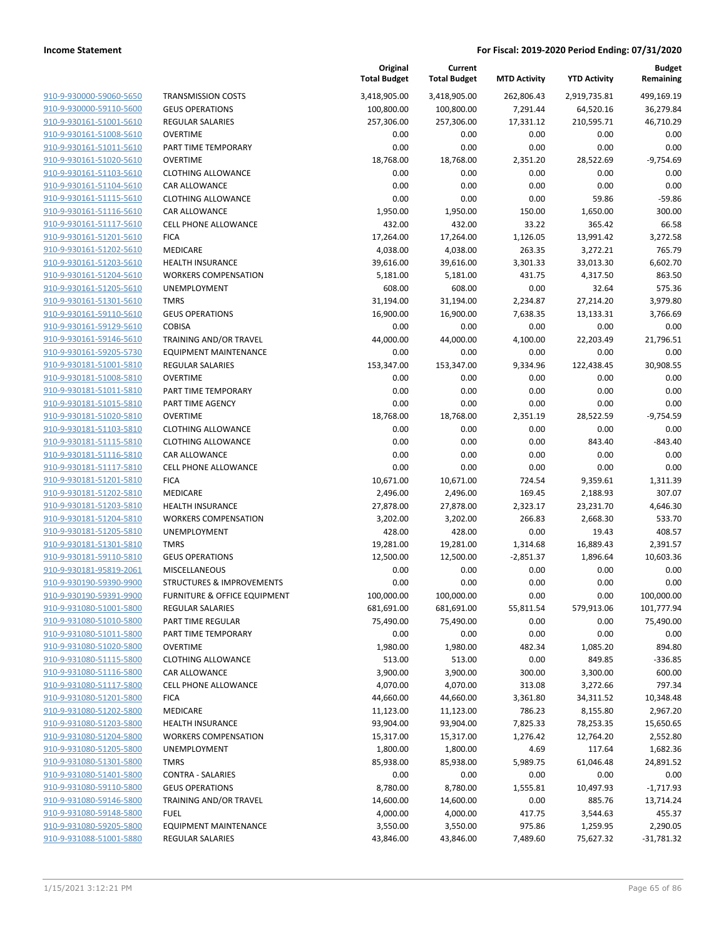| 910-9-930000-59060-5650        |
|--------------------------------|
| 910-9-930000-59110-5600        |
| 910-9-930161-51001-5610        |
| 910-9-930161-51008-5610        |
| <u>910-9-930161-51011-5610</u> |
| 910-9-930161-51020-5610        |
| 910-9-930161-51103-5610        |
| 910-9-930161-51104-5610        |
| 910-9-930161-51115-5610        |
| 910-9-930161-51116-5610        |
| 910-9-930161-51117-5610        |
| 910-9-930161-51201-5610        |
| 910-9-930161-51202-5610        |
|                                |
| 910-9-930161-51203-5610        |
| <u>910-9-930161-51204-5610</u> |
| 910-9-930161-51205-5610        |
| 910-9-930161-51301-5610        |
| 910-9-930161-59110-5610        |
| 910-9-930161-59129-5610        |
| 910-9-930161-59146-5610        |
| 910-9-930161-59205-5730        |
| 910-9-930181-51001-5810        |
| 910-9-930181-51008-5810        |
| 910-9-930181-51011-5810        |
| <u>910-9-930181-51015-5810</u> |
| 910-9-930181-51020-5810        |
| 910-9-930181-51103-5810        |
| 910-9-930181-51115-5810        |
|                                |
| 910-9-930181-51116-5810        |
| <u>910-9-930181-51117-5810</u> |
| 910-9-930181-51201-5810        |
| 910-9-930181-51202-5810        |
| 910-9-930181-51203-5810        |
| 910-9-930181-51204-5810        |
| <u>910-9-930181-51205-5810</u> |
| 910-9-930181-51301-5810        |
| 910-9-930181-59110-5810        |
| 910-9-930181-95819-2061        |
| 910-9-930190-59390-9900        |
| 910-9-930190-59391-9900        |
| 910-9-931080-51001-5800        |
| 910-9-931080-51010-5800        |
| <u>910-9-931080-51011-5800</u> |
| <u>910-9-931080-51020-5800</u> |
|                                |
| 910-9-931080-51115-5800        |
| <u>910-9-931080-51116-5800</u> |
| 910-9-931080-51117-5800        |
| 910-9-931080-51201-5800        |
| <u>910-9-931080-51202-5800</u> |
| <u>910-9-931080-51203-5800</u> |
| <u>910-9-931080-51204-5800</u> |
| 910-9-931080-51205-5800        |
| 910-9-931080-51301-5800        |
| <u>910-9-931080-51401-5800</u> |
| <u>910-9-931080-59110-5800</u> |
| <u>910-9-931080-59146-5800</u> |
| 910-9-931080-59148-5800        |
| <u>910-9-931080-59205-5800</u> |
| 910-9-931088-51001-5880        |
|                                |

| <b>FRANSMISSION COSTS</b>                                |
|----------------------------------------------------------|
| <b>GEUS OPERATIONS</b>                                   |
| REGULAR SALARIES                                         |
| OVERTIME                                                 |
| <b>PART TIME TEMPORARY</b>                               |
| OVERTIME                                                 |
| CLOTHING ALLOWANCE                                       |
| CAR ALLOWANCE                                            |
| CLOTHING ALLOWANCE                                       |
| CAR ALLOWANCE<br>CELL PHONE ALLOWANCE                    |
| FICA                                                     |
| MEDICARE                                                 |
| HEALTH INSURANCE                                         |
| WORKERS COMPENSATION                                     |
| JNEMPLOYMENT                                             |
| <b>TMRS</b>                                              |
| GEUS OPERATIONS                                          |
| COBISA                                                   |
| FRAINING AND/OR TRAVEL                                   |
| EQUIPMENT MAINTENANCE                                    |
| <b>REGULAR SALARIES</b>                                  |
| <b>OVERTIME</b>                                          |
| <b>PART TIME TEMPORARY</b>                               |
| <b>PART TIME AGENCY</b>                                  |
| OVERTIME<br>CLOTHING ALLOWANCE                           |
| CLOTHING ALLOWANCE                                       |
| CAR ALLOWANCE                                            |
| CELL PHONE ALLOWANCE                                     |
| FICA                                                     |
| MEDICARE                                                 |
| HEALTH INSURANCE                                         |
| WORKERS COMPENSATION                                     |
| JNEMPLOYMENT                                             |
| TMRS                                                     |
| GEUS OPERATIONS                                          |
| VIISCELLANEOUS                                           |
| STRUCTURES & IMPROVEMENTS<br>URNITURE & OFFICE EQUIPMENT |
| REGULAR SALARIES                                         |
| <b>PART TIME REGULAR</b>                                 |
| <b>PART TIME TEMPORARY</b>                               |
| <b>OVERTIME</b>                                          |
| <b>CLOTHING ALLOWANCE</b>                                |
| CAR ALLOWANCE                                            |
| CELL PHONE ALLOWANCE                                     |
| <b>ICA</b>                                               |
| <b>MEDICARE</b>                                          |
| HEALTH INSURANCE                                         |
| <b><i>NORKERS COMPENSATION</i></b>                       |
| <b>JNEMPLOYMENT</b>                                      |
| <b>TMRS</b><br>CONTRA - SALARIES                         |
| <b>GEUS OPERATIONS</b>                                   |
| <b>FRAINING AND/OR TRAVEL</b>                            |
| FUEL                                                     |
| <b>EQUIPMENT MAINTENANCE</b>                             |
| REGULAR SALARIES                                         |

|                                                    |                                                    | Original<br><b>Total Budget</b> | Current<br><b>Total Budget</b> | <b>MTD Activity</b> | <b>YTD Activity</b> | <b>Budget</b><br>Remaining |
|----------------------------------------------------|----------------------------------------------------|---------------------------------|--------------------------------|---------------------|---------------------|----------------------------|
| 910-9-930000-59060-5650                            | <b>TRANSMISSION COSTS</b>                          | 3,418,905.00                    | 3,418,905.00                   | 262,806.43          | 2,919,735.81        | 499,169.19                 |
| 910-9-930000-59110-5600                            | <b>GEUS OPERATIONS</b>                             | 100,800.00                      | 100,800.00                     | 7,291.44            | 64,520.16           | 36,279.84                  |
| 910-9-930161-51001-5610                            | REGULAR SALARIES                                   | 257,306.00                      | 257,306.00                     | 17,331.12           | 210,595.71          | 46,710.29                  |
| 910-9-930161-51008-5610                            | <b>OVERTIME</b>                                    | 0.00                            | 0.00                           | 0.00                | 0.00                | 0.00                       |
| 910-9-930161-51011-5610                            | PART TIME TEMPORARY                                | 0.00                            | 0.00                           | 0.00                | 0.00                | 0.00                       |
| 910-9-930161-51020-5610                            | <b>OVERTIME</b>                                    | 18,768.00                       | 18,768.00                      | 2,351.20            | 28,522.69           | $-9,754.69$                |
| 910-9-930161-51103-5610                            | <b>CLOTHING ALLOWANCE</b>                          | 0.00                            | 0.00                           | 0.00                | 0.00                | 0.00                       |
| 910-9-930161-51104-5610                            | CAR ALLOWANCE                                      | 0.00                            | 0.00                           | 0.00                | 0.00                | 0.00                       |
| 910-9-930161-51115-5610                            | <b>CLOTHING ALLOWANCE</b>                          | 0.00                            | 0.00                           | 0.00                | 59.86               | $-59.86$                   |
| 910-9-930161-51116-5610                            | <b>CAR ALLOWANCE</b>                               | 1,950.00                        | 1,950.00                       | 150.00              | 1,650.00            | 300.00                     |
| 910-9-930161-51117-5610                            | <b>CELL PHONE ALLOWANCE</b>                        | 432.00                          | 432.00                         | 33.22               | 365.42              | 66.58                      |
| 910-9-930161-51201-5610                            | <b>FICA</b>                                        | 17,264.00                       | 17,264.00                      | 1,126.05            | 13,991.42           | 3,272.58                   |
| 910-9-930161-51202-5610                            | MEDICARE                                           | 4,038.00                        | 4,038.00                       | 263.35              | 3,272.21            | 765.79                     |
| 910-9-930161-51203-5610                            | <b>HEALTH INSURANCE</b>                            | 39,616.00                       | 39,616.00                      | 3,301.33            | 33,013.30           | 6,602.70                   |
| 910-9-930161-51204-5610                            | <b>WORKERS COMPENSATION</b>                        | 5,181.00                        | 5,181.00                       | 431.75              | 4,317.50            | 863.50                     |
| 910-9-930161-51205-5610                            | UNEMPLOYMENT                                       | 608.00                          | 608.00                         | 0.00                | 32.64               | 575.36                     |
| 910-9-930161-51301-5610                            | <b>TMRS</b>                                        | 31,194.00                       | 31,194.00                      | 2,234.87            | 27,214.20           | 3,979.80                   |
| 910-9-930161-59110-5610                            | <b>GEUS OPERATIONS</b>                             | 16,900.00                       | 16,900.00                      | 7,638.35            | 13,133.31           | 3,766.69                   |
| 910-9-930161-59129-5610                            | <b>COBISA</b>                                      | 0.00                            | 0.00                           | 0.00                | 0.00                | 0.00                       |
| 910-9-930161-59146-5610                            | TRAINING AND/OR TRAVEL                             | 44,000.00                       | 44,000.00                      | 4,100.00            | 22,203.49           | 21,796.51                  |
| 910-9-930161-59205-5730                            | <b>EQUIPMENT MAINTENANCE</b>                       | 0.00                            | 0.00                           | 0.00                | 0.00                | 0.00                       |
| 910-9-930181-51001-5810                            | <b>REGULAR SALARIES</b>                            | 153,347.00                      | 153,347.00                     | 9,334.96            | 122,438.45          | 30.908.55                  |
| 910-9-930181-51008-5810                            | <b>OVERTIME</b>                                    | 0.00                            | 0.00                           | 0.00                | 0.00                | 0.00                       |
| 910-9-930181-51011-5810<br>910-9-930181-51015-5810 | PART TIME TEMPORARY<br><b>PART TIME AGENCY</b>     | 0.00<br>0.00                    | 0.00<br>0.00                   | 0.00<br>0.00        | 0.00<br>0.00        | 0.00<br>0.00               |
| 910-9-930181-51020-5810                            | <b>OVERTIME</b>                                    | 18,768.00                       | 18,768.00                      | 2,351.19            | 28,522.59           | $-9,754.59$                |
| 910-9-930181-51103-5810                            | <b>CLOTHING ALLOWANCE</b>                          | 0.00                            | 0.00                           | 0.00                | 0.00                | 0.00                       |
| 910-9-930181-51115-5810                            | <b>CLOTHING ALLOWANCE</b>                          | 0.00                            | 0.00                           | 0.00                | 843.40              | $-843.40$                  |
| 910-9-930181-51116-5810                            | CAR ALLOWANCE                                      | 0.00                            | 0.00                           | 0.00                | 0.00                | 0.00                       |
| 910-9-930181-51117-5810                            | <b>CELL PHONE ALLOWANCE</b>                        | 0.00                            | 0.00                           | 0.00                | 0.00                | 0.00                       |
| 910-9-930181-51201-5810                            | <b>FICA</b>                                        | 10,671.00                       | 10,671.00                      | 724.54              | 9,359.61            | 1,311.39                   |
| 910-9-930181-51202-5810                            | MEDICARE                                           | 2,496.00                        | 2,496.00                       | 169.45              | 2,188.93            | 307.07                     |
| 910-9-930181-51203-5810                            | <b>HEALTH INSURANCE</b>                            | 27,878.00                       | 27,878.00                      | 2,323.17            | 23,231.70           | 4,646.30                   |
| 910-9-930181-51204-5810                            | <b>WORKERS COMPENSATION</b>                        | 3,202.00                        | 3,202.00                       | 266.83              | 2,668.30            | 533.70                     |
| 910-9-930181-51205-5810                            | UNEMPLOYMENT                                       | 428.00                          | 428.00                         | 0.00                | 19.43               | 408.57                     |
| 910-9-930181-51301-5810                            | <b>TMRS</b>                                        | 19,281.00                       | 19,281.00                      | 1,314.68            | 16,889.43           | 2,391.57                   |
| 910-9-930181-59110-5810                            | <b>GEUS OPERATIONS</b>                             | 12,500.00                       | 12,500.00                      | $-2,851.37$         | 1,896.64            | 10,603.36                  |
| 910-9-930181-95819-2061                            | MISCELLANEOUS                                      | 0.00                            | 0.00                           | 0.00                | 0.00                | 0.00                       |
| 910-9-930190-59390-9900                            | <b>STRUCTURES &amp; IMPROVEMENTS</b>               | 0.00                            | 0.00                           | 0.00                | 0.00                | 0.00                       |
| 910-9-930190-59391-9900                            | FURNITURE & OFFICE EQUIPMENT                       | 100,000.00                      | 100,000.00                     | 0.00                | 0.00                | 100,000.00                 |
| 910-9-931080-51001-5800                            | <b>REGULAR SALARIES</b>                            | 681,691.00                      | 681,691.00                     | 55,811.54           | 579,913.06          | 101,777.94                 |
| 910-9-931080-51010-5800                            | PART TIME REGULAR                                  | 75,490.00                       | 75,490.00                      | 0.00                | 0.00                | 75,490.00                  |
| 910-9-931080-51011-5800                            | PART TIME TEMPORARY                                | 0.00                            | 0.00                           | 0.00                | 0.00                | 0.00                       |
| 910-9-931080-51020-5800                            | <b>OVERTIME</b>                                    | 1,980.00                        | 1,980.00                       | 482.34              | 1,085.20            | 894.80                     |
| 910-9-931080-51115-5800                            | <b>CLOTHING ALLOWANCE</b>                          | 513.00                          | 513.00                         | 0.00                | 849.85              | $-336.85$                  |
| 910-9-931080-51116-5800                            | CAR ALLOWANCE                                      | 3,900.00                        | 3,900.00                       | 300.00              | 3,300.00            | 600.00                     |
| 910-9-931080-51117-5800                            | <b>CELL PHONE ALLOWANCE</b>                        | 4,070.00                        | 4,070.00                       | 313.08              | 3,272.66            | 797.34                     |
| 910-9-931080-51201-5800                            | <b>FICA</b>                                        | 44,660.00                       | 44,660.00                      | 3,361.80            | 34,311.52           | 10,348.48                  |
| 910-9-931080-51202-5800                            | MEDICARE                                           | 11,123.00                       | 11,123.00                      | 786.23              | 8,155.80            | 2,967.20                   |
| 910-9-931080-51203-5800                            | <b>HEALTH INSURANCE</b>                            | 93,904.00                       | 93,904.00                      | 7,825.33            | 78,253.35           | 15,650.65                  |
| 910-9-931080-51204-5800                            | <b>WORKERS COMPENSATION</b>                        | 15,317.00                       | 15,317.00                      | 1,276.42            | 12,764.20           | 2,552.80                   |
| 910-9-931080-51205-5800                            | UNEMPLOYMENT                                       | 1,800.00                        | 1,800.00                       | 4.69                | 117.64              | 1,682.36                   |
| 910-9-931080-51301-5800                            | <b>TMRS</b>                                        | 85,938.00                       | 85,938.00                      | 5,989.75            | 61,046.48           | 24,891.52                  |
| 910-9-931080-51401-5800                            | <b>CONTRA - SALARIES</b><br><b>GEUS OPERATIONS</b> | 0.00                            | 0.00                           | 0.00                | 0.00                | 0.00                       |
| 910-9-931080-59110-5800<br>910-9-931080-59146-5800 | TRAINING AND/OR TRAVEL                             | 8,780.00<br>14,600.00           | 8,780.00<br>14,600.00          | 1,555.81<br>0.00    | 10,497.93<br>885.76 | $-1,717.93$<br>13,714.24   |
| 910-9-931080-59148-5800                            | <b>FUEL</b>                                        | 4,000.00                        | 4,000.00                       | 417.75              | 3,544.63            | 455.37                     |
| 910-9-931080-59205-5800                            | <b>EQUIPMENT MAINTENANCE</b>                       | 3,550.00                        | 3,550.00                       | 975.86              | 1,259.95            | 2,290.05                   |
| 910-9-931088-51001-5880                            | REGULAR SALARIES                                   | 43,846.00                       | 43,846.00                      | 7,489.60            | 75,627.32           | $-31,781.32$               |
|                                                    |                                                    |                                 |                                |                     |                     |                            |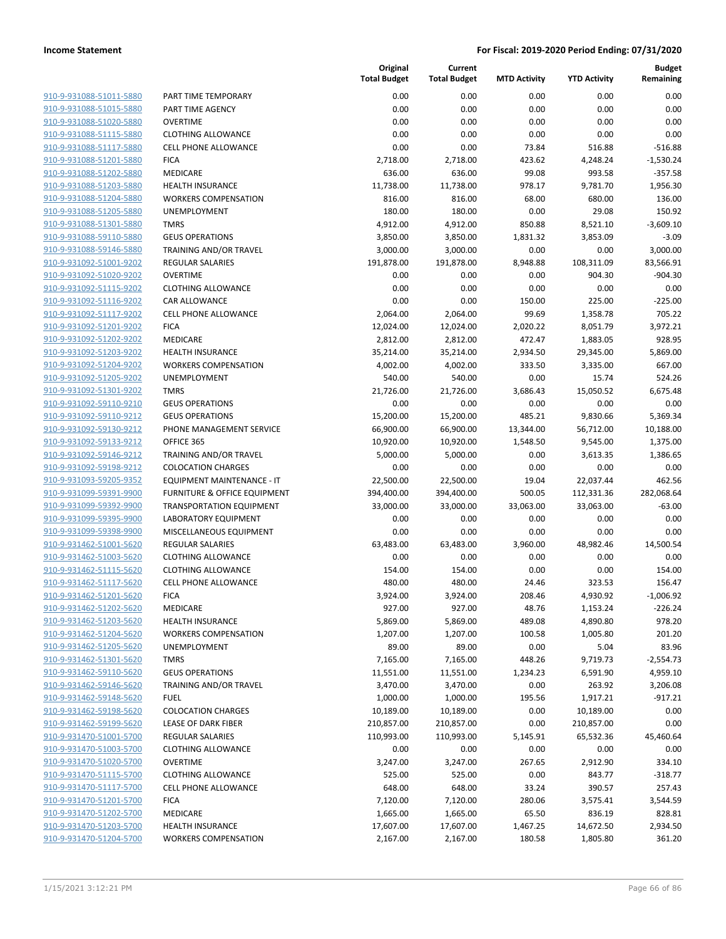| 910-9-931088-51011-5880             |
|-------------------------------------|
| 910-9-931088-51015-5880             |
| 910-9-931088-51020-5880             |
| <u>910-9-931088-51115-5880</u>      |
| 910-9-931088-51117-5880             |
| 910-9-931088-51201-5880             |
| 910-9-931088-51202-5880             |
|                                     |
| <u>910-9-931088-51203-5880</u>      |
| <u>910-9-931088-51204-5880</u>      |
| 910-9-931088-51205-5880             |
| 910-9-931088-51301-5880             |
| 910-9-931088-59110-5880             |
| 910-9-931088-59146-5880             |
| <u>910-9-931092-51001-9202</u>      |
| 910-9-931092-51020-9202             |
| 910-9-931092-51115-9202             |
| 910-9-931092-51116-9202             |
| 910-9-931092-51117-9202             |
|                                     |
| <u>910-9-931092-51201-9202</u>      |
| 910-9-931092-51202-9202             |
| 910-9-931092-51203-9202             |
| 910-9-931092-51204-9202             |
| 910-9-931092-51205-9202             |
| <u>910-9-931092-51301-9202</u>      |
| 910-9-931092-59110-9210             |
| 910-9-931092-59110-9212             |
| 910-9-931092-59130-9212             |
| <u>910-9-931092-59133-9212</u>      |
| <u>910-9-931092-59146-9212</u>      |
| 910-9-931092-59198-9212             |
| 910-9-931093-59205-9352             |
| 910-9-931099-59391-9900             |
|                                     |
| <u>910-9-931099-59392-9900</u>      |
| <u>910-9-931099-59395-9900</u>      |
| 910-9-931099-59398-9900             |
| 910-9-931462-51001-5620             |
| 910-9-931462-51003-5620             |
| 910-9-931462-51115-5620             |
| <u>910-9-931462-51117-5620</u>      |
| 910-9-931462-51201-5620             |
| 910-9-931462-51202-5620             |
| 910-9-931462-51203-5620             |
|                                     |
| 910-9-931462-51204-5620             |
|                                     |
| <u>910-9-931462-51205-5620</u>      |
| 910-9-931462-51301-5620             |
| 910-9-931462-59110-5620             |
| 910-9-931462-59146-5620             |
| 910-9-931462-59148-5620             |
| <u>910-9-931462-59198-5620</u>      |
| <u>910-9-931462-59199-5620</u>      |
| 910-9-931470-51001-5700             |
| 910-9-931470-51003-5700             |
| 910-9-931470-51020-5700             |
| <u>910-9-931470-51115-5700</u>      |
| <u>910-9-931470-51117-5700</u>      |
| 910-9-931470-51201-<br><u>5700-</u> |
| 910-9-931470-51202-5700             |
| 910-9-931470-51203-5700             |
| <u>910-9-931470-51204-5700</u>      |

|                         |                                 | Original<br><b>Total Budget</b> | Current<br><b>Total Budget</b> | <b>MTD Activity</b> | <b>YTD Activity</b> | <b>Budget</b><br>Remaining |
|-------------------------|---------------------------------|---------------------------------|--------------------------------|---------------------|---------------------|----------------------------|
| 910-9-931088-51011-5880 | PART TIME TEMPORARY             | 0.00                            | 0.00                           | 0.00                | 0.00                | 0.00                       |
| 910-9-931088-51015-5880 | <b>PART TIME AGENCY</b>         | 0.00                            | 0.00                           | 0.00                | 0.00                | 0.00                       |
| 910-9-931088-51020-5880 | <b>OVERTIME</b>                 | 0.00                            | 0.00                           | 0.00                | 0.00                | 0.00                       |
| 910-9-931088-51115-5880 | <b>CLOTHING ALLOWANCE</b>       | 0.00                            | 0.00                           | 0.00                | 0.00                | 0.00                       |
| 910-9-931088-51117-5880 | <b>CELL PHONE ALLOWANCE</b>     | 0.00                            | 0.00                           | 73.84               | 516.88              | $-516.88$                  |
| 910-9-931088-51201-5880 | <b>FICA</b>                     | 2,718.00                        | 2,718.00                       | 423.62              | 4,248.24            | $-1,530.24$                |
| 910-9-931088-51202-5880 | MEDICARE                        | 636.00                          | 636.00                         | 99.08               | 993.58              | $-357.58$                  |
| 910-9-931088-51203-5880 | <b>HEALTH INSURANCE</b>         | 11,738.00                       | 11,738.00                      | 978.17              | 9,781.70            | 1,956.30                   |
| 910-9-931088-51204-5880 | <b>WORKERS COMPENSATION</b>     | 816.00                          | 816.00                         | 68.00               | 680.00              | 136.00                     |
| 910-9-931088-51205-5880 | UNEMPLOYMENT                    | 180.00                          | 180.00                         | 0.00                | 29.08               | 150.92                     |
| 910-9-931088-51301-5880 | <b>TMRS</b>                     | 4,912.00                        | 4,912.00                       | 850.88              | 8,521.10            | $-3,609.10$                |
| 910-9-931088-59110-5880 | <b>GEUS OPERATIONS</b>          | 3,850.00                        | 3,850.00                       | 1,831.32            | 3,853.09            | $-3.09$                    |
| 910-9-931088-59146-5880 | TRAINING AND/OR TRAVEL          | 3,000.00                        | 3,000.00                       | 0.00                | 0.00                | 3,000.00                   |
| 910-9-931092-51001-9202 | <b>REGULAR SALARIES</b>         | 191,878.00                      | 191,878.00                     | 8,948.88            | 108,311.09          | 83,566.91                  |
| 910-9-931092-51020-9202 | <b>OVERTIME</b>                 | 0.00                            | 0.00                           | 0.00                | 904.30              | $-904.30$                  |
| 910-9-931092-51115-9202 | <b>CLOTHING ALLOWANCE</b>       | 0.00                            | 0.00                           | 0.00                | 0.00                | 0.00                       |
| 910-9-931092-51116-9202 | <b>CAR ALLOWANCE</b>            | 0.00                            | 0.00                           | 150.00              | 225.00              | $-225.00$                  |
| 910-9-931092-51117-9202 | <b>CELL PHONE ALLOWANCE</b>     | 2,064.00                        | 2,064.00                       | 99.69               | 1,358.78            | 705.22                     |
| 910-9-931092-51201-9202 | <b>FICA</b>                     | 12,024.00                       | 12,024.00                      | 2,020.22            | 8,051.79            | 3,972.21                   |
| 910-9-931092-51202-9202 | MEDICARE                        | 2,812.00                        | 2,812.00                       | 472.47              | 1,883.05            | 928.95                     |
| 910-9-931092-51203-9202 | <b>HEALTH INSURANCE</b>         | 35,214.00                       | 35,214.00                      | 2,934.50            | 29,345.00           | 5,869.00                   |
| 910-9-931092-51204-9202 | <b>WORKERS COMPENSATION</b>     | 4,002.00                        | 4,002.00                       | 333.50              | 3,335.00            | 667.00                     |
| 910-9-931092-51205-9202 | UNEMPLOYMENT                    | 540.00                          | 540.00                         | 0.00                | 15.74               | 524.26                     |
| 910-9-931092-51301-9202 | <b>TMRS</b>                     | 21,726.00                       | 21,726.00                      | 3,686.43            | 15,050.52           | 6.675.48                   |
| 910-9-931092-59110-9210 | <b>GEUS OPERATIONS</b>          | 0.00                            | 0.00                           | 0.00                | 0.00                | 0.00                       |
| 910-9-931092-59110-9212 | <b>GEUS OPERATIONS</b>          | 15,200.00                       | 15,200.00                      | 485.21              | 9,830.66            | 5,369.34                   |
| 910-9-931092-59130-9212 | PHONE MANAGEMENT SERVICE        | 66,900.00                       | 66,900.00                      | 13,344.00           | 56,712.00           | 10,188.00                  |
| 910-9-931092-59133-9212 | OFFICE 365                      | 10,920.00                       | 10,920.00                      | 1,548.50            | 9,545.00            | 1,375.00                   |
| 910-9-931092-59146-9212 | TRAINING AND/OR TRAVEL          | 5,000.00                        | 5,000.00                       | 0.00                | 3,613.35            | 1,386.65                   |
| 910-9-931092-59198-9212 | <b>COLOCATION CHARGES</b>       | 0.00                            | 0.00                           | 0.00                | 0.00                | 0.00                       |
| 910-9-931093-59205-9352 | EQUIPMENT MAINTENANCE - IT      | 22,500.00                       | 22,500.00                      | 19.04               | 22,037.44           | 462.56                     |
| 910-9-931099-59391-9900 | FURNITURE & OFFICE EQUIPMENT    | 394,400.00                      | 394,400.00                     | 500.05              | 112,331.36          | 282,068.64                 |
| 910-9-931099-59392-9900 | <b>TRANSPORTATION EQUIPMENT</b> | 33,000.00                       | 33,000.00                      | 33,063.00           | 33,063.00           | $-63.00$                   |
| 910-9-931099-59395-9900 | <b>LABORATORY EQUIPMENT</b>     | 0.00                            | 0.00                           | 0.00                | 0.00                | 0.00                       |
| 910-9-931099-59398-9900 | MISCELLANEOUS EQUIPMENT         | 0.00                            | 0.00                           | 0.00                | 0.00                | 0.00                       |
| 910-9-931462-51001-5620 | <b>REGULAR SALARIES</b>         | 63,483.00                       | 63,483.00                      | 3,960.00            | 48,982.46           | 14,500.54                  |
| 910-9-931462-51003-5620 | <b>CLOTHING ALLOWANCE</b>       | 0.00                            | 0.00                           | 0.00                | 0.00                | 0.00                       |
| 910-9-931462-51115-5620 | <b>CLOTHING ALLOWANCE</b>       | 154.00                          | 154.00                         | 0.00                | 0.00                | 154.00                     |
| 910-9-931462-51117-5620 | <b>CELL PHONE ALLOWANCE</b>     | 480.00                          | 480.00                         | 24.46               | 323.53              | 156.47                     |
| 910-9-931462-51201-5620 | <b>FICA</b>                     | 3,924.00                        | 3,924.00                       | 208.46              | 4,930.92            | $-1,006.92$                |
| 910-9-931462-51202-5620 | MEDICARE                        | 927.00                          | 927.00                         | 48.76               | 1,153.24            | $-226.24$                  |
| 910-9-931462-51203-5620 | HEALTH INSURANCE                | 5,869.00                        | 5,869.00                       | 489.08              | 4,890.80            | 978.20                     |
| 910-9-931462-51204-5620 | <b>WORKERS COMPENSATION</b>     | 1,207.00                        | 1,207.00                       | 100.58              | 1,005.80            | 201.20                     |
| 910-9-931462-51205-5620 | UNEMPLOYMENT                    | 89.00                           | 89.00                          | 0.00                | 5.04                | 83.96                      |
| 910-9-931462-51301-5620 | <b>TMRS</b>                     | 7,165.00                        | 7,165.00                       | 448.26              | 9,719.73            | $-2,554.73$                |
| 910-9-931462-59110-5620 | <b>GEUS OPERATIONS</b>          | 11,551.00                       | 11,551.00                      | 1,234.23            | 6,591.90            | 4,959.10                   |
| 910-9-931462-59146-5620 | TRAINING AND/OR TRAVEL          | 3,470.00                        | 3,470.00                       | 0.00                | 263.92              | 3,206.08                   |
| 910-9-931462-59148-5620 | <b>FUEL</b>                     | 1,000.00                        | 1,000.00                       | 195.56              | 1,917.21            | $-917.21$                  |
| 910-9-931462-59198-5620 | <b>COLOCATION CHARGES</b>       | 10,189.00                       | 10,189.00                      | 0.00                | 10,189.00           | 0.00                       |
| 910-9-931462-59199-5620 | LEASE OF DARK FIBER             | 210,857.00                      | 210,857.00                     | 0.00                | 210,857.00          | 0.00                       |
| 910-9-931470-51001-5700 | <b>REGULAR SALARIES</b>         | 110,993.00                      | 110,993.00                     | 5,145.91            | 65,532.36           | 45,460.64                  |
| 910-9-931470-51003-5700 | <b>CLOTHING ALLOWANCE</b>       | 0.00                            | 0.00                           | 0.00                | 0.00                | 0.00                       |
| 910-9-931470-51020-5700 | <b>OVERTIME</b>                 | 3,247.00                        | 3,247.00                       | 267.65              | 2,912.90            | 334.10                     |
| 910-9-931470-51115-5700 | <b>CLOTHING ALLOWANCE</b>       | 525.00                          | 525.00                         | 0.00                | 843.77              | $-318.77$                  |
| 910-9-931470-51117-5700 | <b>CELL PHONE ALLOWANCE</b>     | 648.00                          | 648.00                         | 33.24               | 390.57              | 257.43                     |
| 910-9-931470-51201-5700 | <b>FICA</b>                     | 7,120.00                        | 7,120.00                       | 280.06              | 3,575.41            | 3,544.59                   |
| 910-9-931470-51202-5700 | MEDICARE                        | 1,665.00                        | 1,665.00                       | 65.50               | 836.19              | 828.81                     |
| 910-9-931470-51203-5700 | HEALTH INSURANCE                | 17,607.00                       | 17,607.00                      | 1,467.25            | 14,672.50           | 2,934.50                   |
| 910-9-931470-51204-5700 | <b>WORKERS COMPENSATION</b>     | 2,167.00                        | 2,167.00                       | 180.58              | 1,805.80            | 361.20                     |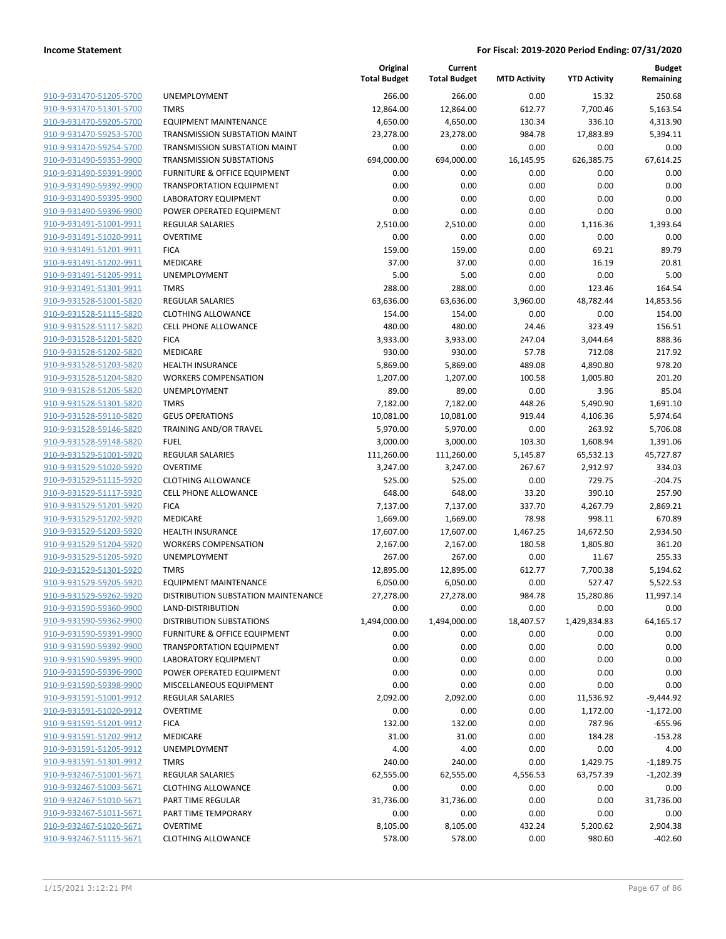|                         |                                         | Original<br><b>Total Budget</b> | Current<br><b>Total Budget</b> | <b>MTD Activity</b> | <b>YTD Activity</b> | <b>Budget</b><br>Remaining |
|-------------------------|-----------------------------------------|---------------------------------|--------------------------------|---------------------|---------------------|----------------------------|
| 910-9-931470-51205-5700 | <b>UNEMPLOYMENT</b>                     | 266.00                          | 266.00                         | 0.00                | 15.32               | 250.68                     |
| 910-9-931470-51301-5700 | <b>TMRS</b>                             | 12,864.00                       | 12,864.00                      | 612.77              | 7,700.46            | 5,163.54                   |
| 910-9-931470-59205-5700 | <b>EQUIPMENT MAINTENANCE</b>            | 4,650.00                        | 4,650.00                       | 130.34              | 336.10              | 4,313.90                   |
| 910-9-931470-59253-5700 | <b>TRANSMISSION SUBSTATION MAINT</b>    | 23,278.00                       | 23,278.00                      | 984.78              | 17,883.89           | 5,394.11                   |
| 910-9-931470-59254-5700 | TRANSMISSION SUBSTATION MAINT           | 0.00                            | 0.00                           | 0.00                | 0.00                | 0.00                       |
| 910-9-931490-59353-9900 | <b>TRANSMISSION SUBSTATIONS</b>         | 694,000.00                      | 694,000.00                     | 16,145.95           | 626,385.75          | 67,614.25                  |
| 910-9-931490-59391-9900 | <b>FURNITURE &amp; OFFICE EQUIPMENT</b> | 0.00                            | 0.00                           | 0.00                | 0.00                | 0.00                       |
| 910-9-931490-59392-9900 | <b>TRANSPORTATION EQUIPMENT</b>         | 0.00                            | 0.00                           | 0.00                | 0.00                | 0.00                       |
| 910-9-931490-59395-9900 | <b>LABORATORY EQUIPMENT</b>             | 0.00                            | 0.00                           | 0.00                | 0.00                | 0.00                       |
| 910-9-931490-59396-9900 | POWER OPERATED EQUIPMENT                | 0.00                            | 0.00                           | 0.00                | 0.00                | 0.00                       |
| 910-9-931491-51001-9911 | <b>REGULAR SALARIES</b>                 | 2,510.00                        | 2,510.00                       | 0.00                | 1,116.36            | 1,393.64                   |
| 910-9-931491-51020-9911 | <b>OVERTIME</b>                         | 0.00                            | 0.00                           | 0.00                | 0.00                | 0.00                       |
| 910-9-931491-51201-9911 | <b>FICA</b>                             | 159.00                          | 159.00                         | 0.00                | 69.21               | 89.79                      |
| 910-9-931491-51202-9911 | MEDICARE                                | 37.00                           | 37.00                          | 0.00                | 16.19               | 20.81                      |
| 910-9-931491-51205-9911 | UNEMPLOYMENT                            | 5.00                            | 5.00                           | 0.00                | 0.00                | 5.00                       |
| 910-9-931491-51301-9911 | <b>TMRS</b>                             | 288.00                          | 288.00                         | 0.00                | 123.46              | 164.54                     |
| 910-9-931528-51001-5820 | <b>REGULAR SALARIES</b>                 | 63,636.00                       | 63,636.00                      | 3,960.00            | 48,782.44           | 14,853.56                  |
| 910-9-931528-51115-5820 | <b>CLOTHING ALLOWANCE</b>               | 154.00                          | 154.00                         | 0.00                | 0.00                | 154.00                     |
| 910-9-931528-51117-5820 | <b>CELL PHONE ALLOWANCE</b>             | 480.00                          | 480.00                         | 24.46               | 323.49              | 156.51                     |
| 910-9-931528-51201-5820 | <b>FICA</b>                             | 3,933.00                        | 3,933.00                       | 247.04              | 3,044.64            | 888.36                     |
| 910-9-931528-51202-5820 | MEDICARE                                | 930.00                          | 930.00                         | 57.78               | 712.08              | 217.92                     |
| 910-9-931528-51203-5820 | <b>HEALTH INSURANCE</b>                 | 5,869.00                        | 5,869.00                       | 489.08              | 4,890.80            | 978.20                     |
| 910-9-931528-51204-5820 | <b>WORKERS COMPENSATION</b>             | 1,207.00                        | 1,207.00                       | 100.58              | 1,005.80            | 201.20                     |
| 910-9-931528-51205-5820 | UNEMPLOYMENT                            | 89.00                           | 89.00                          | 0.00                | 3.96                | 85.04                      |
| 910-9-931528-51301-5820 | <b>TMRS</b>                             | 7,182.00                        | 7,182.00                       | 448.26              | 5,490.90            | 1,691.10                   |
| 910-9-931528-59110-5820 | <b>GEUS OPERATIONS</b>                  | 10,081.00                       | 10,081.00                      | 919.44              | 4,106.36            | 5,974.64                   |
| 910-9-931528-59146-5820 | TRAINING AND/OR TRAVEL                  | 5,970.00                        | 5,970.00                       | 0.00                | 263.92              | 5,706.08                   |
| 910-9-931528-59148-5820 | <b>FUEL</b>                             | 3,000.00                        | 3,000.00                       | 103.30              | 1,608.94            | 1,391.06                   |
| 910-9-931529-51001-5920 | <b>REGULAR SALARIES</b>                 | 111,260.00                      | 111,260.00                     | 5,145.87            | 65,532.13           | 45,727.87                  |
| 910-9-931529-51020-5920 | <b>OVERTIME</b>                         | 3,247.00                        | 3,247.00                       | 267.67              | 2,912.97            | 334.03                     |
| 910-9-931529-51115-5920 | <b>CLOTHING ALLOWANCE</b>               | 525.00                          | 525.00                         | 0.00                | 729.75              | $-204.75$                  |
| 910-9-931529-51117-5920 | <b>CELL PHONE ALLOWANCE</b>             | 648.00                          | 648.00                         | 33.20               | 390.10              | 257.90                     |
| 910-9-931529-51201-5920 | <b>FICA</b>                             | 7,137.00                        | 7,137.00                       | 337.70              | 4,267.79            | 2,869.21                   |
| 910-9-931529-51202-5920 | <b>MEDICARE</b>                         | 1,669.00                        | 1,669.00                       | 78.98               | 998.11              | 670.89                     |
| 910-9-931529-51203-5920 | <b>HEALTH INSURANCE</b>                 | 17,607.00                       | 17,607.00                      | 1,467.25            | 14,672.50           | 2,934.50                   |
| 910-9-931529-51204-5920 | <b>WORKERS COMPENSATION</b>             | 2,167.00                        | 2,167.00                       | 180.58              | 1,805.80            | 361.20                     |
| 910-9-931529-51205-5920 | UNEMPLOYMENT                            | 267.00                          | 267.00                         | 0.00                | 11.67               | 255.33                     |
| 910-9-931529-51301-5920 | <b>TMRS</b>                             | 12,895.00                       | 12,895.00                      | 612.77              | 7,700.38            | 5,194.62                   |
| 910-9-931529-59205-5920 | <b>EQUIPMENT MAINTENANCE</b>            | 6,050.00                        | 6,050.00                       | 0.00                | 527.47              | 5,522.53                   |
| 910-9-931529-59262-5920 | DISTRIBUTION SUBSTATION MAINTENANCE     | 27,278.00                       | 27,278.00                      | 984.78              | 15,280.86           | 11,997.14                  |
| 910-9-931590-59360-9900 | LAND-DISTRIBUTION                       | 0.00                            | 0.00                           | 0.00                | 0.00                | 0.00                       |
| 910-9-931590-59362-9900 | <b>DISTRIBUTION SUBSTATIONS</b>         | 1,494,000.00                    | 1,494,000.00                   | 18,407.57           | 1,429,834.83        | 64,165.17                  |
| 910-9-931590-59391-9900 | <b>FURNITURE &amp; OFFICE EQUIPMENT</b> | 0.00                            | 0.00                           | 0.00                | 0.00                | 0.00                       |
| 910-9-931590-59392-9900 | <b>TRANSPORTATION EQUIPMENT</b>         | 0.00                            | 0.00                           | 0.00                | 0.00                | 0.00                       |
| 910-9-931590-59395-9900 | LABORATORY EQUIPMENT                    | 0.00                            | 0.00                           | 0.00                | 0.00                | 0.00                       |
| 910-9-931590-59396-9900 | POWER OPERATED EQUIPMENT                | 0.00                            | 0.00                           | 0.00                | 0.00                | 0.00                       |
| 910-9-931590-59398-9900 | MISCELLANEOUS EQUIPMENT                 | 0.00                            | 0.00                           | 0.00                | 0.00                | 0.00                       |
| 910-9-931591-51001-9912 | <b>REGULAR SALARIES</b>                 | 2,092.00                        | 2,092.00                       | 0.00                | 11,536.92           | $-9,444.92$                |
| 910-9-931591-51020-9912 | <b>OVERTIME</b>                         | 0.00                            | 0.00                           | 0.00                | 1,172.00            | $-1,172.00$                |
| 910-9-931591-51201-9912 | <b>FICA</b>                             | 132.00                          | 132.00                         | 0.00                | 787.96              | $-655.96$                  |
| 910-9-931591-51202-9912 | MEDICARE                                | 31.00                           | 31.00                          | 0.00                | 184.28              | $-153.28$                  |
| 910-9-931591-51205-9912 | UNEMPLOYMENT                            | 4.00                            | 4.00                           | 0.00                | 0.00                | 4.00                       |
| 910-9-931591-51301-9912 | <b>TMRS</b>                             | 240.00                          | 240.00                         | 0.00                | 1,429.75            | $-1,189.75$                |
| 910-9-932467-51001-5671 | <b>REGULAR SALARIES</b>                 | 62,555.00                       | 62,555.00                      | 4,556.53            | 63,757.39           | $-1,202.39$                |
| 910-9-932467-51003-5671 | <b>CLOTHING ALLOWANCE</b>               | 0.00                            | 0.00                           | 0.00                | 0.00                | 0.00                       |
| 910-9-932467-51010-5671 | PART TIME REGULAR                       | 31,736.00                       | 31,736.00                      | 0.00                | 0.00                | 31,736.00                  |
| 910-9-932467-51011-5671 | PART TIME TEMPORARY                     | 0.00                            | 0.00                           | 0.00                | 0.00                | 0.00                       |
| 910-9-932467-51020-5671 | <b>OVERTIME</b>                         | 8,105.00                        | 8,105.00                       | 432.24              | 5,200.62            | 2,904.38                   |
| 910-9-932467-51115-5671 | <b>CLOTHING ALLOWANCE</b>               | 578.00                          | 578.00                         | 0.00                | 980.60              | $-402.60$                  |
|                         |                                         |                                 |                                |                     |                     |                            |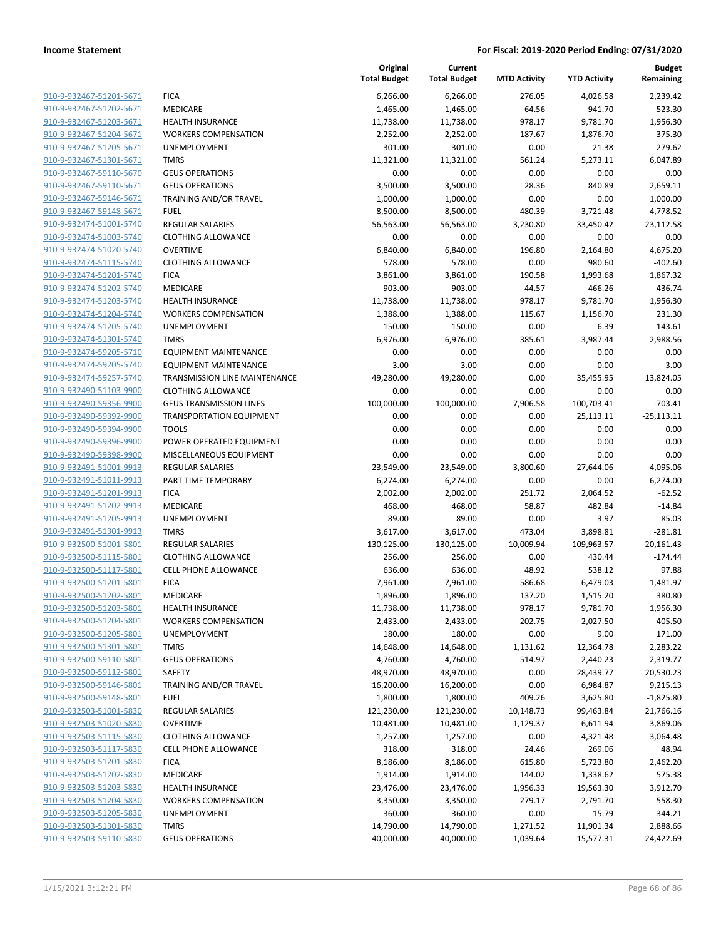|                                                    |                                       | Original<br><b>Total Budget</b> | Current<br><b>Total Budget</b> | <b>MTD Activity</b> | <b>YTD Activity</b> | <b>Budget</b><br>Remaining |
|----------------------------------------------------|---------------------------------------|---------------------------------|--------------------------------|---------------------|---------------------|----------------------------|
| 910-9-932467-51201-5671                            | <b>FICA</b>                           | 6,266.00                        | 6,266.00                       | 276.05              | 4,026.58            | 2,239.42                   |
| 910-9-932467-51202-5671                            | MEDICARE                              | 1,465.00                        | 1,465.00                       | 64.56               | 941.70              | 523.30                     |
| 910-9-932467-51203-5671                            | <b>HEALTH INSURANCE</b>               | 11,738.00                       | 11,738.00                      | 978.17              | 9,781.70            | 1,956.30                   |
| 910-9-932467-51204-5671                            | <b>WORKERS COMPENSATION</b>           | 2,252.00                        | 2,252.00                       | 187.67              | 1,876.70            | 375.30                     |
| 910-9-932467-51205-5671                            | <b>UNEMPLOYMENT</b>                   | 301.00                          | 301.00                         | 0.00                | 21.38               | 279.62                     |
| 910-9-932467-51301-5671                            | <b>TMRS</b>                           | 11,321.00                       | 11,321.00                      | 561.24              | 5,273.11            | 6,047.89                   |
| 910-9-932467-59110-5670                            | <b>GEUS OPERATIONS</b>                | 0.00                            | 0.00                           | 0.00                | 0.00                | 0.00                       |
| 910-9-932467-59110-5671                            | <b>GEUS OPERATIONS</b>                | 3,500.00                        | 3,500.00                       | 28.36               | 840.89              | 2,659.11                   |
| 910-9-932467-59146-5671                            | TRAINING AND/OR TRAVEL                | 1,000.00                        | 1,000.00                       | 0.00                | 0.00                | 1,000.00                   |
| 910-9-932467-59148-5671                            | <b>FUEL</b>                           | 8,500.00                        | 8,500.00                       | 480.39              | 3,721.48            | 4,778.52                   |
| 910-9-932474-51001-5740                            | <b>REGULAR SALARIES</b>               | 56,563.00                       | 56,563.00                      | 3,230.80            | 33,450.42           | 23,112.58                  |
| 910-9-932474-51003-5740                            | <b>CLOTHING ALLOWANCE</b>             | 0.00                            | 0.00                           | 0.00                | 0.00                | 0.00                       |
| 910-9-932474-51020-5740                            | <b>OVERTIME</b>                       | 6,840.00                        | 6,840.00                       | 196.80              | 2,164.80            | 4,675.20                   |
| 910-9-932474-51115-5740                            | <b>CLOTHING ALLOWANCE</b>             | 578.00                          | 578.00                         | 0.00                | 980.60              | $-402.60$                  |
| 910-9-932474-51201-5740                            | <b>FICA</b>                           | 3,861.00                        | 3,861.00                       | 190.58              | 1,993.68            | 1,867.32                   |
| 910-9-932474-51202-5740                            | MEDICARE                              | 903.00                          | 903.00                         | 44.57               | 466.26              | 436.74                     |
| 910-9-932474-51203-5740                            | HEALTH INSURANCE                      | 11,738.00                       | 11,738.00                      | 978.17              | 9,781.70            | 1,956.30                   |
| 910-9-932474-51204-5740                            | <b>WORKERS COMPENSATION</b>           | 1,388.00                        | 1,388.00                       | 115.67              | 1,156.70            | 231.30                     |
| 910-9-932474-51205-5740                            | UNEMPLOYMENT                          | 150.00                          | 150.00                         | 0.00                | 6.39                | 143.61                     |
| 910-9-932474-51301-5740                            | <b>TMRS</b>                           | 6,976.00                        | 6,976.00                       | 385.61              | 3,987.44            | 2,988.56                   |
| 910-9-932474-59205-5710                            | <b>EQUIPMENT MAINTENANCE</b>          | 0.00                            | 0.00                           | 0.00                | 0.00                | 0.00                       |
| 910-9-932474-59205-5740                            | <b>EQUIPMENT MAINTENANCE</b>          | 3.00                            | 3.00                           | 0.00                | 0.00                | 3.00                       |
| 910-9-932474-59257-5740                            | TRANSMISSION LINE MAINTENANCE         | 49,280.00                       | 49,280.00                      | 0.00                | 35,455.95           | 13,824.05                  |
| 910-9-932490-51103-9900                            | <b>CLOTHING ALLOWANCE</b>             | 0.00                            | 0.00                           | 0.00                | 0.00                | 0.00                       |
| 910-9-932490-59356-9900                            | <b>GEUS TRANSMISSION LINES</b>        | 100,000.00                      | 100,000.00                     | 7,906.58            | 100,703.41          | $-703.41$                  |
| 910-9-932490-59392-9900                            | <b>TRANSPORTATION EQUIPMENT</b>       | 0.00                            | 0.00                           | 0.00                | 25,113.11           | $-25,113.11$               |
| 910-9-932490-59394-9900                            | <b>TOOLS</b>                          | 0.00                            | 0.00                           | 0.00                | 0.00                | 0.00                       |
| 910-9-932490-59396-9900                            | POWER OPERATED EQUIPMENT              | 0.00                            | 0.00                           | 0.00                | 0.00                | 0.00                       |
| 910-9-932490-59398-9900                            | MISCELLANEOUS EQUIPMENT               | 0.00                            | 0.00                           | 0.00                | 0.00                | 0.00                       |
| 910-9-932491-51001-9913                            | <b>REGULAR SALARIES</b>               | 23,549.00                       | 23,549.00                      | 3,800.60            | 27,644.06           | $-4,095.06$                |
| 910-9-932491-51011-9913                            | PART TIME TEMPORARY                   | 6,274.00                        | 6,274.00                       | 0.00                | 0.00                | 6,274.00                   |
| 910-9-932491-51201-9913                            | <b>FICA</b>                           | 2,002.00                        | 2,002.00                       | 251.72              | 2,064.52            | $-62.52$                   |
| 910-9-932491-51202-9913                            | MEDICARE                              | 468.00                          | 468.00                         | 58.87               | 482.84              | $-14.84$                   |
| 910-9-932491-51205-9913                            | UNEMPLOYMENT                          | 89.00                           | 89.00                          | 0.00                | 3.97                | 85.03                      |
| 910-9-932491-51301-9913                            | <b>TMRS</b>                           | 3,617.00                        | 3,617.00                       | 473.04              | 3,898.81            | $-281.81$                  |
| 910-9-932500-51001-5801                            | <b>REGULAR SALARIES</b>               | 130,125.00                      | 130,125.00                     | 10,009.94           | 109,963.57          | 20,161.43                  |
| 910-9-932500-51115-5801                            | <b>CLOTHING ALLOWANCE</b>             | 256.00                          | 256.00                         | 0.00                | 430.44              | $-174.44$                  |
| 910-9-932500-51117-5801                            | <b>CELL PHONE ALLOWANCE</b>           | 636.00                          | 636.00                         | 48.92               | 538.12              | 97.88                      |
| 910-9-932500-51201-5801                            | <b>FICA</b><br><b>MEDICARE</b>        | 7,961.00                        | 7,961.00                       | 586.68              | 6,479.03            | 1,481.97                   |
| 910-9-932500-51202-5801                            |                                       | 1,896.00                        | 1,896.00                       | 137.20              | 1,515.20            | 380.80                     |
| 910-9-932500-51203-5801                            | <b>HEALTH INSURANCE</b>               | 11,738.00                       | 11,738.00                      | 978.17              | 9,781.70            | 1,956.30                   |
| 910-9-932500-51204-5801                            | <b>WORKERS COMPENSATION</b>           | 2,433.00                        | 2,433.00                       | 202.75              | 2,027.50            | 405.50                     |
| 910-9-932500-51205-5801<br>910-9-932500-51301-5801 | UNEMPLOYMENT                          | 180.00                          | 180.00                         | 0.00                | 9.00                | 171.00                     |
| 910-9-932500-59110-5801                            | <b>TMRS</b><br><b>GEUS OPERATIONS</b> | 14,648.00                       | 14,648.00                      | 1,131.62            | 12,364.78           | 2,283.22                   |
|                                                    |                                       | 4,760.00                        | 4,760.00                       | 514.97              | 2,440.23            | 2,319.77                   |
| 910-9-932500-59112-5801                            | SAFETY<br>TRAINING AND/OR TRAVEL      | 48,970.00                       | 48,970.00                      | 0.00                | 28,439.77           | 20,530.23                  |
| 910-9-932500-59146-5801                            |                                       | 16,200.00                       | 16,200.00                      | 0.00                | 6,984.87            | 9,215.13                   |
| 910-9-932500-59148-5801                            | <b>FUEL</b>                           | 1,800.00                        | 1,800.00                       | 409.26              | 3,625.80            | $-1,825.80$                |
| 910-9-932503-51001-5830                            | REGULAR SALARIES<br><b>OVERTIME</b>   | 121,230.00                      | 121,230.00                     | 10,148.73           | 99,463.84           | 21,766.16                  |
| 910-9-932503-51020-5830                            | <b>CLOTHING ALLOWANCE</b>             | 10,481.00                       | 10,481.00                      | 1,129.37            | 6,611.94            | 3,869.06<br>$-3,064.48$    |
| 910-9-932503-51115-5830<br>910-9-932503-51117-5830 | <b>CELL PHONE ALLOWANCE</b>           | 1,257.00                        | 1,257.00                       | 0.00                | 4,321.48            |                            |
|                                                    |                                       | 318.00                          | 318.00                         | 24.46               | 269.06              | 48.94                      |
| 910-9-932503-51201-5830<br>910-9-932503-51202-5830 | <b>FICA</b>                           | 8,186.00                        | 8,186.00                       | 615.80              | 5,723.80            | 2,462.20                   |
|                                                    | MEDICARE                              | 1,914.00                        | 1,914.00                       | 144.02              | 1,338.62            | 575.38                     |
| 910-9-932503-51203-5830                            | <b>HEALTH INSURANCE</b>               | 23,476.00                       | 23,476.00                      | 1,956.33            | 19,563.30           | 3,912.70                   |
| 910-9-932503-51204-5830                            | <b>WORKERS COMPENSATION</b>           | 3,350.00                        | 3,350.00                       | 279.17              | 2,791.70            | 558.30                     |
| 910-9-932503-51205-5830<br>910-9-932503-51301-5830 | UNEMPLOYMENT                          | 360.00                          | 360.00                         | 0.00                | 15.79               | 344.21                     |
| 910-9-932503-59110-5830                            | <b>TMRS</b>                           | 14,790.00                       | 14,790.00                      | 1,271.52            | 11,901.34           | 2,888.66                   |
|                                                    | <b>GEUS OPERATIONS</b>                | 40,000.00                       | 40,000.00                      | 1,039.64            | 15,577.31           | 24,422.69                  |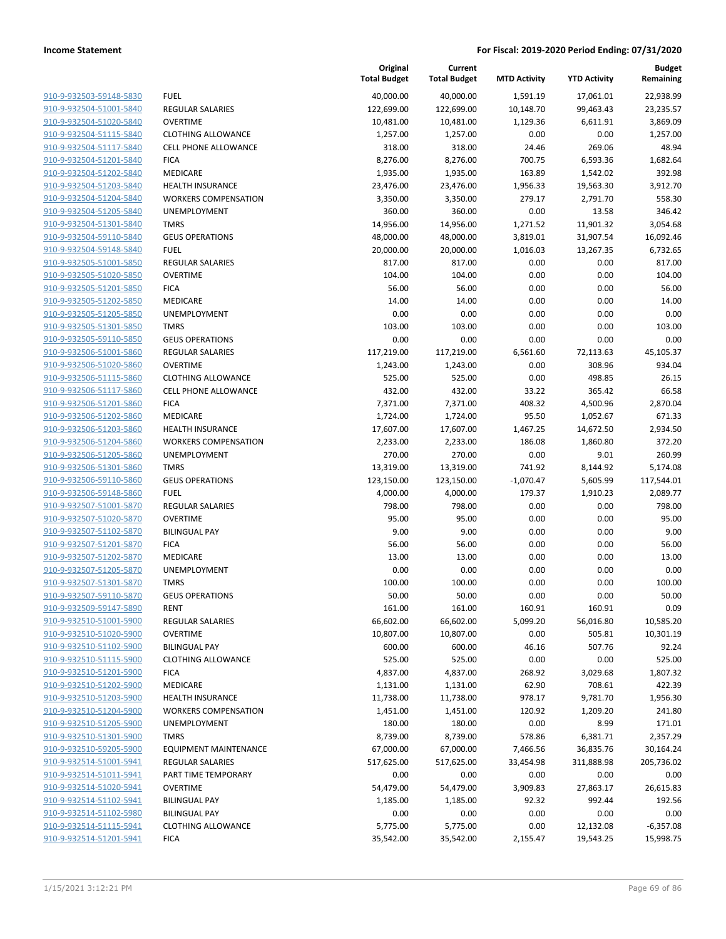| 910-9-932503-59148-5830        |
|--------------------------------|
| 910-9-932504-51001-5840        |
| 910-9-932504-51020-5840        |
| 910-9-932504-51115-5840        |
| 910-9-932504-51117-5840        |
| 910-9-932504-51201-5840        |
| <u>910-9-932504-51202-5840</u> |
| 910-9-932504-51203-5840        |
| 910-9-932504-51204-5840        |
| 910-9-932504-51205-5840        |
| 910-9-932504-51301-5840        |
| 910-9-932504-59110-5840        |
| 910-9-932504-59148-5840        |
| 910-9-932505-51001-5850        |
| 910-9-932505-51020-5850        |
| 910-9-932505-51201-5850        |
| <u>910-9-932505-51202-5850</u> |
| 910-9-932505-51205-5850        |
| 910-9-932505-51301-5850        |
| 910-9-932505-59110-5850        |
| 910-9-932506-51001-5860        |
| 910-9-932506-51020-5860        |
| 910-9-932506-51115-5860        |
| 910-9-932506-51117-5860        |
| 910-9-932506-51201-5860        |
| 910-9-932506-51202-5860        |
| <u>910-9-932506-51203-5860</u> |
| 910-9-932506-51204-5860        |
| 910-9-932506-51205-5860        |
| 910-9-932506-51301-5860        |
| 910-9-932506-59110-5860        |
| 910-9-932506-59148-5860        |
| 910-9-932507-51001-5870        |
| 910-9-932507-51020-5870        |
| 910-9-932507-51102-5870        |
| 910-9-932507-51201-5870        |
| 910-9-932507-51202-5870        |
| 910-9-932507-51205-5870        |
| 910-9-932507-51301-5870        |
| 910-9-932507-59110-5870        |
| 910-9-932509-59147-5890        |
| 910-9-932510-51001-5900        |
| 910-9-932510-51020-5900        |
| 910-9-932510-51102-5900        |
| 910-9-932510-51115-5900        |
| 910-9-932510-51201-5900        |
| 910-9-932510-51202-5900        |
| 910-9-932510-51203-5900        |
| 910-9-932510-51204-5900        |
| 910-9-932510-51205-5900        |
| 910-9-932510-51301-5900        |
| 910-9-932510-59205-5900        |
| 910-9-932514-51001-5941        |
| 910-9-932514-51011-5941        |
| 910-9-932514-51020-5941        |
| 910-9-932514-51102-5941        |
| 910-9-932514-51102-5980        |
| 910-9-932514-51115-5941        |
| 910-9-932514-51201-5941        |
|                                |

|                                                    |                                     | Original<br><b>Total Budget</b> | Current<br><b>Total Budget</b> | <b>MTD Activity</b> | <b>YTD Activity</b> | <b>Budget</b><br>Remaining |
|----------------------------------------------------|-------------------------------------|---------------------------------|--------------------------------|---------------------|---------------------|----------------------------|
| 910-9-932503-59148-5830                            | <b>FUEL</b>                         | 40,000.00                       | 40,000.00                      | 1,591.19            | 17,061.01           | 22,938.99                  |
| 910-9-932504-51001-5840                            | <b>REGULAR SALARIES</b>             | 122,699.00                      | 122,699.00                     | 10,148.70           | 99,463.43           | 23,235.57                  |
| 910-9-932504-51020-5840                            | <b>OVERTIME</b>                     | 10,481.00                       | 10,481.00                      | 1,129.36            | 6,611.91            | 3,869.09                   |
| 910-9-932504-51115-5840                            | <b>CLOTHING ALLOWANCE</b>           | 1,257.00                        | 1,257.00                       | 0.00                | 0.00                | 1,257.00                   |
| 910-9-932504-51117-5840                            | CELL PHONE ALLOWANCE                | 318.00                          | 318.00                         | 24.46               | 269.06              | 48.94                      |
| 910-9-932504-51201-5840                            | <b>FICA</b>                         | 8,276.00                        | 8,276.00                       | 700.75              | 6,593.36            | 1,682.64                   |
| 910-9-932504-51202-5840                            | MEDICARE                            | 1,935.00                        | 1,935.00                       | 163.89              | 1,542.02            | 392.98                     |
| 910-9-932504-51203-5840                            | <b>HEALTH INSURANCE</b>             | 23,476.00                       | 23,476.00                      | 1,956.33            | 19,563.30           | 3,912.70                   |
| 910-9-932504-51204-5840                            | <b>WORKERS COMPENSATION</b>         | 3,350.00                        | 3,350.00                       | 279.17              | 2,791.70            | 558.30                     |
| 910-9-932504-51205-5840                            | UNEMPLOYMENT                        | 360.00                          | 360.00                         | 0.00                | 13.58               | 346.42                     |
| 910-9-932504-51301-5840                            | <b>TMRS</b>                         | 14,956.00                       | 14,956.00                      | 1,271.52            | 11,901.32           | 3,054.68                   |
| 910-9-932504-59110-5840                            | <b>GEUS OPERATIONS</b>              | 48,000.00                       | 48,000.00                      | 3,819.01            | 31,907.54           | 16,092.46                  |
| 910-9-932504-59148-5840                            | <b>FUEL</b>                         | 20,000.00                       | 20,000.00                      | 1,016.03            | 13,267.35           | 6,732.65                   |
| 910-9-932505-51001-5850                            | <b>REGULAR SALARIES</b>             | 817.00                          | 817.00                         | 0.00                | 0.00                | 817.00                     |
| 910-9-932505-51020-5850                            | <b>OVERTIME</b>                     | 104.00                          | 104.00                         | 0.00                | 0.00                | 104.00                     |
| 910-9-932505-51201-5850                            | <b>FICA</b>                         | 56.00                           | 56.00                          | 0.00                | 0.00                | 56.00                      |
| 910-9-932505-51202-5850                            | MEDICARE                            | 14.00                           | 14.00                          | 0.00                | 0.00                | 14.00                      |
| 910-9-932505-51205-5850                            | UNEMPLOYMENT                        | 0.00                            | 0.00                           | 0.00                | 0.00                | 0.00                       |
| 910-9-932505-51301-5850                            | <b>TMRS</b>                         | 103.00                          | 103.00                         | 0.00                | 0.00                | 103.00                     |
| 910-9-932505-59110-5850                            | <b>GEUS OPERATIONS</b>              | 0.00                            | 0.00                           | 0.00                | 0.00                | 0.00                       |
| 910-9-932506-51001-5860                            | <b>REGULAR SALARIES</b>             | 117,219.00                      | 117,219.00                     | 6,561.60            | 72,113.63           | 45,105.37                  |
| 910-9-932506-51020-5860                            | <b>OVERTIME</b>                     | 1,243.00                        | 1,243.00                       | 0.00                | 308.96              | 934.04                     |
| 910-9-932506-51115-5860                            | <b>CLOTHING ALLOWANCE</b>           | 525.00                          | 525.00                         | 0.00                | 498.85              | 26.15                      |
| 910-9-932506-51117-5860                            | <b>CELL PHONE ALLOWANCE</b>         | 432.00                          | 432.00                         | 33.22               | 365.42              | 66.58                      |
| 910-9-932506-51201-5860                            | <b>FICA</b>                         | 7,371.00                        | 7,371.00                       | 408.32              | 4,500.96            | 2,870.04                   |
| 910-9-932506-51202-5860                            | MEDICARE                            | 1,724.00                        | 1,724.00                       | 95.50               | 1,052.67            | 671.33                     |
| 910-9-932506-51203-5860                            | <b>HEALTH INSURANCE</b>             | 17,607.00                       | 17,607.00                      | 1,467.25            | 14,672.50           | 2,934.50                   |
| 910-9-932506-51204-5860                            | <b>WORKERS COMPENSATION</b>         | 2,233.00                        | 2,233.00                       | 186.08              | 1,860.80            | 372.20                     |
| 910-9-932506-51205-5860                            | UNEMPLOYMENT                        | 270.00                          | 270.00                         | 0.00                | 9.01                | 260.99                     |
| 910-9-932506-51301-5860                            | <b>TMRS</b>                         | 13,319.00                       | 13,319.00                      | 741.92              | 8,144.92            | 5,174.08                   |
| 910-9-932506-59110-5860                            | <b>GEUS OPERATIONS</b>              | 123,150.00                      | 123,150.00                     | $-1,070.47$         | 5,605.99            | 117,544.01                 |
| 910-9-932506-59148-5860                            | <b>FUEL</b>                         | 4,000.00                        | 4,000.00                       | 179.37              | 1,910.23            | 2,089.77                   |
| 910-9-932507-51001-5870                            | <b>REGULAR SALARIES</b>             | 798.00                          | 798.00                         | 0.00                | 0.00                | 798.00                     |
| 910-9-932507-51020-5870                            | <b>OVERTIME</b>                     | 95.00                           | 95.00                          | 0.00                | 0.00                | 95.00                      |
| 910-9-932507-51102-5870                            | <b>BILINGUAL PAY</b>                | 9.00                            | 9.00                           | 0.00                | 0.00                | 9.00                       |
| 910-9-932507-51201-5870                            | <b>FICA</b>                         | 56.00                           | 56.00                          | 0.00                | 0.00                | 56.00                      |
| 910-9-932507-51202-5870                            | MEDICARE                            | 13.00                           | 13.00                          | 0.00                | 0.00                | 13.00                      |
| 910-9-932507-51205-5870                            | UNEMPLOYMENT                        | 0.00                            | 0.00                           | 0.00                | 0.00                | 0.00                       |
| 910-9-932507-51301-5870                            | <b>TMRS</b>                         | 100.00                          | 100.00                         | 0.00                | 0.00                | 100.00                     |
| 910-9-932507-59110-5870                            | <b>GEUS OPERATIONS</b>              | 50.00                           | 50.00                          | 0.00                | 0.00                | 50.00                      |
| 910-9-932509-59147-5890                            | <b>RENT</b>                         | 161.00                          | 161.00                         | 160.91              | 160.91              | 0.09                       |
| 910-9-932510-51001-5900<br>910-9-932510-51020-5900 | REGULAR SALARIES<br><b>OVERTIME</b> | 66,602.00                       | 66,602.00                      | 5,099.20            | 56,016.80           | 10,585.20                  |
| 910-9-932510-51102-5900                            | <b>BILINGUAL PAY</b>                | 10,807.00                       | 10,807.00                      | 0.00                | 505.81              | 10,301.19                  |
| 910-9-932510-51115-5900                            | <b>CLOTHING ALLOWANCE</b>           | 600.00<br>525.00                | 600.00<br>525.00               | 46.16<br>0.00       | 507.76<br>0.00      | 92.24<br>525.00            |
| 910-9-932510-51201-5900                            | <b>FICA</b>                         | 4,837.00                        | 4,837.00                       | 268.92              | 3,029.68            | 1,807.32                   |
| 910-9-932510-51202-5900                            | MEDICARE                            | 1,131.00                        | 1,131.00                       | 62.90               | 708.61              | 422.39                     |
| 910-9-932510-51203-5900                            | <b>HEALTH INSURANCE</b>             | 11,738.00                       | 11,738.00                      | 978.17              | 9,781.70            | 1,956.30                   |
| 910-9-932510-51204-5900                            | <b>WORKERS COMPENSATION</b>         | 1,451.00                        | 1,451.00                       | 120.92              | 1,209.20            | 241.80                     |
| 910-9-932510-51205-5900                            | UNEMPLOYMENT                        | 180.00                          | 180.00                         | 0.00                | 8.99                | 171.01                     |
| 910-9-932510-51301-5900                            | <b>TMRS</b>                         | 8,739.00                        | 8,739.00                       | 578.86              | 6,381.71            | 2,357.29                   |
| 910-9-932510-59205-5900                            | <b>EQUIPMENT MAINTENANCE</b>        | 67,000.00                       | 67,000.00                      | 7,466.56            | 36,835.76           | 30,164.24                  |
| 910-9-932514-51001-5941                            | <b>REGULAR SALARIES</b>             | 517,625.00                      | 517,625.00                     | 33,454.98           | 311,888.98          | 205,736.02                 |
| 910-9-932514-51011-5941                            | PART TIME TEMPORARY                 | 0.00                            | 0.00                           | 0.00                | 0.00                | 0.00                       |
| 910-9-932514-51020-5941                            | <b>OVERTIME</b>                     | 54,479.00                       | 54,479.00                      | 3,909.83            | 27,863.17           | 26,615.83                  |
| 910-9-932514-51102-5941                            | <b>BILINGUAL PAY</b>                | 1,185.00                        | 1,185.00                       | 92.32               | 992.44              | 192.56                     |
| 910-9-932514-51102-5980                            | <b>BILINGUAL PAY</b>                | 0.00                            | 0.00                           | 0.00                | 0.00                | 0.00                       |
| 910-9-932514-51115-5941                            | <b>CLOTHING ALLOWANCE</b>           | 5,775.00                        | 5,775.00                       | 0.00                | 12,132.08           | $-6,357.08$                |
| 910-9-932514-51201-5941                            | <b>FICA</b>                         | 35,542.00                       | 35,542.00                      | 2,155.47            | 19,543.25           | 15,998.75                  |
|                                                    |                                     |                                 |                                |                     |                     |                            |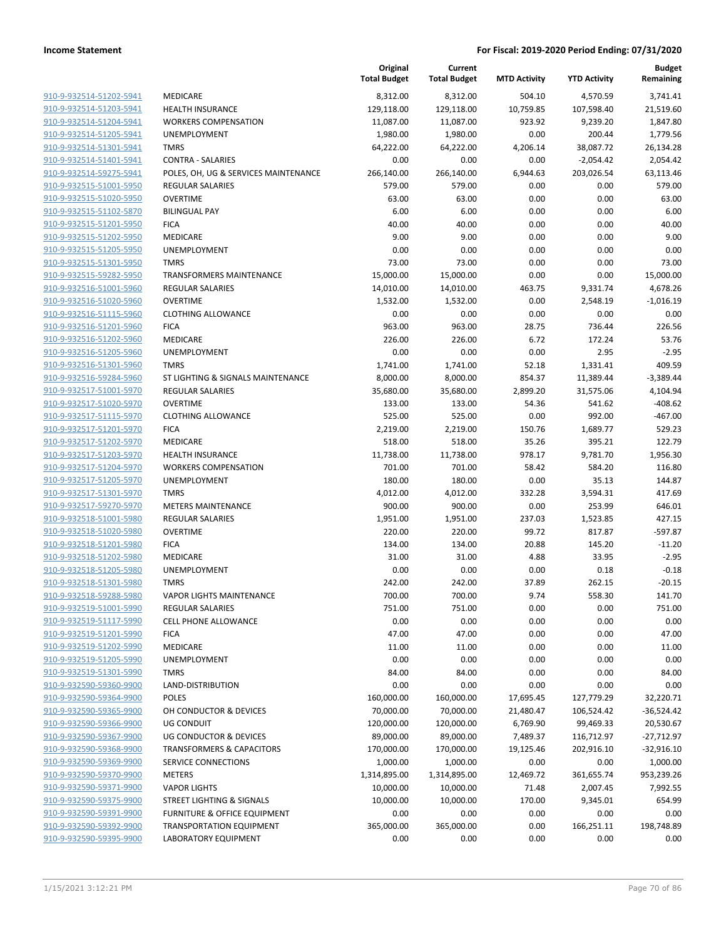|                                                    |                                                            | Original<br><b>Total Budget</b> | Current<br><b>Total Budget</b> | <b>MTD Activity</b> | <b>YTD Activity</b> | <b>Budget</b><br>Remaining |
|----------------------------------------------------|------------------------------------------------------------|---------------------------------|--------------------------------|---------------------|---------------------|----------------------------|
| 910-9-932514-51202-5941                            | <b>MEDICARE</b>                                            | 8,312.00                        | 8,312.00                       | 504.10              | 4,570.59            | 3,741.41                   |
| 910-9-932514-51203-5941                            | <b>HEALTH INSURANCE</b>                                    | 129,118.00                      | 129,118.00                     | 10,759.85           | 107,598.40          | 21,519.60                  |
| 910-9-932514-51204-5941                            | <b>WORKERS COMPENSATION</b>                                | 11,087.00                       | 11,087.00                      | 923.92              | 9,239.20            | 1,847.80                   |
| 910-9-932514-51205-5941                            | UNEMPLOYMENT                                               | 1,980.00                        | 1,980.00                       | 0.00                | 200.44              | 1,779.56                   |
| 910-9-932514-51301-5941                            | <b>TMRS</b>                                                | 64,222.00                       | 64,222.00                      | 4,206.14            | 38,087.72           | 26,134.28                  |
| 910-9-932514-51401-5941                            | <b>CONTRA - SALARIES</b>                                   | 0.00                            | 0.00                           | 0.00                | $-2,054.42$         | 2,054.42                   |
| 910-9-932514-59275-5941                            | POLES, OH, UG & SERVICES MAINTENANCE                       | 266,140.00                      | 266,140.00                     | 6,944.63            | 203,026.54          | 63,113.46                  |
| 910-9-932515-51001-5950                            | <b>REGULAR SALARIES</b>                                    | 579.00                          | 579.00                         | 0.00                | 0.00                | 579.00                     |
| 910-9-932515-51020-5950                            | <b>OVERTIME</b>                                            | 63.00                           | 63.00                          | 0.00                | 0.00                | 63.00                      |
| 910-9-932515-51102-5870                            | <b>BILINGUAL PAY</b>                                       | 6.00                            | 6.00                           | 0.00                | 0.00                | 6.00                       |
| 910-9-932515-51201-5950                            | <b>FICA</b>                                                | 40.00                           | 40.00                          | 0.00                | 0.00                | 40.00                      |
| 910-9-932515-51202-5950                            | MEDICARE                                                   | 9.00                            | 9.00                           | 0.00                | 0.00                | 9.00                       |
| 910-9-932515-51205-5950                            | <b>UNEMPLOYMENT</b>                                        | 0.00                            | 0.00                           | 0.00                | 0.00                | 0.00                       |
| 910-9-932515-51301-5950                            | <b>TMRS</b>                                                | 73.00                           | 73.00                          | 0.00                | 0.00                | 73.00                      |
| 910-9-932515-59282-5950                            | TRANSFORMERS MAINTENANCE                                   | 15,000.00                       | 15,000.00                      | 0.00                | 0.00                | 15,000.00                  |
| 910-9-932516-51001-5960                            | <b>REGULAR SALARIES</b>                                    | 14,010.00                       | 14,010.00                      | 463.75              | 9,331.74            | 4,678.26                   |
| 910-9-932516-51020-5960                            | <b>OVERTIME</b>                                            | 1,532.00                        | 1,532.00                       | 0.00                | 2,548.19            | $-1,016.19$                |
| 910-9-932516-51115-5960                            | <b>CLOTHING ALLOWANCE</b>                                  | 0.00                            | 0.00                           | 0.00                | 0.00                | 0.00                       |
| 910-9-932516-51201-5960                            | <b>FICA</b>                                                | 963.00                          | 963.00                         | 28.75               | 736.44              | 226.56                     |
| 910-9-932516-51202-5960                            | MEDICARE                                                   | 226.00                          | 226.00                         | 6.72                | 172.24              | 53.76                      |
| 910-9-932516-51205-5960                            | UNEMPLOYMENT                                               | 0.00                            | 0.00                           | 0.00                | 2.95                | $-2.95$                    |
| 910-9-932516-51301-5960                            | <b>TMRS</b>                                                | 1,741.00                        | 1,741.00                       | 52.18               | 1,331.41            | 409.59                     |
| 910-9-932516-59284-5960                            | ST LIGHTING & SIGNALS MAINTENANCE                          | 8,000.00                        | 8,000.00                       | 854.37              | 11,389.44           | $-3,389.44$                |
| 910-9-932517-51001-5970                            | REGULAR SALARIES                                           | 35,680.00                       | 35,680.00                      | 2,899.20            | 31,575.06           | 4,104.94                   |
| 910-9-932517-51020-5970                            | <b>OVERTIME</b>                                            | 133.00                          | 133.00                         | 54.36               | 541.62              | $-408.62$                  |
| 910-9-932517-51115-5970                            | <b>CLOTHING ALLOWANCE</b>                                  | 525.00                          | 525.00                         | 0.00                | 992.00              | $-467.00$                  |
| 910-9-932517-51201-5970                            | <b>FICA</b>                                                | 2,219.00                        | 2,219.00                       | 150.76              | 1,689.77            | 529.23                     |
| 910-9-932517-51202-5970                            | MEDICARE                                                   | 518.00                          | 518.00                         | 35.26               | 395.21              | 122.79                     |
| 910-9-932517-51203-5970                            | <b>HEALTH INSURANCE</b>                                    | 11,738.00                       | 11,738.00                      | 978.17              | 9,781.70            | 1,956.30                   |
| 910-9-932517-51204-5970                            | <b>WORKERS COMPENSATION</b>                                | 701.00                          | 701.00                         | 58.42               | 584.20              | 116.80                     |
| 910-9-932517-51205-5970                            | UNEMPLOYMENT                                               | 180.00                          | 180.00                         | 0.00                | 35.13               | 144.87                     |
| 910-9-932517-51301-5970                            | <b>TMRS</b>                                                | 4,012.00                        | 4,012.00                       | 332.28              | 3,594.31            | 417.69                     |
| 910-9-932517-59270-5970                            | <b>METERS MAINTENANCE</b>                                  | 900.00                          | 900.00                         | 0.00                | 253.99              | 646.01                     |
| 910-9-932518-51001-5980                            | <b>REGULAR SALARIES</b>                                    | 1,951.00                        | 1,951.00                       | 237.03              | 1,523.85            | 427.15                     |
| 910-9-932518-51020-5980                            | <b>OVERTIME</b>                                            | 220.00                          | 220.00                         | 99.72               | 817.87              | $-597.87$                  |
| 910-9-932518-51201-5980                            | <b>FICA</b>                                                | 134.00                          | 134.00                         | 20.88               | 145.20              | $-11.20$                   |
| 910-9-932518-51202-5980                            | MEDICARE                                                   | 31.00                           | 31.00                          | 4.88                | 33.95               | $-2.95$                    |
| 910-9-932518-51205-5980                            | UNEMPLOYMENT                                               | 0.00                            | 0.00                           | 0.00                | 0.18                | $-0.18$                    |
| 910-9-932518-51301-5980                            | <b>TMRS</b>                                                | 242.00                          | 242.00                         | 37.89               | 262.15              | $-20.15$                   |
| 910-9-932518-59288-5980                            | <b>VAPOR LIGHTS MAINTENANCE</b><br><b>REGULAR SALARIES</b> | 700.00                          | 700.00                         | 9.74<br>0.00        | 558.30<br>0.00      | 141.70                     |
| 910-9-932519-51001-5990<br>910-9-932519-51117-5990 | <b>CELL PHONE ALLOWANCE</b>                                | 751.00<br>0.00                  | 751.00<br>0.00                 | 0.00                | 0.00                | 751.00<br>0.00             |
| 910-9-932519-51201-5990                            | <b>FICA</b>                                                | 47.00                           | 47.00                          | 0.00                | 0.00                | 47.00                      |
| 910-9-932519-51202-5990                            | MEDICARE                                                   | 11.00                           | 11.00                          | 0.00                | 0.00                | 11.00                      |
| 910-9-932519-51205-5990                            | UNEMPLOYMENT                                               | 0.00                            | 0.00                           | 0.00                | 0.00                | 0.00                       |
| 910-9-932519-51301-5990                            | <b>TMRS</b>                                                | 84.00                           | 84.00                          | 0.00                | 0.00                | 84.00                      |
| 910-9-932590-59360-9900                            | LAND-DISTRIBUTION                                          | 0.00                            | 0.00                           | 0.00                | 0.00                | 0.00                       |
| 910-9-932590-59364-9900                            | <b>POLES</b>                                               | 160,000.00                      | 160,000.00                     | 17,695.45           | 127,779.29          | 32,220.71                  |
| 910-9-932590-59365-9900                            | OH CONDUCTOR & DEVICES                                     | 70,000.00                       | 70,000.00                      | 21,480.47           | 106,524.42          | $-36,524.42$               |
| 910-9-932590-59366-9900                            | UG CONDUIT                                                 | 120,000.00                      | 120,000.00                     | 6,769.90            | 99,469.33           | 20,530.67                  |
| 910-9-932590-59367-9900                            | UG CONDUCTOR & DEVICES                                     | 89,000.00                       | 89,000.00                      | 7,489.37            | 116,712.97          | $-27,712.97$               |
| 910-9-932590-59368-9900                            | <b>TRANSFORMERS &amp; CAPACITORS</b>                       | 170,000.00                      | 170,000.00                     | 19,125.46           | 202,916.10          | $-32,916.10$               |
| 910-9-932590-59369-9900                            | SERVICE CONNECTIONS                                        | 1,000.00                        | 1,000.00                       | 0.00                | 0.00                | 1,000.00                   |
| 910-9-932590-59370-9900                            | <b>METERS</b>                                              | 1,314,895.00                    | 1,314,895.00                   | 12,469.72           | 361,655.74          | 953,239.26                 |
| 910-9-932590-59371-9900                            | <b>VAPOR LIGHTS</b>                                        | 10,000.00                       | 10,000.00                      | 71.48               | 2,007.45            | 7,992.55                   |
| 910-9-932590-59375-9900                            | STREET LIGHTING & SIGNALS                                  | 10,000.00                       | 10,000.00                      | 170.00              | 9,345.01            | 654.99                     |
| 910-9-932590-59391-9900                            | FURNITURE & OFFICE EQUIPMENT                               | 0.00                            | 0.00                           | 0.00                | 0.00                | 0.00                       |
| 910-9-932590-59392-9900                            | <b>TRANSPORTATION EQUIPMENT</b>                            | 365,000.00                      | 365,000.00                     | 0.00                | 166,251.11          | 198,748.89                 |
| 910-9-932590-59395-9900                            | LABORATORY EQUIPMENT                                       | 0.00                            | 0.00                           | 0.00                | 0.00                | 0.00                       |
|                                                    |                                                            |                                 |                                |                     |                     |                            |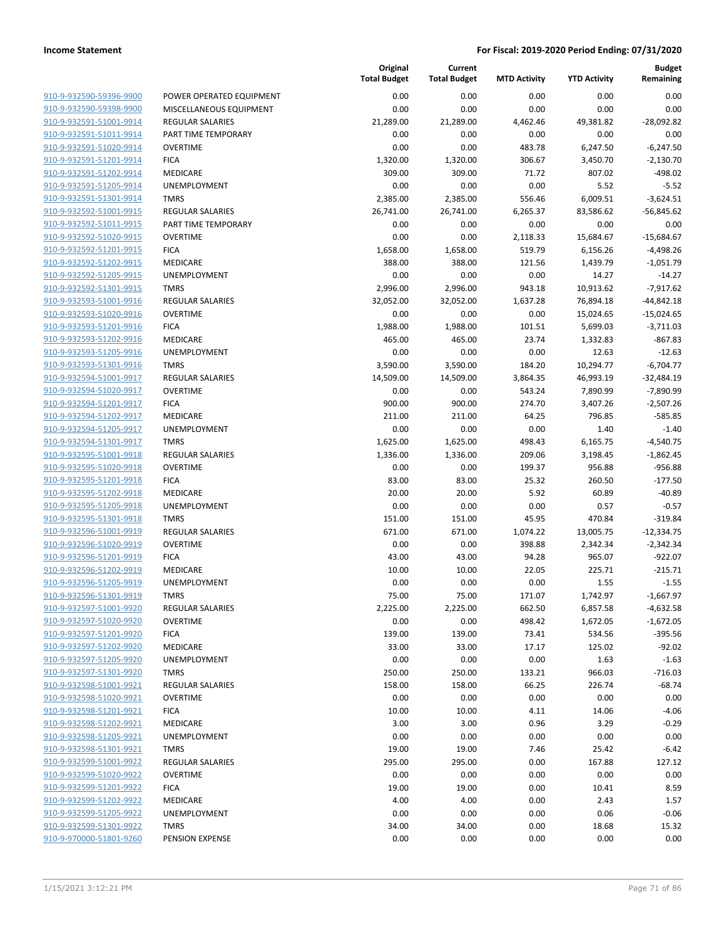| 910-9-932590-59396-9900        |
|--------------------------------|
| 910-9-932590-59398-9900        |
| 910-9-932591-51001-9914        |
| 910-9-932591-51011-9914        |
| 910-9-932591-51020-9914        |
| 910-9-932591-51201-9914        |
| <u>910-9-932591-51202-9914</u> |
| 910-9-932591-51205-9914        |
| 910-9-932591-51301-9914        |
| 910-9-932592-51001-9915        |
| 910-9-932592-51011-9915        |
| 910-9-932592-51020-9915        |
| 910-9-932592-51201-9915        |
| 910-9-932592-51202-9915        |
| 910-9-932592-51205-9915        |
| 910-9-932592-51301-9915        |
| 910-9-932593-51001-9916        |
| 910-9-932593-51020-9916        |
|                                |
| 910-9-932593-51201-9916        |
| 910-9-932593-51202-9916        |
| 910-9-932593-51205-9916        |
| 910-9-932593-51301-9916        |
| 910-9-932594-51001-9917        |
| 910-9-932594-51020-9917        |
| 910-9-932594-51201-9917        |
| 910-9-932594-51202-9917        |
| 910-9-932594-51205-9917        |
| 910-9-932594-51301-9917        |
| 910-9-932595-51001-9918        |
| 910-9-932595-51020-9918        |
| 910-9-932595-51201-9918        |
| 910-9-932595-51202-9918        |
| 910-9-932595-51205-9918        |
| 910-9-932595-51301-9918        |
| 910-9-932596-51001-9919        |
| 910-9-932596-51020-9919        |
| 910-9-932596-51201-9919        |
| 910-9-932596-51202-9919        |
| 910-9-932596-51205-9919        |
| 910-9-932596-51301-9919        |
| <u>910-9-932597-51001-9920</u> |
| <u>910-9-932597-51020-9920</u> |
| 910-9-932597-51201-9920        |
| 910-9-932597-51202-9920        |
|                                |
| 910-9-932597-51205-9920        |
| 910-9-932597-51301-9920        |
| <u>910-9-932598-51001-9921</u> |
| <u>910-9-932598-51020-9921</u> |
| 910-9-932598-51201-9921        |
| 910-9-932598-51202-9921        |
| <u>910-9-932598-51205-9921</u> |
| 910-9-932598-51301-9921        |
| <u>910-9-932599-51001-9922</u> |
| <u>910-9-932599-51020-9922</u> |
| 910-9-932599-51201-9922        |
| <u>910-9-932599-51202-9922</u> |
| <u>910-9-932599-51205-9922</u> |
| <u>910-9-932599-51301-9922</u> |
| 910-9-970000-51801-9260        |
|                                |

|                         |                          | Original<br><b>Total Budget</b> | Current<br><b>Total Budget</b> | <b>MTD Activity</b> | <b>YTD Activity</b> | <b>Budget</b><br>Remaining |
|-------------------------|--------------------------|---------------------------------|--------------------------------|---------------------|---------------------|----------------------------|
| 910-9-932590-59396-9900 | POWER OPERATED EQUIPMENT | 0.00                            | 0.00                           | 0.00                | 0.00                | 0.00                       |
| 910-9-932590-59398-9900 | MISCELLANEOUS EQUIPMENT  | 0.00                            | 0.00                           | 0.00                | 0.00                | 0.00                       |
| 910-9-932591-51001-9914 | REGULAR SALARIES         | 21,289.00                       | 21,289.00                      | 4,462.46            | 49,381.82           | $-28,092.82$               |
| 910-9-932591-51011-9914 | PART TIME TEMPORARY      | 0.00                            | 0.00                           | 0.00                | 0.00                | 0.00                       |
| 910-9-932591-51020-9914 | <b>OVERTIME</b>          | 0.00                            | 0.00                           | 483.78              | 6,247.50            | $-6,247.50$                |
| 910-9-932591-51201-9914 | <b>FICA</b>              | 1,320.00                        | 1,320.00                       | 306.67              | 3,450.70            | $-2,130.70$                |
| 910-9-932591-51202-9914 | <b>MEDICARE</b>          | 309.00                          | 309.00                         | 71.72               | 807.02              | $-498.02$                  |
| 910-9-932591-51205-9914 | <b>UNEMPLOYMENT</b>      | 0.00                            | 0.00                           | 0.00                | 5.52                | $-5.52$                    |
| 910-9-932591-51301-9914 | <b>TMRS</b>              | 2,385.00                        | 2,385.00                       | 556.46              | 6,009.51            | $-3,624.51$                |
| 910-9-932592-51001-9915 | REGULAR SALARIES         | 26,741.00                       | 26,741.00                      | 6,265.37            | 83,586.62           | $-56,845.62$               |
| 910-9-932592-51011-9915 | PART TIME TEMPORARY      | 0.00                            | 0.00                           | 0.00                | 0.00                | 0.00                       |
| 910-9-932592-51020-9915 | <b>OVERTIME</b>          | 0.00                            | 0.00                           | 2,118.33            | 15,684.67           | $-15,684.67$               |
| 910-9-932592-51201-9915 | <b>FICA</b>              | 1,658.00                        | 1,658.00                       | 519.79              | 6,156.26            | $-4,498.26$                |
| 910-9-932592-51202-9915 | MEDICARE                 | 388.00                          | 388.00                         | 121.56              | 1,439.79            | $-1,051.79$                |
| 910-9-932592-51205-9915 | UNEMPLOYMENT             | 0.00                            | 0.00                           | 0.00                | 14.27               | $-14.27$                   |
| 910-9-932592-51301-9915 | <b>TMRS</b>              | 2,996.00                        | 2,996.00                       | 943.18              | 10,913.62           | $-7,917.62$                |
| 910-9-932593-51001-9916 | <b>REGULAR SALARIES</b>  | 32,052.00                       | 32,052.00                      | 1,637.28            | 76,894.18           | $-44,842.18$               |
| 910-9-932593-51020-9916 | <b>OVERTIME</b>          | 0.00                            | 0.00                           | 0.00                | 15,024.65           | $-15,024.65$               |
| 910-9-932593-51201-9916 | <b>FICA</b>              | 1,988.00                        | 1,988.00                       | 101.51              | 5,699.03            | $-3,711.03$                |
| 910-9-932593-51202-9916 | MEDICARE                 | 465.00                          | 465.00                         | 23.74               | 1,332.83            | $-867.83$                  |
| 910-9-932593-51205-9916 | <b>UNEMPLOYMENT</b>      | 0.00                            | 0.00                           | 0.00                | 12.63               | $-12.63$                   |
| 910-9-932593-51301-9916 | <b>TMRS</b>              | 3,590.00                        | 3,590.00                       | 184.20              | 10,294.77           | $-6,704.77$                |
| 910-9-932594-51001-9917 | <b>REGULAR SALARIES</b>  | 14,509.00                       | 14,509.00                      | 3,864.35            | 46,993.19           | $-32,484.19$               |
| 910-9-932594-51020-9917 | <b>OVERTIME</b>          | 0.00                            | 0.00                           | 543.24              | 7,890.99            | $-7,890.99$                |
| 910-9-932594-51201-9917 | <b>FICA</b>              | 900.00                          | 900.00                         | 274.70              | 3,407.26            | $-2,507.26$                |
| 910-9-932594-51202-9917 | MEDICARE                 | 211.00                          | 211.00                         | 64.25               | 796.85              | $-585.85$                  |
| 910-9-932594-51205-9917 | <b>UNEMPLOYMENT</b>      | 0.00                            | 0.00                           | 0.00                | 1.40                | $-1.40$                    |
| 910-9-932594-51301-9917 | <b>TMRS</b>              | 1,625.00                        | 1,625.00                       | 498.43              | 6,165.75            | $-4,540.75$                |
| 910-9-932595-51001-9918 | <b>REGULAR SALARIES</b>  | 1,336.00                        | 1,336.00                       | 209.06              | 3,198.45            | $-1,862.45$                |
| 910-9-932595-51020-9918 | <b>OVERTIME</b>          | 0.00                            | 0.00                           | 199.37              | 956.88              | $-956.88$                  |
| 910-9-932595-51201-9918 | <b>FICA</b>              | 83.00                           | 83.00                          | 25.32               | 260.50              | $-177.50$                  |
| 910-9-932595-51202-9918 | MEDICARE                 | 20.00                           | 20.00                          | 5.92                | 60.89               | $-40.89$                   |
| 910-9-932595-51205-9918 | UNEMPLOYMENT             | 0.00                            | 0.00                           | 0.00                | 0.57                | $-0.57$                    |
| 910-9-932595-51301-9918 | <b>TMRS</b>              | 151.00                          | 151.00                         | 45.95               | 470.84              | $-319.84$                  |
| 910-9-932596-51001-9919 | <b>REGULAR SALARIES</b>  | 671.00                          | 671.00                         | 1,074.22            | 13,005.75           | $-12,334.75$               |
| 910-9-932596-51020-9919 | <b>OVERTIME</b>          | 0.00                            | 0.00                           | 398.88              | 2,342.34            | $-2,342.34$                |
| 910-9-932596-51201-9919 | <b>FICA</b>              | 43.00                           | 43.00                          | 94.28               | 965.07              | $-922.07$                  |
| 910-9-932596-51202-9919 | MEDICARE                 | 10.00                           | 10.00                          | 22.05               | 225.71              | $-215.71$                  |
| 910-9-932596-51205-9919 | UNEMPLOYMENT             | 0.00                            | 0.00                           | 0.00                | 1.55                | $-1.55$                    |
| 910-9-932596-51301-9919 | <b>TMRS</b>              | 75.00                           | 75.00                          | 171.07              | 1,742.97            | $-1,667.97$                |
| 910-9-932597-51001-9920 | REGULAR SALARIES         | 2,225.00                        | 2,225.00                       | 662.50              | 6,857.58            | $-4,632.58$                |
| 910-9-932597-51020-9920 | <b>OVERTIME</b>          | 0.00                            | 0.00                           | 498.42              | 1,672.05            | $-1,672.05$                |
| 910-9-932597-51201-9920 | <b>FICA</b>              | 139.00                          | 139.00                         | 73.41               | 534.56              | $-395.56$                  |
| 910-9-932597-51202-9920 | MEDICARE                 | 33.00                           | 33.00                          | 17.17               | 125.02              | $-92.02$                   |
| 910-9-932597-51205-9920 | UNEMPLOYMENT             | 0.00                            | 0.00                           | 0.00                | 1.63                | $-1.63$                    |
| 910-9-932597-51301-9920 | <b>TMRS</b>              | 250.00                          | 250.00                         | 133.21              | 966.03              | $-716.03$                  |
| 910-9-932598-51001-9921 | <b>REGULAR SALARIES</b>  | 158.00                          | 158.00                         | 66.25               | 226.74              | $-68.74$                   |
| 910-9-932598-51020-9921 | <b>OVERTIME</b>          | 0.00                            | 0.00                           | 0.00                | 0.00                | 0.00                       |
| 910-9-932598-51201-9921 | <b>FICA</b>              | 10.00                           | 10.00                          | 4.11                | 14.06               | $-4.06$                    |
| 910-9-932598-51202-9921 | <b>MEDICARE</b>          | 3.00                            | 3.00                           | 0.96                | 3.29                | $-0.29$                    |
| 910-9-932598-51205-9921 | <b>UNEMPLOYMENT</b>      | 0.00                            | 0.00                           | 0.00                | 0.00                | 0.00                       |
| 910-9-932598-51301-9921 | TMRS                     | 19.00                           | 19.00                          | 7.46                | 25.42               | $-6.42$                    |
| 910-9-932599-51001-9922 | REGULAR SALARIES         | 295.00                          | 295.00                         | 0.00                | 167.88              | 127.12                     |
| 910-9-932599-51020-9922 | <b>OVERTIME</b>          | 0.00                            | 0.00                           | 0.00                | 0.00                | 0.00                       |
| 910-9-932599-51201-9922 | <b>FICA</b>              | 19.00                           | 19.00                          | 0.00                | 10.41               | 8.59                       |
| 910-9-932599-51202-9922 | MEDICARE                 | 4.00                            | 4.00                           | 0.00                | 2.43                | 1.57                       |
| 910-9-932599-51205-9922 | <b>UNEMPLOYMENT</b>      | 0.00                            | 0.00                           | 0.00                | 0.06                | $-0.06$                    |
| 910-9-932599-51301-9922 | <b>TMRS</b>              | 34.00                           | 34.00                          | 0.00                | 18.68               | 15.32                      |
| 910-9-970000-51801-9260 | PENSION EXPENSE          | 0.00                            | 0.00                           | 0.00                | 0.00                | 0.00                       |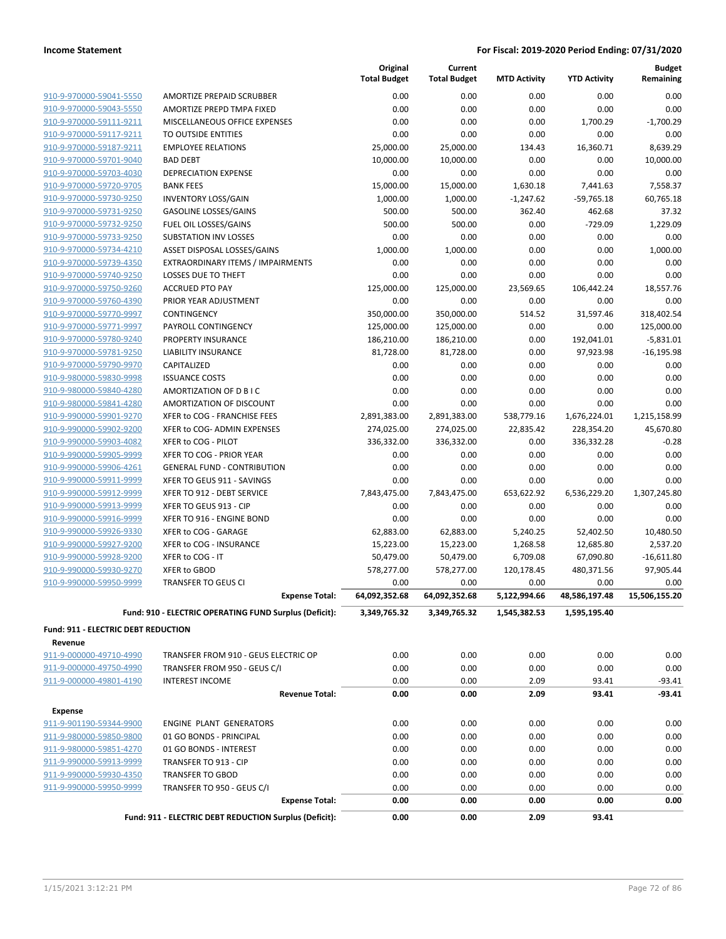|                                            |                                                        | Original<br><b>Total Budget</b> | Current<br><b>Total Budget</b> | <b>MTD Activity</b>  | <b>YTD Activity</b>   | <b>Budget</b><br>Remaining |
|--------------------------------------------|--------------------------------------------------------|---------------------------------|--------------------------------|----------------------|-----------------------|----------------------------|
| 910-9-970000-59041-5550                    | AMORTIZE PREPAID SCRUBBER                              | 0.00                            | 0.00                           | 0.00                 | 0.00                  | 0.00                       |
| 910-9-970000-59043-5550                    | AMORTIZE PREPD TMPA FIXED                              | 0.00                            | 0.00                           | 0.00                 | 0.00                  | 0.00                       |
| 910-9-970000-59111-9211                    | MISCELLANEOUS OFFICE EXPENSES                          | 0.00                            | 0.00                           | 0.00                 | 1,700.29              | $-1,700.29$                |
| 910-9-970000-59117-9211                    | TO OUTSIDE ENTITIES                                    | 0.00                            | 0.00                           | 0.00                 | 0.00                  | 0.00                       |
| 910-9-970000-59187-9211                    | <b>EMPLOYEE RELATIONS</b>                              | 25,000.00                       | 25,000.00                      | 134.43               | 16,360.71             | 8,639.29                   |
| 910-9-970000-59701-9040                    | <b>BAD DEBT</b>                                        | 10,000.00                       | 10,000.00                      | 0.00                 | 0.00                  | 10,000.00                  |
| 910-9-970000-59703-4030                    | DEPRECIATION EXPENSE                                   | 0.00                            | 0.00                           | 0.00                 | 0.00                  | 0.00                       |
| 910-9-970000-59720-9705                    | <b>BANK FEES</b>                                       | 15,000.00                       | 15,000.00                      | 1,630.18             | 7,441.63              | 7,558.37                   |
| 910-9-970000-59730-9250                    | <b>INVENTORY LOSS/GAIN</b>                             | 1,000.00                        | 1,000.00                       | $-1,247.62$          | $-59,765.18$          | 60,765.18                  |
| 910-9-970000-59731-9250                    | <b>GASOLINE LOSSES/GAINS</b>                           | 500.00                          | 500.00                         | 362.40               | 462.68                | 37.32                      |
| 910-9-970000-59732-9250                    | FUEL OIL LOSSES/GAINS                                  | 500.00                          | 500.00                         | 0.00                 | $-729.09$             | 1,229.09                   |
| 910-9-970000-59733-9250                    | <b>SUBSTATION INV LOSSES</b>                           | 0.00                            | 0.00                           | 0.00                 | 0.00                  | 0.00                       |
| 910-9-970000-59734-4210                    | ASSET DISPOSAL LOSSES/GAINS                            | 1,000.00                        | 1,000.00                       | 0.00                 | 0.00                  | 1,000.00                   |
| 910-9-970000-59739-4350                    | EXTRAORDINARY ITEMS / IMPAIRMENTS                      | 0.00                            | 0.00                           | 0.00                 | 0.00                  | 0.00                       |
| 910-9-970000-59740-9250                    | LOSSES DUE TO THEFT                                    | 0.00                            | 0.00                           | 0.00                 | 0.00                  | 0.00                       |
| 910-9-970000-59750-9260                    | <b>ACCRUED PTO PAY</b>                                 | 125,000.00                      | 125,000.00                     | 23,569.65            | 106,442.24            | 18,557.76                  |
| 910-9-970000-59760-4390                    | PRIOR YEAR ADJUSTMENT                                  | 0.00                            | 0.00                           | 0.00                 | 0.00                  | 0.00                       |
| 910-9-970000-59770-9997                    | CONTINGENCY                                            | 350,000.00                      | 350,000.00                     | 514.52               | 31,597.46             | 318,402.54                 |
| 910-9-970000-59771-9997                    | PAYROLL CONTINGENCY                                    | 125,000.00                      | 125,000.00                     | 0.00                 | 0.00                  | 125,000.00                 |
| 910-9-970000-59780-9240                    | PROPERTY INSURANCE                                     | 186,210.00                      | 186,210.00                     | 0.00                 | 192,041.01            | $-5,831.01$                |
| 910-9-970000-59781-9250                    | <b>LIABILITY INSURANCE</b>                             | 81,728.00                       | 81,728.00                      | 0.00                 | 97,923.98             | $-16, 195.98$              |
| 910-9-970000-59790-9970                    | CAPITALIZED                                            | 0.00                            | 0.00                           | 0.00                 | 0.00                  | 0.00                       |
| 910-9-980000-59830-9998                    | <b>ISSUANCE COSTS</b>                                  | 0.00                            | 0.00                           | 0.00                 | 0.00                  | 0.00                       |
| 910-9-980000-59840-4280                    | AMORTIZATION OF D B I C                                | 0.00                            | 0.00                           | 0.00                 | 0.00                  | 0.00                       |
| 910-9-980000-59841-4280                    | AMORTIZATION OF DISCOUNT                               | 0.00                            | 0.00                           | 0.00                 | 0.00                  | 0.00                       |
| 910-9-990000-59901-9270                    | XFER to COG - FRANCHISE FEES                           | 2,891,383.00                    | 2,891,383.00                   | 538,779.16           | 1,676,224.01          | 1,215,158.99               |
| 910-9-990000-59902-9200                    | XFER to COG- ADMIN EXPENSES                            | 274,025.00                      | 274,025.00                     | 22,835.42            | 228,354.20            | 45,670.80                  |
| 910-9-990000-59903-4082                    | XFER to COG - PILOT                                    | 336,332.00                      | 336,332.00                     | 0.00                 | 336,332.28            | $-0.28$                    |
| 910-9-990000-59905-9999                    | XFER TO COG - PRIOR YEAR                               | 0.00                            | 0.00                           | 0.00                 | 0.00                  | 0.00                       |
| 910-9-990000-59906-4261                    | <b>GENERAL FUND - CONTRIBUTION</b>                     | 0.00                            | 0.00                           | 0.00                 | 0.00                  | 0.00                       |
| 910-9-990000-59911-9999                    | XFER TO GEUS 911 - SAVINGS                             | 0.00                            | 0.00                           | 0.00                 | 0.00                  | 0.00                       |
| 910-9-990000-59912-9999                    | XFER TO 912 - DEBT SERVICE                             | 7,843,475.00                    | 7,843,475.00                   | 653,622.92           | 6,536,229.20          | 1,307,245.80               |
| 910-9-990000-59913-9999                    | XFER TO GEUS 913 - CIP                                 | 0.00                            | 0.00                           | 0.00                 | 0.00                  | 0.00                       |
| 910-9-990000-59916-9999                    |                                                        |                                 |                                |                      |                       |                            |
|                                            | XFER TO 916 - ENGINE BOND                              | 0.00<br>62,883.00               | 0.00                           | 0.00                 | 0.00<br>52,402.50     | 0.00<br>10,480.50          |
| 910-9-990000-59926-9330                    | XFER to COG - GARAGE                                   |                                 | 62,883.00                      | 5,240.25             |                       |                            |
| 910-9-990000-59927-9200                    | XFER to COG - INSURANCE                                | 15,223.00                       | 15,223.00                      | 1,268.58             | 12,685.80             | 2,537.20                   |
| 910-9-990000-59928-9200                    | XFER to COG - IT                                       | 50,479.00                       | 50,479.00                      | 6,709.08             | 67,090.80             | $-16,611.80$               |
| 910-9-990000-59930-9270                    | XFER to GBOD                                           | 578,277.00                      | 578,277.00                     | 120,178.45           | 480,371.56            | 97,905.44                  |
| 910-9-990000-59950-9999                    | <b>TRANSFER TO GEUS CI</b><br><b>Expense Total:</b>    | 0.00<br>64,092,352.68           | 0.00<br>64,092,352.68          | 0.00<br>5,122,994.66 | 0.00<br>48,586,197.48 | 0.00<br>15,506,155.20      |
|                                            | Fund: 910 - ELECTRIC OPERATING FUND Surplus (Deficit): | 3.349.765.32                    | 3.349.765.32                   | 1,545,382.53         | 1,595,195.40          |                            |
| <b>Fund: 911 - ELECTRIC DEBT REDUCTION</b> |                                                        |                                 |                                |                      |                       |                            |
| Revenue                                    |                                                        |                                 |                                |                      |                       |                            |
| 911-9-000000-49710-4990                    | TRANSFER FROM 910 - GEUS ELECTRIC OP                   | 0.00                            | 0.00                           | 0.00                 | 0.00                  | 0.00                       |
| 911-9-000000-49750-4990                    | TRANSFER FROM 950 - GEUS C/I                           | 0.00                            | 0.00                           | 0.00                 | 0.00                  | 0.00                       |
| 911-9-000000-49801-4190                    | <b>INTEREST INCOME</b>                                 | 0.00                            | 0.00                           | 2.09                 | 93.41                 | $-93.41$                   |
|                                            | <b>Revenue Total:</b>                                  | 0.00                            | 0.00                           | 2.09                 | 93.41                 | -93.41                     |
| <b>Expense</b>                             |                                                        |                                 |                                |                      |                       |                            |
| 911-9-901190-59344-9900                    | <b>ENGINE PLANT GENERATORS</b>                         | 0.00                            | 0.00                           | 0.00                 | 0.00                  | 0.00                       |
| 911-9-980000-59850-9800                    | 01 GO BONDS - PRINCIPAL                                | 0.00                            | 0.00                           | 0.00                 | 0.00                  | 0.00                       |
| 911-9-980000-59851-4270                    | 01 GO BONDS - INTEREST                                 | 0.00                            | 0.00                           | 0.00                 | 0.00                  | 0.00                       |
| 911-9-990000-59913-9999                    | TRANSFER TO 913 - CIP                                  | 0.00                            | 0.00                           | 0.00                 | 0.00                  | 0.00                       |
| 911-9-990000-59930-4350                    | <b>TRANSFER TO GBOD</b>                                | 0.00                            | 0.00                           | 0.00                 | 0.00                  | 0.00                       |
| 911-9-990000-59950-9999                    | TRANSFER TO 950 - GEUS C/I                             | 0.00                            | 0.00                           | 0.00                 | 0.00                  | 0.00                       |
|                                            | <b>Expense Total:</b>                                  | 0.00                            | 0.00                           | 0.00                 | 0.00                  | 0.00                       |
|                                            | Fund: 911 - ELECTRIC DEBT REDUCTION Surplus (Deficit): | 0.00                            | 0.00                           | 2.09                 | 93.41                 |                            |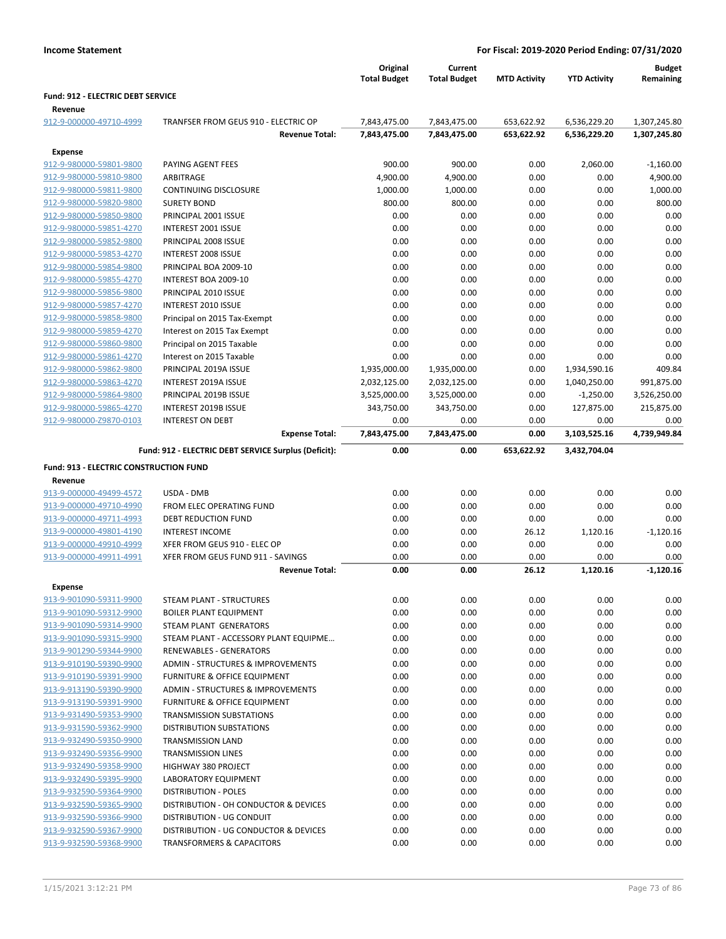|                                                    |                                                                               | Original                     | Current                      |                     |                              | <b>Budget</b>              |
|----------------------------------------------------|-------------------------------------------------------------------------------|------------------------------|------------------------------|---------------------|------------------------------|----------------------------|
|                                                    |                                                                               | <b>Total Budget</b>          | <b>Total Budget</b>          | <b>MTD Activity</b> | <b>YTD Activity</b>          | Remaining                  |
| Fund: 912 - ELECTRIC DEBT SERVICE                  |                                                                               |                              |                              |                     |                              |                            |
| Revenue                                            |                                                                               |                              |                              |                     |                              |                            |
| 912-9-000000-49710-4999                            | TRANFSER FROM GEUS 910 - ELECTRIC OP                                          | 7,843,475.00                 | 7,843,475.00                 | 653,622.92          | 6,536,229.20                 | 1,307,245.80               |
|                                                    | <b>Revenue Total:</b>                                                         | 7,843,475.00                 | 7,843,475.00                 | 653,622.92          | 6,536,229.20                 | 1,307,245.80               |
| Expense                                            |                                                                               |                              |                              |                     |                              |                            |
| 912-9-980000-59801-9800                            | PAYING AGENT FEES                                                             | 900.00                       | 900.00                       | 0.00                | 2,060.00                     | $-1,160.00$                |
| 912-9-980000-59810-9800                            | ARBITRAGE                                                                     | 4,900.00                     | 4,900.00                     | 0.00                | 0.00                         | 4,900.00                   |
| 912-9-980000-59811-9800                            | <b>CONTINUING DISCLOSURE</b>                                                  | 1,000.00                     | 1,000.00                     | 0.00                | 0.00                         | 1,000.00                   |
| 912-9-980000-59820-9800                            | <b>SURETY BOND</b>                                                            | 800.00                       | 800.00                       | 0.00                | 0.00                         | 800.00                     |
| 912-9-980000-59850-9800                            | PRINCIPAL 2001 ISSUE                                                          | 0.00                         | 0.00                         | 0.00                | 0.00                         | 0.00                       |
| 912-9-980000-59851-4270                            | INTEREST 2001 ISSUE                                                           | 0.00                         | 0.00                         | 0.00                | 0.00                         | 0.00                       |
| 912-9-980000-59852-9800                            | PRINCIPAL 2008 ISSUE                                                          | 0.00                         | 0.00                         | 0.00                | 0.00                         | 0.00                       |
| 912-9-980000-59853-4270                            | INTEREST 2008 ISSUE                                                           | 0.00                         | 0.00                         | 0.00                | 0.00                         | 0.00                       |
| 912-9-980000-59854-9800                            | PRINCIPAL BOA 2009-10                                                         | 0.00                         | 0.00                         | 0.00                | 0.00                         | 0.00                       |
| 912-9-980000-59855-4270                            | INTEREST BOA 2009-10                                                          | 0.00                         | 0.00                         | 0.00                | 0.00                         | 0.00                       |
| 912-9-980000-59856-9800                            | PRINCIPAL 2010 ISSUE                                                          | 0.00                         | 0.00                         | 0.00                | 0.00                         | 0.00                       |
| 912-9-980000-59857-4270                            | <b>INTEREST 2010 ISSUE</b>                                                    | 0.00                         | 0.00                         | 0.00                | 0.00                         | 0.00                       |
| 912-9-980000-59858-9800                            | Principal on 2015 Tax-Exempt                                                  | 0.00                         | 0.00                         | 0.00                | 0.00                         | 0.00                       |
| 912-9-980000-59859-4270                            | Interest on 2015 Tax Exempt                                                   | 0.00                         | 0.00                         | 0.00                | 0.00                         | 0.00                       |
| 912-9-980000-59860-9800<br>912-9-980000-59861-4270 | Principal on 2015 Taxable                                                     | 0.00                         | 0.00                         | 0.00                | 0.00                         | 0.00                       |
| 912-9-980000-59862-9800                            | Interest on 2015 Taxable                                                      | 0.00                         | 0.00                         | 0.00                | 0.00                         | 0.00                       |
| 912-9-980000-59863-4270                            | PRINCIPAL 2019A ISSUE<br>INTEREST 2019A ISSUE                                 | 1,935,000.00<br>2,032,125.00 | 1,935,000.00                 | 0.00                | 1,934,590.16<br>1,040,250.00 | 409.84                     |
| 912-9-980000-59864-9800                            | PRINCIPAL 2019B ISSUE                                                         | 3,525,000.00                 | 2,032,125.00<br>3,525,000.00 | 0.00<br>0.00        | $-1,250.00$                  | 991,875.00<br>3,526,250.00 |
| 912-9-980000-59865-4270                            | INTEREST 2019B ISSUE                                                          | 343,750.00                   | 343,750.00                   | 0.00                | 127,875.00                   | 215,875.00                 |
| 912-9-980000-Z9870-0103                            | <b>INTEREST ON DEBT</b>                                                       | 0.00                         | 0.00                         | 0.00                | 0.00                         | 0.00                       |
|                                                    | <b>Expense Total:</b>                                                         | 7,843,475.00                 | 7,843,475.00                 | 0.00                | 3,103,525.16                 | 4,739,949.84               |
|                                                    |                                                                               |                              |                              |                     |                              |                            |
|                                                    | Fund: 912 - ELECTRIC DEBT SERVICE Surplus (Deficit):                          | 0.00                         | 0.00                         | 653,622.92          | 3,432,704.04                 |                            |
| <b>Fund: 913 - ELECTRIC CONSTRUCTION FUND</b>      |                                                                               |                              |                              |                     |                              |                            |
| Revenue                                            |                                                                               |                              |                              |                     |                              |                            |
| 913-9-000000-49499-4572                            | USDA - DMB                                                                    | 0.00                         | 0.00                         | 0.00                | 0.00                         | 0.00                       |
| 913-9-000000-49710-4990                            | FROM ELEC OPERATING FUND                                                      | 0.00                         | 0.00                         | 0.00                | 0.00                         | 0.00                       |
| 913-9-000000-49711-4993                            | DEBT REDUCTION FUND                                                           | 0.00                         | 0.00                         | 0.00                | 0.00                         | 0.00                       |
| 913-9-000000-49801-4190                            | <b>INTEREST INCOME</b>                                                        | 0.00                         | 0.00                         | 26.12               | 1,120.16                     | $-1,120.16$                |
| 913-9-000000-49910-4999                            | XFER FROM GEUS 910 - ELEC OP                                                  | 0.00                         | 0.00                         | 0.00                | 0.00                         | 0.00                       |
| 913-9-000000-49911-4991                            | XFER FROM GEUS FUND 911 - SAVINGS<br><b>Revenue Total:</b>                    | 0.00<br>0.00                 | 0.00<br>0.00                 | 0.00<br>26.12       | 0.00<br>1,120.16             | 0.00<br>$-1,120.16$        |
|                                                    |                                                                               |                              |                              |                     |                              |                            |
| Expense                                            |                                                                               |                              |                              |                     |                              |                            |
| 913-9-901090-59311-9900                            | STEAM PLANT - STRUCTURES                                                      | 0.00                         | 0.00                         | 0.00                | 0.00                         | 0.00                       |
| 913-9-901090-59312-9900<br>913-9-901090-59314-9900 | <b>BOILER PLANT EQUIPMENT</b>                                                 | 0.00                         | 0.00                         | 0.00                | 0.00                         | 0.00                       |
| 913-9-901090-59315-9900                            | STEAM PLANT GENERATORS                                                        | 0.00<br>0.00                 | 0.00<br>0.00                 | 0.00<br>0.00        | 0.00<br>0.00                 | 0.00<br>0.00               |
| 913-9-901290-59344-9900                            | STEAM PLANT - ACCESSORY PLANT EQUIPME<br><b>RENEWABLES - GENERATORS</b>       | 0.00                         | 0.00                         | 0.00                | 0.00                         | 0.00                       |
| 913-9-910190-59390-9900                            | <b>ADMIN - STRUCTURES &amp; IMPROVEMENTS</b>                                  | 0.00                         | 0.00                         | 0.00                | 0.00                         | 0.00                       |
| 913-9-910190-59391-9900                            | <b>FURNITURE &amp; OFFICE EQUIPMENT</b>                                       | 0.00                         | 0.00                         | 0.00                | 0.00                         | 0.00                       |
| 913-9-913190-59390-9900                            | ADMIN - STRUCTURES & IMPROVEMENTS                                             | 0.00                         | 0.00                         | 0.00                | 0.00                         | 0.00                       |
| 913-9-913190-59391-9900                            | FURNITURE & OFFICE EQUIPMENT                                                  | 0.00                         | 0.00                         | 0.00                | 0.00                         | 0.00                       |
| 913-9-931490-59353-9900                            | <b>TRANSMISSION SUBSTATIONS</b>                                               | 0.00                         | 0.00                         | 0.00                | 0.00                         | 0.00                       |
| 913-9-931590-59362-9900                            | DISTRIBUTION SUBSTATIONS                                                      | 0.00                         | 0.00                         | 0.00                | 0.00                         | 0.00                       |
| 913-9-932490-59350-9900                            | <b>TRANSMISSION LAND</b>                                                      | 0.00                         | 0.00                         | 0.00                | 0.00                         | 0.00                       |
| 913-9-932490-59356-9900                            |                                                                               |                              | 0.00                         | 0.00                | 0.00                         | 0.00                       |
| 913-9-932490-59358-9900                            |                                                                               |                              |                              |                     |                              |                            |
|                                                    | <b>TRANSMISSION LINES</b>                                                     | 0.00                         |                              |                     |                              |                            |
|                                                    | HIGHWAY 380 PROJECT                                                           | 0.00                         | 0.00                         | 0.00                | 0.00                         | 0.00                       |
| 913-9-932490-59395-9900                            | LABORATORY EQUIPMENT                                                          | 0.00                         | 0.00                         | 0.00                | 0.00                         | 0.00                       |
| 913-9-932590-59364-9900                            | <b>DISTRIBUTION - POLES</b>                                                   | 0.00                         | 0.00                         | 0.00                | 0.00                         | 0.00                       |
| 913-9-932590-59365-9900                            | DISTRIBUTION - OH CONDUCTOR & DEVICES                                         | 0.00                         | 0.00                         | 0.00                | 0.00                         | 0.00                       |
| 913-9-932590-59366-9900<br>913-9-932590-59367-9900 | DISTRIBUTION - UG CONDUIT                                                     | 0.00                         | 0.00                         | 0.00                | 0.00                         | 0.00                       |
| 913-9-932590-59368-9900                            | DISTRIBUTION - UG CONDUCTOR & DEVICES<br><b>TRANSFORMERS &amp; CAPACITORS</b> | 0.00<br>0.00                 | 0.00<br>0.00                 | 0.00<br>0.00        | 0.00<br>0.00                 | 0.00<br>0.00               |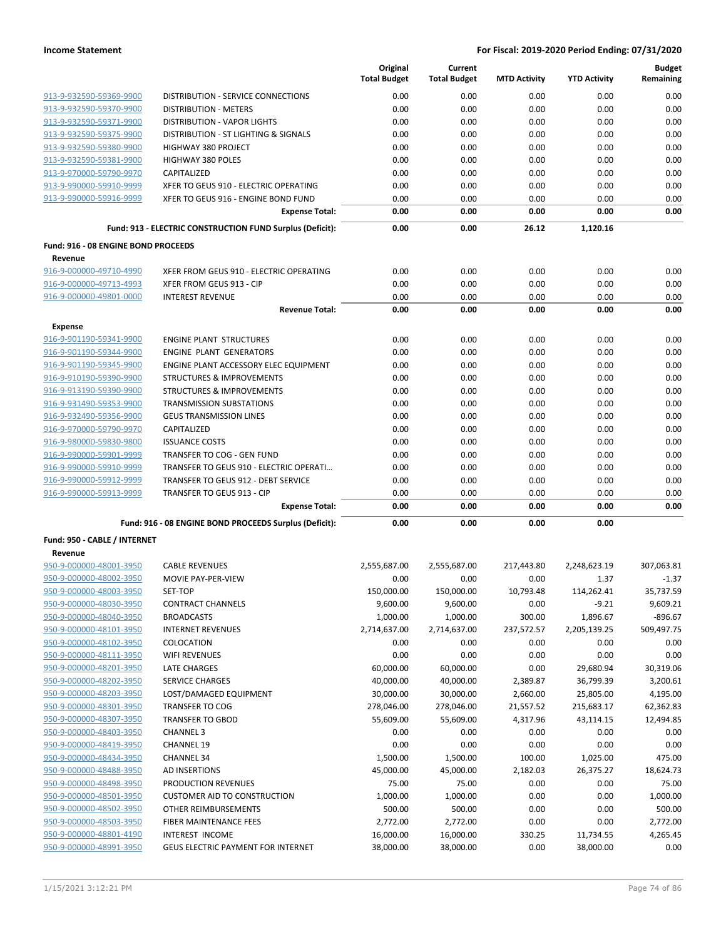|                                     |                                                           | Original<br><b>Total Budget</b> | Current<br><b>Total Budget</b> | <b>MTD Activity</b> | <b>YTD Activity</b>   | <b>Budget</b><br>Remaining |
|-------------------------------------|-----------------------------------------------------------|---------------------------------|--------------------------------|---------------------|-----------------------|----------------------------|
| 913-9-932590-59369-9900             | DISTRIBUTION - SERVICE CONNECTIONS                        | 0.00                            | 0.00                           | 0.00                | 0.00                  | 0.00                       |
| 913-9-932590-59370-9900             | <b>DISTRIBUTION - METERS</b>                              | 0.00                            | 0.00                           | 0.00                | 0.00                  | 0.00                       |
| 913-9-932590-59371-9900             | <b>DISTRIBUTION - VAPOR LIGHTS</b>                        | 0.00                            | 0.00                           | 0.00                | 0.00                  | 0.00                       |
| 913-9-932590-59375-9900             | DISTRIBUTION - ST LIGHTING & SIGNALS                      | 0.00                            | 0.00                           | 0.00                | 0.00                  | 0.00                       |
| 913-9-932590-59380-9900             | HIGHWAY 380 PROJECT                                       | 0.00                            | 0.00                           | 0.00                | 0.00                  | 0.00                       |
| 913-9-932590-59381-9900             | <b>HIGHWAY 380 POLES</b>                                  | 0.00                            | 0.00                           | 0.00                | 0.00                  | 0.00                       |
| 913-9-970000-59790-9970             | CAPITALIZED                                               | 0.00                            | 0.00                           | 0.00                | 0.00                  | 0.00                       |
| 913-9-990000-59910-9999             | XFER TO GEUS 910 - ELECTRIC OPERATING                     | 0.00                            | 0.00                           | 0.00                | 0.00                  | 0.00                       |
| 913-9-990000-59916-9999             | XFER TO GEUS 916 - ENGINE BOND FUND                       | 0.00                            | 0.00                           | 0.00                | 0.00                  | 0.00                       |
|                                     | <b>Expense Total:</b>                                     | 0.00                            | 0.00                           | 0.00                | 0.00                  | 0.00                       |
|                                     | Fund: 913 - ELECTRIC CONSTRUCTION FUND Surplus (Deficit): | 0.00                            | 0.00                           | 26.12               | 1.120.16              |                            |
| Fund: 916 - 08 ENGINE BOND PROCEEDS |                                                           |                                 |                                |                     |                       |                            |
| Revenue                             |                                                           |                                 |                                |                     |                       |                            |
| 916-9-000000-49710-4990             | XFER FROM GEUS 910 - ELECTRIC OPERATING                   | 0.00                            | 0.00                           | 0.00                | 0.00                  | 0.00                       |
| 916-9-000000-49713-4993             | XFER FROM GEUS 913 - CIP                                  | 0.00                            | 0.00                           | 0.00                | 0.00                  | 0.00                       |
| 916-9-000000-49801-0000             | <b>INTEREST REVENUE</b>                                   | 0.00                            | 0.00                           | 0.00                | 0.00                  | 0.00                       |
|                                     | <b>Revenue Total:</b>                                     | 0.00                            | 0.00                           | 0.00                | 0.00                  | 0.00                       |
| Expense                             |                                                           |                                 |                                |                     |                       |                            |
| 916-9-901190-59341-9900             | <b>ENGINE PLANT STRUCTURES</b>                            | 0.00                            | 0.00                           | 0.00                | 0.00                  | 0.00                       |
| 916-9-901190-59344-9900             | <b>ENGINE PLANT GENERATORS</b>                            | 0.00                            | 0.00                           | 0.00                | 0.00                  | 0.00                       |
| 916-9-901190-59345-9900             | ENGINE PLANT ACCESSORY ELEC EQUIPMENT                     | 0.00                            | 0.00                           | 0.00                | 0.00                  | 0.00                       |
| 916-9-910190-59390-9900             | <b>STRUCTURES &amp; IMPROVEMENTS</b>                      | 0.00                            | 0.00                           | 0.00                | 0.00                  | 0.00                       |
| 916-9-913190-59390-9900             | <b>STRUCTURES &amp; IMPROVEMENTS</b>                      | 0.00                            | 0.00                           | 0.00                | 0.00                  | 0.00                       |
| 916-9-931490-59353-9900             | <b>TRANSMISSION SUBSTATIONS</b>                           | 0.00                            | 0.00                           | 0.00                | 0.00                  | 0.00                       |
| 916-9-932490-59356-9900             | <b>GEUS TRANSMISSION LINES</b>                            | 0.00                            | 0.00                           | 0.00                | 0.00                  | 0.00                       |
| 916-9-970000-59790-9970             | CAPITALIZED                                               | 0.00                            | 0.00                           | 0.00                | 0.00                  | 0.00                       |
| 916-9-980000-59830-9800             | <b>ISSUANCE COSTS</b>                                     | 0.00                            | 0.00                           | 0.00                | 0.00                  | 0.00                       |
| 916-9-990000-59901-9999             | TRANSFER TO COG - GEN FUND                                | 0.00                            | 0.00                           | 0.00                | 0.00                  | 0.00                       |
| 916-9-990000-59910-9999             | TRANSFER TO GEUS 910 - ELECTRIC OPERATI                   | 0.00                            | 0.00                           | 0.00                | 0.00                  | 0.00                       |
| 916-9-990000-59912-9999             | <b>TRANSFER TO GEUS 912 - DEBT SERVICE</b>                | 0.00                            | 0.00                           | 0.00                | 0.00                  | 0.00                       |
| 916-9-990000-59913-9999             | TRANSFER TO GEUS 913 - CIP                                | 0.00                            | 0.00                           | 0.00                | 0.00                  | 0.00                       |
|                                     | <b>Expense Total:</b>                                     | 0.00                            | 0.00                           | 0.00                | 0.00                  | 0.00                       |
|                                     | Fund: 916 - 08 ENGINE BOND PROCEEDS Surplus (Deficit):    | 0.00                            | 0.00                           | 0.00                | 0.00                  |                            |
| Fund: 950 - CABLE / INTERNET        |                                                           |                                 |                                |                     |                       |                            |
| Revenue<br>950-9-000000-48001-3950  | <b>CABLE REVENUES</b>                                     |                                 |                                |                     |                       |                            |
| 950-9-000000-48002-3950             | MOVIE PAY-PER-VIEW                                        | 2,555,687.00<br>0.00            | 2,555,687.00<br>0.00           | 217,443.80<br>0.00  | 2,248,623.19<br>1.37  | 307,063.81<br>$-1.37$      |
| 950-9-000000-48003-3950             | SET-TOP                                                   |                                 |                                |                     |                       | 35,737.59                  |
| 950-9-000000-48030-3950             |                                                           | 150,000.00<br>9,600.00          | 150,000.00<br>9,600.00         | 10,793.48           | 114,262.41<br>$-9.21$ | 9,609.21                   |
| 950-9-000000-48040-3950             | <b>CONTRACT CHANNELS</b><br><b>BROADCASTS</b>             | 1,000.00                        | 1,000.00                       | 0.00<br>300.00      | 1,896.67              | $-896.67$                  |
| 950-9-000000-48101-3950             | <b>INTERNET REVENUES</b>                                  | 2,714,637.00                    | 2,714,637.00                   | 237,572.57          | 2,205,139.25          | 509,497.75                 |
| 950-9-000000-48102-3950             | COLOCATION                                                | 0.00                            | 0.00                           | 0.00                | 0.00                  | 0.00                       |
| 950-9-000000-48111-3950             | <b>WIFI REVENUES</b>                                      | 0.00                            | 0.00                           | 0.00                | 0.00                  | 0.00                       |
| 950-9-000000-48201-3950             | <b>LATE CHARGES</b>                                       | 60,000.00                       | 60,000.00                      | 0.00                | 29,680.94             | 30,319.06                  |
| 950-9-000000-48202-3950             | SERVICE CHARGES                                           | 40,000.00                       | 40,000.00                      | 2,389.87            | 36,799.39             | 3,200.61                   |
| 950-9-000000-48203-3950             | LOST/DAMAGED EQUIPMENT                                    | 30,000.00                       | 30,000.00                      | 2,660.00            | 25,805.00             | 4,195.00                   |
| 950-9-000000-48301-3950             | <b>TRANSFER TO COG</b>                                    | 278,046.00                      | 278,046.00                     | 21,557.52           | 215,683.17            | 62,362.83                  |
| 950-9-000000-48307-3950             | <b>TRANSFER TO GBOD</b>                                   | 55,609.00                       | 55,609.00                      | 4,317.96            | 43,114.15             | 12,494.85                  |
| 950-9-000000-48403-3950             | <b>CHANNEL 3</b>                                          | 0.00                            |                                |                     |                       | 0.00                       |
|                                     |                                                           |                                 | 0.00                           | 0.00                | 0.00                  |                            |
| 950-9-000000-48419-3950             | <b>CHANNEL 19</b>                                         | 0.00                            | 0.00                           | 0.00                | 0.00                  | 0.00                       |
| 950-9-000000-48434-3950             | <b>CHANNEL 34</b>                                         | 1,500.00                        | 1,500.00                       | 100.00              | 1,025.00              | 475.00                     |
| 950-9-000000-48488-3950             | AD INSERTIONS                                             | 45,000.00                       | 45,000.00                      | 2,182.03            | 26,375.27             | 18,624.73                  |
| 950-9-000000-48498-3950             | PRODUCTION REVENUES                                       | 75.00                           | 75.00                          | 0.00                | 0.00                  | 75.00                      |
| 950-9-000000-48501-3950             | <b>CUSTOMER AID TO CONSTRUCTION</b>                       | 1,000.00                        | 1,000.00                       | 0.00                | 0.00                  | 1,000.00                   |
| 950-9-000000-48502-3950             | OTHER REIMBURSEMENTS                                      | 500.00                          | 500.00                         | 0.00                | 0.00                  | 500.00                     |
| 950-9-000000-48503-3950             | FIBER MAINTENANCE FEES                                    | 2,772.00                        | 2,772.00                       | 0.00                | 0.00                  | 2,772.00                   |
| 950-9-000000-48801-4190             | INTEREST INCOME                                           | 16,000.00                       | 16,000.00                      | 330.25              | 11,734.55             | 4,265.45                   |
| 950-9-000000-48991-3950             | <b>GEUS ELECTRIC PAYMENT FOR INTERNET</b>                 | 38,000.00                       | 38,000.00                      | 0.00                | 38,000.00             | 0.00                       |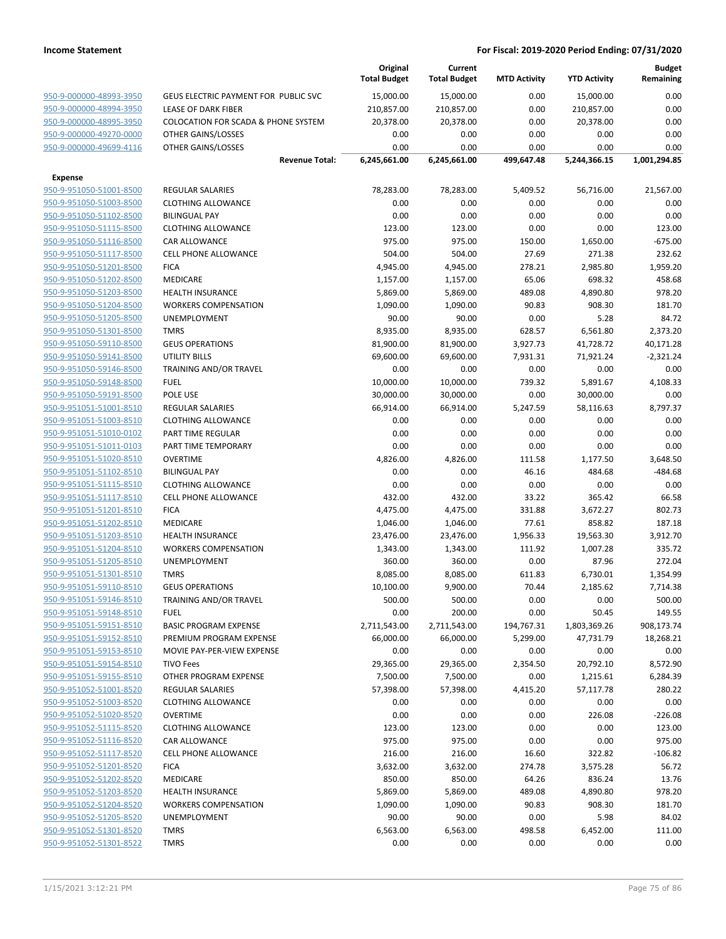|                                                    |                                                      | Original<br><b>Total Budget</b> | Current<br><b>Total Budget</b> | <b>MTD Activity</b> | <b>YTD Activity</b> | <b>Budget</b><br>Remaining |
|----------------------------------------------------|------------------------------------------------------|---------------------------------|--------------------------------|---------------------|---------------------|----------------------------|
| 950-9-000000-48993-3950                            | GEUS ELECTRIC PAYMENT FOR PUBLIC SVC                 | 15,000.00                       | 15,000.00                      | 0.00                | 15,000.00           | 0.00                       |
| 950-9-000000-48994-3950                            | <b>LEASE OF DARK FIBER</b>                           | 210,857.00                      | 210,857.00                     | 0.00                | 210,857.00          | 0.00                       |
| 950-9-000000-48995-3950                            | <b>COLOCATION FOR SCADA &amp; PHONE SYSTEM</b>       | 20,378.00                       | 20,378.00                      | 0.00                | 20,378.00           | 0.00                       |
| 950-9-000000-49270-0000                            | OTHER GAINS/LOSSES                                   | 0.00                            | 0.00                           | 0.00                | 0.00                | 0.00                       |
| 950-9-000000-49699-4116                            | OTHER GAINS/LOSSES                                   | 0.00                            | 0.00                           | 0.00                | 0.00                | 0.00                       |
|                                                    | <b>Revenue Total:</b>                                | 6,245,661.00                    | 6,245,661.00                   | 499,647.48          | 5,244,366.15        | 1,001,294.85               |
| <b>Expense</b>                                     |                                                      |                                 |                                |                     |                     |                            |
| 950-9-951050-51001-8500                            | <b>REGULAR SALARIES</b>                              | 78,283.00                       | 78,283.00                      | 5,409.52            | 56,716.00           | 21,567.00                  |
| 950-9-951050-51003-8500                            | <b>CLOTHING ALLOWANCE</b>                            | 0.00                            | 0.00                           | 0.00                | 0.00                | 0.00                       |
| 950-9-951050-51102-8500                            | <b>BILINGUAL PAY</b>                                 | 0.00                            | 0.00                           | 0.00                | 0.00                | 0.00                       |
| 950-9-951050-51115-8500                            | <b>CLOTHING ALLOWANCE</b>                            | 123.00                          | 123.00                         | 0.00                | 0.00                | 123.00                     |
| 950-9-951050-51116-8500                            | <b>CAR ALLOWANCE</b>                                 | 975.00                          | 975.00                         | 150.00              | 1,650.00            | $-675.00$                  |
| 950-9-951050-51117-8500                            | <b>CELL PHONE ALLOWANCE</b>                          | 504.00                          | 504.00                         | 27.69               | 271.38              | 232.62                     |
| 950-9-951050-51201-8500                            | <b>FICA</b>                                          | 4,945.00                        | 4,945.00                       | 278.21              | 2,985.80            | 1,959.20                   |
| 950-9-951050-51202-8500                            | MEDICARE                                             | 1,157.00                        | 1,157.00                       | 65.06               | 698.32              | 458.68                     |
| 950-9-951050-51203-8500                            | <b>HEALTH INSURANCE</b>                              | 5,869.00                        | 5,869.00                       | 489.08              | 4,890.80            | 978.20                     |
| 950-9-951050-51204-8500                            | <b>WORKERS COMPENSATION</b>                          | 1,090.00                        | 1,090.00                       | 90.83               | 908.30              | 181.70                     |
| 950-9-951050-51205-8500                            | UNEMPLOYMENT                                         | 90.00                           | 90.00                          | 0.00                | 5.28                | 84.72                      |
| 950-9-951050-51301-8500                            | <b>TMRS</b>                                          | 8,935.00                        | 8,935.00                       | 628.57              | 6,561.80            | 2,373.20                   |
| 950-9-951050-59110-8500                            | <b>GEUS OPERATIONS</b>                               | 81,900.00                       | 81,900.00                      | 3,927.73            | 41,728.72           | 40,171.28                  |
| 950-9-951050-59141-8500                            | <b>UTILITY BILLS</b>                                 | 69,600.00                       | 69,600.00                      | 7,931.31            | 71,921.24           | $-2,321.24$                |
| 950-9-951050-59146-8500                            | TRAINING AND/OR TRAVEL                               | 0.00                            | 0.00                           | 0.00                | 0.00                | 0.00                       |
| 950-9-951050-59148-8500                            | <b>FUEL</b>                                          | 10,000.00                       | 10,000.00                      | 739.32              | 5,891.67            | 4,108.33                   |
| 950-9-951050-59191-8500                            | POLE USE                                             | 30,000.00                       | 30,000.00                      | 0.00                | 30,000.00           | 0.00                       |
| 950-9-951051-51001-8510<br>950-9-951051-51003-8510 | <b>REGULAR SALARIES</b><br><b>CLOTHING ALLOWANCE</b> | 66,914.00<br>0.00               | 66,914.00<br>0.00              | 5,247.59            | 58,116.63<br>0.00   | 8,797.37<br>0.00           |
| 950-9-951051-51010-0102                            | PART TIME REGULAR                                    | 0.00                            | 0.00                           | 0.00<br>0.00        | 0.00                | 0.00                       |
| 950-9-951051-51011-0103                            | PART TIME TEMPORARY                                  | 0.00                            | 0.00                           | 0.00                | 0.00                | 0.00                       |
| 950-9-951051-51020-8510                            | <b>OVERTIME</b>                                      | 4,826.00                        | 4,826.00                       | 111.58              | 1,177.50            | 3,648.50                   |
| 950-9-951051-51102-8510                            | <b>BILINGUAL PAY</b>                                 | 0.00                            | 0.00                           | 46.16               | 484.68              | $-484.68$                  |
| 950-9-951051-51115-8510                            | <b>CLOTHING ALLOWANCE</b>                            | 0.00                            | 0.00                           | 0.00                | 0.00                | 0.00                       |
| 950-9-951051-51117-8510                            | <b>CELL PHONE ALLOWANCE</b>                          | 432.00                          | 432.00                         | 33.22               | 365.42              | 66.58                      |
| 950-9-951051-51201-8510                            | <b>FICA</b>                                          | 4,475.00                        | 4,475.00                       | 331.88              | 3,672.27            | 802.73                     |
| 950-9-951051-51202-8510                            | MEDICARE                                             | 1,046.00                        | 1,046.00                       | 77.61               | 858.82              | 187.18                     |
| 950-9-951051-51203-8510                            | <b>HEALTH INSURANCE</b>                              | 23,476.00                       | 23,476.00                      | 1,956.33            | 19,563.30           | 3,912.70                   |
| 950-9-951051-51204-8510                            | <b>WORKERS COMPENSATION</b>                          | 1,343.00                        | 1,343.00                       | 111.92              | 1,007.28            | 335.72                     |
| 950-9-951051-51205-8510                            | UNEMPLOYMENT                                         | 360.00                          | 360.00                         | 0.00                | 87.96               | 272.04                     |
| 950-9-951051-51301-8510                            | <b>TMRS</b>                                          | 8,085.00                        | 8,085.00                       | 611.83              | 6,730.01            | 1,354.99                   |
| 950-9-951051-59110-8510                            | <b>GEUS OPERATIONS</b>                               | 10,100.00                       | 9,900.00                       | 70.44               | 2,185.62            | 7,714.38                   |
| 950-9-951051-59146-8510                            | TRAINING AND/OR TRAVEL                               | 500.00                          | 500.00                         | 0.00                | 0.00                | 500.00                     |
| 950-9-951051-59148-8510                            | <b>FUEL</b>                                          | 0.00                            | 200.00                         | 0.00                | 50.45               | 149.55                     |
| 950-9-951051-59151-8510                            | <b>BASIC PROGRAM EXPENSE</b>                         | 2,711,543.00                    | 2,711,543.00                   | 194,767.31          | 1,803,369.26        | 908,173.74                 |
| 950-9-951051-59152-8510                            | PREMIUM PROGRAM EXPENSE                              | 66,000.00                       | 66,000.00                      | 5,299.00            | 47,731.79           | 18,268.21                  |
| 950-9-951051-59153-8510                            | MOVIE PAY-PER-VIEW EXPENSE                           | 0.00                            | 0.00                           | 0.00                | 0.00                | 0.00                       |
| 950-9-951051-59154-8510                            | <b>TIVO Fees</b>                                     | 29,365.00                       | 29,365.00                      | 2,354.50            | 20,792.10           | 8,572.90                   |
| 950-9-951051-59155-8510                            | OTHER PROGRAM EXPENSE                                | 7,500.00                        | 7,500.00                       | 0.00                | 1,215.61            | 6,284.39                   |
| 950-9-951052-51001-8520                            | <b>REGULAR SALARIES</b>                              | 57,398.00                       | 57,398.00                      | 4,415.20            | 57,117.78           | 280.22                     |
| 950-9-951052-51003-8520                            | <b>CLOTHING ALLOWANCE</b>                            | 0.00                            | 0.00                           | 0.00                | 0.00                | 0.00                       |
| 950-9-951052-51020-8520                            | <b>OVERTIME</b>                                      | 0.00                            | 0.00                           | 0.00                | 226.08              | $-226.08$                  |
| 950-9-951052-51115-8520                            | <b>CLOTHING ALLOWANCE</b>                            | 123.00                          | 123.00                         | 0.00                | 0.00                | 123.00                     |
| 950-9-951052-51116-8520                            | CAR ALLOWANCE                                        | 975.00                          | 975.00                         | 0.00                | 0.00                | 975.00                     |
| 950-9-951052-51117-8520                            | CELL PHONE ALLOWANCE                                 | 216.00                          | 216.00                         | 16.60               | 322.82              | $-106.82$                  |
| 950-9-951052-51201-8520                            | <b>FICA</b>                                          | 3,632.00                        | 3,632.00                       | 274.78              | 3,575.28            | 56.72                      |
| 950-9-951052-51202-8520                            | MEDICARE                                             | 850.00                          | 850.00                         | 64.26               | 836.24              | 13.76                      |
| 950-9-951052-51203-8520                            | <b>HEALTH INSURANCE</b>                              | 5,869.00                        | 5,869.00                       | 489.08              | 4,890.80            | 978.20                     |
| 950-9-951052-51204-8520                            | <b>WORKERS COMPENSATION</b>                          | 1,090.00                        | 1,090.00                       | 90.83               | 908.30              | 181.70                     |
| 950-9-951052-51205-8520                            | UNEMPLOYMENT                                         | 90.00                           | 90.00                          | 0.00                | 5.98                | 84.02                      |
| 950-9-951052-51301-8520                            | <b>TMRS</b>                                          | 6,563.00                        | 6,563.00                       | 498.58              | 6,452.00            | 111.00                     |
| 950-9-951052-51301-8522                            | <b>TMRS</b>                                          | 0.00                            | 0.00                           | 0.00                | 0.00                | 0.00                       |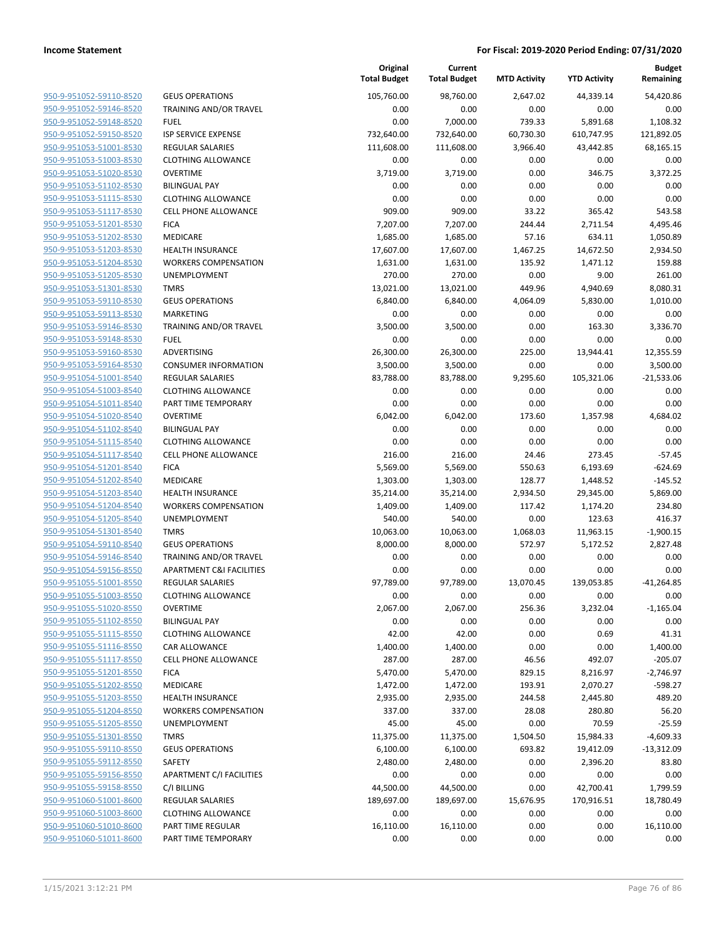| 950-9-951052-59110-8520        | <b>GEUS OPERAT</b>   |
|--------------------------------|----------------------|
| 950-9-951052-59146-8520        | <b>TRAINING ANI</b>  |
| 950-9-951052-59148-8520        | FUEL                 |
| 950-9-951052-59150-8520        | <b>ISP SERVICE E</b> |
| <u>950-9-951053-51001-8530</u> | REGULAR SAL          |
| 950-9-951053-51003-8530        | <b>CLOTHING ALI</b>  |
| 950-9-951053-51020-8530        | OVERTIME             |
| 950-9-951053-51102-8530        | <b>BILINGUAL PA</b>  |
| 950-9-951053-51115-8530        | <b>CLOTHING ALI</b>  |
| 950-9-951053-51117-8530        | <b>CELL PHONE A</b>  |
| <u>950-9-951053-51201-8530</u> | <b>FICA</b>          |
| 950-9-951053-51202-8530        | MEDICARE             |
| 950-9-951053-51203-8530        | <b>HEALTH INSUI</b>  |
| 950-9-951053-51204-8530        | <b>WORKERS CO</b>    |
| 950-9-951053-51205-8530        | <b>UNEMPLOYM</b>     |
| <u>950-9-951053-51301-8530</u> | <b>TMRS</b>          |
| 950-9-951053-59110-8530        | <b>GEUS OPERAT</b>   |
| 950-9-951053-59113-8530        | <b>MARKETING</b>     |
| 950-9-951053-59146-8530        | <b>TRAINING AN</b>   |
| 950-9-951053-59148-8530        | FUEL                 |
| 950-9-951053-59160-8530        | ADVERTISING          |
| 950-9-951053-59164-8530        | CONSUMER IN          |
| 950-9-951054-51001-8540        | <b>REGULAR SAL</b>   |
| 950-9-951054-51003-8540        | <b>CLOTHING ALI</b>  |
| 950-9-951054-51011-8540        | PART TIME TE         |
| 950-9-951054-51020-8540        | OVERTIME             |
| 950-9-951054-51102-8540        | <b>BILINGUAL PA</b>  |
| 950-9-951054-51115-8540        | <b>CLOTHING ALI</b>  |
| 950-9-951054-51117-8540        | <b>CELL PHONE A</b>  |
| 950-9-951054-51201-8540        | <b>FICA</b>          |
| 950-9-951054-51202-8540        | MEDICARE             |
| 950-9-951054-51203-8540        | <b>HEALTH INSUI</b>  |
| 950-9-951054-51204-8540        | <b>WORKERS CO</b>    |
| 950-9-951054-51205-8540        | <b>UNEMPLOYM</b>     |
| 950-9-951054-51301-8540        | <b>TMRS</b>          |
| 950-9-951054-59110-8540        | <b>GEUS OPERAT</b>   |
| 950-9-951054-59146-8540        | <b>TRAINING ANI</b>  |
| 950-9-951054-59156-8550        | <b>APARTMENT</b>     |
| 950-9-951055-51001-8550        | REGULAR SAL          |
| 950-9-951055-51003-8550        | <b>CLOTHING ALI</b>  |
| 950-9-951055-51020-8550        | OVERTIME             |
| 950-9-951055-51102-8550        | <b>BILINGUAL PA</b>  |
| 950-9-951055-51115-8550        | <b>CLOTHING ALI</b>  |
| 950-9-951055-51116-8550        | <b>CAR ALLOWAI</b>   |
| 950-9-951055-51117-8550        | <b>CELL PHONE A</b>  |
| 950-9-951055-51201-8550        | <b>FICA</b>          |
| 950-9-951055-51202-8550        | MEDICARE             |
| 950-9-951055-51203-8550        | <b>HEALTH INSUI</b>  |
| 950-9-951055-51204-8550        | <b>WORKERS CO</b>    |
| 950-9-951055-51205-8550        | <b>UNEMPLOYM</b>     |
| 950-9-951055-51301-8550        | <b>TMRS</b>          |
| 950-9-951055-59110-8550        | <b>GEUS OPERAT</b>   |
| 950-9-951055-59112-8550        | SAFETY               |
| 950-9-951055-59156-8550        | <b>APARTMENT</b>     |
| 950-9-951055-59158-8550        | C/I BILLING          |
| 950-9-951060-51001-8600        | REGULAR SAL          |
| 950-9-951060-51003-8600        | <b>CLOTHING ALI</b>  |
| 950-9-951060-51010-8600        | PART TIME RE         |
| 950-9-951060-51011-8600        | PART TIME TE         |
|                                |                      |

|                                                    |                                       | Original<br><b>Total Budget</b> | Current<br><b>Total Budget</b> | <b>MTD Activity</b> | <b>YTD Activity</b> | <b>Budget</b><br>Remaining |
|----------------------------------------------------|---------------------------------------|---------------------------------|--------------------------------|---------------------|---------------------|----------------------------|
| 950-9-951052-59110-8520                            | <b>GEUS OPERATIONS</b>                | 105,760.00                      | 98,760.00                      | 2,647.02            | 44,339.14           | 54,420.86                  |
| 950-9-951052-59146-8520                            | TRAINING AND/OR TRAVEL                | 0.00                            | 0.00                           | 0.00                | 0.00                | 0.00                       |
| 950-9-951052-59148-8520                            | <b>FUEL</b>                           | 0.00                            | 7,000.00                       | 739.33              | 5,891.68            | 1,108.32                   |
| 950-9-951052-59150-8520                            | <b>ISP SERVICE EXPENSE</b>            | 732,640.00                      | 732,640.00                     | 60,730.30           | 610,747.95          | 121,892.05                 |
| 950-9-951053-51001-8530                            | <b>REGULAR SALARIES</b>               | 111,608.00                      | 111,608.00                     | 3,966.40            | 43,442.85           | 68,165.15                  |
| 950-9-951053-51003-8530                            | <b>CLOTHING ALLOWANCE</b>             | 0.00                            | 0.00                           | 0.00                | 0.00                | 0.00                       |
| 950-9-951053-51020-8530                            | <b>OVERTIME</b>                       | 3,719.00                        | 3,719.00                       | 0.00                | 346.75              | 3,372.25                   |
| 950-9-951053-51102-8530                            | <b>BILINGUAL PAY</b>                  | 0.00                            | 0.00                           | 0.00                | 0.00                | 0.00                       |
| 950-9-951053-51115-8530                            | <b>CLOTHING ALLOWANCE</b>             | 0.00                            | 0.00                           | 0.00                | 0.00                | 0.00                       |
| 950-9-951053-51117-8530                            | <b>CELL PHONE ALLOWANCE</b>           | 909.00                          | 909.00                         | 33.22               | 365.42              | 543.58                     |
| 950-9-951053-51201-8530                            | <b>FICA</b>                           | 7,207.00                        | 7,207.00                       | 244.44              | 2,711.54            | 4,495.46                   |
| 950-9-951053-51202-8530                            | MEDICARE                              | 1,685.00                        | 1,685.00                       | 57.16               | 634.11              | 1,050.89                   |
| 950-9-951053-51203-8530                            | <b>HEALTH INSURANCE</b>               | 17,607.00                       | 17,607.00                      | 1,467.25            | 14,672.50           | 2,934.50                   |
| 950-9-951053-51204-8530                            | <b>WORKERS COMPENSATION</b>           | 1,631.00                        | 1,631.00                       | 135.92              | 1,471.12            | 159.88                     |
| 950-9-951053-51205-8530                            | UNEMPLOYMENT                          | 270.00                          | 270.00                         | 0.00                | 9.00                | 261.00                     |
| 950-9-951053-51301-8530                            | <b>TMRS</b>                           | 13,021.00                       | 13,021.00                      | 449.96              | 4,940.69            | 8,080.31                   |
| 950-9-951053-59110-8530                            | <b>GEUS OPERATIONS</b>                | 6,840.00                        | 6,840.00                       | 4,064.09            | 5,830.00            | 1,010.00                   |
| 950-9-951053-59113-8530                            | MARKETING                             | 0.00                            | 0.00                           | 0.00                | 0.00                | 0.00                       |
| 950-9-951053-59146-8530<br>950-9-951053-59148-8530 | TRAINING AND/OR TRAVEL<br><b>FUEL</b> | 3,500.00<br>0.00                | 3,500.00<br>0.00               | 0.00<br>0.00        | 163.30<br>0.00      | 3,336.70<br>0.00           |
| 950-9-951053-59160-8530                            | <b>ADVERTISING</b>                    | 26,300.00                       | 26,300.00                      | 225.00              | 13,944.41           | 12,355.59                  |
| 950-9-951053-59164-8530                            | <b>CONSUMER INFORMATION</b>           | 3,500.00                        | 3,500.00                       | 0.00                | 0.00                | 3,500.00                   |
| 950-9-951054-51001-8540                            | <b>REGULAR SALARIES</b>               | 83,788.00                       | 83,788.00                      | 9,295.60            | 105,321.06          | $-21,533.06$               |
| 950-9-951054-51003-8540                            | <b>CLOTHING ALLOWANCE</b>             | 0.00                            | 0.00                           | 0.00                | 0.00                | 0.00                       |
| 950-9-951054-51011-8540                            | PART TIME TEMPORARY                   | 0.00                            | 0.00                           | 0.00                | 0.00                | 0.00                       |
| 950-9-951054-51020-8540                            | <b>OVERTIME</b>                       | 6,042.00                        | 6,042.00                       | 173.60              | 1,357.98            | 4,684.02                   |
| 950-9-951054-51102-8540                            | <b>BILINGUAL PAY</b>                  | 0.00                            | 0.00                           | 0.00                | 0.00                | 0.00                       |
| 950-9-951054-51115-8540                            | <b>CLOTHING ALLOWANCE</b>             | 0.00                            | 0.00                           | 0.00                | 0.00                | 0.00                       |
| 950-9-951054-51117-8540                            | <b>CELL PHONE ALLOWANCE</b>           | 216.00                          | 216.00                         | 24.46               | 273.45              | $-57.45$                   |
| 950-9-951054-51201-8540                            | <b>FICA</b>                           | 5,569.00                        | 5,569.00                       | 550.63              | 6,193.69            | $-624.69$                  |
| 950-9-951054-51202-8540                            | MEDICARE                              | 1,303.00                        | 1,303.00                       | 128.77              | 1,448.52            | $-145.52$                  |
| 950-9-951054-51203-8540                            | <b>HEALTH INSURANCE</b>               | 35,214.00                       | 35,214.00                      | 2,934.50            | 29,345.00           | 5,869.00                   |
| 950-9-951054-51204-8540                            | <b>WORKERS COMPENSATION</b>           | 1,409.00                        | 1,409.00                       | 117.42              | 1,174.20            | 234.80                     |
| 950-9-951054-51205-8540                            | UNEMPLOYMENT                          | 540.00                          | 540.00                         | 0.00                | 123.63              | 416.37                     |
| 950-9-951054-51301-8540                            | <b>TMRS</b>                           | 10,063.00                       | 10,063.00                      | 1,068.03            | 11,963.15           | $-1,900.15$                |
| 950-9-951054-59110-8540                            | <b>GEUS OPERATIONS</b>                | 8,000.00                        | 8,000.00                       | 572.97              | 5,172.52            | 2,827.48                   |
| 950-9-951054-59146-8540                            | TRAINING AND/OR TRAVEL                | 0.00                            | 0.00                           | 0.00                | 0.00                | 0.00                       |
| 950-9-951054-59156-8550                            | <b>APARTMENT C&amp;I FACILITIES</b>   | 0.00                            | 0.00                           | 0.00                | 0.00                | 0.00                       |
| 950-9-951055-51001-8550                            | <b>REGULAR SALARIES</b>               | 97,789.00                       | 97,789.00                      | 13,070.45           | 139,053.85          | $-41,264.85$               |
| 950-9-951055-51003-8550                            | <b>CLOTHING ALLOWANCE</b>             | 0.00                            | 0.00                           | 0.00                | 0.00                | 0.00                       |
| 950-9-951055-51020-8550                            | <b>OVERTIME</b>                       | 2,067.00                        | 2,067.00                       | 256.36              | 3,232.04            | $-1,165.04$                |
| 950-9-951055-51102-8550                            | <b>BILINGUAL PAY</b>                  | 0.00                            | 0.00                           | 0.00                | 0.00                | 0.00                       |
| 950-9-951055-51115-8550                            | <b>CLOTHING ALLOWANCE</b>             | 42.00                           | 42.00                          | 0.00                | 0.69                | 41.31                      |
| 950-9-951055-51116-8550                            | CAR ALLOWANCE                         | 1,400.00                        | 1,400.00                       | 0.00                | 0.00                | 1,400.00                   |
| 950-9-951055-51117-8550                            | <b>CELL PHONE ALLOWANCE</b>           | 287.00                          | 287.00                         | 46.56               | 492.07              | $-205.07$                  |
| 950-9-951055-51201-8550                            | <b>FICA</b>                           | 5,470.00                        | 5,470.00                       | 829.15              | 8,216.97            | $-2,746.97$                |
| 950-9-951055-51202-8550                            | MEDICARE                              | 1,472.00                        | 1,472.00                       | 193.91              | 2,070.27            | $-598.27$                  |
| 950-9-951055-51203-8550                            | <b>HEALTH INSURANCE</b>               | 2,935.00                        | 2,935.00                       | 244.58              | 2,445.80            | 489.20                     |
| 950-9-951055-51204-8550                            | <b>WORKERS COMPENSATION</b>           | 337.00                          | 337.00                         | 28.08               | 280.80              | 56.20                      |
| 950-9-951055-51205-8550                            | <b>UNEMPLOYMENT</b>                   | 45.00                           | 45.00                          | 0.00                | 70.59               | $-25.59$                   |
| 950-9-951055-51301-8550                            | <b>TMRS</b>                           | 11,375.00                       | 11,375.00                      | 1,504.50            | 15,984.33           | $-4,609.33$                |
| 950-9-951055-59110-8550                            | <b>GEUS OPERATIONS</b>                | 6,100.00                        | 6,100.00                       | 693.82              | 19,412.09           | $-13,312.09$               |
| 950-9-951055-59112-8550                            | <b>SAFETY</b>                         | 2,480.00                        | 2,480.00                       | 0.00                | 2,396.20            | 83.80                      |
| 950-9-951055-59156-8550                            | APARTMENT C/I FACILITIES              | 0.00                            | 0.00                           | 0.00                | 0.00                | 0.00                       |
| 950-9-951055-59158-8550                            | C/I BILLING                           | 44,500.00                       | 44,500.00                      | 0.00                | 42,700.41           | 1,799.59                   |
| 950-9-951060-51001-8600                            | REGULAR SALARIES                      | 189,697.00                      | 189,697.00                     | 15,676.95           | 170,916.51          | 18,780.49                  |
| 950-9-951060-51003-8600                            | <b>CLOTHING ALLOWANCE</b>             | 0.00                            | 0.00                           | 0.00                | 0.00                | 0.00                       |
| 950-9-951060-51010-8600                            | PART TIME REGULAR                     | 16,110.00                       | 16,110.00                      | 0.00                | 0.00                | 16,110.00                  |
| 950-9-951060-51011-8600                            | PART TIME TEMPORARY                   | 0.00                            | 0.00                           | 0.00                | 0.00                | 0.00                       |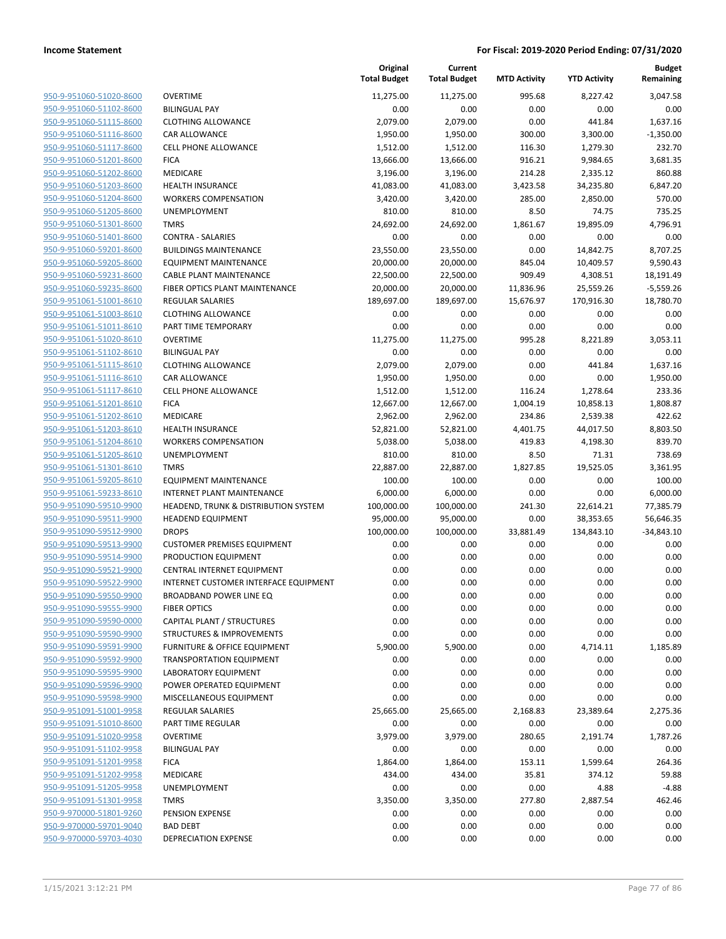| 950-9-951060-51020-8600                            |
|----------------------------------------------------|
| 950-9-951060-51102-8600                            |
| 950-9-951060-51115-8600                            |
| <u>950-9-951060-51116-8600</u>                     |
| 950-9-951060-51117-8600                            |
| 950-9-951060-51201-8600                            |
| 950-9-951060-51202-8600                            |
| 950-9-951060-51203-8600                            |
| <u>950-9-951060-51204-8600</u>                     |
| 950-9-951060-51205-8600                            |
| 950-9-951060-51301-8600                            |
| 950-9-951060-51401-8600                            |
| 950-9-951060-59201-8600                            |
| <u>950-9-951060-59205-8600</u>                     |
| 950-9-951060-59231-8600                            |
| 950-9-951060-59235-8600                            |
| 950-9-951061-51001-8610                            |
| 950-9-951061-51003-8610                            |
| <u>950-9-951061-51011-8610</u>                     |
| 950-9-951061-51020-8610                            |
| 950-9-951061-51102-8610                            |
| 950-9-951061-51115-8610                            |
| 950-9-951061-51116-8610                            |
| <u>950-9-951061-51117-8610</u>                     |
| 950-9-951061-51201-8610                            |
| 950-9-951061-51202-8610                            |
| 950-9-951061-51203-8610                            |
| 950-9-951061-51204-8610                            |
| <u>950-9-951061-51205-8610</u>                     |
| 950-9-951061-51301-8610                            |
| 950-9-951061-59205-8610                            |
| 950-9-951061-59233-8610                            |
| 950-9-951090-59510-9900                            |
| 950-9-951090-59511-9900                            |
| 950-9-951090-59512-9900                            |
| 950-9-951090-59513-9900                            |
| 950-9-951090-59514-9900                            |
| 950-9-951090-59521-9900                            |
| 950-9-951090-59522-9900                            |
| 950-9-951090-59550-9900                            |
| 950-9-951090-59555-9900                            |
| 950-9-951090-59590-0000                            |
| 950-9-951090-59590-9900                            |
| 950-9-951090-59591-9900                            |
| 950-9-951090-59592-9900                            |
| 950-9-951090-59595-9900                            |
| 950-9-951090-59596-9900                            |
| 950-9-951090-59598-9900                            |
| 950-9-951091-51001-9958                            |
|                                                    |
| 950-9-951091-51010-8600<br>950-9-951091-51020-9958 |
| 950-9-951091-51102-9958                            |
|                                                    |
| 950-9-951091-51201-9958                            |
| 950-9-951091-51202-9958                            |
| 950-9-951091-51205-9958                            |
| 950-9-951091-51301-9958                            |
| 950-9-970000-51801-9260                            |
| 950-9-970000-59701-9040                            |
| 950-9-970000-59703-4030                            |

|                                                    |                                              | Original<br><b>Total Budget</b> | Current<br><b>Total Budget</b> | <b>MTD Activity</b> | <b>YTD Activity</b> | Budget<br>Remaining |
|----------------------------------------------------|----------------------------------------------|---------------------------------|--------------------------------|---------------------|---------------------|---------------------|
| 950-9-951060-51020-8600                            | <b>OVERTIME</b>                              | 11,275.00                       | 11,275.00                      | 995.68              | 8,227.42            | 3,047.58            |
| 950-9-951060-51102-8600                            | <b>BILINGUAL PAY</b>                         | 0.00                            | 0.00                           | 0.00                | 0.00                | 0.00                |
| 950-9-951060-51115-8600                            | <b>CLOTHING ALLOWANCE</b>                    | 2,079.00                        | 2,079.00                       | 0.00                | 441.84              | 1,637.16            |
| 950-9-951060-51116-8600                            | <b>CAR ALLOWANCE</b>                         | 1,950.00                        | 1,950.00                       | 300.00              | 3,300.00            | $-1,350.00$         |
| 950-9-951060-51117-8600                            | <b>CELL PHONE ALLOWANCE</b>                  | 1,512.00                        | 1,512.00                       | 116.30              | 1,279.30            | 232.70              |
| 950-9-951060-51201-8600                            | <b>FICA</b>                                  | 13,666.00                       | 13,666.00                      | 916.21              | 9,984.65            | 3,681.35            |
| 950-9-951060-51202-8600                            | MEDICARE                                     | 3,196.00                        | 3,196.00                       | 214.28              | 2,335.12            | 860.88              |
| 950-9-951060-51203-8600                            | <b>HEALTH INSURANCE</b>                      | 41,083.00                       | 41,083.00                      | 3,423.58            | 34,235.80           | 6,847.20            |
| 950-9-951060-51204-8600                            | <b>WORKERS COMPENSATION</b>                  | 3,420.00                        | 3,420.00                       | 285.00              | 2,850.00            | 570.00              |
| 950-9-951060-51205-8600                            | <b>UNEMPLOYMENT</b>                          | 810.00                          | 810.00                         | 8.50                | 74.75               | 735.25              |
| 950-9-951060-51301-8600                            | <b>TMRS</b>                                  | 24,692.00                       | 24,692.00                      | 1,861.67            | 19,895.09           | 4,796.91            |
| 950-9-951060-51401-8600                            | <b>CONTRA - SALARIES</b>                     | 0.00                            | 0.00                           | 0.00                | 0.00                | 0.00                |
| 950-9-951060-59201-8600                            | <b>BUILDINGS MAINTENANCE</b>                 | 23,550.00                       | 23,550.00                      | 0.00                | 14,842.75           | 8,707.25            |
| 950-9-951060-59205-8600                            | <b>EQUIPMENT MAINTENANCE</b>                 | 20,000.00                       | 20,000.00                      | 845.04              | 10,409.57           | 9,590.43            |
| 950-9-951060-59231-8600                            | <b>CABLE PLANT MAINTENANCE</b>               | 22,500.00                       | 22,500.00                      | 909.49              | 4,308.51            | 18,191.49           |
| 950-9-951060-59235-8600                            | FIBER OPTICS PLANT MAINTENANCE               | 20,000.00                       | 20,000.00                      | 11,836.96           | 25,559.26           | $-5,559.26$         |
| 950-9-951061-51001-8610                            | <b>REGULAR SALARIES</b>                      | 189,697.00                      | 189,697.00                     | 15,676.97           | 170,916.30          | 18,780.70           |
| 950-9-951061-51003-8610                            | <b>CLOTHING ALLOWANCE</b>                    | 0.00                            | 0.00                           | 0.00                | 0.00                | 0.00                |
| 950-9-951061-51011-8610                            | PART TIME TEMPORARY                          | 0.00                            | 0.00                           | 0.00                | 0.00                | 0.00                |
| 950-9-951061-51020-8610                            | <b>OVERTIME</b>                              | 11,275.00                       | 11,275.00                      | 995.28              | 8,221.89            | 3,053.11            |
| 950-9-951061-51102-8610                            | <b>BILINGUAL PAY</b>                         | 0.00                            | 0.00                           | 0.00                | 0.00                | 0.00                |
| 950-9-951061-51115-8610                            | <b>CLOTHING ALLOWANCE</b>                    | 2,079.00                        | 2,079.00                       | 0.00                | 441.84              | 1,637.16            |
| 950-9-951061-51116-8610                            | CAR ALLOWANCE                                | 1,950.00                        | 1,950.00                       | 0.00                | 0.00                | 1,950.00            |
| 950-9-951061-51117-8610                            | <b>CELL PHONE ALLOWANCE</b>                  | 1,512.00                        | 1,512.00                       | 116.24              | 1,278.64            | 233.36              |
| 950-9-951061-51201-8610                            | <b>FICA</b>                                  | 12,667.00                       | 12,667.00                      | 1,004.19            | 10,858.13           | 1,808.87            |
| 950-9-951061-51202-8610                            | MEDICARE                                     | 2,962.00                        | 2,962.00                       | 234.86              | 2,539.38            | 422.62              |
| 950-9-951061-51203-8610                            | <b>HEALTH INSURANCE</b>                      | 52,821.00                       | 52,821.00                      | 4,401.75            | 44,017.50           | 8,803.50            |
| 950-9-951061-51204-8610                            | <b>WORKERS COMPENSATION</b>                  | 5,038.00                        | 5,038.00                       | 419.83              | 4,198.30            | 839.70              |
| 950-9-951061-51205-8610<br>950-9-951061-51301-8610 | UNEMPLOYMENT<br><b>TMRS</b>                  | 810.00                          | 810.00<br>22,887.00            | 8.50<br>1,827.85    | 71.31               | 738.69<br>3,361.95  |
| 950-9-951061-59205-8610                            | <b>EQUIPMENT MAINTENANCE</b>                 | 22,887.00<br>100.00             | 100.00                         | 0.00                | 19,525.05<br>0.00   | 100.00              |
| 950-9-951061-59233-8610                            | <b>INTERNET PLANT MAINTENANCE</b>            | 6,000.00                        | 6,000.00                       | 0.00                | 0.00                | 6,000.00            |
| 950-9-951090-59510-9900                            | HEADEND, TRUNK & DISTRIBUTION SYSTEM         | 100,000.00                      | 100,000.00                     | 241.30              | 22,614.21           | 77,385.79           |
| 950-9-951090-59511-9900                            | <b>HEADEND EQUIPMENT</b>                     | 95,000.00                       | 95,000.00                      | 0.00                | 38,353.65           | 56,646.35           |
| 950-9-951090-59512-9900                            | <b>DROPS</b>                                 | 100,000.00                      | 100,000.00                     | 33,881.49           | 134,843.10          | $-34,843.10$        |
| 950-9-951090-59513-9900                            | <b>CUSTOMER PREMISES EQUIPMENT</b>           | 0.00                            | 0.00                           | 0.00                | 0.00                | 0.00                |
| 950-9-951090-59514-9900                            | PRODUCTION EQUIPMENT                         | 0.00                            | 0.00                           | 0.00                | 0.00                | 0.00                |
| 950-9-951090-59521-9900                            | CENTRAL INTERNET EQUIPMENT                   | 0.00                            | 0.00                           | 0.00                | 0.00                | 0.00                |
| 950-9-951090-59522-9900                            | <b>INTERNET CUSTOMER INTERFACE EQUIPMENT</b> | 0.00                            | 0.00                           | 0.00                | 0.00                | 0.00                |
| 950-9-951090-59550-9900                            | BROADBAND POWER LINE EQ                      | 0.00                            | 0.00                           | 0.00                | 0.00                | 0.00                |
| 950-9-951090-59555-9900                            | <b>FIBER OPTICS</b>                          | 0.00                            | 0.00                           | 0.00                | 0.00                | 0.00                |
| 950-9-951090-59590-0000                            | CAPITAL PLANT / STRUCTURES                   | 0.00                            | 0.00                           | 0.00                | 0.00                | 0.00                |
| 950-9-951090-59590-9900                            | <b>STRUCTURES &amp; IMPROVEMENTS</b>         | 0.00                            | 0.00                           | 0.00                | 0.00                | 0.00                |
| 950-9-951090-59591-9900                            | <b>FURNITURE &amp; OFFICE EQUIPMENT</b>      | 5,900.00                        | 5,900.00                       | 0.00                | 4,714.11            | 1,185.89            |
| 950-9-951090-59592-9900                            | <b>TRANSPORTATION EQUIPMENT</b>              | 0.00                            | 0.00                           | 0.00                | 0.00                | 0.00                |
| 950-9-951090-59595-9900                            | LABORATORY EQUIPMENT                         | 0.00                            | 0.00                           | 0.00                | 0.00                | 0.00                |
| 950-9-951090-59596-9900                            | POWER OPERATED EQUIPMENT                     | 0.00                            | 0.00                           | 0.00                | 0.00                | 0.00                |
| 950-9-951090-59598-9900                            | MISCELLANEOUS EQUIPMENT                      | 0.00                            | 0.00                           | 0.00                | 0.00                | 0.00                |
| 950-9-951091-51001-9958                            | <b>REGULAR SALARIES</b>                      | 25,665.00                       | 25,665.00                      | 2,168.83            | 23,389.64           | 2,275.36            |
| 950-9-951091-51010-8600                            | <b>PART TIME REGULAR</b>                     | 0.00                            | 0.00                           | 0.00                | 0.00                | 0.00                |
| 950-9-951091-51020-9958                            | <b>OVERTIME</b>                              | 3,979.00                        | 3,979.00                       | 280.65              | 2,191.74            | 1,787.26            |
| 950-9-951091-51102-9958                            | <b>BILINGUAL PAY</b>                         | 0.00                            | 0.00                           | 0.00                | 0.00                | 0.00                |
| 950-9-951091-51201-9958                            | <b>FICA</b>                                  | 1,864.00                        | 1,864.00                       | 153.11              | 1,599.64            | 264.36              |
| 950-9-951091-51202-9958                            | MEDICARE                                     | 434.00                          | 434.00                         | 35.81               | 374.12              | 59.88               |
| 950-9-951091-51205-9958                            | UNEMPLOYMENT                                 | 0.00                            | 0.00                           | 0.00                | 4.88                | $-4.88$             |
| 950-9-951091-51301-9958                            | <b>TMRS</b>                                  | 3,350.00                        | 3,350.00                       | 277.80              | 2,887.54            | 462.46              |
| 950-9-970000-51801-9260                            | PENSION EXPENSE                              | 0.00                            | 0.00                           | 0.00                | 0.00                | 0.00                |
| 950-9-970000-59701-9040                            | <b>BAD DEBT</b>                              | 0.00                            | 0.00                           | 0.00                | 0.00                | 0.00                |
| 950-9-970000-59703-4030                            | <b>DEPRECIATION EXPENSE</b>                  | 0.00                            | 0.00                           | 0.00                | 0.00                | 0.00                |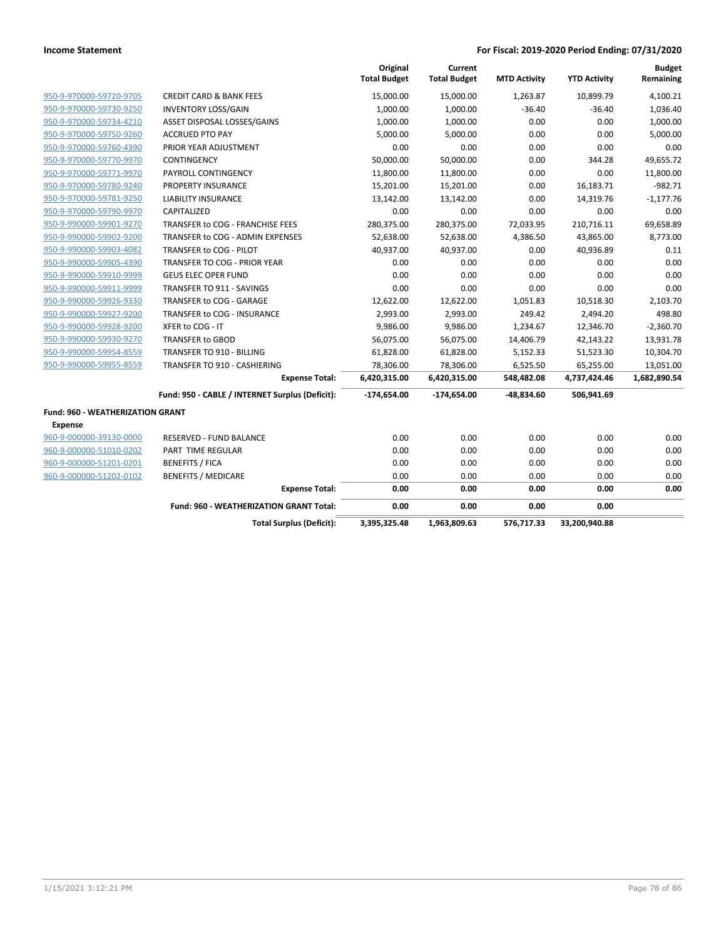|                                         |                                                 | Original<br><b>Total Budget</b> | Current<br><b>Total Budget</b> | <b>MTD Activity</b> | <b>YTD Activity</b> | <b>Budget</b><br>Remaining |
|-----------------------------------------|-------------------------------------------------|---------------------------------|--------------------------------|---------------------|---------------------|----------------------------|
| 950-9-970000-59720-9705                 | <b>CREDIT CARD &amp; BANK FEES</b>              | 15,000.00                       | 15,000.00                      | 1,263.87            | 10,899.79           | 4,100.21                   |
| 950-9-970000-59730-9250                 | <b>INVENTORY LOSS/GAIN</b>                      | 1,000.00                        | 1,000.00                       | $-36.40$            | $-36.40$            | 1,036.40                   |
| 950-9-970000-59734-4210                 | ASSET DISPOSAL LOSSES/GAINS                     | 1,000.00                        | 1,000.00                       | 0.00                | 0.00                | 1,000.00                   |
| 950-9-970000-59750-9260                 | <b>ACCRUED PTO PAY</b>                          | 5,000.00                        | 5,000.00                       | 0.00                | 0.00                | 5,000.00                   |
| 950-9-970000-59760-4390                 | PRIOR YEAR ADJUSTMENT                           | 0.00                            | 0.00                           | 0.00                | 0.00                | 0.00                       |
| 950-9-970000-59770-9970                 | <b>CONTINGENCY</b>                              | 50,000.00                       | 50,000.00                      | 0.00                | 344.28              | 49,655.72                  |
| 950-9-970000-59771-9970                 | PAYROLL CONTINGENCY                             | 11,800.00                       | 11,800.00                      | 0.00                | 0.00                | 11,800.00                  |
| 950-9-970000-59780-9240                 | PROPERTY INSURANCE                              | 15,201.00                       | 15,201.00                      | 0.00                | 16,183.71           | $-982.71$                  |
| 950-9-970000-59781-9250                 | <b>LIABILITY INSURANCE</b>                      | 13,142.00                       | 13,142.00                      | 0.00                | 14,319.76           | $-1,177.76$                |
| 950-9-970000-59790-9970                 | <b>CAPITALIZED</b>                              | 0.00                            | 0.00                           | 0.00                | 0.00                | 0.00                       |
| 950-9-990000-59901-9270                 | TRANSFER to COG - FRANCHISE FEES                | 280,375.00                      | 280,375.00                     | 72,033.95           | 210,716.11          | 69,658.89                  |
| 950-9-990000-59902-9200                 | TRANSFER to COG - ADMIN EXPENSES                | 52,638.00                       | 52,638.00                      | 4,386.50            | 43,865.00           | 8,773.00                   |
| 950-9-990000-59903-4082                 | TRANSFER to COG - PILOT                         | 40,937.00                       | 40,937.00                      | 0.00                | 40,936.89           | 0.11                       |
| 950-9-990000-59905-4390                 | <b>TRANSFER TO COG - PRIOR YEAR</b>             | 0.00                            | 0.00                           | 0.00                | 0.00                | 0.00                       |
| 950-9-990000-59910-9999                 | <b>GEUS ELEC OPER FUND</b>                      | 0.00                            | 0.00                           | 0.00                | 0.00                | 0.00                       |
| 950-9-990000-59911-9999                 | <b>TRANSFER TO 911 - SAVINGS</b>                | 0.00                            | 0.00                           | 0.00                | 0.00                | 0.00                       |
| 950-9-990000-59926-9330                 | TRANSFER to COG - GARAGE                        | 12,622.00                       | 12,622.00                      | 1,051.83            | 10,518.30           | 2,103.70                   |
| 950-9-990000-59927-9200                 | TRANSFER to COG - INSURANCE                     | 2,993.00                        | 2,993.00                       | 249.42              | 2,494.20            | 498.80                     |
| 950-9-990000-59928-9200                 | XFER to COG - IT                                | 9,986.00                        | 9,986.00                       | 1,234.67            | 12,346.70           | $-2,360.70$                |
| 950-9-990000-59930-9270                 | <b>TRANSFER to GBOD</b>                         | 56,075.00                       | 56,075.00                      | 14,406.79           | 42,143.22           | 13,931.78                  |
| 950-9-990000-59954-8559                 | TRANSFER TO 910 - BILLING                       | 61,828.00                       | 61,828.00                      | 5,152.33            | 51,523.30           | 10,304.70                  |
| 950-9-990000-59955-8559                 | TRANSFER TO 910 - CASHIERING                    | 78,306.00                       | 78,306.00                      | 6,525.50            | 65,255.00           | 13,051.00                  |
|                                         | <b>Expense Total:</b>                           | 6,420,315.00                    | 6,420,315.00                   | 548,482.08          | 4,737,424.46        | 1,682,890.54               |
|                                         | Fund: 950 - CABLE / INTERNET Surplus (Deficit): | $-174,654.00$                   | $-174,654.00$                  | -48.834.60          | 506,941.69          |                            |
| <b>Fund: 960 - WEATHERIZATION GRANT</b> |                                                 |                                 |                                |                     |                     |                            |
| Expense                                 |                                                 |                                 |                                |                     |                     |                            |
| 960-9-000000-39130-0000                 | RESERVED - FUND BALANCE                         | 0.00                            | 0.00                           | 0.00                | 0.00                | 0.00                       |
| 960-9-000000-51010-0202                 | PART TIME REGULAR                               | 0.00                            | 0.00                           | 0.00                | 0.00                | 0.00                       |
| 960-9-000000-51201-0201                 | <b>BENEFITS / FICA</b>                          | 0.00                            | 0.00                           | 0.00                | 0.00                | 0.00                       |
| 960-9-000000-51202-0102                 | <b>BENEFITS / MEDICARE</b>                      | 0.00                            | 0.00                           | 0.00                | 0.00                | 0.00                       |
|                                         | <b>Expense Total:</b>                           | 0.00                            | 0.00                           | 0.00                | 0.00                | 0.00                       |
|                                         | <b>Fund: 960 - WEATHERIZATION GRANT Total:</b>  | 0.00                            | 0.00                           | 0.00                | 0.00                |                            |
|                                         | <b>Total Surplus (Deficit):</b>                 | 3,395,325.48                    | 1,963,809.63                   | 576,717.33          | 33,200,940.88       |                            |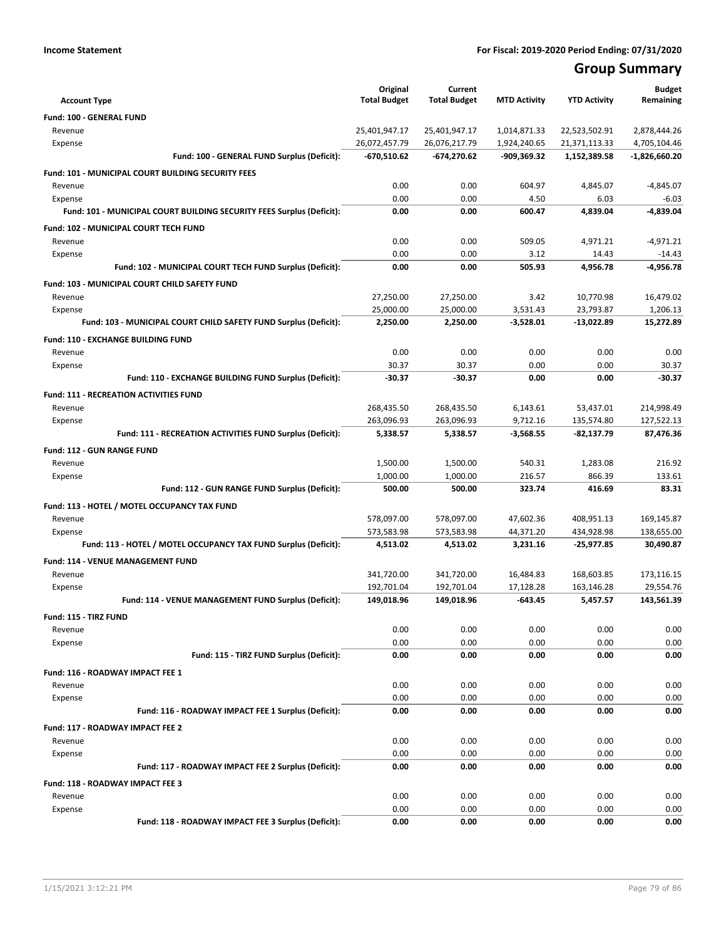# **Group Summary**

| <b>Account Type</b>                                                   | Original<br><b>Total Budget</b> | Current<br><b>Total Budget</b> | <b>MTD Activity</b> | <b>YTD Activity</b> | <b>Budget</b><br>Remaining |
|-----------------------------------------------------------------------|---------------------------------|--------------------------------|---------------------|---------------------|----------------------------|
| Fund: 100 - GENERAL FUND                                              |                                 |                                |                     |                     |                            |
| Revenue                                                               | 25,401,947.17                   | 25,401,947.17                  | 1,014,871.33        | 22,523,502.91       | 2,878,444.26               |
| Expense                                                               | 26,072,457.79                   | 26,076,217.79                  | 1,924,240.65        | 21,371,113.33       | 4,705,104.46               |
| Fund: 100 - GENERAL FUND Surplus (Deficit):                           | $-670,510.62$                   | $-674,270.62$                  | -909,369.32         | 1,152,389.58        | -1,826,660.20              |
| <b>Fund: 101 - MUNICIPAL COURT BUILDING SECURITY FEES</b>             |                                 |                                |                     |                     |                            |
| Revenue                                                               | 0.00                            | 0.00                           | 604.97              | 4,845.07            | $-4,845.07$                |
| Expense                                                               | 0.00                            | 0.00                           | 4.50                | 6.03                | $-6.03$                    |
| Fund: 101 - MUNICIPAL COURT BUILDING SECURITY FEES Surplus (Deficit): | 0.00                            | 0.00                           | 600.47              | 4,839.04            | -4,839.04                  |
| <b>Fund: 102 - MUNICIPAL COURT TECH FUND</b>                          |                                 |                                |                     |                     |                            |
| Revenue                                                               | 0.00                            | 0.00                           | 509.05              | 4,971.21            | $-4,971.21$                |
| Expense                                                               | 0.00                            | 0.00                           | 3.12                | 14.43               | $-14.43$                   |
| Fund: 102 - MUNICIPAL COURT TECH FUND Surplus (Deficit):              | 0.00                            | 0.00                           | 505.93              | 4,956.78            | -4,956.78                  |
| Fund: 103 - MUNICIPAL COURT CHILD SAFETY FUND                         |                                 |                                |                     |                     |                            |
| Revenue                                                               | 27,250.00                       | 27,250.00                      | 3.42                | 10,770.98           | 16,479.02                  |
| Expense                                                               | 25,000.00                       | 25,000.00                      | 3,531.43            | 23,793.87           | 1,206.13                   |
| Fund: 103 - MUNICIPAL COURT CHILD SAFETY FUND Surplus (Deficit):      | 2,250.00                        | 2,250.00                       | $-3,528.01$         | -13,022.89          | 15,272.89                  |
| Fund: 110 - EXCHANGE BUILDING FUND                                    |                                 |                                |                     |                     |                            |
| Revenue                                                               | 0.00                            | 0.00                           | 0.00                | 0.00                | 0.00                       |
| Expense                                                               | 30.37                           | 30.37                          | 0.00                | 0.00                | 30.37                      |
| Fund: 110 - EXCHANGE BUILDING FUND Surplus (Deficit):                 | $-30.37$                        | -30.37                         | 0.00                | 0.00                | $-30.37$                   |
| <b>Fund: 111 - RECREATION ACTIVITIES FUND</b>                         |                                 |                                |                     |                     |                            |
| Revenue                                                               | 268,435.50                      | 268,435.50                     | 6,143.61            | 53,437.01           | 214,998.49                 |
| Expense                                                               | 263,096.93                      | 263,096.93                     | 9,712.16            | 135,574.80          | 127,522.13                 |
| Fund: 111 - RECREATION ACTIVITIES FUND Surplus (Deficit):             | 5,338.57                        | 5,338.57                       | $-3,568.55$         | -82,137.79          | 87,476.36                  |
| <b>Fund: 112 - GUN RANGE FUND</b>                                     |                                 |                                |                     |                     |                            |
| Revenue                                                               | 1,500.00                        | 1,500.00                       | 540.31              | 1,283.08            | 216.92                     |
| Expense                                                               | 1,000.00                        | 1,000.00                       | 216.57              | 866.39              | 133.61                     |
| Fund: 112 - GUN RANGE FUND Surplus (Deficit):                         | 500.00                          | 500.00                         | 323.74              | 416.69              | 83.31                      |
| Fund: 113 - HOTEL / MOTEL OCCUPANCY TAX FUND                          |                                 |                                |                     |                     |                            |
| Revenue                                                               | 578,097.00                      | 578,097.00                     | 47,602.36           | 408,951.13          | 169,145.87                 |
| Expense                                                               | 573,583.98                      | 573,583.98                     | 44,371.20           | 434,928.98          | 138,655.00                 |
| Fund: 113 - HOTEL / MOTEL OCCUPANCY TAX FUND Surplus (Deficit):       | 4,513.02                        | 4,513.02                       | 3,231.16            | $-25,977.85$        | 30,490.87                  |
| <b>Fund: 114 - VENUE MANAGEMENT FUND</b>                              |                                 |                                |                     |                     |                            |
| Revenue                                                               | 341,720.00                      | 341,720.00                     | 16,484.83           | 168,603.85          | 173,116.15                 |
| Expense                                                               | 192,701.04                      | 192,701.04                     | 17,128.28           | 163,146.28          | 29,554.76                  |
| Fund: 114 - VENUE MANAGEMENT FUND Surplus (Deficit):                  | 149,018.96                      | 149,018.96                     | $-643.45$           | 5,457.57            | 143,561.39                 |
| Fund: 115 - TIRZ FUND                                                 |                                 |                                |                     |                     |                            |
| Revenue                                                               | 0.00                            | 0.00                           | 0.00                | 0.00                | 0.00                       |
| Expense                                                               | 0.00                            | 0.00                           | 0.00                | 0.00                | 0.00                       |
| Fund: 115 - TIRZ FUND Surplus (Deficit):                              | 0.00                            | 0.00                           | 0.00                | 0.00                | 0.00                       |
| Fund: 116 - ROADWAY IMPACT FEE 1                                      |                                 |                                |                     |                     |                            |
| Revenue                                                               | 0.00                            | 0.00                           | 0.00                | 0.00                | 0.00                       |
| Expense<br>Fund: 116 - ROADWAY IMPACT FEE 1 Surplus (Deficit):        | 0.00<br>0.00                    | 0.00<br>0.00                   | 0.00<br>0.00        | 0.00<br>0.00        | 0.00<br>0.00               |
|                                                                       |                                 |                                |                     |                     |                            |
| Fund: 117 - ROADWAY IMPACT FEE 2                                      |                                 |                                |                     |                     |                            |
| Revenue                                                               | 0.00                            | 0.00                           | 0.00                | 0.00                | 0.00                       |
| Expense<br>Fund: 117 - ROADWAY IMPACT FEE 2 Surplus (Deficit):        | 0.00<br>0.00                    | 0.00<br>0.00                   | 0.00<br>0.00        | 0.00<br>0.00        | 0.00<br>0.00               |
|                                                                       |                                 |                                |                     |                     |                            |
| <b>Fund: 118 - ROADWAY IMPACT FEE 3</b>                               |                                 |                                |                     |                     |                            |
| Revenue                                                               | 0.00                            | 0.00<br>0.00                   | 0.00                | 0.00<br>0.00        | 0.00                       |
| Expense<br>Fund: 118 - ROADWAY IMPACT FEE 3 Surplus (Deficit):        | 0.00<br>0.00                    | 0.00                           | 0.00<br>0.00        | 0.00                | 0.00<br>0.00               |
|                                                                       |                                 |                                |                     |                     |                            |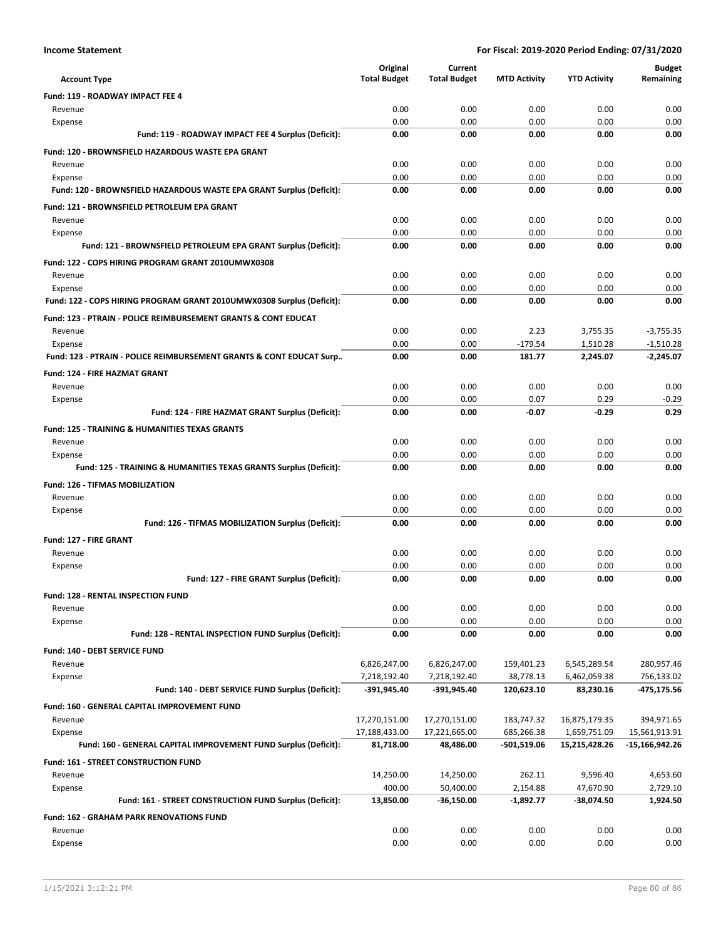|                                                                                 | Original            | Current             |                     |                     | <b>Budget</b>  |
|---------------------------------------------------------------------------------|---------------------|---------------------|---------------------|---------------------|----------------|
| <b>Account Type</b>                                                             | <b>Total Budget</b> | <b>Total Budget</b> | <b>MTD Activity</b> | <b>YTD Activity</b> | Remaining      |
| Fund: 119 - ROADWAY IMPACT FEE 4                                                |                     |                     |                     |                     |                |
| Revenue                                                                         | 0.00                | 0.00                | 0.00                | 0.00                | 0.00           |
| Expense                                                                         | 0.00<br>0.00        | 0.00<br>0.00        | 0.00<br>0.00        | 0.00<br>0.00        | 0.00<br>0.00   |
| Fund: 119 - ROADWAY IMPACT FEE 4 Surplus (Deficit):                             |                     |                     |                     |                     |                |
| <b>Fund: 120 - BROWNSFIELD HAZARDOUS WASTE EPA GRANT</b>                        |                     |                     |                     |                     |                |
| Revenue                                                                         | 0.00                | 0.00                | 0.00                | 0.00                | 0.00           |
| Expense<br>Fund: 120 - BROWNSFIELD HAZARDOUS WASTE EPA GRANT Surplus (Deficit): | 0.00<br>0.00        | 0.00<br>0.00        | 0.00<br>0.00        | 0.00<br>0.00        | 0.00<br>0.00   |
|                                                                                 |                     |                     |                     |                     |                |
| Fund: 121 - BROWNSFIELD PETROLEUM EPA GRANT<br>Revenue                          | 0.00                | 0.00                | 0.00                | 0.00                | 0.00           |
| Expense                                                                         | 0.00                | 0.00                | 0.00                | 0.00                | 0.00           |
| Fund: 121 - BROWNSFIELD PETROLEUM EPA GRANT Surplus (Deficit):                  | 0.00                | 0.00                | 0.00                | 0.00                | 0.00           |
| Fund: 122 - COPS HIRING PROGRAM GRANT 2010UMWX0308                              |                     |                     |                     |                     |                |
| Revenue                                                                         | 0.00                | 0.00                | 0.00                | 0.00                | 0.00           |
| Expense                                                                         | 0.00                | 0.00                | 0.00                | 0.00                | 0.00           |
| Fund: 122 - COPS HIRING PROGRAM GRANT 2010UMWX0308 Surplus (Deficit):           | 0.00                | 0.00                | 0.00                | 0.00                | 0.00           |
| Fund: 123 - PTRAIN - POLICE REIMBURSEMENT GRANTS & CONT EDUCAT                  |                     |                     |                     |                     |                |
| Revenue                                                                         | 0.00                | 0.00                | 2.23                | 3,755.35            | $-3,755.35$    |
| Expense                                                                         | 0.00                | 0.00                | $-179.54$           | 1,510.28            | $-1,510.28$    |
| Fund: 123 - PTRAIN - POLICE REIMBURSEMENT GRANTS & CONT EDUCAT Surp             | 0.00                | 0.00                | 181.77              | 2,245.07            | $-2.245.07$    |
| <b>Fund: 124 - FIRE HAZMAT GRANT</b>                                            |                     |                     |                     |                     |                |
| Revenue                                                                         | 0.00                | 0.00                | 0.00                | 0.00                | 0.00           |
| Expense                                                                         | 0.00                | 0.00                | 0.07                | 0.29                | $-0.29$        |
| Fund: 124 - FIRE HAZMAT GRANT Surplus (Deficit):                                | 0.00                | 0.00                | $-0.07$             | $-0.29$             | 0.29           |
| <b>Fund: 125 - TRAINING &amp; HUMANITIES TEXAS GRANTS</b>                       |                     |                     |                     |                     |                |
| Revenue                                                                         | 0.00                | 0.00                | 0.00                | 0.00                | 0.00           |
| Expense                                                                         | 0.00                | 0.00                | 0.00                | 0.00                | 0.00           |
| Fund: 125 - TRAINING & HUMANITIES TEXAS GRANTS Surplus (Deficit):               | 0.00                | 0.00                | 0.00                | 0.00                | 0.00           |
| <b>Fund: 126 - TIFMAS MOBILIZATION</b>                                          |                     |                     |                     |                     |                |
| Revenue                                                                         | 0.00                | 0.00                | 0.00                | 0.00                | 0.00           |
| Expense                                                                         | 0.00                | 0.00                | 0.00                | 0.00                | 0.00           |
| Fund: 126 - TIFMAS MOBILIZATION Surplus (Deficit):                              | 0.00                | 0.00                | 0.00                | 0.00                | 0.00           |
| Fund: 127 - FIRE GRANT                                                          |                     |                     |                     |                     |                |
| Revenue                                                                         | 0.00                | 0.00                | 0.00                | 0.00                | 0.00           |
| Expense<br>Fund: 127 - FIRE GRANT Surplus (Deficit):                            | 0.00<br>0.00        | 0.00<br>0.00        | 0.00<br>0.00        | 0.00<br>0.00        | 0.00<br>0.00   |
|                                                                                 |                     |                     |                     |                     |                |
| <b>Fund: 128 - RENTAL INSPECTION FUND</b><br>Revenue                            | 0.00                | 0.00                | 0.00                | 0.00                | 0.00           |
| Expense                                                                         | 0.00                | 0.00                | 0.00                | 0.00                | 0.00           |
| Fund: 128 - RENTAL INSPECTION FUND Surplus (Deficit):                           | 0.00                | 0.00                | 0.00                | 0.00                | 0.00           |
| Fund: 140 - DEBT SERVICE FUND                                                   |                     |                     |                     |                     |                |
| Revenue                                                                         | 6,826,247.00        | 6,826,247.00        | 159,401.23          | 6,545,289.54        | 280,957.46     |
| Expense                                                                         | 7,218,192.40        | 7,218,192.40        | 38,778.13           | 6,462,059.38        | 756,133.02     |
| Fund: 140 - DEBT SERVICE FUND Surplus (Deficit):                                | $-391,945.40$       | -391,945.40         | 120,623.10          | 83,230.16           | -475,175.56    |
| Fund: 160 - GENERAL CAPITAL IMPROVEMENT FUND                                    |                     |                     |                     |                     |                |
| Revenue                                                                         | 17,270,151.00       | 17,270,151.00       | 183,747.32          | 16,875,179.35       | 394,971.65     |
| Expense                                                                         | 17,188,433.00       | 17,221,665.00       | 685,266.38          | 1,659,751.09        | 15,561,913.91  |
| Fund: 160 - GENERAL CAPITAL IMPROVEMENT FUND Surplus (Deficit):                 | 81,718.00           | 48,486.00           | -501,519.06         | 15,215,428.26       | -15,166,942.26 |
| Fund: 161 - STREET CONSTRUCTION FUND                                            |                     |                     |                     |                     |                |
| Revenue                                                                         | 14,250.00           | 14,250.00           | 262.11              | 9,596.40            | 4,653.60       |
| Expense                                                                         | 400.00              | 50,400.00           | 2,154.88            | 47,670.90           | 2,729.10       |
| Fund: 161 - STREET CONSTRUCTION FUND Surplus (Deficit):                         | 13,850.00           | $-36,150.00$        | $-1,892.77$         | -38,074.50          | 1,924.50       |
| <b>Fund: 162 - GRAHAM PARK RENOVATIONS FUND</b>                                 |                     |                     |                     |                     |                |
| Revenue                                                                         | 0.00                | 0.00                | 0.00                | 0.00                | 0.00           |
| Expense                                                                         | 0.00                | 0.00                | 0.00                | 0.00                | 0.00           |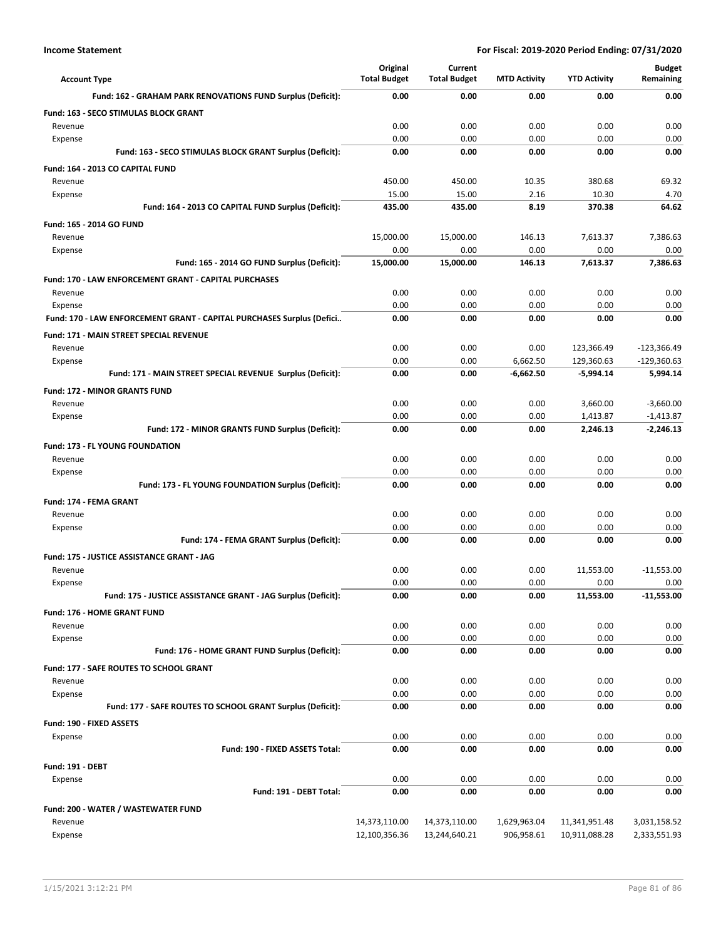| <b>Account Type</b>                                                              | Original<br><b>Total Budget</b> | Current<br><b>Total Budget</b> | <b>MTD Activity</b> | <b>YTD Activity</b> | <b>Budget</b><br>Remaining |
|----------------------------------------------------------------------------------|---------------------------------|--------------------------------|---------------------|---------------------|----------------------------|
| Fund: 162 - GRAHAM PARK RENOVATIONS FUND Surplus (Deficit):                      | 0.00                            | 0.00                           | 0.00                | 0.00                | 0.00                       |
| Fund: 163 - SECO STIMULAS BLOCK GRANT                                            |                                 |                                |                     |                     |                            |
| Revenue                                                                          | 0.00                            | 0.00                           | 0.00                | 0.00                | 0.00                       |
| Expense                                                                          | 0.00                            | 0.00                           | 0.00                | 0.00                | 0.00                       |
| Fund: 163 - SECO STIMULAS BLOCK GRANT Surplus (Deficit):                         | 0.00                            | 0.00                           | 0.00                | 0.00                | 0.00                       |
| Fund: 164 - 2013 CO CAPITAL FUND                                                 |                                 |                                |                     |                     |                            |
| Revenue                                                                          | 450.00                          | 450.00                         | 10.35               | 380.68              | 69.32                      |
| Expense                                                                          | 15.00                           | 15.00                          | 2.16                | 10.30               | 4.70                       |
| Fund: 164 - 2013 CO CAPITAL FUND Surplus (Deficit):                              | 435.00                          | 435.00                         | 8.19                | 370.38              | 64.62                      |
| Fund: 165 - 2014 GO FUND                                                         |                                 |                                |                     |                     |                            |
| Revenue                                                                          | 15,000.00                       | 15,000.00                      | 146.13              | 7,613.37            | 7,386.63                   |
| Expense                                                                          | 0.00                            | 0.00                           | 0.00                | 0.00                | 0.00                       |
| Fund: 165 - 2014 GO FUND Surplus (Deficit):                                      | 15,000.00                       | 15,000.00                      | 146.13              | 7,613.37            | 7,386.63                   |
| <b>Fund: 170 - LAW ENFORCEMENT GRANT - CAPITAL PURCHASES</b>                     |                                 |                                |                     |                     |                            |
| Revenue                                                                          | 0.00<br>0.00                    | 0.00<br>0.00                   | 0.00<br>0.00        | 0.00<br>0.00        | 0.00<br>0.00               |
| Expense<br>Fund: 170 - LAW ENFORCEMENT GRANT - CAPITAL PURCHASES Surplus (Defici | 0.00                            | 0.00                           | 0.00                | 0.00                | 0.00                       |
|                                                                                  |                                 |                                |                     |                     |                            |
| Fund: 171 - MAIN STREET SPECIAL REVENUE<br>Revenue                               | 0.00                            | 0.00                           | 0.00                | 123,366.49          | $-123,366.49$              |
| Expense                                                                          | 0.00                            | 0.00                           | 6,662.50            | 129,360.63          | $-129,360.63$              |
| Fund: 171 - MAIN STREET SPECIAL REVENUE Surplus (Deficit):                       | 0.00                            | 0.00                           | $-6,662.50$         | $-5,994.14$         | 5,994.14                   |
| <b>Fund: 172 - MINOR GRANTS FUND</b>                                             |                                 |                                |                     |                     |                            |
| Revenue                                                                          | 0.00                            | 0.00                           | 0.00                | 3,660.00            | $-3,660.00$                |
| Expense                                                                          | 0.00                            | 0.00                           | 0.00                | 1,413.87            | $-1,413.87$                |
| Fund: 172 - MINOR GRANTS FUND Surplus (Deficit):                                 | 0.00                            | 0.00                           | 0.00                | 2,246.13            | $-2,246.13$                |
| Fund: 173 - FL YOUNG FOUNDATION                                                  |                                 |                                |                     |                     |                            |
| Revenue                                                                          | 0.00                            | 0.00                           | 0.00                | 0.00                | 0.00                       |
| Expense                                                                          | 0.00                            | 0.00                           | 0.00                | 0.00                | 0.00                       |
| Fund: 173 - FL YOUNG FOUNDATION Surplus (Deficit):                               | 0.00                            | 0.00                           | 0.00                | 0.00                | 0.00                       |
| Fund: 174 - FEMA GRANT                                                           |                                 |                                |                     |                     |                            |
| Revenue                                                                          | 0.00                            | 0.00                           | 0.00                | 0.00                | 0.00                       |
| Expense                                                                          | 0.00                            | 0.00                           | 0.00                | 0.00                | 0.00                       |
| Fund: 174 - FEMA GRANT Surplus (Deficit):                                        | 0.00                            | 0.00                           | 0.00                | 0.00                | 0.00                       |
| <b>Fund: 175 - JUSTICE ASSISTANCE GRANT - JAG</b>                                |                                 |                                |                     |                     |                            |
| Revenue                                                                          | 0.00                            | 0.00                           | 0.00                | 11,553.00           | $-11,553.00$               |
| Expense                                                                          | 0.00                            | 0.00                           | 0.00                | 0.00                | 0.00                       |
| Fund: 175 - JUSTICE ASSISTANCE GRANT - JAG Surplus (Deficit):                    | 0.00                            | 0.00                           | 0.00                | 11,553.00           | -11,553.00                 |
| Fund: 176 - HOME GRANT FUND                                                      |                                 |                                |                     |                     |                            |
| Revenue                                                                          | 0.00                            | 0.00                           | 0.00                | 0.00                | 0.00                       |
| Expense<br>Fund: 176 - HOME GRANT FUND Surplus (Deficit):                        | 0.00<br>0.00                    | 0.00<br>0.00                   | 0.00<br>0.00        | 0.00<br>0.00        | 0.00<br>0.00               |
|                                                                                  |                                 |                                |                     |                     |                            |
| Fund: 177 - SAFE ROUTES TO SCHOOL GRANT<br>Revenue                               | 0.00                            | 0.00                           | 0.00                | 0.00                | 0.00                       |
| Expense                                                                          | 0.00                            | 0.00                           | 0.00                | 0.00                | 0.00                       |
| Fund: 177 - SAFE ROUTES TO SCHOOL GRANT Surplus (Deficit):                       | 0.00                            | 0.00                           | 0.00                | 0.00                | 0.00                       |
| Fund: 190 - FIXED ASSETS                                                         |                                 |                                |                     |                     |                            |
| Expense                                                                          | 0.00                            | 0.00                           | 0.00                | 0.00                | 0.00                       |
| Fund: 190 - FIXED ASSETS Total:                                                  | 0.00                            | 0.00                           | 0.00                | 0.00                | 0.00                       |
| <b>Fund: 191 - DEBT</b>                                                          |                                 |                                |                     |                     |                            |
| Expense                                                                          | 0.00                            | 0.00                           | 0.00                | 0.00                | 0.00                       |
| Fund: 191 - DEBT Total:                                                          | 0.00                            | 0.00                           | 0.00                | 0.00                | 0.00                       |
| Fund: 200 - WATER / WASTEWATER FUND                                              |                                 |                                |                     |                     |                            |
| Revenue                                                                          | 14,373,110.00                   | 14,373,110.00                  | 1,629,963.04        | 11,341,951.48       | 3,031,158.52               |
| Expense                                                                          | 12,100,356.36                   | 13,244,640.21                  | 906,958.61          | 10,911,088.28       | 2,333,551.93               |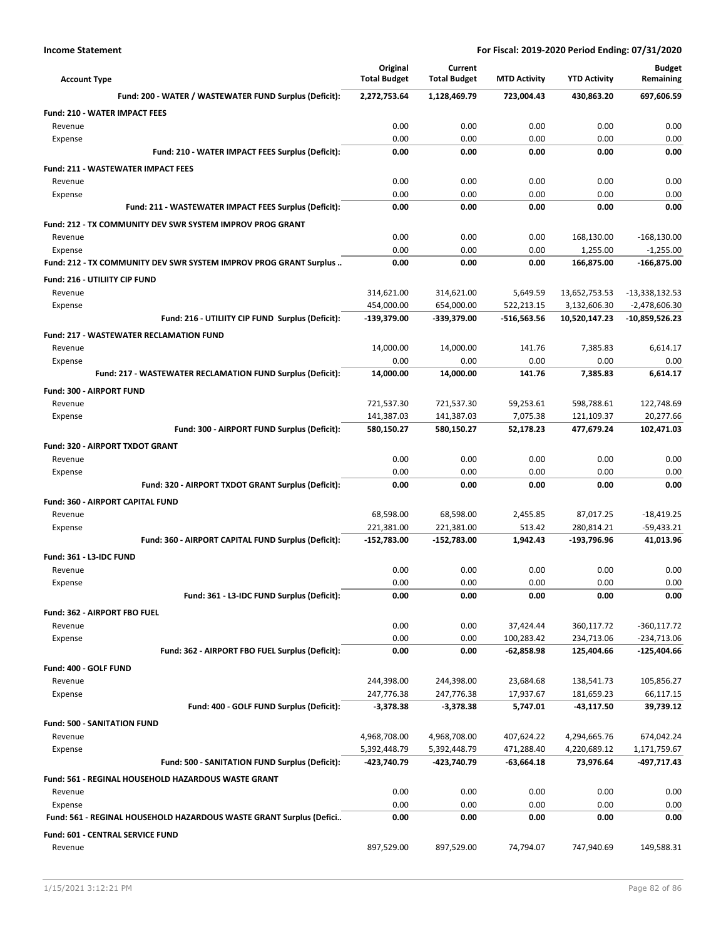| <b>Account Type</b>                                                 | Original<br><b>Total Budget</b> | Current<br><b>Total Budget</b> | <b>MTD Activity</b> | <b>YTD Activity</b> | <b>Budget</b><br>Remaining |
|---------------------------------------------------------------------|---------------------------------|--------------------------------|---------------------|---------------------|----------------------------|
| Fund: 200 - WATER / WASTEWATER FUND Surplus (Deficit):              | 2,272,753.64                    | 1,128,469.79                   | 723,004.43          | 430,863.20          | 697,606.59                 |
| <b>Fund: 210 - WATER IMPACT FEES</b>                                |                                 |                                |                     |                     |                            |
| Revenue                                                             | 0.00                            | 0.00                           | 0.00                | 0.00                | 0.00                       |
| Expense                                                             | 0.00                            | 0.00                           | 0.00                | 0.00                | 0.00                       |
| Fund: 210 - WATER IMPACT FEES Surplus (Deficit):                    | 0.00                            | 0.00                           | 0.00                | 0.00                | 0.00                       |
| <b>Fund: 211 - WASTEWATER IMPACT FEES</b>                           |                                 |                                |                     |                     |                            |
| Revenue                                                             | 0.00                            | 0.00                           | 0.00                | 0.00                | 0.00                       |
| Expense                                                             | 0.00                            | 0.00                           | 0.00                | 0.00                | 0.00                       |
| Fund: 211 - WASTEWATER IMPACT FEES Surplus (Deficit):               | 0.00                            | 0.00                           | 0.00                | 0.00                | 0.00                       |
| Fund: 212 - TX COMMUNITY DEV SWR SYSTEM IMPROV PROG GRANT           |                                 |                                |                     |                     |                            |
| Revenue                                                             | 0.00                            | 0.00                           | 0.00                | 168,130.00          | $-168,130.00$              |
| Expense                                                             | 0.00                            | 0.00                           | 0.00                | 1,255.00            | $-1,255.00$                |
| Fund: 212 - TX COMMUNITY DEV SWR SYSTEM IMPROV PROG GRANT Surplus   | 0.00                            | 0.00                           | 0.00                | 166,875.00          | $-166,875.00$              |
| Fund: 216 - UTILIITY CIP FUND                                       |                                 |                                |                     |                     |                            |
| Revenue                                                             | 314,621.00                      | 314,621.00                     | 5,649.59            | 13,652,753.53       | $-13,338,132.53$           |
| Expense                                                             | 454,000.00                      | 654,000.00                     | 522,213.15          | 3,132,606.30        | $-2,478,606.30$            |
| Fund: 216 - UTILIITY CIP FUND Surplus (Deficit):                    | -139,379.00                     | -339,379.00                    | -516,563.56         | 10,520,147.23       | -10,859,526.23             |
| <b>Fund: 217 - WASTEWATER RECLAMATION FUND</b>                      |                                 |                                |                     |                     |                            |
| Revenue                                                             | 14,000.00                       | 14,000.00                      | 141.76              | 7,385.83            | 6,614.17                   |
| Expense                                                             | 0.00                            | 0.00                           | 0.00                | 0.00                | 0.00                       |
| Fund: 217 - WASTEWATER RECLAMATION FUND Surplus (Deficit):          | 14,000.00                       | 14,000.00                      | 141.76              | 7,385.83            | 6,614.17                   |
| Fund: 300 - AIRPORT FUND                                            |                                 |                                |                     |                     |                            |
| Revenue                                                             | 721,537.30                      | 721,537.30                     | 59,253.61           | 598,788.61          | 122,748.69                 |
| Expense                                                             | 141,387.03                      | 141,387.03                     | 7,075.38            | 121,109.37          | 20,277.66                  |
| Fund: 300 - AIRPORT FUND Surplus (Deficit):                         | 580,150.27                      | 580,150.27                     | 52,178.23           | 477,679.24          | 102,471.03                 |
| <b>Fund: 320 - AIRPORT TXDOT GRANT</b>                              |                                 |                                |                     |                     |                            |
| Revenue                                                             | 0.00                            | 0.00                           | 0.00                | 0.00                | 0.00                       |
| Expense                                                             | 0.00                            | 0.00                           | 0.00                | 0.00                | 0.00                       |
| Fund: 320 - AIRPORT TXDOT GRANT Surplus (Deficit):                  | 0.00                            | 0.00                           | 0.00                | 0.00                | 0.00                       |
| Fund: 360 - AIRPORT CAPITAL FUND                                    |                                 |                                |                     |                     |                            |
| Revenue                                                             | 68,598.00                       | 68,598.00                      | 2,455.85            | 87,017.25           | $-18,419.25$               |
| Expense                                                             | 221,381.00                      | 221,381.00                     | 513.42              | 280,814.21          | $-59,433.21$               |
| Fund: 360 - AIRPORT CAPITAL FUND Surplus (Deficit):                 | $-152,783.00$                   | -152,783.00                    | 1,942.43            | -193,796.96         | 41,013.96                  |
| Fund: 361 - L3-IDC FUND                                             |                                 |                                |                     |                     |                            |
| Revenue                                                             | 0.00                            | 0.00                           | 0.00                | 0.00                | 0.00                       |
| Expense                                                             | 0.00                            | 0.00                           | 0.00                | 0.00                | 0.00                       |
| Fund: 361 - L3-IDC FUND Surplus (Deficit):                          | 0.00                            | 0.00                           | 0.00                | 0.00                | 0.00                       |
| Fund: 362 - AIRPORT FBO FUEL                                        |                                 |                                |                     |                     |                            |
| Revenue                                                             | 0.00                            | 0.00                           | 37,424.44           | 360,117.72          | $-360,117.72$              |
| Expense                                                             | 0.00                            | 0.00                           | 100,283.42          | 234,713.06          | $-234,713.06$              |
| Fund: 362 - AIRPORT FBO FUEL Surplus (Deficit):                     | 0.00                            | 0.00                           | $-62,858.98$        | 125,404.66          | $-125,404.66$              |
| Fund: 400 - GOLF FUND                                               |                                 |                                |                     |                     |                            |
| Revenue                                                             | 244,398.00                      | 244,398.00                     | 23,684.68           | 138,541.73          | 105,856.27                 |
| Expense                                                             | 247,776.38                      | 247,776.38                     | 17,937.67           | 181,659.23          | 66,117.15                  |
| Fund: 400 - GOLF FUND Surplus (Deficit):                            | $-3,378.38$                     | $-3,378.38$                    | 5,747.01            | $-43,117.50$        | 39,739.12                  |
| <b>Fund: 500 - SANITATION FUND</b>                                  |                                 |                                |                     |                     |                            |
| Revenue                                                             | 4,968,708.00                    | 4,968,708.00                   | 407,624.22          | 4,294,665.76        | 674,042.24                 |
| Expense                                                             | 5,392,448.79                    | 5,392,448.79                   | 471,288.40          | 4,220,689.12        | 1,171,759.67               |
| Fund: 500 - SANITATION FUND Surplus (Deficit):                      | -423,740.79                     | -423,740.79                    | $-63,664.18$        | 73,976.64           | -497,717.43                |
| Fund: 561 - REGINAL HOUSEHOLD HAZARDOUS WASTE GRANT                 |                                 |                                |                     |                     |                            |
| Revenue                                                             | 0.00                            | 0.00                           | 0.00                | 0.00                | 0.00                       |
| Expense                                                             | 0.00                            | 0.00                           | 0.00                | 0.00                | 0.00                       |
| Fund: 561 - REGINAL HOUSEHOLD HAZARDOUS WASTE GRANT Surplus (Defici | 0.00                            | 0.00                           | 0.00                | 0.00                | 0.00                       |
| <b>Fund: 601 - CENTRAL SERVICE FUND</b>                             |                                 |                                |                     |                     |                            |
| Revenue                                                             | 897,529.00                      | 897,529.00                     | 74,794.07           | 747,940.69          | 149,588.31                 |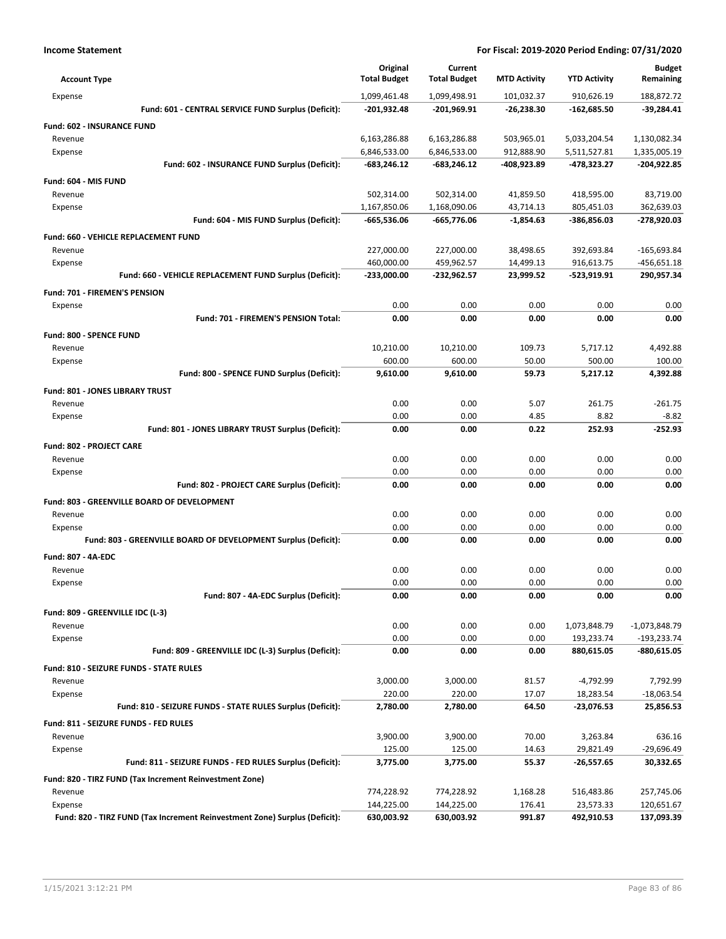| <b>Account Type</b>                                                        | Original<br><b>Total Budget</b> | Current<br><b>Total Budget</b> | <b>MTD Activity</b> | <b>YTD Activity</b> | <b>Budget</b><br>Remaining |
|----------------------------------------------------------------------------|---------------------------------|--------------------------------|---------------------|---------------------|----------------------------|
| Expense                                                                    | 1,099,461.48                    | 1,099,498.91                   | 101,032.37          | 910,626.19          | 188,872.72                 |
| Fund: 601 - CENTRAL SERVICE FUND Surplus (Deficit):                        | $-201,932.48$                   | -201,969.91                    | $-26,238.30$        | $-162,685.50$       | $-39,284.41$               |
| <b>Fund: 602 - INSURANCE FUND</b>                                          |                                 |                                |                     |                     |                            |
| Revenue                                                                    | 6,163,286.88                    | 6,163,286.88                   | 503,965.01          | 5,033,204.54        | 1,130,082.34               |
| Expense                                                                    | 6,846,533.00                    | 6,846,533.00                   | 912,888.90          | 5,511,527.81        | 1,335,005.19               |
| Fund: 602 - INSURANCE FUND Surplus (Deficit):                              | $-683,246.12$                   | $-683,246.12$                  | -408,923.89         | -478,323.27         | -204,922.85                |
| Fund: 604 - MIS FUND                                                       |                                 |                                |                     |                     |                            |
| Revenue                                                                    | 502,314.00                      | 502,314.00                     | 41,859.50           | 418,595.00          | 83,719.00                  |
| Expense                                                                    | 1,167,850.06                    | 1,168,090.06                   | 43,714.13           | 805,451.03          | 362,639.03                 |
| Fund: 604 - MIS FUND Surplus (Deficit):                                    | $-665,536.06$                   | -665,776.06                    | $-1,854.63$         | -386,856.03         | -278,920.03                |
| Fund: 660 - VEHICLE REPLACEMENT FUND                                       |                                 |                                |                     |                     |                            |
| Revenue                                                                    | 227,000.00                      | 227,000.00                     | 38,498.65           | 392,693.84          | $-165,693.84$              |
| Expense                                                                    | 460,000.00                      | 459,962.57                     | 14,499.13           | 916,613.75          | $-456,651.18$              |
| Fund: 660 - VEHICLE REPLACEMENT FUND Surplus (Deficit):                    | -233,000.00                     | $-232,962.57$                  | 23,999.52           | -523,919.91         | 290,957.34                 |
| <b>Fund: 701 - FIREMEN'S PENSION</b>                                       |                                 |                                |                     |                     |                            |
| Expense                                                                    | 0.00                            | 0.00                           | 0.00                | 0.00                | 0.00                       |
| Fund: 701 - FIREMEN'S PENSION Total:                                       | 0.00                            | 0.00                           | 0.00                | 0.00                | 0.00                       |
| Fund: 800 - SPENCE FUND                                                    |                                 |                                |                     |                     |                            |
| Revenue                                                                    | 10,210.00                       | 10,210.00                      | 109.73              | 5,717.12            | 4,492.88                   |
| Expense                                                                    | 600.00                          | 600.00                         | 50.00               | 500.00              | 100.00                     |
| Fund: 800 - SPENCE FUND Surplus (Deficit):                                 | 9,610.00                        | 9,610.00                       | 59.73               | 5,217.12            | 4,392.88                   |
| Fund: 801 - JONES LIBRARY TRUST                                            |                                 |                                |                     |                     |                            |
| Revenue                                                                    | 0.00                            | 0.00                           | 5.07                | 261.75              | $-261.75$                  |
| Expense                                                                    | 0.00                            | 0.00                           | 4.85                | 8.82                | $-8.82$                    |
| Fund: 801 - JONES LIBRARY TRUST Surplus (Deficit):                         | 0.00                            | 0.00                           | 0.22                | 252.93              | $-252.93$                  |
| <b>Fund: 802 - PROJECT CARE</b>                                            |                                 |                                |                     |                     |                            |
| Revenue                                                                    | 0.00                            | 0.00                           | 0.00                | 0.00                | 0.00                       |
| Expense                                                                    | 0.00                            | 0.00                           | 0.00                | 0.00                | 0.00                       |
| Fund: 802 - PROJECT CARE Surplus (Deficit):                                | 0.00                            | 0.00                           | 0.00                | 0.00                | 0.00                       |
| Fund: 803 - GREENVILLE BOARD OF DEVELOPMENT                                |                                 |                                |                     |                     |                            |
| Revenue                                                                    | 0.00                            | 0.00                           | 0.00                | 0.00                | 0.00                       |
| Expense                                                                    | 0.00                            | 0.00                           | 0.00                | 0.00                | 0.00                       |
| Fund: 803 - GREENVILLE BOARD OF DEVELOPMENT Surplus (Deficit):             | 0.00                            | 0.00                           | 0.00                | 0.00                | 0.00                       |
| Fund: 807 - 4A-EDC                                                         |                                 |                                |                     |                     |                            |
| Revenue                                                                    | 0.00                            | 0.00                           | 0.00                | 0.00                | 0.00                       |
| Expense                                                                    | 0.00                            | 0.00                           | 0.00                | 0.00                | 0.00                       |
| Fund: 807 - 4A-EDC Surplus (Deficit):                                      | 0.00                            | 0.00                           | 0.00                | 0.00                | 0.00                       |
| Fund: 809 - GREENVILLE IDC (L-3)                                           |                                 |                                |                     |                     |                            |
| Revenue                                                                    | 0.00                            | 0.00                           | 0.00                | 1,073,848.79        | $-1,073,848.79$            |
| Expense                                                                    | 0.00                            | 0.00                           | 0.00                | 193,233.74          | $-193,233.74$              |
| Fund: 809 - GREENVILLE IDC (L-3) Surplus (Deficit):                        | 0.00                            | 0.00                           | 0.00                | 880,615.05          | $-880,615.05$              |
| Fund: 810 - SEIZURE FUNDS - STATE RULES                                    |                                 |                                |                     |                     |                            |
| Revenue                                                                    | 3,000.00                        | 3,000.00                       | 81.57               | -4,792.99           | 7,792.99                   |
| Expense                                                                    | 220.00                          | 220.00                         | 17.07               | 18,283.54           | $-18,063.54$               |
| Fund: 810 - SEIZURE FUNDS - STATE RULES Surplus (Deficit):                 | 2,780.00                        | 2,780.00                       | 64.50               | -23,076.53          | 25,856.53                  |
| Fund: 811 - SEIZURE FUNDS - FED RULES                                      |                                 |                                |                     |                     |                            |
| Revenue                                                                    | 3,900.00                        | 3,900.00                       | 70.00               | 3,263.84            | 636.16                     |
| Expense                                                                    | 125.00                          | 125.00                         | 14.63               | 29,821.49           | -29,696.49                 |
| Fund: 811 - SEIZURE FUNDS - FED RULES Surplus (Deficit):                   | 3,775.00                        | 3,775.00                       | 55.37               | -26,557.65          | 30,332.65                  |
| Fund: 820 - TIRZ FUND (Tax Increment Reinvestment Zone)                    |                                 |                                |                     |                     |                            |
| Revenue                                                                    | 774,228.92                      | 774,228.92                     | 1,168.28            | 516,483.86          | 257,745.06                 |
| Expense                                                                    | 144,225.00                      | 144,225.00                     | 176.41              | 23,573.33           | 120,651.67                 |
| Fund: 820 - TIRZ FUND (Tax Increment Reinvestment Zone) Surplus (Deficit): | 630,003.92                      | 630,003.92                     | 991.87              | 492,910.53          | 137,093.39                 |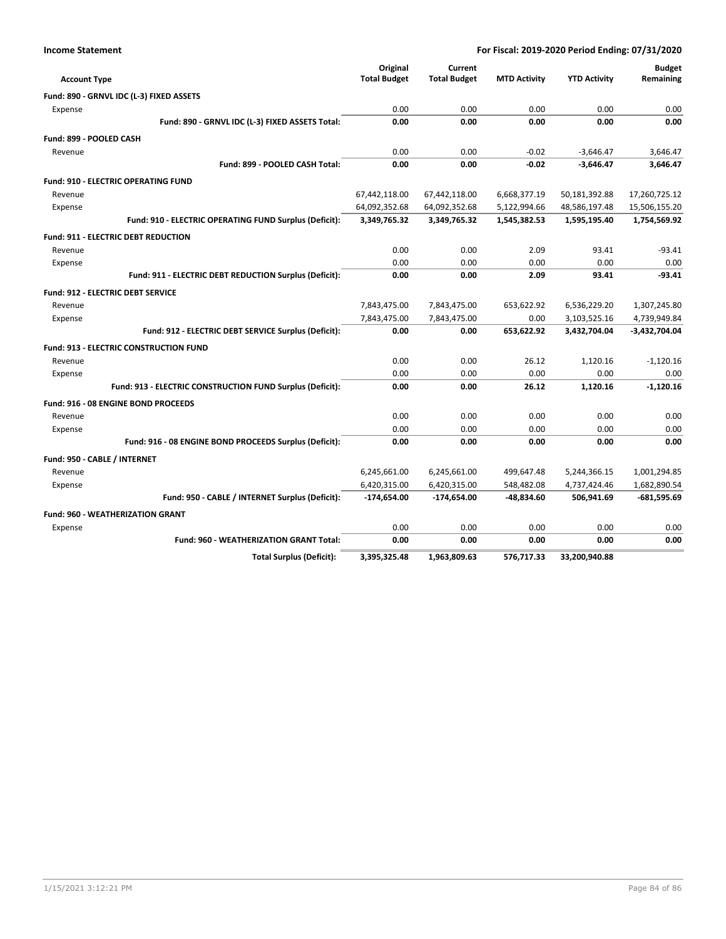| <b>Income Statement</b> | For Fiscal: 2019-2020 Period Ending: 07/31/2020 |
|-------------------------|-------------------------------------------------|
|                         |                                                 |

| <b>Account Type</b>                                       | Original<br><b>Total Budget</b> | Current<br><b>Total Budget</b> | <b>MTD Activity</b> | <b>YTD Activity</b> | <b>Budget</b><br>Remaining |
|-----------------------------------------------------------|---------------------------------|--------------------------------|---------------------|---------------------|----------------------------|
| Fund: 890 - GRNVL IDC (L-3) FIXED ASSETS                  |                                 |                                |                     |                     |                            |
| Expense                                                   | 0.00                            | 0.00                           | 0.00                | 0.00                | 0.00                       |
| Fund: 890 - GRNVL IDC (L-3) FIXED ASSETS Total:           | 0.00                            | 0.00                           | 0.00                | 0.00                | 0.00                       |
|                                                           |                                 |                                |                     |                     |                            |
| Fund: 899 - POOLED CASH                                   |                                 |                                |                     |                     |                            |
| Revenue                                                   | 0.00                            | 0.00                           | $-0.02$             | $-3,646.47$         | 3,646.47                   |
| Fund: 899 - POOLED CASH Total:                            | 0.00                            | 0.00                           | $-0.02$             | $-3,646.47$         | 3,646.47                   |
| <b>Fund: 910 - ELECTRIC OPERATING FUND</b>                |                                 |                                |                     |                     |                            |
| Revenue                                                   | 67,442,118.00                   | 67,442,118.00                  | 6,668,377.19        | 50,181,392.88       | 17,260,725.12              |
| Expense                                                   | 64,092,352.68                   | 64,092,352.68                  | 5,122,994.66        | 48,586,197.48       | 15,506,155.20              |
| Fund: 910 - ELECTRIC OPERATING FUND Surplus (Deficit):    | 3,349,765.32                    | 3,349,765.32                   | 1,545,382.53        | 1,595,195.40        | 1,754,569.92               |
| <b>Fund: 911 - ELECTRIC DEBT REDUCTION</b>                |                                 |                                |                     |                     |                            |
| Revenue                                                   | 0.00                            | 0.00                           | 2.09                | 93.41               | $-93.41$                   |
| Expense                                                   | 0.00                            | 0.00                           | 0.00                | 0.00                | 0.00                       |
| Fund: 911 - ELECTRIC DEBT REDUCTION Surplus (Deficit):    | 0.00                            | 0.00                           | 2.09                | 93.41               | $-93.41$                   |
| <b>Fund: 912 - ELECTRIC DEBT SERVICE</b>                  |                                 |                                |                     |                     |                            |
| Revenue                                                   | 7,843,475.00                    | 7,843,475.00                   | 653,622.92          | 6,536,229.20        | 1,307,245.80               |
| Expense                                                   | 7,843,475.00                    | 7,843,475.00                   | 0.00                | 3,103,525.16        | 4,739,949.84               |
| Fund: 912 - ELECTRIC DEBT SERVICE Surplus (Deficit):      | 0.00                            | 0.00                           | 653,622.92          | 3,432,704.04        | $-3,432,704.04$            |
| <b>Fund: 913 - ELECTRIC CONSTRUCTION FUND</b>             |                                 |                                |                     |                     |                            |
| Revenue                                                   | 0.00                            | 0.00                           | 26.12               | 1,120.16            | $-1,120.16$                |
| Expense                                                   | 0.00                            | 0.00                           | 0.00                | 0.00                | 0.00                       |
| Fund: 913 - ELECTRIC CONSTRUCTION FUND Surplus (Deficit): | 0.00                            | 0.00                           | 26.12               | 1,120.16            | $-1.120.16$                |
| Fund: 916 - 08 ENGINE BOND PROCEEDS                       |                                 |                                |                     |                     |                            |
| Revenue                                                   | 0.00                            | 0.00                           | 0.00                | 0.00                | 0.00                       |
| Expense                                                   | 0.00                            | 0.00                           | 0.00                | 0.00                | 0.00                       |
| Fund: 916 - 08 ENGINE BOND PROCEEDS Surplus (Deficit):    | 0.00                            | 0.00                           | 0.00                | 0.00                | 0.00                       |
| Fund: 950 - CABLE / INTERNET                              |                                 |                                |                     |                     |                            |
| Revenue                                                   | 6,245,661.00                    | 6,245,661.00                   | 499,647.48          | 5,244,366.15        | 1,001,294.85               |
| Expense                                                   | 6,420,315.00                    | 6,420,315.00                   | 548,482.08          | 4,737,424.46        | 1,682,890.54               |
| Fund: 950 - CABLE / INTERNET Surplus (Deficit):           | -174,654.00                     | $-174,654.00$                  | -48,834.60          | 506,941.69          | $-681,595.69$              |
| <b>Fund: 960 - WEATHERIZATION GRANT</b>                   |                                 |                                |                     |                     |                            |
| Expense                                                   | 0.00                            | 0.00                           | 0.00                | 0.00                | 0.00                       |
| <b>Fund: 960 - WEATHERIZATION GRANT Total:</b>            | 0.00                            | 0.00                           | 0.00                | 0.00                | 0.00                       |
| <b>Total Surplus (Deficit):</b>                           | 3,395,325.48                    | 1,963,809.63                   | 576.717.33          | 33,200,940.88       |                            |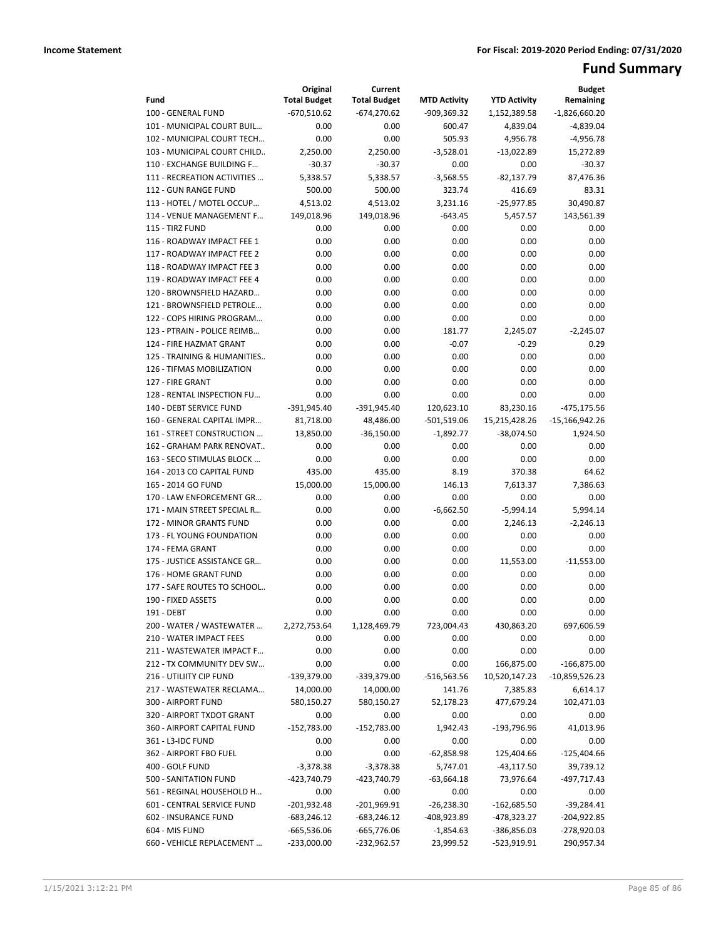# **Fund Summary**

| $-670,510.62$<br>$-674,270.62$<br>$-1,826,660.20$<br>100 - GENERAL FUND<br>-909,369.32<br>1,152,389.58<br>0.00<br>0.00<br>$-4,839.04$<br>101 - MUNICIPAL COURT BUIL<br>600.47<br>4,839.04<br>0.00<br>102 - MUNICIPAL COURT TECH<br>0.00<br>505.93<br>4,956.78<br>$-4,956.78$<br>103 - MUNICIPAL COURT CHILD<br>2,250.00<br>2,250.00<br>$-3,528.01$<br>$-13,022.89$<br>15,272.89<br>110 - EXCHANGE BUILDING F<br>$-30.37$<br>$-30.37$<br>0.00<br>0.00<br>$-30.37$<br>111 - RECREATION ACTIVITIES<br>5,338.57<br>5,338.57<br>$-3,568.55$<br>$-82,137.79$<br>87,476.36<br>500.00<br>112 - GUN RANGE FUND<br>500.00<br>323.74<br>416.69<br>83.31<br>113 - HOTEL / MOTEL OCCUP<br>4,513.02<br>$-25,977.85$<br>30,490.87<br>4,513.02<br>3,231.16<br>114 - VENUE MANAGEMENT F<br>149,018.96<br>149,018.96<br>$-643.45$<br>5,457.57<br>143,561.39<br>115 - TIRZ FUND<br>0.00<br>0.00<br>0.00<br>0.00<br>0.00<br>0.00<br>0.00<br>0.00<br>0.00<br>116 - ROADWAY IMPACT FEE 1<br>0.00<br>0.00<br>117 - ROADWAY IMPACT FEE 2<br>0.00<br>0.00<br>0.00<br>0.00<br>0.00<br>0.00<br>0.00<br>118 - ROADWAY IMPACT FEE 3<br>0.00<br>0.00<br>0.00<br>119 - ROADWAY IMPACT FEE 4<br>0.00<br>0.00<br>0.00<br>0.00<br>0.00<br>0.00<br>0.00<br>0.00<br>0.00<br>120 - BROWNSFIELD HAZARD<br>0.00<br>0.00<br>121 - BROWNSFIELD PETROLE<br>0.00<br>0.00<br>0.00<br>0.00<br>0.00<br>122 - COPS HIRING PROGRAM<br>0.00<br>0.00<br>0.00<br>0.00<br>123 - PTRAIN - POLICE REIMB<br>0.00<br>181.77<br>2,245.07<br>$-2,245.07$<br>0.00<br>124 - FIRE HAZMAT GRANT<br>0.00<br>$-0.07$<br>$-0.29$<br>0.29<br>0.00<br>0.00<br>0.00<br>0.00<br>125 - TRAINING & HUMANITIES<br>0.00<br>0.00<br>0.00<br>0.00<br>0.00<br>0.00<br>126 - TIFMAS MOBILIZATION<br>0.00<br>0.00<br>0.00<br>0.00<br>127 - FIRE GRANT<br>0.00<br>0.00<br>128 - RENTAL INSPECTION FU<br>0.00<br>0.00<br>0.00<br>0.00<br>140 - DEBT SERVICE FUND<br>$-391,945.40$<br>$-391,945.40$<br>120,623.10<br>83,230.16<br>$-475, 175.56$<br>160 - GENERAL CAPITAL IMPR<br>81,718.00<br>48,486.00<br>$-501,519.06$<br>15,215,428.26<br>$-15,166,942.26$<br>$-1,892.77$<br>161 - STREET CONSTRUCTION<br>13,850.00<br>$-36,150.00$<br>$-38,074.50$<br>1,924.50<br>162 - GRAHAM PARK RENOVAT<br>0.00<br>0.00<br>0.00<br>0.00<br>0.00<br>163 - SECO STIMULAS BLOCK<br>0.00<br>0.00<br>0.00<br>0.00<br>0.00<br>164 - 2013 CO CAPITAL FUND<br>435.00<br>435.00<br>8.19<br>370.38<br>64.62<br>15,000.00<br>165 - 2014 GO FUND<br>15,000.00<br>146.13<br>7,613.37<br>7,386.63<br>170 - LAW ENFORCEMENT GR<br>0.00<br>0.00<br>0.00<br>0.00<br>0.00<br>$-6,662.50$<br>$-5,994.14$<br>5,994.14<br>171 - MAIN STREET SPECIAL R<br>0.00<br>0.00<br>0.00<br>172 - MINOR GRANTS FUND<br>0.00<br>0.00<br>2,246.13<br>$-2,246.13$<br>173 - FL YOUNG FOUNDATION<br>0.00<br>0.00<br>0.00<br>0.00<br>0.00<br>0.00<br>0.00<br>0.00<br>174 - FEMA GRANT<br>0.00<br>0.00<br>175 - JUSTICE ASSISTANCE GR<br>0.00<br>0.00<br>0.00<br>11,553.00<br>$-11,553.00$<br>0.00<br>0.00<br>0.00<br>0.00<br>0.00<br>176 - HOME GRANT FUND<br>177 - SAFE ROUTES TO SCHOOL<br>0.00<br>0.00<br>0.00<br>0.00<br>0.00<br>190 - FIXED ASSETS<br>0.00<br>0.00<br>0.00<br>0.00<br>0.00<br>191 - DEBT<br>0.00<br>0.00<br>0.00<br>0.00<br>0.00<br>2,272,753.64<br>1,128,469.79<br>723,004.43<br>430,863.20<br>697,606.59<br>200 - WATER / WASTEWATER<br>0.00<br>0.00<br>0.00<br>0.00<br>0.00<br>210 - WATER IMPACT FEES<br>0.00<br>0.00<br>0.00<br>0.00<br>0.00<br>211 - WASTEWATER IMPACT F<br>212 - TX COMMUNITY DEV SW<br>0.00<br>0.00<br>0.00<br>166,875.00<br>$-166,875.00$<br>$-139,379.00$<br>216 - UTILIITY CIP FUND<br>-339,379.00<br>-516,563.56<br>10,520,147.23<br>-10,859,526.23<br>14,000.00<br>217 - WASTEWATER RECLAMA<br>14,000.00<br>141.76<br>7,385.83<br>6,614.17<br>102,471.03<br>300 - AIRPORT FUND<br>580,150.27<br>580,150.27<br>52,178.23<br>477,679.24<br>320 - AIRPORT TXDOT GRANT<br>0.00<br>0.00<br>0.00<br>0.00<br>0.00<br>360 - AIRPORT CAPITAL FUND<br>$-152,783.00$<br>1,942.43<br>-193,796.96<br>41,013.96<br>-152,783.00<br>361 - L3-IDC FUND<br>0.00<br>0.00<br>0.00<br>0.00<br>0.00<br>362 - AIRPORT FBO FUEL<br>0.00<br>0.00<br>$-62,858.98$<br>125,404.66<br>$-125,404.66$<br>$-3,378.38$<br>$-3,378.38$<br>5,747.01<br>400 - GOLF FUND<br>$-43,117.50$<br>39,739.12<br>-423,740.79<br>-423,740.79<br>73,976.64<br>-497,717.43<br>500 - SANITATION FUND<br>-63,664.18<br>561 - REGINAL HOUSEHOLD H<br>0.00<br>0.00<br>0.00<br>0.00<br>0.00<br>601 - CENTRAL SERVICE FUND<br>$-201,932.48$<br>$-201,969.91$<br>$-26,238.30$<br>$-162,685.50$<br>$-39,284.41$<br>602 - INSURANCE FUND<br>$-683,246.12$<br>$-683,246.12$<br>-408,923.89<br>-478,323.27<br>$-204,922.85$<br>604 - MIS FUND<br>-665,536.06<br>$-665,776.06$<br>$-1,854.63$<br>-386,856.03<br>-278,920.03 |                           | Original            | Current             |                     |                     | <b>Budget</b> |
|-------------------------------------------------------------------------------------------------------------------------------------------------------------------------------------------------------------------------------------------------------------------------------------------------------------------------------------------------------------------------------------------------------------------------------------------------------------------------------------------------------------------------------------------------------------------------------------------------------------------------------------------------------------------------------------------------------------------------------------------------------------------------------------------------------------------------------------------------------------------------------------------------------------------------------------------------------------------------------------------------------------------------------------------------------------------------------------------------------------------------------------------------------------------------------------------------------------------------------------------------------------------------------------------------------------------------------------------------------------------------------------------------------------------------------------------------------------------------------------------------------------------------------------------------------------------------------------------------------------------------------------------------------------------------------------------------------------------------------------------------------------------------------------------------------------------------------------------------------------------------------------------------------------------------------------------------------------------------------------------------------------------------------------------------------------------------------------------------------------------------------------------------------------------------------------------------------------------------------------------------------------------------------------------------------------------------------------------------------------------------------------------------------------------------------------------------------------------------------------------------------------------------------------------------------------------------------------------------------------------------------------------------------------------------------------------------------------------------------------------------------------------------------------------------------------------------------------------------------------------------------------------------------------------------------------------------------------------------------------------------------------------------------------------------------------------------------------------------------------------------------------------------------------------------------------------------------------------------------------------------------------------------------------------------------------------------------------------------------------------------------------------------------------------------------------------------------------------------------------------------------------------------------------------------------------------------------------------------------------------------------------------------------------------------------------------------------------------------------------------------------------------------------------------------------------------------------------------------------------------------------------------------------------------------------------------------------------------------------------------------------------------------------------------------------------------------------------------------------------------------------------------------------------------------------------------------------------------------------------------------------------------------------------------------------------------------------------------------------------------------------------------------------------------------------------------------------------------------------------------------------------------------------------------------------------------------------------------------------------------------------------------------------------------------------------------------------------------------------------------------------------------------------------|---------------------------|---------------------|---------------------|---------------------|---------------------|---------------|
|                                                                                                                                                                                                                                                                                                                                                                                                                                                                                                                                                                                                                                                                                                                                                                                                                                                                                                                                                                                                                                                                                                                                                                                                                                                                                                                                                                                                                                                                                                                                                                                                                                                                                                                                                                                                                                                                                                                                                                                                                                                                                                                                                                                                                                                                                                                                                                                                                                                                                                                                                                                                                                                                                                                                                                                                                                                                                                                                                                                                                                                                                                                                                                                                                                                                                                                                                                                                                                                                                                                                                                                                                                                                                                                                                                                                                                                                                                                                                                                                                                                                                                                                                                                                                                                                                                                                                                                                                                                                                                                                                                                                                                                                                                                                                                                     | Fund                      | <b>Total Budget</b> | <b>Total Budget</b> | <b>MTD Activity</b> | <b>YTD Activity</b> | Remaining     |
|                                                                                                                                                                                                                                                                                                                                                                                                                                                                                                                                                                                                                                                                                                                                                                                                                                                                                                                                                                                                                                                                                                                                                                                                                                                                                                                                                                                                                                                                                                                                                                                                                                                                                                                                                                                                                                                                                                                                                                                                                                                                                                                                                                                                                                                                                                                                                                                                                                                                                                                                                                                                                                                                                                                                                                                                                                                                                                                                                                                                                                                                                                                                                                                                                                                                                                                                                                                                                                                                                                                                                                                                                                                                                                                                                                                                                                                                                                                                                                                                                                                                                                                                                                                                                                                                                                                                                                                                                                                                                                                                                                                                                                                                                                                                                                                     |                           |                     |                     |                     |                     |               |
|                                                                                                                                                                                                                                                                                                                                                                                                                                                                                                                                                                                                                                                                                                                                                                                                                                                                                                                                                                                                                                                                                                                                                                                                                                                                                                                                                                                                                                                                                                                                                                                                                                                                                                                                                                                                                                                                                                                                                                                                                                                                                                                                                                                                                                                                                                                                                                                                                                                                                                                                                                                                                                                                                                                                                                                                                                                                                                                                                                                                                                                                                                                                                                                                                                                                                                                                                                                                                                                                                                                                                                                                                                                                                                                                                                                                                                                                                                                                                                                                                                                                                                                                                                                                                                                                                                                                                                                                                                                                                                                                                                                                                                                                                                                                                                                     |                           |                     |                     |                     |                     |               |
|                                                                                                                                                                                                                                                                                                                                                                                                                                                                                                                                                                                                                                                                                                                                                                                                                                                                                                                                                                                                                                                                                                                                                                                                                                                                                                                                                                                                                                                                                                                                                                                                                                                                                                                                                                                                                                                                                                                                                                                                                                                                                                                                                                                                                                                                                                                                                                                                                                                                                                                                                                                                                                                                                                                                                                                                                                                                                                                                                                                                                                                                                                                                                                                                                                                                                                                                                                                                                                                                                                                                                                                                                                                                                                                                                                                                                                                                                                                                                                                                                                                                                                                                                                                                                                                                                                                                                                                                                                                                                                                                                                                                                                                                                                                                                                                     |                           |                     |                     |                     |                     |               |
|                                                                                                                                                                                                                                                                                                                                                                                                                                                                                                                                                                                                                                                                                                                                                                                                                                                                                                                                                                                                                                                                                                                                                                                                                                                                                                                                                                                                                                                                                                                                                                                                                                                                                                                                                                                                                                                                                                                                                                                                                                                                                                                                                                                                                                                                                                                                                                                                                                                                                                                                                                                                                                                                                                                                                                                                                                                                                                                                                                                                                                                                                                                                                                                                                                                                                                                                                                                                                                                                                                                                                                                                                                                                                                                                                                                                                                                                                                                                                                                                                                                                                                                                                                                                                                                                                                                                                                                                                                                                                                                                                                                                                                                                                                                                                                                     |                           |                     |                     |                     |                     |               |
|                                                                                                                                                                                                                                                                                                                                                                                                                                                                                                                                                                                                                                                                                                                                                                                                                                                                                                                                                                                                                                                                                                                                                                                                                                                                                                                                                                                                                                                                                                                                                                                                                                                                                                                                                                                                                                                                                                                                                                                                                                                                                                                                                                                                                                                                                                                                                                                                                                                                                                                                                                                                                                                                                                                                                                                                                                                                                                                                                                                                                                                                                                                                                                                                                                                                                                                                                                                                                                                                                                                                                                                                                                                                                                                                                                                                                                                                                                                                                                                                                                                                                                                                                                                                                                                                                                                                                                                                                                                                                                                                                                                                                                                                                                                                                                                     |                           |                     |                     |                     |                     |               |
|                                                                                                                                                                                                                                                                                                                                                                                                                                                                                                                                                                                                                                                                                                                                                                                                                                                                                                                                                                                                                                                                                                                                                                                                                                                                                                                                                                                                                                                                                                                                                                                                                                                                                                                                                                                                                                                                                                                                                                                                                                                                                                                                                                                                                                                                                                                                                                                                                                                                                                                                                                                                                                                                                                                                                                                                                                                                                                                                                                                                                                                                                                                                                                                                                                                                                                                                                                                                                                                                                                                                                                                                                                                                                                                                                                                                                                                                                                                                                                                                                                                                                                                                                                                                                                                                                                                                                                                                                                                                                                                                                                                                                                                                                                                                                                                     |                           |                     |                     |                     |                     |               |
|                                                                                                                                                                                                                                                                                                                                                                                                                                                                                                                                                                                                                                                                                                                                                                                                                                                                                                                                                                                                                                                                                                                                                                                                                                                                                                                                                                                                                                                                                                                                                                                                                                                                                                                                                                                                                                                                                                                                                                                                                                                                                                                                                                                                                                                                                                                                                                                                                                                                                                                                                                                                                                                                                                                                                                                                                                                                                                                                                                                                                                                                                                                                                                                                                                                                                                                                                                                                                                                                                                                                                                                                                                                                                                                                                                                                                                                                                                                                                                                                                                                                                                                                                                                                                                                                                                                                                                                                                                                                                                                                                                                                                                                                                                                                                                                     |                           |                     |                     |                     |                     |               |
|                                                                                                                                                                                                                                                                                                                                                                                                                                                                                                                                                                                                                                                                                                                                                                                                                                                                                                                                                                                                                                                                                                                                                                                                                                                                                                                                                                                                                                                                                                                                                                                                                                                                                                                                                                                                                                                                                                                                                                                                                                                                                                                                                                                                                                                                                                                                                                                                                                                                                                                                                                                                                                                                                                                                                                                                                                                                                                                                                                                                                                                                                                                                                                                                                                                                                                                                                                                                                                                                                                                                                                                                                                                                                                                                                                                                                                                                                                                                                                                                                                                                                                                                                                                                                                                                                                                                                                                                                                                                                                                                                                                                                                                                                                                                                                                     |                           |                     |                     |                     |                     |               |
|                                                                                                                                                                                                                                                                                                                                                                                                                                                                                                                                                                                                                                                                                                                                                                                                                                                                                                                                                                                                                                                                                                                                                                                                                                                                                                                                                                                                                                                                                                                                                                                                                                                                                                                                                                                                                                                                                                                                                                                                                                                                                                                                                                                                                                                                                                                                                                                                                                                                                                                                                                                                                                                                                                                                                                                                                                                                                                                                                                                                                                                                                                                                                                                                                                                                                                                                                                                                                                                                                                                                                                                                                                                                                                                                                                                                                                                                                                                                                                                                                                                                                                                                                                                                                                                                                                                                                                                                                                                                                                                                                                                                                                                                                                                                                                                     |                           |                     |                     |                     |                     |               |
|                                                                                                                                                                                                                                                                                                                                                                                                                                                                                                                                                                                                                                                                                                                                                                                                                                                                                                                                                                                                                                                                                                                                                                                                                                                                                                                                                                                                                                                                                                                                                                                                                                                                                                                                                                                                                                                                                                                                                                                                                                                                                                                                                                                                                                                                                                                                                                                                                                                                                                                                                                                                                                                                                                                                                                                                                                                                                                                                                                                                                                                                                                                                                                                                                                                                                                                                                                                                                                                                                                                                                                                                                                                                                                                                                                                                                                                                                                                                                                                                                                                                                                                                                                                                                                                                                                                                                                                                                                                                                                                                                                                                                                                                                                                                                                                     |                           |                     |                     |                     |                     |               |
|                                                                                                                                                                                                                                                                                                                                                                                                                                                                                                                                                                                                                                                                                                                                                                                                                                                                                                                                                                                                                                                                                                                                                                                                                                                                                                                                                                                                                                                                                                                                                                                                                                                                                                                                                                                                                                                                                                                                                                                                                                                                                                                                                                                                                                                                                                                                                                                                                                                                                                                                                                                                                                                                                                                                                                                                                                                                                                                                                                                                                                                                                                                                                                                                                                                                                                                                                                                                                                                                                                                                                                                                                                                                                                                                                                                                                                                                                                                                                                                                                                                                                                                                                                                                                                                                                                                                                                                                                                                                                                                                                                                                                                                                                                                                                                                     |                           |                     |                     |                     |                     |               |
|                                                                                                                                                                                                                                                                                                                                                                                                                                                                                                                                                                                                                                                                                                                                                                                                                                                                                                                                                                                                                                                                                                                                                                                                                                                                                                                                                                                                                                                                                                                                                                                                                                                                                                                                                                                                                                                                                                                                                                                                                                                                                                                                                                                                                                                                                                                                                                                                                                                                                                                                                                                                                                                                                                                                                                                                                                                                                                                                                                                                                                                                                                                                                                                                                                                                                                                                                                                                                                                                                                                                                                                                                                                                                                                                                                                                                                                                                                                                                                                                                                                                                                                                                                                                                                                                                                                                                                                                                                                                                                                                                                                                                                                                                                                                                                                     |                           |                     |                     |                     |                     |               |
|                                                                                                                                                                                                                                                                                                                                                                                                                                                                                                                                                                                                                                                                                                                                                                                                                                                                                                                                                                                                                                                                                                                                                                                                                                                                                                                                                                                                                                                                                                                                                                                                                                                                                                                                                                                                                                                                                                                                                                                                                                                                                                                                                                                                                                                                                                                                                                                                                                                                                                                                                                                                                                                                                                                                                                                                                                                                                                                                                                                                                                                                                                                                                                                                                                                                                                                                                                                                                                                                                                                                                                                                                                                                                                                                                                                                                                                                                                                                                                                                                                                                                                                                                                                                                                                                                                                                                                                                                                                                                                                                                                                                                                                                                                                                                                                     |                           |                     |                     |                     |                     |               |
|                                                                                                                                                                                                                                                                                                                                                                                                                                                                                                                                                                                                                                                                                                                                                                                                                                                                                                                                                                                                                                                                                                                                                                                                                                                                                                                                                                                                                                                                                                                                                                                                                                                                                                                                                                                                                                                                                                                                                                                                                                                                                                                                                                                                                                                                                                                                                                                                                                                                                                                                                                                                                                                                                                                                                                                                                                                                                                                                                                                                                                                                                                                                                                                                                                                                                                                                                                                                                                                                                                                                                                                                                                                                                                                                                                                                                                                                                                                                                                                                                                                                                                                                                                                                                                                                                                                                                                                                                                                                                                                                                                                                                                                                                                                                                                                     |                           |                     |                     |                     |                     |               |
|                                                                                                                                                                                                                                                                                                                                                                                                                                                                                                                                                                                                                                                                                                                                                                                                                                                                                                                                                                                                                                                                                                                                                                                                                                                                                                                                                                                                                                                                                                                                                                                                                                                                                                                                                                                                                                                                                                                                                                                                                                                                                                                                                                                                                                                                                                                                                                                                                                                                                                                                                                                                                                                                                                                                                                                                                                                                                                                                                                                                                                                                                                                                                                                                                                                                                                                                                                                                                                                                                                                                                                                                                                                                                                                                                                                                                                                                                                                                                                                                                                                                                                                                                                                                                                                                                                                                                                                                                                                                                                                                                                                                                                                                                                                                                                                     |                           |                     |                     |                     |                     |               |
|                                                                                                                                                                                                                                                                                                                                                                                                                                                                                                                                                                                                                                                                                                                                                                                                                                                                                                                                                                                                                                                                                                                                                                                                                                                                                                                                                                                                                                                                                                                                                                                                                                                                                                                                                                                                                                                                                                                                                                                                                                                                                                                                                                                                                                                                                                                                                                                                                                                                                                                                                                                                                                                                                                                                                                                                                                                                                                                                                                                                                                                                                                                                                                                                                                                                                                                                                                                                                                                                                                                                                                                                                                                                                                                                                                                                                                                                                                                                                                                                                                                                                                                                                                                                                                                                                                                                                                                                                                                                                                                                                                                                                                                                                                                                                                                     |                           |                     |                     |                     |                     |               |
|                                                                                                                                                                                                                                                                                                                                                                                                                                                                                                                                                                                                                                                                                                                                                                                                                                                                                                                                                                                                                                                                                                                                                                                                                                                                                                                                                                                                                                                                                                                                                                                                                                                                                                                                                                                                                                                                                                                                                                                                                                                                                                                                                                                                                                                                                                                                                                                                                                                                                                                                                                                                                                                                                                                                                                                                                                                                                                                                                                                                                                                                                                                                                                                                                                                                                                                                                                                                                                                                                                                                                                                                                                                                                                                                                                                                                                                                                                                                                                                                                                                                                                                                                                                                                                                                                                                                                                                                                                                                                                                                                                                                                                                                                                                                                                                     |                           |                     |                     |                     |                     |               |
|                                                                                                                                                                                                                                                                                                                                                                                                                                                                                                                                                                                                                                                                                                                                                                                                                                                                                                                                                                                                                                                                                                                                                                                                                                                                                                                                                                                                                                                                                                                                                                                                                                                                                                                                                                                                                                                                                                                                                                                                                                                                                                                                                                                                                                                                                                                                                                                                                                                                                                                                                                                                                                                                                                                                                                                                                                                                                                                                                                                                                                                                                                                                                                                                                                                                                                                                                                                                                                                                                                                                                                                                                                                                                                                                                                                                                                                                                                                                                                                                                                                                                                                                                                                                                                                                                                                                                                                                                                                                                                                                                                                                                                                                                                                                                                                     |                           |                     |                     |                     |                     |               |
|                                                                                                                                                                                                                                                                                                                                                                                                                                                                                                                                                                                                                                                                                                                                                                                                                                                                                                                                                                                                                                                                                                                                                                                                                                                                                                                                                                                                                                                                                                                                                                                                                                                                                                                                                                                                                                                                                                                                                                                                                                                                                                                                                                                                                                                                                                                                                                                                                                                                                                                                                                                                                                                                                                                                                                                                                                                                                                                                                                                                                                                                                                                                                                                                                                                                                                                                                                                                                                                                                                                                                                                                                                                                                                                                                                                                                                                                                                                                                                                                                                                                                                                                                                                                                                                                                                                                                                                                                                                                                                                                                                                                                                                                                                                                                                                     |                           |                     |                     |                     |                     |               |
|                                                                                                                                                                                                                                                                                                                                                                                                                                                                                                                                                                                                                                                                                                                                                                                                                                                                                                                                                                                                                                                                                                                                                                                                                                                                                                                                                                                                                                                                                                                                                                                                                                                                                                                                                                                                                                                                                                                                                                                                                                                                                                                                                                                                                                                                                                                                                                                                                                                                                                                                                                                                                                                                                                                                                                                                                                                                                                                                                                                                                                                                                                                                                                                                                                                                                                                                                                                                                                                                                                                                                                                                                                                                                                                                                                                                                                                                                                                                                                                                                                                                                                                                                                                                                                                                                                                                                                                                                                                                                                                                                                                                                                                                                                                                                                                     |                           |                     |                     |                     |                     |               |
|                                                                                                                                                                                                                                                                                                                                                                                                                                                                                                                                                                                                                                                                                                                                                                                                                                                                                                                                                                                                                                                                                                                                                                                                                                                                                                                                                                                                                                                                                                                                                                                                                                                                                                                                                                                                                                                                                                                                                                                                                                                                                                                                                                                                                                                                                                                                                                                                                                                                                                                                                                                                                                                                                                                                                                                                                                                                                                                                                                                                                                                                                                                                                                                                                                                                                                                                                                                                                                                                                                                                                                                                                                                                                                                                                                                                                                                                                                                                                                                                                                                                                                                                                                                                                                                                                                                                                                                                                                                                                                                                                                                                                                                                                                                                                                                     |                           |                     |                     |                     |                     |               |
|                                                                                                                                                                                                                                                                                                                                                                                                                                                                                                                                                                                                                                                                                                                                                                                                                                                                                                                                                                                                                                                                                                                                                                                                                                                                                                                                                                                                                                                                                                                                                                                                                                                                                                                                                                                                                                                                                                                                                                                                                                                                                                                                                                                                                                                                                                                                                                                                                                                                                                                                                                                                                                                                                                                                                                                                                                                                                                                                                                                                                                                                                                                                                                                                                                                                                                                                                                                                                                                                                                                                                                                                                                                                                                                                                                                                                                                                                                                                                                                                                                                                                                                                                                                                                                                                                                                                                                                                                                                                                                                                                                                                                                                                                                                                                                                     |                           |                     |                     |                     |                     |               |
|                                                                                                                                                                                                                                                                                                                                                                                                                                                                                                                                                                                                                                                                                                                                                                                                                                                                                                                                                                                                                                                                                                                                                                                                                                                                                                                                                                                                                                                                                                                                                                                                                                                                                                                                                                                                                                                                                                                                                                                                                                                                                                                                                                                                                                                                                                                                                                                                                                                                                                                                                                                                                                                                                                                                                                                                                                                                                                                                                                                                                                                                                                                                                                                                                                                                                                                                                                                                                                                                                                                                                                                                                                                                                                                                                                                                                                                                                                                                                                                                                                                                                                                                                                                                                                                                                                                                                                                                                                                                                                                                                                                                                                                                                                                                                                                     |                           |                     |                     |                     |                     |               |
|                                                                                                                                                                                                                                                                                                                                                                                                                                                                                                                                                                                                                                                                                                                                                                                                                                                                                                                                                                                                                                                                                                                                                                                                                                                                                                                                                                                                                                                                                                                                                                                                                                                                                                                                                                                                                                                                                                                                                                                                                                                                                                                                                                                                                                                                                                                                                                                                                                                                                                                                                                                                                                                                                                                                                                                                                                                                                                                                                                                                                                                                                                                                                                                                                                                                                                                                                                                                                                                                                                                                                                                                                                                                                                                                                                                                                                                                                                                                                                                                                                                                                                                                                                                                                                                                                                                                                                                                                                                                                                                                                                                                                                                                                                                                                                                     |                           |                     |                     |                     |                     |               |
|                                                                                                                                                                                                                                                                                                                                                                                                                                                                                                                                                                                                                                                                                                                                                                                                                                                                                                                                                                                                                                                                                                                                                                                                                                                                                                                                                                                                                                                                                                                                                                                                                                                                                                                                                                                                                                                                                                                                                                                                                                                                                                                                                                                                                                                                                                                                                                                                                                                                                                                                                                                                                                                                                                                                                                                                                                                                                                                                                                                                                                                                                                                                                                                                                                                                                                                                                                                                                                                                                                                                                                                                                                                                                                                                                                                                                                                                                                                                                                                                                                                                                                                                                                                                                                                                                                                                                                                                                                                                                                                                                                                                                                                                                                                                                                                     |                           |                     |                     |                     |                     |               |
|                                                                                                                                                                                                                                                                                                                                                                                                                                                                                                                                                                                                                                                                                                                                                                                                                                                                                                                                                                                                                                                                                                                                                                                                                                                                                                                                                                                                                                                                                                                                                                                                                                                                                                                                                                                                                                                                                                                                                                                                                                                                                                                                                                                                                                                                                                                                                                                                                                                                                                                                                                                                                                                                                                                                                                                                                                                                                                                                                                                                                                                                                                                                                                                                                                                                                                                                                                                                                                                                                                                                                                                                                                                                                                                                                                                                                                                                                                                                                                                                                                                                                                                                                                                                                                                                                                                                                                                                                                                                                                                                                                                                                                                                                                                                                                                     |                           |                     |                     |                     |                     |               |
|                                                                                                                                                                                                                                                                                                                                                                                                                                                                                                                                                                                                                                                                                                                                                                                                                                                                                                                                                                                                                                                                                                                                                                                                                                                                                                                                                                                                                                                                                                                                                                                                                                                                                                                                                                                                                                                                                                                                                                                                                                                                                                                                                                                                                                                                                                                                                                                                                                                                                                                                                                                                                                                                                                                                                                                                                                                                                                                                                                                                                                                                                                                                                                                                                                                                                                                                                                                                                                                                                                                                                                                                                                                                                                                                                                                                                                                                                                                                                                                                                                                                                                                                                                                                                                                                                                                                                                                                                                                                                                                                                                                                                                                                                                                                                                                     |                           |                     |                     |                     |                     |               |
|                                                                                                                                                                                                                                                                                                                                                                                                                                                                                                                                                                                                                                                                                                                                                                                                                                                                                                                                                                                                                                                                                                                                                                                                                                                                                                                                                                                                                                                                                                                                                                                                                                                                                                                                                                                                                                                                                                                                                                                                                                                                                                                                                                                                                                                                                                                                                                                                                                                                                                                                                                                                                                                                                                                                                                                                                                                                                                                                                                                                                                                                                                                                                                                                                                                                                                                                                                                                                                                                                                                                                                                                                                                                                                                                                                                                                                                                                                                                                                                                                                                                                                                                                                                                                                                                                                                                                                                                                                                                                                                                                                                                                                                                                                                                                                                     |                           |                     |                     |                     |                     |               |
|                                                                                                                                                                                                                                                                                                                                                                                                                                                                                                                                                                                                                                                                                                                                                                                                                                                                                                                                                                                                                                                                                                                                                                                                                                                                                                                                                                                                                                                                                                                                                                                                                                                                                                                                                                                                                                                                                                                                                                                                                                                                                                                                                                                                                                                                                                                                                                                                                                                                                                                                                                                                                                                                                                                                                                                                                                                                                                                                                                                                                                                                                                                                                                                                                                                                                                                                                                                                                                                                                                                                                                                                                                                                                                                                                                                                                                                                                                                                                                                                                                                                                                                                                                                                                                                                                                                                                                                                                                                                                                                                                                                                                                                                                                                                                                                     |                           |                     |                     |                     |                     |               |
|                                                                                                                                                                                                                                                                                                                                                                                                                                                                                                                                                                                                                                                                                                                                                                                                                                                                                                                                                                                                                                                                                                                                                                                                                                                                                                                                                                                                                                                                                                                                                                                                                                                                                                                                                                                                                                                                                                                                                                                                                                                                                                                                                                                                                                                                                                                                                                                                                                                                                                                                                                                                                                                                                                                                                                                                                                                                                                                                                                                                                                                                                                                                                                                                                                                                                                                                                                                                                                                                                                                                                                                                                                                                                                                                                                                                                                                                                                                                                                                                                                                                                                                                                                                                                                                                                                                                                                                                                                                                                                                                                                                                                                                                                                                                                                                     |                           |                     |                     |                     |                     |               |
|                                                                                                                                                                                                                                                                                                                                                                                                                                                                                                                                                                                                                                                                                                                                                                                                                                                                                                                                                                                                                                                                                                                                                                                                                                                                                                                                                                                                                                                                                                                                                                                                                                                                                                                                                                                                                                                                                                                                                                                                                                                                                                                                                                                                                                                                                                                                                                                                                                                                                                                                                                                                                                                                                                                                                                                                                                                                                                                                                                                                                                                                                                                                                                                                                                                                                                                                                                                                                                                                                                                                                                                                                                                                                                                                                                                                                                                                                                                                                                                                                                                                                                                                                                                                                                                                                                                                                                                                                                                                                                                                                                                                                                                                                                                                                                                     |                           |                     |                     |                     |                     |               |
|                                                                                                                                                                                                                                                                                                                                                                                                                                                                                                                                                                                                                                                                                                                                                                                                                                                                                                                                                                                                                                                                                                                                                                                                                                                                                                                                                                                                                                                                                                                                                                                                                                                                                                                                                                                                                                                                                                                                                                                                                                                                                                                                                                                                                                                                                                                                                                                                                                                                                                                                                                                                                                                                                                                                                                                                                                                                                                                                                                                                                                                                                                                                                                                                                                                                                                                                                                                                                                                                                                                                                                                                                                                                                                                                                                                                                                                                                                                                                                                                                                                                                                                                                                                                                                                                                                                                                                                                                                                                                                                                                                                                                                                                                                                                                                                     |                           |                     |                     |                     |                     |               |
|                                                                                                                                                                                                                                                                                                                                                                                                                                                                                                                                                                                                                                                                                                                                                                                                                                                                                                                                                                                                                                                                                                                                                                                                                                                                                                                                                                                                                                                                                                                                                                                                                                                                                                                                                                                                                                                                                                                                                                                                                                                                                                                                                                                                                                                                                                                                                                                                                                                                                                                                                                                                                                                                                                                                                                                                                                                                                                                                                                                                                                                                                                                                                                                                                                                                                                                                                                                                                                                                                                                                                                                                                                                                                                                                                                                                                                                                                                                                                                                                                                                                                                                                                                                                                                                                                                                                                                                                                                                                                                                                                                                                                                                                                                                                                                                     |                           |                     |                     |                     |                     |               |
|                                                                                                                                                                                                                                                                                                                                                                                                                                                                                                                                                                                                                                                                                                                                                                                                                                                                                                                                                                                                                                                                                                                                                                                                                                                                                                                                                                                                                                                                                                                                                                                                                                                                                                                                                                                                                                                                                                                                                                                                                                                                                                                                                                                                                                                                                                                                                                                                                                                                                                                                                                                                                                                                                                                                                                                                                                                                                                                                                                                                                                                                                                                                                                                                                                                                                                                                                                                                                                                                                                                                                                                                                                                                                                                                                                                                                                                                                                                                                                                                                                                                                                                                                                                                                                                                                                                                                                                                                                                                                                                                                                                                                                                                                                                                                                                     |                           |                     |                     |                     |                     |               |
|                                                                                                                                                                                                                                                                                                                                                                                                                                                                                                                                                                                                                                                                                                                                                                                                                                                                                                                                                                                                                                                                                                                                                                                                                                                                                                                                                                                                                                                                                                                                                                                                                                                                                                                                                                                                                                                                                                                                                                                                                                                                                                                                                                                                                                                                                                                                                                                                                                                                                                                                                                                                                                                                                                                                                                                                                                                                                                                                                                                                                                                                                                                                                                                                                                                                                                                                                                                                                                                                                                                                                                                                                                                                                                                                                                                                                                                                                                                                                                                                                                                                                                                                                                                                                                                                                                                                                                                                                                                                                                                                                                                                                                                                                                                                                                                     |                           |                     |                     |                     |                     |               |
|                                                                                                                                                                                                                                                                                                                                                                                                                                                                                                                                                                                                                                                                                                                                                                                                                                                                                                                                                                                                                                                                                                                                                                                                                                                                                                                                                                                                                                                                                                                                                                                                                                                                                                                                                                                                                                                                                                                                                                                                                                                                                                                                                                                                                                                                                                                                                                                                                                                                                                                                                                                                                                                                                                                                                                                                                                                                                                                                                                                                                                                                                                                                                                                                                                                                                                                                                                                                                                                                                                                                                                                                                                                                                                                                                                                                                                                                                                                                                                                                                                                                                                                                                                                                                                                                                                                                                                                                                                                                                                                                                                                                                                                                                                                                                                                     |                           |                     |                     |                     |                     |               |
|                                                                                                                                                                                                                                                                                                                                                                                                                                                                                                                                                                                                                                                                                                                                                                                                                                                                                                                                                                                                                                                                                                                                                                                                                                                                                                                                                                                                                                                                                                                                                                                                                                                                                                                                                                                                                                                                                                                                                                                                                                                                                                                                                                                                                                                                                                                                                                                                                                                                                                                                                                                                                                                                                                                                                                                                                                                                                                                                                                                                                                                                                                                                                                                                                                                                                                                                                                                                                                                                                                                                                                                                                                                                                                                                                                                                                                                                                                                                                                                                                                                                                                                                                                                                                                                                                                                                                                                                                                                                                                                                                                                                                                                                                                                                                                                     |                           |                     |                     |                     |                     |               |
|                                                                                                                                                                                                                                                                                                                                                                                                                                                                                                                                                                                                                                                                                                                                                                                                                                                                                                                                                                                                                                                                                                                                                                                                                                                                                                                                                                                                                                                                                                                                                                                                                                                                                                                                                                                                                                                                                                                                                                                                                                                                                                                                                                                                                                                                                                                                                                                                                                                                                                                                                                                                                                                                                                                                                                                                                                                                                                                                                                                                                                                                                                                                                                                                                                                                                                                                                                                                                                                                                                                                                                                                                                                                                                                                                                                                                                                                                                                                                                                                                                                                                                                                                                                                                                                                                                                                                                                                                                                                                                                                                                                                                                                                                                                                                                                     |                           |                     |                     |                     |                     |               |
|                                                                                                                                                                                                                                                                                                                                                                                                                                                                                                                                                                                                                                                                                                                                                                                                                                                                                                                                                                                                                                                                                                                                                                                                                                                                                                                                                                                                                                                                                                                                                                                                                                                                                                                                                                                                                                                                                                                                                                                                                                                                                                                                                                                                                                                                                                                                                                                                                                                                                                                                                                                                                                                                                                                                                                                                                                                                                                                                                                                                                                                                                                                                                                                                                                                                                                                                                                                                                                                                                                                                                                                                                                                                                                                                                                                                                                                                                                                                                                                                                                                                                                                                                                                                                                                                                                                                                                                                                                                                                                                                                                                                                                                                                                                                                                                     |                           |                     |                     |                     |                     |               |
|                                                                                                                                                                                                                                                                                                                                                                                                                                                                                                                                                                                                                                                                                                                                                                                                                                                                                                                                                                                                                                                                                                                                                                                                                                                                                                                                                                                                                                                                                                                                                                                                                                                                                                                                                                                                                                                                                                                                                                                                                                                                                                                                                                                                                                                                                                                                                                                                                                                                                                                                                                                                                                                                                                                                                                                                                                                                                                                                                                                                                                                                                                                                                                                                                                                                                                                                                                                                                                                                                                                                                                                                                                                                                                                                                                                                                                                                                                                                                                                                                                                                                                                                                                                                                                                                                                                                                                                                                                                                                                                                                                                                                                                                                                                                                                                     |                           |                     |                     |                     |                     |               |
|                                                                                                                                                                                                                                                                                                                                                                                                                                                                                                                                                                                                                                                                                                                                                                                                                                                                                                                                                                                                                                                                                                                                                                                                                                                                                                                                                                                                                                                                                                                                                                                                                                                                                                                                                                                                                                                                                                                                                                                                                                                                                                                                                                                                                                                                                                                                                                                                                                                                                                                                                                                                                                                                                                                                                                                                                                                                                                                                                                                                                                                                                                                                                                                                                                                                                                                                                                                                                                                                                                                                                                                                                                                                                                                                                                                                                                                                                                                                                                                                                                                                                                                                                                                                                                                                                                                                                                                                                                                                                                                                                                                                                                                                                                                                                                                     |                           |                     |                     |                     |                     |               |
|                                                                                                                                                                                                                                                                                                                                                                                                                                                                                                                                                                                                                                                                                                                                                                                                                                                                                                                                                                                                                                                                                                                                                                                                                                                                                                                                                                                                                                                                                                                                                                                                                                                                                                                                                                                                                                                                                                                                                                                                                                                                                                                                                                                                                                                                                                                                                                                                                                                                                                                                                                                                                                                                                                                                                                                                                                                                                                                                                                                                                                                                                                                                                                                                                                                                                                                                                                                                                                                                                                                                                                                                                                                                                                                                                                                                                                                                                                                                                                                                                                                                                                                                                                                                                                                                                                                                                                                                                                                                                                                                                                                                                                                                                                                                                                                     |                           |                     |                     |                     |                     |               |
|                                                                                                                                                                                                                                                                                                                                                                                                                                                                                                                                                                                                                                                                                                                                                                                                                                                                                                                                                                                                                                                                                                                                                                                                                                                                                                                                                                                                                                                                                                                                                                                                                                                                                                                                                                                                                                                                                                                                                                                                                                                                                                                                                                                                                                                                                                                                                                                                                                                                                                                                                                                                                                                                                                                                                                                                                                                                                                                                                                                                                                                                                                                                                                                                                                                                                                                                                                                                                                                                                                                                                                                                                                                                                                                                                                                                                                                                                                                                                                                                                                                                                                                                                                                                                                                                                                                                                                                                                                                                                                                                                                                                                                                                                                                                                                                     |                           |                     |                     |                     |                     |               |
|                                                                                                                                                                                                                                                                                                                                                                                                                                                                                                                                                                                                                                                                                                                                                                                                                                                                                                                                                                                                                                                                                                                                                                                                                                                                                                                                                                                                                                                                                                                                                                                                                                                                                                                                                                                                                                                                                                                                                                                                                                                                                                                                                                                                                                                                                                                                                                                                                                                                                                                                                                                                                                                                                                                                                                                                                                                                                                                                                                                                                                                                                                                                                                                                                                                                                                                                                                                                                                                                                                                                                                                                                                                                                                                                                                                                                                                                                                                                                                                                                                                                                                                                                                                                                                                                                                                                                                                                                                                                                                                                                                                                                                                                                                                                                                                     |                           |                     |                     |                     |                     |               |
|                                                                                                                                                                                                                                                                                                                                                                                                                                                                                                                                                                                                                                                                                                                                                                                                                                                                                                                                                                                                                                                                                                                                                                                                                                                                                                                                                                                                                                                                                                                                                                                                                                                                                                                                                                                                                                                                                                                                                                                                                                                                                                                                                                                                                                                                                                                                                                                                                                                                                                                                                                                                                                                                                                                                                                                                                                                                                                                                                                                                                                                                                                                                                                                                                                                                                                                                                                                                                                                                                                                                                                                                                                                                                                                                                                                                                                                                                                                                                                                                                                                                                                                                                                                                                                                                                                                                                                                                                                                                                                                                                                                                                                                                                                                                                                                     |                           |                     |                     |                     |                     |               |
|                                                                                                                                                                                                                                                                                                                                                                                                                                                                                                                                                                                                                                                                                                                                                                                                                                                                                                                                                                                                                                                                                                                                                                                                                                                                                                                                                                                                                                                                                                                                                                                                                                                                                                                                                                                                                                                                                                                                                                                                                                                                                                                                                                                                                                                                                                                                                                                                                                                                                                                                                                                                                                                                                                                                                                                                                                                                                                                                                                                                                                                                                                                                                                                                                                                                                                                                                                                                                                                                                                                                                                                                                                                                                                                                                                                                                                                                                                                                                                                                                                                                                                                                                                                                                                                                                                                                                                                                                                                                                                                                                                                                                                                                                                                                                                                     |                           |                     |                     |                     |                     |               |
|                                                                                                                                                                                                                                                                                                                                                                                                                                                                                                                                                                                                                                                                                                                                                                                                                                                                                                                                                                                                                                                                                                                                                                                                                                                                                                                                                                                                                                                                                                                                                                                                                                                                                                                                                                                                                                                                                                                                                                                                                                                                                                                                                                                                                                                                                                                                                                                                                                                                                                                                                                                                                                                                                                                                                                                                                                                                                                                                                                                                                                                                                                                                                                                                                                                                                                                                                                                                                                                                                                                                                                                                                                                                                                                                                                                                                                                                                                                                                                                                                                                                                                                                                                                                                                                                                                                                                                                                                                                                                                                                                                                                                                                                                                                                                                                     |                           |                     |                     |                     |                     |               |
|                                                                                                                                                                                                                                                                                                                                                                                                                                                                                                                                                                                                                                                                                                                                                                                                                                                                                                                                                                                                                                                                                                                                                                                                                                                                                                                                                                                                                                                                                                                                                                                                                                                                                                                                                                                                                                                                                                                                                                                                                                                                                                                                                                                                                                                                                                                                                                                                                                                                                                                                                                                                                                                                                                                                                                                                                                                                                                                                                                                                                                                                                                                                                                                                                                                                                                                                                                                                                                                                                                                                                                                                                                                                                                                                                                                                                                                                                                                                                                                                                                                                                                                                                                                                                                                                                                                                                                                                                                                                                                                                                                                                                                                                                                                                                                                     |                           |                     |                     |                     |                     |               |
|                                                                                                                                                                                                                                                                                                                                                                                                                                                                                                                                                                                                                                                                                                                                                                                                                                                                                                                                                                                                                                                                                                                                                                                                                                                                                                                                                                                                                                                                                                                                                                                                                                                                                                                                                                                                                                                                                                                                                                                                                                                                                                                                                                                                                                                                                                                                                                                                                                                                                                                                                                                                                                                                                                                                                                                                                                                                                                                                                                                                                                                                                                                                                                                                                                                                                                                                                                                                                                                                                                                                                                                                                                                                                                                                                                                                                                                                                                                                                                                                                                                                                                                                                                                                                                                                                                                                                                                                                                                                                                                                                                                                                                                                                                                                                                                     |                           |                     |                     |                     |                     |               |
|                                                                                                                                                                                                                                                                                                                                                                                                                                                                                                                                                                                                                                                                                                                                                                                                                                                                                                                                                                                                                                                                                                                                                                                                                                                                                                                                                                                                                                                                                                                                                                                                                                                                                                                                                                                                                                                                                                                                                                                                                                                                                                                                                                                                                                                                                                                                                                                                                                                                                                                                                                                                                                                                                                                                                                                                                                                                                                                                                                                                                                                                                                                                                                                                                                                                                                                                                                                                                                                                                                                                                                                                                                                                                                                                                                                                                                                                                                                                                                                                                                                                                                                                                                                                                                                                                                                                                                                                                                                                                                                                                                                                                                                                                                                                                                                     |                           |                     |                     |                     |                     |               |
|                                                                                                                                                                                                                                                                                                                                                                                                                                                                                                                                                                                                                                                                                                                                                                                                                                                                                                                                                                                                                                                                                                                                                                                                                                                                                                                                                                                                                                                                                                                                                                                                                                                                                                                                                                                                                                                                                                                                                                                                                                                                                                                                                                                                                                                                                                                                                                                                                                                                                                                                                                                                                                                                                                                                                                                                                                                                                                                                                                                                                                                                                                                                                                                                                                                                                                                                                                                                                                                                                                                                                                                                                                                                                                                                                                                                                                                                                                                                                                                                                                                                                                                                                                                                                                                                                                                                                                                                                                                                                                                                                                                                                                                                                                                                                                                     |                           |                     |                     |                     |                     |               |
|                                                                                                                                                                                                                                                                                                                                                                                                                                                                                                                                                                                                                                                                                                                                                                                                                                                                                                                                                                                                                                                                                                                                                                                                                                                                                                                                                                                                                                                                                                                                                                                                                                                                                                                                                                                                                                                                                                                                                                                                                                                                                                                                                                                                                                                                                                                                                                                                                                                                                                                                                                                                                                                                                                                                                                                                                                                                                                                                                                                                                                                                                                                                                                                                                                                                                                                                                                                                                                                                                                                                                                                                                                                                                                                                                                                                                                                                                                                                                                                                                                                                                                                                                                                                                                                                                                                                                                                                                                                                                                                                                                                                                                                                                                                                                                                     |                           |                     |                     |                     |                     |               |
|                                                                                                                                                                                                                                                                                                                                                                                                                                                                                                                                                                                                                                                                                                                                                                                                                                                                                                                                                                                                                                                                                                                                                                                                                                                                                                                                                                                                                                                                                                                                                                                                                                                                                                                                                                                                                                                                                                                                                                                                                                                                                                                                                                                                                                                                                                                                                                                                                                                                                                                                                                                                                                                                                                                                                                                                                                                                                                                                                                                                                                                                                                                                                                                                                                                                                                                                                                                                                                                                                                                                                                                                                                                                                                                                                                                                                                                                                                                                                                                                                                                                                                                                                                                                                                                                                                                                                                                                                                                                                                                                                                                                                                                                                                                                                                                     |                           |                     |                     |                     |                     |               |
|                                                                                                                                                                                                                                                                                                                                                                                                                                                                                                                                                                                                                                                                                                                                                                                                                                                                                                                                                                                                                                                                                                                                                                                                                                                                                                                                                                                                                                                                                                                                                                                                                                                                                                                                                                                                                                                                                                                                                                                                                                                                                                                                                                                                                                                                                                                                                                                                                                                                                                                                                                                                                                                                                                                                                                                                                                                                                                                                                                                                                                                                                                                                                                                                                                                                                                                                                                                                                                                                                                                                                                                                                                                                                                                                                                                                                                                                                                                                                                                                                                                                                                                                                                                                                                                                                                                                                                                                                                                                                                                                                                                                                                                                                                                                                                                     |                           |                     |                     |                     |                     |               |
|                                                                                                                                                                                                                                                                                                                                                                                                                                                                                                                                                                                                                                                                                                                                                                                                                                                                                                                                                                                                                                                                                                                                                                                                                                                                                                                                                                                                                                                                                                                                                                                                                                                                                                                                                                                                                                                                                                                                                                                                                                                                                                                                                                                                                                                                                                                                                                                                                                                                                                                                                                                                                                                                                                                                                                                                                                                                                                                                                                                                                                                                                                                                                                                                                                                                                                                                                                                                                                                                                                                                                                                                                                                                                                                                                                                                                                                                                                                                                                                                                                                                                                                                                                                                                                                                                                                                                                                                                                                                                                                                                                                                                                                                                                                                                                                     |                           |                     |                     |                     |                     |               |
|                                                                                                                                                                                                                                                                                                                                                                                                                                                                                                                                                                                                                                                                                                                                                                                                                                                                                                                                                                                                                                                                                                                                                                                                                                                                                                                                                                                                                                                                                                                                                                                                                                                                                                                                                                                                                                                                                                                                                                                                                                                                                                                                                                                                                                                                                                                                                                                                                                                                                                                                                                                                                                                                                                                                                                                                                                                                                                                                                                                                                                                                                                                                                                                                                                                                                                                                                                                                                                                                                                                                                                                                                                                                                                                                                                                                                                                                                                                                                                                                                                                                                                                                                                                                                                                                                                                                                                                                                                                                                                                                                                                                                                                                                                                                                                                     |                           |                     |                     |                     |                     |               |
|                                                                                                                                                                                                                                                                                                                                                                                                                                                                                                                                                                                                                                                                                                                                                                                                                                                                                                                                                                                                                                                                                                                                                                                                                                                                                                                                                                                                                                                                                                                                                                                                                                                                                                                                                                                                                                                                                                                                                                                                                                                                                                                                                                                                                                                                                                                                                                                                                                                                                                                                                                                                                                                                                                                                                                                                                                                                                                                                                                                                                                                                                                                                                                                                                                                                                                                                                                                                                                                                                                                                                                                                                                                                                                                                                                                                                                                                                                                                                                                                                                                                                                                                                                                                                                                                                                                                                                                                                                                                                                                                                                                                                                                                                                                                                                                     |                           |                     |                     |                     |                     |               |
|                                                                                                                                                                                                                                                                                                                                                                                                                                                                                                                                                                                                                                                                                                                                                                                                                                                                                                                                                                                                                                                                                                                                                                                                                                                                                                                                                                                                                                                                                                                                                                                                                                                                                                                                                                                                                                                                                                                                                                                                                                                                                                                                                                                                                                                                                                                                                                                                                                                                                                                                                                                                                                                                                                                                                                                                                                                                                                                                                                                                                                                                                                                                                                                                                                                                                                                                                                                                                                                                                                                                                                                                                                                                                                                                                                                                                                                                                                                                                                                                                                                                                                                                                                                                                                                                                                                                                                                                                                                                                                                                                                                                                                                                                                                                                                                     | 660 - VEHICLE REPLACEMENT | $-233,000.00$       | $-232,962.57$       | 23,999.52           | -523,919.91         | 290,957.34    |